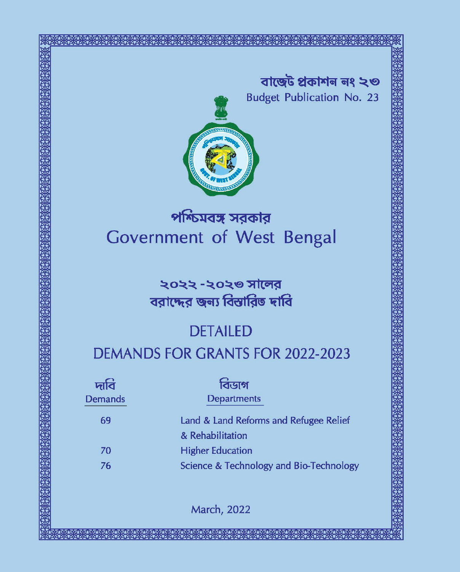বাজেট প্ৰকাশন নং ২৩ **Budget Publication No. 23** 



# পশ্চিমবঙ্গ সরকার Government of West Bengal

# ২০২২ -২০২৩ সালের বরাদ্দের জন্য বিস্তারিত দাবি

# **DETAILED**

# **DEMANDS FOR GRANTS FOR 2022-2023**

| দাবি           | বিডাগ                                   |
|----------------|-----------------------------------------|
| <b>Demands</b> | <b>Departments</b>                      |
| 69             | Land & Land Reforms and Refugee Relief  |
|                | & Rehabilitation                        |
| 70             | <b>Higher Education</b>                 |
| 76             | Science & Technology and Bio-Technology |
|                |                                         |

March, 2022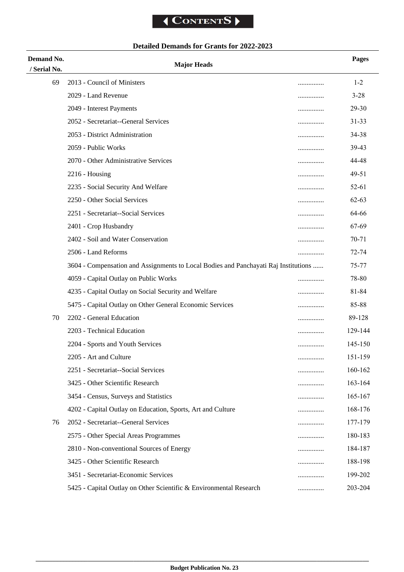# **Detailed Demands for Grants for 2022-2023**

| Demand No.<br>/ Serial No. | <b>Major Heads</b>                                                                  |   | <b>Pages</b> |
|----------------------------|-------------------------------------------------------------------------------------|---|--------------|
| 69                         | 2013 - Council of Ministers                                                         |   | $1 - 2$      |
|                            | 2029 - Land Revenue                                                                 |   | $3 - 28$     |
|                            | 2049 - Interest Payments                                                            | . | 29-30        |
|                            | 2052 - Secretariat--General Services                                                |   | $31 - 33$    |
|                            | 2053 - District Administration                                                      |   | 34-38        |
|                            | 2059 - Public Works                                                                 |   | 39-43        |
|                            | 2070 - Other Administrative Services                                                |   | 44-48        |
|                            | $2216$ - Housing                                                                    |   | 49-51        |
|                            | 2235 - Social Security And Welfare                                                  |   | 52-61        |
|                            | 2250 - Other Social Services                                                        |   | $62 - 63$    |
|                            | 2251 - Secretariat--Social Services                                                 |   | 64-66        |
|                            | 2401 - Crop Husbandry                                                               |   | 67-69        |
|                            | 2402 - Soil and Water Conservation                                                  | . | 70-71        |
|                            | 2506 - Land Reforms                                                                 |   | $72 - 74$    |
|                            | 3604 - Compensation and Assignments to Local Bodies and Panchayati Raj Institutions |   | 75-77        |
|                            | 4059 - Capital Outlay on Public Works                                               |   | 78-80        |
|                            | 4235 - Capital Outlay on Social Security and Welfare                                |   | 81-84        |
|                            | 5475 - Capital Outlay on Other General Economic Services                            | . | 85-88        |
| 70                         | 2202 - General Education                                                            |   | 89-128       |
|                            | 2203 - Technical Education                                                          |   | 129-144      |
|                            | 2204 - Sports and Youth Services                                                    |   | 145-150      |
|                            | 2205 - Art and Culture                                                              |   | 151-159      |
|                            | 2251 - Secretariat--Social Services                                                 |   | 160-162      |
|                            | 3425 - Other Scientific Research                                                    | . | 163-164      |
|                            | 3454 - Census, Surveys and Statistics                                               |   | 165-167      |
|                            | 4202 - Capital Outlay on Education, Sports, Art and Culture                         |   | 168-176      |
| 76                         | 2052 - Secretariat--General Services                                                |   | 177-179      |
|                            | 2575 - Other Special Areas Programmes                                               |   | 180-183      |
|                            | 2810 - Non-conventional Sources of Energy                                           |   | 184-187      |
|                            | 3425 - Other Scientific Research                                                    |   | 188-198      |
|                            | 3451 - Secretariat-Economic Services                                                | . | 199-202      |
|                            | 5425 - Capital Outlay on Other Scientific & Environmental Research                  | . | 203-204      |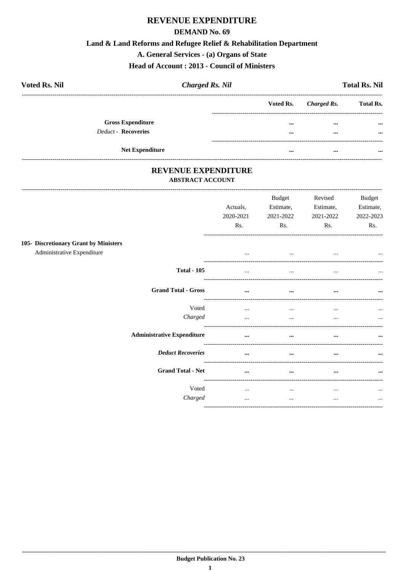#### **REVENUE EXPENDITURE**

#### **DEMAND No. 69**

#### Land & Land Reforms and Refugee Relief & Rehabilitation Department

A. General Services - (a) Organs of State

Head of Account: 2013 - Council of Ministers

| <b>Voted Rs. Nil</b>     | <b>Charged Rs. Nil</b> |                       | <b>Total Rs. Nil</b> |
|--------------------------|------------------------|-----------------------|----------------------|
|                          |                        | Voted Rs. Charged Rs. | <b>Total Rs.</b>     |
| <b>Gross Expenditure</b> |                        | <br>                  | $\cdots$             |
| Deduct - Recoveries      |                        | <br>$\cdots$          | $\cdots$             |
| <b>Net Expenditure</b>   |                        | <br>                  |                      |

# REVENUE EXPENDITURE

#### **ABSTRACT ACCOUNT**

| 105- Discretionary Grant by Ministers<br>Administrative Expenditure | Actuals,<br>2020-2021<br>Rs.<br>$\cdots$ | <b>Budget</b><br>Estimate,<br>2021-2022<br>Rs.<br>$\cdots$ | Revised<br>Estimate,<br>2021-2022<br>Rs.<br>$\cdots$ | <b>Budget</b><br>Estimate,<br>2022-2023<br>Rs.<br>$\cdots$ |
|---------------------------------------------------------------------|------------------------------------------|------------------------------------------------------------|------------------------------------------------------|------------------------------------------------------------|
| <b>Total - 105</b>                                                  |                                          |                                                            |                                                      | $\cdots$                                                   |
| <b>Grand Total - Gross</b>                                          | $\cdots$                                 | $\cdots$                                                   | $\cdots$                                             | $\cdots$                                                   |
| Voted<br>Charged                                                    | $\cdots$<br>                             | $\cdots$<br>$\cdots$                                       | $\cdots$<br>                                         | $\cdots$<br>$\cdots$                                       |
| <b>Administrative Expenditure</b>                                   |                                          | $\cdots$                                                   |                                                      | $\cdots$                                                   |
| <b>Deduct Recoveries</b>                                            | $\cdots$                                 | $\cdots$                                                   | $\cdots$                                             | $\cdots$                                                   |
| <b>Grand Total - Net</b>                                            | $\cdots$                                 | $\cdots$                                                   | $\cdots$                                             | $\cdots$                                                   |
| Voted<br>Charged                                                    | $\cdots$<br>                             | $\cdots$<br>$\cdots$                                       | $\cdots$<br>$\ddotsc$                                | $\cdots$<br>$\cdots$                                       |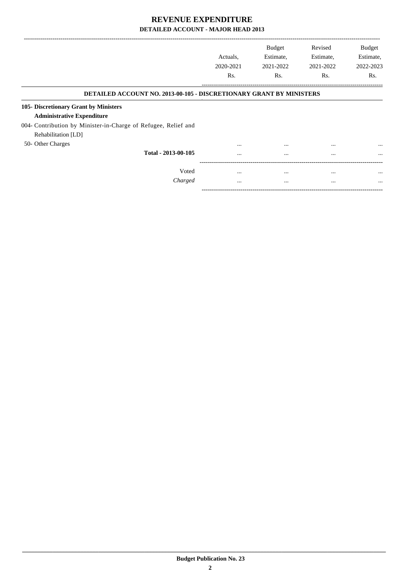|                                                                            |           | <b>Budget</b> | Revised   | <b>Budget</b> |
|----------------------------------------------------------------------------|-----------|---------------|-----------|---------------|
|                                                                            | Actuals.  | Estimate,     | Estimate, | Estimate,     |
|                                                                            | 2020-2021 | 2021-2022     | 2021-2022 | 2022-2023     |
|                                                                            | Rs.       | Rs.           | Rs.       | Rs.           |
| <b>DETAILED ACCOUNT NO. 2013-00-105 - DISCRETIONARY GRANT BY MINISTERS</b> |           |               |           |               |
| 105- Discretionary Grant by Ministers                                      |           |               |           |               |
| <b>Administrative Expenditure</b>                                          |           |               |           |               |
| 004- Contribution by Minister-in-Charge of Refugee, Relief and             |           |               |           |               |
| Rehabilitation [LD]                                                        |           |               |           |               |
| 50- Other Charges                                                          | $\cdots$  | $\cdots$      | $\cdots$  | $\cdots$      |
| Total - 2013-00-105                                                        | $\cdots$  | $\cdots$      | $\cdots$  | $\cdots$      |
|                                                                            |           |               |           |               |
| Voted                                                                      | $\cdots$  | $\cdots$      | $\cdots$  | $\cdots$      |
| Charged                                                                    | $\cdots$  | $\cdots$      | $\cdots$  | $\cdots$      |

-----------------------------------------------------------------------------------------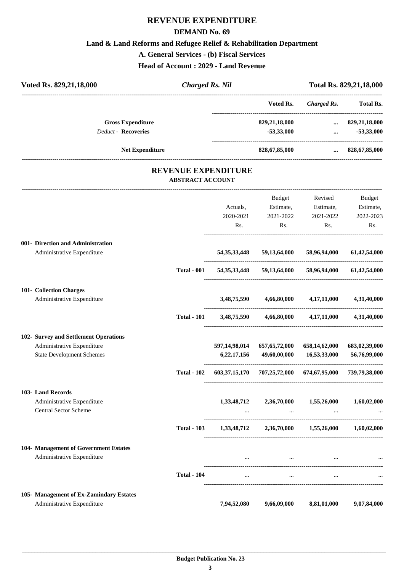# **REVENUE EXPENDITURE**

#### **DEMAND No. 69**

**Land & Land Reforms and Refugee Relief & Rehabilitation Department**

**A. General Services - (b) Fiscal Services**

**Head of Account : 2029 - Land Revenue**

| Voted Rs. 829, 21, 18, 000                                                                              | <b>Charged Rs. Nil</b>                                |                              |                                                                                                                  |                                          | Total Rs. 829, 21, 18, 000              |
|---------------------------------------------------------------------------------------------------------|-------------------------------------------------------|------------------------------|------------------------------------------------------------------------------------------------------------------|------------------------------------------|-----------------------------------------|
|                                                                                                         |                                                       |                              | Voted Rs.                                                                                                        | <b>Charged Rs.</b>                       | <b>Total Rs.</b>                        |
| <b>Gross Expenditure</b><br><b>Deduct - Recoveries</b>                                                  |                                                       |                              | 829,21,18,000<br>$-53,33,000$                                                                                    | $\cdots$<br>$\cdots$                     | 829, 21, 18, 000<br>$-53,33,000$        |
| <b>Net Expenditure</b>                                                                                  |                                                       |                              | 828,67,85,000                                                                                                    | $\cdots$                                 | 828,67,85,000                           |
|                                                                                                         | <b>REVENUE EXPENDITURE</b><br><b>ABSTRACT ACCOUNT</b> |                              |                                                                                                                  |                                          |                                         |
|                                                                                                         |                                                       | Actuals,<br>2020-2021<br>Rs. | Budget<br>Estimate,<br>2021-2022<br>Rs.                                                                          | Revised<br>Estimate,<br>2021-2022<br>Rs. | Budget<br>Estimate,<br>2022-2023<br>Rs. |
| 001- Direction and Administration<br>Administrative Expenditure                                         |                                                       | 54, 35, 33, 448              | 59,13,64,000                                                                                                     | 58,96,94,000                             | 61,42,54,000                            |
|                                                                                                         | <b>Total - 001</b>                                    | 54, 35, 33, 448              |                                                                                                                  | 59,13,64,000 58,96,94,000                | 61,42,54,000                            |
| 101- Collection Charges<br>Administrative Expenditure                                                   |                                                       | 3,48,75,590                  | 4,66,80,000                                                                                                      | 4,17,11,000                              | 4,31,40,000                             |
|                                                                                                         | <b>Total - 101</b>                                    | 3,48,75,590                  | 4,66,80,000                                                                                                      | 4,17,11,000                              | 4,31,40,000                             |
| 102- Survey and Settlement Operations<br>Administrative Expenditure<br><b>State Development Schemes</b> |                                                       | 597,14,98,014<br>6,22,17,156 | 657, 65, 72, 000<br>49,60,00,000                                                                                 | 658,14,62,000<br>16,53,33,000            | 683,02,39,000<br>56,76,99,000           |
|                                                                                                         | <b>Total - 102</b>                                    | 603, 37, 15, 170             | 707,25,72,000                                                                                                    | 674,67,95,000                            | 739,79,38,000                           |
| 103- Land Records<br>Administrative Expenditure<br>Central Sector Scheme                                |                                                       |                              | 1,33,48,712 2,36,70,000 1,55,26,000<br>and the state of the state of the state of the state of                   | $\cdots$                                 | 1,60,02,000                             |
|                                                                                                         | <b>Total - 103</b>                                    |                              | $1,33,48,712$ $2,36,70,000$ $1,55,26,000$ $1,60,02,000$                                                          |                                          |                                         |
| 104- Management of Government Estates<br>Administrative Expenditure                                     |                                                       |                              | and the control of the control of the control of the control of the control of the control of the control of the |                                          |                                         |
|                                                                                                         | <b>Total - 104</b>                                    | $\cdots$                     | $\sim$                                                                                                           |                                          |                                         |
| 105- Management of Ex-Zamindary Estates<br>Administrative Expenditure                                   |                                                       | 7,94,52,080                  | 9,66,09,000                                                                                                      | 8,81,01,000                              | 9,07,84,000                             |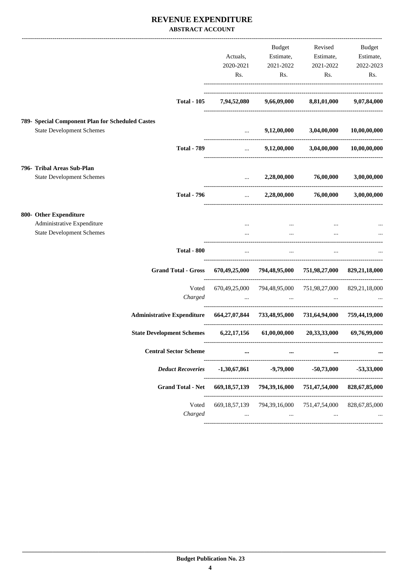#### **REVENUE EXPENDITURE ABSTRACT ACCOUNT**

|                                                  |                                                                                    | Actuals,<br>2020-2021<br>Rs.  | Budget<br>Estimate,<br>2021-2022<br>Rs.                                                                                | Revised<br>Estimate,<br>2021-2022<br>Rs. | Budget<br>Estimate,<br>2022-2023<br>Rs. |
|--------------------------------------------------|------------------------------------------------------------------------------------|-------------------------------|------------------------------------------------------------------------------------------------------------------------|------------------------------------------|-----------------------------------------|
|                                                  | <b>Total - 105</b>                                                                 |                               | 7,94,52,080 9,66,09,000 8,81,01,000                                                                                    |                                          | 9,07,84,000                             |
| 789- Special Component Plan for Scheduled Castes |                                                                                    |                               |                                                                                                                        |                                          |                                         |
| <b>State Development Schemes</b>                 |                                                                                    | $\cdots$                      | 9,12,00,000                                                                                                            | 3,04,00,000                              | 10,00,00,000                            |
|                                                  | <b>Total - 789</b>                                                                 | $\mathbf{r}$ and $\mathbf{r}$ |                                                                                                                        | $9,12,00,000$ $3,04,00,000$              | 10,00,00,000                            |
| 796- Tribal Areas Sub-Plan                       |                                                                                    |                               |                                                                                                                        |                                          |                                         |
| <b>State Development Schemes</b>                 |                                                                                    |                               | $\ldots$ 2,28,00,000                                                                                                   | 76,00,000                                | 3,00,00,000                             |
|                                                  | <b>Total - 796</b>                                                                 |                               | $2,28,00,000$ $76,00,000$                                                                                              |                                          | 3,00,00,000                             |
| 800- Other Expenditure                           |                                                                                    |                               |                                                                                                                        |                                          |                                         |
| Administrative Expenditure                       |                                                                                    |                               |                                                                                                                        |                                          |                                         |
| <b>State Development Schemes</b>                 |                                                                                    |                               | $\ddotsc$                                                                                                              |                                          |                                         |
|                                                  | <b>Total - 800</b>                                                                 | $\cdots$                      | $\cdots$                                                                                                               |                                          |                                         |
|                                                  | <b>Grand Total - Gross</b>                                                         |                               | 670,49,25,000 794,48,95,000 751,98,27,000 829,21,18,000                                                                |                                          |                                         |
|                                                  | Voted                                                                              |                               | 670,49,25,000 794,48,95,000 751,98,27,000 829,21,18,000                                                                |                                          |                                         |
|                                                  | Charged                                                                            |                               | المتعارض والمستحيل والمستحيل والمستحيل والمستحيل والمستحيل والمستحيل والمستحيل والمستحيل والمستحيل والمستحيل والمستحيل |                                          |                                         |
|                                                  | Administrative Expenditure 664,27,07,844 733,48,95,000 731,64,94,000 759,44,19,000 |                               |                                                                                                                        |                                          |                                         |
|                                                  | State Development Schemes 6,22,17,156 61,00,00,000 20,33,33,000                    |                               |                                                                                                                        |                                          | 69,76,99,000                            |
|                                                  | <b>Central Sector Scheme</b>                                                       |                               |                                                                                                                        |                                          |                                         |
|                                                  | <b>Deduct Recoveries</b>                                                           | $-1,30,67,861$                | $-9,79,000$                                                                                                            | $-50,73,000$                             | $-53,33,000$                            |
|                                                  | <b>Grand Total - Net</b>                                                           | 669, 18, 57, 139              | 794,39,16,000                                                                                                          | 751,47,54,000                            | 828, 67, 85, 000                        |
|                                                  | Voted                                                                              | 669, 18, 57, 139              | 794, 39, 16, 000                                                                                                       | 751,47,54,000                            | 828, 67, 85, 000                        |
|                                                  | Charged                                                                            |                               | $\cdots$                                                                                                               |                                          |                                         |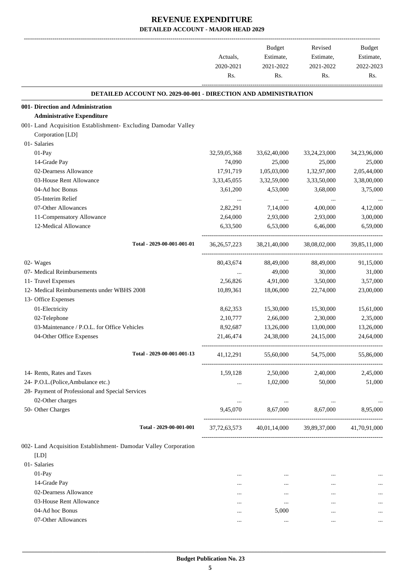|                                                                        | Actuals,<br>2020-2021<br>Rs. | Budget<br>Estimate, | Revised<br>Estimate,                                | Budget<br>Estimate, |           |
|------------------------------------------------------------------------|------------------------------|---------------------|-----------------------------------------------------|---------------------|-----------|
|                                                                        |                              |                     | 2021-2022                                           | 2021-2022           | 2022-2023 |
|                                                                        |                              |                     | Rs.                                                 | Rs.                 | Rs.       |
| <b>DETAILED ACCOUNT NO. 2029-00-001 - DIRECTION AND ADMINISTRATION</b> |                              |                     |                                                     |                     |           |
| 001- Direction and Administration                                      |                              |                     |                                                     |                     |           |
| <b>Administrative Expenditure</b>                                      |                              |                     |                                                     |                     |           |
| 001- Land Acquisition Establishment- Excluding Damodar Valley          |                              |                     |                                                     |                     |           |
| Corporation [LD]                                                       |                              |                     |                                                     |                     |           |
| 01- Salaries                                                           |                              |                     |                                                     |                     |           |
| 01-Pay                                                                 | 32,59,05,368                 | 33,62,40,000        | 33,24,23,000                                        | 34,23,96,000        |           |
| 14-Grade Pay                                                           | 74,090                       | 25,000              | 25,000                                              | 25,000              |           |
| 02-Dearness Allowance                                                  | 17,91,719                    | 1,05,03,000         | 1,32,97,000                                         | 2,05,44,000         |           |
| 03-House Rent Allowance                                                | 3,33,45,055                  | 3,32,59,000         | 3,33,50,000                                         | 3,38,00,000         |           |
| 04-Ad hoc Bonus                                                        | 3,61,200                     | 4,53,000            | 3,68,000                                            | 3,75,000            |           |
| 05-Interim Relief                                                      | $\cdots$                     | $\cdots$            | $\cdots$                                            |                     |           |
| 07-Other Allowances                                                    | 2,82,291                     | 7,14,000            | 4,00,000                                            | 4,12,000            |           |
| 11-Compensatory Allowance                                              | 2,64,000                     | 2,93,000            | 2,93,000                                            | 3,00,000            |           |
| 12-Medical Allowance                                                   | 6,33,500                     | 6,53,000            | 6,46,000                                            | 6,59,000            |           |
| Total - 2029-00-001-001-01                                             | 36, 26, 57, 223              | 38,21,40,000        | 38,08,02,000                                        | 39,85,11,000        |           |
| 02- Wages                                                              | 80,43,674                    | 88,49,000           | 88,49,000                                           | 91,15,000           |           |
| 07- Medical Reimbursements                                             | $\cdots$                     | 49,000              | 30,000                                              | 31,000              |           |
| 11- Travel Expenses                                                    | 2,56,826                     | 4,91,000            | 3,50,000                                            | 3,57,000            |           |
| 12- Medical Reimbursements under WBHS 2008                             | 10,89,361                    | 18,06,000           | 22,74,000                                           | 23,00,000           |           |
| 13- Office Expenses                                                    |                              |                     |                                                     |                     |           |
| 01-Electricity                                                         | 8,62,353                     | 15,30,000           | 15,30,000                                           | 15,61,000           |           |
| 02-Telephone                                                           | 2,10,777                     | 2,66,000            | 2,30,000                                            | 2,35,000            |           |
| 03-Maintenance / P.O.L. for Office Vehicles                            | 8,92,687                     | 13,26,000           | 13,00,000                                           | 13,26,000           |           |
| 04-Other Office Expenses                                               | 21,46,474                    | 24,38,000           | 24,15,000                                           | 24,64,000           |           |
| Total - 2029-00-001-001-13                                             | 41,12,291                    |                     | 55,60,000 54,75,000 55,86,000                       |                     |           |
| 14- Rents, Rates and Taxes                                             | 1.59.128                     |                     | 2,50,000 2,40,000                                   | 2,45,000            |           |
| 24- P.O.L.(Police, Ambulance etc.)                                     | $\cdots$                     | 1,02,000            | 50,000                                              | 51,000              |           |
| 28- Payment of Professional and Special Services                       |                              |                     |                                                     |                     |           |
| 02-Other charges                                                       | $\cdots$                     | $\cdots$            | $\cdots$                                            | $\cdots$            |           |
| 50- Other Charges                                                      |                              |                     | 9,45,070 8,67,000 8,67,000 8,95,000                 |                     |           |
| Total - 2029-00-001-001                                                |                              |                     | 37,72,63,573 40,01,14,000 39,89,37,000 41,70,91,000 |                     |           |
| 002- Land Acquisition Establishment- Damodar Valley Corporation        |                              |                     |                                                     |                     |           |
| [LD]                                                                   |                              |                     |                                                     |                     |           |
| 01- Salaries                                                           |                              |                     |                                                     |                     |           |
| 01-Pay                                                                 |                              | $\cdots$            | $\cdots$                                            |                     |           |
| 14-Grade Pay                                                           |                              | $\cdots$            | $\cdots$                                            |                     |           |
| 02-Dearness Allowance                                                  | $\cdots$                     | $\cdots$            |                                                     |                     |           |
| 03-House Rent Allowance                                                | $\cdots$                     | $\cdots$            |                                                     |                     |           |
| 04-Ad hoc Bonus                                                        | $\cdots$                     | 5,000               |                                                     |                     |           |
| 07-Other Allowances                                                    | $\cdots$                     | $\ldots$            | $\cdots$                                            |                     |           |
|                                                                        |                              |                     |                                                     |                     |           |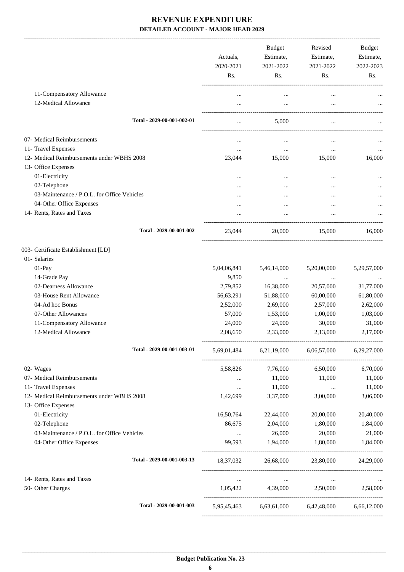|                                             | Actuals,<br>2020-2021 | Budget<br>Estimate,<br>2021-2022 | Revised<br>Estimate,<br>2021-2022               | Budget<br>Estimate,<br>2022-2023 |
|---------------------------------------------|-----------------------|----------------------------------|-------------------------------------------------|----------------------------------|
|                                             | Rs.                   | Rs.                              | Rs.                                             | Rs.                              |
| 11-Compensatory Allowance                   |                       |                                  |                                                 |                                  |
| 12-Medical Allowance                        | $\cdots$              | $\cdots$                         |                                                 |                                  |
|                                             |                       |                                  |                                                 |                                  |
| Total - 2029-00-001-002-01                  | $\cdots$              | 5,000                            |                                                 |                                  |
| 07- Medical Reimbursements                  |                       | $\cdots$                         |                                                 |                                  |
| 11- Travel Expenses                         | $\cdots$              | $\cdots$                         | $\cdots$                                        | $\cdots$                         |
| 12- Medical Reimbursements under WBHS 2008  | 23,044                | 15,000                           | 15,000                                          | 16,000                           |
| 13- Office Expenses                         |                       |                                  |                                                 |                                  |
| 01-Electricity                              |                       |                                  |                                                 |                                  |
| 02-Telephone                                |                       |                                  |                                                 |                                  |
| 03-Maintenance / P.O.L. for Office Vehicles |                       |                                  |                                                 |                                  |
| 04-Other Office Expenses                    |                       |                                  |                                                 |                                  |
| 14- Rents, Rates and Taxes                  |                       |                                  |                                                 |                                  |
| Total - 2029-00-001-002                     | 23,044                | 20,000                           | 15,000                                          | 16,000                           |
| 003- Certificate Establishment [LD]         |                       |                                  |                                                 |                                  |
| 01- Salaries                                |                       |                                  |                                                 |                                  |
| 01-Pay                                      | 5,04,06,841           | 5,46,14,000                      | 5,20,00,000                                     | 5,29,57,000                      |
| 14-Grade Pay                                | 9,850                 | $\cdots$                         | $\cdots$                                        |                                  |
| 02-Dearness Allowance                       | 2,79,852              | 16,38,000                        | 20,57,000                                       | 31,77,000                        |
| 03-House Rent Allowance                     | 56,63,291             | 51,88,000                        | 60,00,000                                       | 61,80,000                        |
| 04-Ad hoc Bonus                             | 2,52,000              | 2,69,000                         | 2,57,000                                        | 2,62,000                         |
| 07-Other Allowances                         | 57,000                | 1,53,000                         | 1,00,000                                        | 1,03,000                         |
| 11-Compensatory Allowance                   | 24,000                | 24,000                           | 30,000                                          | 31,000                           |
| 12-Medical Allowance                        | 2,08,650              | 2,33,000                         | 2,13,000                                        | 2,17,000                         |
| Total - 2029-00-001-003-01                  | 5,69,01,484           | 6,21,19,000                      | 6,06,57,000                                     | 6,29,27,000                      |
| 02- Wages                                   | 5,58,826              | 7,76,000                         | 6,50,000                                        | 6,70,000                         |
| 07- Medical Reimbursements                  |                       | 11,000                           | 11,000                                          | 11,000                           |
| 11- Travel Expenses                         | $\cdots$              | 11,000                           | $\cdots$                                        | 11,000                           |
| 12- Medical Reimbursements under WBHS 2008  | 1,42,699              | 3,37,000                         | 3,00,000                                        | 3,06,000                         |
| 13- Office Expenses                         |                       |                                  |                                                 |                                  |
| 01-Electricity                              | 16,50,764             | 22,44,000                        | 20,00,000                                       | 20,40,000                        |
| 02-Telephone                                | 86,675                | 2,04,000                         | 1,80,000                                        | 1,84,000                         |
| 03-Maintenance / P.O.L. for Office Vehicles | $\cdots$              | 26,000                           | 20,000                                          | 21,000                           |
| 04-Other Office Expenses                    | 99,593                | 1,94,000                         | 1,80,000                                        | 1,84,000                         |
| Total - 2029-00-001-003-13                  |                       |                                  | 18,37,032 26,68,000 23,80,000 24,29,000         |                                  |
| 14- Rents, Rates and Taxes                  | $\ldots$              | $\cdots$                         | $\ldots$                                        |                                  |
| 50- Other Charges                           | 1,05,422              | 4,39,000 2,50,000                |                                                 | 2,58,000                         |
| Total - 2029-00-001-003                     |                       |                                  | 5,95,45,463 6,63,61,000 6,42,48,000 6,66,12,000 |                                  |
|                                             |                       |                                  |                                                 |                                  |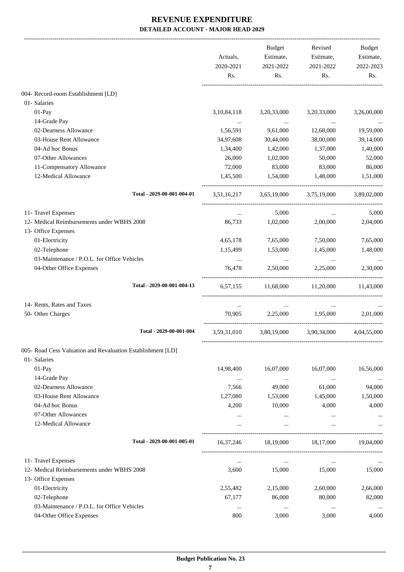|                                                             | Actuals,<br>2020-2021<br>Rs. | Budget<br>Estimate,<br>2021-2022<br>Rs. | Revised<br>Estimate,<br>2021-2022<br>Rs. | <b>Budget</b><br>Estimate,<br>2022-2023<br>Rs. |
|-------------------------------------------------------------|------------------------------|-----------------------------------------|------------------------------------------|------------------------------------------------|
|                                                             |                              |                                         |                                          |                                                |
| 004- Record-room Establishment [LD]<br>01- Salaries         |                              |                                         |                                          |                                                |
| 01-Pay                                                      | 3, 10, 84, 118               | 3,20,33,000                             | 3,20,33,000                              | 3,26,00,000                                    |
| 14-Grade Pay                                                |                              |                                         |                                          |                                                |
| 02-Dearness Allowance                                       | 1,56,591                     | <b>Contract Contract</b><br>9,61,000    | 12,68,000                                | 19,59,000                                      |
| 03-House Rent Allowance                                     | 34,97,608                    | 30,44,000                               | 38,00,000                                | 39,14,000                                      |
| 04-Ad hoc Bonus                                             | 1,34,400                     | 1,42,000                                | 1,37,000                                 | 1,40,000                                       |
| 07-Other Allowances                                         | 26,000                       | 1,02,000                                | 50,000                                   | 52,000                                         |
| 11-Compensatory Allowance                                   | 72,000                       | 83,000                                  | 83,000                                   | 86,000                                         |
| 12-Medical Allowance                                        |                              |                                         |                                          |                                                |
|                                                             | 1,45,500                     | 1,54,000                                | 1,48,000                                 | 1,51,000                                       |
| Total - 2029-00-001-004-01                                  |                              |                                         | 3,51,16,217 3,65,19,000 3,75,19,000      | 3,89,02,000                                    |
| 11- Travel Expenses                                         | $\cdots$                     | 5,000                                   |                                          | 5,000                                          |
| 12- Medical Reimbursements under WBHS 2008                  | 86,733                       | 1,02,000                                | 2,00,000                                 | 2,04,000                                       |
| 13- Office Expenses                                         |                              |                                         |                                          |                                                |
| 01-Electricity                                              | 4,65,178                     | 7,65,000                                | 7,50,000                                 | 7,65,000                                       |
| 02-Telephone                                                | 1,15,499                     | 1,53,000                                | 1,45,000                                 | 1,48,000                                       |
| 03-Maintenance / P.O.L. for Office Vehicles                 | $\ldots$                     | $\sim 100$ and $\sim 100$               | $\sim$ 100 $\mu$                         |                                                |
| 04-Other Office Expenses                                    | 76,478                       | 2,50,000                                | 2,25,000                                 | 2,30,000                                       |
| Total - 2029-00-001-004-13                                  |                              |                                         | 6,57,155 11,68,000 11,20,000 11,43,000   |                                                |
| 14- Rents, Rates and Taxes                                  | $\cdots$                     | $\ldots$                                | $\cdots$                                 |                                                |
| 50- Other Charges                                           | 70,905                       | 2,25,000                                | 1,95,000                                 | 2,01,000                                       |
| Total - 2029-00-001-004                                     |                              |                                         | 3,59,31,010 3,80,19,000 3,90,34,000      | 4,04,55,000                                    |
| 005- Road Cess Valuation and Revaluation Establishment [LD] |                              |                                         |                                          |                                                |
| 01- Salaries                                                |                              |                                         |                                          |                                                |
| 01-Pay                                                      | 14,98,400                    | 16,07,000                               | 16,07,000                                | 16,56,000                                      |
| 14-Grade Pay                                                | $\ldots$                     | $\cdots$                                | $\cdots$                                 |                                                |
| 02-Dearness Allowance                                       | 7,566                        | 49,000                                  | 61,000                                   | 94,000                                         |
| 03-House Rent Allowance                                     | 1,27,080                     | 1,53,000                                | 1,45,000                                 | 1,50,000                                       |
| 04-Ad hoc Bonus                                             | 4,200                        | 10,000                                  | 4,000                                    | 4,000                                          |
| 07-Other Allowances                                         | $\cdots$                     | $\cdots$                                | $\cdots$                                 |                                                |
| 12-Medical Allowance                                        | $\cdots$                     | $\cdots$                                | $\cdots$                                 |                                                |
| Total - 2029-00-001-005-01                                  | 16,37,246                    | 18,19,000                               | 18,17,000                                | 19,04,000                                      |
|                                                             |                              |                                         |                                          |                                                |
| 11- Travel Expenses                                         | $\cdots$                     | $\cdots$                                | $\cdots$                                 |                                                |
| 12- Medical Reimbursements under WBHS 2008                  | 3,600                        | 15,000                                  | 15,000                                   | 15,000                                         |
| 13- Office Expenses                                         |                              |                                         |                                          |                                                |
| 01-Electricity                                              | 2,55,482                     | 2,15,000                                | 2,60,000                                 | 2,66,000                                       |
| 02-Telephone                                                | 67,177                       | 86,000                                  | 80,000                                   | 82,000                                         |
| 03-Maintenance / P.O.L. for Office Vehicles                 | $\cdots$                     | $\cdots$                                | $\cdots$                                 |                                                |
| 04-Other Office Expenses                                    | 800                          | 3,000                                   | 3,000                                    | 4,000                                          |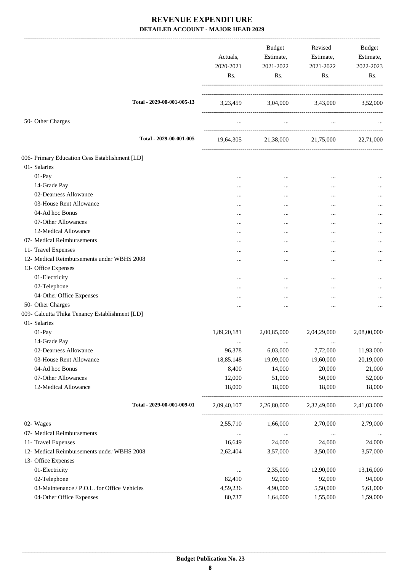|                                                | Actuals,<br>2020-2021<br>Rs. | Budget<br>Estimate,<br>2021-2022<br>Rs. | Revised<br>Estimate,<br>2021-2022<br>Rs. | Budget<br>Estimate,<br>2022-2023<br>Rs. |
|------------------------------------------------|------------------------------|-----------------------------------------|------------------------------------------|-----------------------------------------|
| Total - 2029-00-001-005-13                     |                              | 3,23,459 3,04,000 3,43,000 3,52,000     |                                          |                                         |
| 50- Other Charges                              |                              | $\cdots$                                |                                          |                                         |
| Total - 2029-00-001-005                        |                              | 19,64,305 21,38,000 21,75,000           |                                          | 22,71,000                               |
| 006- Primary Education Cess Establishment [LD] |                              |                                         |                                          |                                         |
| 01- Salaries                                   |                              |                                         |                                          |                                         |
| 01-Pay                                         | $\cdots$                     | $\cdots$                                | $\cdots$                                 |                                         |
| 14-Grade Pay                                   | $\cdots$                     | $\cdots$                                | $\cdots$                                 |                                         |
| 02-Dearness Allowance                          | $\cdots$                     | $\cdots$                                |                                          |                                         |
| 03-House Rent Allowance                        | $\cdots$                     |                                         | $\cdots$                                 |                                         |
| 04-Ad hoc Bonus                                | $\cdots$                     |                                         |                                          |                                         |
| 07-Other Allowances                            |                              | $\cdots$                                |                                          | $\cdots$                                |
| 12-Medical Allowance                           | $\cdots$                     |                                         | $\ddotsc$                                |                                         |
| 07- Medical Reimbursements                     |                              |                                         |                                          |                                         |
| 11- Travel Expenses                            | .                            | $\cdots$                                | $\cdots$                                 |                                         |
| 12- Medical Reimbursements under WBHS 2008     | $\cdots$                     |                                         | $\cdots$                                 | $\cdots$                                |
| 13- Office Expenses                            |                              |                                         |                                          |                                         |
| 01-Electricity                                 | $\cdots$                     |                                         |                                          |                                         |
| 02-Telephone                                   |                              | $\cdots$                                |                                          |                                         |
| 04-Other Office Expenses                       | .                            |                                         |                                          | $\cdots$                                |
| 50- Other Charges                              |                              | $\cdots$                                | $\ddotsc$                                | $\cdots$                                |
| 009- Calcutta Thika Tenancy Establishment [LD] |                              |                                         |                                          |                                         |
| 01- Salaries                                   |                              |                                         |                                          |                                         |
| 01-Pay                                         | 1,89,20,181                  | 2,00,85,000                             | 2,04,29,000                              | 2,08,00,000                             |
| 14-Grade Pay                                   | $\cdots$                     |                                         |                                          | $\cdots$                                |
| 02-Dearness Allowance                          | 96,378                       | 6,03,000                                | 7,72,000                                 | 11,93,000                               |
| 03-House Rent Allowance                        | 18,85,148                    | 19,09,000                               | 19,60,000                                | 20,19,000                               |
| 04-Ad hoc Bonus                                | 8,400                        | 14,000                                  | 20,000                                   | 21,000                                  |
| 07-Other Allowances                            | 12,000                       | 51,000                                  | 50,000                                   | 52,000                                  |
| 12-Medical Allowance                           | 18,000                       | 18,000                                  | 18,000                                   | 18,000                                  |
| Total - 2029-00-001-009-01                     | 2,09,40,107                  | 2,26,80,000                             | 2,32,49,000                              | 2,41,03,000                             |
| 02- Wages                                      | 2,55,710                     | 1,66,000                                | 2,70,000                                 | 2,79,000                                |
| 07- Medical Reimbursements                     | $\ldots$                     | $\cdots$                                | $\cdots$                                 |                                         |
| 11- Travel Expenses                            | 16,649                       | 24,000                                  | 24,000                                   | 24,000                                  |
| 12- Medical Reimbursements under WBHS 2008     | 2,62,404                     | 3,57,000                                | 3,50,000                                 | 3,57,000                                |
| 13- Office Expenses                            |                              |                                         |                                          |                                         |
| 01-Electricity                                 | $\cdots$                     | 2,35,000                                | 12,90,000                                | 13,16,000                               |
| 02-Telephone                                   | 82,410                       | 92,000                                  | 92,000                                   | 94,000                                  |
| 03-Maintenance / P.O.L. for Office Vehicles    | 4,59,236                     | 4,90,000                                | 5,50,000                                 | 5,61,000                                |
| 04-Other Office Expenses                       | 80,737                       | 1,64,000                                | 1,55,000                                 | 1,59,000                                |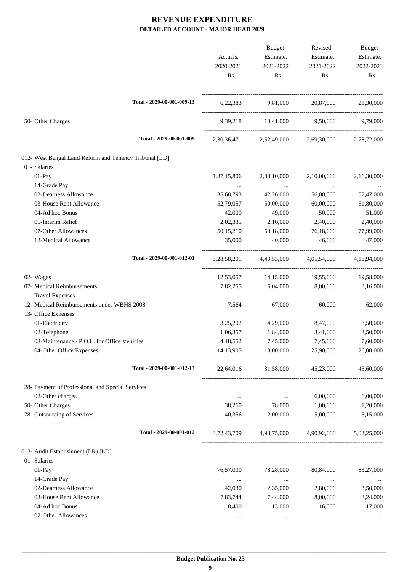|                                                        |             | Budget                                 | Revised                                         | Budget      |
|--------------------------------------------------------|-------------|----------------------------------------|-------------------------------------------------|-------------|
|                                                        | Actuals,    | Estimate,                              | Estimate,                                       | Estimate,   |
|                                                        | 2020-2021   | 2021-2022                              | 2021-2022                                       | 2022-2023   |
|                                                        | Rs.         | Rs.                                    | Rs.                                             | Rs.         |
| Total - 2029-00-001-009-13                             |             |                                        | 6,22,383 9,81,000 20,87,000 21,30,000           |             |
| 50- Other Charges                                      |             |                                        | 9,39,218 10,41,000 9,50,000                     | 9.79.000    |
| Total - 2029-00-001-009                                |             |                                        | 2,30,36,471 2,52,49,000 2,69,30,000             | 2,78,72,000 |
| 012- West Bengal Land Reform and Tenancy Tribunal [LD] |             |                                        |                                                 |             |
| 01- Salaries                                           |             |                                        |                                                 |             |
| 01-Pay                                                 | 1,87,15,806 | 2,88,10,000                            | 2,10,00,000                                     | 2,16,30,000 |
| 14-Grade Pay                                           |             |                                        |                                                 |             |
| 02-Dearness Allowance                                  | 35,68,793   | $\sim 100$ and $\sim 100$<br>42,26,000 | $\ldots$<br>56,00,000                           | 57,47,000   |
| 03-House Rent Allowance                                | 52,79,057   | 50,00,000                              | 60,00,000                                       | 61,80,000   |
| 04-Ad hoc Bonus                                        |             |                                        |                                                 | 51,000      |
| 05-Interim Relief                                      | 42,000      | 49,000                                 | 50,000                                          |             |
|                                                        | 2,02,335    | 2,10,000                               | 2,40,000                                        | 2,40,000    |
| 07-Other Allowances                                    | 50,15,210   | 60,18,000                              | 76,18,000                                       | 77,99,000   |
| 12-Medical Allowance                                   | 35,000      | 40,000                                 | 46,000                                          | 47,000      |
| Total - 2029-00-001-012-01                             | 3,28,58,201 | 4,43,53,000                            | 4,05,54,000                                     | 4,16,94,000 |
| 02- Wages                                              | 12,53,057   | 14,15,000                              | 19,55,000                                       | 19,58,000   |
| 07- Medical Reimbursements                             | 7,82,255    | 6,04,000                               | 8,00,000                                        | 8,16,000    |
| 11- Travel Expenses                                    | $\cdots$    | $\ldots$                               | $\cdots$                                        |             |
| 12- Medical Reimbursements under WBHS 2008             | 7,564       | 67,000                                 | 60,000                                          | 62,000      |
| 13- Office Expenses                                    |             |                                        |                                                 |             |
| 01-Electricity                                         | 3,25,202    | 4,29,000                               | 8,47,000                                        | 8,50,000    |
| 02-Telephone                                           | 1,06,357    | 1,84,000                               | 3,41,000                                        | 3,50,000    |
| 03-Maintenance / P.O.L. for Office Vehicles            | 4,18,552    | 7,45,000                               | 7,45,000                                        | 7,60,000    |
| 04-Other Office Expenses                               | 14, 13, 905 | 18,00,000                              | 25,90,000                                       | 26,00,000   |
| Total - 2029-00-001-012-13                             |             |                                        | 22,64,016 31,58,000 45,23,000                   | 45,60,000   |
| 28- Payment of Professional and Special Services       |             |                                        |                                                 |             |
| 02-Other charges                                       | $\cdots$    | <b>Contract Contract</b>               | 6,00,000                                        | 6,00,000    |
| 50- Other Charges                                      | 38,260      | 78,000                                 | 1,00,000                                        | 1,20,000    |
| 78- Outsourcing of Services                            | 40,356      | 2,00,000                               | 5,00,000                                        | 5,15,000    |
| Total - 2029-00-001-012                                |             |                                        | 3,72,43,709 4,98,75,000 4,90,92,000 5,03,25,000 |             |
| 013- Audit Establishment (LR) [LD]                     |             |                                        |                                                 |             |
| 01- Salaries                                           |             |                                        |                                                 |             |
| $01-Pay$                                               | 76,57,000   | 78,28,000                              | 80,84,000                                       | 83,27,000   |
| 14-Grade Pay                                           | $\ldots$    | $\ldots$                               | $\ldots$                                        | $\ldots$    |
| 02-Dearness Allowance                                  | 42,030      | 2,35,000                               | 2,80,000                                        | 3,50,000    |
| 03-House Rent Allowance                                | 7,83,744    | 7,44,000                               | 8,00,000                                        | 8,24,000    |
| 04-Ad hoc Bonus                                        | 8,400       | 13,000                                 | 16,000                                          | 17,000      |
| 07-Other Allowances                                    | $\cdots$    | $\ldots$                               | $\ldots$                                        |             |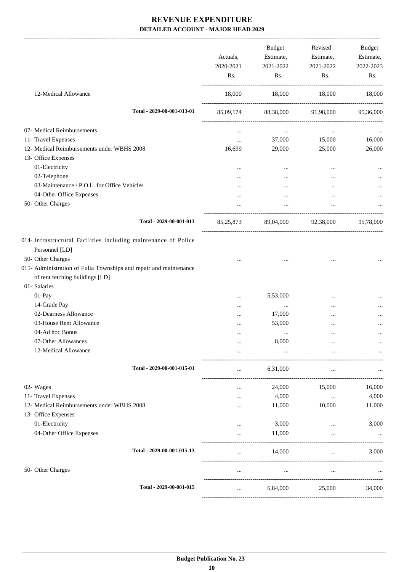|                                                                                                                      | Actuals,<br>2020-2021<br>Rs. | <b>Budget</b><br>Estimate,<br>2021-2022<br>Rs. | Revised<br>Estimate,<br>2021-2022<br>Rs.       | Budget<br>Estimate,<br>2022-2023<br>Rs. |
|----------------------------------------------------------------------------------------------------------------------|------------------------------|------------------------------------------------|------------------------------------------------|-----------------------------------------|
| 12-Medical Allowance                                                                                                 | 18,000                       | 18,000                                         | 18,000                                         | 18,000                                  |
| Total - 2029-00-001-013-01                                                                                           |                              | 85,09,174 88,38,000 91,98,000 95,36,000        |                                                |                                         |
| 07- Medical Reimbursements                                                                                           | $\cdots$                     | $\cdots$                                       | $\cdots$                                       |                                         |
| 11- Travel Expenses                                                                                                  | $\cdots$                     | 37,000                                         | 15,000                                         | 16,000                                  |
| 12- Medical Reimbursements under WBHS 2008                                                                           | 16,699                       | 29,000                                         | 25,000                                         | 26,000                                  |
| 13- Office Expenses                                                                                                  |                              |                                                |                                                |                                         |
| 01-Electricity                                                                                                       |                              |                                                |                                                |                                         |
| 02-Telephone                                                                                                         | $\cdots$                     | $\cdots$                                       | $\cdots$                                       |                                         |
|                                                                                                                      |                              | $\cdots$                                       |                                                |                                         |
| 03-Maintenance / P.O.L. for Office Vehicles                                                                          | $\cdots$                     | $\cdots$                                       | $\cdots$                                       |                                         |
| 04-Other Office Expenses                                                                                             |                              |                                                |                                                |                                         |
| 50- Other Charges                                                                                                    |                              | $\cdots$                                       |                                                |                                         |
| Total - 2029-00-001-013                                                                                              |                              | 85,25,873 89,04,000 92,38,000                  |                                                | 95,78,000                               |
| 014- Infrastructural Facilities including maintenance of Police<br>Personnel [LD]<br>50- Other Charges               |                              |                                                |                                                |                                         |
| 015- Administration of Fulia Townships and repair and maintenance<br>of rent fetching buildings [LD]<br>01- Salaries |                              | $\cdots$                                       | $\cdots$                                       |                                         |
| 01-Pay                                                                                                               |                              | 5,53,000                                       | $\cdots$                                       |                                         |
| 14-Grade Pay                                                                                                         |                              | $\ldots$                                       | $\ddotsc$                                      |                                         |
| 02-Dearness Allowance                                                                                                |                              | 17,000                                         |                                                |                                         |
| 03-House Rent Allowance                                                                                              |                              | 53,000                                         |                                                |                                         |
| 04-Ad hoc Bonus                                                                                                      |                              |                                                |                                                |                                         |
| 07-Other Allowances                                                                                                  |                              | $\cdots$<br>8,000                              |                                                |                                         |
|                                                                                                                      |                              |                                                |                                                |                                         |
| 12-Medical Allowance                                                                                                 |                              |                                                | --------------------                           |                                         |
| Total - 2029-00-001-015-01                                                                                           |                              | 6,31,000                                       |                                                |                                         |
| 02- Wages                                                                                                            | .                            | 24,000                                         | 15,000                                         | 16,000                                  |
| 11- Travel Expenses                                                                                                  | .                            | 4,000                                          | $\ddots$                                       | 4,000                                   |
| 12- Medical Reimbursements under WBHS 2008                                                                           |                              | 11,000                                         | 10,000                                         | 11,000                                  |
| 13- Office Expenses                                                                                                  |                              |                                                |                                                |                                         |
| 01-Electricity                                                                                                       |                              | 3,000                                          | $\cdots$                                       | 3,000                                   |
| 04-Other Office Expenses                                                                                             |                              | 11,000                                         |                                                |                                         |
| Total - 2029-00-001-015-13                                                                                           |                              | 14,000                                         | ----------------------------------<br>$\cdots$ | 3,000                                   |
| 50- Other Charges                                                                                                    |                              |                                                |                                                |                                         |
| Total - 2029-00-001-015                                                                                              | $\cdots$                     | 6,84,000                                       | 25,000                                         | 34,000                                  |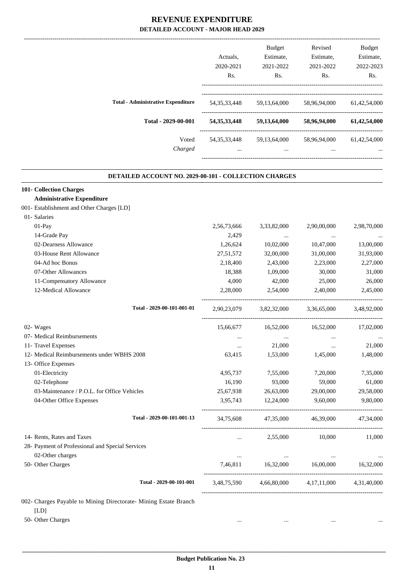|                                           | Actuals.<br>2020-2021<br>R <sub>s</sub> . | <b>Budget</b><br>Estimate,<br>2021-2022<br>Rs. | Revised<br>Estimate,<br>2021-2022<br>Rs. | <b>Budget</b><br>Estimate,<br>2022-2023<br>Rs. |
|-------------------------------------------|-------------------------------------------|------------------------------------------------|------------------------------------------|------------------------------------------------|
| <b>Total - Administrative Expenditure</b> | 54, 35, 33, 448                           | 59, 13, 64, 000                                | 58,96,94,000                             | 61,42,54,000                                   |
| Total - 2029-00-001                       | 54, 35, 33, 448                           | 59,13,64,000                                   | 58,96,94,000                             | 61,42,54,000                                   |
| Voted<br>Charged                          | 54, 35, 33, 448<br>$\cdots$               | 59, 13, 64, 000<br>$\cdots$                    | 58,96,94,000<br>$\cdots$                 | 61,42,54,000                                   |

.

#### **DETAILED ACCOUNT NO. 2029-00-101 - COLLECTION CHARGES**

| <b>101- Collection Charges</b>                                           |             |             |                |             |
|--------------------------------------------------------------------------|-------------|-------------|----------------|-------------|
| <b>Administrative Expenditure</b>                                        |             |             |                |             |
| 001- Establishment and Other Charges [LD]                                |             |             |                |             |
| 01- Salaries                                                             |             |             |                |             |
| 01-Pay                                                                   | 2,56,73,666 | 3,33,82,000 | 2,90,00,000    | 2,98,70,000 |
| 14-Grade Pay                                                             | 2,429       | $\cdots$    | $\cdots$       |             |
| 02-Dearness Allowance                                                    | 1,26,624    | 10,02,000   | 10,47,000      | 13,00,000   |
| 03-House Rent Allowance                                                  | 27,51,572   | 32,00,000   | 31,00,000      | 31,93,000   |
| 04-Ad hoc Bonus                                                          | 2,18,400    | 2,43,000    | 2,23,000       | 2,27,000    |
| 07-Other Allowances                                                      | 18,388      | 1,09,000    | 30,000         | 31,000      |
| 11-Compensatory Allowance                                                | 4,000       | 42,000      | 25,000         | 26,000      |
| 12-Medical Allowance                                                     | 2,28,000    | 2,54,000    | 2,40,000       | 2,45,000    |
| Total - 2029-00-101-001-01                                               | 2,90,23,079 | 3,82,32,000 | 3,36,65,000    | 3,48,92,000 |
| 02- Wages                                                                | 15,66,677   | 16,52,000   | 16,52,000      | 17,02,000   |
| 07- Medical Reimbursements                                               |             | $\ddots$    |                |             |
| 11- Travel Expenses                                                      | $\cdots$    | 21,000      | $\ddots$       | 21,000      |
| 12- Medical Reimbursements under WBHS 2008                               | 63,415      | 1,53,000    | 1,45,000       | 1,48,000    |
| 13- Office Expenses                                                      |             |             |                |             |
| 01-Electricity                                                           | 4,95,737    | 7,55,000    | 7,20,000       | 7,35,000    |
| 02-Telephone                                                             | 16,190      | 93,000      | 59,000         | 61,000      |
| 03-Maintenance / P.O.L. for Office Vehicles                              | 25,67,938   | 26,63,000   | 29,00,000      | 29,58,000   |
| 04-Other Office Expenses                                                 | 3,95,743    | 12,24,000   | 9,60,000       | 9,80,000    |
| Total - 2029-00-101-001-13                                               | 34,75,608   | 47,35,000   | 46,39,000      | 47,34,000   |
| 14- Rents, Rates and Taxes                                               | $\ddotsc$   | 2,55,000    | 10,000         | 11,000      |
| 28- Payment of Professional and Special Services                         |             |             |                |             |
| 02-Other charges                                                         | $\cdots$    | $\ddotsc$   | $\cdots$       |             |
| 50- Other Charges                                                        | 7,46,811    | 16,32,000   | 16,00,000      | 16,32,000   |
| Total - 2029-00-101-001                                                  | 3,48,75,590 | 4,66,80,000 | 4, 17, 11, 000 | 4,31,40,000 |
| 002- Charges Payable to Mining Directorate- Mining Estate Branch<br>[LD] |             |             |                |             |
| 50- Other Charges                                                        |             |             |                |             |
|                                                                          |             |             |                |             |

 **Budget Publication No. 23 11**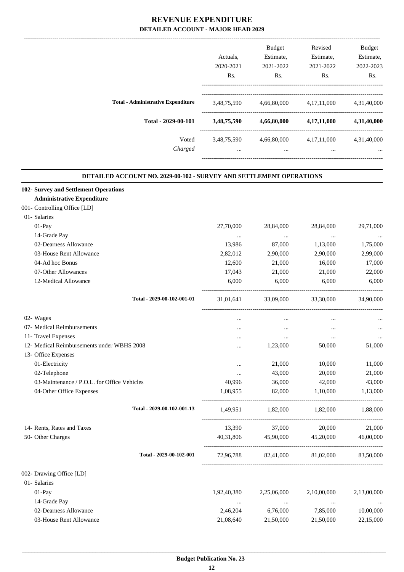|             | <b>Budget</b> | Revised        | <b>Budget</b> |
|-------------|---------------|----------------|---------------|
| Actuals.    | Estimate,     | Estimate,      | Estimate,     |
| 2020-2021   | 2021-2022     | 2021-2022      | 2022-2023     |
| Rs.         | Rs.           | Rs.            | Rs.           |
| 3,48,75,590 | 4,66,80,000   | 4, 17, 11, 000 | 4,31,40,000   |
| 3,48,75,590 | 4,66,80,000   | 4,17,11,000    | 4,31,40,000   |
| 3,48,75,590 | 4,66,80,000   | 4, 17, 11, 000 | 4,31,40,000   |
| $\cdots$    | $\cdots$      | $\cdots$       | $\cdots$      |
|             |               |                |               |

.

#### **DETAILED ACCOUNT NO. 2029-00-102 - SURVEY AND SETTLEMENT OPERATIONS**

| 102- Survey and Settlement Operations       |             |                   |                               |             |
|---------------------------------------------|-------------|-------------------|-------------------------------|-------------|
| <b>Administrative Expenditure</b>           |             |                   |                               |             |
| 001- Controlling Office [LD]                |             |                   |                               |             |
| 01- Salaries                                |             |                   |                               |             |
| 01-Pay                                      | 27,70,000   | 28,84,000         | 28,84,000                     | 29,71,000   |
| 14-Grade Pay                                | $\cdots$    | $\ldots$          | $\ldots$                      | $\cdots$    |
| 02-Dearness Allowance                       | 13,986      | 87,000            | 1,13,000                      | 1,75,000    |
| 03-House Rent Allowance                     | 2,82,012    | 2,90,000          | 2,90,000                      | 2,99,000    |
| 04-Ad hoc Bonus                             | 12,600      | 21,000            | 16,000                        | 17,000      |
| 07-Other Allowances                         | 17,043      | 21,000            | 21,000                        | 22,000      |
| 12-Medical Allowance                        | 6,000       | 6,000             | 6,000                         | 6,000       |
| Total - 2029-00-102-001-01                  | 31,01,641   | 33,09,000         | 33,30,000                     | 34,90,000   |
| 02- Wages                                   | $\cdots$    | $\cdots$          | $\cdots$                      |             |
| 07- Medical Reimbursements                  | $\cdots$    | $\cdots$          | $\ldots$                      | $\ldots$    |
| 11- Travel Expenses                         | $\ldots$    | $\cdots$          | $\cdots$                      | $\ldots$    |
| 12- Medical Reimbursements under WBHS 2008  | $\cdots$    | 1,23,000          | 50,000                        | 51,000      |
| 13- Office Expenses                         |             |                   |                               |             |
| 01-Electricity                              | $\cdots$    | 21,000            | 10,000                        | 11,000      |
| 02-Telephone                                | $\cdots$    | 43,000            | 20,000                        | 21,000      |
| 03-Maintenance / P.O.L. for Office Vehicles | 40,996      | 36,000            | 42,000                        | 43,000      |
| 04-Other Office Expenses                    | 1,08,955    | 82,000            | 1,10,000                      | 1,13,000    |
| Total - 2029-00-102-001-13                  | 1,49,951    | 1,82,000 1,82,000 |                               | 1,88,000    |
| 14- Rents, Rates and Taxes                  | 13,390      | 37,000            | 20,000                        | 21,000      |
| 50- Other Charges                           | 40,31,806   | 45,90,000         | 45,20,000                     | 46,00,000   |
| Total - 2029-00-102-001                     |             |                   | 72,96,788 82,41,000 81,02,000 | 83,50,000   |
| 002- Drawing Office [LD]                    |             |                   |                               |             |
| 01- Salaries                                |             |                   |                               |             |
| 01-Pay                                      | 1,92,40,380 | 2,25,06,000       | 2,10,00,000                   | 2,13,00,000 |
| 14-Grade Pay                                | $\cdots$    | $\cdots$          | $\ldots$                      |             |
| 02-Dearness Allowance                       | 2,46,204    | 6,76,000          | 7,85,000                      | 10,00,000   |
| 03-House Rent Allowance                     | 21,08,640   | 21,50,000         | 21,50,000                     | 22,15,000   |
|                                             |             |                   |                               |             |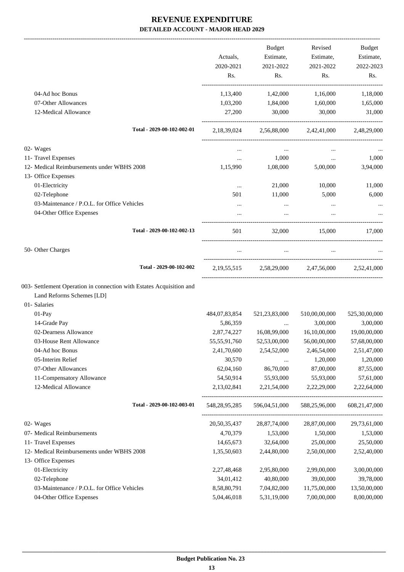|                                                                      |                  | <b>Budget</b> | Revised                             | Budget        |
|----------------------------------------------------------------------|------------------|---------------|-------------------------------------|---------------|
|                                                                      | Actuals,         | Estimate,     | Estimate,                           | Estimate,     |
|                                                                      | 2020-2021        | 2021-2022     | 2021-2022                           | 2022-2023     |
|                                                                      | Rs.              | Rs.           | Rs.                                 | Rs.           |
| 04-Ad hoc Bonus                                                      | 1,13,400         | 1,42,000      | 1,16,000                            | 1,18,000      |
| 07-Other Allowances                                                  | 1,03,200         | 1,84,000      | 1,60,000                            | 1,65,000      |
| 12-Medical Allowance                                                 | 27,200           | 30,000        | 30,000                              | 31,000        |
| Total - 2029-00-102-002-01                                           | 2,18,39,024      |               | 2,56,88,000 2,42,41,000             | 2,48,29,000   |
| 02- Wages                                                            |                  | $\cdots$      |                                     |               |
| 11- Travel Expenses                                                  | $\cdots$         | 1,000         | $\cdots$                            | 1,000         |
| 12- Medical Reimbursements under WBHS 2008                           | 1,15,990         | 1,08,000      | 5,00,000                            | 3,94,000      |
| 13- Office Expenses                                                  |                  |               |                                     |               |
| 01-Electricity                                                       | $\cdots$         | 21,000        | 10,000                              | 11,000        |
| 02-Telephone                                                         | 501              | 11,000        | 5,000                               | 6,000         |
| 03-Maintenance / P.O.L. for Office Vehicles                          | $\cdots$         | $\cdots$      | $\cdots$                            |               |
| 04-Other Office Expenses                                             |                  |               |                                     |               |
| Total - 2029-00-102-002-13                                           | 501              | 32,000        | 15,000                              | 17,000        |
| 50- Other Charges                                                    |                  | $\cdots$      | $\cdots$                            |               |
| Total - 2029-00-102-002                                              |                  |               | 2,19,55,515 2,58,29,000 2,47,56,000 | 2.52.41.000   |
| 003- Settlement Operation in connection with Estates Acquisition and |                  |               |                                     |               |
| Land Reforms Schemes [LD]                                            |                  |               |                                     |               |
| 01- Salaries                                                         |                  |               |                                     |               |
| 01-Pay                                                               | 484,07,83,854    | 521,23,83,000 | 510,00,00,000                       | 525,30,00,000 |
| 14-Grade Pay                                                         | 5,86,359         |               | 3,00,000                            | 3,00,000      |
| 02-Dearness Allowance                                                | 2,87,74,227      | 16,08,99,000  | 16,10,00,000                        | 19,00,00,000  |
| 03-House Rent Allowance                                              | 55,55,91,760     | 52,53,00,000  | 56,00,00,000                        | 57,68,00,000  |
| 04-Ad hoc Bonus                                                      | 2,41,70,600      | 2,54,52,000   | 2,46,54,000                         | 2,51,47,000   |
| 05-Interim Relief                                                    | 30,570           | $\cdots$      | 1,20,000                            | 1,20,000      |
| 07-Other Allowances                                                  | 62,04,160        | 86,70,000     | 87,00,000                           | 87,55,000     |
| 11-Compensatory Allowance                                            | 54,50,914        | 55,93,000     | 55,93,000                           | 57,61,000     |
| 12-Medical Allowance                                                 | 2,13,02,841      | 2,21,54,000   | 2,22,29,000                         | 2,22,64,000   |
| Total - 2029-00-102-003-01                                           | 548, 28, 95, 285 | 596,04,51,000 | 588,25,96,000                       | 608,21,47,000 |
| 02- Wages                                                            | 20,50,35,437     | 28,87,74,000  | 28,87,00,000                        | 29,73,61,000  |
| 07- Medical Reimbursements                                           | 4,70,379         | 1,53,000      | 1,50,000                            | 1,53,000      |
| 11- Travel Expenses                                                  | 14,65,673        | 32,64,000     | 25,00,000                           | 25,50,000     |
| 12- Medical Reimbursements under WBHS 2008                           | 1,35,50,603      | 2,44,80,000   | 2,50,00,000                         | 2,52,40,000   |
| 13- Office Expenses                                                  |                  |               |                                     |               |
| 01-Electricity                                                       | 2,27,48,468      | 2,95,80,000   | 2,99,00,000                         | 3,00,00,000   |
| 02-Telephone                                                         | 34,01,412        | 40,80,000     | 39,00,000                           | 39,78,000     |
| 03-Maintenance / P.O.L. for Office Vehicles                          | 8,58,80,791      | 7,04,82,000   | 11,75,00,000                        | 13,50,00,000  |
| 04-Other Office Expenses                                             | 5,04,46,018      | 5,31,19,000   | 7,00,00,000                         | 8,00,00,000   |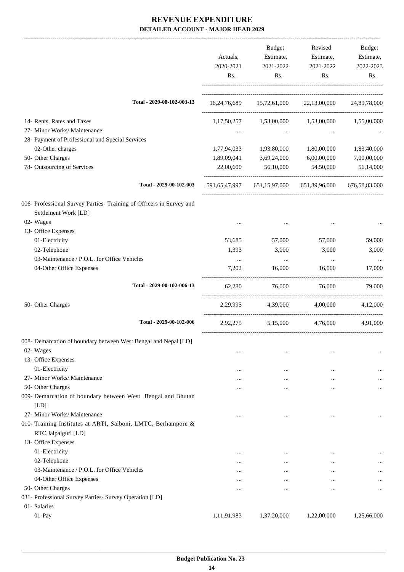|                                                                                              | Actuals,<br>2020-2021<br>Rs. | Budget<br>Estimate,<br>2021-2022<br>Rs. | Revised<br>Estimate,<br>2021-2022<br>Rs.                | Budget<br>Estimate,<br>2022-2023<br>Rs. |
|----------------------------------------------------------------------------------------------|------------------------------|-----------------------------------------|---------------------------------------------------------|-----------------------------------------|
| Total - 2029-00-102-003-13                                                                   |                              |                                         | 16,24,76,689 15,72,61,000 22,13,00,000 24,89,78,000     |                                         |
| 14- Rents, Rates and Taxes                                                                   |                              |                                         | 1,17,50,257 1,53,00,000 1,53,00,000 1,55,00,000         |                                         |
| 27- Minor Works/ Maintenance                                                                 | $\cdots$                     | $\cdots$                                |                                                         |                                         |
| 28- Payment of Professional and Special Services                                             |                              |                                         |                                                         |                                         |
| 02-Other charges                                                                             | 1,77,94,033                  | 1,93,80,000                             | 1,80,00,000                                             | 1,83,40,000                             |
| 50- Other Charges                                                                            | 1,89,09,041                  | 3,69,24,000                             | 6,00,00,000                                             | 7,00,00,000                             |
| 78- Outsourcing of Services                                                                  | 22,00,600                    | 56,10,000                               | 54,50,000                                               | 56,14,000                               |
| Total - 2029-00-102-003                                                                      |                              |                                         | 591,65,47,997 651,15,97,000 651,89,96,000 676,58,83,000 |                                         |
| 006- Professional Survey Parties- Training of Officers in Survey and<br>Settlement Work [LD] |                              |                                         |                                                         |                                         |
| 02- Wages                                                                                    | $\ddotsc$                    |                                         |                                                         |                                         |
| 13- Office Expenses                                                                          |                              |                                         |                                                         |                                         |
| 01-Electricity                                                                               | 53,685                       | 57,000                                  | 57,000                                                  | 59,000                                  |
| 02-Telephone                                                                                 | 1,393                        | 3,000                                   | 3,000                                                   | 3,000                                   |
| 03-Maintenance / P.O.L. for Office Vehicles                                                  | $\cdots$                     | $\sim$ $\sim$                           | $\cdots$                                                |                                         |
| 04-Other Office Expenses                                                                     | 7,202                        | 16,000                                  | 16,000                                                  | 17,000                                  |
| Total - 2029-00-102-006-13                                                                   | 62,280                       | 76,000                                  | 76,000                                                  | 79,000                                  |
| 50- Other Charges                                                                            | 2,29,995                     | 4,39,000                                | 4,00,000                                                | 4,12,000                                |
| Total - 2029-00-102-006                                                                      |                              |                                         | 2,92,275 5,15,000 4,76,000                              | 4,91,000                                |
| 008- Demarcation of boundary between West Bengal and Nepal [LD]                              |                              |                                         |                                                         |                                         |
| 02- Wages                                                                                    | $\cdots$                     | $\cdots$                                |                                                         |                                         |
| 13- Office Expenses                                                                          |                              |                                         |                                                         |                                         |
| 01-Electricity                                                                               |                              | $\cdots$                                | $\ddotsc$                                               |                                         |
| 27- Minor Works/ Maintenance                                                                 | $\cdots$                     |                                         | $\cdots$                                                |                                         |
| 50- Other Charges                                                                            | .                            | $\cdots$                                |                                                         | $\cdots$                                |
| 009- Demarcation of boundary between West Bengal and Bhutan<br>[LD]                          |                              |                                         |                                                         |                                         |
| 27- Minor Works/ Maintenance                                                                 | $\ddotsc$                    |                                         |                                                         | $\ddotsc$                               |
| 010- Training Institutes at ARTI, Salboni, LMTC, Berhampore &<br>RTC, Jalpaiguri [LD]        |                              |                                         |                                                         |                                         |
| 13- Office Expenses                                                                          |                              |                                         |                                                         |                                         |
| 01-Electricity                                                                               | $\cdots$                     | $\cdots$                                |                                                         |                                         |
| 02-Telephone                                                                                 | $\cdots$                     | $\ddotsc$                               | $\cdots$                                                | $\cdots$                                |
| 03-Maintenance / P.O.L. for Office Vehicles                                                  | $\cdots$                     | $\ddotsc$                               | $\cdots$                                                | $\cdots$                                |
| 04-Other Office Expenses                                                                     | $\cdots$                     | $\ddotsc$                               | $\cdots$                                                | $\cdots$                                |
| 50- Other Charges                                                                            | $\cdots$                     | $\ddotsc$                               | $\ddotsc$                                               | $\cdots$                                |
| 031- Professional Survey Parties- Survey Operation [LD]                                      |                              |                                         |                                                         |                                         |
| 01- Salaries                                                                                 |                              |                                         |                                                         |                                         |
| 01-Pay                                                                                       | 1,11,91,983                  | 1,37,20,000                             | 1,22,00,000                                             | 1,25,66,000                             |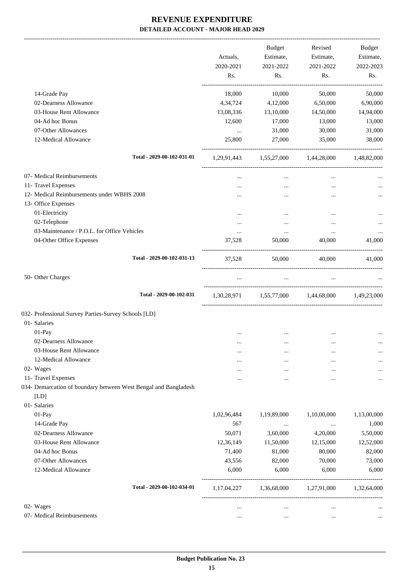-------------------------------------------------------------------------------------------------------------------------------------------------------------------------------

|                                                                         | Actuals,<br>2020-2021<br>Rs. | <b>Budget</b><br>Estimate,<br>2021-2022<br>Rs. | Revised<br>Estimate,<br>2021-2022<br>Rs.        | <b>Budget</b><br>Estimate,<br>2022-2023<br>Rs. |
|-------------------------------------------------------------------------|------------------------------|------------------------------------------------|-------------------------------------------------|------------------------------------------------|
| 14-Grade Pay                                                            | 18,000                       | 10,000                                         | 50,000                                          | 50,000                                         |
| 02-Dearness Allowance                                                   | 4,34,724                     | 4,12,000                                       | 6,50,000                                        | 6,90,000                                       |
| 03-House Rent Allowance                                                 | 13,08,336                    | 13,10,000                                      | 14,50,000                                       | 14,94,000                                      |
| 04-Ad hoc Bonus                                                         | 12,600                       | 17,000                                         | 13,000                                          | 13,000                                         |
| 07-Other Allowances                                                     | $\cdots$                     | 31,000                                         | 30,000                                          | 31,000                                         |
| 12-Medical Allowance                                                    | 25,800                       | 27,000                                         | 35,000                                          | 38,000                                         |
| Total - 2029-00-102-031-01                                              |                              |                                                | 1,29,91,443 1,55,27,000 1,44,28,000             | 1,48,82,000                                    |
| 07- Medical Reimbursements                                              | $\cdots$                     | $\cdots$                                       | $\cdots$                                        |                                                |
| 11- Travel Expenses                                                     |                              |                                                | $\cdots$                                        |                                                |
| 12- Medical Reimbursements under WBHS 2008                              |                              |                                                |                                                 |                                                |
| 13- Office Expenses                                                     |                              |                                                |                                                 |                                                |
| 01-Electricity                                                          |                              |                                                |                                                 |                                                |
| 02-Telephone                                                            |                              |                                                | $\cdots$                                        |                                                |
| 03-Maintenance / P.O.L. for Office Vehicles                             | $\cdots$                     | $\cdots$                                       | $\cdots$                                        |                                                |
| 04-Other Office Expenses                                                | 37,528                       | 50,000                                         | 40,000                                          | 41,000                                         |
| Total - 2029-00-102-031-13                                              | 37,528                       | 50,000                                         | 40,000                                          | 41,000                                         |
| 50- Other Charges                                                       | $\ldots$                     | $\cdots$                                       | $\ldots$                                        |                                                |
| Total - 2029-00-102-031                                                 |                              |                                                | 1,30,28,971 1,55,77,000 1,44,68,000 1,49,23,000 |                                                |
| 032- Professional Survey Parties-Survey Schools [LD]                    |                              |                                                |                                                 |                                                |
| 01- Salaries                                                            |                              |                                                |                                                 |                                                |
| 01-Pay                                                                  |                              |                                                |                                                 |                                                |
| 02-Dearness Allowance                                                   |                              | $\cdots$                                       |                                                 |                                                |
| 03-House Rent Allowance                                                 | $\cdots$                     |                                                |                                                 |                                                |
| 12-Medical Allowance                                                    |                              |                                                |                                                 |                                                |
| 02- Wages                                                               | .                            |                                                |                                                 |                                                |
| 11- Travel Expenses                                                     | .                            |                                                |                                                 |                                                |
| 034- Demarcation of boundary between West Bengal and Bangladesh<br>[LD] |                              |                                                |                                                 |                                                |
| 01- Salaries                                                            |                              |                                                |                                                 |                                                |
| 01-Pay                                                                  | 1,02,96,484                  | 1,19,89,000                                    | 1,10,00,000                                     | 1,13,00,000                                    |
| 14-Grade Pay                                                            | 567                          | $\ldots$                                       | $\cdots$                                        | 1,000                                          |
| 02-Dearness Allowance                                                   | 50,071                       | 3,60,000                                       | 4,20,000                                        | 5,50,000                                       |
| 03-House Rent Allowance                                                 | 12,36,149                    | 11,50,000                                      | 12,15,000                                       | 12,52,000                                      |
| 04-Ad hoc Bonus                                                         | 71,400                       | 81,000                                         | 80,000                                          | 82,000                                         |
| 07-Other Allowances                                                     | 43,556                       | 82,000                                         | 70,000                                          | 73,000                                         |
| 12-Medical Allowance                                                    | 6,000                        | 6,000                                          | 6,000                                           | 6,000                                          |
| Total - 2029-00-102-034-01                                              | 1,17,04,227                  | 1,36,68,000                                    | 1,27,91,000                                     | 1,32,64,000                                    |
| 02- Wages                                                               | $\cdots$                     | $\cdots$                                       | $\cdots$                                        |                                                |
| 07- Medical Reimbursements                                              | $\ddotsc$                    | $\cdots$                                       | $\ddotsc$                                       |                                                |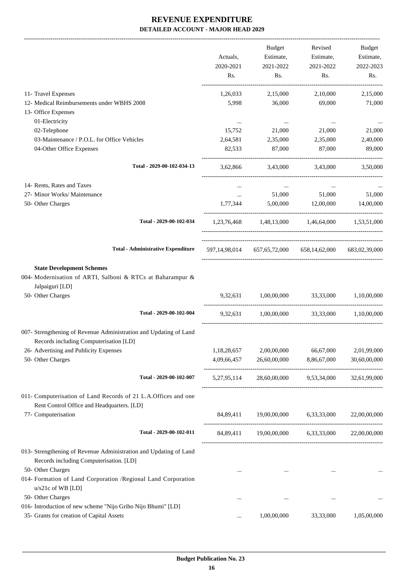|                                                                                                                                        | Actuals,<br>2020-2021<br>Rs. | Budget<br>Estimate,<br>2021-2022<br>Rs.                 | Revised<br>Estimate,<br>2021-2022<br>Rs. | Budget<br>Estimate,<br>2022-2023<br>Rs. |
|----------------------------------------------------------------------------------------------------------------------------------------|------------------------------|---------------------------------------------------------|------------------------------------------|-----------------------------------------|
| 11- Travel Expenses                                                                                                                    | 1,26,033                     | 2,15,000                                                | 2,10,000                                 | 2,15,000                                |
| 12- Medical Reimbursements under WBHS 2008                                                                                             | 5,998                        | 36,000                                                  | 69,000                                   | 71,000                                  |
| 13- Office Expenses                                                                                                                    |                              |                                                         |                                          |                                         |
| 01-Electricity<br>02-Telephone                                                                                                         | $\cdots$<br>15,752           | $\cdots$<br>21,000                                      | $\cdots$<br>21,000                       | 21,000                                  |
| 03-Maintenance / P.O.L. for Office Vehicles                                                                                            | 2,64,581                     | 2,35,000                                                | 2,35,000                                 | 2,40,000                                |
| 04-Other Office Expenses                                                                                                               | 82,533                       | 87,000                                                  | 87,000                                   | 89,000                                  |
| Total - 2029-00-102-034-13                                                                                                             | 3,62,866                     | 3,43,000                                                | 3,43,000                                 | 3,50,000                                |
| 14- Rents, Rates and Taxes                                                                                                             | $\cdots$                     | $\cdots$                                                | $\cdots$                                 |                                         |
| 27- Minor Works/ Maintenance                                                                                                           | $\cdots$                     | 51,000                                                  | 51,000                                   | 51,000                                  |
| 50- Other Charges                                                                                                                      | 1,77,344                     | 5,00,000                                                | 12,00,000                                | 14,00,000                               |
| Total - 2029-00-102-034                                                                                                                |                              | 1,23,76,468 1,48,13,000 1,46,64,000 1,53,51,000         |                                          |                                         |
| <b>Total - Administrative Expenditure</b>                                                                                              |                              | 597,14,98,014 657,65,72,000 658,14,62,000 683,02,39,000 |                                          |                                         |
| <b>State Development Schemes</b><br>004- Modernisation of ARTI, Salboni & RTCs at Baharampur &<br>Jalpaiguri [LD]<br>50- Other Charges |                              | 9,32,631 1,00,00,000 33,33,000 1,10,00,000              |                                          |                                         |
| Total - 2029-00-102-004                                                                                                                | 9,32,631                     | 1,00,00,000                                             |                                          | 33,33,000 1,10,00,000                   |
| 007- Strengthening of Revenue Administration and Updating of Land<br>Records including Computerisation [LD]                            |                              |                                                         |                                          |                                         |
| 26- Advertising and Publicity Expenses                                                                                                 | 1,18,28,657                  | 2,00,00,000                                             | 66,67,000                                | 2,01,99,000                             |
| 50- Other Charges                                                                                                                      | 4,09,66,457                  | 26,60,00,000                                            | 8,86,67,000                              | 30,60,00,000                            |
| Total - 2029-00-102-007                                                                                                                | 5,27,95,114                  |                                                         | 28,60,00,000 9,53,34,000 32,61,99,000    |                                         |
| 011- Computerisation of Land Records of 21 L.A. Offices and one<br>Rent Control Office and Headquarters. [LD]                          |                              |                                                         |                                          |                                         |
| 77- Computerisation                                                                                                                    |                              | 84,89,411 19,00,00,000 6,33,33,000                      |                                          | 22,00,00,000                            |
| Total - 2029-00-102-011                                                                                                                |                              | 84,89,411 19,00,00,000 6,33,33,000 22,00,00,000         |                                          |                                         |
| 013- Strengthening of Revenue Administration and Updating of Land<br>Records including Computerisation. [LD]                           |                              |                                                         |                                          |                                         |
| 50- Other Charges<br>014- Formation of Land Corporation /Regional Land Corporation<br>$u/s21c$ of WB [LD]                              |                              | $\cdots$                                                |                                          |                                         |
| 50- Other Charges                                                                                                                      | $\cdots$                     |                                                         |                                          |                                         |
| 016- Introduction of new scheme "Nijo Griho Nijo Bhumi" [LD]<br>35- Grants for creation of Capital Assets                              |                              | 1,00,00,000                                             | 33,33,000                                | 1,05,00,000                             |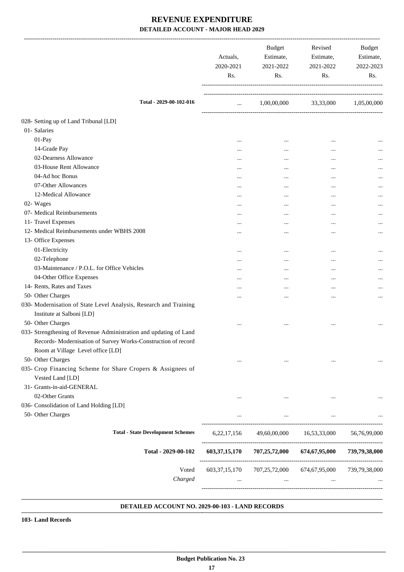|                                                                                                                                    | Actuals,<br>2020-2021<br>Rs. | <b>Budget</b><br>Estimate,<br>2021-2022<br>Rs. | Revised<br>Estimate,<br>2021-2022<br>Rs.                                        | Budget<br>Estimate,<br>2022-2023<br>Rs. |
|------------------------------------------------------------------------------------------------------------------------------------|------------------------------|------------------------------------------------|---------------------------------------------------------------------------------|-----------------------------------------|
| Total - 2029-00-102-016                                                                                                            | $\cdots$                     | 1,00,00,000                                    | 33,33,000                                                                       | 1,05,00,000                             |
| 028- Setting up of Land Tribunal [LD]                                                                                              |                              |                                                |                                                                                 |                                         |
| 01- Salaries                                                                                                                       |                              |                                                |                                                                                 |                                         |
| $01-Pay$                                                                                                                           |                              | $\cdots$                                       | $\cdots$                                                                        | $\cdots$                                |
| 14-Grade Pay                                                                                                                       |                              | $\cdots$                                       | $\cdots$                                                                        | $\cdots$                                |
| 02-Dearness Allowance                                                                                                              |                              | $\cdots$                                       | $\cdots$                                                                        |                                         |
| 03-House Rent Allowance                                                                                                            |                              |                                                | $\cdots$                                                                        |                                         |
| 04-Ad hoc Bonus                                                                                                                    |                              | $\cdots$                                       |                                                                                 |                                         |
| 07-Other Allowances                                                                                                                |                              | $\cdots$                                       | $\cdots$                                                                        |                                         |
| 12-Medical Allowance                                                                                                               |                              | $\cdots$                                       | $\cdots$                                                                        |                                         |
| 02- Wages                                                                                                                          |                              | $\ddotsc$                                      | $\cdots$                                                                        |                                         |
| 07- Medical Reimbursements                                                                                                         |                              | $\cdots$                                       | $\ddotsc$                                                                       |                                         |
| 11- Travel Expenses                                                                                                                |                              | $\cdots$                                       | $\cdots$                                                                        |                                         |
| 12- Medical Reimbursements under WBHS 2008                                                                                         |                              |                                                | $\ddotsc$                                                                       | $\cdots$                                |
| 13- Office Expenses                                                                                                                |                              |                                                |                                                                                 |                                         |
| 01-Electricity                                                                                                                     |                              | $\cdots$                                       | $\cdots$                                                                        |                                         |
| 02-Telephone                                                                                                                       |                              | $\cdots$                                       |                                                                                 |                                         |
| 03-Maintenance / P.O.L. for Office Vehicles                                                                                        |                              |                                                | $\cdots$                                                                        |                                         |
| 04-Other Office Expenses                                                                                                           |                              | $\cdots$                                       | $\ddotsc$                                                                       |                                         |
| 14- Rents, Rates and Taxes                                                                                                         |                              |                                                | $\cdots$                                                                        |                                         |
| 50- Other Charges                                                                                                                  |                              |                                                |                                                                                 |                                         |
| 030- Modernisation of State Level Analysis, Research and Training                                                                  |                              |                                                | $\cdots$                                                                        |                                         |
| Institute at Salboni [LD]                                                                                                          |                              |                                                |                                                                                 |                                         |
|                                                                                                                                    |                              |                                                |                                                                                 |                                         |
| 50- Other Charges                                                                                                                  | $\cdots$                     |                                                | $\cdots$                                                                        |                                         |
| 033- Strengthening of Revenue Administration and updating of Land<br>Records- Modernisation of Survey Works-Construction of record |                              |                                                |                                                                                 |                                         |
| Room at Village Level office [LD]                                                                                                  |                              |                                                |                                                                                 |                                         |
| 50- Other Charges                                                                                                                  | $\cdots$                     | $\cdots$                                       | $\cdots$                                                                        |                                         |
| 035- Crop Financing Scheme for Share Cropers & Assignees of                                                                        |                              |                                                |                                                                                 |                                         |
| Vested Land [LD]                                                                                                                   |                              |                                                |                                                                                 |                                         |
| 31- Grants-in-aid-GENERAL                                                                                                          |                              |                                                |                                                                                 |                                         |
| 02-Other Grants                                                                                                                    | $\cdots$                     | $\cdots$                                       |                                                                                 |                                         |
| 036- Consolidation of Land Holding [LD]                                                                                            |                              |                                                |                                                                                 |                                         |
| 50- Other Charges                                                                                                                  | $\cdots$                     | $\cdots$                                       | $\ldots$                                                                        |                                         |
| <b>Total - State Development Schemes</b>                                                                                           |                              |                                                | 6,22,17,156 49,60,00,000 16,53,33,000 56,76,99,000                              |                                         |
| Total - 2029-00-102                                                                                                                |                              |                                                | 603, 37, 15, 170 707, 25, 72, 000 674, 67, 95, 000 739, 79, 38, 000             |                                         |
| Voted<br>Charged                                                                                                                   | $\cdots$                     | $\cdots$                                       | 603, 37, 15, 170 707, 25, 72, 000 674, 67, 95, 000 739, 79, 38, 000<br>$\cdots$ |                                         |

#### **DETAILED ACCOUNT NO. 2029-00-103 - LAND RECORDS .**

**103- Land Records**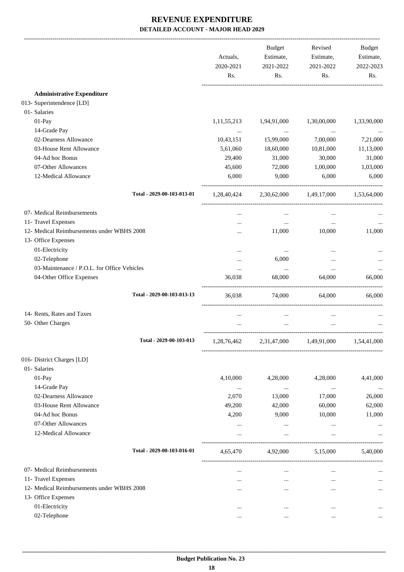|                                             | Actuals,<br>2020-2021<br>Rs. | Budget<br>Estimate,<br>2021-2022<br>Rs. | Revised<br>Estimate,<br>2021-2022<br>Rs.        | Budget<br>Estimate,<br>2022-2023<br>Rs. |
|---------------------------------------------|------------------------------|-----------------------------------------|-------------------------------------------------|-----------------------------------------|
| <b>Administrative Expenditure</b>           |                              |                                         |                                                 |                                         |
| 013- Superintendence [LD]                   |                              |                                         |                                                 |                                         |
| 01- Salaries                                |                              |                                         |                                                 |                                         |
| 01-Pay                                      | 1,11,55,213                  | 1,94,91,000                             | 1,30,00,000                                     | 1,33,90,000                             |
| 14-Grade Pay                                | $\cdots$                     | $\cdots$                                | $\cdots$                                        |                                         |
| 02-Dearness Allowance                       | 10,43,151                    | 15,99,000                               | 7,00,000                                        | 7,21,000                                |
| 03-House Rent Allowance                     | 5,61,060                     | 18,60,000                               | 10,81,000                                       | 11,13,000                               |
| 04-Ad hoc Bonus                             | 29,400                       | 31,000                                  | 30,000                                          | 31,000                                  |
| 07-Other Allowances                         | 45,600                       | 72,000                                  | 1,00,000                                        | 1,03,000                                |
| 12-Medical Allowance                        | 6,000                        | 9,000                                   | 6,000                                           | 6,000                                   |
| Total - 2029-00-103-013-01                  |                              |                                         | 1,28,40,424 2,30,62,000 1,49,17,000 1,53,64,000 |                                         |
| 07- Medical Reimbursements                  | $\cdots$                     | $\ldots$                                |                                                 |                                         |
| 11- Travel Expenses                         |                              | $\cdots$                                | $\ldots$                                        |                                         |
| 12- Medical Reimbursements under WBHS 2008  | $\cdots$                     | 11,000                                  | 10,000                                          | 11,000                                  |
| 13- Office Expenses                         |                              |                                         |                                                 |                                         |
| 01-Electricity                              |                              | $\cdots$                                |                                                 |                                         |
| 02-Telephone                                | $\cdots$                     | 6,000                                   | $\cdots$                                        |                                         |
| 03-Maintenance / P.O.L. for Office Vehicles |                              | $\cdots$                                | $\cdots$                                        |                                         |
| 04-Other Office Expenses                    | 36,038                       | 68,000                                  | 64,000                                          | 66,000                                  |
| Total - 2029-00-103-013-13                  | 36,038                       | 74,000                                  | 64,000                                          | 66,000                                  |
| 14- Rents, Rates and Taxes                  | $\cdots$                     | $\cdots$                                |                                                 |                                         |
| 50- Other Charges                           |                              |                                         |                                                 |                                         |
| Total - 2029-00-103-013                     | 1,28,76,462                  | 2,31,47,000                             | 1,49,91,000                                     | 1,54,41,000                             |
| 016- District Charges [LD]                  |                              |                                         |                                                 |                                         |
| 01- Salaries                                |                              |                                         |                                                 |                                         |
| 01-Pay                                      | 4,10,000                     | 4,28,000                                | 4,28,000                                        | 4,41,000                                |
| 14-Grade Pay                                | $\cdots$                     | $\ldots$                                | $\ldots$                                        |                                         |
| 02-Dearness Allowance                       | 2,070                        | 13,000                                  | 17,000                                          | 26,000                                  |
| 03-House Rent Allowance                     | 49,200                       | 42,000                                  | 60,000                                          | 62,000                                  |
| 04-Ad hoc Bonus                             | 4,200                        | 9,000                                   | 10,000                                          | 11,000                                  |
| 07-Other Allowances                         |                              | $\cdots$                                |                                                 |                                         |
| 12-Medical Allowance                        | $\cdots$                     | $\cdots$                                | $\cdots$                                        |                                         |
| Total - 2029-00-103-016-01                  | 4,65,470                     | 4,92,000                                | 5,15,000                                        | 5,40,000                                |
| 07- Medical Reimbursements                  | $\cdots$                     | $\cdots$                                | $\cdots$                                        |                                         |
| 11- Travel Expenses                         | $\cdots$                     | $\cdots$                                | $\cdots$                                        |                                         |
| 12- Medical Reimbursements under WBHS 2008  | $\cdots$                     |                                         |                                                 | $\cdots$                                |
| 13- Office Expenses                         |                              |                                         |                                                 |                                         |
| 01-Electricity                              | $\cdots$                     |                                         | $\cdots$                                        |                                         |
| 02-Telephone                                |                              | $\cdots$                                |                                                 | $\cdots$                                |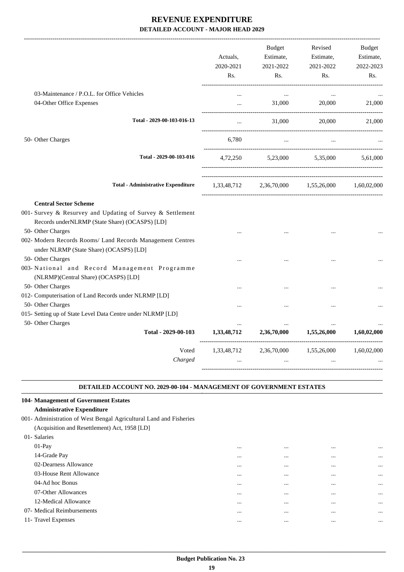|                                                                                                                                              | Actuals,<br>2020-2021<br>Rs. | <b>Budget</b><br>Estimate,<br>2021-2022<br>Rs. | Revised<br>Estimate,<br>2021-2022<br>Rs.        | <b>Budget</b><br>Estimate,<br>2022-2023<br>Rs. |
|----------------------------------------------------------------------------------------------------------------------------------------------|------------------------------|------------------------------------------------|-------------------------------------------------|------------------------------------------------|
| 03-Maintenance / P.O.L. for Office Vehicles                                                                                                  | $\cdots$                     | $\cdots$                                       | $\cdots$                                        |                                                |
| 04-Other Office Expenses                                                                                                                     | $\ddotsc$                    | 31,000                                         | 20,000                                          | 21,000                                         |
| Total - 2029-00-103-016-13                                                                                                                   | $\ddotsc$                    | 31,000                                         | 20,000                                          | 21,000                                         |
| 50- Other Charges                                                                                                                            | 6.780                        |                                                |                                                 |                                                |
| Total - 2029-00-103-016                                                                                                                      |                              |                                                | 4,72,250 5,23,000 5,35,000                      | 5.61.000                                       |
| <b>Total - Administrative Expenditure</b>                                                                                                    |                              |                                                | 1,33,48,712 2,36,70,000 1,55,26,000 1,60,02,000 |                                                |
| <b>Central Sector Scheme</b><br>001- Survey & Resurvey and Updating of Survey & Settlement<br>Records underNLRMP (State Share) (OCASPS) [LD] |                              |                                                |                                                 |                                                |
| 50- Other Charges<br>002- Modern Records Rooms/ Land Records Management Centres<br>under NLRMP (State Share) (OCASPS) [LD]                   |                              |                                                |                                                 |                                                |
| 50- Other Charges<br>003-National and Record Management Programme<br>(NLRMP)(Central Share) (OCASPS) [LD]                                    |                              |                                                |                                                 |                                                |
| 50- Other Charges<br>012- Computerisation of Land Records under NLRMP [LD]                                                                   |                              |                                                |                                                 |                                                |
| 50- Other Charges<br>015- Setting up of State Level Data Centre under NLRMP [LD]                                                             |                              |                                                | $\ddotsc$                                       |                                                |
| 50- Other Charges<br>Total - 2029-00-103                                                                                                     | $\cdots$<br>1,33,48,712      | $\cdots$<br>2,36,70,000                        | $\cdots$<br>1,55,26,000                         | 1,60,02,000                                    |
| Voted<br>Charged                                                                                                                             | 1,33,48,712                  | 2,36,70,000                                    | 1,55,26,000                                     | 1,60,02,000                                    |

#### **DETAILED ACCOUNT NO. 2029-00-104 - MANAGEMENT OF GOVERNMENT ESTATES .**

.

## **104- Management of Government Estates**

#### **Administrative Expenditure**

001- Administration of West Bengal Agricultural Land and Fisheries

(Acquisition and Resettlement) Act, 1958 [LD]

| 01- Salaries               |          |          |          |          |
|----------------------------|----------|----------|----------|----------|
| $01-Pay$                   | $\cdots$ | $\cdots$ | $\cdots$ | $\cdots$ |
| 14-Grade Pay               | $\cdots$ | $\cdots$ | $\cdots$ | $\cdots$ |
| 02-Dearness Allowance      | $\cdots$ | $\cdots$ |          | $\cdots$ |
| 03-House Rent Allowance    | $\cdots$ | $\cdots$ | $\cdots$ | $\cdots$ |
| 04-Ad hoc Bonus            | $\cdots$ | $\cdots$ | $\cdots$ | $\cdots$ |
| 07-Other Allowances        | $\cdots$ | $\cdots$ | $\cdots$ | $\cdots$ |
| 12-Medical Allowance       | $\cdots$ | $\cdots$ | $\cdots$ | $\cdots$ |
| 07- Medical Reimbursements | $\cdots$ | $\cdots$ | $\cdots$ | $\cdots$ |
| 11- Travel Expenses        | $\cdots$ | $\cdots$ | $\cdots$ | $\cdots$ |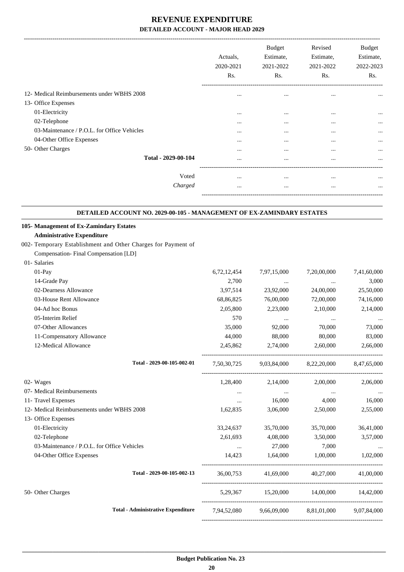|                                             | Actuals,<br>2020-2021<br>Rs. | <b>Budget</b><br>Estimate,<br>2021-2022<br>Rs. | Revised<br>Estimate,<br>2021-2022<br>Rs. | <b>Budget</b><br>Estimate,<br>2022-2023<br>Rs. |
|---------------------------------------------|------------------------------|------------------------------------------------|------------------------------------------|------------------------------------------------|
| 12- Medical Reimbursements under WBHS 2008  | $\cdots$                     | $\cdots$                                       | $\cdots$                                 | $\cdots$                                       |
| 13- Office Expenses                         |                              |                                                |                                          |                                                |
| 01-Electricity                              | $\cdots$                     | $\cdots$                                       | $\cdots$                                 | $\cdots$                                       |
| 02-Telephone                                | $\cdots$                     | $\cdots$                                       | $\cdots$                                 | $\cdots$                                       |
| 03-Maintenance / P.O.L. for Office Vehicles | $\cdots$                     | $\cdots$                                       | $\cdots$                                 |                                                |
| 04-Other Office Expenses                    | $\cdots$                     | $\cdots$                                       | $\cdots$                                 | $\cdots$                                       |
| 50- Other Charges                           | $\cdots$                     | $\cdots$                                       | $\cdots$                                 | $\cdots$                                       |
| Total - 2029-00-104                         | $\cdots$                     | $\cdots$                                       | $\cdots$                                 | $\cdots$                                       |
|                                             |                              |                                                |                                          |                                                |
| Voted                                       | $\cdots$                     | $\cdots$                                       | $\cdots$                                 | $\cdots$                                       |
| Charged                                     | $\cdots$                     | $\cdots$                                       | $\cdots$                                 | $\cdots$                                       |
|                                             |                              |                                                |                                          |                                                |

#### **DETAILED ACCOUNT NO. 2029-00-105 - MANAGEMENT OF EX-ZAMINDARY ESTATES .**

.

| 105- Management of Ex-Zamindary Estates                       |                                                |                                                             |                                                 |             |
|---------------------------------------------------------------|------------------------------------------------|-------------------------------------------------------------|-------------------------------------------------|-------------|
| <b>Administrative Expenditure</b>                             |                                                |                                                             |                                                 |             |
| 002- Temporary Establishment and Other Charges for Payment of |                                                |                                                             |                                                 |             |
| Compensation-Final Compensation [LD]                          |                                                |                                                             |                                                 |             |
| 01-Salaries                                                   |                                                |                                                             |                                                 |             |
| 01-Pay                                                        | 6,72,12,454                                    | 7,97,15,000                                                 | 7,20,00,000                                     | 7,41,60,000 |
| 14-Grade Pay                                                  | 2,700                                          | <b><i>Committee States</i></b>                              | $\cdots$                                        | 3,000       |
| 02-Dearness Allowance                                         | 3,97,514                                       | 23,92,000                                                   | 24,00,000                                       | 25,50,000   |
| 03-House Rent Allowance                                       | 68,86,825                                      | 76,00,000                                                   | 72,00,000                                       | 74,16,000   |
| 04-Ad hoc Bonus                                               | 2,05,800                                       | 2,23,000                                                    | 2,10,000                                        | 2,14,000    |
| 05-Interim Relief                                             | 570                                            | $\cdots$                                                    | $\cdots$                                        | $\ldots$    |
| 07-Other Allowances                                           | 35,000                                         | 92,000                                                      | 70,000                                          | 73,000      |
| 11-Compensatory Allowance                                     | 44,000                                         | 88,000                                                      | 80,000                                          | 83,000      |
| 12-Medical Allowance                                          |                                                | 2,45,862 2,74,000                                           | 2,60,000                                        | 2,66,000    |
| Total - 2029-00-105-002-01                                    |                                                |                                                             | 7,50,30,725 9,03,84,000 8,22,20,000 8,47,65,000 |             |
| 02- Wages                                                     |                                                |                                                             | 1,28,400 2,14,000 2,00,000                      | 2,06,000    |
| 07- Medical Reimbursements                                    |                                                | and the same of the same<br><b>Second Contract Contract</b> | <b>Contract Contract</b>                        | $\ddots$    |
| 11- Travel Expenses                                           | $\cdots$                                       | 16,000                                                      | 4,000                                           | 16,000      |
| 12- Medical Reimbursements under WBHS 2008                    | 1,62,835                                       | 3,06,000                                                    | 2,50,000                                        | 2,55,000    |
| 13- Office Expenses                                           |                                                |                                                             |                                                 |             |
| 01-Electricity                                                |                                                | 33,24,637 35,70,000                                         | 35,70,000                                       | 36,41,000   |
| 02-Telephone                                                  |                                                | 2,61,693 4,08,000                                           | 3,50,000                                        | 3,57,000    |
| 03-Maintenance / P.O.L. for Office Vehicles                   | $\mathbf{1}$ and $\mathbf{1}$ and $\mathbf{1}$ | 27,000                                                      | 7,000                                           | $\ddots$    |
| 04-Other Office Expenses                                      |                                                | 14,423 1,64,000                                             | 1,00,000                                        | 1,02,000    |
| Total - 2029-00-105-002-13                                    |                                                |                                                             | 36.00.753 41.69.000 40.27.000 41.00.000         |             |
| 50- Other Charges                                             |                                                |                                                             | 5,29,367 15,20,000 14,00,000 14,42,000          |             |
| <b>Total - Administrative Expenditure</b>                     |                                                |                                                             | 7,94,52,080 9,66,09,000 8,81,01,000 9,07,84,000 |             |
|                                                               |                                                |                                                             |                                                 |             |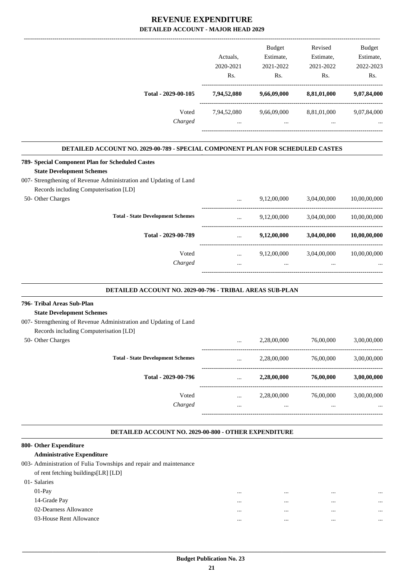|                                                                                      |              | <b>Budget</b> | Revised     | <b>Budget</b> |
|--------------------------------------------------------------------------------------|--------------|---------------|-------------|---------------|
|                                                                                      | Actuals,     | Estimate,     | Estimate,   | Estimate,     |
|                                                                                      | 2020-2021    | 2021-2022     | 2021-2022   | 2022-2023     |
|                                                                                      | Rs.          | Rs.           | Rs.         | Rs.           |
| Total - 2029-00-105                                                                  | 7,94,52,080  | 9,66,09,000   | 8,81,01,000 | 9,07,84,000   |
| Voted                                                                                | 7,94,52,080  | 9,66,09,000   | 8,81,01,000 | 9,07,84,000   |
| Charged                                                                              | $\cdots$     | $\cdots$      | $\cdots$    |               |
| DETAILED ACCOUNT NO. 2029-00-789 - SPECIAL COMPONENT PLAN FOR SCHEDULED CASTES       |              |               |             |               |
| 789- Special Component Plan for Scheduled Castes<br><b>State Development Schemes</b> |              |               |             |               |
| 007- Strengthening of Revenue Administration and Updating of Land                    |              |               |             |               |
| Records including Computerisation [LD]                                               |              |               |             |               |
| 50- Other Charges                                                                    | $\cdots$     | 9,12,00,000   | 3,04,00,000 | 10,00,00,000  |
| <b>Total - State Development Schemes</b>                                             | $\ddotsc$    | 9,12,00,000   | 3,04,00,000 | 10,00,00,000  |
| Total - 2029-00-789                                                                  | $\mathbf{r}$ | 9,12,00,000   | 3,04,00,000 | 10,00,00,000  |
| Voted                                                                                | $\cdots$     | 9,12,00,000   | 3,04,00,000 | 10,00,00,000  |
| Charged                                                                              | $\ddotsc$    | $\cdots$      |             |               |
| DETAILED ACCOUNT NO. 2029-00-796 - TRIBAL AREAS SUB-PLAN                             |              |               |             |               |
| 796- Tribal Areas Sub-Plan                                                           |              |               |             |               |
| <b>State Development Schemes</b>                                                     |              |               |             |               |
| 007- Strengthening of Revenue Administration and Updating of Land                    |              |               |             |               |

| Records including Computerisation [LD] |                                          |          |             |           |             |
|----------------------------------------|------------------------------------------|----------|-------------|-----------|-------------|
| 50- Other Charges                      |                                          | $\cdots$ | 2,28,00,000 | 76,00,000 | 3,00,00,000 |
|                                        | <b>Total - State Development Schemes</b> | $\cdots$ | 2,28,00,000 | 76,00,000 | 3,00,00,000 |
|                                        | Total - 2029-00-796                      | $\cdots$ | 2,28,00,000 | 76,00,000 | 3,00,00,000 |
|                                        | Voted                                    | $\cdots$ | 2,28,00,000 | 76,00,000 | 3,00,00,000 |
|                                        | Charged                                  | $\cdots$ |             | $\cdots$  | $\cdots$    |
|                                        |                                          |          |             |           |             |

#### **DETAILED ACCOUNT NO. 2029-00-800 - OTHER EXPENDITURE .**

.

#### **800- Other Expenditure**

#### **Administrative Expenditure**

| 003- Administration of Fulia Townships and repair and maintenance |  |  |  |  |
|-------------------------------------------------------------------|--|--|--|--|
| of rent fetching buildings[LR] [LD]                               |  |  |  |  |

| 01- Salaries            |      |          |          |
|-------------------------|------|----------|----------|
| $01-Pay$                | <br> |          |          |
| 14-Grade Pay            | <br> |          |          |
| 02-Dearness Allowance   | <br> | $\cdots$ | $\cdots$ |
| 03-House Rent Allowance | <br> | $\cdots$ |          |
|                         |      |          |          |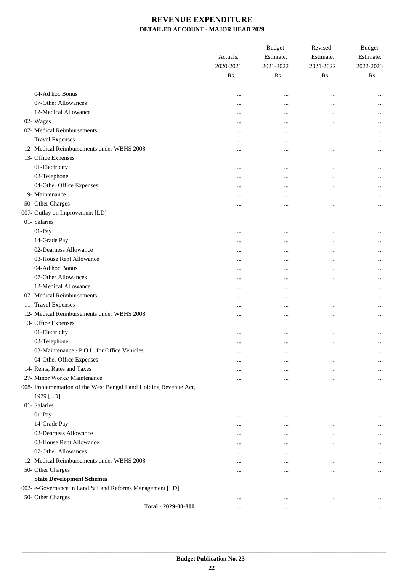-------------------------------------------------------------------------------------------------------------------------------------------------------------------------------

|                                                                  |                     | Actuals,<br>2020-2021<br>Rs. | <b>Budget</b><br>Estimate,<br>2021-2022<br>Rs. | Revised<br>Estimate,<br>2021-2022<br>Rs. | <b>Budget</b><br>Estimate,<br>2022-2023<br>Rs. |
|------------------------------------------------------------------|---------------------|------------------------------|------------------------------------------------|------------------------------------------|------------------------------------------------|
| 04-Ad hoc Bonus                                                  |                     |                              | $\ddotsc$                                      | $\ddotsc$                                |                                                |
| 07-Other Allowances                                              |                     |                              | $\ddotsc$                                      | $\ddotsc$                                | $\cdots$                                       |
| 12-Medical Allowance                                             |                     |                              | $\ddotsc$                                      | $\ddotsc$                                |                                                |
| 02- Wages                                                        |                     |                              | $\ddotsc$                                      |                                          | $\cdots$                                       |
| 07- Medical Reimbursements                                       |                     | $\cdots$                     | $\cdots$                                       | $\cdots$                                 | $\cdots$                                       |
| 11- Travel Expenses                                              |                     | $\cdots$                     | $\cdots$                                       | $\cdots$                                 | $\cdots$                                       |
| 12- Medical Reimbursements under WBHS 2008                       |                     |                              | $\ddotsc$                                      | $\ddotsc$                                | $\cdots$                                       |
| 13- Office Expenses                                              |                     |                              |                                                |                                          |                                                |
| 01-Electricity                                                   |                     | $\cdots$                     | $\ddotsc$                                      | $\ddotsc$                                |                                                |
| 02-Telephone                                                     |                     |                              |                                                |                                          | $\cdots$                                       |
| 04-Other Office Expenses                                         |                     | $\cdots$                     | $\ddotsc$                                      | $\cdots$                                 |                                                |
| 19- Maintenance                                                  |                     | $\cdots$                     |                                                | $\cdots$                                 | $\cdots$                                       |
| 50- Other Charges                                                |                     |                              |                                                |                                          |                                                |
| 007- Outlay on Improvement [LD]                                  |                     |                              |                                                |                                          |                                                |
| 01- Salaries                                                     |                     |                              |                                                |                                          |                                                |
| 01-Pay                                                           |                     | $\ddotsc$                    | $\ddotsc$                                      |                                          | $\cdots$                                       |
| 14-Grade Pay                                                     |                     |                              |                                                |                                          |                                                |
| 02-Dearness Allowance                                            |                     | $\cdots$                     |                                                |                                          | $\cdots$                                       |
| 03-House Rent Allowance                                          |                     |                              |                                                |                                          |                                                |
| 04-Ad hoc Bonus                                                  |                     |                              | $\cdots$                                       | $\cdots$                                 | $\cdots$                                       |
| 07-Other Allowances                                              |                     |                              |                                                | $\ddotsc$                                | $\cdots$                                       |
| 12-Medical Allowance                                             |                     |                              | $\cdots$                                       | $\ddotsc$                                | $\cdots$                                       |
| 07- Medical Reimbursements                                       |                     | $\cdots$                     | $\ddotsc$                                      | $\cdots$                                 | $\cdots$                                       |
| 11- Travel Expenses                                              |                     | $\cdots$                     | $\cdots$                                       |                                          | $\cdots$                                       |
| 12- Medical Reimbursements under WBHS 2008                       |                     |                              |                                                |                                          |                                                |
| 13- Office Expenses                                              |                     |                              |                                                |                                          |                                                |
| 01-Electricity                                                   |                     | $\cdots$                     | $\ddotsc$                                      |                                          | $\ddotsc$                                      |
| 02-Telephone                                                     |                     |                              | $\cdots$                                       | $\cdots$                                 | $\cdots$                                       |
| 03-Maintenance / P.O.L. for Office Vehicles                      |                     | $\cdots$                     | $\cdots$                                       |                                          |                                                |
| 04-Other Office Expenses                                         |                     | $\cdots$                     | $\cdots$                                       | $\cdots$                                 | $\cdots$                                       |
| 14- Rents, Rates and Taxes                                       |                     |                              | $\cdots$                                       | $\cdots$                                 |                                                |
| 27- Minor Works/ Maintenance                                     |                     | $\cdots$<br>                 | $\cdots$                                       | $\ddotsc$                                | $\cdots$                                       |
| 008- Implementation of the West Bengal Land Holding Revenue Act, |                     |                              |                                                |                                          |                                                |
| 1979 [LD]                                                        |                     |                              |                                                |                                          |                                                |
| 01- Salaries                                                     |                     |                              |                                                |                                          |                                                |
| 01-Pay                                                           |                     | $\cdots$                     | $\cdots$                                       | $\cdots$                                 | $\cdots$                                       |
| 14-Grade Pay                                                     |                     |                              | $\cdots$                                       |                                          |                                                |
| 02-Dearness Allowance                                            |                     | $\cdots$                     | $\cdots$                                       | $\cdots$                                 | $\cdots$                                       |
| 03-House Rent Allowance                                          |                     |                              | $\cdots$                                       |                                          | $\cdots$                                       |
| 07-Other Allowances                                              |                     | $\cdots$                     | $\cdots$                                       | $\cdots$                                 | $\cdots$                                       |
| 12- Medical Reimbursements under WBHS 2008                       |                     | $\cdots$                     | $\ddotsc$                                      | $\cdots$                                 | $\cdots$                                       |
| 50- Other Charges                                                |                     | $\cdots$                     | $\cdots$                                       | $\cdots$                                 | $\cdots$                                       |
| <b>State Development Schemes</b>                                 |                     |                              |                                                |                                          |                                                |
| 002- e-Governance in Land & Land Reforms Management [LD]         |                     |                              |                                                |                                          |                                                |
| 50- Other Charges                                                |                     | $\cdots$                     | $\cdots$                                       |                                          |                                                |
|                                                                  | Total - 2029-00-800 | .                            |                                                | $\ddotsc$                                |                                                |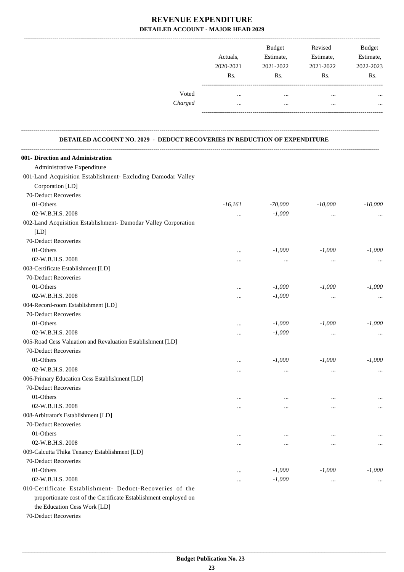|         |           | <b>Budget</b> | Revised   | <b>Budget</b>  |
|---------|-----------|---------------|-----------|----------------|
|         | Actuals.  | Estimate,     | Estimate, | Estimate,      |
|         | 2020-2021 | 2021-2022     | 2021-2022 | 2022-2023      |
|         | Rs.       | Rs.           | Rs.       | R <sub>s</sub> |
| Voted   | $\cdots$  |               | $\cdots$  |                |
| Charged |           |               | $\cdots$  |                |
|         |           |               |           |                |

#### **DETAILED ACCOUNT NO. 2029 - DEDUCT RECOVERIES IN REDUCTION OF EXPENDITURE**

**--------------------------------------------------------------------------------------------------------------------------------------------------------------------------------**

| 001- Direction and Administration                               |           |           |           |           |
|-----------------------------------------------------------------|-----------|-----------|-----------|-----------|
| Administrative Expenditure                                      |           |           |           |           |
| 001-Land Acquisition Establishment- Excluding Damodar Valley    |           |           |           |           |
| Corporation [LD]                                                |           |           |           |           |
| 70-Deduct Recoveries                                            |           |           |           |           |
| 01-Others                                                       | $-16,161$ | $-70,000$ | $-10,000$ | $-10,000$ |
| 02-W.B.H.S. 2008                                                | $\cdots$  | $-1,000$  | $\cdots$  |           |
| 002-Land Acquisition Establishment- Damodar Valley Corporation  |           |           |           |           |
| [LD]                                                            |           |           |           |           |
| 70-Deduct Recoveries                                            |           |           |           |           |
| 01-Others                                                       | $\ddotsc$ | $-1,000$  | $-1,000$  | $-1,000$  |
| 02-W.B.H.S. 2008                                                | $\cdots$  | $\cdots$  | $\cdots$  | $\cdots$  |
| 003-Certificate Establishment [LD]                              |           |           |           |           |
| 70-Deduct Recoveries                                            |           |           |           |           |
| 01-Others                                                       | $\ddotsc$ | $-1,000$  | $-1,000$  | $-1,000$  |
| 02-W.B.H.S. 2008                                                | $\cdots$  | $-1,000$  | $\ddotsc$ | $\cdots$  |
| 004-Record-room Establishment [LD]                              |           |           |           |           |
| 70-Deduct Recoveries                                            |           |           |           |           |
| 01-Others                                                       |           | $-1,000$  | $-1,000$  | $-1,000$  |
| 02-W.B.H.S. 2008                                                | $\cdots$  | $-1,000$  | $\ddotsc$ | $\cdots$  |
| 005-Road Cess Valuation and Revaluation Establishment [LD]      |           |           |           |           |
| 70-Deduct Recoveries                                            |           |           |           |           |
| 01-Others                                                       | $\cdots$  | $-1,000$  | $-1,000$  | $-1,000$  |
| 02-W.B.H.S. 2008                                                | $\cdots$  | $\cdots$  | $\cdots$  | $\cdots$  |
| 006-Primary Education Cess Establishment [LD]                   |           |           |           |           |
| 70-Deduct Recoveries                                            |           |           |           |           |
| 01-Others                                                       |           |           |           |           |
| 02-W.B.H.S. 2008                                                |           | $\cdots$  |           | $\cdots$  |
| 008-Arbitrator's Establishment [LD]                             |           |           |           |           |
| 70-Deduct Recoveries                                            |           |           |           |           |
| 01-Others                                                       |           |           |           |           |
| 02-W.B.H.S. 2008                                                |           | $\cdots$  |           | $\cdots$  |
| 009-Calcutta Thika Tenancy Establishment [LD]                   |           |           |           |           |
| 70-Deduct Recoveries                                            |           |           |           |           |
| 01-Others                                                       |           | $-1,000$  | $-1,000$  | $-1,000$  |
| 02-W.B.H.S. 2008                                                |           | $-1,000$  | $\cdots$  | $\cdots$  |
| 010-Certificate Establishment- Deduct-Recoveries of the         |           |           |           |           |
| proportionate cost of the Certificate Establishment employed on |           |           |           |           |
| the Education Cess Work [LD]                                    |           |           |           |           |

70-Deduct Recoveries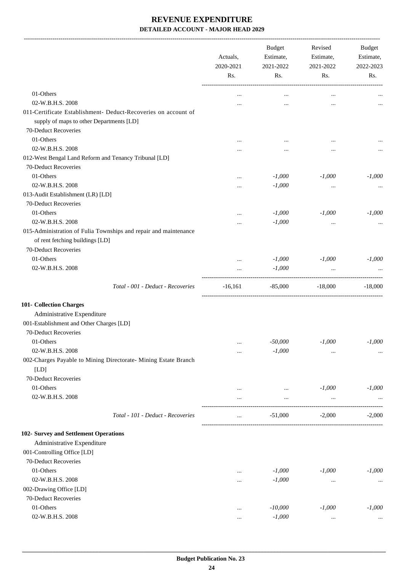-------------------------------------------------------------------------------------------------------------------------------------------------------------------------------

|                                                                                                            | Actuals,<br>2020-2021<br>Rs. | <b>Budget</b><br>Estimate,<br>2021-2022 | Revised<br>Estimate,<br>2021-2022 | <b>Budget</b><br>Estimate,<br>2022-2023 |
|------------------------------------------------------------------------------------------------------------|------------------------------|-----------------------------------------|-----------------------------------|-----------------------------------------|
|                                                                                                            |                              | Rs.                                     | Rs.                               | Rs.                                     |
| 01-Others                                                                                                  |                              | $\cdots$                                | $\cdots$                          |                                         |
| 02-W.B.H.S. 2008                                                                                           | $\cdots$                     |                                         | $\ddotsc$                         |                                         |
| 011-Certificate Establishment- Deduct-Recoveries on account of<br>supply of maps to other Departments [LD] |                              |                                         |                                   |                                         |
| 70-Deduct Recoveries                                                                                       |                              |                                         |                                   |                                         |
| 01-Others                                                                                                  |                              |                                         | $\ddotsc$                         |                                         |
| 02-W.B.H.S. 2008                                                                                           | .                            |                                         |                                   |                                         |
| 012-West Bengal Land Reform and Tenancy Tribunal [LD]                                                      |                              |                                         |                                   |                                         |
| 70-Deduct Recoveries                                                                                       |                              |                                         |                                   |                                         |
| 01-Others                                                                                                  |                              | $-1,000$                                | $-1,000$                          | $-1,000$                                |
| 02-W.B.H.S. 2008                                                                                           |                              | $-1,000$                                | $\cdots$                          | $\cdots$                                |
| 013-Audit Establishment (LR) [LD]                                                                          |                              |                                         |                                   |                                         |
| 70-Deduct Recoveries                                                                                       |                              |                                         |                                   |                                         |
| 01-Others                                                                                                  |                              | $-1,000$                                | $-1,000$                          | $-1,000$                                |
| 02-W.B.H.S. 2008                                                                                           | .                            | $-1,000$                                | $\cdots$                          |                                         |
| 015-Administration of Fulia Townships and repair and maintenance<br>of rent fetching buildings [LD]        |                              |                                         |                                   |                                         |
| 70-Deduct Recoveries                                                                                       |                              |                                         |                                   |                                         |
| 01-Others                                                                                                  |                              | $-1,000$                                | $-1,000$                          | $-1,000$                                |
| 02-W.B.H.S. 2008                                                                                           | $\cdots$                     | $-1,000$                                | $\cdots$                          |                                         |
| Total - 001 - Deduct - Recoveries                                                                          | $-16,161$                    | $-85,000$                               | $-18,000$                         | $-18,000$                               |
| 101- Collection Charges                                                                                    |                              |                                         |                                   |                                         |
| Administrative Expenditure                                                                                 |                              |                                         |                                   |                                         |
| 001-Establishment and Other Charges [LD]                                                                   |                              |                                         |                                   |                                         |
| 70-Deduct Recoveries                                                                                       |                              |                                         |                                   |                                         |
| 01-Others                                                                                                  | $\cdots$                     | $-50,000$                               | $-1,000$                          | $-1,000$                                |
| 02-W.B.H.S. 2008                                                                                           |                              | $-1,000$                                |                                   | $\cdots$                                |
| 002-Charges Payable to Mining Directorate- Mining Estate Branch<br>[LD]                                    |                              |                                         |                                   |                                         |
| 70-Deduct Recoveries                                                                                       |                              |                                         |                                   |                                         |
| 01-Others                                                                                                  |                              | $\cdots$                                | $-1,000$                          | $-1,000$                                |
| 02-W.B.H.S. 2008                                                                                           |                              |                                         | $\cdots$                          |                                         |
| Total - 101 - Deduct - Recoveries                                                                          |                              | $-51,000$                               | $-2,000$                          | $-2,000$                                |
| 102- Survey and Settlement Operations                                                                      |                              |                                         |                                   |                                         |
| Administrative Expenditure                                                                                 |                              |                                         |                                   |                                         |
| 001-Controlling Office [LD]                                                                                |                              |                                         |                                   |                                         |
| 70-Deduct Recoveries                                                                                       |                              |                                         |                                   |                                         |
| 01-Others                                                                                                  |                              | $-1,000$                                | $-1,000$                          | $-1,000$                                |
| 02-W.B.H.S. 2008                                                                                           |                              | $-1,000$                                | $\cdots$                          | $\cdots$                                |
| 002-Drawing Office [LD]                                                                                    |                              |                                         |                                   |                                         |
| 70-Deduct Recoveries                                                                                       |                              |                                         |                                   |                                         |
| 01-Others                                                                                                  |                              | $-10,000$                               | $-1,000$                          | $-1,000$                                |
| 02-W.B.H.S. 2008                                                                                           |                              | $-1,000$                                | $\cdots$                          |                                         |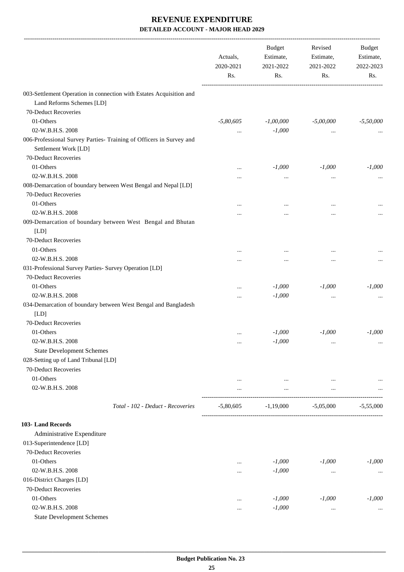| 003-Settlement Operation in connection with Estates Acquisition and<br>Land Reforms Schemes [LD]<br>70-Deduct Recoveries<br>01-Others<br>$-5,80,605$<br>$-1,00,000$<br>$-5,00,000$<br>02-W.B.H.S. 2008<br>$-1,000$<br>$\cdots$<br>$\cdots$<br>006-Professional Survey Parties- Training of Officers in Survey and<br>Settlement Work [LD]<br>70-Deduct Recoveries<br>01-Others<br>$-1,000$<br>$-1,000$<br>$\ddotsc$<br>02-W.B.H.S. 2008<br>$\cdots$<br>$\ddotsc$<br>$\ddotsc$<br>008-Demarcation of boundary between West Bengal and Nepal [LD]<br>70-Deduct Recoveries<br>01-Others<br>$\ddotsc$<br>$\ddotsc$<br>$\cdots$<br>02-W.B.H.S. 2008<br>$\ddotsc$<br>$\ddotsc$<br>$\cdots$<br>009-Demarcation of boundary between West Bengal and Bhutan<br>[LD]<br>70-Deduct Recoveries<br>01-Others<br><br>$\ddotsc$<br>02-W.B.H.S. 2008<br><br>$\ddotsc$<br>$\ddotsc$<br>031-Professional Survey Parties- Survey Operation [LD]<br>70-Deduct Recoveries<br>01-Others<br>$-1,000$<br>$-1,000$<br>$\ddotsc$<br>02-W.B.H.S. 2008<br>$-1,000$<br><br>$\cdots$<br>034-Demarcation of boundary between West Bengal and Bangladesh<br>[LD]<br>70-Deduct Recoveries<br>01-Others<br>$-1,000$<br>$-1,000$<br>$-1,000$<br>$\ddotsc$<br>$-1,000$<br>02-W.B.H.S. 2008<br>$\ddotsc$<br>$\cdots$<br><b>State Development Schemes</b><br>028-Setting up of Land Tribunal [LD]<br>70-Deduct Recoveries<br>01-Others<br>$\cdots$<br>$\cdots$<br>$\cdots$<br>02-W.B.H.S. 2008<br>$\cdots$<br>$\cdots$<br>$\cdots$<br>$-5,80,605$<br>$-1,19,000$<br>$-5,05,000$<br>Total - 102 - Deduct - Recoveries<br>Administrative Expenditure<br>013-Superintendence [LD]<br>70-Deduct Recoveries<br>01-Others<br>$-1,000$<br>$-1,000$<br>$-1,000$<br><br>02-W.B.H.S. 2008<br>$-1,000$<br>$\cdots$<br>$\cdots$<br>016-District Charges [LD]<br>70-Deduct Recoveries<br>01-Others<br>$-1,000$<br>$-1,000$<br>$-1,000$<br>$\cdots$<br>02-W.B.H.S. 2008<br>$-1,000$<br>$\cdots$<br><br><b>State Development Schemes</b> | Actuals,<br>2020-2021 | <b>Budget</b><br>Estimate,<br>2021-2022 | Revised<br>Estimate,<br>2021-2022 | Budget<br>Estimate,<br>2022-2023 |
|-------------------------------------------------------------------------------------------------------------------------------------------------------------------------------------------------------------------------------------------------------------------------------------------------------------------------------------------------------------------------------------------------------------------------------------------------------------------------------------------------------------------------------------------------------------------------------------------------------------------------------------------------------------------------------------------------------------------------------------------------------------------------------------------------------------------------------------------------------------------------------------------------------------------------------------------------------------------------------------------------------------------------------------------------------------------------------------------------------------------------------------------------------------------------------------------------------------------------------------------------------------------------------------------------------------------------------------------------------------------------------------------------------------------------------------------------------------------------------------------------------------------------------------------------------------------------------------------------------------------------------------------------------------------------------------------------------------------------------------------------------------------------------------------------------------------------------------------------------------------------------------------------------------------------------------------------------------------------------------|-----------------------|-----------------------------------------|-----------------------------------|----------------------------------|
| 103- Land Records                                                                                                                                                                                                                                                                                                                                                                                                                                                                                                                                                                                                                                                                                                                                                                                                                                                                                                                                                                                                                                                                                                                                                                                                                                                                                                                                                                                                                                                                                                                                                                                                                                                                                                                                                                                                                                                                                                                                                                   | Rs.                   | Rs.                                     | Rs.                               | Rs.                              |
|                                                                                                                                                                                                                                                                                                                                                                                                                                                                                                                                                                                                                                                                                                                                                                                                                                                                                                                                                                                                                                                                                                                                                                                                                                                                                                                                                                                                                                                                                                                                                                                                                                                                                                                                                                                                                                                                                                                                                                                     |                       |                                         |                                   |                                  |
|                                                                                                                                                                                                                                                                                                                                                                                                                                                                                                                                                                                                                                                                                                                                                                                                                                                                                                                                                                                                                                                                                                                                                                                                                                                                                                                                                                                                                                                                                                                                                                                                                                                                                                                                                                                                                                                                                                                                                                                     |                       |                                         |                                   |                                  |
|                                                                                                                                                                                                                                                                                                                                                                                                                                                                                                                                                                                                                                                                                                                                                                                                                                                                                                                                                                                                                                                                                                                                                                                                                                                                                                                                                                                                                                                                                                                                                                                                                                                                                                                                                                                                                                                                                                                                                                                     |                       |                                         |                                   | $-5,50,000$                      |
|                                                                                                                                                                                                                                                                                                                                                                                                                                                                                                                                                                                                                                                                                                                                                                                                                                                                                                                                                                                                                                                                                                                                                                                                                                                                                                                                                                                                                                                                                                                                                                                                                                                                                                                                                                                                                                                                                                                                                                                     |                       |                                         |                                   |                                  |
|                                                                                                                                                                                                                                                                                                                                                                                                                                                                                                                                                                                                                                                                                                                                                                                                                                                                                                                                                                                                                                                                                                                                                                                                                                                                                                                                                                                                                                                                                                                                                                                                                                                                                                                                                                                                                                                                                                                                                                                     |                       |                                         |                                   |                                  |
|                                                                                                                                                                                                                                                                                                                                                                                                                                                                                                                                                                                                                                                                                                                                                                                                                                                                                                                                                                                                                                                                                                                                                                                                                                                                                                                                                                                                                                                                                                                                                                                                                                                                                                                                                                                                                                                                                                                                                                                     |                       |                                         |                                   |                                  |
|                                                                                                                                                                                                                                                                                                                                                                                                                                                                                                                                                                                                                                                                                                                                                                                                                                                                                                                                                                                                                                                                                                                                                                                                                                                                                                                                                                                                                                                                                                                                                                                                                                                                                                                                                                                                                                                                                                                                                                                     |                       |                                         |                                   | $-1,000$                         |
|                                                                                                                                                                                                                                                                                                                                                                                                                                                                                                                                                                                                                                                                                                                                                                                                                                                                                                                                                                                                                                                                                                                                                                                                                                                                                                                                                                                                                                                                                                                                                                                                                                                                                                                                                                                                                                                                                                                                                                                     |                       |                                         |                                   |                                  |
|                                                                                                                                                                                                                                                                                                                                                                                                                                                                                                                                                                                                                                                                                                                                                                                                                                                                                                                                                                                                                                                                                                                                                                                                                                                                                                                                                                                                                                                                                                                                                                                                                                                                                                                                                                                                                                                                                                                                                                                     |                       |                                         |                                   |                                  |
|                                                                                                                                                                                                                                                                                                                                                                                                                                                                                                                                                                                                                                                                                                                                                                                                                                                                                                                                                                                                                                                                                                                                                                                                                                                                                                                                                                                                                                                                                                                                                                                                                                                                                                                                                                                                                                                                                                                                                                                     |                       |                                         |                                   |                                  |
|                                                                                                                                                                                                                                                                                                                                                                                                                                                                                                                                                                                                                                                                                                                                                                                                                                                                                                                                                                                                                                                                                                                                                                                                                                                                                                                                                                                                                                                                                                                                                                                                                                                                                                                                                                                                                                                                                                                                                                                     |                       |                                         |                                   |                                  |
|                                                                                                                                                                                                                                                                                                                                                                                                                                                                                                                                                                                                                                                                                                                                                                                                                                                                                                                                                                                                                                                                                                                                                                                                                                                                                                                                                                                                                                                                                                                                                                                                                                                                                                                                                                                                                                                                                                                                                                                     |                       |                                         |                                   |                                  |
|                                                                                                                                                                                                                                                                                                                                                                                                                                                                                                                                                                                                                                                                                                                                                                                                                                                                                                                                                                                                                                                                                                                                                                                                                                                                                                                                                                                                                                                                                                                                                                                                                                                                                                                                                                                                                                                                                                                                                                                     |                       |                                         |                                   |                                  |
|                                                                                                                                                                                                                                                                                                                                                                                                                                                                                                                                                                                                                                                                                                                                                                                                                                                                                                                                                                                                                                                                                                                                                                                                                                                                                                                                                                                                                                                                                                                                                                                                                                                                                                                                                                                                                                                                                                                                                                                     |                       |                                         |                                   |                                  |
|                                                                                                                                                                                                                                                                                                                                                                                                                                                                                                                                                                                                                                                                                                                                                                                                                                                                                                                                                                                                                                                                                                                                                                                                                                                                                                                                                                                                                                                                                                                                                                                                                                                                                                                                                                                                                                                                                                                                                                                     |                       |                                         |                                   |                                  |
|                                                                                                                                                                                                                                                                                                                                                                                                                                                                                                                                                                                                                                                                                                                                                                                                                                                                                                                                                                                                                                                                                                                                                                                                                                                                                                                                                                                                                                                                                                                                                                                                                                                                                                                                                                                                                                                                                                                                                                                     |                       |                                         |                                   |                                  |
|                                                                                                                                                                                                                                                                                                                                                                                                                                                                                                                                                                                                                                                                                                                                                                                                                                                                                                                                                                                                                                                                                                                                                                                                                                                                                                                                                                                                                                                                                                                                                                                                                                                                                                                                                                                                                                                                                                                                                                                     |                       |                                         |                                   |                                  |
|                                                                                                                                                                                                                                                                                                                                                                                                                                                                                                                                                                                                                                                                                                                                                                                                                                                                                                                                                                                                                                                                                                                                                                                                                                                                                                                                                                                                                                                                                                                                                                                                                                                                                                                                                                                                                                                                                                                                                                                     |                       |                                         |                                   |                                  |
|                                                                                                                                                                                                                                                                                                                                                                                                                                                                                                                                                                                                                                                                                                                                                                                                                                                                                                                                                                                                                                                                                                                                                                                                                                                                                                                                                                                                                                                                                                                                                                                                                                                                                                                                                                                                                                                                                                                                                                                     |                       |                                         |                                   |                                  |
|                                                                                                                                                                                                                                                                                                                                                                                                                                                                                                                                                                                                                                                                                                                                                                                                                                                                                                                                                                                                                                                                                                                                                                                                                                                                                                                                                                                                                                                                                                                                                                                                                                                                                                                                                                                                                                                                                                                                                                                     |                       |                                         |                                   | $-1,000$                         |
|                                                                                                                                                                                                                                                                                                                                                                                                                                                                                                                                                                                                                                                                                                                                                                                                                                                                                                                                                                                                                                                                                                                                                                                                                                                                                                                                                                                                                                                                                                                                                                                                                                                                                                                                                                                                                                                                                                                                                                                     |                       |                                         |                                   |                                  |
|                                                                                                                                                                                                                                                                                                                                                                                                                                                                                                                                                                                                                                                                                                                                                                                                                                                                                                                                                                                                                                                                                                                                                                                                                                                                                                                                                                                                                                                                                                                                                                                                                                                                                                                                                                                                                                                                                                                                                                                     |                       |                                         |                                   |                                  |
|                                                                                                                                                                                                                                                                                                                                                                                                                                                                                                                                                                                                                                                                                                                                                                                                                                                                                                                                                                                                                                                                                                                                                                                                                                                                                                                                                                                                                                                                                                                                                                                                                                                                                                                                                                                                                                                                                                                                                                                     |                       |                                         |                                   |                                  |
|                                                                                                                                                                                                                                                                                                                                                                                                                                                                                                                                                                                                                                                                                                                                                                                                                                                                                                                                                                                                                                                                                                                                                                                                                                                                                                                                                                                                                                                                                                                                                                                                                                                                                                                                                                                                                                                                                                                                                                                     |                       |                                         |                                   |                                  |
|                                                                                                                                                                                                                                                                                                                                                                                                                                                                                                                                                                                                                                                                                                                                                                                                                                                                                                                                                                                                                                                                                                                                                                                                                                                                                                                                                                                                                                                                                                                                                                                                                                                                                                                                                                                                                                                                                                                                                                                     |                       |                                         |                                   |                                  |
|                                                                                                                                                                                                                                                                                                                                                                                                                                                                                                                                                                                                                                                                                                                                                                                                                                                                                                                                                                                                                                                                                                                                                                                                                                                                                                                                                                                                                                                                                                                                                                                                                                                                                                                                                                                                                                                                                                                                                                                     |                       |                                         |                                   |                                  |
|                                                                                                                                                                                                                                                                                                                                                                                                                                                                                                                                                                                                                                                                                                                                                                                                                                                                                                                                                                                                                                                                                                                                                                                                                                                                                                                                                                                                                                                                                                                                                                                                                                                                                                                                                                                                                                                                                                                                                                                     |                       |                                         |                                   |                                  |
|                                                                                                                                                                                                                                                                                                                                                                                                                                                                                                                                                                                                                                                                                                                                                                                                                                                                                                                                                                                                                                                                                                                                                                                                                                                                                                                                                                                                                                                                                                                                                                                                                                                                                                                                                                                                                                                                                                                                                                                     |                       |                                         |                                   |                                  |
|                                                                                                                                                                                                                                                                                                                                                                                                                                                                                                                                                                                                                                                                                                                                                                                                                                                                                                                                                                                                                                                                                                                                                                                                                                                                                                                                                                                                                                                                                                                                                                                                                                                                                                                                                                                                                                                                                                                                                                                     |                       |                                         |                                   |                                  |
|                                                                                                                                                                                                                                                                                                                                                                                                                                                                                                                                                                                                                                                                                                                                                                                                                                                                                                                                                                                                                                                                                                                                                                                                                                                                                                                                                                                                                                                                                                                                                                                                                                                                                                                                                                                                                                                                                                                                                                                     |                       |                                         |                                   |                                  |
|                                                                                                                                                                                                                                                                                                                                                                                                                                                                                                                                                                                                                                                                                                                                                                                                                                                                                                                                                                                                                                                                                                                                                                                                                                                                                                                                                                                                                                                                                                                                                                                                                                                                                                                                                                                                                                                                                                                                                                                     |                       |                                         |                                   |                                  |
|                                                                                                                                                                                                                                                                                                                                                                                                                                                                                                                                                                                                                                                                                                                                                                                                                                                                                                                                                                                                                                                                                                                                                                                                                                                                                                                                                                                                                                                                                                                                                                                                                                                                                                                                                                                                                                                                                                                                                                                     |                       |                                         |                                   | $-5.55,000$                      |
|                                                                                                                                                                                                                                                                                                                                                                                                                                                                                                                                                                                                                                                                                                                                                                                                                                                                                                                                                                                                                                                                                                                                                                                                                                                                                                                                                                                                                                                                                                                                                                                                                                                                                                                                                                                                                                                                                                                                                                                     |                       |                                         |                                   |                                  |
|                                                                                                                                                                                                                                                                                                                                                                                                                                                                                                                                                                                                                                                                                                                                                                                                                                                                                                                                                                                                                                                                                                                                                                                                                                                                                                                                                                                                                                                                                                                                                                                                                                                                                                                                                                                                                                                                                                                                                                                     |                       |                                         |                                   |                                  |
|                                                                                                                                                                                                                                                                                                                                                                                                                                                                                                                                                                                                                                                                                                                                                                                                                                                                                                                                                                                                                                                                                                                                                                                                                                                                                                                                                                                                                                                                                                                                                                                                                                                                                                                                                                                                                                                                                                                                                                                     |                       |                                         |                                   |                                  |
|                                                                                                                                                                                                                                                                                                                                                                                                                                                                                                                                                                                                                                                                                                                                                                                                                                                                                                                                                                                                                                                                                                                                                                                                                                                                                                                                                                                                                                                                                                                                                                                                                                                                                                                                                                                                                                                                                                                                                                                     |                       |                                         |                                   |                                  |
|                                                                                                                                                                                                                                                                                                                                                                                                                                                                                                                                                                                                                                                                                                                                                                                                                                                                                                                                                                                                                                                                                                                                                                                                                                                                                                                                                                                                                                                                                                                                                                                                                                                                                                                                                                                                                                                                                                                                                                                     |                       |                                         |                                   |                                  |
|                                                                                                                                                                                                                                                                                                                                                                                                                                                                                                                                                                                                                                                                                                                                                                                                                                                                                                                                                                                                                                                                                                                                                                                                                                                                                                                                                                                                                                                                                                                                                                                                                                                                                                                                                                                                                                                                                                                                                                                     |                       |                                         |                                   |                                  |
|                                                                                                                                                                                                                                                                                                                                                                                                                                                                                                                                                                                                                                                                                                                                                                                                                                                                                                                                                                                                                                                                                                                                                                                                                                                                                                                                                                                                                                                                                                                                                                                                                                                                                                                                                                                                                                                                                                                                                                                     |                       |                                         |                                   | $\cdots$                         |
|                                                                                                                                                                                                                                                                                                                                                                                                                                                                                                                                                                                                                                                                                                                                                                                                                                                                                                                                                                                                                                                                                                                                                                                                                                                                                                                                                                                                                                                                                                                                                                                                                                                                                                                                                                                                                                                                                                                                                                                     |                       |                                         |                                   |                                  |
|                                                                                                                                                                                                                                                                                                                                                                                                                                                                                                                                                                                                                                                                                                                                                                                                                                                                                                                                                                                                                                                                                                                                                                                                                                                                                                                                                                                                                                                                                                                                                                                                                                                                                                                                                                                                                                                                                                                                                                                     |                       |                                         |                                   |                                  |
|                                                                                                                                                                                                                                                                                                                                                                                                                                                                                                                                                                                                                                                                                                                                                                                                                                                                                                                                                                                                                                                                                                                                                                                                                                                                                                                                                                                                                                                                                                                                                                                                                                                                                                                                                                                                                                                                                                                                                                                     |                       |                                         |                                   |                                  |
|                                                                                                                                                                                                                                                                                                                                                                                                                                                                                                                                                                                                                                                                                                                                                                                                                                                                                                                                                                                                                                                                                                                                                                                                                                                                                                                                                                                                                                                                                                                                                                                                                                                                                                                                                                                                                                                                                                                                                                                     |                       |                                         |                                   |                                  |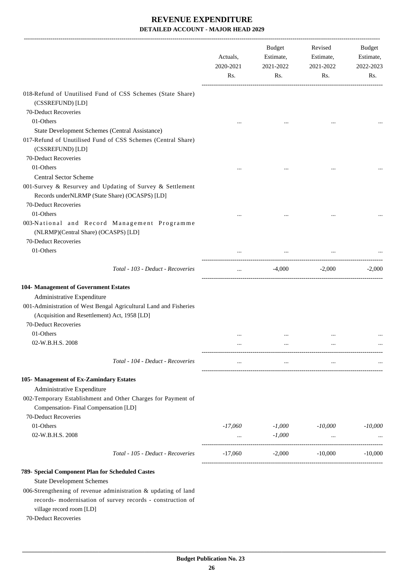|                                                                                                              | Actuals,<br>2020-2021<br>Rs. | Budget<br>Estimate,<br>2021-2022<br>Rs. | Revised<br>Estimate,<br>2021-2022<br>Rs. | Budget<br>Estimate,<br>2022-2023<br>Rs. |
|--------------------------------------------------------------------------------------------------------------|------------------------------|-----------------------------------------|------------------------------------------|-----------------------------------------|
| 018-Refund of Unutilised Fund of CSS Schemes (State Share)<br>(CSSREFUND) [LD]                               |                              |                                         |                                          |                                         |
| 70-Deduct Recoveries                                                                                         |                              |                                         |                                          |                                         |
| 01-Others                                                                                                    |                              |                                         |                                          |                                         |
| State Development Schemes (Central Assistance)                                                               |                              |                                         |                                          |                                         |
| 017-Refund of Unutilised Fund of CSS Schemes (Central Share)<br>(CSSREFUND) [LD]                             |                              |                                         |                                          |                                         |
| 70-Deduct Recoveries                                                                                         |                              |                                         |                                          |                                         |
| 01-Others                                                                                                    |                              |                                         |                                          |                                         |
| <b>Central Sector Scheme</b>                                                                                 |                              |                                         |                                          |                                         |
| 001-Survey & Resurvey and Updating of Survey & Settlement<br>Records under NLRMP (State Share) (OCASPS) [LD] |                              |                                         |                                          |                                         |
| 70-Deduct Recoveries                                                                                         |                              |                                         |                                          |                                         |
| 01-Others                                                                                                    |                              |                                         | $\ddotsc$                                |                                         |
| 003-National and Record Management Programme<br>(NLRMP)(Central Share) (OCASPS) [LD]                         |                              |                                         |                                          |                                         |
| 70-Deduct Recoveries                                                                                         |                              |                                         |                                          |                                         |
| 01-Others                                                                                                    |                              | $\cdots$                                |                                          |                                         |
| Total - 103 - Deduct - Recoveries                                                                            | $\cdots$                     |                                         | $-4,000$ $-2,000$                        | $-2,000$                                |
| 104- Management of Government Estates                                                                        |                              |                                         |                                          |                                         |
| Administrative Expenditure                                                                                   |                              |                                         |                                          |                                         |
| 001-Administration of West Bengal Agricultural Land and Fisheries                                            |                              |                                         |                                          |                                         |
| (Acquisition and Resettlement) Act, 1958 [LD]                                                                |                              |                                         |                                          |                                         |
| 70-Deduct Recoveries                                                                                         |                              |                                         |                                          |                                         |
| 01-Others                                                                                                    | $\cdots$                     | $\cdots$                                |                                          |                                         |
| 02-W.B.H.S. 2008                                                                                             | $\cdots$                     | $\cdots$                                | $\cdots$                                 |                                         |
|                                                                                                              |                              |                                         |                                          |                                         |
| Total - 104 - Deduct - Recoveries                                                                            | $\cdots$                     | $\cdots$                                | $\cdots$                                 |                                         |
| 105- Management of Ex-Zamindary Estates                                                                      |                              |                                         |                                          |                                         |
| Administrative Expenditure                                                                                   |                              |                                         |                                          |                                         |
| 002-Temporary Establishment and Other Charges for Payment of                                                 |                              |                                         |                                          |                                         |
| Compensation-Final Compensation [LD]                                                                         |                              |                                         |                                          |                                         |
| 70-Deduct Recoveries                                                                                         |                              |                                         |                                          |                                         |
| 01-Others                                                                                                    | $-17,060$                    | $-1,000$                                | $-10,000$                                | $-10,000$                               |
| 02-W.B.H.S. 2008                                                                                             |                              | $-1,000$                                | $\cdots$                                 |                                         |
| Total - 105 - Deduct - Recoveries                                                                            | $-17,060$                    | $-2,000$                                | $-10,000$                                | $-10,000$                               |
| 789- Special Component Plan for Scheduled Castes                                                             |                              |                                         |                                          |                                         |
| <b>State Development Schemes</b>                                                                             |                              |                                         |                                          |                                         |
| 006-Strengthening of revenue administration & updating of land                                               |                              |                                         |                                          |                                         |
| records- modernisation of survey records - construction of<br>village record room [LD]                       |                              |                                         |                                          |                                         |
| 70-Deduct Recoveries                                                                                         |                              |                                         |                                          |                                         |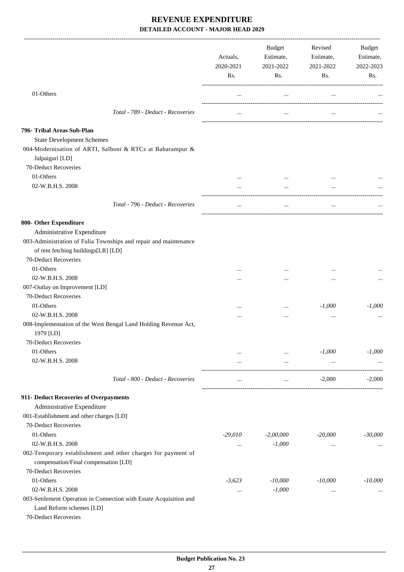|                                                                                                                    | Actuals,<br>2020-2021<br>Rs. | Budget<br>Estimate,<br>2021-2022<br>Rs. | Revised<br>Estimate,<br>2021-2022<br>Rs. | Budget<br>Estimate,<br>2022-2023<br>Rs. |
|--------------------------------------------------------------------------------------------------------------------|------------------------------|-----------------------------------------|------------------------------------------|-----------------------------------------|
|                                                                                                                    |                              |                                         |                                          |                                         |
| 01-Others                                                                                                          | $\cdots$                     | $\cdots$                                | $\ldots$                                 |                                         |
| Total - 789 - Deduct - Recoveries                                                                                  | $\cdots$                     | $\cdots$                                | $\cdots$                                 |                                         |
| 796- Tribal Areas Sub-Plan                                                                                         |                              |                                         |                                          |                                         |
| <b>State Development Schemes</b>                                                                                   |                              |                                         |                                          |                                         |
| 004-Modernisation of ARTI, Salboni & RTCs at Baharampur &<br>Jalpaiguri [LD]                                       |                              |                                         |                                          |                                         |
| 70-Deduct Recoveries                                                                                               |                              |                                         |                                          |                                         |
| 01-Others                                                                                                          | $\cdots$                     | $\cdots$                                | $\cdots$                                 |                                         |
| 02-W.B.H.S. 2008                                                                                                   | $\cdots$                     | $\cdots$                                | $\ddotsc$                                |                                         |
| Total - 796 - Deduct - Recoveries                                                                                  | $\cdots$                     | $\cdots$                                |                                          |                                         |
| 800- Other Expenditure                                                                                             |                              |                                         |                                          |                                         |
| Administrative Expenditure                                                                                         |                              |                                         |                                          |                                         |
| 003-Administration of Fulia Townships and repair and maintenance<br>of rent fetching buildings[LR] [LD]            |                              |                                         |                                          |                                         |
| 70-Deduct Recoveries                                                                                               |                              |                                         |                                          |                                         |
| 01-Others                                                                                                          | $\cdots$                     |                                         | $\cdots$                                 |                                         |
| 02-W.B.H.S. 2008                                                                                                   |                              | $\cdots$                                | $\cdots$                                 |                                         |
| 007-Outlay on Improvement [LD]                                                                                     |                              |                                         |                                          |                                         |
| 70-Deduct Recoveries                                                                                               |                              |                                         |                                          |                                         |
| 01-Others                                                                                                          | $\cdots$                     | $\cdots$                                | $-1,000$                                 | $-1,000$                                |
| 02-W.B.H.S. 2008                                                                                                   | .                            | $\ddotsc$                               | $\ddotsc$                                |                                         |
| 008-Implementation of the West Bengal Land Holding Revenue Act,<br>1979 [LD]                                       |                              |                                         |                                          |                                         |
| 70-Deduct Recoveries                                                                                               |                              |                                         |                                          |                                         |
| 01-Others                                                                                                          |                              | $\cdots$                                | $-1,000$                                 | $-1,000$                                |
| 02-W.B.H.S. 2008                                                                                                   | $\cdots$                     | $\cdots$                                | $\ldots$                                 |                                         |
| Total - 800 - Deduct - Recoveries                                                                                  | $\cdots$                     | $\cdots$                                | $-2,000$                                 | $-2,000$                                |
| 911- Deduct Recoveries of Overpayments                                                                             |                              |                                         |                                          |                                         |
| Administrative Expenditure                                                                                         |                              |                                         |                                          |                                         |
| 001-Establishment and other charges [LD]                                                                           |                              |                                         |                                          |                                         |
| 70-Deduct Recoveries                                                                                               |                              |                                         |                                          |                                         |
| 01-Others                                                                                                          | $-29,010$                    | $-2,00,000$                             | $-20,000$                                | $-30,000$                               |
| 02-W.B.H.S. 2008                                                                                                   | $\ldots$                     | $-1,000$                                | $\cdots$                                 |                                         |
| 002-Temporary establishment and other charges for payment of<br>compensation/Final compensation [LD]               |                              |                                         |                                          |                                         |
| 70-Deduct Recoveries                                                                                               |                              |                                         |                                          |                                         |
| 01-Others                                                                                                          | $-3,623$                     | $-10,000$                               | $-10,000$                                | $-10,000$                               |
| 02-W.B.H.S. 2008<br>003-Settlement Operation in Connection with Estate Acquisition and<br>Land Reform schemes [LD] | $\cdots$                     | $-1,000$                                | $\cdots$                                 |                                         |
| 70-Deduct Recoveries                                                                                               |                              |                                         |                                          |                                         |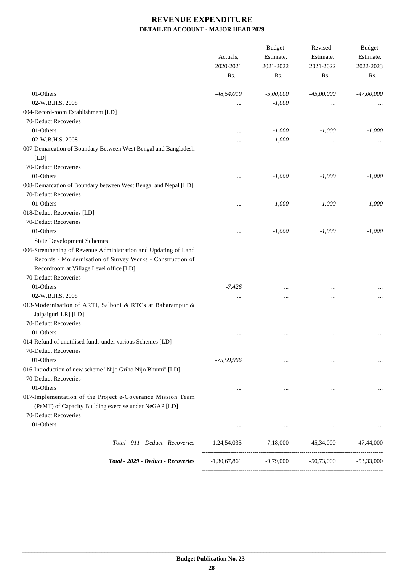-------------------------------------------------------------------------------------------------------------------------------------------------------------------------------

|                                                                                                                                                                                                  | Actuals,<br>2020-2021<br>Rs.    | <b>Budget</b><br>Estimate,<br>2021-2022<br>Rs.                                                      | Revised<br>Estimate,<br>2021-2022<br>Rs. | <b>Budget</b><br>Estimate,<br>2022-2023<br>Rs. |
|--------------------------------------------------------------------------------------------------------------------------------------------------------------------------------------------------|---------------------------------|-----------------------------------------------------------------------------------------------------|------------------------------------------|------------------------------------------------|
| 01-Others                                                                                                                                                                                        | $-48,54,010$                    | $-5,00,000$                                                                                         | $-45,00,000$                             | $-47,00,000$                                   |
| 02-W.B.H.S. 2008                                                                                                                                                                                 | $\ddotsc$                       | $-1,000$                                                                                            | $\cdots$                                 |                                                |
| 004-Record-room Establishment [LD]                                                                                                                                                               |                                 |                                                                                                     |                                          |                                                |
| 70-Deduct Recoveries                                                                                                                                                                             |                                 |                                                                                                     |                                          |                                                |
| 01-Others                                                                                                                                                                                        | $\cdots$                        | $-1,000$                                                                                            | $-1,000$                                 | $-1,000$                                       |
| 02-W.B.H.S. 2008                                                                                                                                                                                 | $\cdots$                        | $-1,000$                                                                                            | $\cdots$                                 |                                                |
| 007-Demarcation of Boundary Between West Bengal and Bangladesh<br>[LD]                                                                                                                           |                                 |                                                                                                     |                                          |                                                |
| 70-Deduct Recoveries                                                                                                                                                                             |                                 |                                                                                                     |                                          |                                                |
| 01-Others                                                                                                                                                                                        | $\cdots$                        | $-1,000$                                                                                            | $-1,000$                                 | $-1,000$                                       |
| 008-Demarcation of Boundary between West Bengal and Nepal [LD]                                                                                                                                   |                                 |                                                                                                     |                                          |                                                |
| 70-Deduct Recoveries                                                                                                                                                                             |                                 |                                                                                                     |                                          |                                                |
| 01-Others                                                                                                                                                                                        | $\cdots$                        | $-1,000$                                                                                            | $-1,000$                                 | $-1,000$                                       |
| 018-Deduct Recoveries [LD]                                                                                                                                                                       |                                 |                                                                                                     |                                          |                                                |
| 70-Deduct Recoveries                                                                                                                                                                             |                                 |                                                                                                     |                                          |                                                |
| 01-Others                                                                                                                                                                                        | $\cdots$                        | $-1,000$                                                                                            | $-1,000$                                 | $-1,000$                                       |
| <b>State Development Schemes</b>                                                                                                                                                                 |                                 |                                                                                                     |                                          |                                                |
| 006-Strenthening of Revenue Administration and Updating of Land<br>Records - Mordernisation of Survey Works - Construction of<br>Recordroom at Village Level office [LD]<br>70-Deduct Recoveries |                                 |                                                                                                     |                                          |                                                |
| 01-Others                                                                                                                                                                                        | $-7,426$                        |                                                                                                     |                                          |                                                |
| 02-W.B.H.S. 2008                                                                                                                                                                                 | $\ddotsc$                       |                                                                                                     |                                          |                                                |
| 013-Modernisation of ARTI, Salboni & RTCs at Baharampur &<br>Jalpaiguri[LR] [LD]<br>70-Deduct Recoveries                                                                                         |                                 |                                                                                                     |                                          |                                                |
| 01-Others<br>014-Refund of unutilised funds under various Schemes [LD]<br>70-Deduct Recoveries                                                                                                   |                                 | $\ddotsc$                                                                                           |                                          |                                                |
| 01-Others                                                                                                                                                                                        | $-75,59,966$                    | $\cdots$                                                                                            | $\cdots$                                 |                                                |
| 016-Introduction of new scheme "Nijo Griho Nijo Bhumi" [LD]<br>70-Deduct Recoveries                                                                                                              |                                 |                                                                                                     |                                          |                                                |
| 01-Others                                                                                                                                                                                        | $\cdots$                        | $\cdots$                                                                                            | $\cdots$                                 |                                                |
| 017-Implementation of the Project e-Goverance Mission Team<br>(PeMT) of Capacity Building exercise under NeGAP [LD]                                                                              |                                 |                                                                                                     |                                          |                                                |
| 70-Deduct Recoveries                                                                                                                                                                             |                                 |                                                                                                     |                                          |                                                |
| 01-Others                                                                                                                                                                                        | $\mathbf{r}$ , and $\mathbf{r}$ | the contract of the contract of the contract of the contract of the contract of the contract of the |                                          |                                                |
| Total - 911 - Deduct - Recoveries                                                                                                                                                                |                                 | $-1,24,54,035$ $-7,18,000$ $-45,34,000$                                                             |                                          | $-47,44,000$                                   |
| Total - 2029 - Deduct - Recoveries                                                                                                                                                               | $-1,30,67,861$                  | $-9,79,000$                                                                                         | $-50,73,000$                             | $-53,33,000$                                   |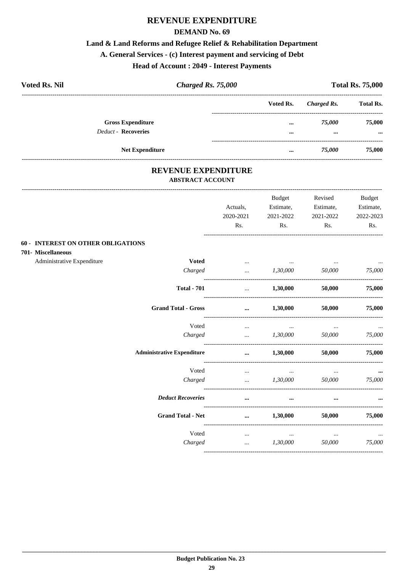### REVENUE EXPENDITURE

#### **DEMAND No. 69**

#### Land & Land Reforms and Refugee Relief & Rehabilitation Department

# A. General Services - (c) Interest payment and servicing of Debt

#### **Head of Account: 2049 - Interest Payments**

| <b>Voted Rs. Nil</b>       | <b>Charged Rs. 75,000</b> |                         |             | <b>Total Rs. 75,000</b> |
|----------------------------|---------------------------|-------------------------|-------------|-------------------------|
|                            |                           | Voted Rs.               | Charged Rs. | <b>Total Rs.</b>        |
| <b>Gross Expenditure</b>   |                           |                         | 75.000      | 75,000                  |
| <b>Deduct - Recoveries</b> |                           | $\bullet\bullet\bullet$ | $\cdots$    | $\cdots$                |
| <b>Net Expenditure</b>     |                           |                         | 75.000      | 75,000                  |

#### REVENUE EXPENDITURE **ABSTRACT ACCOUNT**

 $---$ 

|                                                                 |                                   | Actuals,<br>2020-2021 | <b>Budget</b><br>Estimate,<br>2021-2022 | Revised<br>Estimate,<br>2021-2022 | <b>Budget</b><br>Estimate,<br>2022-2023 |
|-----------------------------------------------------------------|-----------------------------------|-----------------------|-----------------------------------------|-----------------------------------|-----------------------------------------|
|                                                                 |                                   | Rs.                   | Rs.                                     | Rs.                               | Rs.                                     |
| <b>60 - INTEREST ON OTHER OBLIGATIONS</b><br>701- Miscellaneous |                                   |                       |                                         |                                   |                                         |
| Administrative Expenditure                                      | <b>Voted</b>                      | $\cdots$              | <b>Contractor</b>                       | $\ldots$                          |                                         |
|                                                                 | Charged                           | $\ddotsc$             | 1,30,000                                | 50,000                            | 75,000                                  |
|                                                                 | <b>Total - 701</b>                | $\cdots$              | 1,30,000                                | 50,000                            | 75,000                                  |
|                                                                 | <b>Grand Total - Gross</b>        | $\cdots$              | 1,30,000                                | 50,000                            | 75,000                                  |
|                                                                 | Voted                             | $\cdots$              | $\cdots$                                | $\cdots$                          |                                         |
|                                                                 | Charged                           | $\ddotsc$             | 1,30,000                                | 50,000                            | 75,000                                  |
|                                                                 | <b>Administrative Expenditure</b> | $\cdots$              | 1,30,000                                | 50,000                            | 75,000                                  |
|                                                                 | Voted                             | $\cdots$              | $\cdots$                                | $\cdots$                          |                                         |
|                                                                 | Charged                           | $\ddotsc$             | 1,30,000                                | 50,000                            | 75,000                                  |
|                                                                 | <b>Deduct Recoveries</b>          | $\cdots$              | $\cdots$                                |                                   |                                         |
|                                                                 | <b>Grand Total - Net</b>          | $\cdots$              | 1,30,000                                | 50,000                            | 75,000                                  |
|                                                                 | Voted                             | $\cdots$              | $\cdots$                                | $\cdots$                          |                                         |
|                                                                 | Charged                           | $\ddots$              | 1,30,000                                | 50,000                            | 75,000                                  |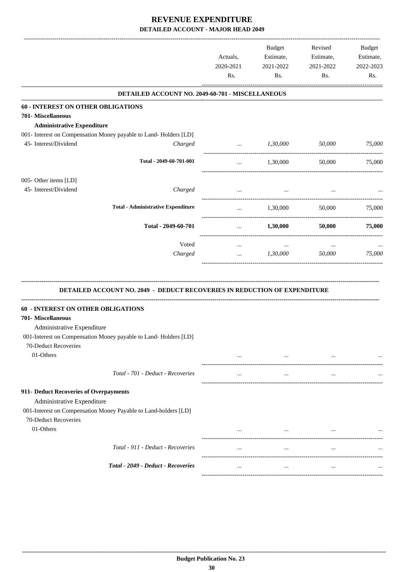|                                           |                                                                                  | Actuals,<br>2020-2021<br>Rs. | Budget<br>Estimate,<br>2021-2022<br>Rs. | Revised<br>Estimate,<br>2021-2022<br>Rs. | Budget<br>Estimate,<br>2022-2023<br>Rs. |
|-------------------------------------------|----------------------------------------------------------------------------------|------------------------------|-----------------------------------------|------------------------------------------|-----------------------------------------|
|                                           | DETAILED ACCOUNT NO. 2049-60-701 - MISCELLANEOUS                                 |                              |                                         |                                          |                                         |
| <b>60 - INTEREST ON OTHER OBLIGATIONS</b> |                                                                                  |                              |                                         |                                          |                                         |
| 701- Miscellaneous                        |                                                                                  |                              |                                         |                                          |                                         |
| <b>Administrative Expenditure</b>         |                                                                                  |                              |                                         |                                          |                                         |
|                                           | 001- Interest on Compensation Money payable to Land-Holders [LD]                 |                              |                                         |                                          |                                         |
| 45- Interest/Dividend                     | Charged                                                                          |                              | $1,30,000$ $50,000$                     |                                          | 75,000                                  |
|                                           | Total - 2049-60-701-001                                                          |                              |                                         |                                          |                                         |
|                                           |                                                                                  | $\cdots$                     | 1,30,000                                | 50,000                                   | 75,000                                  |
| 005- Other items [LD]                     |                                                                                  |                              |                                         |                                          |                                         |
| 45- Interest/Dividend                     | Charged                                                                          | $\cdots$                     | $\cdots$                                | $\cdots$                                 |                                         |
|                                           |                                                                                  |                              |                                         |                                          |                                         |
|                                           | <b>Total - Administrative Expenditure</b>                                        | $\cdots$                     | 1,30,000                                |                                          | 50,000 75,000                           |
|                                           |                                                                                  |                              |                                         |                                          |                                         |
|                                           | Total - 2049-60-701                                                              | $\cdots$                     | 1,30,000                                | <b>50,000</b>                            | 75,000                                  |
|                                           |                                                                                  |                              |                                         |                                          |                                         |
|                                           | Voted                                                                            | $\cdots$                     | $\ldots$                                | $\cdots$                                 |                                         |
|                                           | Charged                                                                          | $\cdots$                     | 1,30,000                                | 50,000                                   | 75,000                                  |
|                                           | <b>DETAILED ACCOUNT NO. 2049 - DEDUCT RECOVERIES IN REDUCTION OF EXPENDITURE</b> |                              |                                         |                                          |                                         |
| <b>60 - INTEREST ON OTHER OBLIGATIONS</b> |                                                                                  |                              |                                         |                                          |                                         |
| 701- Miscellaneous                        |                                                                                  |                              |                                         |                                          |                                         |
| Administrative Expenditure                |                                                                                  |                              |                                         |                                          |                                         |
|                                           | 001-Interest on Compensation Money payable to Land-Holders [LD]                  |                              |                                         |                                          |                                         |
| 70-Deduct Recoveries                      |                                                                                  |                              |                                         |                                          |                                         |
| 01-Others                                 |                                                                                  |                              | $\cdots$                                |                                          |                                         |
|                                           |                                                                                  |                              |                                         |                                          |                                         |
|                                           | Total - 701 - Deduct - Recoveries                                                | $\cdots$                     | $\cdots$                                | $\cdots$                                 |                                         |
| 911- Deduct Recoveries of Overpayments    |                                                                                  |                              |                                         |                                          |                                         |
| Administrative Expenditure                |                                                                                  |                              |                                         |                                          |                                         |
|                                           | 001-Interest on Compensation Money Payable to Land-holders [LD]                  |                              |                                         |                                          |                                         |
| 70-Deduct Recoveries                      |                                                                                  |                              |                                         |                                          |                                         |
| 01-Others                                 |                                                                                  |                              | $\cdots$                                |                                          |                                         |
|                                           |                                                                                  |                              |                                         |                                          |                                         |
|                                           | Total - 911 - Deduct - Recoveries                                                | $\cdots$                     | $\ldots$                                | $\cdots$                                 |                                         |
|                                           |                                                                                  |                              |                                         |                                          |                                         |
|                                           | Total - 2049 - Deduct - Recoveries                                               | $\cdots$                     | $\cdots$                                | $\cdots$                                 |                                         |
|                                           |                                                                                  |                              |                                         |                                          |                                         |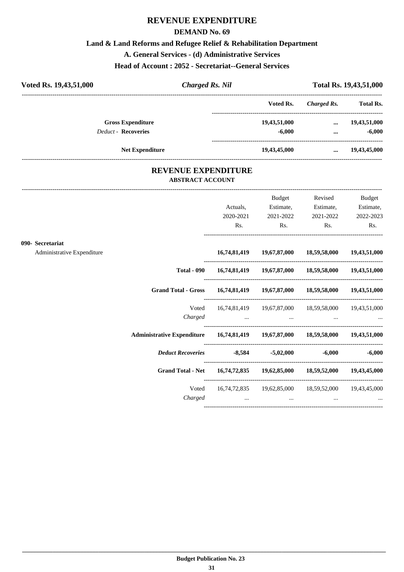#### **REVENUE EXPENDITURE**

#### **DEMAND No. 69**

#### **Land & Land Reforms and Refugee Relief & Rehabilitation Department**

**A. General Services - (d) Administrative Services**

**Head of Account : 2052 - Secretariat--General Services**

| Voted Rs. 19,43,51,000     | Charged Rs. Nil |              | Total Rs. 19,43,51,000 |                  |  |
|----------------------------|-----------------|--------------|------------------------|------------------|--|
|                            |                 | Voted Rs.    | Charged Rs.            | <b>Total Rs.</b> |  |
| <b>Gross Expenditure</b>   |                 | 19,43,51,000 | $\cdots$               | 19,43,51,000     |  |
| <b>Deduct - Recoveries</b> |                 | $-6,000$     |                        | $-6,000$         |  |
| <b>Net Expenditure</b>     |                 | 19,43,45,000 | $\cdots$               | 19,43,45,000     |  |

#### **REVENUE EXPENDITURE ABSTRACT ACCOUNT**

---------------------------------------------------------------------------------------------------------------------------------------------------------------------------------

|                                                |                                                                                | Actuals,<br>2020-2021<br>Rs. | Budget<br>Estimate,<br>2021-2022<br>$\mathbf{Rs.}$ | Revised<br>Estimate,<br>2021-2022<br>$\mathbf{Rs.}$                                                                                                                            | <b>Budget</b><br>Estimate,<br>2022-2023<br>Rs. |
|------------------------------------------------|--------------------------------------------------------------------------------|------------------------------|----------------------------------------------------|--------------------------------------------------------------------------------------------------------------------------------------------------------------------------------|------------------------------------------------|
| 090- Secretariat<br>Administrative Expenditure |                                                                                |                              |                                                    | 16,74,81,419  19,67,87,000  18,59,58,000  19,43,51,000                                                                                                                         |                                                |
|                                                |                                                                                |                              |                                                    | Total - 090  16,74,81,419  19,67,87,000  18,59,58,000  19,43,51,000                                                                                                            |                                                |
|                                                | Grand Total - Gross 16,74,81,419 19,67,87,000 18,59,58,000 19,43,51,000        |                              |                                                    |                                                                                                                                                                                |                                                |
|                                                | Voted<br>Charged                                                               |                              |                                                    | 16,74,81,419  19,67,87,000  18,59,58,000  19,43,51,000<br>المستخدم المستخدم المستخدم المستخدم المستخدم المستخدم المستخدم المستخدم المستخدم المستخدم المستخدم المستخدم المستخدم |                                                |
|                                                | Administrative Expenditure 16,74,81,419 19,67,87,000 18,59,58,000 19,43,51,000 |                              |                                                    |                                                                                                                                                                                |                                                |
|                                                | Deduct Recoveries -8,584 -5,02,000                                             |                              |                                                    |                                                                                                                                                                                | $-6,000$ $-6,000$                              |
|                                                | Grand Total - Net 16,74,72,835 19,62,85,000 18,59,52,000 19,43,45,000          |                              |                                                    |                                                                                                                                                                                |                                                |
|                                                | Voted<br>Charged                                                               |                              | the contract of the contract of                    | 16,74,72,835 19,62,85,000 18,59,52,000 19,43,45,000<br>$\cdots$                                                                                                                |                                                |
|                                                |                                                                                |                              |                                                    |                                                                                                                                                                                |                                                |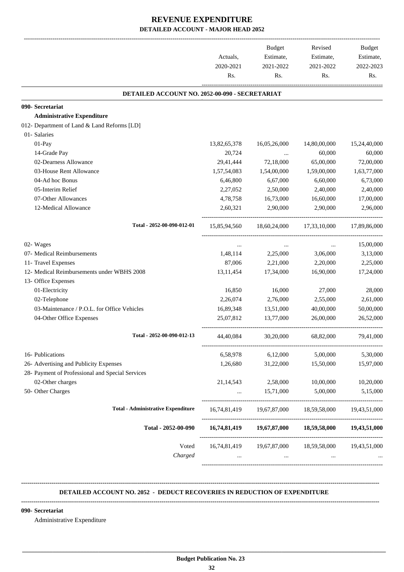|                                                  | Actuals,<br>2020-2021<br>Rs. | <b>Budget</b><br>Estimate,<br>2021-2022<br>Rs. | Revised<br>Estimate,<br>2021-2022<br>Rs. | <b>Budget</b><br>Estimate,<br>2022-2023<br>Rs. |
|--------------------------------------------------|------------------------------|------------------------------------------------|------------------------------------------|------------------------------------------------|
| DETAILED ACCOUNT NO. 2052-00-090 - SECRETARIAT   |                              |                                                |                                          |                                                |
| 090- Secretariat                                 |                              |                                                |                                          |                                                |
| <b>Administrative Expenditure</b>                |                              |                                                |                                          |                                                |
| 012- Department of Land & Land Reforms [LD]      |                              |                                                |                                          |                                                |
| 01- Salaries                                     |                              |                                                |                                          |                                                |
| 01-Pay                                           | 13,82,65,378                 | 16,05,26,000                                   | 14,80,00,000                             | 15,24,40,000                                   |
| 14-Grade Pay                                     | 20,724                       |                                                | 60,000                                   | 60,000                                         |
| 02-Dearness Allowance                            | 29,41,444                    | 72,18,000                                      | 65,00,000                                | 72,00,000                                      |
| 03-House Rent Allowance                          | 1,57,54,083                  | 1,54,00,000                                    | 1,59,00,000                              | 1,63,77,000                                    |
| 04-Ad hoc Bonus                                  | 6,46,800                     | 6,67,000                                       | 6,60,000                                 | 6,73,000                                       |
| 05-Interim Relief                                | 2,27,052                     | 2,50,000                                       | 2,40,000                                 | 2,40,000                                       |
| 07-Other Allowances                              | 4,78,758                     | 16,73,000                                      | 16,60,000                                | 17,00,000                                      |
| 12-Medical Allowance                             | 2,60,321                     | 2,90,000                                       | 2,90,000                                 | 2,96,000                                       |
| Total - 2052-00-090-012-01                       | 15,85,94,560                 | 18,60,24,000                                   | 17,33,10,000                             | 17,89,86,000                                   |
| 02- Wages                                        | $\cdots$                     | $\cdots$                                       | $\cdots$                                 | 15,00,000                                      |
| 07- Medical Reimbursements                       | 1,48,114                     | 2,25,000                                       | 3,06,000                                 | 3,13,000                                       |
| 11- Travel Expenses                              | 87,006                       | 2,21,000                                       | 2,20,000                                 | 2,25,000                                       |
| 12- Medical Reimbursements under WBHS 2008       | 13,11,454                    | 17,34,000                                      | 16,90,000                                | 17,24,000                                      |
| 13- Office Expenses                              |                              |                                                |                                          |                                                |
| 01-Electricity                                   | 16,850                       | 16,000                                         | 27,000                                   | 28,000                                         |
| 02-Telephone                                     | 2,26,074                     | 2,76,000                                       | 2,55,000                                 | 2,61,000                                       |
| 03-Maintenance / P.O.L. for Office Vehicles      | 16,89,348                    | 13,51,000                                      | 40,00,000                                | 50,00,000                                      |
| 04-Other Office Expenses                         | 25,07,812                    | 13,77,000                                      | 26,00,000                                | 26,52,000                                      |
| Total - 2052-00-090-012-13                       | 44,40,084                    | 30,20,000                                      | 68,82,000                                | 79,41,000                                      |
| 16- Publications                                 | 6,58,978                     | 6,12,000                                       | 5,00,000                                 | 5,30,000                                       |
| 26- Advertising and Publicity Expenses           | 1,26,680                     | 31,22,000                                      | 15,50,000                                | 15,97,000                                      |
| 28- Payment of Professional and Special Services |                              |                                                |                                          |                                                |
| 02-Other charges                                 | 21,14,543                    | 2,58,000                                       | 10,00,000                                | 10,20,000                                      |
| 50- Other Charges                                | $\cdots$                     | 15,71,000                                      | 5,00,000                                 | 5,15,000                                       |
| <b>Total - Administrative Expenditure</b>        | 16,74,81,419                 | 19,67,87,000                                   | 18,59,58,000                             | 19,43,51,000                                   |
| Total - 2052-00-090                              |                              | 16,74,81,419 19,67,87,000                      | 18,59,58,000                             | 19,43,51,000                                   |
| Voted<br>Charged                                 | 16,74,81,419                 | 19,67,87,000                                   | 18,59,58,000                             | 19,43,51,000                                   |
|                                                  |                              |                                                |                                          |                                                |

#### **-------------------------------------------------------------------------------------------------------------------------------------------------------------------------------- DETAILED ACCOUNT NO. 2052 - DEDUCT RECOVERIES IN REDUCTION OF EXPENDITURE**

#### **--------------------------------------------------------------------------------------------------------------------------------------------------------------------------------**

 **\_\_\_\_\_\_\_\_\_\_\_\_\_\_\_\_\_\_\_\_\_\_\_\_\_\_\_\_\_\_\_\_\_\_\_\_\_\_\_\_\_\_\_\_\_\_\_\_\_\_\_\_\_\_\_\_\_\_\_\_\_\_\_\_\_\_\_\_\_\_\_\_\_\_\_\_\_\_\_\_\_\_\_\_\_\_\_\_\_\_\_\_\_\_\_\_\_\_\_\_\_\_\_\_\_\_\_\_\_\_\_\_\_\_\_\_\_\_\_**

#### **090- Secretariat**

Administrative Expenditure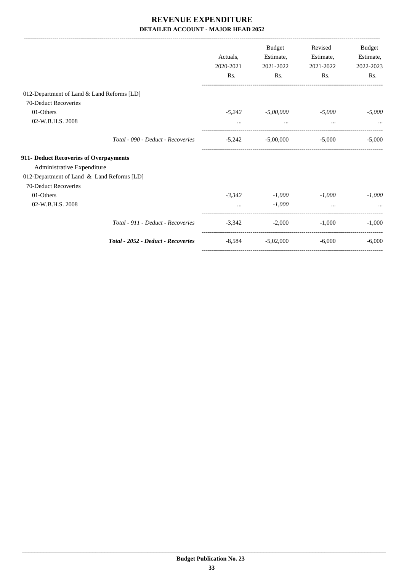|                                            |           | <b>Budget</b> | Revised   | Budget    |
|--------------------------------------------|-----------|---------------|-----------|-----------|
|                                            | Actuals,  | Estimate,     | Estimate, | Estimate, |
|                                            | 2020-2021 | 2021-2022     | 2021-2022 | 2022-2023 |
|                                            | Rs.       | Rs.           | Rs.       | Rs.       |
| 012-Department of Land & Land Reforms [LD] |           |               |           |           |
| 70-Deduct Recoveries                       |           |               |           |           |
| 01-Others                                  | $-5,242$  | $-5,00,000$   | $-5,000$  | $-5,000$  |
| 02-W.B.H.S. 2008                           | $\cdots$  | $\cdots$      | $\cdots$  |           |
| Total - 090 - Deduct - Recoveries          | $-5,242$  | $-5,00,000$   | $-5,000$  | $-5,000$  |
| 911- Deduct Recoveries of Overpayments     |           |               |           |           |
| Administrative Expenditure                 |           |               |           |           |
| 012-Department of Land & Land Reforms [LD] |           |               |           |           |
| 70-Deduct Recoveries                       |           |               |           |           |
| 01-Others                                  | $-3.342$  | $-1,000$      | $-1,000$  | $-1,000$  |
| 02-W.B.H.S. 2008                           |           | $-1,000$      |           |           |
| Total - 911 - Deduct - Recoveries          | $-3,342$  | $-2,000$      | $-1,000$  | $-1,000$  |
| Total - 2052 - Deduct - Recoveries         | -8,584    | $-5,02,000$   | $-6,000$  | $-6,000$  |
|                                            |           |               |           |           |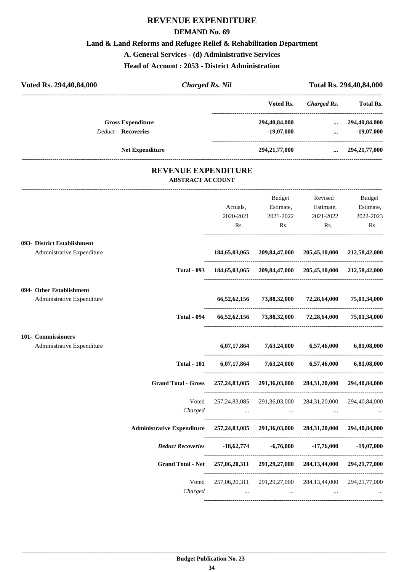#### **DEMAND No. 69**

### **Land & Land Reforms and Refugee Relief & Rehabilitation Department**

**A. General Services - (d) Administrative Services**

**Head of Account : 2053 - District Administration**

| Voted Rs. 294,40,84,000                                   | <b>Charged Rs. Nil</b>                             |                                                                   | Total Rs. 294,40,84,000                                                         |                                                                  |
|-----------------------------------------------------------|----------------------------------------------------|-------------------------------------------------------------------|---------------------------------------------------------------------------------|------------------------------------------------------------------|
|                                                           |                                                    | Voted Rs.                                                         | ----------------------<br><b>Charged Rs.</b><br>------------------------------- | <b>Total Rs.</b>                                                 |
| <b>Gross Expenditure</b><br><b>Deduct - Recoveries</b>    |                                                    | 294,40,84,000<br>$-19,07,000$                                     | $\cdots$                                                                        | 294,40,84,000<br>$-19,07,000$<br>$\cdots$ . The same of $\cdots$ |
| <b>Net Expenditure</b>                                    |                                                    | 294,21,77,000                                                     |                                                                                 | $\ldots$ 294,21,77,000                                           |
| <b>REVENUE EXPENDITURE</b><br><b>ABSTRACT ACCOUNT</b>     |                                                    |                                                                   |                                                                                 |                                                                  |
|                                                           | Actuals,<br>2020-2021<br>Rs.                       | Budget<br>Estimate,<br>2021-2022<br>Rs.                           | Revised<br>Estimate,<br>2021-2022<br>Rs.                                        | Budget<br>Estimate,<br>2022-2023<br>Rs.                          |
| 093- District Establishment<br>Administrative Expenditure | 184,65,03,065                                      |                                                                   | 209,84,47,000 205,45,10,000                                                     | 212,58,42,000                                                    |
| <b>Total - 093</b>                                        |                                                    | 184,65,03,065 209,84,47,000 205,45,10,000 212,58,42,000           |                                                                                 |                                                                  |
| 094- Other Establishment<br>Administrative Expenditure    | 66,52,62,156                                       |                                                                   | 73,88,32,000 72,28,64,000                                                       | 75,01,34,000                                                     |
| <b>Total - 094</b>                                        | 66,52,62,156                                       | 73,88,32,000                                                      | 72,28,64,000                                                                    | 75,01,34,000                                                     |
| 101- Commissioners<br>Administrative Expenditure          | 6,07,17,864                                        |                                                                   | 7,63,24,000 6,57,46,000                                                         | 6,81,08,000                                                      |
| <b>Total - 101</b>                                        | 6,07,17,864                                        | 7,63,24,000                                                       | 6,57,46,000                                                                     | 6,81,08,000                                                      |
| <b>Grand Total - Gross</b>                                |                                                    | 257,24,83,085 291,36,03,000 284,31,20,000 294,40,84,000           |                                                                                 |                                                                  |
| Voted<br>Charged                                          | 257, 24, 83, 085                                   | 291,36,03,000<br>the control of the control of the control of the | 284,31,20,000                                                                   | 294,40,84,000                                                    |
| <b>Administrative Expenditure</b>                         | 257, 24, 83, 085 291, 36, 03, 000 284, 31, 20, 000 |                                                                   |                                                                                 | 294,40,84,000                                                    |
| <b>Deduct Recoveries</b>                                  |                                                    | $-18,62,774$ $-6,76,000$                                          | $-17,76,000$                                                                    | $-19,07,000$                                                     |
| <b>Grand Total - Net</b>                                  |                                                    | 257,06,20,311 291,29,27,000 284,13,44,000                         |                                                                                 | 294, 21, 77, 000                                                 |
| Voted<br>Charged                                          | 257,06,20,311<br>$\ldots$                          | and the contract of the state                                     | 291, 29, 27, 000 284, 13, 44, 000<br>$\cdots$                                   | 294, 21, 77, 000                                                 |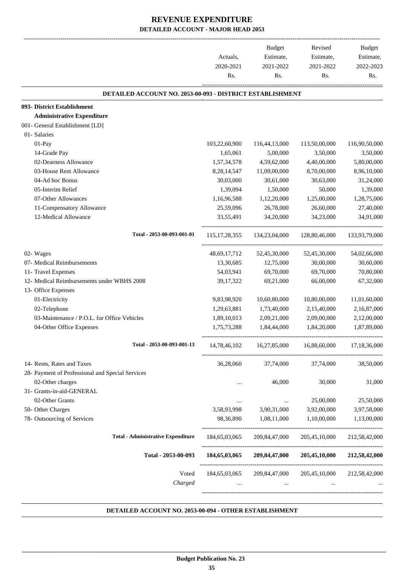|                                                           |                  | Budget                    | Revised       | <b>Budget</b> |
|-----------------------------------------------------------|------------------|---------------------------|---------------|---------------|
|                                                           | Actuals,         | Estimate,                 | Estimate,     | Estimate,     |
|                                                           | 2020-2021        | 2021-2022                 | 2021-2022     | 2022-2023     |
|                                                           | Rs.              | Rs.                       | Rs.           | Rs.           |
| DETAILED ACCOUNT NO. 2053-00-093 - DISTRICT ESTABLISHMENT |                  |                           |               |               |
| 093- District Establishment                               |                  |                           |               |               |
| <b>Administrative Expenditure</b>                         |                  |                           |               |               |
| 001- General Establishment [LD]                           |                  |                           |               |               |
| 01- Salaries                                              |                  |                           |               |               |
| 01-Pay                                                    | 103,22,60,900    | 116,44,13,000             | 113,50,00,000 | 116,90,50,000 |
| 14-Grade Pay                                              | 1,65,061         | 5,00,000                  | 3,50,000      | 3,50,000      |
| 02-Dearness Allowance                                     | 1,57,34,578      | 4,59,62,000               | 4,40,00,000   | 5,80,00,000   |
| 03-House Rent Allowance                                   | 8,28,14,547      | 11,09,00,000              | 8,70,00,000   | 8,96,10,000   |
| 04-Ad hoc Bonus                                           | 30,03,000        | 30,61,000                 | 30,63,000     | 31,24,000     |
| 05-Interim Relief                                         | 1,39,094         | 1,50,000                  | 50,000        | 1,39,000      |
| 07-Other Allowances                                       | 1,16,96,588      | 1,12,20,000               | 1,25,00,000   | 1,28,75,000   |
| 11-Compensatory Allowance                                 | 25,59,096        | 26,78,000                 | 26,60,000     | 27,40,000     |
| 12-Medical Allowance                                      | 33,55,491        | 34,20,000                 | 34,23,000     | 34,91,000     |
| Total - 2053-00-093-001-01                                | 115, 17, 28, 355 | 134,23,04,000             | 128,80,46,000 | 133,93,79,000 |
| 02- Wages                                                 | 48,69,17,712     | 52,45,30,000              | 52,45,30,000  | 54,02,66,000  |
| 07- Medical Reimbursements                                | 13,30,685        | 12,75,000                 | 30,00,000     | 30,60,000     |
| 11- Travel Expenses                                       | 54,03,941        | 69,70,000                 | 69,70,000     | 70,80,000     |
| 12- Medical Reimbursements under WBHS 2008                | 39,17,322        | 69,21,000                 | 66,00,000     | 67,32,000     |
| 13- Office Expenses                                       |                  |                           |               |               |
| 01-Electricity                                            | 9,83,98,920      | 10,60,80,000              | 10,80,00,000  | 11,01,60,000  |
| 02-Telephone                                              | 1,29,63,881      | 1,73,40,000               | 2,15,40,000   | 2,16,87,000   |
| 03-Maintenance / P.O.L. for Office Vehicles               | 1,89,10,013      | 2,09,21,000               | 2,09,00,000   | 2,12,00,000   |
| 04-Other Office Expenses                                  | 1,75,73,288      | 1,84,44,000               | 1,84,20,000   | 1,87,89,000   |
| Total - 2053-00-093-001-13                                | 14,78,46,102     | 16,27,85,000              | 16,88,60,000  | 17,18,36,000  |
| 14- Rents, Rates and Taxes                                | 36,28,060        | 37,74,000                 | 37,74,000     | 38,50,000     |
| 28- Payment of Professional and Special Services          |                  |                           |               |               |
| 02-Other charges                                          |                  | 46,000                    | 30,000        | 31,000        |
| 31- Grants-in-aid-GENERAL                                 |                  |                           |               |               |
| 02-Other Grants                                           | $\cdots$         |                           | 25,00,000     | 25,50,000     |
| 50- Other Charges                                         | 3,58,93,998      | 3,90,31,000               | 3,92,00,000   | 3,97,58,000   |
| 78- Outsourcing of Services                               | 98,36,890        | 1,08,11,000               | 1,10,00,000   | 1,13,00,000   |
| <b>Total - Administrative Expenditure</b>                 | 184,65,03,065    | 209,84,47,000             | 205,45,10,000 | 212,58,42,000 |
| Total - 2053-00-093                                       | 184,65,03,065    | 209,84,47,000             | 205,45,10,000 | 212,58,42,000 |
| Voted<br>Charged                                          | 184,65,03,065    | 209,84,47,000<br>$\cdots$ | 205,45,10,000 | 212,58,42,000 |

#### **DETAILED ACCOUNT NO. 2053-00-094 - OTHER ESTABLISHMENT .**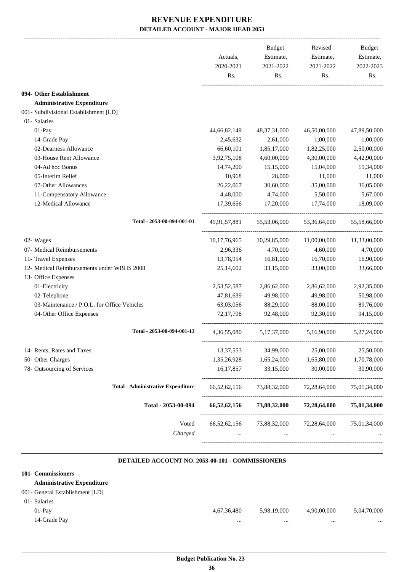|                                             | Actuals,<br>2020-2021<br>Rs. | <b>Budget</b><br>Estimate,<br>2021-2022<br>Rs. | Revised<br>Estimate,<br>2021-2022<br>Rs. | Budget<br>Estimate,<br>2022-2023<br>Rs. |
|---------------------------------------------|------------------------------|------------------------------------------------|------------------------------------------|-----------------------------------------|
|                                             |                              |                                                |                                          |                                         |
| 094- Other Establishment                    |                              |                                                |                                          |                                         |
| <b>Administrative Expenditure</b>           |                              |                                                |                                          |                                         |
| 001- Subdivisional Establishment [LD]       |                              |                                                |                                          |                                         |
| 01- Salaries                                |                              |                                                |                                          |                                         |
| $01-Pay$                                    | 44,66,82,149                 | 48, 37, 31, 000                                | 46,50,00,000                             | 47,89,50,000                            |
| 14-Grade Pay                                | 2,45,632                     | 2,61,000                                       | 1,00,000                                 | 1,00,000                                |
| 02-Dearness Allowance                       | 66,60,101                    | 1,85,17,000                                    | 1,82,25,000                              | 2,50,00,000                             |
| 03-House Rent Allowance                     | 3,92,75,108                  | 4,60,00,000                                    | 4,30,00,000                              | 4,42,90,000                             |
| 04-Ad hoc Bonus                             | 14,74,200                    | 15,15,000                                      | 15,04,000                                | 15,34,000                               |
| 05-Interim Relief                           | 10,968                       | 28,000                                         | 11,000                                   | 11,000                                  |
| 07-Other Allowances                         | 26,22,067                    | 30,60,000                                      | 35,00,000                                | 36,05,000                               |
| 11-Compensatory Allowance                   | 4,48,000                     | 4,74,000                                       | 5,50,000                                 | 5,67,000                                |
| 12-Medical Allowance                        | 17,39,656                    | 17,20,000                                      | 17,74,000                                | 18,09,000                               |
| Total - 2053-00-094-001-01                  | 49,91,57,881                 | 55,53,06,000                                   | 53,36,64,000                             | 55,58,66,000                            |
| 02- Wages                                   | 10, 17, 76, 965              | 10,29,85,000                                   | 11,00,00,000                             | 11,33,00,000                            |
| 07- Medical Reimbursements                  | 2,96,336                     | 4,70,000                                       | 4,60,000                                 | 4,70,000                                |
| 11- Travel Expenses                         | 13,78,954                    | 16,81,000                                      | 16,70,000                                | 16,90,000                               |
| 12- Medical Reimbursements under WBHS 2008  | 25,14,602                    | 33,15,000                                      | 33,00,000                                | 33,66,000                               |
| 13- Office Expenses                         |                              |                                                |                                          |                                         |
| 01-Electricity                              | 2,53,52,587                  | 2,86,62,000                                    | 2,86,62,000                              | 2,92,35,000                             |
| 02-Telephone                                | 47,81,639                    | 49,98,000                                      | 49,98,000                                | 50,98,000                               |
| 03-Maintenance / P.O.L. for Office Vehicles | 63,03,056                    | 88,29,000                                      | 88,00,000                                | 89,76,000                               |
| 04-Other Office Expenses                    | 72,17,798                    | 92,48,000                                      | 92,30,000                                | 94,15,000                               |
| Total - 2053-00-094-001-13                  | 4,36,55,080                  | 5, 17, 37, 000                                 | 5,16,90,000                              | 5,27,24,000                             |
| 14- Rents, Rates and Taxes                  | 13, 37, 553                  | 34,99,000                                      | 25,00,000                                | 25,50,000                               |
| 50- Other Charges                           | 1,35,26,928                  | 1,65,24,000                                    | 1,65,80,000                              | 1,70,78,000                             |
| 78- Outsourcing of Services                 | 16,17,857                    | 33,15,000                                      | 30,00,000                                | 30,90,000                               |
| <b>Total - Administrative Expenditure</b>   | 66, 52, 62, 156              | 73,88,32,000                                   | 72,28,64,000                             | 75,01,34,000                            |
| Total - 2053-00-094                         | 66,52,62,156                 | 73,88,32,000                                   | 72,28,64,000                             | 75,01,34,000                            |
|                                             |                              |                                                |                                          |                                         |
| Voted                                       | 66, 52, 62, 156              | 73,88,32,000                                   | 72,28,64,000                             | 75,01,34,000                            |
| Charged                                     |                              |                                                |                                          |                                         |

#### **DETAILED ACCOUNT NO. 2053-00-101 - COMMISSIONERS**

.

| 101- Commissioners                |             |             |             |             |
|-----------------------------------|-------------|-------------|-------------|-------------|
| <b>Administrative Expenditure</b> |             |             |             |             |
| 001- General Establishment [LD]   |             |             |             |             |
| 01- Salaries                      |             |             |             |             |
| $01-Pav$                          | 4,67,36,480 | 5,98,19,000 | 4,90,00,000 | 5,04,70,000 |
| 14-Grade Pay                      |             |             |             |             |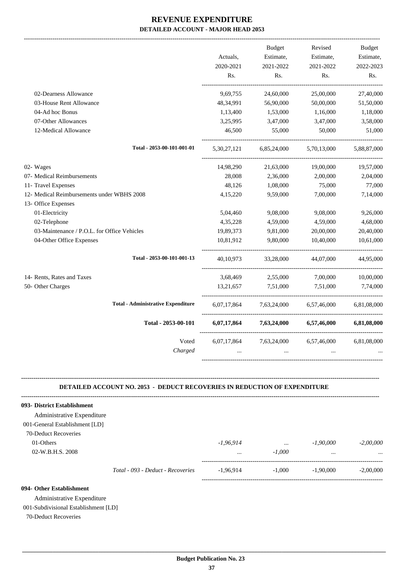|                                             |             | <b>Budget</b> | Revised     | <b>Budget</b> |
|---------------------------------------------|-------------|---------------|-------------|---------------|
|                                             | Actuals,    | Estimate,     | Estimate,   | Estimate,     |
|                                             | 2020-2021   | 2021-2022     | 2021-2022   | 2022-2023     |
|                                             | Rs.         | Rs.           | Rs.         | Rs.           |
| 02-Dearness Allowance                       | 9,69,755    | 24,60,000     | 25,00,000   | 27,40,000     |
| 03-House Rent Allowance                     | 48,34,991   | 56,90,000     | 50,00,000   | 51,50,000     |
| 04-Ad hoc Bonus                             | 1,13,400    | 1,53,000      | 1,16,000    | 1,18,000      |
| 07-Other Allowances                         | 3,25,995    | 3,47,000      | 3,47,000    | 3,58,000      |
| 12-Medical Allowance                        | 46,500      | 55,000        | 50,000      | 51,000        |
| Total - 2053-00-101-001-01                  | 5,30,27,121 | 6,85,24,000   | 5,70,13,000 | 5,88,87,000   |
| 02- Wages                                   | 14,98,290   | 21,63,000     | 19,00,000   | 19,57,000     |
| 07- Medical Reimbursements                  | 28,008      | 2,36,000      | 2,00,000    | 2,04,000      |
| 11- Travel Expenses                         | 48,126      | 1,08,000      | 75,000      | 77,000        |
| 12- Medical Reimbursements under WBHS 2008  | 4,15,220    | 9,59,000      | 7,00,000    | 7,14,000      |
| 13- Office Expenses                         |             |               |             |               |
| 01-Electricity                              | 5,04,460    | 9,08,000      | 9,08,000    | 9,26,000      |
| 02-Telephone                                | 4,35,228    | 4,59,000      | 4,59,000    | 4,68,000      |
| 03-Maintenance / P.O.L. for Office Vehicles | 19,89,373   | 9,81,000      | 20,00,000   | 20,40,000     |
| 04-Other Office Expenses                    | 10,81,912   | 9,80,000      | 10,40,000   | 10,61,000     |
| Total - 2053-00-101-001-13                  | 40, 10, 973 | 33,28,000     | 44,07,000   | 44,95,000     |
| 14- Rents, Rates and Taxes                  | 3,68,469    | 2,55,000      | 7,00,000    | 10,00,000     |
| 50- Other Charges                           | 13,21,657   | 7,51,000      | 7,51,000    | 7,74,000      |
| <b>Total - Administrative Expenditure</b>   | 6,07,17,864 | 7,63,24,000   | 6,57,46,000 | 6,81,08,000   |
| Total - 2053-00-101                         | 6,07,17,864 | 7,63,24,000   | 6,57,46,000 | 6,81,08,000   |
| Voted                                       | 6,07,17,864 | 7,63,24,000   | 6,57,46,000 | 6,81,08,000   |
| Charged                                     |             |               |             |               |
|                                             |             |               |             |               |

#### **-------------------------------------------------------------------------------------------------------------------------------------------------------------------------------- DETAILED ACCOUNT NO. 2053 - DEDUCT RECOVERIES IN REDUCTION OF EXPENDITURE**

| 093- District Establishment    |                                   |             |          |             |             |
|--------------------------------|-----------------------------------|-------------|----------|-------------|-------------|
| Administrative Expenditure     |                                   |             |          |             |             |
| 001-General Establishment [LD] |                                   |             |          |             |             |
| 70-Deduct Recoveries           |                                   |             |          |             |             |
| 01-Others                      |                                   | $-1.96.914$ | $\cdots$ | $-1,90,000$ | $-2,00,000$ |
| 02-W.B.H.S. 2008               |                                   | $\cdots$    | $-1.000$ | $\cdots$    | $\cdots$    |
|                                | Total - 093 - Deduct - Recoveries | $-1.96.914$ | $-1.000$ | $-1,90,000$ | $-2.00,000$ |
|                                |                                   |             |          |             |             |

#### **094- Other Establishment**

Administrative Expenditure

001-Subdivisional Establishment [LD]

70-Deduct Recoveries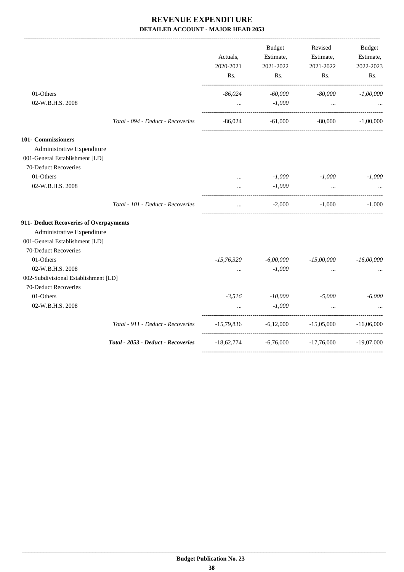-------------------------------------------------------------------------------------------------------------------------------------------------------------------------------

|                                                                                                                   |                                    | Actuals,<br>2020-2021<br>Rs. | <b>Budget</b><br>Estimate,<br>2021-2022<br>Rs. | Revised<br>Estimate,<br>2021-2022<br>Rs.           | <b>Budget</b><br>Estimate,<br>2022-2023<br>Rs. |
|-------------------------------------------------------------------------------------------------------------------|------------------------------------|------------------------------|------------------------------------------------|----------------------------------------------------|------------------------------------------------|
| 01-Others<br>02-W.B.H.S. 2008                                                                                     |                                    | $-86,024$                    | $-60,000$<br>$-1,000$                          | $-80,000$                                          | $-1,00,000$                                    |
|                                                                                                                   |                                    | $\cdots$                     |                                                | $\ddots$                                           |                                                |
|                                                                                                                   | Total - 094 - Deduct - Recoveries  | -86,024                      | $-61,000$                                      | $-80,000$                                          | $-1.00,000$                                    |
| <b>101- Commissioners</b><br>Administrative Expenditure<br>001-General Establishment [LD]<br>70-Deduct Recoveries |                                    |                              |                                                |                                                    |                                                |
| 01-Others                                                                                                         |                                    | $\cdots$                     | $-1,000$                                       | $-1,000$                                           | $-1,000$                                       |
| 02-W.B.H.S. 2008                                                                                                  |                                    | $\cdots$                     | $-1,000$                                       | $\ddotsc$                                          |                                                |
|                                                                                                                   | Total - 101 - Deduct - Recoveries  | $\ddotsc$                    | $-2,000$                                       | -1.000                                             | $-1.000$                                       |
| 911- Deduct Recoveries of Overpayments                                                                            |                                    |                              |                                                |                                                    |                                                |
| Administrative Expenditure                                                                                        |                                    |                              |                                                |                                                    |                                                |
| 001-General Establishment [LD]                                                                                    |                                    |                              |                                                |                                                    |                                                |
| 70-Deduct Recoveries                                                                                              |                                    |                              |                                                |                                                    |                                                |
| 01-Others                                                                                                         |                                    | $-15,76,320$                 | $-6,00,000$                                    | $-15,00,000$                                       | $-16,00,000$                                   |
| 02-W.B.H.S. 2008                                                                                                  |                                    |                              | $-1,000$                                       |                                                    |                                                |
| 002-Subdivisional Establishment [LD]<br>70-Deduct Recoveries                                                      |                                    |                              |                                                |                                                    |                                                |
| 01-Others                                                                                                         |                                    | $-3,516$                     | $-10,000$                                      | $-5,000$                                           | $-6,000$                                       |
| 02-W.B.H.S. 2008                                                                                                  |                                    |                              | $-1,000$                                       | $\ddotsc$                                          |                                                |
|                                                                                                                   | Total - 911 - Deduct - Recoveries  |                              |                                                | $-15,79,836$ $-6,12,000$ $-15,05,000$ $-16,06,000$ |                                                |
|                                                                                                                   | Total - 2053 - Deduct - Recoveries | $-18,62,774$                 |                                                | $-6,76,000$ $-17,76,000$ $-19,07,000$              |                                                |
|                                                                                                                   |                                    |                              |                                                |                                                    |                                                |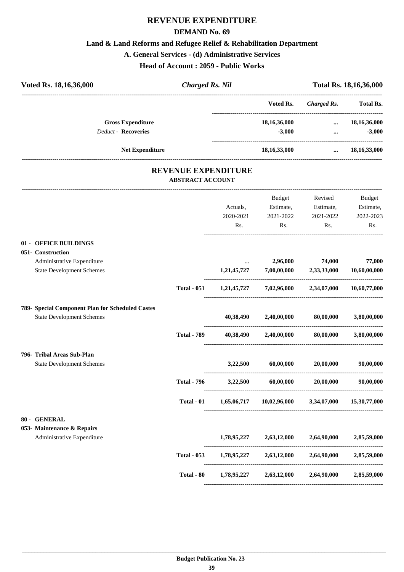#### **DEMAND No. 69**

#### **Land & Land Reforms and Refugee Relief & Rehabilitation Department**

#### **A. General Services - (d) Administrative Services**

**Head of Account : 2059 - Public Works**

| Voted Rs. 18, 16, 36, 000<br><b>Charged Rs. Nil</b>   |             |                                           |                       | Total Rs. 18, 16, 36, 000 |
|-------------------------------------------------------|-------------|-------------------------------------------|-----------------------|---------------------------|
|                                                       |             | Voted Rs.                                 | <b>Charged Rs.</b>    | <b>Total Rs.</b>          |
| <b>Gross Expenditure</b>                              |             | 18,16,36,000                              | $\cdots$              | 18, 16, 36, 000           |
| <b>Deduct - Recoveries</b>                            |             | $-3,000$                                  | $\cdots$              | $-3,000$                  |
| Net Expenditure                                       |             | 18, 16, 33, 000                           | $\cdots$              | 18, 16, 33, 000           |
| <b>REVENUE EXPENDITURE</b><br><b>ABSTRACT ACCOUNT</b> |             |                                           |                       |                           |
|                                                       |             | Budget                                    | Revised               | Budget                    |
|                                                       | Actuals,    | Estimate,                                 | Estimate,             | Estimate,                 |
|                                                       | 2020-2021   | 2021-2022                                 | 2021-2022             | 2022-2023                 |
|                                                       | Rs.         | Rs.                                       | Rs.                   | R <sub>s</sub> .          |
| 01 - OFFICE BUILDINGS                                 |             |                                           |                       |                           |
| 051- Construction                                     |             |                                           |                       |                           |
| Administrative Expenditure                            |             | 2,96,000                                  | 74,000                | 77,000                    |
| <b>State Development Schemes</b>                      | 1,21,45,727 | $7,\!00,\!00,\!000$                       | 2,33,33,000           | 10,60,00,000              |
| <b>Total - 051</b>                                    |             | $1,21,45,727$ $7,02,96,000$ $2,34,07,000$ |                       | 10,60,77,000              |
| 789- Special Component Plan for Scheduled Castes      |             |                                           |                       |                           |
| <b>State Development Schemes</b>                      | 40,38,490   | 2,40,00,000                               | $80,\!00,\!000$       | 3,80,00,000               |
| <b>Total - 789</b>                                    | 40,38,490   |                                           | 2,40,00,000 80,00,000 | 3,80,00,000               |

# **796- Tribal Areas Sub-Plan**

State Development Schemes **3,22,500 60,00,000 20,00,000 90,00,000**

#### **80 - GENERAL**

#### **053- Maintenance & Repairs**

| <b>Administrative Expenditure</b> | 1,78,95,227 | 2,63,12,000 | 2,64,90,000 | 2,85,59,000 |
|-----------------------------------|-------------|-------------|-------------|-------------|
|                                   |             |             |             |             |

----------------------------------------------------------------------------------------

----------------------------------------------------------------------------------------

----------------------------------------------------------------------------------------

----------------------------------------------------------------------------------------

----------------------------------------------------------------------------------------

**Total - 796 3,22,500 60,00,000 20,00,000 90,00,000**

**Total - 01 1,65,06,717 10,02,96,000 3,34,07,000 15,30,77,000**

**Total - 053 1,78,95,227 2,63,12,000 2,64,90,000 2,85,59,000**

**Total - 80 1,78,95,227 2,63,12,000 2,64,90,000 2,85,59,000**

----------------------------------------------------------------------------------------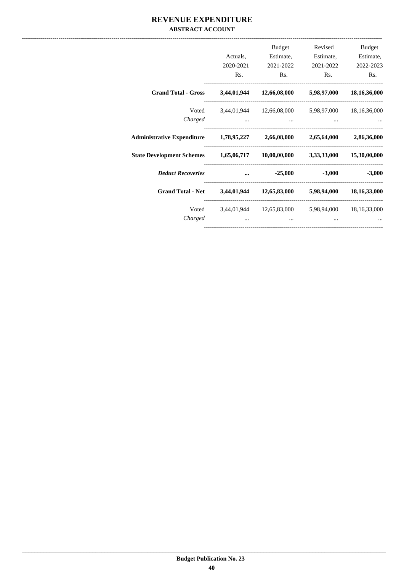### REVENUE EXPENDITURE **ABSTRACT ACCOUNT**

|                                                                              | 2020-2021<br>Rs.                                                                                                                                                                                                                     | Budget<br>Actuals, Estimate,<br>2021-2022<br>Rs.        | Revised<br>Estimate,<br>Rs. | Budget<br>Estimate,<br>2021-2022 2022-2023<br>Rs. |
|------------------------------------------------------------------------------|--------------------------------------------------------------------------------------------------------------------------------------------------------------------------------------------------------------------------------------|---------------------------------------------------------|-----------------------------|---------------------------------------------------|
| Grand Total - Gross 3,44,01,944 12,66,08,000 5,98,97,000 18,16,36,000        |                                                                                                                                                                                                                                      |                                                         |                             |                                                   |
| Charged                                                                      |                                                                                                                                                                                                                                      | Voted 3,44,01,944 12,66,08,000 5,98,97,000 18,16,36,000 |                             |                                                   |
| Administrative Expenditure 1,78,95,227 2,66,08,000 2,65,64,000 2,86,36,000   |                                                                                                                                                                                                                                      |                                                         |                             |                                                   |
| State Development Schemes 1,65,06,717 10,00,00,000 3,33,33,3000 15,30,00,000 |                                                                                                                                                                                                                                      |                                                         |                             |                                                   |
| <b>Deduct Recoveries</b>                                                     | <u>and a straightful and a straightful and a straightful and a straightful and a straightful and a straightful and a straightful and a straightful and a straightful and a straightful and a straightful and a straightful and a</u> | $-25,000$ $-3,000$                                      |                             | $-3,000$                                          |
| Grand Total - Net 3,44,01,944 12,65,83,000 5,98,94,000 18,16,33,000          |                                                                                                                                                                                                                                      |                                                         |                             |                                                   |
| Charged                                                                      |                                                                                                                                                                                                                                      | Voted 3,44,01,944 12,65,83,000 5,98,94,000 18,16,33,000 |                             |                                                   |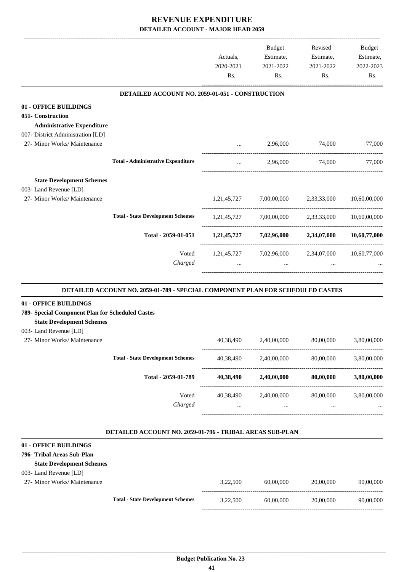|                                                                        |                                                                                | Actuals,<br>2020-2021<br>Rs. | Budget<br>Estimate,<br>2021-2022<br>Rs.         | Revised<br>Estimate,<br>2021-2022<br>Rs. | Budget<br>Estimate,<br>2022-2023<br>Rs. |
|------------------------------------------------------------------------|--------------------------------------------------------------------------------|------------------------------|-------------------------------------------------|------------------------------------------|-----------------------------------------|
|                                                                        | DETAILED ACCOUNT NO. 2059-01-051 - CONSTRUCTION                                |                              |                                                 |                                          |                                         |
| 01 - OFFICE BUILDINGS                                                  |                                                                                |                              |                                                 |                                          |                                         |
| 051- Construction                                                      |                                                                                |                              |                                                 |                                          |                                         |
| <b>Administrative Expenditure</b><br>007- District Administration [LD] |                                                                                |                              |                                                 |                                          |                                         |
| 27- Minor Works/ Maintenance                                           |                                                                                | $\cdots$                     | 2,96,000                                        | 74,000                                   | 77,000                                  |
|                                                                        |                                                                                |                              |                                                 |                                          |                                         |
|                                                                        | <b>Total - Administrative Expenditure</b>                                      | $\cdots$                     | 2,96,000                                        | 74,000                                   | 77,000                                  |
| <b>State Development Schemes</b>                                       |                                                                                |                              |                                                 |                                          |                                         |
| 003- Land Revenue [LD]                                                 |                                                                                |                              |                                                 |                                          |                                         |
| 27- Minor Works/ Maintenance                                           |                                                                                |                              | 1,21,45,727 7,00,00,000                         | 2,33,33,000                              | 10,60,00,000                            |
|                                                                        | <b>Total - State Development Schemes</b>                                       |                              | $1,21,45,727$ $7,00,00,000$ $2,33,33,000$       |                                          | 10,60,00,000                            |
|                                                                        | Total - 2059-01-051                                                            |                              | $1,21,45,727$ $7,02,96,000$ $2,34,07,000$       |                                          | 10,60,77,000                            |
|                                                                        |                                                                                |                              |                                                 |                                          |                                         |
|                                                                        | Voted<br>Charged                                                               | $\cdots$                     | 1,21,45,727 7,02,96,000 2,34,07,000<br>$\cdots$ |                                          | 10,60,77,000                            |
|                                                                        |                                                                                |                              |                                                 |                                          |                                         |
|                                                                        | DETAILED ACCOUNT NO. 2059-01-789 - SPECIAL COMPONENT PLAN FOR SCHEDULED CASTES |                              |                                                 |                                          |                                         |
| 01 - OFFICE BUILDINGS                                                  |                                                                                |                              |                                                 |                                          |                                         |
| 789- Special Component Plan for Scheduled Castes                       |                                                                                |                              |                                                 |                                          |                                         |
| <b>State Development Schemes</b>                                       |                                                                                |                              |                                                 |                                          |                                         |
| 003- Land Revenue [LD]<br>27- Minor Works/ Maintenance                 |                                                                                | 40,38,490                    | 2,40,00,000                                     | 80,00,000                                | 3,80,00,000                             |
|                                                                        |                                                                                |                              |                                                 |                                          |                                         |
|                                                                        | <b>Total - State Development Schemes</b>                                       | 40,38,490                    | 2,40,00,000                                     | 80,00,000                                | 3,80,00,000                             |
|                                                                        | Total - 2059-01-789                                                            | 40,38,490                    | 2,40,00,000                                     | 80,00,000                                | 3,80,00,000                             |
|                                                                        | Voted<br>Charged                                                               | 40,38,490<br>$\cdots$        | 2,40,00,000<br>$\cdots$                         | 80,00,000<br>$\cdots$                    | 3,80,00,000                             |
|                                                                        |                                                                                |                              |                                                 |                                          |                                         |
|                                                                        | <b>DETAILED ACCOUNT NO. 2059-01-796 - TRIBAL AREAS SUB-PLAN</b>                |                              |                                                 |                                          |                                         |
| 01 - OFFICE BUILDINGS                                                  |                                                                                |                              |                                                 |                                          |                                         |
| 796- Tribal Areas Sub-Plan                                             |                                                                                |                              |                                                 |                                          |                                         |
| <b>State Development Schemes</b>                                       |                                                                                |                              |                                                 |                                          |                                         |
| 003- Land Revenue [LD]                                                 |                                                                                |                              |                                                 |                                          |                                         |
| 27- Minor Works/ Maintenance                                           |                                                                                | 3,22,500                     | 60,00,000                                       | 20,00,000                                | 90,00,000                               |
|                                                                        | <b>Total - State Development Schemes</b>                                       | 3,22,500                     | 60,00,000                                       | 20,00,000                                | 90,00,000                               |

-----------------------------------------------------------------------------------------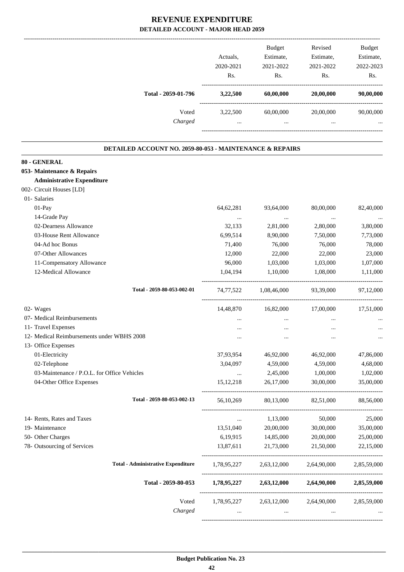|                                                          | Actuals,<br>2020-2021<br>Rs. | Budget<br>Estimate,<br>2021-2022<br>Rs. | Revised<br>Estimate,<br>2021-2022<br>Rs. | <b>Budget</b><br>Estimate,<br>2022-2023<br>Rs. |
|----------------------------------------------------------|------------------------------|-----------------------------------------|------------------------------------------|------------------------------------------------|
| Total - 2059-01-796                                      | 3,22,500                     | 60,00,000                               | 20,00,000                                | 90,00,000                                      |
| Voted                                                    | 3,22,500                     | 60,00,000                               | 20,00,000                                | 90,00,000                                      |
| Charged                                                  | $\cdots$                     | $\cdots$                                |                                          |                                                |
| DETAILED ACCOUNT NO. 2059-80-053 - MAINTENANCE & REPAIRS |                              |                                         |                                          |                                                |
| 80 - GENERAL                                             |                              |                                         |                                          |                                                |
| 053- Maintenance & Repairs                               |                              |                                         |                                          |                                                |
| <b>Administrative Expenditure</b>                        |                              |                                         |                                          |                                                |
| 002- Circuit Houses [LD]                                 |                              |                                         |                                          |                                                |
| 01- Salaries                                             |                              |                                         |                                          |                                                |
| 01-Pay                                                   | 64, 62, 281                  | 93,64,000                               | 80,00,000                                | 82,40,000                                      |
| 14-Grade Pay                                             | $\ldots$                     | $\cdots$                                | $\ldots$                                 |                                                |
| 02-Dearness Allowance                                    | 32,133                       | 2,81,000                                | 2,80,000                                 | 3,80,000                                       |
| 03-House Rent Allowance                                  | 6,99,514                     | 8,90,000                                | 7,50,000                                 | 7,73,000                                       |
| 04-Ad hoc Bonus                                          | 71,400                       | 76,000                                  | 76,000                                   | 78,000                                         |
| 07-Other Allowances                                      | 12,000                       | 22,000                                  | 22,000                                   | 23,000                                         |
| 11-Compensatory Allowance                                | 96,000                       | 1,03,000                                | 1,03,000                                 | 1,07,000                                       |
| 12-Medical Allowance                                     | 1,04,194                     | 1,10,000                                | 1,08,000                                 | 1,11,000                                       |
| Total - 2059-80-053-002-01                               |                              | 74,77,522 1,08,46,000                   | 93,39,000                                | 97,12,000                                      |
| 02- Wages                                                | 14,48,870                    | 16,82,000                               | 17,00,000                                | 17,51,000                                      |
| 07- Medical Reimbursements                               |                              | $\cdots$                                | $\cdots$                                 |                                                |
| 11- Travel Expenses                                      | $\cdots$                     | $\cdots$                                | $\cdots$                                 |                                                |
| 12- Medical Reimbursements under WBHS 2008               | $\cdots$                     |                                         |                                          |                                                |
| 13- Office Expenses                                      |                              |                                         |                                          |                                                |
| 01-Electricity                                           | 37,93,954                    | 46,92,000                               | 46,92,000                                | 47,86,000                                      |
| 02-Telephone                                             | 3,04,097                     | 4,59,000                                | 4,59,000                                 | 4,68,000                                       |
| 03-Maintenance / P.O.L. for Office Vehicles              | $\ldots$                     | 2,45,000                                | 1,00,000                                 | 1,02,000                                       |
| 04-Other Office Expenses                                 | 15, 12, 218                  | 26,17,000                               | 30,00,000                                | 35,00,000                                      |
| Total - 2059-80-053-002-13                               | 56,10,269                    | 80,13,000                               | 82,51,000                                | 88,56,000                                      |
| 14- Rents, Rates and Taxes                               | $\ldots$                     | 1,13,000                                | 50,000                                   | 25,000                                         |
| 19- Maintenance                                          | 13,51,040                    | 20,00,000                               | 30,00,000                                | 35,00,000                                      |
| 50- Other Charges                                        | 6,19,915                     | 14,85,000                               | 20,00,000                                | 25,00,000                                      |
| 78- Outsourcing of Services                              | 13,87,611                    | 21,73,000                               | 21,50,000                                | 22,15,000                                      |
| <b>Total - Administrative Expenditure</b>                |                              | 1,78,95,227 2,63,12,000                 | 2,64,90,000                              | 2,85,59,000                                    |
| Total - 2059-80-053                                      |                              | $1,78,95,227$ $2,63,12,000$             | 2,64,90,000                              | 2,85,59,000                                    |
| Voted                                                    | 1,78,95,227                  | 2,63,12,000                             | 2,64,90,000                              | 2,85,59,000                                    |
| Charged                                                  |                              |                                         |                                          |                                                |
|                                                          | $\cdots$                     | $\cdots$                                | $\cdots$                                 |                                                |

-----------------------------------------------------------------------------------------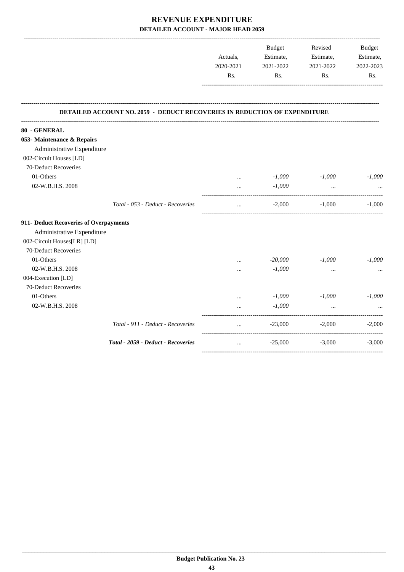|                                                                                  | <b>Budget</b> | Revised   | <b>Budget</b> |
|----------------------------------------------------------------------------------|---------------|-----------|---------------|
| Actuals.                                                                         | Estimate,     | Estimate, | Estimate,     |
| 2020-2021                                                                        | 2021-2022     | 2021-2022 | 2022-2023     |
| Rs.                                                                              | Rs.           | Rs.       | Rs            |
|                                                                                  |               |           |               |
|                                                                                  |               |           |               |
|                                                                                  |               |           |               |
| <b>DETAILED ACCOUNT NO. 2059 - DEDUCT RECOVERIES IN REDUCTION OF EXPENDITURE</b> |               |           |               |

**--------------------------------------------------------------------------------------------------------------------------------------------------------------------------------**

| 80 - GENERAL                           |                                    |          |           |           |          |
|----------------------------------------|------------------------------------|----------|-----------|-----------|----------|
| 053- Maintenance & Repairs             |                                    |          |           |           |          |
| Administrative Expenditure             |                                    |          |           |           |          |
| 002-Circuit Houses [LD]                |                                    |          |           |           |          |
| 70-Deduct Recoveries                   |                                    |          |           |           |          |
| 01-Others                              |                                    | $\cdots$ | $-1,000$  | $-1,000$  | $-1,000$ |
| 02-W.B.H.S. 2008                       |                                    | $\cdots$ | $-1,000$  | $\ddotsc$ |          |
|                                        | Total - 053 - Deduct - Recoveries  | $\cdots$ | $-2,000$  | $-1,000$  | $-1,000$ |
| 911- Deduct Recoveries of Overpayments |                                    |          |           |           |          |
| Administrative Expenditure             |                                    |          |           |           |          |
| 002-Circuit Houses[LR] [LD]            |                                    |          |           |           |          |
| 70-Deduct Recoveries                   |                                    |          |           |           |          |
| 01-Others                              |                                    | $\cdots$ | $-20,000$ | $-1,000$  | $-1,000$ |
| 02-W.B.H.S. 2008                       |                                    |          | $-1,000$  | $\cdots$  |          |
| 004-Execution [LD]                     |                                    |          |           |           |          |
| 70-Deduct Recoveries                   |                                    |          |           |           |          |
| 01-Others                              |                                    |          | $-1,000$  | $-1,000$  | $-1,000$ |
| 02-W.B.H.S. 2008                       |                                    |          | $-1,000$  |           |          |
|                                        | Total - 911 - Deduct - Recoveries  | $\cdots$ | $-23,000$ | $-2,000$  | $-2,000$ |
|                                        | Total - 2059 - Deduct - Recoveries | $\cdots$ | $-25,000$ | $-3,000$  | $-3,000$ |
|                                        |                                    |          |           |           |          |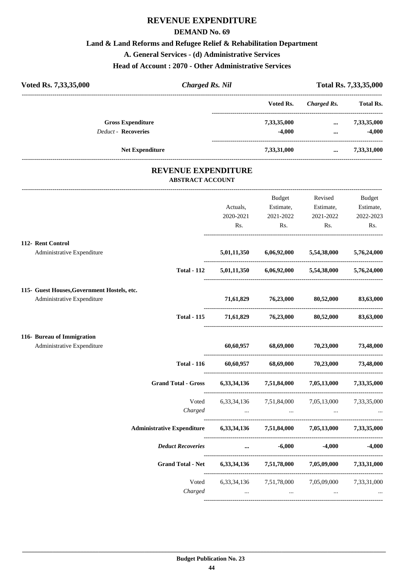#### **DEMAND No. 69**

#### **Land & Land Reforms and Refugee Relief & Rehabilitation Department**

**A. General Services - (d) Administrative Services**

**Head of Account : 2070 - Other Administrative Services**

| Voted Rs. 7,33,35,000      | <b>Charged Rs. Nil</b> |             |             | Total Rs. 7,33,35,000 |  |
|----------------------------|------------------------|-------------|-------------|-----------------------|--|
|                            |                        | Voted Rs.   | Charged Rs. | <b>Total Rs.</b>      |  |
| <b>Gross Expenditure</b>   |                        | 7,33,35,000 | $\cdots$    | 7,33,35,000           |  |
| <b>Deduct - Recoveries</b> |                        | $-4.000$    | $\cdots$    | $-4,000$              |  |
|                            | <b>Net Expenditure</b> | 7,33,31,000 | $\cdots$    | 7,33,31,000           |  |
|                            |                        |             |             |                       |  |

### **REVENUE EXPENDITURE ABSTRACT ACCOUNT**

---------------------------------------------------------------------------------------------------------------------------------------------------------------------------------

|                                                                           |                                                                            | Actuals,<br>2020-2021<br>Rs. | Budget<br>Estimate,<br>2021-2022<br>Rs.   | Revised<br>Estimate,<br>2021-2022<br>Rs.                                                                        | <b>Budget</b><br>Estimate,<br>2022-2023<br>Rs. |
|---------------------------------------------------------------------------|----------------------------------------------------------------------------|------------------------------|-------------------------------------------|-----------------------------------------------------------------------------------------------------------------|------------------------------------------------|
| 112- Rent Control                                                         |                                                                            |                              |                                           |                                                                                                                 |                                                |
| Administrative Expenditure                                                |                                                                            |                              | $5,01,11,350$ $6,06,92,000$ $5,54,38,000$ |                                                                                                                 | 5,76,24,000                                    |
|                                                                           | <b>Total - 112</b>                                                         |                              |                                           | $5,01,11,350$ $6,06,92,000$ $5,54,38,000$ $5,76,24,000$                                                         |                                                |
| 115- Guest Houses, Government Hostels, etc.<br>Administrative Expenditure |                                                                            |                              | 71,61,829 76,23,000 80,52,000             |                                                                                                                 | 83,63,000                                      |
|                                                                           | <b>Total - 115</b>                                                         |                              | 71,61,829 76,23,000 80,52,000             |                                                                                                                 | 83,63,000                                      |
| 116- Bureau of Immigration                                                |                                                                            |                              |                                           |                                                                                                                 |                                                |
| Administrative Expenditure                                                |                                                                            |                              | $60,60,957$ $68,69,000$ $70,23,000$       |                                                                                                                 | 73,48,000                                      |
|                                                                           | <b>Total - 116</b>                                                         |                              |                                           | $60,60,957$ $68,69,000$ $70,23,000$ $73,48,000$                                                                 |                                                |
|                                                                           | <b>Grand Total - Gross</b>                                                 |                              |                                           | $6,33,34,136$ $7,51,84,000$ $7,05,13,000$ $7,33,35,000$                                                         |                                                |
|                                                                           | Voted                                                                      |                              |                                           | 6,33,34,136 7,51,84,000 7,05,13,000 7,33,35,000                                                                 |                                                |
|                                                                           | Charged                                                                    |                              |                                           | المسافر المسافر المسافر المسافر المسافر المسافر المسافر المسافر المسافر المسافر المسافر المسافر المسافر المسافر |                                                |
|                                                                           | Administrative Expenditure 6,33,34,136 7,51,84,000 7,05,13,000 7,33,35,000 |                              |                                           |                                                                                                                 |                                                |
|                                                                           | <b>Deduct Recoveries</b>                                                   |                              | $-6,000$<br>$\cdots$                      | $-4.000$                                                                                                        | $-4,000$                                       |
|                                                                           | Grand Total - Net 6,33,34,136 7,51,78,000 7,05,09,000 7,33,31,000          |                              |                                           |                                                                                                                 |                                                |
|                                                                           | Voted<br>Charged                                                           | $\sim$ $\sim$                | $\cdots$                                  | 6,33,34,136 7,51,78,000 7,05,09,000 7,33,31,000<br>$\ddotsc$                                                    |                                                |
|                                                                           |                                                                            |                              |                                           |                                                                                                                 |                                                |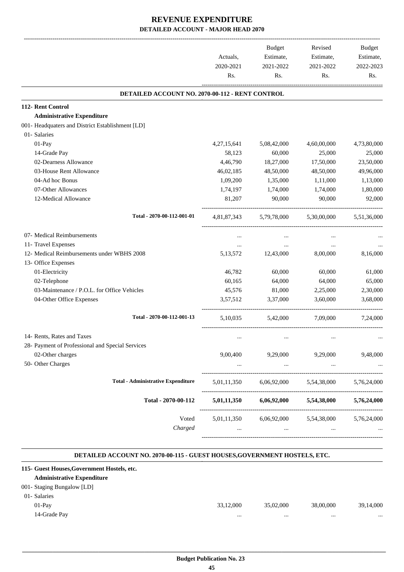|                                                        |                                     | <b>Budget</b> | Revised                             | Budget      |
|--------------------------------------------------------|-------------------------------------|---------------|-------------------------------------|-------------|
|                                                        | Actuals,                            | Estimate,     | Estimate,                           | Estimate,   |
|                                                        | 2020-2021<br>2021-2022<br>2021-2022 |               | 2022-2023                           |             |
|                                                        | Rs.                                 | Rs.           | Rs.                                 | Rs.         |
| <b>DETAILED ACCOUNT NO. 2070-00-112 - RENT CONTROL</b> |                                     |               |                                     |             |
| 112- Rent Control                                      |                                     |               |                                     |             |
| <b>Administrative Expenditure</b>                      |                                     |               |                                     |             |
| 001- Headquaters and District Establishment [LD]       |                                     |               |                                     |             |
| 01- Salaries                                           |                                     |               |                                     |             |
| 01-Pay                                                 | 4, 27, 15, 641                      | 5,08,42,000   | 4,60,00,000                         | 4,73,80,000 |
| 14-Grade Pay                                           | 58,123                              | 60,000        | 25,000                              | 25,000      |
| 02-Dearness Allowance                                  | 4,46,790                            | 18,27,000     | 17,50,000                           | 23,50,000   |
| 03-House Rent Allowance                                | 46,02,185                           | 48,50,000     | 48,50,000                           | 49,96,000   |
| 04-Ad hoc Bonus                                        | 1,09,200                            | 1,35,000      | 1,11,000                            | 1,13,000    |
| 07-Other Allowances                                    | 1,74,197                            | 1,74,000      | 1,74,000                            | 1,80,000    |
| 12-Medical Allowance                                   | 81,207                              | 90,000        | 90,000                              | 92,000      |
| Total - 2070-00-112-001-01                             | 4,81,87,343                         | 5,79,78,000   | 5,30,00,000                         | 5,51,36,000 |
| 07- Medical Reimbursements                             | $\cdots$                            | $\cdots$      | $\cdots$                            |             |
| 11- Travel Expenses                                    | $\cdots$                            | $\cdots$      | $\cdots$                            |             |
| 12- Medical Reimbursements under WBHS 2008             | 5, 13, 572                          | 12,43,000     | 8,00,000                            | 8,16,000    |
| 13- Office Expenses                                    |                                     |               |                                     |             |
| 01-Electricity                                         | 46,782                              | 60,000        | 60,000                              | 61,000      |
| 02-Telephone                                           | 60,165                              | 64,000        | 64,000                              | 65,000      |
| 03-Maintenance / P.O.L. for Office Vehicles            | 45,576                              | 81,000        | 2,25,000                            | 2,30,000    |
| 04-Other Office Expenses                               | 3,57,512                            | 3,37,000      | 3,60,000                            | 3,68,000    |
| Total - 2070-00-112-001-13                             | 5,10,035                            | 5,42,000      | 7,09,000                            | 7,24,000    |
| 14- Rents, Rates and Taxes                             | $\cdots$                            | $\cdots$      | $\cdots$                            |             |
| 28- Payment of Professional and Special Services       |                                     |               |                                     |             |
| 02-Other charges                                       | 9,00,400                            | 9,29,000      | 9,29,000                            | 9,48,000    |
| 50- Other Charges                                      |                                     | $\cdots$      | $\cdots$                            |             |
| <b>Total - Administrative Expenditure</b>              | 5,01,11,350                         | 6,06,92,000   | 5,54,38,000                         | 5,76,24,000 |
| Total - 2070-00-112                                    | 5,01,11,350                         | 6,06,92,000   | 5,54,38,000                         | 5,76,24,000 |
| Voted                                                  |                                     |               | 5,01,11,350 6,06,92,000 5,54,38,000 | 5,76,24,000 |
| Charged                                                |                                     | $\cdots$      | $\cdots$                            |             |

#### **DETAILED ACCOUNT NO. 2070-00-115 - GUEST HOUSES,GOVERNMENT HOSTELS, ETC.**

.

| 33,12,000 | 35,02,000                                   | 38,00,000 | 39,14,000 |
|-----------|---------------------------------------------|-----------|-----------|
|           | $\cdots$                                    |           |           |
|           | 115- Guest Houses, Government Hostels, etc. |           |           |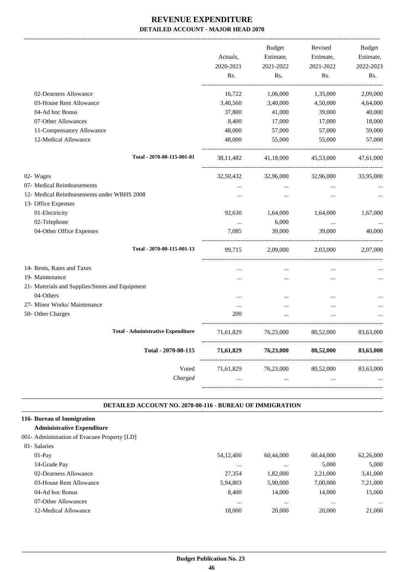|                                                 |                       | <b>Budget</b> | Revised   | <b>Budget</b> |
|-------------------------------------------------|-----------------------|---------------|-----------|---------------|
|                                                 | Actuals,              | Estimate,     | Estimate, | Estimate,     |
|                                                 | 2020-2021             | 2021-2022     | 2021-2022 | 2022-2023     |
|                                                 | Rs.                   | Rs.           | Rs.       | Rs.           |
| 02-Dearness Allowance                           | 16,722                | 1,06,000      | 1,35,000  | 2,09,000      |
| 03-House Rent Allowance                         | 3,40,560              | 3,40,000      | 4,50,000  | 4,64,000      |
| 04-Ad hoc Bonus                                 | 37,800                | 41,000        | 39,000    | 40,000        |
| 07-Other Allowances                             | 8,400                 | 17,000        | 17,000    | 18,000        |
| 11-Compensatory Allowance                       | 48,000                | 57,000        | 57,000    | 59,000        |
| 12-Medical Allowance                            | 48,000                | 55,000        | 55,000    | 57,000        |
| Total - 2070-00-115-001-01                      | 38,11,482             | 41,18,000     | 45,53,000 | 47,61,000     |
| 02-Wages                                        | 32,50,432             | 32,96,000     | 32,96,000 | 33,95,000     |
| 07- Medical Reimbursements                      | $\dddot{\phantom{0}}$ | $\cdots$      | $\ddotsc$ |               |
| 12- Medical Reimbursements under WBHS 2008      | $\dddotsc$            | $\cdots$      | $\ddotsc$ |               |
| 13- Office Expenses                             |                       |               |           |               |
| 01-Electricity                                  | 92,630                | 1,64,000      | 1,64,000  | 1,67,000      |
| 02-Telephone                                    | $\cdots$              | 6,000         | $\ldots$  |               |
| 04-Other Office Expenses                        | 7,085                 | 39,000        | 39,000    | 40,000        |
| Total - 2070-00-115-001-13                      | 99,715                | 2,09,000      | 2,03,000  | 2,07,000      |
| 14- Rents, Rates and Taxes                      |                       |               |           |               |
| 19- Maintenance                                 |                       |               |           |               |
| 21- Materials and Supplies/Stores and Equipment |                       |               |           |               |
| 04-Others                                       | $\cdots$              | $\cdots$      | $\cdots$  |               |
| 27- Minor Works/ Maintenance                    | $\cdots$              | $\ddotsc$     | $\ddotsc$ |               |
| 50- Other Charges                               | 200                   |               |           |               |
| <b>Total - Administrative Expenditure</b>       | 71,61,829             | 76,23,000     | 80,52,000 | 83,63,000     |
| Total - 2070-00-115                             | 71,61,829             | 76,23,000     | 80,52,000 | 83,63,000     |
| Voted                                           | 71,61,829             | 76,23,000     | 80,52,000 | 83,63,000     |
| Charged                                         |                       |               |           |               |
|                                                 |                       |               |           |               |

#### **DETAILED ACCOUNT NO. 2070-00-116 - BUREAU OF IMMIGRATION .**

.

#### **116- Bureau of Immigration**

#### **Administrative Expenditure**

#### 001- Administration of Evacuee Property [LD]

| 01- Salaries            |             |           |           |           |
|-------------------------|-------------|-----------|-----------|-----------|
| $01-Pav$                | 54, 12, 400 | 60,44,000 | 60,44,000 | 62,26,000 |
| 14-Grade Pay            | $\cdots$    | $\cdots$  | 5.000     | 5.000     |
| 02-Dearness Allowance   | 27.354      | 1.82.000  | 2,21,000  | 3,41,000  |
| 03-House Rent Allowance | 5.94.803    | 5,90,000  | 7,00,000  | 7,21,000  |
| 04-Ad hoc Bonus         | 8.400       | 14,000    | 14,000    | 15,000    |
| 07-Other Allowances     | $\cdots$    |           |           | $\cdots$  |
| 12-Medical Allowance    | 18,000      | 20,000    | 20,000    | 21,000    |
|                         |             |           |           |           |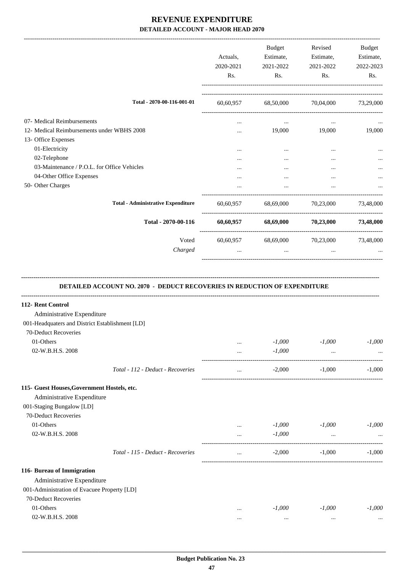|                                                 | Actuals,<br>2020-2021<br>Rs. | Budget<br>Estimate,<br>2021-2022<br>Rs.         | Revised<br>Estimate,<br>2021-2022<br>Rs. | Budget<br>Estimate,<br>2022-2023<br>Rs. |
|-------------------------------------------------|------------------------------|-------------------------------------------------|------------------------------------------|-----------------------------------------|
| Total - 2070-00-116-001-01                      |                              | 60,60,957 68,50,000 70,04,000 73,29,000         |                                          |                                         |
| 07- Medical Reimbursements                      | $\cdots$                     | $\cdots$                                        | $\cdots$                                 |                                         |
| 12- Medical Reimbursements under WBHS 2008      |                              |                                                 | 19,000 19,000                            | 19,000                                  |
| 13- Office Expenses<br>01-Electricity           |                              | $\cdots$                                        | $\cdots$                                 |                                         |
| 02-Telephone                                    | <br>                         | $\cdots$                                        |                                          |                                         |
| 03-Maintenance / P.O.L. for Office Vehicles     |                              |                                                 |                                          |                                         |
| 04-Other Office Expenses                        |                              |                                                 |                                          |                                         |
| 50- Other Charges                               |                              | $\ddotsc$                                       | $\cdots$                                 |                                         |
| <b>Total - Administrative Expenditure</b>       |                              | 60,60,957 68,69,000 70,23,000 73,48,000         |                                          |                                         |
| Total - 2070-00-116                             |                              | $60,60,957$ $68,69,000$ $70,23,000$ $73,48,000$ |                                          |                                         |
| Voted                                           |                              | 60,60,957 68,69,000 70,23,000                   |                                          | 73,48,000                               |
| Charged                                         |                              | $\cdots$                                        | $\ddots$                                 |                                         |
| 112- Rent Control<br>Administrative Expenditure |                              |                                                 |                                          |                                         |
| 001-Headquaters and District Establishment [LD] |                              |                                                 |                                          |                                         |
| 70-Deduct Recoveries<br>01-Others               |                              | $-1,000$                                        | $-1,000$                                 | $-1,000$                                |
| 02-W.B.H.S. 2008                                | $\cdots$<br>$\cdots$         | $-1,000$                                        |                                          |                                         |
|                                                 |                              |                                                 |                                          |                                         |
| Total - 112 - Deduct - Recoveries               | $\cdots$                     | $-2,000$                                        | $-1,000$                                 | $-1.000$                                |
| 115- Guest Houses, Government Hostels, etc.     |                              |                                                 |                                          |                                         |
| Administrative Expenditure                      |                              |                                                 |                                          |                                         |
| 001-Staging Bungalow [LD]                       |                              |                                                 |                                          |                                         |
| 70-Deduct Recoveries                            |                              |                                                 |                                          |                                         |
| 01-Others<br>02-W.B.H.S. 2008                   |                              | $-1,000$                                        | $-1,000$                                 | $-1,000$                                |
|                                                 | $\cdots$                     | $-1,000$                                        | $\cdots$                                 |                                         |
| Total - 115 - Deduct - Recoveries               |                              | $-2,000$                                        | $-1,000$                                 | $-1,000$                                |
| 116- Bureau of Immigration                      |                              |                                                 |                                          |                                         |
| Administrative Expenditure                      |                              |                                                 |                                          |                                         |
| 001-Administration of Evacuee Property [LD]     |                              |                                                 |                                          |                                         |
| 70-Deduct Recoveries                            |                              |                                                 |                                          |                                         |
| 01-Others                                       |                              | $-1,000$                                        | $-1,000$                                 | $-1,000$                                |
| 02-W.B.H.S. 2008                                |                              | $\cdots$                                        | $\cdots$                                 |                                         |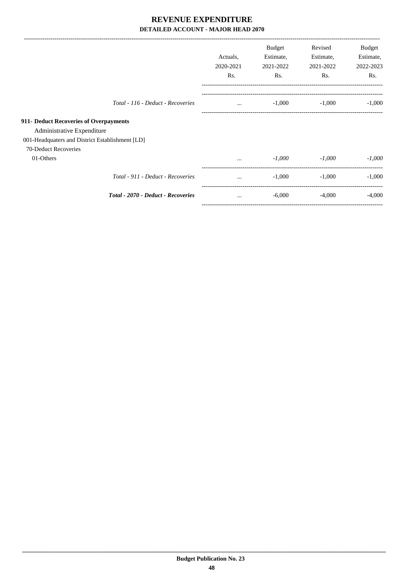| 2020-2021<br>Rs. | Estimate,<br>2021-2022<br>R <sub>s</sub> . | Estimate,<br>2021-2022<br>R <sub>s</sub> . | Estimate,<br>2022-2023<br>Rs. |
|------------------|--------------------------------------------|--------------------------------------------|-------------------------------|
| $\cdots$         | $-1,000$                                   | $-1,000$                                   | $-1,000$                      |
|                  |                                            |                                            |                               |
|                  |                                            |                                            |                               |
|                  |                                            |                                            |                               |
|                  |                                            |                                            |                               |
| $\cdots$         | $-1,000$                                   | $-1,000$                                   | $-1,000$                      |
| $\cdots$         | $-1,000$                                   | $-1,000$                                   | $-1,000$                      |
| $\cdots$         | $-6,000$                                   | $-4,000$                                   | $-4,000$                      |
|                  |                                            |                                            |                               |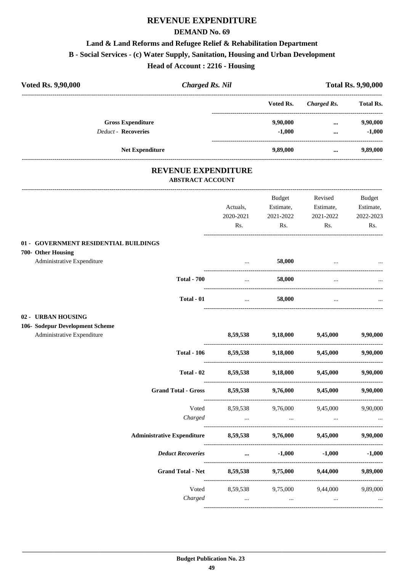#### **DEMAND No. 69**

### **Land & Land Reforms and Refugee Relief & Rehabilitation Department**

**B - Social Services - (c) Water Supply, Sanitation, Housing and Urban Development**

**Head of Account : 2216 - Housing** 

|                                                       | <b>Total Rs. 9,90,000</b> |                                                                                                                |                                                                                           |
|-------------------------------------------------------|---------------------------|----------------------------------------------------------------------------------------------------------------|-------------------------------------------------------------------------------------------|
|                                                       | Voted Rs.                 | <b>Charged Rs.</b>                                                                                             | <b>Total Rs.</b>                                                                          |
|                                                       | 9,90,000<br>$-1,000$      | $\cdots$<br>$\cdots$                                                                                           | 9,90,000<br>$-1,000$                                                                      |
|                                                       | 9,89,000                  | $\cdots$                                                                                                       | 9,89,000                                                                                  |
| <b>REVENUE EXPENDITURE</b><br><b>ABSTRACT ACCOUNT</b> |                           |                                                                                                                |                                                                                           |
|                                                       |                           | Revised                                                                                                        | <b>Budget</b>                                                                             |
| Actuals,                                              | Estimate,                 | Estimate,                                                                                                      | Estimate,                                                                                 |
| 2020-2021                                             | 2021-2022                 | 2021-2022                                                                                                      | 2022-2023                                                                                 |
| Rs.                                                   | Rs.                       | Rs.                                                                                                            | Rs.                                                                                       |
|                                                       |                           |                                                                                                                |                                                                                           |
|                                                       | 58,000                    |                                                                                                                |                                                                                           |
| $\cdots$                                              | 58,000                    | $\cdots$                                                                                                       |                                                                                           |
| $\ddotsc$                                             | 58,000                    | $\cdots$                                                                                                       |                                                                                           |
|                                                       |                           |                                                                                                                |                                                                                           |
|                                                       |                           |                                                                                                                |                                                                                           |
|                                                       |                           |                                                                                                                | 9,90,000                                                                                  |
|                                                       |                           | 9,45,000                                                                                                       | 9,90,000                                                                                  |
| 8,59,538                                              | 9,18,000                  | 9,45,000                                                                                                       | 9,90,000                                                                                  |
| 8,59,538                                              | 9,76,000                  | 9,45,000                                                                                                       | 9,90,000                                                                                  |
|                                                       |                           |                                                                                                                | 9,90,000                                                                                  |
| <b>Contract Contract</b>                              |                           | and the contract of the state.                                                                                 |                                                                                           |
|                                                       |                           | 9,45,000                                                                                                       | 9,90,000                                                                                  |
|                                                       |                           | $-1,000$                                                                                                       | $-1,000$                                                                                  |
| <b>Grand Total - Net</b>                              |                           | 9,44,000                                                                                                       | 9,89,000                                                                                  |
| 8,59,538                                              |                           |                                                                                                                | 9,89,000                                                                                  |
| $\cdots$                                              | $\cdots$                  | $\ldots$                                                                                                       | $\cdots$                                                                                  |
|                                                       | 8,59,538<br>8,59,538      | Budget<br>9,18,000<br>8,59,538<br>9,76,000<br>and the contract of the con-<br>8,59,538<br>$\cdots$<br>8,59,538 | 9,45,000<br>9,18,000<br>9,45,000<br>9,76,000<br>$-1,000$<br>9,75,000<br>9,75,000 9,44,000 |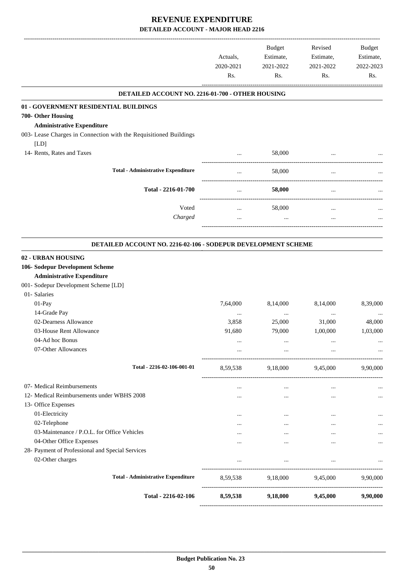|                                                                      | Actuals,<br>2020-2021<br>Rs. | Budget<br>Estimate,<br>2021-2022<br>Rs. | Revised<br>Estimate,<br>2021-2022<br>Rs. | Budget<br>Estimate,<br>2022-2023<br>Rs. |
|----------------------------------------------------------------------|------------------------------|-----------------------------------------|------------------------------------------|-----------------------------------------|
| DETAILED ACCOUNT NO. 2216-01-700 - OTHER HOUSING                     |                              |                                         |                                          |                                         |
| 01 - GOVERNMENT RESIDENTIAL BUILDINGS                                |                              |                                         |                                          |                                         |
| 700- Other Housing                                                   |                              |                                         |                                          |                                         |
| <b>Administrative Expenditure</b>                                    |                              |                                         |                                          |                                         |
| 003- Lease Charges in Connection with the Requisitioned Buildings    |                              |                                         |                                          |                                         |
| [LD]                                                                 |                              |                                         |                                          |                                         |
| 14- Rents, Rates and Taxes                                           | $\cdots$                     | 58,000                                  |                                          |                                         |
| <b>Total - Administrative Expenditure</b>                            | $\cdots$                     | 58,000                                  | $\ddotsc$                                |                                         |
|                                                                      |                              |                                         |                                          |                                         |
| Total - 2216-01-700                                                  | $\cdots$                     | 58,000                                  | $\cdots$                                 |                                         |
| Voted                                                                | $\cdots$                     | 58,000                                  | $\cdots$                                 |                                         |
| Charged                                                              |                              | $\cdots$                                |                                          |                                         |
|                                                                      |                              |                                         |                                          |                                         |
| <b>DETAILED ACCOUNT NO. 2216-02-106 - SODEPUR DEVELOPMENT SCHEME</b> |                              |                                         |                                          |                                         |
| 02 - URBAN HOUSING                                                   |                              |                                         |                                          |                                         |
| 106- Sodepur Development Scheme                                      |                              |                                         |                                          |                                         |
| <b>Administrative Expenditure</b>                                    |                              |                                         |                                          |                                         |
| 001- Sodepur Development Scheme [LD]                                 |                              |                                         |                                          |                                         |
| 01- Salaries<br>01-Pay                                               | 7,64,000                     |                                         | 8,14,000                                 | 8,39,000                                |
| 14-Grade Pay                                                         |                              | 8,14,000                                |                                          |                                         |
| 02-Dearness Allowance                                                | $\cdots$<br>3,858            | $\cdots$<br>25,000                      | $\cdots$<br>31,000                       | 48,000                                  |
| 03-House Rent Allowance                                              | 91,680                       | 79,000                                  | 1,00,000                                 | 1,03,000                                |
| 04-Ad hoc Bonus                                                      |                              |                                         |                                          |                                         |
| 07-Other Allowances                                                  | $\cdots$                     | $\ldots$                                | $\cdots$                                 | $\cdots$                                |
|                                                                      |                              |                                         |                                          |                                         |
| Total - 2216-02-106-001-01                                           |                              |                                         | 8,59,538 9,18,000 9,45,000 9,90,000      |                                         |
| 07- Medical Reimbursements                                           |                              | $\cdots$                                |                                          |                                         |
| 12- Medical Reimbursements under WBHS 2008                           | $\cdots$                     | $\ldots$                                | $\cdots$                                 |                                         |
| 13- Office Expenses                                                  |                              |                                         |                                          |                                         |
| 01-Electricity                                                       | $\cdots$                     | $\ldots$                                | $\cdots$                                 |                                         |
| 02-Telephone                                                         | $\cdots$                     | $\ldots$                                | $\cdots$                                 |                                         |
| 03-Maintenance / P.O.L. for Office Vehicles                          | $\cdots$                     | $\ldots$                                | $\cdots$                                 |                                         |
| 04-Other Office Expenses                                             | $\cdots$                     | $\cdots$                                | $\cdots$                                 |                                         |
| 28- Payment of Professional and Special Services                     |                              |                                         |                                          |                                         |
| 02-Other charges                                                     | $\cdots$                     | $\cdots$                                | $\cdots$                                 |                                         |
|                                                                      |                              |                                         |                                          |                                         |
| <b>Total - Administrative Expenditure</b>                            |                              |                                         | 8,59,538 9,18,000 9,45,000 9,90,000      |                                         |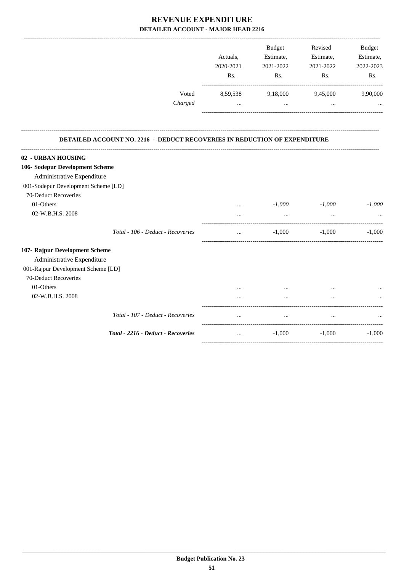|                                                                                                        | Actuals,<br>2020-2021<br>Rs. | Budget<br>Estimate,<br>2021-2022<br>Rs. | Revised<br>Estimate,<br>2021-2022<br>Rs. | Budget<br>Estimate,<br>2022-2023<br>Rs. |
|--------------------------------------------------------------------------------------------------------|------------------------------|-----------------------------------------|------------------------------------------|-----------------------------------------|
| Voted<br>Charged                                                                                       | 8,59,538<br>$\ddotsc$        | 9,18,000<br>$\ddots$                    | 9,45,000<br>$\ddotsc$                    | 9,90,000                                |
|                                                                                                        |                              |                                         |                                          |                                         |
| <b>DETAILED ACCOUNT NO. 2216 - DEDUCT RECOVERIES IN REDUCTION OF EXPENDITURE</b><br>02 - URBAN HOUSING |                              |                                         |                                          |                                         |
| 106- Sodepur Development Scheme                                                                        |                              |                                         |                                          |                                         |
| Administrative Expenditure                                                                             |                              |                                         |                                          |                                         |
| 001-Sodepur Development Scheme [LD]                                                                    |                              |                                         |                                          |                                         |
| 70-Deduct Recoveries                                                                                   |                              |                                         |                                          |                                         |
| 01-Others                                                                                              |                              | $-1,000$                                | $-1,000$                                 | $-1,000$                                |
| 02-W.B.H.S. 2008                                                                                       | $\cdots$                     | $\cdots$                                | $\ddotsc$                                | $\ddotsc$                               |
| Total - 106 - Deduct - Recoveries                                                                      | $\cdots$                     | $-1,000$                                | $-1,000$                                 | $-1,000$                                |
| 107- Rajpur Development Scheme                                                                         |                              |                                         |                                          |                                         |
| Administrative Expenditure                                                                             |                              |                                         |                                          |                                         |
| 001-Rajpur Development Scheme [LD]                                                                     |                              |                                         |                                          |                                         |
| 70-Deduct Recoveries                                                                                   |                              |                                         |                                          |                                         |
| 01-Others                                                                                              |                              |                                         |                                          |                                         |
| 02-W.B.H.S. 2008                                                                                       |                              |                                         |                                          |                                         |
| Total - 107 - Deduct - Recoveries                                                                      | $\overline{\phantom{a}}$     |                                         |                                          |                                         |
| Total - 2216 - Deduct - Recoveries                                                                     | $\ldots$                     | $-1,000$                                | $-1,000$                                 | $-1,000$                                |

-----------------------------------------------------------------------------------------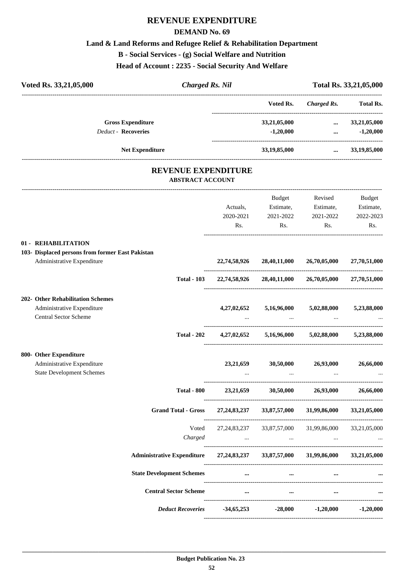#### **DEMAND No. 69**

### **Land & Land Reforms and Refugee Relief & Rehabilitation Department**

**B - Social Services - (g) Social Welfare and Nutrition**

**Head of Account : 2235 - Social Security And Welfare**

| Voted Rs. 33,21,05,000                           | <b>Charged Rs. Nil</b>                         |             |                                                                                 |                                          | Total Rs. 33,21,05,000 |
|--------------------------------------------------|------------------------------------------------|-------------|---------------------------------------------------------------------------------|------------------------------------------|------------------------|
|                                                  |                                                |             | Voted Rs.                                                                       | -------------------------<br>Charged Rs. | <b>Total Rs.</b>       |
| <b>Gross Expenditure</b>                         |                                                |             | 33,21,05,000                                                                    | $\cdots$                                 | 33,21,05,000           |
| <b>Deduct - Recoveries</b>                       |                                                |             | $-1,20,000$                                                                     | $\mathbf{m}$ and $\mathbf{m}$            | $-1,20,000$            |
| <b>Net Expenditure</b>                           |                                                |             | 33,19,85,000                                                                    |                                          | $\ldots$ 33,19,85,000  |
|                                                  | REVENUE EXPENDITURE<br><b>ABSTRACT ACCOUNT</b> |             |                                                                                 |                                          |                        |
|                                                  |                                                |             | Budget                                                                          | Revised                                  | Budget                 |
|                                                  |                                                | Actuals,    | Estimate,                                                                       | Estimate,                                | Estimate,              |
|                                                  |                                                | 2020-2021   | 2021-2022                                                                       | 2021-2022                                | 2022-2023              |
|                                                  |                                                | Rs.         | Rs.                                                                             | Rs.                                      | Rs.                    |
| 01 - REHABILITATION                              |                                                |             |                                                                                 |                                          |                        |
| 103- Displaced persons from former East Pakistan |                                                |             |                                                                                 |                                          |                        |
| Administrative Expenditure                       |                                                |             | 22,74,58,926 28,40,11,000                                                       | 26,70,05,000                             | 27,70,51,000           |
|                                                  | <b>Total - 103</b>                             |             | 22,74,58,926 28,40,11,000                                                       | 26,70,05,000 27,70,51,000                |                        |
| 202- Other Rehabilitation Schemes                |                                                |             |                                                                                 |                                          |                        |
| Administrative Expenditure                       |                                                | 4,27,02,652 |                                                                                 | 5,16,96,000 5,02,88,000                  | 5,23,88,000            |
| Central Sector Scheme                            |                                                |             |                                                                                 |                                          |                        |
|                                                  | <b>Total - 202</b>                             |             | $4,27,02,652$ $5,16,96,000$ $5,02,88,000$ $5,23,88,000$                         |                                          |                        |
| 800- Other Expenditure                           |                                                |             |                                                                                 |                                          |                        |
| Administrative Expenditure                       |                                                | 23, 21, 659 | 30,50,000                                                                       | 26,93,000                                | 26,66,000              |
| <b>State Development Schemes</b>                 |                                                | $\cdots$    | $\cdots$                                                                        | $\cdots$                                 | $\cdots$               |
|                                                  |                                                |             | Total - 800 23,21,659 30,50,000 26,93,000 26,66,000                             |                                          |                        |
|                                                  | <b>Grand Total - Gross</b>                     |             | 27,24,83,237 33,87,57,000 31,99,86,000 33,21,05,000                             |                                          |                        |
|                                                  | Voted                                          |             | 27,24,83,237 33,87,57,000 31,99,86,000                                          |                                          | 33,21,05,000           |
|                                                  | Charged                                        |             | the contract of the contract of the contract of the contract of the contract of |                                          |                        |
|                                                  |                                                |             | Administrative Expenditure 27,24,83,237 33,87,57,000 31,99,86,000 33,21,05,000  |                                          |                        |
|                                                  | <b>State Development Schemes</b>               |             | $\cdots$ and $\cdots$ are the set of $\cdots$                                   | $\cdots$                                 |                        |
|                                                  | <b>Central Sector Scheme</b>                   | $\cdots$    | $\sim$ $\sim$ $\sim$                                                            | $\cdots$                                 |                        |
|                                                  | <b>Deduct Recoveries</b>                       |             | $-34,65,253$ $-28,000$                                                          | $-1,20,000$                              | $-1,20,000$            |

----------------------------------------------------------------------------------------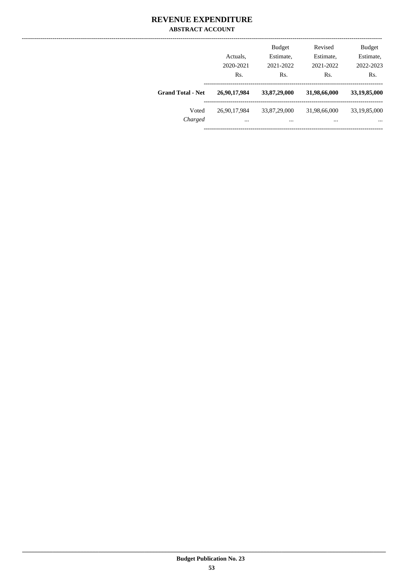### **REVENUE EXPENDITURE ABSTRACT ACCOUNT**

|                          | Actuals,<br>2020-2021<br>Rs. | <b>Budget</b><br>Estimate,<br>2021-2022<br>Rs. | Revised<br>Estimate,<br>2021-2022<br>Rs. | <b>Budget</b><br>Estimate,<br>2022-2023<br>Rs. |
|--------------------------|------------------------------|------------------------------------------------|------------------------------------------|------------------------------------------------|
| <b>Grand Total - Net</b> | 26,90,17,984                 | 33,87,29,000                                   | 31,98,66,000                             | 33,19,85,000                                   |
| Voted<br>Charged         | 26,90,17,984<br>$\cdots$     | 33,87,29,000<br>$\cdots$                       | 31,98,66,000<br>$\cdots$                 | 33,19,85,000<br>$\cdots$                       |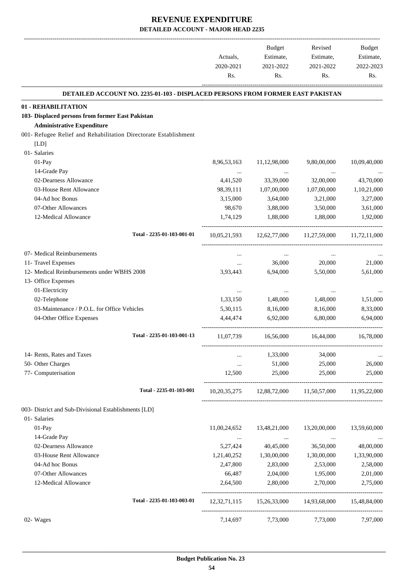-------------------------------------------------------------------------------------------------------------------------------------------------------------------------------

|                                                                                | Actuals,<br>2020-2021 | <b>Budget</b><br>Estimate,<br>2021-2022 | Revised<br>Estimate,<br>2021-2022                   | <b>Budget</b><br>Estimate,<br>2022-2023 |
|--------------------------------------------------------------------------------|-----------------------|-----------------------------------------|-----------------------------------------------------|-----------------------------------------|
|                                                                                | Rs.                   | Rs.                                     | Rs.                                                 | Rs.                                     |
| DETAILED ACCOUNT NO. 2235-01-103 - DISPLACED PERSONS FROM FORMER EAST PAKISTAN |                       |                                         |                                                     |                                         |
| 01 - REHABILITATION                                                            |                       |                                         |                                                     |                                         |
| 103- Displaced persons from former East Pakistan                               |                       |                                         |                                                     |                                         |
| <b>Administrative Expenditure</b>                                              |                       |                                         |                                                     |                                         |
| 001- Refugee Relief and Rehabilitation Directorate Establishment               |                       |                                         |                                                     |                                         |
| [LD]<br>01- Salaries                                                           |                       |                                         |                                                     |                                         |
| 01-Pay                                                                         | 8,96,53,163           | 11,12,98,000                            | 9,80,00,000                                         | 10,09,40,000                            |
| 14-Grade Pay                                                                   |                       |                                         |                                                     |                                         |
| 02-Dearness Allowance                                                          | $\cdots$<br>4,41,520  | $\cdots$<br>33,39,000                   | $\cdots$<br>32,00,000                               | 43,70,000                               |
| 03-House Rent Allowance                                                        | 98, 39, 111           | 1,07,00,000                             | 1,07,00,000                                         | 1,10,21,000                             |
| 04-Ad hoc Bonus                                                                | 3,15,000              | 3,64,000                                | 3,21,000                                            | 3,27,000                                |
| 07-Other Allowances                                                            | 98,670                | 3,88,000                                | 3,50,000                                            | 3,61,000                                |
| 12-Medical Allowance                                                           | 1.74.129              | 1,88,000                                | 1,88,000                                            | 1,92,000                                |
|                                                                                |                       |                                         |                                                     |                                         |
| Total - 2235-01-103-001-01                                                     | 10,05,21,593          | 12,62,77,000                            | 11,27,59,000                                        | 11,72,11,000                            |
| 07- Medical Reimbursements                                                     | $\cdots$              | $\cdots$                                | $\cdots$                                            |                                         |
| 11- Travel Expenses                                                            |                       | 36,000                                  | 20,000                                              | 21,000                                  |
| 12- Medical Reimbursements under WBHS 2008                                     | 3,93,443              | 6,94,000                                | 5,50,000                                            | 5,61,000                                |
| 13- Office Expenses                                                            |                       |                                         |                                                     |                                         |
| 01-Electricity                                                                 | $\cdots$              | $\cdots$                                | $\cdots$                                            |                                         |
| 02-Telephone                                                                   | 1,33,150              | 1,48,000                                | 1,48,000                                            | 1,51,000                                |
| 03-Maintenance / P.O.L. for Office Vehicles                                    | 5,30,115              | 8,16,000                                | 8,16,000                                            | 8,33,000                                |
| 04-Other Office Expenses                                                       | 4,44,474              | 6,92,000                                | 6,80,000                                            | 6,94,000                                |
| Total - 2235-01-103-001-13                                                     | 11,07,739             | 16,56,000                               | 16,44,000                                           | 16,78,000                               |
| 14- Rents, Rates and Taxes                                                     |                       | 1,33,000                                | 34,000                                              |                                         |
| 50- Other Charges                                                              |                       | 51,000                                  | 25,000                                              | 26,000                                  |
| 77- Computerisation                                                            | 12,500                | 25,000                                  | 25,000                                              | 25,000                                  |
| Total - 2235-01-103-001                                                        |                       |                                         | 10,20,35,275 12,88,72,000 11,50,57,000 11,95,22,000 |                                         |
| 003- District and Sub-Divisional Establishments [LD]                           |                       |                                         |                                                     |                                         |
| 01- Salaries                                                                   |                       |                                         |                                                     |                                         |
| 01-Pay                                                                         | 11,00,24,652          | 13,48,21,000                            | 13,20,00,000                                        | 13,59,60,000                            |
| 14-Grade Pay                                                                   | $\cdots$              | $\cdots$                                | $\cdots$                                            |                                         |
| 02-Dearness Allowance                                                          | 5,27,424              | 40,45,000                               | 36,50,000                                           | 48,00,000                               |
| 03-House Rent Allowance                                                        | 1,21,40,252           | 1,30,00,000                             | 1,30,00,000                                         | 1,33,90,000                             |
| 04-Ad hoc Bonus                                                                | 2,47,800              | 2,83,000                                | 2,53,000                                            | 2,58,000                                |
| 07-Other Allowances                                                            | 66,487                | 2,04,000                                | 1,95,000                                            | 2,01,000                                |
| 12-Medical Allowance                                                           | 2,64,500              | 2,80,000                                | 2,70,000                                            | 2,75,000                                |
| Total - 2235-01-103-003-01                                                     | 12, 32, 71, 115       | 15,26,33,000 14,93,68,000               |                                                     | 15,48,84,000                            |
| 02- Wages                                                                      | 7,14,697              | 7,73,000                                | 7,73,000                                            | 7,97,000                                |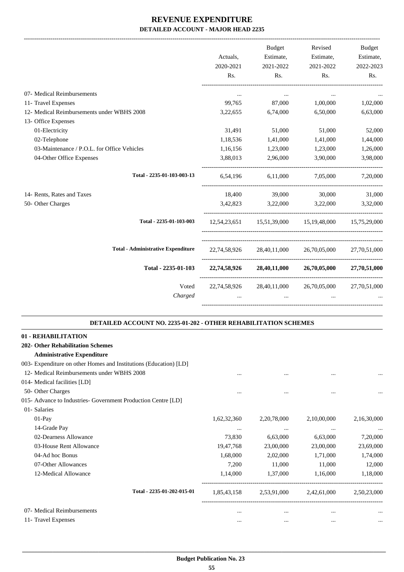-------------------------------------------------------------------------------------------------------------------------------------------------------------------------------

|                                                                   | Actuals,<br>2020-2021<br>Rs.                        | <b>Budget</b><br>Estimate,<br>2021-2022<br>Rs. | Revised<br>Estimate,<br>2021-2022<br>Rs.                                                                                                                                                                                         | <b>Budget</b><br>Estimate,<br>2022-2023<br>Rs.     |
|-------------------------------------------------------------------|-----------------------------------------------------|------------------------------------------------|----------------------------------------------------------------------------------------------------------------------------------------------------------------------------------------------------------------------------------|----------------------------------------------------|
|                                                                   |                                                     |                                                |                                                                                                                                                                                                                                  |                                                    |
| 07- Medical Reimbursements                                        | $\cdots$                                            | $\cdots$<br>99,765 87,000                      | $\cdots$<br>1,00,000                                                                                                                                                                                                             | 1,02,000                                           |
| 11- Travel Expenses<br>12- Medical Reimbursements under WBHS 2008 | 3,22,655                                            | 6,74,000                                       | 6,50,000                                                                                                                                                                                                                         | 6,63,000                                           |
| 13- Office Expenses                                               |                                                     |                                                |                                                                                                                                                                                                                                  |                                                    |
| 01-Electricity                                                    | 31,491                                              | 51,000                                         | 51,000                                                                                                                                                                                                                           | 52,000                                             |
| 02-Telephone                                                      | 1,18,536                                            | 1,41,000                                       | 1,41,000                                                                                                                                                                                                                         | 1,44,000                                           |
| 03-Maintenance / P.O.L. for Office Vehicles                       | 1,16,156                                            | 1,23,000                                       | 1,23,000                                                                                                                                                                                                                         | 1,26,000                                           |
| 04-Other Office Expenses                                          | 3,88,013                                            | 2,96,000                                       | 3,90,000                                                                                                                                                                                                                         | 3,98,000                                           |
| Total - 2235-01-103-003-13                                        |                                                     |                                                | 6,54,196 6,11,000 7,05,000 7,20,000                                                                                                                                                                                              |                                                    |
| 14- Rents, Rates and Taxes                                        |                                                     |                                                | 18,400 39,000 30,000                                                                                                                                                                                                             | 31,000                                             |
| 50- Other Charges                                                 |                                                     |                                                | 3,42,823 3,22,000 3,22,000 3,32,000                                                                                                                                                                                              |                                                    |
| Total - 2235-01-103-003                                           |                                                     |                                                | 12.54.23.651 15.51.39.000 15.19.48.000 15.75.29.000                                                                                                                                                                              |                                                    |
| <b>Total - Administrative Expenditure</b>                         |                                                     |                                                | 22,74,58,926 28,40,11,000 26,70,05,000 27,70,51,000                                                                                                                                                                              |                                                    |
| Total - 2235-01-103                                               |                                                     |                                                | 22,74,58,926 28,40,11,000 26,70,05,000 27,70,51,000                                                                                                                                                                              |                                                    |
| Voted<br>Charged                                                  | 22,74,58,926 28,40,11,000 26,70,05,000 27,70,51,000 | $\mathbf{1}$                                   | $\cdots$ . The contract of the contract of the contract of the contract of the contract of the contract of the contract of the contract of the contract of the contract of the contract of the contract of the contract of the c | $\mathbf{r}$ and $\mathbf{r}$ are all $\mathbf{r}$ |
|                                                                   |                                                     |                                                |                                                                                                                                                                                                                                  |                                                    |

#### **DETAILED ACCOUNT NO. 2235-01-202 - OTHER REHABILITATION SCHEMES .**

.

| 01 - REHABILITATION                                               |             |                |             |             |
|-------------------------------------------------------------------|-------------|----------------|-------------|-------------|
| <b>202- Other Rehabilitation Schemes</b>                          |             |                |             |             |
| <b>Administrative Expenditure</b>                                 |             |                |             |             |
| 003- Expenditure on other Homes and Institutions (Education) [LD] |             |                |             |             |
| 12- Medical Reimbursements under WBHS 2008                        | $\cdots$    | $\cdots$       | $\cdots$    | $\cdots$    |
| 014- Medical facilities [LD]                                      |             |                |             |             |
| 50- Other Charges                                                 | $\cdots$    | $\cdots$       | $\ddotsc$   |             |
| 015- Advance to Industries- Government Production Centre [LD]     |             |                |             |             |
| 01- Salaries                                                      |             |                |             |             |
| $01-Pay$                                                          | 1,62,32,360 | 2, 20, 78, 000 | 2,10,00,000 | 2,16,30,000 |
| 14-Grade Pay                                                      | $\cdots$    | $\cdots$       | $\cdots$    | $\cdots$    |
| 02-Dearness Allowance                                             | 73,830      | 6,63,000       | 6,63,000    | 7,20,000    |
| 03-House Rent Allowance                                           | 19,47,768   | 23,00,000      | 23,00,000   | 23,69,000   |
| 04-Ad hoc Bonus                                                   | 1,68,000    | 2,02,000       | 1,71,000    | 1,74,000    |
| 07-Other Allowances                                               | 7,200       | 11,000         | 11,000      | 12,000      |
| 12-Medical Allowance                                              | 1,14,000    | 1,37,000       | 1,16,000    | 1,18,000    |
| Total - 2235-01-202-015-01                                        | 1,85,43,158 | 2,53,91,000    | 2,42,61,000 | 2,50,23,000 |
| 07- Medical Reimbursements                                        | $\cdots$    | $\cdots$       | $\cdots$    | $\cdots$    |
| 11- Travel Expenses                                               | $\cdots$    | $\cdots$       | $\cdots$    | $\cdots$    |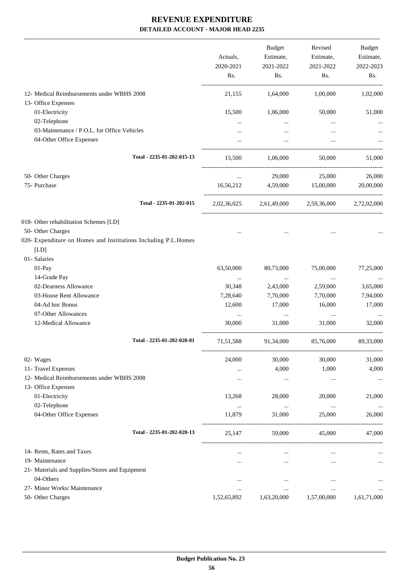|                                                                | Actuals,<br>2020-2021<br>Rs. | <b>Budget</b><br>Estimate,<br>2021-2022<br>Rs. | Revised<br>Estimate,<br>2021-2022<br>Rs. | Budget<br>Estimate,<br>2022-2023<br>Rs. |
|----------------------------------------------------------------|------------------------------|------------------------------------------------|------------------------------------------|-----------------------------------------|
| 12- Medical Reimbursements under WBHS 2008                     | 21,155                       | 1,64,000                                       | 1,00,000                                 | 1,02,000                                |
| 13- Office Expenses                                            |                              |                                                |                                          |                                         |
| 01-Electricity                                                 | 15,500                       | 1,06,000                                       | 50,000                                   | 51,000                                  |
| 02-Telephone                                                   | $\cdots$                     | $\cdots$                                       | $\cdots$                                 |                                         |
| 03-Maintenance / P.O.L. for Office Vehicles                    |                              | $\cdots$                                       | $\ddotsc$                                |                                         |
| 04-Other Office Expenses                                       |                              |                                                | $\ddotsc$                                |                                         |
| Total - 2235-01-202-015-13                                     | 15,500                       | 1,06,000                                       | 50,000                                   | 51,000                                  |
| 50- Other Charges                                              | $\cdots$                     | 29,000                                         | 25,000                                   | 26,000                                  |
| 75- Purchase                                                   | 16,56,212                    |                                                | 4,59,000 15,00,000                       | 20,00,000                               |
| Total - 2235-01-202-015                                        |                              |                                                | 2,02,36,025 2,61,49,000 2,59,36,000      | 2,72,02,000                             |
| 018- Other rehabilitation Schemes [LD]                         |                              |                                                |                                          |                                         |
| 50- Other Charges                                              |                              |                                                |                                          |                                         |
| 020- Expenditure on Homes and Institutions Including P.L.Homes |                              |                                                |                                          |                                         |
| [LD]                                                           |                              |                                                |                                          |                                         |
| 01- Salaries                                                   |                              |                                                |                                          |                                         |
| 01-Pay                                                         | 63,50,000                    | 80,73,000                                      | 75,00,000                                | 77,25,000                               |
| 14-Grade Pay                                                   | $\cdots$                     | $\ldots$                                       | $\cdots$                                 |                                         |
| 02-Dearness Allowance                                          | 30,348                       | 2,43,000                                       | 2,59,000                                 | 3,65,000                                |
| 03-House Rent Allowance                                        | 7,28,640                     | 7,70,000                                       | 7,70,000                                 | 7,94,000                                |
| 04-Ad hoc Bonus                                                | 12,600                       | 17,000                                         | 16,000                                   | 17,000                                  |
| 07-Other Allowances                                            | $\cdots$                     | $\cdots$                                       | $\ldots$                                 |                                         |
| 12-Medical Allowance                                           | 30,000                       | 31,000                                         | 31,000                                   | 32,000                                  |
| Total - 2235-01-202-020-01                                     | 71,51,588                    | 91,34,000                                      | 85,76,000                                | 89,33,000                               |
| 02- Wages                                                      | 24,000                       | 30,000                                         | 30,000                                   | 31,000                                  |
| 11- Travel Expenses                                            | $\cdots$                     | 4,000                                          | 1,000                                    | 4,000                                   |
| 12- Medical Reimbursements under WBHS 2008                     |                              | $\cdots$                                       | $\cdots$                                 | $\cdots$                                |
| 13- Office Expenses                                            |                              |                                                |                                          |                                         |
| 01-Electricity                                                 | 13,268                       | 28,000                                         | 20,000                                   | 21,000                                  |
| 02-Telephone                                                   | $\cdots$                     | $\ldots$                                       | $\ldots$                                 | $\ldots$                                |
| 04-Other Office Expenses                                       | 11,879                       | 31,000                                         | 25,000                                   | 26,000                                  |
| Total - 2235-01-202-020-13                                     | 25,147                       | 59,000                                         | 45,000                                   | 47,000                                  |
| 14- Rents, Rates and Taxes                                     |                              | $\cdots$                                       | $\ddotsc$                                |                                         |
| 19- Maintenance                                                |                              |                                                | $\ddotsc$                                |                                         |
| 21- Materials and Supplies/Stores and Equipment                |                              |                                                |                                          |                                         |
| 04-Others                                                      | $\ddotsc$                    | $\ddotsc$                                      | $\ddotsc$                                |                                         |
| 27- Minor Works/ Maintenance                                   | $\ddotsc$                    | $\cdots$                                       | $\ldots$                                 |                                         |
| 50- Other Charges                                              | 1,52,65,892                  | 1,63,20,000                                    | 1,57,00,000                              | 1,61,71,000                             |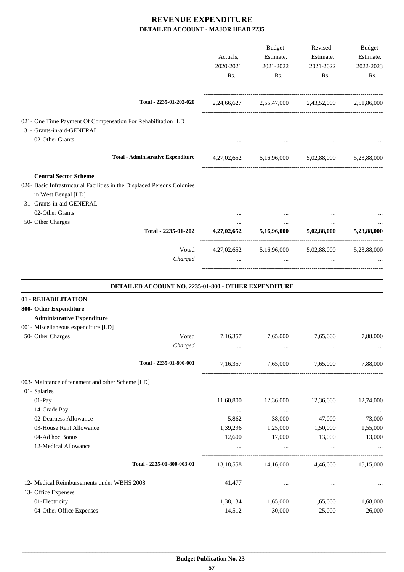| Total - 2235-01-202-020<br>2,24,66,627 2,55,47,000 2,43,52,000 2,51,86,000<br>021- One Time Payment Of Compensation For Rehabilitation [LD]<br>31- Grants-in-aid-GENERAL<br>02-Other Grants<br>$\cdots$<br><b>Total - Administrative Expenditure</b><br>5,16,96,000 5,02,88,000 5,23,88,000<br>4, 27, 02, 652<br><b>Central Sector Scheme</b><br>026- Basic Infrastructural Facilities in the Displaced Persons Colonies<br>in West Bengal [LD]<br>31- Grants-in-aid-GENERAL |             |
|------------------------------------------------------------------------------------------------------------------------------------------------------------------------------------------------------------------------------------------------------------------------------------------------------------------------------------------------------------------------------------------------------------------------------------------------------------------------------|-------------|
|                                                                                                                                                                                                                                                                                                                                                                                                                                                                              |             |
|                                                                                                                                                                                                                                                                                                                                                                                                                                                                              |             |
|                                                                                                                                                                                                                                                                                                                                                                                                                                                                              |             |
|                                                                                                                                                                                                                                                                                                                                                                                                                                                                              |             |
|                                                                                                                                                                                                                                                                                                                                                                                                                                                                              |             |
|                                                                                                                                                                                                                                                                                                                                                                                                                                                                              |             |
|                                                                                                                                                                                                                                                                                                                                                                                                                                                                              |             |
|                                                                                                                                                                                                                                                                                                                                                                                                                                                                              |             |
| 02-Other Grants                                                                                                                                                                                                                                                                                                                                                                                                                                                              |             |
| 50- Other Charges<br>$\cdots$<br>$\cdots$<br>$\cdots$<br>Total - 2235-01-202<br>4,27,02,652<br>5,16,96,000<br>5,02,88,000                                                                                                                                                                                                                                                                                                                                                    | 5,23,88,000 |
| Voted<br>4,27,02,652 5,16,96,000<br>5,02,88,000 5,23,88,000                                                                                                                                                                                                                                                                                                                                                                                                                  |             |
| Charged<br>and the company of the company of the<br>$\mathbf{1}$<br>$\ddots$                                                                                                                                                                                                                                                                                                                                                                                                 |             |
| DETAILED ACCOUNT NO. 2235-01-800 - OTHER EXPENDITURE<br>01 - REHABILITATION<br>800- Other Expenditure                                                                                                                                                                                                                                                                                                                                                                        |             |
| <b>Administrative Expenditure</b>                                                                                                                                                                                                                                                                                                                                                                                                                                            |             |
| 001- Miscellaneous expenditure [LD]                                                                                                                                                                                                                                                                                                                                                                                                                                          |             |
| 50- Other Charges<br>Voted<br>7,16,357<br>7,65,000<br>7,65,000<br>Charged                                                                                                                                                                                                                                                                                                                                                                                                    | 7,88,000    |
| Total - 2235-01-800-001<br>7,16,357<br>7,65,000 7,65,000                                                                                                                                                                                                                                                                                                                                                                                                                     | 7,88,000    |
| 003- Maintance of tenament and other Scheme [LD]<br>01- Salaries<br>01-Pay<br>11,60,800<br>12,36,000<br>12,36,000                                                                                                                                                                                                                                                                                                                                                            | 12,74,000   |
| 14-Grade Pay<br>$\sim$ 100 $\mu$<br>$\ddots$<br>$\cdots$                                                                                                                                                                                                                                                                                                                                                                                                                     | $\ldots$    |
| 02-Dearness Allowance<br>5,862<br>38,000<br>47,000                                                                                                                                                                                                                                                                                                                                                                                                                           | 73,000      |
| 03-House Rent Allowance<br>1,39,296<br>1,25,000<br>1,50,000                                                                                                                                                                                                                                                                                                                                                                                                                  | 1,55,000    |
| 04-Ad hoc Bonus<br>12,600<br>17,000<br>13,000<br>12-Medical Allowance<br>$\cdots$<br>$\cdots$<br>$\cdots$                                                                                                                                                                                                                                                                                                                                                                    | 13,000      |
| Total - 2235-01-800-003-01<br>14,16,000<br>14,46,000<br>13,18,558                                                                                                                                                                                                                                                                                                                                                                                                            | 15,15,000   |
|                                                                                                                                                                                                                                                                                                                                                                                                                                                                              |             |
| 12- Medical Reimbursements under WBHS 2008<br>41,477<br>$\cdots$<br>$\cdots$                                                                                                                                                                                                                                                                                                                                                                                                 |             |
| 13- Office Expenses<br>01-Electricity<br>1,65,000                                                                                                                                                                                                                                                                                                                                                                                                                            |             |
| 1,38,134<br>1,65,000<br>04-Other Office Expenses<br>14,512<br>30,000<br>25,000                                                                                                                                                                                                                                                                                                                                                                                               | 1,68,000    |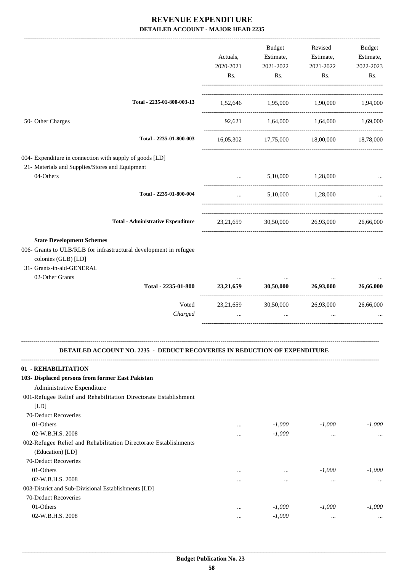|                                                                                                                                                                                  | Actuals,<br>2020-2021<br>Rs. | Budget<br>Estimate,<br>2021-2022<br>Rs. | Revised<br>Estimate,<br>2021-2022<br>Rs. | Budget<br>Estimate,<br>2022-2023<br>Rs. |
|----------------------------------------------------------------------------------------------------------------------------------------------------------------------------------|------------------------------|-----------------------------------------|------------------------------------------|-----------------------------------------|
| Total - 2235-01-800-003-13                                                                                                                                                       |                              | 1,52,646 1,95,000 1,90,000 1,94,000     |                                          |                                         |
| 50- Other Charges                                                                                                                                                                |                              | 92,621 1,64,000 1,64,000 1,69,000       |                                          |                                         |
| Total - 2235-01-800-003                                                                                                                                                          |                              | 16,05,302 17,75,000 18,00,000 18,78,000 |                                          |                                         |
| 004- Expenditure in connection with supply of goods [LD]<br>21- Materials and Supplies/Stores and Equipment<br>04-Others                                                         | <b>Sales Committee</b>       |                                         | 5,10,000 1,28,000                        |                                         |
| Total - 2235-01-800-004                                                                                                                                                          | $\cdots$                     |                                         | 5,10,000 1,28,000                        | -------------------------               |
| <b>Total - Administrative Expenditure</b>                                                                                                                                        |                              | 23,21,659 30,50,000 26,93,000           |                                          | 26,66,000                               |
| <b>State Development Schemes</b><br>006- Grants to ULB/RLB for infrastructural development in refugee<br>colonies (GLB) [LD]<br>31- Grants-in-aid-GENERAL<br>02-Other Grants     |                              |                                         |                                          |                                         |
| Total - 2235-01-800                                                                                                                                                              |                              | 23,21,659 30,50,000 26,93,000           |                                          | 26,66,000                               |
| Voted<br>Charged                                                                                                                                                                 | 23, 21, 659<br>$\cdots$      | 30,50,000<br>$\cdots$                   | 26,93,000<br>$\cdots$                    | 26,66,000                               |
| <b>DETAILED ACCOUNT NO. 2235 - DEDUCT RECOVERIES IN REDUCTION OF EXPENDITURE</b>                                                                                                 |                              |                                         |                                          |                                         |
| 01 - REHABILITATION<br>103- Displaced persons from former East Pakistan<br>Administrative Expenditure<br>001-Refugee Relief and Rehabilitation Directorate Establishment<br>[LD] |                              |                                         |                                          |                                         |
| 70-Deduct Recoveries<br>01-Others<br>02-W.B.H.S. 2008                                                                                                                            | $\cdots$                     | $-1,000$<br>$-1,000$                    | $-1,000$                                 | $-1,000$                                |
| 002-Refugee Relief and Rehabilitation Directorate Establishments<br>(Education) [LD]<br>70-Deduct Recoveries                                                                     |                              |                                         | $\cdots$                                 |                                         |
| 01-Others<br>02-W.B.H.S. 2008                                                                                                                                                    | $\ddotsc$<br>                | <br>$\cdots$                            | $-1,000$<br>$\cdots$                     | $-1,000$<br>                            |
| 003-District and Sub-Divisional Establishments [LD]<br>70-Deduct Recoveries                                                                                                      |                              |                                         |                                          |                                         |
| 01-Others<br>02-W.B.H.S. 2008                                                                                                                                                    | $\cdots$<br>$\cdots$         | $-1,000$<br>$-1,000$                    | $-1,000$<br>$\cdots$                     | $-1,000$                                |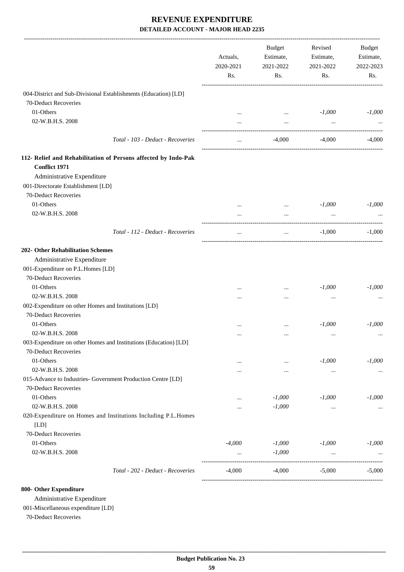| 004-District and Sub-Divisional Establishments (Education) [LD]<br>70-Deduct Recoveries<br>01-Others<br>$-1,000$<br>$\cdots$<br>02-W.B.H.S. 2008<br>$\cdots$<br>$\cdots$<br>Total - 103 - Deduct - Recoveries<br>$-4,000$<br>$-4,000$<br>$\cdots$<br>112- Relief and Rehabilitation of Persons affected by Indo-Pak<br><b>Conflict 1971</b><br>Administrative Expenditure<br>001-Directorate Establishment [LD]<br>70-Deduct Recoveries<br>01-Others<br>$-1,000$<br>$-1,000$<br>02-W.B.H.S. 2008<br>$\cdots$<br>$\ddots$<br>Total - 112 - Deduct - Recoveries<br>$-1,000$<br>$\cdots$<br>$\cdots$<br>202- Other Rehabilitation Schemes<br>Administrative Expenditure<br>001-Expenditure on P.L.Homes [LD]<br>70-Deduct Recoveries<br>01-Others<br>$-1,000$<br>$\cdots$<br><br>02-W.B.H.S. 2008<br><br><br>002-Expenditure on other Homes and Institutions [LD]<br>70-Deduct Recoveries<br>01-Others<br>$-1,000$<br><br>$\cdots$<br>02-W.B.H.S. 2008<br>$\ddotsc$<br>003-Expenditure on other Homes and Institutions (Education) [LD]<br>70-Deduct Recoveries<br>01-Others<br>$-1,000$<br>$\cdots$<br><br>02-W.B.H.S. 2008<br>$\cdots$<br><br>$\cdots$<br>015-Advance to Industries- Government Production Centre [LD]<br>70-Deduct Recoveries<br>01-Others<br>$-1,000$<br>$-1,000$<br>$-1,000$<br><br>02-W.B.H.S. 2008<br>$-1,000$<br>$\ddotsc$<br><br><br>020-Expenditure on Homes and Institutions Including P.L.Homes<br>[LD]<br>70-Deduct Recoveries<br>01-Others<br>$-4,000$<br>$-1,000$<br>$-1,000$<br>$-1,000$<br>02-W.B.H.S. 2008<br>$-1,000$<br>$\cdots$<br>Total - 202 - Deduct - Recoveries<br>$-4,000$<br>$-4,000$<br>$-5,000$ | Actuals,<br>2020-2021<br>Rs. | <b>Budget</b><br>Estimate,<br>2021-2022<br>Rs. | Revised<br>Estimate,<br>2021-2022<br>Rs. | <b>Budget</b><br>Estimate,<br>2022-2023<br>Rs. |
|--------------------------------------------------------------------------------------------------------------------------------------------------------------------------------------------------------------------------------------------------------------------------------------------------------------------------------------------------------------------------------------------------------------------------------------------------------------------------------------------------------------------------------------------------------------------------------------------------------------------------------------------------------------------------------------------------------------------------------------------------------------------------------------------------------------------------------------------------------------------------------------------------------------------------------------------------------------------------------------------------------------------------------------------------------------------------------------------------------------------------------------------------------------------------------------------------------------------------------------------------------------------------------------------------------------------------------------------------------------------------------------------------------------------------------------------------------------------------------------------------------------------------------------------------------------------------------------------------------------------------------------------|------------------------------|------------------------------------------------|------------------------------------------|------------------------------------------------|
|                                                                                                                                                                                                                                                                                                                                                                                                                                                                                                                                                                                                                                                                                                                                                                                                                                                                                                                                                                                                                                                                                                                                                                                                                                                                                                                                                                                                                                                                                                                                                                                                                                            |                              |                                                |                                          |                                                |
|                                                                                                                                                                                                                                                                                                                                                                                                                                                                                                                                                                                                                                                                                                                                                                                                                                                                                                                                                                                                                                                                                                                                                                                                                                                                                                                                                                                                                                                                                                                                                                                                                                            |                              |                                                |                                          |                                                |
|                                                                                                                                                                                                                                                                                                                                                                                                                                                                                                                                                                                                                                                                                                                                                                                                                                                                                                                                                                                                                                                                                                                                                                                                                                                                                                                                                                                                                                                                                                                                                                                                                                            |                              |                                                |                                          | $-1,000$                                       |
|                                                                                                                                                                                                                                                                                                                                                                                                                                                                                                                                                                                                                                                                                                                                                                                                                                                                                                                                                                                                                                                                                                                                                                                                                                                                                                                                                                                                                                                                                                                                                                                                                                            |                              |                                                |                                          |                                                |
|                                                                                                                                                                                                                                                                                                                                                                                                                                                                                                                                                                                                                                                                                                                                                                                                                                                                                                                                                                                                                                                                                                                                                                                                                                                                                                                                                                                                                                                                                                                                                                                                                                            |                              |                                                |                                          | $-4,000$                                       |
|                                                                                                                                                                                                                                                                                                                                                                                                                                                                                                                                                                                                                                                                                                                                                                                                                                                                                                                                                                                                                                                                                                                                                                                                                                                                                                                                                                                                                                                                                                                                                                                                                                            |                              |                                                |                                          |                                                |
|                                                                                                                                                                                                                                                                                                                                                                                                                                                                                                                                                                                                                                                                                                                                                                                                                                                                                                                                                                                                                                                                                                                                                                                                                                                                                                                                                                                                                                                                                                                                                                                                                                            |                              |                                                |                                          |                                                |
|                                                                                                                                                                                                                                                                                                                                                                                                                                                                                                                                                                                                                                                                                                                                                                                                                                                                                                                                                                                                                                                                                                                                                                                                                                                                                                                                                                                                                                                                                                                                                                                                                                            |                              |                                                |                                          |                                                |
|                                                                                                                                                                                                                                                                                                                                                                                                                                                                                                                                                                                                                                                                                                                                                                                                                                                                                                                                                                                                                                                                                                                                                                                                                                                                                                                                                                                                                                                                                                                                                                                                                                            |                              |                                                |                                          |                                                |
|                                                                                                                                                                                                                                                                                                                                                                                                                                                                                                                                                                                                                                                                                                                                                                                                                                                                                                                                                                                                                                                                                                                                                                                                                                                                                                                                                                                                                                                                                                                                                                                                                                            |                              |                                                |                                          |                                                |
|                                                                                                                                                                                                                                                                                                                                                                                                                                                                                                                                                                                                                                                                                                                                                                                                                                                                                                                                                                                                                                                                                                                                                                                                                                                                                                                                                                                                                                                                                                                                                                                                                                            |                              |                                                |                                          |                                                |
|                                                                                                                                                                                                                                                                                                                                                                                                                                                                                                                                                                                                                                                                                                                                                                                                                                                                                                                                                                                                                                                                                                                                                                                                                                                                                                                                                                                                                                                                                                                                                                                                                                            |                              |                                                |                                          |                                                |
|                                                                                                                                                                                                                                                                                                                                                                                                                                                                                                                                                                                                                                                                                                                                                                                                                                                                                                                                                                                                                                                                                                                                                                                                                                                                                                                                                                                                                                                                                                                                                                                                                                            |                              |                                                |                                          | $-1,000$                                       |
|                                                                                                                                                                                                                                                                                                                                                                                                                                                                                                                                                                                                                                                                                                                                                                                                                                                                                                                                                                                                                                                                                                                                                                                                                                                                                                                                                                                                                                                                                                                                                                                                                                            |                              |                                                |                                          |                                                |
|                                                                                                                                                                                                                                                                                                                                                                                                                                                                                                                                                                                                                                                                                                                                                                                                                                                                                                                                                                                                                                                                                                                                                                                                                                                                                                                                                                                                                                                                                                                                                                                                                                            |                              |                                                |                                          |                                                |
|                                                                                                                                                                                                                                                                                                                                                                                                                                                                                                                                                                                                                                                                                                                                                                                                                                                                                                                                                                                                                                                                                                                                                                                                                                                                                                                                                                                                                                                                                                                                                                                                                                            |                              |                                                |                                          |                                                |
|                                                                                                                                                                                                                                                                                                                                                                                                                                                                                                                                                                                                                                                                                                                                                                                                                                                                                                                                                                                                                                                                                                                                                                                                                                                                                                                                                                                                                                                                                                                                                                                                                                            |                              |                                                |                                          |                                                |
|                                                                                                                                                                                                                                                                                                                                                                                                                                                                                                                                                                                                                                                                                                                                                                                                                                                                                                                                                                                                                                                                                                                                                                                                                                                                                                                                                                                                                                                                                                                                                                                                                                            |                              |                                                |                                          | $-1,000$                                       |
|                                                                                                                                                                                                                                                                                                                                                                                                                                                                                                                                                                                                                                                                                                                                                                                                                                                                                                                                                                                                                                                                                                                                                                                                                                                                                                                                                                                                                                                                                                                                                                                                                                            |                              |                                                |                                          |                                                |
|                                                                                                                                                                                                                                                                                                                                                                                                                                                                                                                                                                                                                                                                                                                                                                                                                                                                                                                                                                                                                                                                                                                                                                                                                                                                                                                                                                                                                                                                                                                                                                                                                                            |                              |                                                |                                          |                                                |
|                                                                                                                                                                                                                                                                                                                                                                                                                                                                                                                                                                                                                                                                                                                                                                                                                                                                                                                                                                                                                                                                                                                                                                                                                                                                                                                                                                                                                                                                                                                                                                                                                                            |                              |                                                |                                          |                                                |
|                                                                                                                                                                                                                                                                                                                                                                                                                                                                                                                                                                                                                                                                                                                                                                                                                                                                                                                                                                                                                                                                                                                                                                                                                                                                                                                                                                                                                                                                                                                                                                                                                                            |                              |                                                |                                          | $-1,000$                                       |
|                                                                                                                                                                                                                                                                                                                                                                                                                                                                                                                                                                                                                                                                                                                                                                                                                                                                                                                                                                                                                                                                                                                                                                                                                                                                                                                                                                                                                                                                                                                                                                                                                                            |                              |                                                |                                          |                                                |
|                                                                                                                                                                                                                                                                                                                                                                                                                                                                                                                                                                                                                                                                                                                                                                                                                                                                                                                                                                                                                                                                                                                                                                                                                                                                                                                                                                                                                                                                                                                                                                                                                                            |                              |                                                |                                          |                                                |
|                                                                                                                                                                                                                                                                                                                                                                                                                                                                                                                                                                                                                                                                                                                                                                                                                                                                                                                                                                                                                                                                                                                                                                                                                                                                                                                                                                                                                                                                                                                                                                                                                                            |                              |                                                |                                          |                                                |
|                                                                                                                                                                                                                                                                                                                                                                                                                                                                                                                                                                                                                                                                                                                                                                                                                                                                                                                                                                                                                                                                                                                                                                                                                                                                                                                                                                                                                                                                                                                                                                                                                                            |                              |                                                |                                          | $-1,000$                                       |
|                                                                                                                                                                                                                                                                                                                                                                                                                                                                                                                                                                                                                                                                                                                                                                                                                                                                                                                                                                                                                                                                                                                                                                                                                                                                                                                                                                                                                                                                                                                                                                                                                                            |                              |                                                |                                          |                                                |
|                                                                                                                                                                                                                                                                                                                                                                                                                                                                                                                                                                                                                                                                                                                                                                                                                                                                                                                                                                                                                                                                                                                                                                                                                                                                                                                                                                                                                                                                                                                                                                                                                                            |                              |                                                |                                          |                                                |
|                                                                                                                                                                                                                                                                                                                                                                                                                                                                                                                                                                                                                                                                                                                                                                                                                                                                                                                                                                                                                                                                                                                                                                                                                                                                                                                                                                                                                                                                                                                                                                                                                                            |                              |                                                |                                          |                                                |
|                                                                                                                                                                                                                                                                                                                                                                                                                                                                                                                                                                                                                                                                                                                                                                                                                                                                                                                                                                                                                                                                                                                                                                                                                                                                                                                                                                                                                                                                                                                                                                                                                                            |                              |                                                |                                          |                                                |
|                                                                                                                                                                                                                                                                                                                                                                                                                                                                                                                                                                                                                                                                                                                                                                                                                                                                                                                                                                                                                                                                                                                                                                                                                                                                                                                                                                                                                                                                                                                                                                                                                                            |                              |                                                |                                          |                                                |
|                                                                                                                                                                                                                                                                                                                                                                                                                                                                                                                                                                                                                                                                                                                                                                                                                                                                                                                                                                                                                                                                                                                                                                                                                                                                                                                                                                                                                                                                                                                                                                                                                                            |                              |                                                |                                          |                                                |
|                                                                                                                                                                                                                                                                                                                                                                                                                                                                                                                                                                                                                                                                                                                                                                                                                                                                                                                                                                                                                                                                                                                                                                                                                                                                                                                                                                                                                                                                                                                                                                                                                                            |                              |                                                |                                          |                                                |
|                                                                                                                                                                                                                                                                                                                                                                                                                                                                                                                                                                                                                                                                                                                                                                                                                                                                                                                                                                                                                                                                                                                                                                                                                                                                                                                                                                                                                                                                                                                                                                                                                                            |                              |                                                |                                          |                                                |
|                                                                                                                                                                                                                                                                                                                                                                                                                                                                                                                                                                                                                                                                                                                                                                                                                                                                                                                                                                                                                                                                                                                                                                                                                                                                                                                                                                                                                                                                                                                                                                                                                                            |                              |                                                |                                          |                                                |
|                                                                                                                                                                                                                                                                                                                                                                                                                                                                                                                                                                                                                                                                                                                                                                                                                                                                                                                                                                                                                                                                                                                                                                                                                                                                                                                                                                                                                                                                                                                                                                                                                                            |                              |                                                |                                          |                                                |
|                                                                                                                                                                                                                                                                                                                                                                                                                                                                                                                                                                                                                                                                                                                                                                                                                                                                                                                                                                                                                                                                                                                                                                                                                                                                                                                                                                                                                                                                                                                                                                                                                                            |                              |                                                |                                          | $-5,000$                                       |

#### **800- Other Expenditure**

Administrative Expenditure

001-Miscellaneous expenditure [LD]

70-Deduct Recoveries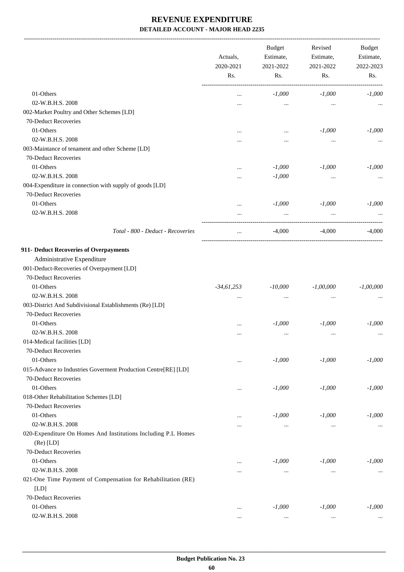-------------------------------------------------------------------------------------------------------------------------------------------------------------------------------

|                                                                | Actuals,<br>2020-2021 | <b>Budget</b><br>Estimate,<br>2021-2022 | Revised<br>Estimate,<br>2021-2022 | <b>Budget</b><br>Estimate,<br>2022-2023 |
|----------------------------------------------------------------|-----------------------|-----------------------------------------|-----------------------------------|-----------------------------------------|
|                                                                | Rs.                   | Rs.                                     | Rs.                               | Rs.                                     |
| 01-Others                                                      | $\cdots$              | $-1,000$                                | $-1,000$                          | $-1,000$                                |
| 02-W.B.H.S. 2008                                               |                       | $\cdots$                                | $\cdots$                          |                                         |
| 002-Market Poultry and Other Schemes [LD]                      |                       |                                         |                                   |                                         |
| 70-Deduct Recoveries                                           |                       |                                         |                                   |                                         |
| 01-Others                                                      |                       | $\ddotsc$                               | $-1,000$                          | $-1,000$                                |
| 02-W.B.H.S. 2008                                               |                       |                                         | $\cdots$                          |                                         |
| 003-Maintance of tenament and other Scheme [LD]                |                       |                                         |                                   |                                         |
| 70-Deduct Recoveries                                           |                       |                                         |                                   |                                         |
| 01-Others                                                      |                       | $-1,000$                                | $-1,000$                          | $-1,000$                                |
| 02-W.B.H.S. 2008                                               | $\cdots$              | $-1,000$                                | $\cdots$                          |                                         |
| 004-Expenditure in connection with supply of goods [LD]        |                       |                                         |                                   |                                         |
| 70-Deduct Recoveries                                           |                       |                                         |                                   |                                         |
| 01-Others                                                      | $\cdots$              | $-1,000$                                | $-1,000$                          | $-1,000$                                |
| 02-W.B.H.S. 2008                                               | $\cdots$              | $\cdots$                                | $\cdots$                          |                                         |
|                                                                |                       |                                         |                                   |                                         |
| Total - 800 - Deduct - Recoveries                              | $\cdots$              | $-4,000$                                | $-4,000$                          | $-4,000$                                |
| 911- Deduct Recoveries of Overpayments                         |                       |                                         |                                   |                                         |
| Administrative Expenditure                                     |                       |                                         |                                   |                                         |
| 001-Deduct-Recoveries of Overpayment [LD]                      |                       |                                         |                                   |                                         |
| 70-Deduct Recoveries                                           |                       |                                         |                                   |                                         |
| 01-Others                                                      | $-34,61,253$          | $-10,000$                               | $-1,00,000$                       | $-1,00,000$                             |
| 02-W.B.H.S. 2008                                               | $\cdots$              | $\cdots$                                | $\ddotsc$                         |                                         |
| 003-District And Subdivisional Establishments (Re) [LD]        |                       |                                         |                                   |                                         |
| 70-Deduct Recoveries                                           |                       |                                         |                                   |                                         |
| 01-Others                                                      |                       | $-1,000$                                | $-1,000$                          | $-1,000$                                |
| 02-W.B.H.S. 2008                                               |                       |                                         |                                   |                                         |
| 014-Medical facilities [LD]                                    |                       |                                         |                                   |                                         |
| 70-Deduct Recoveries                                           |                       |                                         |                                   |                                         |
| 01-Others                                                      |                       | $-1,000$                                | $-1,000$                          | $-1,000$                                |
| 015-Advance to Industries Goverment Production Centre[RE] [LD] |                       |                                         |                                   |                                         |
| 70-Deduct Recoveries                                           |                       |                                         |                                   |                                         |
| 01-Others                                                      |                       | $-1,000$                                | $-1,000$                          | $-1,000$                                |
| 018-Other Rehabilitation Schemes [LD]                          |                       |                                         |                                   |                                         |
| 70-Deduct Recoveries                                           |                       |                                         |                                   |                                         |
| 01-Others                                                      |                       | $-1,000$                                | $-1,000$                          | $-1,000$                                |
| 02-W.B.H.S. 2008                                               |                       | $\cdots$                                | $\cdots$                          | $\cdots$                                |
| 020-Expenditure On Homes And Institutions Including P.L Homes  |                       |                                         |                                   |                                         |
| $(Re)$ [LD]                                                    |                       |                                         |                                   |                                         |
| 70-Deduct Recoveries                                           |                       |                                         |                                   |                                         |
| 01-Others                                                      | $\cdots$              | $-1,000$                                | $-1,000$                          | $-1,000$                                |
| 02-W.B.H.S. 2008                                               | $\cdots$              | $\cdots$                                | $\cdots$                          | $\cdots$                                |
| 021-One Time Payment of Compensation for Rehabilitation (RE)   |                       |                                         |                                   |                                         |
| [LD]                                                           |                       |                                         |                                   |                                         |
| 70-Deduct Recoveries                                           |                       |                                         |                                   |                                         |
| 01-Others                                                      | $\cdots$              | $-1,000$                                | $-1,000$                          | $-1,000$                                |
| 02-W.B.H.S. 2008                                               | $\cdots$              | $\cdots$                                | $\cdots$                          |                                         |
|                                                                |                       |                                         |                                   |                                         |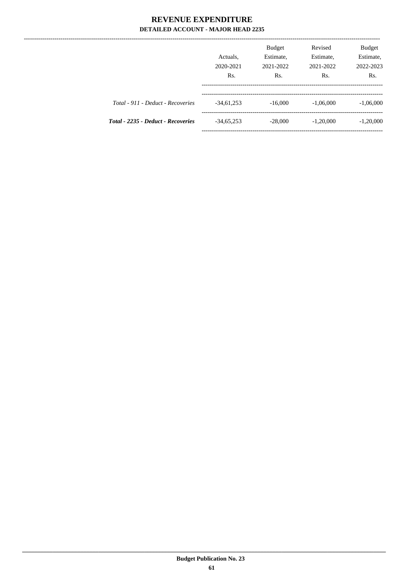. \_ \_ \_ \_ \_ \_ \_ \_ \_ \_ \_ \_ \_ \_ \_

|                                    | Actuals,<br>2020-2021<br>Rs. | <b>Budget</b><br>Estimate,<br>2021-2022<br>Rs. | Revised<br>Estimate,<br>2021-2022<br>Rs. | Budget<br>Estimate,<br>2022-2023<br>Rs. |
|------------------------------------|------------------------------|------------------------------------------------|------------------------------------------|-----------------------------------------|
| Total - 911 - Deduct - Recoveries  | $-34,61,253$                 | $-16,000$                                      | $-1,06,000$                              | $-1,06,000$                             |
| Total - 2235 - Deduct - Recoveries | $-34,65,253$                 | $-28,000$                                      | $-1,20,000$                              | $-1,20,000$                             |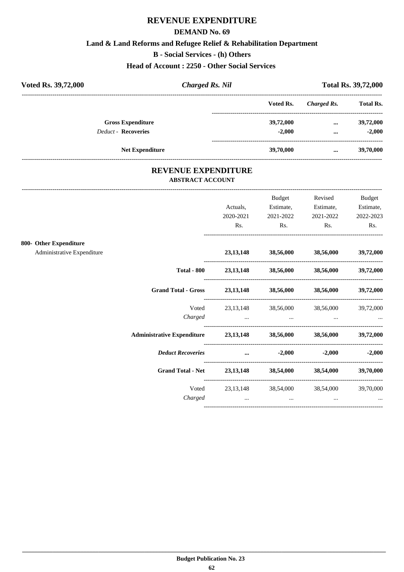#### **DEMAND No. 69**

#### **Land & Land Reforms and Refugee Relief & Rehabilitation Department**

**B - Social Services - (h) Others**

**Head of Account : 2250 - Other Social Services** 

| Voted Rs. 39,72,000        | <b>Charged Rs. Nil</b> |           | <b>Total Rs. 39,72,000</b> |                  |
|----------------------------|------------------------|-----------|----------------------------|------------------|
|                            |                        | Voted Rs. | Charged Rs.                | <b>Total Rs.</b> |
| <b>Gross Expenditure</b>   |                        | 39,72,000 | $\cdots$                   | 39,72,000        |
| <b>Deduct - Recoveries</b> |                        | $-2.000$  | $\cdots$                   | $-2.000$         |
|                            | <b>Net Expenditure</b> | 39,70,000 | $\cdots$                   | 39,70,000        |

### **REVENUE EXPENDITURE ABSTRACT ACCOUNT**

---------------------------------------------------------------------------------------------------------------------------------------------------------------------------------

|                                                      |                                                                    | Actuals,<br>2020-2021<br>Rs.   | <b>Budget</b><br>Estimate,<br>2021-2022<br>Rs.      | Revised<br>Estimate,<br>2021-2022<br>Rs.                                                                                                                                                                                             | Budget<br>Estimate,<br>2022-2023<br>Rs. |
|------------------------------------------------------|--------------------------------------------------------------------|--------------------------------|-----------------------------------------------------|--------------------------------------------------------------------------------------------------------------------------------------------------------------------------------------------------------------------------------------|-----------------------------------------|
| 800- Other Expenditure<br>Administrative Expenditure |                                                                    |                                | 23,13,148 38,56,000 38,56,000 39,72,000             |                                                                                                                                                                                                                                      |                                         |
|                                                      | <b>Total - 800</b>                                                 |                                | 23,13,148 38,56,000 38,56,000 39,72,000             |                                                                                                                                                                                                                                      |                                         |
|                                                      | Grand Total - Gross 23,13,148 38,56,000 38,56,000                  |                                |                                                     |                                                                                                                                                                                                                                      | 39,72,000                               |
|                                                      | Voted<br>Charged                                                   | and the contract of the con-   | 23,13,148 38,56,000 38,56,000 39,72,000<br>$\cdots$ | <u>and the company of the company of the company of the company of the company of the company of the company of the company of the company of the company of the company of the company of the company of the company of the com</u> |                                         |
|                                                      | Administrative Expenditure 23,13,148 38,56,000 38,56,000 39,72,000 |                                |                                                     |                                                                                                                                                                                                                                      |                                         |
|                                                      | <b>Deduct Recoveries</b>                                           | and the company of the company | $-2,000$                                            |                                                                                                                                                                                                                                      | $-2,000$ $-2,000$                       |
|                                                      | <b>Grand Total - Net</b>                                           |                                | 23,13,148 38,54,000 38,54,000                       |                                                                                                                                                                                                                                      | 39,70,000                               |
|                                                      | Voted<br>Charged                                                   | $\ddots$                       | 23,13,148 38,54,000 38,54,000<br>$\cdots$           | $\cdots$                                                                                                                                                                                                                             | 39,70,000                               |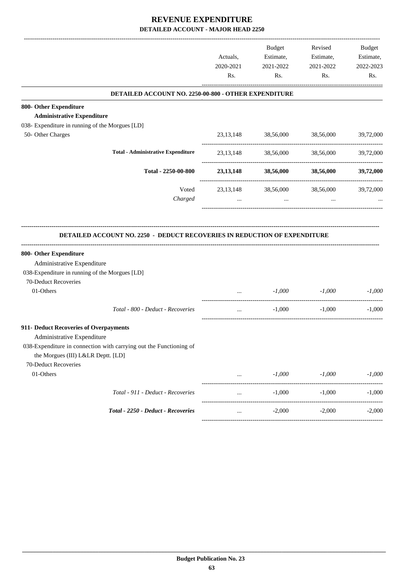|           | Estimate,<br>2021-2022<br>Rs. | <b>Budget</b><br>Estimate,<br>2021-2022<br>Rs. | Actuals,<br>2020-2021<br>Rs. |                                                                                                                                                                                  |
|-----------|-------------------------------|------------------------------------------------|------------------------------|----------------------------------------------------------------------------------------------------------------------------------------------------------------------------------|
|           |                               |                                                |                              | DETAILED ACCOUNT NO. 2250-00-800 - OTHER EXPENDITURE                                                                                                                             |
|           |                               |                                                |                              | 800- Other Expenditure                                                                                                                                                           |
|           |                               |                                                |                              | <b>Administrative Expenditure</b>                                                                                                                                                |
|           |                               |                                                |                              | 038- Expenditure in running of the Morgues [LD]                                                                                                                                  |
| 39,72,000 | 38,56,000                     | 38,56,000                                      | 23, 13, 148                  | 50- Other Charges                                                                                                                                                                |
| 39,72,000 | 38,56,000                     | 38,56,000                                      | 23, 13, 148                  | <b>Total - Administrative Expenditure</b>                                                                                                                                        |
| 39,72,000 | 38,56,000                     | 38,56,000                                      | 23, 13, 148                  | Total - 2250-00-800                                                                                                                                                              |
| 39,72,000 | 38,56,000                     | 38,56,000                                      | 23, 13, 148                  | Voted                                                                                                                                                                            |
|           | $\cdots$                      | $\cdots$                                       | $\cdots$                     | Charged                                                                                                                                                                          |
|           |                               |                                                |                              | 800- Other Expenditure<br>Administrative Expenditure<br>038-Expenditure in running of the Morgues [LD]                                                                           |
|           |                               |                                                |                              | 70-Deduct Recoveries                                                                                                                                                             |
| $-1,000$  | $-1,000$                      | $-1,000$                                       | $\cdots$                     | 01-Others                                                                                                                                                                        |
| $-1,000$  | $-1,000$                      | $-1,000$                                       | $\cdots$                     | Total - 800 - Deduct - Recoveries                                                                                                                                                |
|           |                               |                                                |                              | 911- Deduct Recoveries of Overpayments<br>Administrative Expenditure<br>038-Expenditure in connection with carrying out the Functioning of<br>the Morgues (III) L&LR Deptt. [LD] |
| $-1,000$  |                               |                                                |                              |                                                                                                                                                                                  |
|           | ----------------------        |                                                |                              |                                                                                                                                                                                  |
| $-1,000$  | $-1,000$                      | $-1,000$                                       | $\cdots$                     | Total - 911 - Deduct - Recoveries                                                                                                                                                |
| $-2,000$  | $-2,000$                      | $-2,000$                                       |                              | Total - 2250 - Deduct - Recoveries                                                                                                                                               |
|           | $-1,000$                      | $-1,000$                                       | $\cdots$                     | <b>DETAILED ACCOUNT NO. 2250 - DEDUCT RECOVERIES IN REDUCTION OF EXPENDITURE</b><br>70-Deduct Recoveries<br>01-Others                                                            |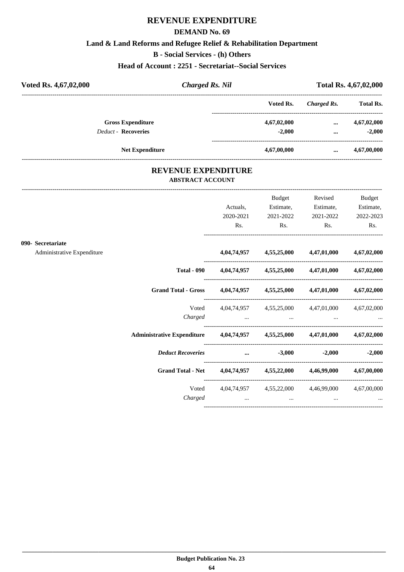#### **DEMAND No. 69**

#### **Land & Land Reforms and Refugee Relief & Rehabilitation Department**

**B - Social Services - (h) Others**

**Head of Account : 2251 - Secretariat--Social Services**

| Voted Rs. 4,67,02,000      | <b>Charged Rs. Nil</b> |             | Total Rs. 4,67,02,000 |                  |
|----------------------------|------------------------|-------------|-----------------------|------------------|
|                            |                        | Voted Rs.   | Charged Rs.           | <b>Total Rs.</b> |
| <b>Gross Expenditure</b>   |                        | 4,67,02,000 | $\cdots$              | 4,67,02,000      |
| <b>Deduct - Recoveries</b> |                        | $-2.000$    | $\cdots$              | $-2,000$         |
| <b>Net Expenditure</b>     |                        | 4,67,00,000 | $\cdots$              | 4,67,00,000      |

### **REVENUE EXPENDITURE ABSTRACT ACCOUNT**

---------------------------------------------------------------------------------------------------------------------------------------------------------------------------------

|                            |                                                                            | Actuals,  | Budget<br>Estimate,                                                 | Revised<br>Estimate, | <b>Budget</b><br>Estimate, |
|----------------------------|----------------------------------------------------------------------------|-----------|---------------------------------------------------------------------|----------------------|----------------------------|
|                            |                                                                            | 2020-2021 | 2021-2022                                                           | 2021-2022            | 2022-2023                  |
|                            |                                                                            | Rs.       | $\mathbf{Rs.}$                                                      | $\mathbf{Rs.}$       | Rs.                        |
| 090- Secretariate          |                                                                            |           |                                                                     |                      |                            |
| Administrative Expenditure |                                                                            |           | $4,04,74,957$ $4,55,25,000$ $4,47,01,000$ $4,67,02,000$             |                      |                            |
|                            |                                                                            |           | Total - 090 $4,04,74,957$ $4,55,25,000$ $4,47,01,000$ $4,67,02,000$ |                      |                            |
|                            | Grand Total - Gross 4,04,74,957 4,55,25,000 4,47,01,000 4,67,02,000        |           |                                                                     |                      |                            |
|                            |                                                                            |           | Voted 4,04,74,957 4,55,25,000 4,47,01,000 4,67,02,000               |                      |                            |
|                            |                                                                            |           |                                                                     |                      |                            |
|                            | Administrative Expenditure 4,04,74,957 4,55,25,000 4,47,01,000 4,67,02,000 |           |                                                                     |                      |                            |
|                            | Deduct Recoveries  3,000                                                   |           |                                                                     |                      | $-2,000$ $-2,000$          |
|                            | Grand Total - Net 4,04,74,957 4,55,22,000 4,46,99,000 4,67,00,000          |           |                                                                     |                      |                            |
|                            |                                                                            |           | Voted 4,04,74,957 4,55,22,000 4,46,99,000 4,67,00,000               |                      |                            |
|                            | Charged                                                                    |           | and the control of the same                                         |                      |                            |
|                            |                                                                            |           |                                                                     |                      |                            |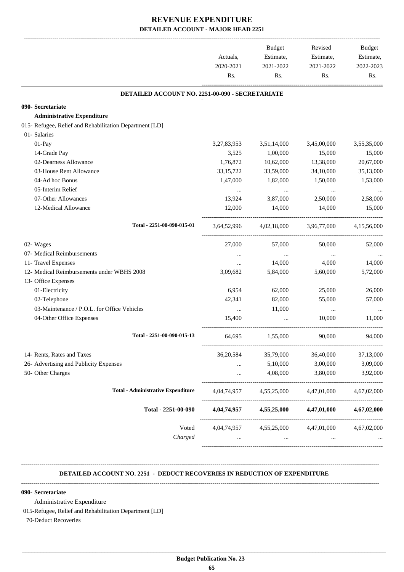|                                                         | Actuals,<br>2020-2021 | Budget<br>Estimate,<br>2021-2022 | Revised<br>Estimate,<br>2021-2022               | Budget<br>Estimate,<br>2022-2023 |
|---------------------------------------------------------|-----------------------|----------------------------------|-------------------------------------------------|----------------------------------|
|                                                         | Rs.                   | Rs.                              | Rs.                                             | Rs.                              |
| DETAILED ACCOUNT NO. 2251-00-090 - SECRETARIATE         |                       |                                  |                                                 |                                  |
| 090- Secretariate                                       |                       |                                  |                                                 |                                  |
| <b>Administrative Expenditure</b>                       |                       |                                  |                                                 |                                  |
| 015- Refugee, Relief and Rehabilitation Department [LD] |                       |                                  |                                                 |                                  |
| 01- Salaries                                            |                       |                                  |                                                 |                                  |
| 01-Pay                                                  | 3,27,83,953           | 3,51,14,000                      | 3,45,00,000                                     | 3,55,35,000                      |
| 14-Grade Pay                                            | 3,525                 | 1,00,000                         | 15,000                                          | 15,000                           |
| 02-Dearness Allowance                                   | 1,76,872              | 10,62,000                        | 13,38,000                                       | 20,67,000                        |
| 03-House Rent Allowance                                 | 33, 15, 722           | 33,59,000                        | 34,10,000                                       | 35,13,000                        |
| 04-Ad hoc Bonus                                         | 1,47,000              | 1,82,000                         | 1,50,000                                        | 1,53,000                         |
| 05-Interim Relief                                       | $\cdots$              | $\cdots$                         | $\cdots$                                        |                                  |
| 07-Other Allowances                                     | 13,924                | 3,87,000                         | 2,50,000                                        | 2,58,000                         |
| 12-Medical Allowance                                    | 12,000                | 14,000                           | 14,000                                          | 15,000                           |
| Total - 2251-00-090-015-01                              | 3,64,52,996           | 4.02.18.000                      | 3,96,77,000                                     | 4.15.56.000                      |
| 02- Wages                                               | 27,000                | 57,000                           | 50,000                                          | 52,000                           |
| 07- Medical Reimbursements                              | $\cdots$              | $\cdots$                         | $\cdots$                                        |                                  |
| 11- Travel Expenses                                     | $\cdots$              | 14,000                           | 4,000                                           | 14,000                           |
| 12- Medical Reimbursements under WBHS 2008              | 3,09,682              | 5,84,000                         | 5,60,000                                        | 5,72,000                         |
| 13- Office Expenses                                     |                       |                                  |                                                 |                                  |
| 01-Electricity                                          | 6,954                 | 62,000                           | 25,000                                          | 26,000                           |
| 02-Telephone                                            | 42,341                | 82,000                           | 55,000                                          | 57,000                           |
| 03-Maintenance / P.O.L. for Office Vehicles             | $\cdots$              | 11,000                           | $\cdots$                                        |                                  |
| 04-Other Office Expenses                                | 15,400                |                                  | 10,000                                          | 11,000                           |
| Total - 2251-00-090-015-13                              | 64,695                | 1,55,000                         | 90,000                                          | 94,000                           |
| 14- Rents, Rates and Taxes                              | 36,20,584             | 35,79,000                        | 36,40,000                                       | 37,13,000                        |
| 26- Advertising and Publicity Expenses                  |                       | 5,10,000                         | 3,00,000                                        | 3,09,000                         |
| 50- Other Charges                                       | $\cdots$              | 4,08,000                         | 3,80,000                                        | 3,92,000                         |
| <b>Total - Administrative Expenditure</b>               | 4,04,74,957           | 4,55,25,000                      | 4,47,01,000                                     | 4,67,02,000                      |
| Total - 2251-00-090                                     | 4,04,74,957           | 4,55,25,000                      | 4,47,01,000                                     | 4,67,02,000                      |
| Voted                                                   |                       |                                  | 4,04,74,957 4,55,25,000 4,47,01,000 4,67,02,000 |                                  |
| Charged                                                 |                       | $\cdots$                         |                                                 |                                  |

#### **DETAILED ACCOUNT NO. 2251 - DEDUCT RECOVERIES IN REDUCTION OF EXPENDITURE**

**--------------------------------------------------------------------------------------------------------------------------------------------------------------------------------**

#### **090- Secretariate**

Administrative Expenditure

015-Refugee, Relief and Rehabilitation Department [LD]

**--------------------------------------------------------------------------------------------------------------------------------------------------------------------------------**

70-Deduct Recoveries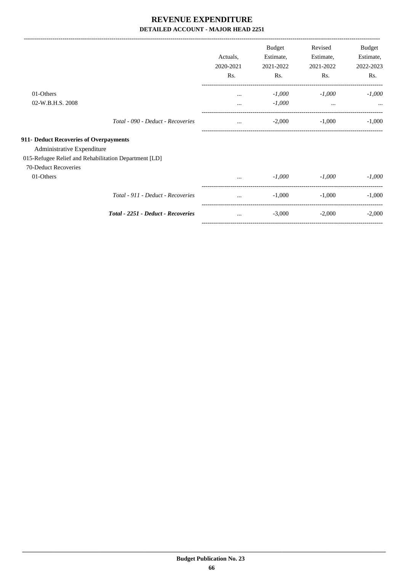-------------------------------------------------------------------------------------------------------------------------------------------------------------------------------

|                                                       |                                    | Actuals,<br>2020-2021<br>Rs. | <b>Budget</b><br>Estimate,<br>2021-2022<br>Rs. | Revised<br>Estimate,<br>2021-2022<br>Rs. | Budget<br>Estimate,<br>2022-2023<br>Rs. |
|-------------------------------------------------------|------------------------------------|------------------------------|------------------------------------------------|------------------------------------------|-----------------------------------------|
| 01-Others                                             |                                    | $\cdots$                     | $-1,000$                                       | $-1,000$                                 | $-1,000$                                |
| 02-W.B.H.S. 2008                                      |                                    | $\cdots$                     | $-1,000$                                       | $\cdots$                                 |                                         |
|                                                       | Total - 090 - Deduct - Recoveries  | $\cdots$                     | $-2,000$                                       | $-1,000$                                 | $-1,000$                                |
| 911- Deduct Recoveries of Overpayments                |                                    |                              |                                                |                                          |                                         |
| Administrative Expenditure                            |                                    |                              |                                                |                                          |                                         |
| 015-Refugee Relief and Rehabilitation Department [LD] |                                    |                              |                                                |                                          |                                         |
| 70-Deduct Recoveries                                  |                                    |                              |                                                |                                          |                                         |
| 01-Others                                             |                                    | $\cdots$                     | $-1,000$                                       | $-1,000$                                 | $-1,000$                                |
|                                                       | Total - 911 - Deduct - Recoveries  |                              | $-1,000$                                       | $-1,000$                                 | $-1,000$                                |
|                                                       | Total - 2251 - Deduct - Recoveries | $\cdots$                     | $-3,000$                                       | $-2,000$                                 | $-2,000$                                |
|                                                       |                                    |                              |                                                |                                          |                                         |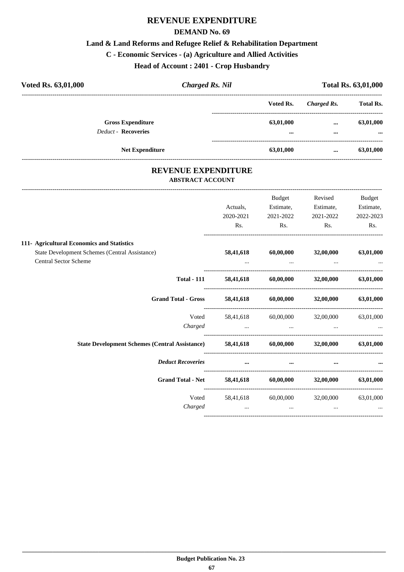#### **DEMAND No. 69**

#### **Land & Land Reforms and Refugee Relief & Rehabilitation Department**

# **C - Economic Services - (a) Agriculture and Allied Activities**

**Head of Account : 2401 - Crop Husbandry**

| Voted Rs. 63,01,000        |                          | <b>Charged Rs. Nil</b> | <b>Total Rs. 63,01,000</b> |                                      |
|----------------------------|--------------------------|------------------------|----------------------------|--------------------------------------|
|                            |                          | Voted Rs.              | Charged Rs.                | <b>Total Rs.</b>                     |
| <b>Deduct - Recoveries</b> | <b>Gross Expenditure</b> | 63,01,000<br>$\cdots$  | $\cdots$<br>$\cdots$       | 63,01,000<br>$\bullet\bullet\bullet$ |
|                            | <b>Net Expenditure</b>   | 63,01,000              | $\cdots$                   | 63,01,000                            |

### **REVENUE EXPENDITURE ABSTRACT ACCOUNT**

---------------------------------------------------------------------------------------------------------------------------------------------------------------------------------

|                                                                                                                              | Actuals,<br>2020-2021 | Budget<br>Estimate,<br>2021-2022                                               | Revised<br>Estimate,<br>2021-2022                                                  | Budget<br>Estimate,<br>2022-2023             |
|------------------------------------------------------------------------------------------------------------------------------|-----------------------|--------------------------------------------------------------------------------|------------------------------------------------------------------------------------|----------------------------------------------|
|                                                                                                                              | Rs.                   | $\mathsf{Rs.}$                                                                 | Rs.                                                                                | Rs.                                          |
| 111- Agricultural Economics and Statistics<br>State Development Schemes (Central Assistance)<br><b>Central Sector Scheme</b> | 58,41,618             | 60,00,000                                                                      | 32,00,000<br>the contract of the contract of the contract of the                   | 63,01,000                                    |
| <b>Total - 111</b>                                                                                                           |                       |                                                                                | 58,41,618 60,00,000 32,00,000 63,01,000                                            |                                              |
| <b>Grand Total - Gross</b>                                                                                                   |                       |                                                                                | $58,41,618$ $60,00,000$ $32,00,000$ $63,01,000$                                    |                                              |
|                                                                                                                              | Charged               |                                                                                | Voted 58,41,618 60,00,000 32,00,000 63,01,000<br>and the state of the state of the |                                              |
| State Development Schemes (Central Assistance) 58,41,618 60,00,000 32,00,000                                                 |                       |                                                                                |                                                                                    | 63,01,000                                    |
| <b>Deduct Recoveries</b>                                                                                                     | $\cdots$              | $\cdots$                                                                       |                                                                                    |                                              |
| Grand Total - Net 58,41,618 60,00,000 32,00,000 63,01,000                                                                    |                       |                                                                                |                                                                                    |                                              |
| Voted<br>Charged                                                                                                             |                       | 58,41,618 60,00,000<br>and the state of the state of the state of the state of | 32,00,000                                                                          | 63,01,000<br><b>Second Contract Contract</b> |
|                                                                                                                              |                       |                                                                                |                                                                                    |                                              |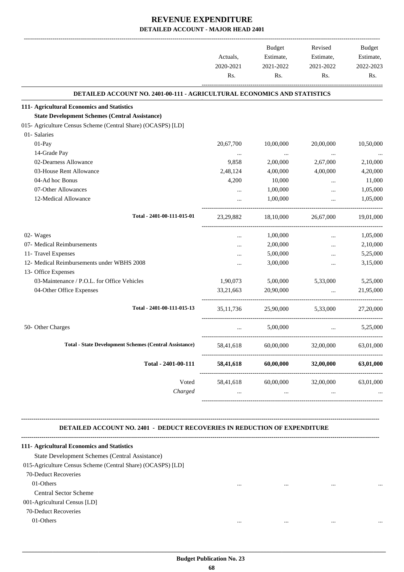| 2021-2022<br>Rs.<br>DETAILED ACCOUNT NO. 2401-00-111 - AGRICULTURAL ECONOMICS AND STATISTICS<br>10,00,000<br>$\ldots$<br>2,00,000<br>4,00,000<br>10,000<br>1,00,000<br>1,00,000<br>18,10,000<br>1,00,000 | 2021-2022<br>Rs.<br>20,00,000<br>$\cdots$<br>2,67,000<br>4,00,000<br>$\cdots$<br>$\cdots$<br>$\cdots$<br>26,67,000                                                                                                                   | 2022-2023<br>Rs.                                                                                                   |
|----------------------------------------------------------------------------------------------------------------------------------------------------------------------------------------------------------|--------------------------------------------------------------------------------------------------------------------------------------------------------------------------------------------------------------------------------------|--------------------------------------------------------------------------------------------------------------------|
|                                                                                                                                                                                                          |                                                                                                                                                                                                                                      |                                                                                                                    |
|                                                                                                                                                                                                          |                                                                                                                                                                                                                                      |                                                                                                                    |
|                                                                                                                                                                                                          |                                                                                                                                                                                                                                      | 10,50,000                                                                                                          |
|                                                                                                                                                                                                          |                                                                                                                                                                                                                                      |                                                                                                                    |
|                                                                                                                                                                                                          |                                                                                                                                                                                                                                      |                                                                                                                    |
|                                                                                                                                                                                                          |                                                                                                                                                                                                                                      |                                                                                                                    |
|                                                                                                                                                                                                          |                                                                                                                                                                                                                                      | 2,10,000<br>4,20,000<br>11,000<br>1,05,000<br>1,05,000<br>19.01.000                                                |
|                                                                                                                                                                                                          |                                                                                                                                                                                                                                      |                                                                                                                    |
|                                                                                                                                                                                                          |                                                                                                                                                                                                                                      |                                                                                                                    |
|                                                                                                                                                                                                          |                                                                                                                                                                                                                                      |                                                                                                                    |
|                                                                                                                                                                                                          |                                                                                                                                                                                                                                      |                                                                                                                    |
|                                                                                                                                                                                                          |                                                                                                                                                                                                                                      |                                                                                                                    |
|                                                                                                                                                                                                          |                                                                                                                                                                                                                                      |                                                                                                                    |
|                                                                                                                                                                                                          |                                                                                                                                                                                                                                      |                                                                                                                    |
|                                                                                                                                                                                                          | $\cdots$                                                                                                                                                                                                                             | 1,05,000                                                                                                           |
| 2,00,000                                                                                                                                                                                                 | $\cdots$                                                                                                                                                                                                                             | 2,10,000                                                                                                           |
| 5,00,000                                                                                                                                                                                                 | $\cdots$                                                                                                                                                                                                                             | 5,25,000                                                                                                           |
| 3,00,000                                                                                                                                                                                                 | $\cdots$                                                                                                                                                                                                                             | 3,15,000                                                                                                           |
|                                                                                                                                                                                                          |                                                                                                                                                                                                                                      |                                                                                                                    |
|                                                                                                                                                                                                          | 5,33,000                                                                                                                                                                                                                             | 5,25,000                                                                                                           |
| 20,90,000                                                                                                                                                                                                | $\ddotsc$                                                                                                                                                                                                                            | 21,95,000                                                                                                          |
|                                                                                                                                                                                                          |                                                                                                                                                                                                                                      | 27,20,000                                                                                                          |
| 5,00,000                                                                                                                                                                                                 | <u>and the company of the company of the company of the company of the company of the company of the company of the company of the company of the company of the company of the company of the company of the company of the com</u> | 5,25,000                                                                                                           |
| 60,00,000                                                                                                                                                                                                | 32,00,000                                                                                                                                                                                                                            | 63,01,000                                                                                                          |
| 60,00,000                                                                                                                                                                                                | 32,00,000                                                                                                                                                                                                                            | 63,01,000                                                                                                          |
| 60,00,000                                                                                                                                                                                                | 32,00,000                                                                                                                                                                                                                            | 63,01,000                                                                                                          |
|                                                                                                                                                                                                          | 5,00,000<br>$\cdots$                                                                                                                                                                                                                 | 25,90,000 5,33,000<br><b>DETAILED ACCOUNT NO. 2401 - DEDUCT RECOVERIES IN REDUCTION OF EXPENDITURE</b><br>$\cdots$ |

001-Agricultural Census [LD]

70-Deduct Recoveries

01-Others ... ... ... ...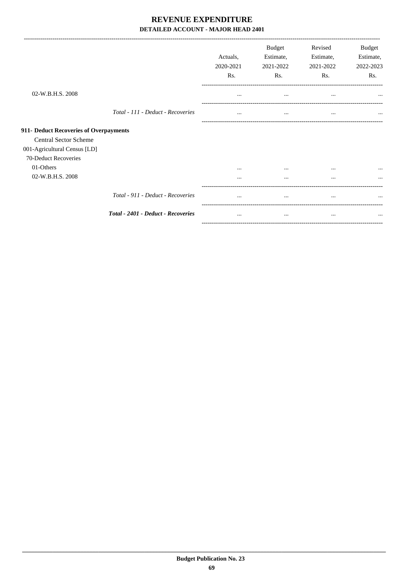|                                        |                                    | Actuals,<br>2020-2021<br>Rs. | Budget<br>Estimate,<br>2021-2022<br>Rs. | Revised<br>Estimate,<br>2021-2022<br>Rs. | <b>Budget</b><br>Estimate,<br>2022-2023<br>Rs. |
|----------------------------------------|------------------------------------|------------------------------|-----------------------------------------|------------------------------------------|------------------------------------------------|
| 02-W.B.H.S. 2008                       |                                    | $\cdots$                     | $\cdots$                                | $\cdots$                                 | $\cdots$                                       |
|                                        | Total - 111 - Deduct - Recoveries  | $\cdots$                     | $\cdots$                                | $\cdots$                                 | $\cdots$                                       |
| 911- Deduct Recoveries of Overpayments |                                    |                              |                                         |                                          |                                                |
| <b>Central Sector Scheme</b>           |                                    |                              |                                         |                                          |                                                |
| 001-Agricultural Census [LD]           |                                    |                              |                                         |                                          |                                                |
| 70-Deduct Recoveries                   |                                    |                              |                                         |                                          |                                                |
| 01-Others                              |                                    | $\cdots$                     | $\cdots$                                | $\cdots$                                 |                                                |
| 02-W.B.H.S. 2008                       |                                    |                              | $\cdots$                                | $\cdots$                                 |                                                |
|                                        | Total - 911 - Deduct - Recoveries  | $\cdots$                     | $\cdots$                                | $\cdots$                                 | $\cdots$                                       |
|                                        | Total - 2401 - Deduct - Recoveries | $\cdots$                     |                                         | $\cdots$                                 | $\cdots$                                       |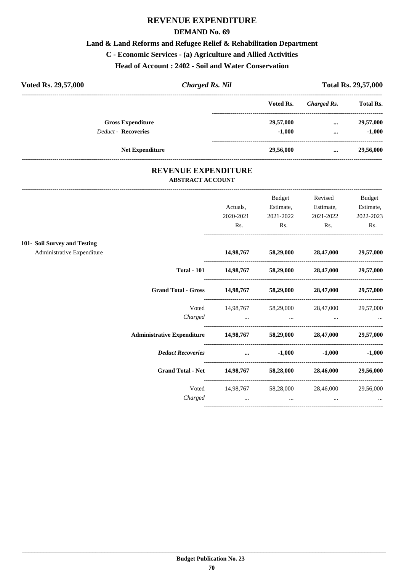## **REVENUE EXPENDITURE**

#### **DEMAND No. 69**

#### **Land & Land Reforms and Refugee Relief & Rehabilitation Department**

#### **C - Economic Services - (a) Agriculture and Allied Activities**

**Head of Account : 2402 - Soil and Water Conservation**

| Voted Rs. 29,57,000        |                        | <b>Charged Rs. Nil</b> |             | <b>Total Rs. 29,57,000</b> |  |  |
|----------------------------|------------------------|------------------------|-------------|----------------------------|--|--|
|                            |                        | Voted Rs.              | Charged Rs. | <b>Total Rs.</b>           |  |  |
| <b>Gross Expenditure</b>   |                        | 29,57,000              | $\cdots$    | 29,57,000                  |  |  |
| <b>Deduct - Recoveries</b> |                        | $-1,000$               | $\cdots$    | $-1,000$                   |  |  |
|                            | <b>Net Expenditure</b> | 29,56,000              | $\cdots$    | 29,56,000                  |  |  |

#### **REVENUE EXPENDITURE ABSTRACT ACCOUNT**

---------------------------------------------------------------------------------------------------------------------------------------------------------------------------------

|                                                                    |                  | Budget                                                                                                                                                                                                                         | Revised                                                     | Budget                            |
|--------------------------------------------------------------------|------------------|--------------------------------------------------------------------------------------------------------------------------------------------------------------------------------------------------------------------------------|-------------------------------------------------------------|-----------------------------------|
|                                                                    | Actuals,         | Estimate,                                                                                                                                                                                                                      | Estimate,                                                   | Estimate,                         |
|                                                                    | 2020-2021<br>Rs. | 2021-2022<br>$\mathbf{Rs.}$                                                                                                                                                                                                    | 2021-2022<br>$\mathbf{Rs.}$                                 | 2022-2023<br>Rs.                  |
|                                                                    |                  |                                                                                                                                                                                                                                |                                                             |                                   |
| 101- Soil Survey and Testing                                       |                  |                                                                                                                                                                                                                                |                                                             |                                   |
| Administrative Expenditure                                         |                  |                                                                                                                                                                                                                                | 14,98,767 58,29,000 28,47,000 29,57,000                     |                                   |
|                                                                    |                  |                                                                                                                                                                                                                                | Total - 101 14,98,767 58,29,000 28,47,000 29,57,000         |                                   |
|                                                                    |                  |                                                                                                                                                                                                                                | Grand Total - Gross 14,98,767 58,29,000 28,47,000 29,57,000 |                                   |
|                                                                    |                  |                                                                                                                                                                                                                                | Voted 14,98,767 58,29,000 28,47,000 29,57,000               |                                   |
|                                                                    |                  |                                                                                                                                                                                                                                |                                                             |                                   |
| Administrative Expenditure 14,98,767 58,29,000 28,47,000 29,57,000 |                  |                                                                                                                                                                                                                                |                                                             |                                   |
|                                                                    |                  | Deduct Recoveries and the contract of the contract of the contract of the contract of the contract of the contract of the contract of the contract of the contract of the contract of the contract of the contract of the cont |                                                             | $-1,000$ $-1,000$                 |
|                                                                    |                  |                                                                                                                                                                                                                                | Grand Total - Net 14,98,767 58,28,000 28,46,000 29,56,000   |                                   |
|                                                                    |                  |                                                                                                                                                                                                                                | Voted 14,98,767 58,28,000 28,46,000 29,56,000               |                                   |
|                                                                    | Charged          | and the contract of the contract of                                                                                                                                                                                            |                                                             | and the state of the state of the |
|                                                                    |                  |                                                                                                                                                                                                                                |                                                             |                                   |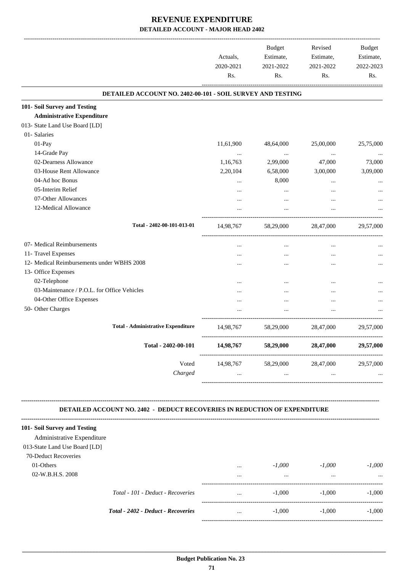|                                             |                                                                                  | Actuals,<br>2020-2021<br>Rs. | Budget<br>Estimate,<br>2021-2022<br>Rs. | Revised<br>Estimate,<br>2021-2022<br>Rs. | Budget<br>Estimate,<br>2022-2023<br>Rs. |
|---------------------------------------------|----------------------------------------------------------------------------------|------------------------------|-----------------------------------------|------------------------------------------|-----------------------------------------|
|                                             | DETAILED ACCOUNT NO. 2402-00-101 - SOIL SURVEY AND TESTING                       |                              |                                         |                                          |                                         |
| 101- Soil Survey and Testing                |                                                                                  |                              |                                         |                                          |                                         |
| <b>Administrative Expenditure</b>           |                                                                                  |                              |                                         |                                          |                                         |
| 013- State Land Use Board [LD]              |                                                                                  |                              |                                         |                                          |                                         |
| 01- Salaries                                |                                                                                  |                              |                                         |                                          |                                         |
| 01-Pay                                      |                                                                                  | 11,61,900                    | 48,64,000                               | 25,00,000                                | 25,75,000                               |
| 14-Grade Pay                                |                                                                                  | $\cdots$                     | $\cdots$                                | $\ldots$                                 |                                         |
| 02-Dearness Allowance                       |                                                                                  | 1,16,763                     | 2,99,000                                | 47,000                                   | 73,000                                  |
| 03-House Rent Allowance                     |                                                                                  | 2,20,104                     | 6,58,000                                | 3,00,000                                 | 3,09,000                                |
| 04-Ad hoc Bonus                             |                                                                                  |                              | 8,000                                   |                                          |                                         |
| 05-Interim Relief                           |                                                                                  |                              | $\cdots$                                | $\cdots$                                 |                                         |
| 07-Other Allowances                         |                                                                                  |                              | $\cdots$                                | $\ddotsc$                                |                                         |
| 12-Medical Allowance                        |                                                                                  | $\cdots$                     | $\cdots$                                | $\cdots$                                 |                                         |
|                                             | Total - 2402-00-101-013-01                                                       | 14,98,767                    |                                         | 58,29,000 28,47,000                      | 29,57,000                               |
| 07- Medical Reimbursements                  |                                                                                  |                              | $\cdots$                                |                                          |                                         |
| 11- Travel Expenses                         |                                                                                  |                              | $\cdots$                                | $\ddotsc$                                |                                         |
| 12- Medical Reimbursements under WBHS 2008  |                                                                                  |                              | $\ddotsc$                               | $\ddotsc$                                |                                         |
| 13- Office Expenses                         |                                                                                  |                              |                                         |                                          |                                         |
| 02-Telephone                                |                                                                                  |                              |                                         |                                          |                                         |
| 03-Maintenance / P.O.L. for Office Vehicles |                                                                                  |                              |                                         | $\ddotsc$                                |                                         |
| 04-Other Office Expenses                    |                                                                                  |                              | $\cdots$                                | $\ddotsc$                                |                                         |
| 50- Other Charges                           |                                                                                  |                              |                                         |                                          |                                         |
|                                             | <b>Total - Administrative Expenditure</b>                                        |                              | 14,98,767 58,29,000 28,47,000           |                                          | 29,57,000                               |
|                                             | Total - 2402-00-101                                                              | 14,98,767                    | 58,29,000                               | 28,47,000                                | 29,57,000                               |
|                                             | Voted                                                                            |                              | 14,98,767 58,29,000                     | 28,47,000                                | 29,57,000                               |
|                                             | Charged                                                                          | $\cdots$                     | $\ddots$                                | $\cdots$                                 |                                         |
|                                             |                                                                                  |                              |                                         |                                          |                                         |
|                                             | <b>DETAILED ACCOUNT NO. 2402 - DEDUCT RECOVERIES IN REDUCTION OF EXPENDITURE</b> |                              |                                         |                                          |                                         |
| 101- Soil Survey and Testing                |                                                                                  |                              |                                         |                                          |                                         |
| Administrative Expenditure                  |                                                                                  |                              |                                         |                                          |                                         |
| 013-State Land Use Board [LD]               |                                                                                  |                              |                                         |                                          |                                         |
| 70-Deduct Recoveries                        |                                                                                  |                              |                                         |                                          |                                         |
| 01-Others                                   |                                                                                  | $\cdots$                     | $-1,000$                                | $-1,000$                                 | $-1,000$                                |
| 02-W.B.H.S. 2008                            |                                                                                  | $\cdots$                     | $\ddots$                                | $\ddots$                                 |                                         |
|                                             | Total - 101 - Deduct - Recoveries                                                | $\cdots$                     | $-1,000$                                | $-1,000$                                 | $-1,000$                                |

*Total - 2402 - Deduct - Recoveries* ... -1,000 -1,000 -1,000

-----------------------------------------------------------------------------------------

-----------------------------------------------------------------------------------------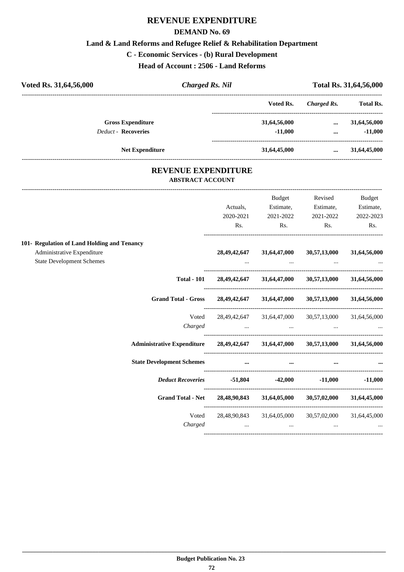## **REVENUE EXPENDITURE**

#### **DEMAND No. 69**

#### **Land & Land Reforms and Refugee Relief & Rehabilitation Department**

#### **C - Economic Services - (b) Rural Development**

**Head of Account : 2506 - Land Reforms**

| <b>Charged Rs. Nil</b> |              |             | Total Rs. 31,64,56,000 |
|------------------------|--------------|-------------|------------------------|
|                        | Voted Rs.    | Charged Rs. | <b>Total Rs.</b>       |
|                        | 31,64,56,000 | $\cdots$    | 31,64,56,000           |
|                        | $-11.000$    |             | $-11,000$              |
|                        | 31,64,45,000 | $\cdots$    | 31,64,45,000           |
|                        |              |             |                        |

#### **REVENUE EXPENDITURE ABSTRACT ACCOUNT**

---------------------------------------------------------------------------------------------------------------------------------------------------------------------------------

|                                                                                     |                                                                             | Budget                                              | Revised                  | Budget       |
|-------------------------------------------------------------------------------------|-----------------------------------------------------------------------------|-----------------------------------------------------|--------------------------|--------------|
|                                                                                     | Actuals,                                                                    | Estimate,                                           | Estimate,                | Estimate,    |
|                                                                                     | 2020-2021                                                                   | 2021-2022                                           | 2021-2022                | 2022-2023    |
|                                                                                     | Rs.                                                                         | Rs.                                                 | Rs.                      | Rs.          |
| 101- Regulation of Land Holding and Tenancy                                         |                                                                             |                                                     |                          |              |
| Administrative Expenditure<br><b>State Development Schemes</b>                      | $\cdots$                                                                    | 28, 49, 42, 647 31, 64, 47, 000<br>$\cdots$         | 30,57,13,000<br>$\ddots$ | 31,64,56,000 |
|                                                                                     |                                                                             |                                                     |                          |              |
|                                                                                     | Total - 101 28, 49, 42, 647 31, 64, 47, 000 30, 57, 13, 000 31, 64, 56, 000 |                                                     |                          |              |
| Grand Total - Gross 28, 49, 42, 647 31, 64, 47, 000 30, 57, 13, 000 31, 64, 56, 000 |                                                                             |                                                     |                          |              |
| Voted                                                                               |                                                                             | 28,49,42,647 31,64,47,000 30,57,13,000 31,64,56,000 |                          |              |
| Administrative Expenditure 28,49,42,647 31,64,47,000 30,57,13,000 31,64,56,000      |                                                                             |                                                     |                          |              |
| <b>State Development Schemes</b>                                                    | $\cdots$                                                                    | $\cdots$                                            |                          |              |
| Deduct Recoveries $-51,804$ $-42,000$ $-11,000$ $-11,000$                           |                                                                             |                                                     |                          |              |
| Grand Total - Net 28,48,90,843 31,64,05,000 30,57,02,000 31,64,45,000               |                                                                             |                                                     |                          |              |
| Voted<br>Charged                                                                    |                                                                             | 28,48,90,843 31,64,05,000 30,57,02,000 31,64,45,000 |                          |              |
|                                                                                     | $\cdots$                                                                    | $\cdots$                                            |                          |              |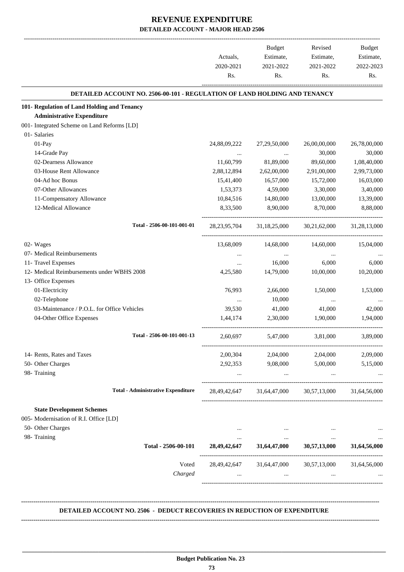|                                                                           | Actuals,<br>2020-2021<br>Rs. | Budget<br>Estimate,<br>2021-2022<br>Rs. | Revised<br>Estimate,<br>2021-2022<br>Rs. | Budget<br>Estimate,<br>2022-2023<br>Rs. |
|---------------------------------------------------------------------------|------------------------------|-----------------------------------------|------------------------------------------|-----------------------------------------|
| DETAILED ACCOUNT NO. 2506-00-101 - REGULATION OF LAND HOLDING AND TENANCY |                              |                                         |                                          |                                         |
| 101- Regulation of Land Holding and Tenancy                               |                              |                                         |                                          |                                         |
| <b>Administrative Expenditure</b>                                         |                              |                                         |                                          |                                         |
| 001- Integrated Scheme on Land Reforms [LD]                               |                              |                                         |                                          |                                         |
| 01- Salaries                                                              |                              |                                         |                                          |                                         |
| 01-Pay                                                                    | 24,88,09,222                 | 27,29,50,000                            | 26,00,00,000                             | 26,78,00,000                            |
| 14-Grade Pay                                                              |                              |                                         | 30,000                                   | 30,000                                  |
| 02-Dearness Allowance                                                     | 11,60,799                    | 81,89,000                               | 89,60,000                                | 1,08,40,000                             |
| 03-House Rent Allowance                                                   | 2,88,12,894                  | 2,62,00,000                             | 2,91,00,000                              | 2,99,73,000                             |
| 04-Ad hoc Bonus                                                           | 15,41,400                    | 16,57,000                               | 15,72,000                                | 16,03,000                               |
| 07-Other Allowances                                                       | 1,53,373                     | 4,59,000                                | 3,30,000                                 | 3,40,000                                |
| 11-Compensatory Allowance                                                 | 10,84,516                    | 14,80,000                               | 13,00,000                                | 13,39,000                               |
| 12-Medical Allowance                                                      | 8,33,500                     | 8,90,000                                | 8,70,000                                 | 8,88,000                                |
| Total - 2506-00-101-001-01                                                | 28, 23, 95, 704              | 31,18,25,000                            | 30,21,62,000                             | 31,28,13,000                            |
| 02- Wages                                                                 | 13,68,009                    | 14,68,000                               | 14,60,000                                | 15,04,000                               |
| 07- Medical Reimbursements                                                |                              | $\cdots$                                | $\cdots$                                 |                                         |
| 11- Travel Expenses                                                       | $\cdots$                     | 16,000                                  | 6,000                                    | 6,000                                   |
| 12- Medical Reimbursements under WBHS 2008                                | 4,25,580                     | 14,79,000                               | 10,00,000                                | 10,20,000                               |
| 13- Office Expenses                                                       |                              |                                         |                                          |                                         |
| 01-Electricity                                                            | 76,993                       | 2,66,000                                | 1,50,000                                 | 1,53,000                                |
| 02-Telephone                                                              | $\cdots$                     | 10,000                                  | $\cdots$                                 |                                         |
| 03-Maintenance / P.O.L. for Office Vehicles                               | 39,530                       | 41,000                                  | 41,000                                   | 42,000                                  |
| 04-Other Office Expenses                                                  | 1,44,174                     | 2,30,000                                | 1,90,000                                 | 1.94.000                                |
|                                                                           |                              |                                         |                                          |                                         |
| Total - 2506-00-101-001-13                                                | 2,60,697                     | 5,47,000                                | 3,81,000                                 | 3,89,000                                |
| 14- Rents, Rates and Taxes                                                |                              | 2,00,304 2,04,000 2,04,000              |                                          | 2,09,000                                |
| 50- Other Charges                                                         | 2,92,353                     | 9,08,000                                | 5,00,000                                 | 5,15,000                                |
| 98- Training                                                              | $\ldots$                     | $\ldots$                                | $\cdots$                                 |                                         |
| <b>Total - Administrative Expenditure</b>                                 |                              | 28,49,42,647 31,64,47,000 30,57,13,000  |                                          | 31,64,56,000                            |
| <b>State Development Schemes</b>                                          |                              |                                         |                                          |                                         |
| 005- Modernisation of R.I. Office [LD]                                    |                              |                                         |                                          |                                         |
| 50- Other Charges                                                         | $\cdots$                     | $\cdots$                                | $\cdots$                                 |                                         |
| 98- Training                                                              | $\cdots$                     | $\cdots$                                | $\cdots$                                 |                                         |
| Total - 2506-00-101                                                       |                              | 28,49,42,647 31,64,47,000 30,57,13,000  |                                          | 31,64,56,000                            |
| Voted                                                                     |                              | 28,49,42,647 31,64,47,000 30,57,13,000  |                                          | 31,64,56,000                            |
| Charged                                                                   |                              | $\cdots$                                |                                          |                                         |
|                                                                           |                              |                                         |                                          |                                         |
|                                                                           |                              |                                         |                                          |                                         |

#### **Budget Publication No. 23 73**

 **\_\_\_\_\_\_\_\_\_\_\_\_\_\_\_\_\_\_\_\_\_\_\_\_\_\_\_\_\_\_\_\_\_\_\_\_\_\_\_\_\_\_\_\_\_\_\_\_\_\_\_\_\_\_\_\_\_\_\_\_\_\_\_\_\_\_\_\_\_\_\_\_\_\_\_\_\_\_\_\_\_\_\_\_\_\_\_\_\_\_\_\_\_\_\_\_\_\_\_\_\_\_\_\_\_\_\_\_\_\_\_\_\_\_\_\_\_\_\_**

**--------------------------------------------------------------------------------------------------------------------------------------------------------------------------------**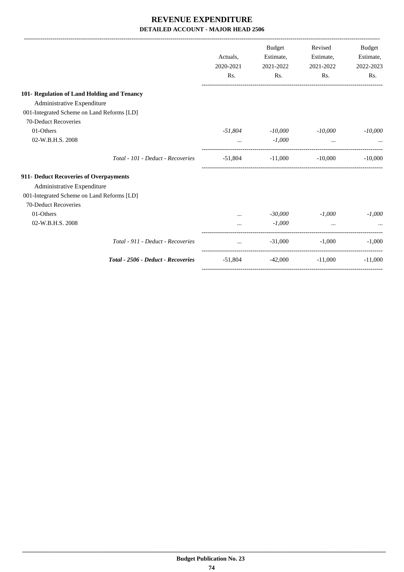|                                             |              | Budget    | Revised             | <b>Budget</b> |
|---------------------------------------------|--------------|-----------|---------------------|---------------|
|                                             | Actuals.     | Estimate, | Estimate,           | Estimate,     |
|                                             | 2020-2021    | 2021-2022 | 2021-2022           | 2022-2023     |
|                                             | Rs.          | Rs.       | Rs.                 | Rs.           |
| 101- Regulation of Land Holding and Tenancy |              |           |                     |               |
| Administrative Expenditure                  |              |           |                     |               |
| 001-Integrated Scheme on Land Reforms [LD]  |              |           |                     |               |
| 70-Deduct Recoveries                        |              |           |                     |               |
| 01-Others                                   | -51,804      | $-10,000$ | $-10,000$           | $-10,000$     |
| 02-W.B.H.S. 2008                            | $\mathbf{1}$ | $-1,000$  | $\cdots$            |               |
| Total - 101 - Deduct - Recoveries           | $-51,804$    |           | $-11,000$ $-10,000$ | $-10,000$     |
| 911- Deduct Recoveries of Overpayments      |              |           |                     |               |
| Administrative Expenditure                  |              |           |                     |               |
| 001-Integrated Scheme on Land Reforms [LD]  |              |           |                     |               |
| 70-Deduct Recoveries                        |              |           |                     |               |
| 01-Others                                   | $\cdots$     | $-30,000$ | $-1.000$            | $-1,000$      |
| 02-W.B.H.S. 2008                            |              | $-1,000$  | $\cdots$            |               |
| Total - 911 - Deduct - Recoveries           | $\mathbf{r}$ | $-31,000$ | $-1.000$            | $-1.000$      |
| Total - 2506 - Deduct - Recoveries          | -51.804      |           | $-42,000$ $-11,000$ | $-11,000$     |
|                                             |              |           |                     |               |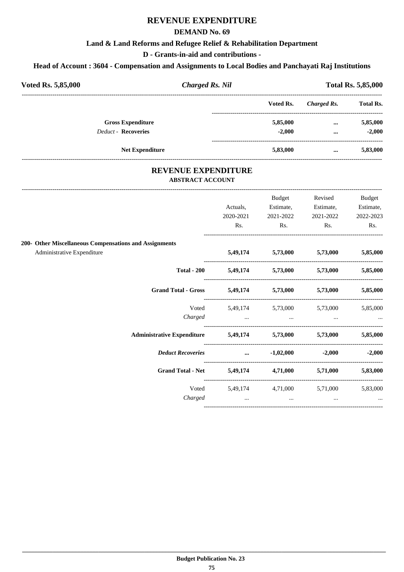## **REVENUE EXPENDITURE**

#### **DEMAND No. 69**

#### **Land & Land Reforms and Refugee Relief & Rehabilitation Department**

**D - Grants-in-aid and contributions -**

#### **Head of Account : 3604 - Compensation and Assignments to Local Bodies and Panchayati Raj Institutions**

| Voted Rs. 5,85,000         | <b>Charged Rs. Nil</b> |           |             |                  |
|----------------------------|------------------------|-----------|-------------|------------------|
|                            |                        | Voted Rs. | Charged Rs. | <b>Total Rs.</b> |
| <b>Gross Expenditure</b>   |                        | 5,85,000  | $\cdots$    | 5,85,000         |
| <b>Deduct - Recoveries</b> |                        | $-2.000$  | $\cdots$    | $-2.000$         |
| <b>Net Expenditure</b>     |                        | 5,83,000  | $\cdots$    | 5,83,000         |

# **REVENUE EXPENDITURE**

---------------------------------------------------------------------------------------------------------------------------------------------------------------------------------

#### **ABSTRACT ACCOUNT**

|                                                                |           | Budget         | Revised                                         | Budget    |
|----------------------------------------------------------------|-----------|----------------|-------------------------------------------------|-----------|
|                                                                | Actuals,  | Estimate,      | Estimate,                                       | Estimate, |
|                                                                | 2020-2021 | 2021-2022      | 2021-2022                                       | 2022-2023 |
|                                                                | Rs.       | $\mathsf{Rs.}$ | Rs.                                             | Rs.       |
| 200- Other Miscellaneous Compensations and Assignments         |           |                |                                                 |           |
| Administrative Expenditure                                     |           |                | 5,49,174 5,73,000 5,73,000 5,85,000             |           |
|                                                                |           |                | Total - 200 5,49,174 5,73,000 5,73,000 5,85,000 |           |
| Grand Total - Gross 5,49,174 5,73,000 5,73,000 5,85,000        |           |                |                                                 |           |
|                                                                |           |                | Voted 5,49,174 5,73,000 5,73,000 5,85,000       |           |
|                                                                |           |                |                                                 |           |
| Administrative Expenditure 5,49,174 5,73,000 5,73,000 5,85,000 |           |                |                                                 |           |
| <i>Deduct Recoveries</i> 4,02,000 -2,000 -2,000                |           |                |                                                 |           |
| Grand Total - Net 5,49,174 4,71,000 5,71,000 5,83,000          |           |                |                                                 |           |
|                                                                |           |                | Voted 5,49,174 4,71,000 5,71,000                | 5,83,000  |
|                                                                |           |                |                                                 |           |
|                                                                |           |                |                                                 |           |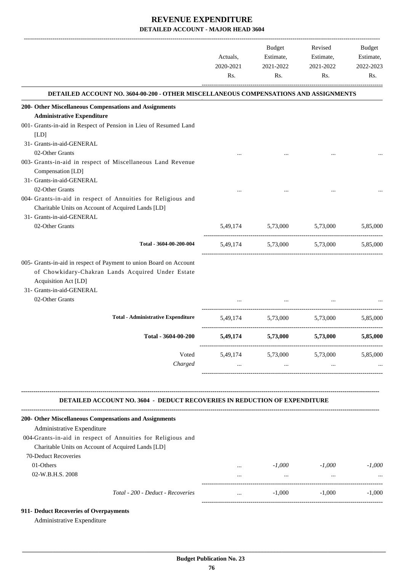|                                                                                                                                                                                                 | Actuals,<br>2020-2021<br>Rs. | Budget<br>Estimate,<br>2021-2022<br>Rs. | Revised<br>Estimate,<br>2021-2022<br>Rs.    | Budget<br>Estimate,<br>2022-2023<br>Rs. |
|-------------------------------------------------------------------------------------------------------------------------------------------------------------------------------------------------|------------------------------|-----------------------------------------|---------------------------------------------|-----------------------------------------|
| DETAILED ACCOUNT NO. 3604-00-200 - OTHER MISCELLANEOUS COMPENSATIONS AND ASSIGNMENTS                                                                                                            |                              |                                         |                                             |                                         |
| 200- Other Miscellaneous Compensations and Assignments                                                                                                                                          |                              |                                         |                                             |                                         |
| <b>Administrative Expenditure</b>                                                                                                                                                               |                              |                                         |                                             |                                         |
| 001- Grants-in-aid in Respect of Pension in Lieu of Resumed Land<br>[LD]                                                                                                                        |                              |                                         |                                             |                                         |
| 31- Grants-in-aid-GENERAL                                                                                                                                                                       |                              |                                         |                                             |                                         |
| 02-Other Grants                                                                                                                                                                                 |                              |                                         |                                             |                                         |
| 003- Grants-in-aid in respect of Miscellaneous Land Revenue<br>Compensation [LD]<br>31- Grants-in-aid-GENERAL                                                                                   |                              |                                         |                                             |                                         |
| 02-Other Grants                                                                                                                                                                                 |                              |                                         |                                             |                                         |
| 004- Grants-in-aid in respect of Annuities for Religious and<br>Charitable Units on Account of Acquired Lands [LD]<br>31- Grants-in-aid-GENERAL                                                 |                              |                                         |                                             |                                         |
| 02-Other Grants                                                                                                                                                                                 |                              | 5,49,174 5,73,000 5,73,000              |                                             | 5.85,000                                |
| Total - 3604-00-200-004                                                                                                                                                                         |                              | 5,49,174 5,73,000 5,73,000              |                                             | 5,85,000                                |
| 005- Grants-in-aid in respect of Payment to union Board on Account<br>of Chowkidary-Chakran Lands Acquired Under Estate<br>Acquisition Act [LD]<br>31- Grants-in-aid-GENERAL<br>02-Other Grants |                              |                                         |                                             |                                         |
|                                                                                                                                                                                                 |                              |                                         |                                             |                                         |
| <b>Total - Administrative Expenditure</b>                                                                                                                                                       |                              | 5,49,174 5,73,000 5,73,000              |                                             | 5,85,000                                |
| Total - 3604-00-200                                                                                                                                                                             | 5,49,174                     | 5,73,000                                | 5,73,000                                    | 5,85,000                                |
| Voted                                                                                                                                                                                           |                              | 5,49,174 5,73,000 5,73,000 5,85,000     |                                             |                                         |
| Charged                                                                                                                                                                                         | $\cdots$                     |                                         | <b>Second Contract Contract</b><br>$\cdots$ |                                         |
| <b>DETAILED ACCOUNT NO. 3604 - DEDUCT RECOVERIES IN REDUCTION OF EXPENDITURE</b>                                                                                                                |                              |                                         |                                             |                                         |
| 200- Other Miscellaneous Compensations and Assignments<br>Administrative Expenditure                                                                                                            |                              |                                         |                                             |                                         |
| 004-Grants-in-aid in respect of Annuities for Religious and<br>Charitable Units on Account of Acquired Lands [LD]                                                                               |                              |                                         |                                             |                                         |
| 70-Deduct Recoveries                                                                                                                                                                            |                              |                                         |                                             |                                         |
| 01-Others                                                                                                                                                                                       |                              | and the state of the                    | $-1,000$ $-1,000$                           | $-1,000$                                |
| 02-W.B.H.S. 2008                                                                                                                                                                                | $\cdots$                     | <b>Contract Contract Contract</b>       | $\cdots$                                    |                                         |
| Total - 200 - Deduct - Recoveries                                                                                                                                                               | $\cdots$                     |                                         | $-1,000$ $-1,000$                           | $-1,000$                                |
| 911- Deduct Recoveries of Overpayments<br>Administrative Expenditure                                                                                                                            |                              |                                         |                                             |                                         |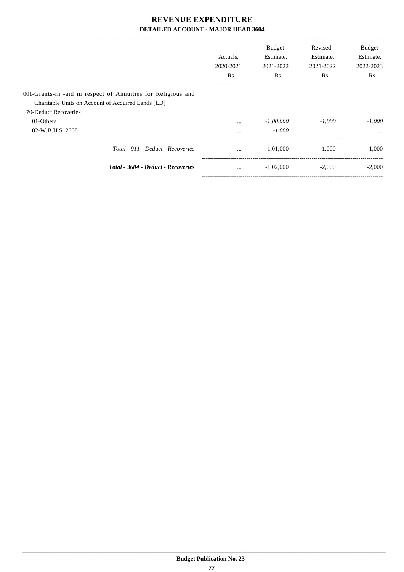|                                                              | Actuals.<br>2020-2021<br>Rs. | <b>Budget</b><br>Estimate,<br>2021-2022<br>Rs. | Revised<br>Estimate,<br>2021-2022<br>Rs. | <b>Budget</b><br>Estimate,<br>2022-2023<br>Rs. |
|--------------------------------------------------------------|------------------------------|------------------------------------------------|------------------------------------------|------------------------------------------------|
| 001-Grants-in -aid in respect of Annuities for Religious and |                              |                                                |                                          |                                                |
| Charitable Units on Account of Acquired Lands [LD]           |                              |                                                |                                          |                                                |
| 70-Deduct Recoveries                                         |                              |                                                |                                          |                                                |
| 01-Others                                                    | $\cdots$                     | $-1,00,000$                                    | $-1.000$                                 | $-1.000$                                       |
| 02-W.B.H.S. 2008                                             | $\cdots$                     | $-1.000$                                       | $\cdots$                                 | $\cdots$                                       |
| Total - 911 - Deduct - Recoveries                            | $\cdots$                     | $-1,01,000$                                    | $-1,000$                                 | $-1,000$                                       |
| Total - 3604 - Deduct - Recoveries                           | $\cdots$                     | $-1,02,000$                                    | $-2,000$                                 | $-2,000$                                       |
|                                                              |                              |                                                |                                          |                                                |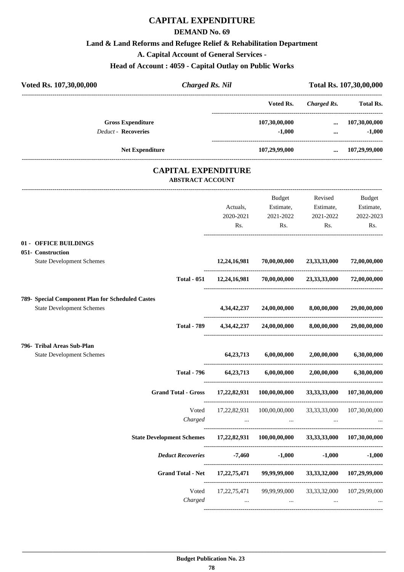## **CAPITAL EXPENDITURE**

#### **DEMAND No. 69**

#### **Land & Land Reforms and Refugee Relief & Rehabilitation Department**

**A. Capital Account of General Services -**

#### **Head of Account : 4059 - Capital Outlay on Public Works**

| Voted Rs. 107,30,00,000                                                         |       | <b>Charged Rs. Nil</b> |                                                                                                       |                 | Total Rs. 107,30,00,000                                                      |
|---------------------------------------------------------------------------------|-------|------------------------|-------------------------------------------------------------------------------------------------------|-----------------|------------------------------------------------------------------------------|
|                                                                                 |       |                        | Voted Rs.                                                                                             | Charged Rs.     | <b>Total Rs.</b>                                                             |
| <b>Gross Expenditure</b>                                                        |       |                        | 107,30,00,000                                                                                         | $\cdots$        | 107,30,00,000                                                                |
| Deduct - Recoveries                                                             |       |                        | $-1,000$                                                                                              | $\cdots$        | $-1,000$                                                                     |
| <b>Net Expenditure</b>                                                          |       |                        | 107,29,99,000                                                                                         |                 | $\dots$ 107,29,99,000                                                        |
| <b>CAPITAL EXPENDITURE</b><br><b>ABSTRACT ACCOUNT</b>                           |       |                        |                                                                                                       |                 |                                                                              |
|                                                                                 |       |                        | Budget                                                                                                | Revised         | Budget                                                                       |
|                                                                                 |       | Actuals,               | Estimate,                                                                                             | Estimate,       | Estimate,                                                                    |
|                                                                                 |       | 2020-2021              | 2021-2022                                                                                             | 2021-2022       | 2022-2023                                                                    |
|                                                                                 |       | Rs.                    | Rs.                                                                                                   | Rs.             | Rs.                                                                          |
| 01 - OFFICE BUILDINGS                                                           |       |                        |                                                                                                       |                 |                                                                              |
| 051- Construction                                                               |       |                        |                                                                                                       |                 |                                                                              |
| <b>State Development Schemes</b>                                                |       | 12,24,16,981           | 70,00,00,000                                                                                          | 23, 33, 33, 000 | 72,00,00,000                                                                 |
| <b>Total - 051</b>                                                              |       | 12,24,16,981           | 70,00,00,000                                                                                          | 23,33,33,000    | 72,00,00,000                                                                 |
| 789- Special Component Plan for Scheduled Castes                                |       |                        |                                                                                                       |                 |                                                                              |
| <b>State Development Schemes</b>                                                |       | 4,34,42,237            | 24,00,00,000                                                                                          | 8,00,00,000     | 29,00,00,000                                                                 |
| <b>Total - 789</b>                                                              |       | 4, 34, 42, 237         | 24,00,00,000                                                                                          | 8,00,00,000     | 29,00,00,000                                                                 |
| 796- Tribal Areas Sub-Plan                                                      |       |                        |                                                                                                       |                 |                                                                              |
| <b>State Development Schemes</b>                                                |       | 64, 23, 713            | 6,00,00,000                                                                                           | 2,00,00,000     | 6,30,00,000                                                                  |
| <b>Total - 796</b>                                                              |       | 64, 23, 713            | 6,00,00,000                                                                                           | 2,00,00,000     | 6,30,00,000                                                                  |
|                                                                                 |       |                        | Grand Total - Gross 17,22,82,931 100,00,00,000                                                        |                 | 33, 33, 33, 000 107, 30, 00, 000                                             |
|                                                                                 | Voted |                        | 17,22,82,931 100,00,00,000 33,33,33,000 107,30,00,000                                                 |                 |                                                                              |
| Charged                                                                         |       |                        | $\mathcal{L}(\mathbf{m})$ and $\mathcal{L}(\mathbf{m})$ are $\mathcal{L}(\mathbf{m})$ . Then, we have | $\cdots$        |                                                                              |
| State Development Schemes 17,22,82,931 100,00,00,000 33,33,33,000 107,30,00,000 |       |                        |                                                                                                       |                 |                                                                              |
|                                                                                 |       |                        | Deduct Recoveries -7,460 -1,000 -1,000                                                                |                 | $-1,000$                                                                     |
|                                                                                 |       |                        | Grand Total - Net 17,22,75,471 99,99,99,000 33,33,32,000 107,29,99,000                                |                 |                                                                              |
|                                                                                 | Voted |                        | 17,22,75,471 99,99,99,000 33,33,32,000 107,29,99,000                                                  |                 |                                                                              |
| Charged                                                                         |       |                        | the contract of the contract of the contract of the contract of the contract of                       |                 | $\mathbf{1}$ and $\mathbf{1}$ are $\mathbf{1}$ . The set of the $\mathbf{1}$ |

----------------------------------------------------------------------------------------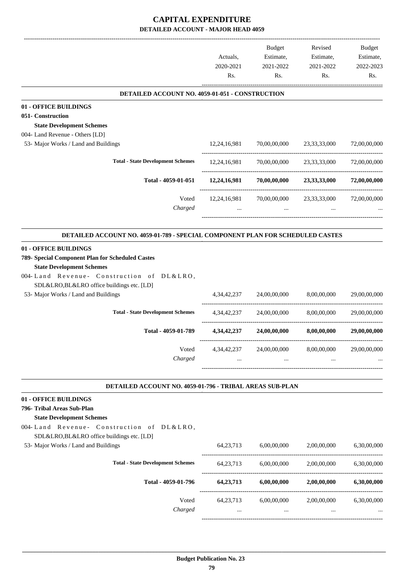|                                                                                                                                                                                                                                                 | Actuals,<br>2020-2021<br>Rs. | Budget<br>Estimate,<br>2021-2022<br>Rs. | Revised<br>Estimate,<br>2021-2022<br>Rs.      | Budget<br>Estimate,<br>2022-2023<br>Rs. |
|-------------------------------------------------------------------------------------------------------------------------------------------------------------------------------------------------------------------------------------------------|------------------------------|-----------------------------------------|-----------------------------------------------|-----------------------------------------|
| DETAILED ACCOUNT NO. 4059-01-051 - CONSTRUCTION                                                                                                                                                                                                 |                              |                                         |                                               |                                         |
| 01 - OFFICE BUILDINGS                                                                                                                                                                                                                           |                              |                                         |                                               |                                         |
| 051- Construction                                                                                                                                                                                                                               |                              |                                         |                                               |                                         |
| <b>State Development Schemes</b>                                                                                                                                                                                                                |                              |                                         |                                               |                                         |
| 004- Land Revenue - Others [LD]<br>53- Major Works / Land and Buildings                                                                                                                                                                         |                              |                                         |                                               |                                         |
|                                                                                                                                                                                                                                                 | 12,24,16,981                 |                                         | 70,00,00,000 23,33,33,000                     | 72,00,00,000                            |
| <b>Total - State Development Schemes</b>                                                                                                                                                                                                        | 12,24,16,981                 | 70,00,00,000                            | 23, 33, 33, 000                               | 72,00,00,000                            |
| Total - 4059-01-051                                                                                                                                                                                                                             |                              | 12,24,16,981 70,00,00,000               | 23,33,33,000 72,00,00,000                     |                                         |
| Voted<br>Charged                                                                                                                                                                                                                                | 12,24,16,981                 | 70,00,00,000<br>$\cdots$                | 23, 33, 33, 000                               | 72,00,00,000                            |
| DETAILED ACCOUNT NO. 4059-01-789 - SPECIAL COMPONENT PLAN FOR SCHEDULED CASTES                                                                                                                                                                  |                              |                                         |                                               |                                         |
| 01 - OFFICE BUILDINGS<br>789- Special Component Plan for Scheduled Castes<br><b>State Development Schemes</b><br>004-Land Revenue- Construction of DL&LRO,<br>SDL&LRO,BL&LRO office buildings etc. [LD]<br>53- Major Works / Land and Buildings | 4, 34, 42, 237               | 24,00,00,000                            | 8,00,00,000                                   | 29,00,00,000                            |
| <b>Total - State Development Schemes</b>                                                                                                                                                                                                        | 4, 34, 42, 237               | 24,00,00,000                            | 8,00,00,000                                   | 29,00,00,000                            |
| Total - 4059-01-789                                                                                                                                                                                                                             | 4, 34, 42, 237               | 24,00,00,000                            | 8,00,00,000                                   | 29,00,00,000                            |
| Voted<br>Charged                                                                                                                                                                                                                                | 4,34,42,237                  | 24,00,00,000<br>$\cdots$                | 8,00,00,000<br>$\cdots$                       | 29,00,00,000                            |
| DETAILED ACCOUNT NO. 4059-01-796 - TRIBAL AREAS SUB-PLAN                                                                                                                                                                                        |                              |                                         |                                               |                                         |
| 01 - OFFICE BUILDINGS                                                                                                                                                                                                                           |                              |                                         |                                               |                                         |
| 796- Tribal Areas Sub-Plan<br><b>State Development Schemes</b><br>004-Land Revenue- Construction of DL&LRO,<br>SDL&LRO,BL&LRO office buildings etc. [LD]<br>53- Major Works / Land and Buildings                                                |                              |                                         | 64,23,713 6,00,00,000 2,00,00,000 6,30,00,000 |                                         |
| <b>Total - State Development Schemes</b>                                                                                                                                                                                                        | 64, 23, 713                  | 6,00,00,000                             | 2,00,00,000                                   | 6,30,00,000                             |
| Total - 4059-01-796                                                                                                                                                                                                                             | 64, 23, 713                  | 6,00,00,000                             | 2,00,00,000                                   | 6,30,00,000                             |
|                                                                                                                                                                                                                                                 |                              |                                         |                                               |                                         |
| Voted<br>Charged                                                                                                                                                                                                                                |                              | 64,23,713 6,00,00,000                   |                                               | 2,00,00,000 6,30,00,000                 |
|                                                                                                                                                                                                                                                 |                              |                                         |                                               |                                         |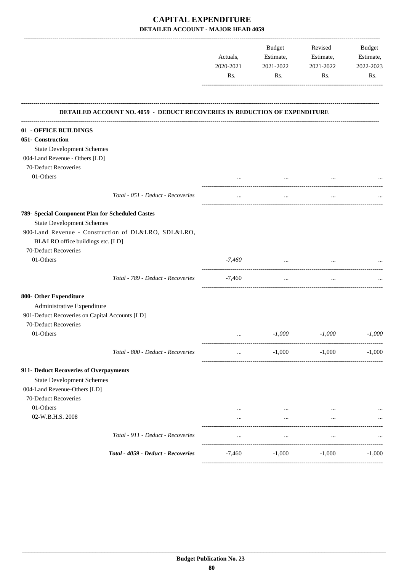| 2020-2021<br>2021-2022<br>2021-2022<br>Rs.<br>Rs.<br>Rs.<br>DETAILED ACCOUNT NO. 4059 - DEDUCT RECOVERIES IN REDUCTION OF EXPENDITURE<br>01 - OFFICE BUILDINGS<br>051- Construction<br><b>State Development Schemes</b><br>004-Land Revenue - Others [LD]<br>70-Deduct Recoveries<br>01-Others<br>Total - 051 - Deduct - Recoveries<br>789- Special Component Plan for Scheduled Castes<br><b>State Development Schemes</b><br>900-Land Revenue - Construction of DL&LRO, SDL&LRO,<br>BL&LRO office buildings etc. [LD]<br>70-Deduct Recoveries<br>01-Others<br>$-7,460$<br>$\cdots$<br>Total - 789 - Deduct - Recoveries<br>-7,460<br>$\cdots$<br>$\cdots$<br>800- Other Expenditure<br>Administrative Expenditure<br>901-Deduct Recoveries on Capital Accounts [LD]<br>70-Deduct Recoveries<br>01-Others<br>$-1,000$<br>$-1,000$<br>$\cdots$<br>Total - 800 - Deduct - Recoveries<br>$-1,000$<br>$-1,000$<br>$\cdots$<br>911- Deduct Recoveries of Overpayments<br><b>State Development Schemes</b><br>004-Land Revenue-Others [LD]<br>70-Deduct Recoveries<br>01-Others<br>02-W.B.H.S. 2008<br>$\cdots$<br>$\cdots$<br>$\cdots$<br>Total - 911 - Deduct - Recoveries<br>$\cdots$<br>$\cdots$<br>$\cdots$ |  | Actuals, |  |  |                  | Estimate, | Budget |  |  | Revised<br>Estimate, | Budget<br>Estimate, |
|-------------------------------------------------------------------------------------------------------------------------------------------------------------------------------------------------------------------------------------------------------------------------------------------------------------------------------------------------------------------------------------------------------------------------------------------------------------------------------------------------------------------------------------------------------------------------------------------------------------------------------------------------------------------------------------------------------------------------------------------------------------------------------------------------------------------------------------------------------------------------------------------------------------------------------------------------------------------------------------------------------------------------------------------------------------------------------------------------------------------------------------------------------------------------------------------------------------|--|----------|--|--|------------------|-----------|--------|--|--|----------------------|---------------------|
|                                                                                                                                                                                                                                                                                                                                                                                                                                                                                                                                                                                                                                                                                                                                                                                                                                                                                                                                                                                                                                                                                                                                                                                                             |  |          |  |  | 2022-2023<br>Rs. |           |        |  |  |                      |                     |
|                                                                                                                                                                                                                                                                                                                                                                                                                                                                                                                                                                                                                                                                                                                                                                                                                                                                                                                                                                                                                                                                                                                                                                                                             |  |          |  |  |                  |           |        |  |  |                      |                     |
|                                                                                                                                                                                                                                                                                                                                                                                                                                                                                                                                                                                                                                                                                                                                                                                                                                                                                                                                                                                                                                                                                                                                                                                                             |  |          |  |  |                  |           |        |  |  |                      |                     |
|                                                                                                                                                                                                                                                                                                                                                                                                                                                                                                                                                                                                                                                                                                                                                                                                                                                                                                                                                                                                                                                                                                                                                                                                             |  |          |  |  |                  |           |        |  |  |                      |                     |
|                                                                                                                                                                                                                                                                                                                                                                                                                                                                                                                                                                                                                                                                                                                                                                                                                                                                                                                                                                                                                                                                                                                                                                                                             |  |          |  |  |                  |           |        |  |  |                      |                     |
|                                                                                                                                                                                                                                                                                                                                                                                                                                                                                                                                                                                                                                                                                                                                                                                                                                                                                                                                                                                                                                                                                                                                                                                                             |  |          |  |  |                  |           |        |  |  |                      |                     |
|                                                                                                                                                                                                                                                                                                                                                                                                                                                                                                                                                                                                                                                                                                                                                                                                                                                                                                                                                                                                                                                                                                                                                                                                             |  |          |  |  |                  |           |        |  |  |                      |                     |
|                                                                                                                                                                                                                                                                                                                                                                                                                                                                                                                                                                                                                                                                                                                                                                                                                                                                                                                                                                                                                                                                                                                                                                                                             |  |          |  |  |                  |           |        |  |  |                      |                     |
|                                                                                                                                                                                                                                                                                                                                                                                                                                                                                                                                                                                                                                                                                                                                                                                                                                                                                                                                                                                                                                                                                                                                                                                                             |  |          |  |  |                  |           |        |  |  |                      |                     |
|                                                                                                                                                                                                                                                                                                                                                                                                                                                                                                                                                                                                                                                                                                                                                                                                                                                                                                                                                                                                                                                                                                                                                                                                             |  |          |  |  |                  |           |        |  |  |                      |                     |
|                                                                                                                                                                                                                                                                                                                                                                                                                                                                                                                                                                                                                                                                                                                                                                                                                                                                                                                                                                                                                                                                                                                                                                                                             |  |          |  |  |                  |           |        |  |  |                      |                     |
|                                                                                                                                                                                                                                                                                                                                                                                                                                                                                                                                                                                                                                                                                                                                                                                                                                                                                                                                                                                                                                                                                                                                                                                                             |  |          |  |  |                  |           |        |  |  |                      |                     |
|                                                                                                                                                                                                                                                                                                                                                                                                                                                                                                                                                                                                                                                                                                                                                                                                                                                                                                                                                                                                                                                                                                                                                                                                             |  |          |  |  |                  |           |        |  |  |                      |                     |
|                                                                                                                                                                                                                                                                                                                                                                                                                                                                                                                                                                                                                                                                                                                                                                                                                                                                                                                                                                                                                                                                                                                                                                                                             |  |          |  |  |                  |           |        |  |  |                      |                     |
|                                                                                                                                                                                                                                                                                                                                                                                                                                                                                                                                                                                                                                                                                                                                                                                                                                                                                                                                                                                                                                                                                                                                                                                                             |  |          |  |  |                  |           |        |  |  |                      |                     |
|                                                                                                                                                                                                                                                                                                                                                                                                                                                                                                                                                                                                                                                                                                                                                                                                                                                                                                                                                                                                                                                                                                                                                                                                             |  |          |  |  |                  |           |        |  |  |                      |                     |
|                                                                                                                                                                                                                                                                                                                                                                                                                                                                                                                                                                                                                                                                                                                                                                                                                                                                                                                                                                                                                                                                                                                                                                                                             |  |          |  |  |                  |           |        |  |  |                      |                     |
|                                                                                                                                                                                                                                                                                                                                                                                                                                                                                                                                                                                                                                                                                                                                                                                                                                                                                                                                                                                                                                                                                                                                                                                                             |  |          |  |  |                  |           |        |  |  |                      |                     |
|                                                                                                                                                                                                                                                                                                                                                                                                                                                                                                                                                                                                                                                                                                                                                                                                                                                                                                                                                                                                                                                                                                                                                                                                             |  |          |  |  |                  |           |        |  |  |                      |                     |
|                                                                                                                                                                                                                                                                                                                                                                                                                                                                                                                                                                                                                                                                                                                                                                                                                                                                                                                                                                                                                                                                                                                                                                                                             |  |          |  |  |                  |           |        |  |  |                      |                     |
|                                                                                                                                                                                                                                                                                                                                                                                                                                                                                                                                                                                                                                                                                                                                                                                                                                                                                                                                                                                                                                                                                                                                                                                                             |  |          |  |  | $-1,000$         |           |        |  |  |                      |                     |
|                                                                                                                                                                                                                                                                                                                                                                                                                                                                                                                                                                                                                                                                                                                                                                                                                                                                                                                                                                                                                                                                                                                                                                                                             |  |          |  |  | $-1,000$         |           |        |  |  |                      |                     |
|                                                                                                                                                                                                                                                                                                                                                                                                                                                                                                                                                                                                                                                                                                                                                                                                                                                                                                                                                                                                                                                                                                                                                                                                             |  |          |  |  |                  |           |        |  |  |                      |                     |
|                                                                                                                                                                                                                                                                                                                                                                                                                                                                                                                                                                                                                                                                                                                                                                                                                                                                                                                                                                                                                                                                                                                                                                                                             |  |          |  |  |                  |           |        |  |  |                      |                     |
|                                                                                                                                                                                                                                                                                                                                                                                                                                                                                                                                                                                                                                                                                                                                                                                                                                                                                                                                                                                                                                                                                                                                                                                                             |  |          |  |  |                  |           |        |  |  |                      |                     |
|                                                                                                                                                                                                                                                                                                                                                                                                                                                                                                                                                                                                                                                                                                                                                                                                                                                                                                                                                                                                                                                                                                                                                                                                             |  |          |  |  |                  |           |        |  |  |                      |                     |
|                                                                                                                                                                                                                                                                                                                                                                                                                                                                                                                                                                                                                                                                                                                                                                                                                                                                                                                                                                                                                                                                                                                                                                                                             |  |          |  |  |                  |           |        |  |  |                      |                     |
|                                                                                                                                                                                                                                                                                                                                                                                                                                                                                                                                                                                                                                                                                                                                                                                                                                                                                                                                                                                                                                                                                                                                                                                                             |  |          |  |  |                  |           |        |  |  |                      |                     |
|                                                                                                                                                                                                                                                                                                                                                                                                                                                                                                                                                                                                                                                                                                                                                                                                                                                                                                                                                                                                                                                                                                                                                                                                             |  |          |  |  |                  |           |        |  |  |                      |                     |
| Total - 4059 - Deduct - Recoveries<br>$-1,000$<br>$-7,460$<br>$-1,000$                                                                                                                                                                                                                                                                                                                                                                                                                                                                                                                                                                                                                                                                                                                                                                                                                                                                                                                                                                                                                                                                                                                                      |  |          |  |  | $-1,000$         |           |        |  |  |                      |                     |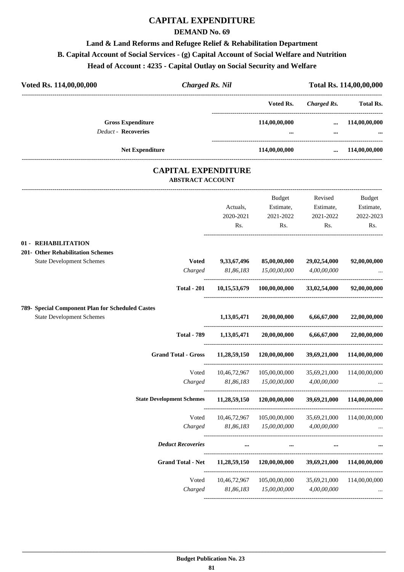## **CAPITAL EXPENDITURE**

#### **DEMAND No. 69**

## **Land & Land Reforms and Refugee Relief & Rehabilitation Department B. Capital Account of Social Services - (g) Capital Account of Social Welfare and Nutrition Head of Account : 4235 - Capital Outlay on Social Security and Welfare**

| Voted Rs. 114,00,00,000                          | <b>Charged Rs. Nil</b>                                |                   |                                               |                                                  | Total Rs. 114,00,00,000 |
|--------------------------------------------------|-------------------------------------------------------|-------------------|-----------------------------------------------|--------------------------------------------------|-------------------------|
|                                                  |                                                       |                   | Voted Rs.                                     | --------------------------<br><b>Charged Rs.</b> | <b>Total Rs.</b>        |
| <b>Gross Expenditure</b>                         |                                                       |                   | 114,00,00,000                                 | $\cdots$                                         | 114,00,00,000           |
| Deduct - Recoveries                              |                                                       |                   |                                               | $\cdots$                                         |                         |
|                                                  |                                                       |                   |                                               |                                                  |                         |
| <b>Net Expenditure</b>                           |                                                       |                   | 114,00,00,000                                 |                                                  | $\dots$ 114,00,00,000   |
|                                                  | <b>CAPITAL EXPENDITURE</b><br><b>ABSTRACT ACCOUNT</b> |                   |                                               |                                                  |                         |
|                                                  |                                                       |                   | Budget                                        | Revised                                          | <b>Budget</b>           |
|                                                  |                                                       | Actuals,          | Estimate,                                     | Estimate,                                        | Estimate,               |
|                                                  |                                                       | 2020-2021         | 2021-2022                                     | 2021-2022                                        | 2022-2023               |
|                                                  |                                                       | Rs.               | Rs.                                           | Rs.                                              | Rs.                     |
| 01 - REHABILITATION                              |                                                       |                   |                                               |                                                  |                         |
| 201- Other Rehabilitation Schemes                |                                                       |                   |                                               |                                                  |                         |
| <b>State Development Schemes</b>                 |                                                       | Voted 9,33,67,496 | 85,00,00,000                                  | 29,02,54,000                                     | 92,00,00,000            |
|                                                  |                                                       | Charged 81,86,183 | 15,00,00,000                                  | 4,00,00,000                                      |                         |
|                                                  | <b>Total - 201</b>                                    |                   | $10,15,53,679$ $100,00,00,000$ $33,02,54,000$ |                                                  | 92,00,00,000            |
| 789- Special Component Plan for Scheduled Castes |                                                       |                   |                                               |                                                  |                         |
| <b>State Development Schemes</b>                 |                                                       | 1,13,05,471       | 20,00,00,000                                  | 6,66,67,000                                      | 22,00,00,000            |
|                                                  | <b>Total - 789</b>                                    |                   | $1,13,05,471$ $20,00,00,000$                  | 6,66,67,000                                      | 22,00,00,000            |
|                                                  | <b>Grand Total - Gross</b>                            | 11,28,59,150      | 120,00,00,000                                 | 39,69,21,000                                     | 114,00,00,000           |
|                                                  | Voted                                                 | 10,46,72,967      | 105,00,00,000                                 | 35,69,21,000                                     | 114,00,00,000           |
|                                                  | Charged                                               | 81,86,183         | 15,00,00,000                                  | 4,00,00,000                                      |                         |
|                                                  | <b>State Development Schemes</b>                      | 11,28,59,150      | 120,00,00,000                                 | 39,69,21,000                                     | 114,00,00,000           |
|                                                  | Voted                                                 | 10,46,72,967      | 105,00,00,000                                 | 35,69,21,000                                     | 114,00,00,000           |
|                                                  | Charged                                               | 81,86,183         | 15,00,00,000                                  | 4,00,00,000                                      |                         |
|                                                  | <b>Deduct Recoveries</b>                              |                   |                                               |                                                  |                         |
|                                                  |                                                       |                   |                                               |                                                  |                         |

| Deauct Kecoveries |              |               |              |               |
|-------------------|--------------|---------------|--------------|---------------|
| Grand Total - Net | 11,28,59,150 | 120,00,00,000 | 39,69,21,000 | 114,00,00,000 |
| Voted             | 10.46.72.967 | 105,00,00,000 | 35.69.21.000 | 114,00,00,000 |
| Charged           | 81,86,183    | 15,00,00,000  | 4,00,00,000  | $\cdots$      |
|                   |              |               |              |               |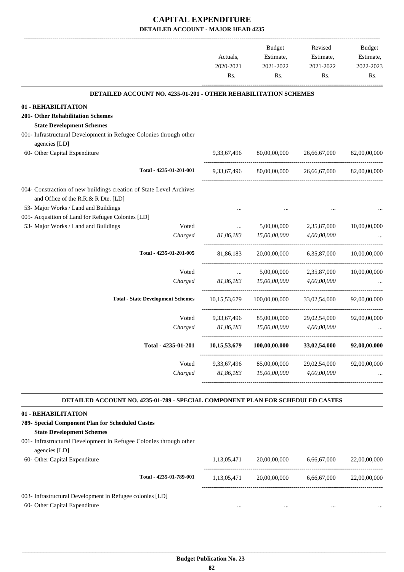-------------------------------------------------------------------------------------------------------------------------------------------------------------------------------

|                                                                                                                                                    | Actuals,<br>2020-2021 | <b>Budget</b><br>Estimate,<br>2021-2022 | Revised<br>Estimate,<br>2021-2022 | <b>Budget</b><br>Estimate,<br>2022-2023 |
|----------------------------------------------------------------------------------------------------------------------------------------------------|-----------------------|-----------------------------------------|-----------------------------------|-----------------------------------------|
|                                                                                                                                                    | Rs.                   | Rs.                                     | Rs.                               | Rs.                                     |
| <b>DETAILED ACCOUNT NO. 4235-01-201 - OTHER REHABILITATION SCHEMES</b>                                                                             |                       |                                         |                                   |                                         |
| 01 - REHABILITATION                                                                                                                                |                       |                                         |                                   |                                         |
| 201- Other Rehabilitation Schemes<br><b>State Development Schemes</b>                                                                              |                       |                                         |                                   |                                         |
| 001- Infrastructural Development in Refugee Colonies through other<br>agencies [LD]                                                                |                       |                                         |                                   |                                         |
| 60- Other Capital Expenditure                                                                                                                      | 9,33,67,496           | 80,00,00,000                            | 26,66,67,000                      | 82,00,00,000                            |
| Total - 4235-01-201-001                                                                                                                            | 9,33,67,496           | 80,00,00,000                            | 26,66,67,000                      | 82,00,00,000                            |
| 004- Constraction of new buildings creation of State Level Archives<br>and Office of the R.R.& R Dte. [LD]<br>53- Major Works / Land and Buildings |                       |                                         |                                   |                                         |
| 005- Acqusition of Land for Refugee Colonies [LD]                                                                                                  |                       |                                         |                                   |                                         |
| 53- Major Works / Land and Buildings<br>Voted<br>Charged                                                                                           | <br>81,86,183         | 5,00,00,000<br>15,00,00,000             | 2,35,87,000<br>4,00,00,000        | 10,00,00,000                            |
| Total - 4235-01-201-005                                                                                                                            | 81,86,183             | 20,00,00,000                            | 6,35,87,000                       | 10,00,00,000                            |
| Voted                                                                                                                                              | $\ddots$              | 5,00,00,000                             | 2,35,87,000                       | 10,00,00,000                            |
| Charged                                                                                                                                            | 81,86,183             | 15,00,00,000                            | 4,00,00,000                       |                                         |
| <b>Total - State Development Schemes</b>                                                                                                           | 10, 15, 53, 679       | 100,00,00,000                           | 33,02,54,000                      | 92,00,00,000                            |
| Voted                                                                                                                                              | 9,33,67,496           | 85,00,00,000                            | 29,02,54,000                      | 92,00,00,000                            |
| Charged                                                                                                                                            | 81,86,183             | 15,00,00,000                            | 4,00,00,000                       |                                         |
| Total - 4235-01-201                                                                                                                                | 10,15,53,679          | 100,00,00,000                           | 33,02,54,000                      | 92,00,00,000                            |
| Voted                                                                                                                                              | 9,33,67,496           | 85,00,00,000                            | 29,02,54,000                      | 92,00,00,000                            |
| Charged                                                                                                                                            | 81,86,183             | 15,00,00,000                            | 4,00,00,000                       |                                         |
|                                                                                                                                                    |                       |                                         |                                   |                                         |

#### **DETAILED ACCOUNT NO. 4235-01-789 - SPECIAL COMPONENT PLAN FOR SCHEDULED CASTES .**

| 01 - REHABILITATION                                                |             |              |             |              |
|--------------------------------------------------------------------|-------------|--------------|-------------|--------------|
| 789- Special Component Plan for Scheduled Castes                   |             |              |             |              |
| <b>State Development Schemes</b>                                   |             |              |             |              |
| 001- Infrastructural Development in Refugee Colonies through other |             |              |             |              |
| agencies [LD]                                                      |             |              |             |              |
| 60- Other Capital Expenditure                                      | 1.13.05.471 | 20,00,00,000 | 6.66.67.000 | 22,00,00,000 |
|                                                                    |             |              |             |              |
| Total - 4235-01-789-001                                            | 1.13.05.471 | 20,00,00,000 | 6.66.67.000 | 22,00,00,000 |
|                                                                    |             |              |             |              |
| 003- Infrastructural Development in Refugee colonies [LD]          |             |              |             |              |
| 60- Other Capital Expenditure                                      |             |              |             |              |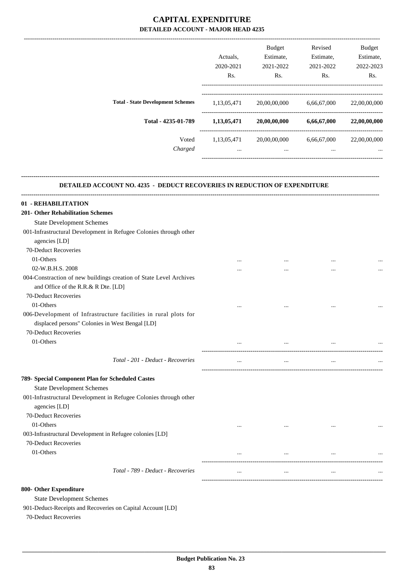|                                          | Actuals.<br>2020-2021<br>Rs. | <b>Budget</b><br>Estimate,<br>2021-2022<br>Rs. | Revised<br>Estimate,<br>2021-2022<br>Rs. | <b>Budget</b><br>Estimate,<br>2022-2023<br>Rs. |
|------------------------------------------|------------------------------|------------------------------------------------|------------------------------------------|------------------------------------------------|
| <b>Total - State Development Schemes</b> | 1,13,05,471                  | 20,00,00,000                                   | 6,66,67,000                              | 22,00,00,000                                   |
| Total - 4235-01-789                      | 1,13,05,471                  | 20,00,00,000                                   | 6,66,67,000                              | 22,00,00,000                                   |
| Voted<br>Charged                         | 1,13,05,471<br>$\cdots$      | 20,00,00,000<br>$\cdots$                       | 6,66,67,000<br>$\cdots$                  | 22,00,00,000<br>$\cdots$                       |

-------------------------------------------------------------------------------------------------------------------------------------------------------------------------------

#### **DETAILED ACCOUNT NO. 4235 - DEDUCT RECOVERIES IN REDUCTION OF EXPENDITURE**

**--------------------------------------------------------------------------------------------------------------------------------------------------------------------------------**

| 01 - REHABILITATION                                                |          |           |           |  |
|--------------------------------------------------------------------|----------|-----------|-----------|--|
| 201- Other Rehabilitation Schemes                                  |          |           |           |  |
| <b>State Development Schemes</b>                                   |          |           |           |  |
| 001-Infrastructural Development in Refugee Colonies through other  |          |           |           |  |
| agencies [LD]                                                      |          |           |           |  |
| 70-Deduct Recoveries                                               |          |           |           |  |
| 01-Others                                                          | $\cdots$ | $\cdots$  | $\cdots$  |  |
| 02-W.B.H.S. 2008                                                   | $\cdots$ | $\ddots$  | $\ddotsc$ |  |
| 004-Constraction of new buildings creation of State Level Archives |          |           |           |  |
| and Office of the R.R.& R Dte. [LD]                                |          |           |           |  |
| 70-Deduct Recoveries                                               |          |           |           |  |
| 01-Others                                                          | $\cdots$ | $\ddots$  | $\cdots$  |  |
| 006-Development of Infrastructure facilities in rural plots for    |          |           |           |  |
| displaced persons" Colonies in West Bengal [LD]                    |          |           |           |  |
| 70-Deduct Recoveries                                               |          |           |           |  |
| 01-Others                                                          |          | $\cdots$  | $\cdots$  |  |
| Total - 201 - Deduct - Recoveries                                  | $\cdots$ | $\cdots$  | $\cdots$  |  |
| 789- Special Component Plan for Scheduled Castes                   |          |           |           |  |
| <b>State Development Schemes</b>                                   |          |           |           |  |
| 001-Infrastructural Development in Refugee Colonies through other  |          |           |           |  |
| agencies [LD]                                                      |          |           |           |  |
| 70-Deduct Recoveries                                               |          |           |           |  |
| 01-Others                                                          | $\cdots$ | $\ddotsc$ |           |  |
| 003-Infrastructural Development in Refugee colonies [LD]           |          |           |           |  |
| 70-Deduct Recoveries                                               |          |           |           |  |
| 01-Others                                                          | $\cdots$ | $\cdots$  | $\cdots$  |  |
| Total - 789 - Deduct - Recoveries                                  | $\cdots$ | $\cdots$  | $\cdots$  |  |
| 800- Other Expenditure                                             |          |           |           |  |
| <b>C</b> tato Davalonmant Cahamac                                  |          |           |           |  |

State Development Schemes

901-Deduct-Receipts and Recoveries on Capital Account [LD]

70-Deduct Recoveries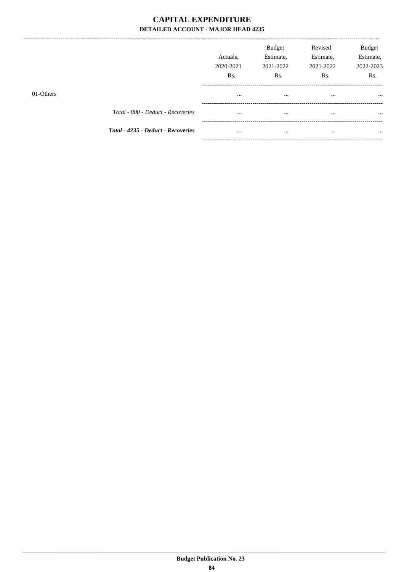--------------

|           |                                    | Actuals.<br>2020-2021<br>Rs. | <b>Budget</b><br>Estimate,<br>2021-2022<br>Rs. | Revised<br>Estimate,<br>2021-2022<br>Rs. | <b>Budget</b><br>Estimate,<br>2022-2023<br>Rs. |
|-----------|------------------------------------|------------------------------|------------------------------------------------|------------------------------------------|------------------------------------------------|
| 01-Others |                                    | $\cdots$                     | $\cdots$                                       | $\cdots$                                 | $\cdots$                                       |
|           | Total - 800 - Deduct - Recoveries  | $\cdots$                     | $\cdots$                                       | $\cdots$                                 | $\cdots$                                       |
|           | Total - 4235 - Deduct - Recoveries | $\cdots$                     | $\cdots$                                       | $\cdots$                                 |                                                |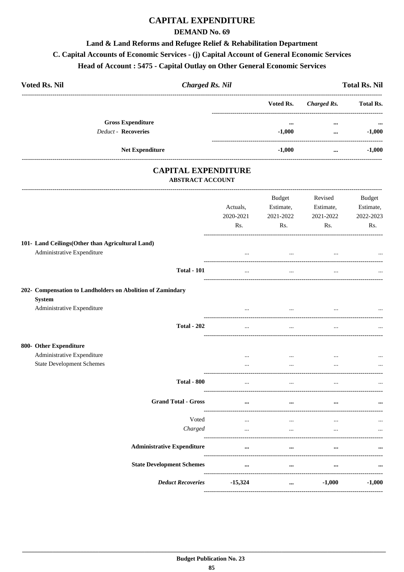## **CAPITAL EXPENDITURE**

#### **DEMAND No. 69**

## Land & Land Reforms and Refugee Relief & Rehabilitation Department C. Capital Accounts of Economic Services - (j) Capital Account of General Economic Services Head of Account: 5475 - Capital Outlay on Other General Economic Services

| <b>Voted Rs. Nil</b>                                                           | <b>Charged Rs. Nil</b>                                |                       |                                  |                                   | <b>Total Rs. Nil</b>             |
|--------------------------------------------------------------------------------|-------------------------------------------------------|-----------------------|----------------------------------|-----------------------------------|----------------------------------|
|                                                                                |                                                       |                       | Voted Rs.                        | <b>Charged Rs.</b>                | <b>Total Rs.</b>                 |
|                                                                                | <b>Gross Expenditure</b>                              |                       | $\cdots$                         |                                   |                                  |
|                                                                                | <b>Deduct - Recoveries</b>                            |                       | $-1,000$                         | $\ddotsc$                         | $-1,000$                         |
|                                                                                | Net Expenditure                                       |                       | $-1,000$                         | $\cdots$                          | $-1,000$                         |
|                                                                                | <b>CAPITAL EXPENDITURE</b><br><b>ABSTRACT ACCOUNT</b> |                       |                                  |                                   |                                  |
|                                                                                |                                                       | Actuals,<br>2020-2021 | Budget<br>Estimate,<br>2021-2022 | Revised<br>Estimate,<br>2021-2022 | Budget<br>Estimate,<br>2022-2023 |
|                                                                                |                                                       | Rs.                   | Rs.                              | Rs.                               | Rs.                              |
| 101- Land Ceilings(Other than Agricultural Land)<br>Administrative Expenditure |                                                       |                       | $\cdots$                         |                                   |                                  |
|                                                                                | <b>Total - 101</b>                                    | $\cdots$              | $\cdots$                         | $\cdots$                          |                                  |
| 202- Compensation to Landholders on Abolition of Zamindary<br><b>System</b>    |                                                       |                       |                                  |                                   |                                  |
| Administrative Expenditure                                                     |                                                       |                       |                                  |                                   |                                  |
|                                                                                | <b>Total - 202</b>                                    | $\ldots$              | $\cdots$                         |                                   |                                  |
| 800- Other Expenditure                                                         |                                                       |                       |                                  |                                   |                                  |
| Administrative Expenditure<br><b>State Development Schemes</b>                 |                                                       | $\cdots$              | $\cdots$<br>$\cdots$             | $\cdots$<br>$\cdots$              |                                  |
|                                                                                | <b>Total - 800</b>                                    |                       | $\ddotsc$                        |                                   | $\cdots$                         |
|                                                                                | <b>Grand Total - Gross</b>                            | $\cdots$              |                                  |                                   |                                  |
|                                                                                |                                                       |                       |                                  |                                   |                                  |
|                                                                                | Voted<br>Charged                                      | $\ddotsc$<br>$\cdots$ | $\cdots$<br>$\cdots$             | $\cdots$                          |                                  |
|                                                                                | <b>Administrative Expenditure</b>                     | $\cdots$              | $\cdots$                         |                                   |                                  |
|                                                                                | <b>State Development Schemes</b>                      | $\cdots$              | $\cdots$                         | $\cdots$                          | $\cdots$                         |
|                                                                                |                                                       |                       |                                  |                                   |                                  |
|                                                                                | <b>Deduct Recoveries</b>                              | $-15,324$             | $\cdots$                         | $-1,000$                          | $-1,000$                         |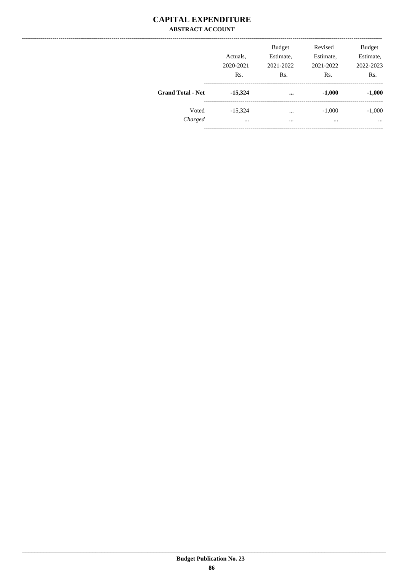#### **CAPITAL EXPENDITURE ABSTRACT ACCOUNT**

|                          | Actuals,<br>2020-2021<br>Rs. | <b>Budget</b><br>Estimate,<br>2021-2022<br>Rs. | Revised<br>Estimate,<br>2021-2022<br>Rs. | <b>Budget</b><br>Estimate,<br>2022-2023<br>Rs. |
|--------------------------|------------------------------|------------------------------------------------|------------------------------------------|------------------------------------------------|
| <b>Grand Total - Net</b> | $-15,324$                    | $\cdots$                                       | $-1,000$                                 | $-1,000$                                       |
| Voted<br>Charged         | $-15,324$<br>$\cdots$        | $\cdots$<br>$\cdots$                           | $-1,000$<br>$\cdots$                     | $-1,000$<br>$\cdots$                           |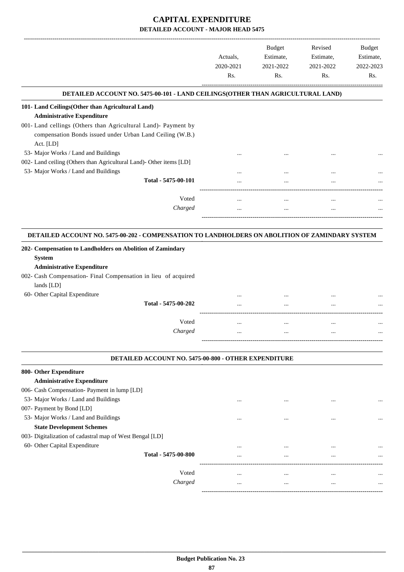|                                                                                                 |           | <b>Budget</b> | Revised   | Budget    |
|-------------------------------------------------------------------------------------------------|-----------|---------------|-----------|-----------|
|                                                                                                 | Actuals.  | Estimate,     | Estimate, | Estimate, |
|                                                                                                 | 2020-2021 | 2021-2022     | 2021-2022 | 2022-2023 |
|                                                                                                 | Rs.       | Rs.           | Rs.       | Rs.       |
| DETAILED ACCOUNT NO. 5475-00-101 - LAND CEILINGS(OTHER THAN AGRICULTURAL LAND)                  |           |               |           |           |
| 101- Land Ceilings(Other than Agricultural Land)                                                |           |               |           |           |
| <b>Administrative Expenditure</b>                                                               |           |               |           |           |
| 001- Land cellings (Others than Agricultural Land)- Payment by                                  |           |               |           |           |
| compensation Bonds issued under Urban Land Ceiling (W.B.)                                       |           |               |           |           |
| Act. [LD]                                                                                       |           |               |           |           |
| 53- Major Works / Land and Buildings                                                            |           |               |           |           |
| 002- Land ceiling (Others than Agricultural Land)- Other items [LD]                             |           |               |           |           |
| 53- Major Works / Land and Buildings                                                            |           |               |           |           |
| Total - 5475-00-101                                                                             |           |               |           |           |
| Voted                                                                                           | $\cdots$  | $\cdots$      | $\cdots$  |           |
| Charged                                                                                         | $\cdots$  | $\ddotsc$     |           |           |
| DETAILED ACCOUNT NO. 5475-00-202 - COMPENSATION TO LANDHOLDERS ON ABOLITION OF ZAMINDARY SYSTEM |           |               |           |           |
|                                                                                                 |           |               |           |           |
| 202- Compensation to Landholders on Abolition of Zamindary                                      |           |               |           |           |
| <b>System</b>                                                                                   |           |               |           |           |
| <b>Administrative Expenditure</b>                                                               |           |               |           |           |
| 002- Cash Compensation- Final Compensation in lieu of acquired<br>lands [LD]                    |           |               |           |           |
| 60- Other Capital Expenditure                                                                   |           |               |           |           |
| Total - 5475-00-202                                                                             |           |               |           |           |
|                                                                                                 |           |               |           |           |

|  |          |                         | $10(a) - 5475 - 00 - 202$ |
|--|----------|-------------------------|---------------------------|
|  |          | ----------------------- |                           |
|  | $\cdots$ |                         | Voted                     |
|  |          |                         | Charged                   |
|  |          |                         |                           |
|  |          |                         |                           |

#### **DETAILED ACCOUNT NO. 5475-00-800 - OTHER EXPENDITURE .**

| 800- Other Expenditure                                   |          |          |          |          |
|----------------------------------------------------------|----------|----------|----------|----------|
| <b>Administrative Expenditure</b>                        |          |          |          |          |
| 006- Cash Compensation- Payment in lump [LD]             |          |          |          |          |
| 53- Major Works / Land and Buildings                     | $\cdots$ | $\cdots$ | $\cdots$ | $\cdots$ |
| 007- Payment by Bond [LD]                                |          |          |          |          |
| 53- Major Works / Land and Buildings                     | $\cdots$ |          |          |          |
| <b>State Development Schemes</b>                         |          |          |          |          |
| 003- Digitalization of cadastral map of West Bengal [LD] |          |          |          |          |
| 60- Other Capital Expenditure                            |          |          |          |          |
| Total - 5475-00-800                                      | $\cdots$ | $\cdots$ | $\cdots$ | $\cdots$ |
| Voted                                                    | $\cdots$ | $\cdots$ | $\cdots$ | $\cdots$ |
| Charged                                                  | $\cdots$ | $\cdots$ | $\cdots$ | $\cdots$ |
|                                                          |          |          |          |          |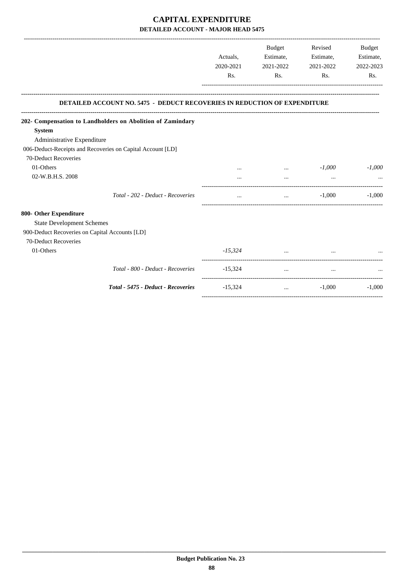|                                                                                  |           | Budget                                                                                                                   | Revised                  | <b>Budget</b> |
|----------------------------------------------------------------------------------|-----------|--------------------------------------------------------------------------------------------------------------------------|--------------------------|---------------|
|                                                                                  | Actuals,  | Estimate,                                                                                                                | Estimate,                | Estimate,     |
|                                                                                  | 2020-2021 | 2021-2022                                                                                                                | 2021-2022                | 2022-2023     |
|                                                                                  | Rs.       | Rs.                                                                                                                      | Rs.                      | Rs.           |
| <b>DETAILED ACCOUNT NO. 5475 - DEDUCT RECOVERIES IN REDUCTION OF EXPENDITURE</b> |           |                                                                                                                          |                          |               |
| 202- Compensation to Landholders on Abolition of Zamindary                       |           |                                                                                                                          |                          |               |
| <b>System</b>                                                                    |           |                                                                                                                          |                          |               |
| Administrative Expenditure                                                       |           |                                                                                                                          |                          |               |
| 006-Deduct-Receipts and Recoveries on Capital Account [LD]                       |           |                                                                                                                          |                          |               |
| 70-Deduct Recoveries                                                             |           |                                                                                                                          |                          |               |
| 01-Others                                                                        |           | $\cdots$                                                                                                                 | $-1,000$                 | $-1,000$      |
| 02-W.B.H.S. 2008                                                                 |           | $\cdots$                                                                                                                 | $\ddotsc$                |               |
| Total - 202 - Deduct - Recoveries                                                | $\cdots$  |                                                                                                                          | $-1,000$<br>$\mathbf{r}$ | $-1,000$      |
| 800- Other Expenditure                                                           |           |                                                                                                                          |                          |               |
| <b>State Development Schemes</b>                                                 |           |                                                                                                                          |                          |               |
| 900-Deduct Recoveries on Capital Accounts [LD]                                   |           |                                                                                                                          |                          |               |
| 70-Deduct Recoveries                                                             |           |                                                                                                                          |                          |               |
| 01-Others                                                                        |           | $-15,324$                                                                                                                |                          |               |
| Total - 800 - Deduct - Recoveries                                                | $-15,324$ | $\cdots$                                                                                                                 | $\cdots$                 |               |
| Total - 5475 - Deduct - Recoveries                                               | $-15,324$ | <u>and the community of the community of the community of the community of the community of the community of the com</u> | $-1,000$                 | $-1,000$      |
|                                                                                  |           |                                                                                                                          |                          |               |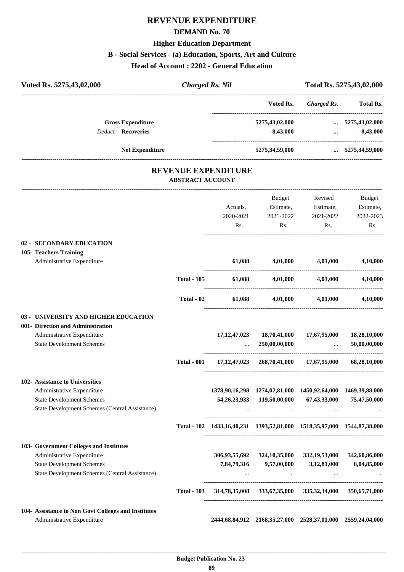## **REVENUE EXPENDITURE**

#### **DEMAND No. 70**

#### **Higher Education Department**

#### **B - Social Services - (a) Education, Sports, Art and Culture**

**Head of Account : 2202 - General Education**

| Voted Rs. 5275,43,02,000                                       | <b>Charged Rs. Nil</b>  |                            |                                                                         |                    | Total Rs. 5275,43,02,000     |
|----------------------------------------------------------------|-------------------------|----------------------------|-------------------------------------------------------------------------|--------------------|------------------------------|
|                                                                |                         |                            | Voted Rs.                                                               | <b>Charged Rs.</b> | Total Rs.                    |
| <b>Gross Expenditure</b>                                       |                         |                            | 5275,43,02,000                                                          |                    | $\ldots$ 5275,43,02,000      |
| <b>Deduct - Recoveries</b>                                     |                         |                            | $-8,43,000$                                                             | $\cdots$           | $-8,43,000$                  |
| <b>Net Expenditure</b>                                         |                         |                            | 5275,34,59,000                                                          |                    | $\ldots$ 5275,34,59,000      |
|                                                                |                         | <b>REVENUE EXPENDITURE</b> |                                                                         |                    |                              |
|                                                                | <b>ABSTRACT ACCOUNT</b> |                            |                                                                         |                    |                              |
|                                                                |                         |                            | Budget                                                                  | Revised            | Budget                       |
|                                                                |                         | Actuals,                   | Estimate,                                                               | Estimate,          | Estimate,                    |
|                                                                |                         | 2020-2021                  | 2021-2022                                                               | 2021-2022          | 2022-2023                    |
|                                                                |                         | Rs.                        | Rs.                                                                     | Rs.                | Rs.                          |
| 02 - SECONDARY EDUCATION                                       |                         |                            |                                                                         |                    |                              |
| 105- Teachers Training                                         |                         | 61.088                     | 4,01,000                                                                | 4,01,000           |                              |
| Administrative Expenditure                                     |                         |                            |                                                                         |                    | 4,10,000                     |
|                                                                | <b>Total - 105</b>      | 61,088                     | 4,01,000                                                                | 4,01,000           | 4,10,000                     |
|                                                                | Total - 02              | 61,088                     | 4,01,000                                                                | 4,01,000           | 4,10,000                     |
| 03 - UNIVERSITY AND HIGHER EDUCATION                           |                         |                            |                                                                         |                    |                              |
| 001- Direction and Administration                              |                         |                            |                                                                         |                    |                              |
| Administrative Expenditure<br><b>State Development Schemes</b> |                         | 17, 12, 47, 023            | 18,70,41,000<br>250,00,00,000                                           | 17,67,95,000       | 18,28,10,000<br>50.00.00.000 |
|                                                                | <b>Total - 001</b>      |                            | 17, 12, 47, 023 268, 70, 41, 000 17, 67, 95, 000                        |                    | 68,28,10,000                 |
| 102- Assistance to Universities                                |                         |                            |                                                                         |                    |                              |
| Administrative Expenditure                                     |                         |                            | 1378, 90, 16, 298 1274, 02, 81, 000 1450, 92, 64, 000 1469, 39, 88, 000 |                    |                              |
| <b>State Development Schemes</b>                               |                         |                            | 54, 26, 23, 933 119, 50, 00, 000                                        | 67,43,33,000       | 75,47,50,000                 |
| State Development Schemes (Central Assistance)                 |                         |                            | $\sim$                                                                  | $\cdots$           |                              |
|                                                                |                         |                            | Total - 102 1433,16,40,231 1393,52,81,000 1518,35,97,000 1544,87,38,000 |                    |                              |
| 103- Government Colleges and Institutes                        |                         |                            |                                                                         |                    |                              |
| Administrative Expenditure                                     |                         |                            | 306,93,55,692 324,10,35,000 332,19,53,000                               |                    | 342,60,86,000                |
| <b>State Development Schemes</b>                               |                         |                            | 7,84,79,316 9,57,00,000                                                 | 3,12,81,000        | 8,04,85,000                  |
| State Development Schemes (Central Assistance)                 |                         | $\cdots$                   | <b>Contract Contract</b>                                                | $\ddots$           |                              |
|                                                                | <b>Total - 103</b>      |                            | 314,78,35,008 333,67,35,000 335,32,34,000 350,65,71,000                 |                    |                              |
| 104- Assistance to Non Govt Colleges and Institutes            |                         |                            |                                                                         |                    |                              |
| Administrative Expenditure                                     |                         |                            | 2444,68,84,912 2168,35,27,000 2528,37,01,000 2559,24,04,000             |                    |                              |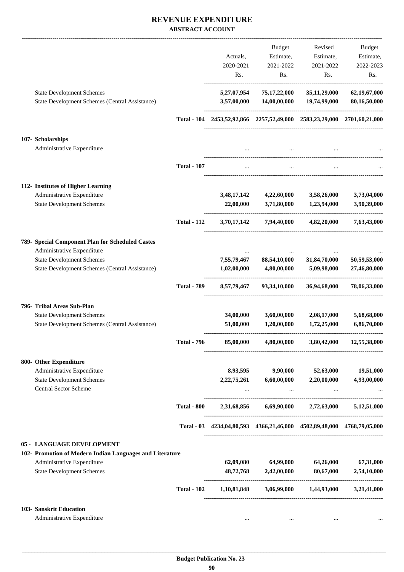#### **REVENUE EXPENDITURE ABSTRACT ACCOUNT**

|                                                                |                    |             | Budget                                                          | Revised                                                                 | <b>Budget</b> |
|----------------------------------------------------------------|--------------------|-------------|-----------------------------------------------------------------|-------------------------------------------------------------------------|---------------|
|                                                                |                    | Actuals,    | Estimate,                                                       | Estimate,                                                               | Estimate,     |
|                                                                |                    | 2020-2021   | 2021-2022                                                       | 2021-2022                                                               | 2022-2023     |
|                                                                |                    |             |                                                                 |                                                                         |               |
|                                                                |                    | Rs.         | Rs.                                                             | Rs.                                                                     | Rs.           |
| <b>State Development Schemes</b>                               |                    | 5,27,07,954 | 75,17,22,000                                                    | 35, 11, 29, 000                                                         | 62,19,67,000  |
| State Development Schemes (Central Assistance)                 |                    | 3,57,00,000 | 14,00,00,000                                                    | 19,74,99,000                                                            | 80,16,50,000  |
|                                                                |                    |             |                                                                 | Total - 104 2453,52,92,866 2257,52,49,000 2583,23,29,000 2701,60,21,000 |               |
| 107- Scholarships                                              |                    |             |                                                                 |                                                                         |               |
| Administrative Expenditure                                     |                    | $\cdots$    |                                                                 |                                                                         |               |
|                                                                | <b>Total - 107</b> | $\cdots$    | $\ddotsc$                                                       | $\cdots$                                                                |               |
| 112- Institutes of Higher Learning                             |                    |             |                                                                 |                                                                         |               |
| Administrative Expenditure                                     |                    | 3,48,17,142 | 4,22,60,000                                                     | 3,58,26,000                                                             | 3,73,04,000   |
| <b>State Development Schemes</b>                               |                    | 22,00,000   | 3,71,80,000                                                     | 1,23,94,000                                                             | 3,90,39,000   |
|                                                                | <b>Total - 112</b> | 3,70,17,142 | 7,94,40,000                                                     | 4,82,20,000                                                             | 7,63,43,000   |
| 789- Special Component Plan for Scheduled Castes               |                    |             |                                                                 |                                                                         |               |
| Administrative Expenditure                                     |                    |             |                                                                 |                                                                         |               |
| <b>State Development Schemes</b>                               |                    | 7,55,79,467 | 88,54,10,000                                                    | 31,84,70,000                                                            | 50,59,53,000  |
| State Development Schemes (Central Assistance)                 |                    | 1,02,00,000 | 4,80,00,000                                                     | 5,09,98,000                                                             | 27,46,80,000  |
|                                                                | <b>Total - 789</b> | 8,57,79,467 | 93,34,10,000                                                    | 36,94,68,000                                                            | 78,06,33,000  |
| 796- Tribal Areas Sub-Plan                                     |                    |             |                                                                 |                                                                         |               |
| <b>State Development Schemes</b>                               |                    | 34,00,000   | 3,60,00,000                                                     | 2,08,17,000                                                             | 5,68,68,000   |
| State Development Schemes (Central Assistance)                 |                    | 51,00,000   | 1,20,00,000                                                     | 1,72,25,000                                                             | 6,86,70,000   |
|                                                                | Total - 796        | 85,00,000   | 4,80,00,000                                                     | 3,80,42,000                                                             | 12,55,38,000  |
| 800- Other Expenditure                                         |                    |             |                                                                 |                                                                         |               |
| Administrative Expenditure                                     |                    | 8,93,595    |                                                                 | 9,90,000 52,63,000                                                      | 19,51,000     |
| <b>State Development Schemes</b><br>Central Sector Scheme      |                    |             | 2,22,75,261 6,60,00,000 2,20,00,000<br><b>Contract Contract</b> | $\cdots$                                                                | 4,93,00,000   |
|                                                                | <b>Total - 800</b> |             |                                                                 | 2,31,68,856 6,69,90,000 2,72,63,000 5,12,51,000                         |               |
|                                                                |                    |             |                                                                 |                                                                         |               |
|                                                                |                    |             |                                                                 | Total - 03 4234,04,80,593 4366,21,46,000 4502,89,48,000 4768,79,05,000  |               |
| 05 - LANGUAGE DEVELOPMENT                                      |                    |             |                                                                 |                                                                         |               |
| 102- Promotion of Modern Indian Languages and Literature       |                    |             |                                                                 |                                                                         |               |
| Administrative Expenditure<br><b>State Development Schemes</b> |                    |             |                                                                 | $62,09,080$ $64,99,000$ $64,26,000$                                     | 67,31,000     |
|                                                                |                    |             | 48,72,768 2,42,00,000                                           | 80,67,000                                                               | 2,54,10,000   |
|                                                                | <b>Total - 102</b> |             |                                                                 | 1,10,81,848 3,06,99,000 1,44,93,000                                     | 3,21,41,000   |
| 103- Sanskrit Education                                        |                    |             |                                                                 |                                                                         |               |
| Administrative Expenditure                                     |                    |             |                                                                 |                                                                         |               |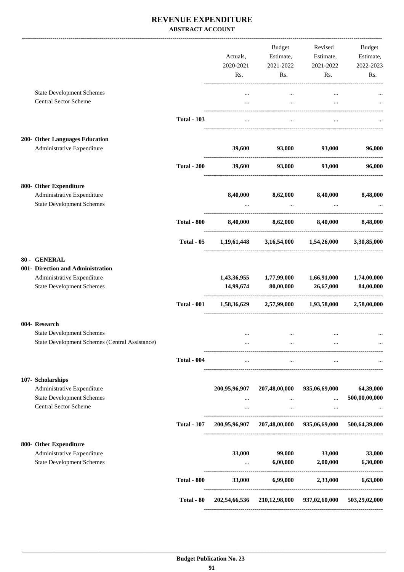#### **REVENUE EXPENDITURE ABSTRACT ACCOUNT**

|                                                                                                                     | <b>Total - 800</b> | 33,000               | 6,99,000                                       | 2,33,000                                                | 6,63,000                   |
|---------------------------------------------------------------------------------------------------------------------|--------------------|----------------------|------------------------------------------------|---------------------------------------------------------|----------------------------|
| 800- Other Expenditure<br>Administrative Expenditure<br><b>State Development Schemes</b>                            |                    | 33,000<br>$\cdots$   | 99,000<br>6,00,000                             | 33,000<br>2,00,000                                      | 33,000<br>6,30,000         |
|                                                                                                                     | <b>Total - 107</b> |                      |                                                | 200,95,96,907 207,48,00,000 935,06,69,000               | 500,64,39,000              |
| 107- Scholarships<br>Administrative Expenditure<br><b>State Development Schemes</b><br><b>Central Sector Scheme</b> |                    | $\cdots$<br>$\cdots$ | 200,95,96,907 207,48,00,000<br>$\cdots$        | 935,06,69,000<br>$\ddots$<br>$\cdots$                   | 64,39,000<br>500,00,00,000 |
|                                                                                                                     | <b>Total - 004</b> | $\cdots$             | $\ddots$                                       | $\cdots$                                                |                            |
| 004- Research<br><b>State Development Schemes</b><br>State Development Schemes (Central Assistance)                 |                    | $\ddotsc$            | $\cdots$<br>$\cdots$                           | $\cdots$                                                |                            |
|                                                                                                                     | <b>Total - 001</b> |                      |                                                | $1,58,36,629$ $2,57,99,000$ $1,93,58,000$               | 2,58,00,000                |
| 80 - GENERAL<br>001- Direction and Administration<br>Administrative Expenditure<br><b>State Development Schemes</b> |                    |                      | 1,43,36,955 1,77,99,000<br>14,99,674 80,00,000 | 1,66,91,000<br>26,67,000                                | 1,74,00,000<br>84,00,000   |
|                                                                                                                     | Total - 05         |                      |                                                | $1,19,61,448$ $3,16,54,000$ $1,54,26,000$ $3,30,85,000$ |                            |
|                                                                                                                     | <b>Total - 800</b> |                      | 8,40,000 8,62,000                              | 8,40,000                                                | 8,48,000                   |
| 800- Other Expenditure<br>Administrative Expenditure<br><b>State Development Schemes</b>                            |                    | 8,40,000             | 8,62,000<br><b>Contract Contract</b>           | 8,40,000<br>$\cdots$                                    | 8,48,000                   |
|                                                                                                                     | <b>Total - 200</b> | 39,600               | 93,000                                         | 93,000                                                  | 96,000                     |
| 200- Other Languages Education<br>Administrative Expenditure                                                        |                    | 39,600               | 93,000                                         | 93,000                                                  | 96,000                     |
|                                                                                                                     | <b>Total - 103</b> | $\cdots$             | $\cdots$                                       | $\cdots$                                                |                            |
| <b>State Development Schemes</b><br><b>Central Sector Scheme</b>                                                    |                    | $\cdots$<br>$\cdots$ | $\cdots$<br>$\ddotsc$                          | $\cdots$                                                |                            |
|                                                                                                                     |                    | 2020-2021<br>Rs.     | 2021-2022<br>Rs.                               | 2021-2022<br>Rs.                                        | 2022-2023<br>Rs.           |
|                                                                                                                     |                    | Actuals,             | Budget                                         | Revised<br>Estimate, Estimate,                          | Budget<br>Estimate,        |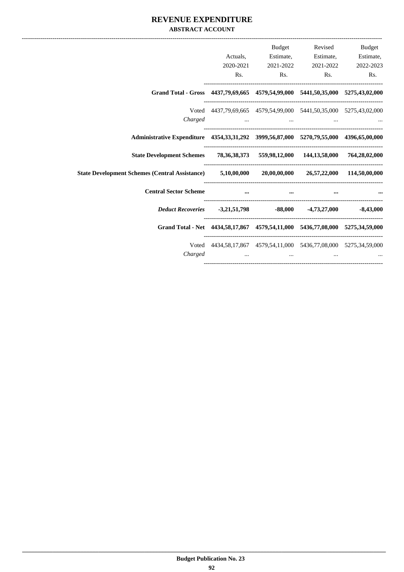#### **REVENUE EXPENDITURE ABSTRACT ACCOUNT**

| Budget    | Revised                                                                                                              | <b>Budget</b> |           |                                                                                                    |
|-----------|----------------------------------------------------------------------------------------------------------------------|---------------|-----------|----------------------------------------------------------------------------------------------------|
| Estimate, | Estimate,                                                                                                            | Estimate,     | Actuals,  |                                                                                                    |
| 2022-2023 | 2021-2022                                                                                                            | 2021-2022     | 2020-2021 |                                                                                                    |
| Rs.       | Rs.<br>Rs.                                                                                                           |               | Rs.       |                                                                                                    |
|           |                                                                                                                      |               |           | Grand Total - Gross 4437,79,69,665 4579,54,99,000 5441,50,35,000 5275,43,02,000                    |
|           | Voted 4437,79,69,665 4579,54,99,000 5441,50,35,000 5275,43,02,000                                                    |               |           |                                                                                                    |
|           | المستخدم المستخدم المستخدم المستخدم المستخدم المستخدم المستخدم المستخدم المستخدم المستخدم المستخدم المستخدم المستخدم |               |           | Charged                                                                                            |
|           |                                                                                                                      |               |           | Administrative Expenditure 4354, 33, 31, 292 3999, 56, 87, 000 5270, 79, 55, 000 4396, 65, 00, 000 |
|           |                                                                                                                      |               |           | State Development Schemes 78, 36, 38, 373 559, 98, 12, 000 144, 13, 58, 000 764, 28, 02, 000       |
|           |                                                                                                                      |               |           | State Development Schemes (Central Assistance) 5,10,00,000 20,00,00,000 26,57,22,000 114,50,00,000 |
|           |                                                                                                                      | $\cdots$      |           | <b>Central Sector Scheme</b>                                                                       |
|           |                                                                                                                      |               |           | <i>Deduct Recoveries</i> 3,21,51,798 -88,000 -4,73,27,000 -8,43,000                                |
|           |                                                                                                                      |               |           | Grand Total - Net 4434,58,17,867 4579,54,11,000 5436,77,08,000 5275,34,59,000                      |
|           | Voted 4434,58,17,867 4579,54,11,000 5436,77,08,000 5275,34,59,000                                                    |               |           |                                                                                                    |
|           | المساحة المساحة المساحة المساحة المساحة المساحة المساحة المساحة المساحة المساحة المساحة المساحة المساحة المساحة      |               |           | Charged                                                                                            |
|           |                                                                                                                      |               |           |                                                                                                    |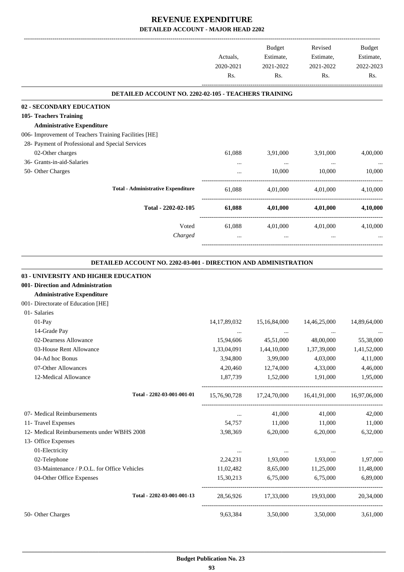|                                                                                                                                                                      | Actuals,<br>2020-2021<br>Rs. | Budget<br>Estimate,<br>2021-2022<br>Rs. | Revised<br>Estimate,<br>2021-2022<br>Rs.            | Budget<br>Estimate,<br>2022-2023<br>Rs. |
|----------------------------------------------------------------------------------------------------------------------------------------------------------------------|------------------------------|-----------------------------------------|-----------------------------------------------------|-----------------------------------------|
| DETAILED ACCOUNT NO. 2202-02-105 - TEACHERS TRAINING                                                                                                                 |                              |                                         |                                                     |                                         |
| 02 - SECONDARY EDUCATION                                                                                                                                             |                              |                                         |                                                     |                                         |
| 105- Teachers Training                                                                                                                                               |                              |                                         |                                                     |                                         |
| <b>Administrative Expenditure</b>                                                                                                                                    |                              |                                         |                                                     |                                         |
| 006- Improvement of Teachers Training Facilities [HE]                                                                                                                |                              |                                         |                                                     |                                         |
| 28- Payment of Professional and Special Services                                                                                                                     |                              |                                         |                                                     |                                         |
| 02-Other charges                                                                                                                                                     | 61,088                       | 3,91,000                                | 3,91,000                                            | 4,00,000                                |
| 36- Grants-in-aid-Salaries                                                                                                                                           |                              | $\ldots$                                | $\ldots$                                            |                                         |
| 50- Other Charges                                                                                                                                                    |                              | 10,000                                  | 10,000                                              | 10,000                                  |
| <b>Total - Administrative Expenditure</b>                                                                                                                            | 61,088                       | 4,01,000                                | 4,01,000                                            | 4,10,000                                |
| Total - 2202-02-105                                                                                                                                                  | 61,088                       | 4,01,000                                | 4,01,000                                            | 4,10,000                                |
| Voted<br>Charged                                                                                                                                                     | 61,088                       | 4,01,000<br>$\cdots$                    | 4,01,000                                            | 4,10,000                                |
| 03 - UNIVERSITY AND HIGHER EDUCATION<br>001- Direction and Administration<br><b>Administrative Expenditure</b><br>001- Directorate of Education [HE]<br>01- Salaries |                              |                                         |                                                     |                                         |
| 01-Pay                                                                                                                                                               | 14, 17, 89, 032              | 15,16,84,000                            | 14,46,25,000                                        | 14,89,64,000                            |
| 14-Grade Pay                                                                                                                                                         |                              |                                         |                                                     |                                         |
| 02-Dearness Allowance                                                                                                                                                | 15,94,606                    | 45,51,000                               | 48,00,000                                           | 55,38,000                               |
| 03-House Rent Allowance                                                                                                                                              | 1,33,04,091                  | 1,44,10,000                             | 1,37,39,000                                         | 1,41,52,000                             |
| 04-Ad hoc Bonus                                                                                                                                                      | 3,94,800                     | 3,99,000                                | 4,03,000                                            | 4,11,000                                |
| 07-Other Allowances                                                                                                                                                  | 4,20,460                     | 12,74,000                               | 4,33,000                                            | 4,46,000                                |
| 12-Medical Allowance                                                                                                                                                 | 1,87,739                     | 1,52,000                                | 1,91,000                                            | 1,95,000                                |
| Total - 2202-03-001-001-01                                                                                                                                           |                              |                                         | 15,76,90,728 17,24,70,000 16,41,91,000 16,97,06,000 |                                         |
| 07- Medical Reimbursements                                                                                                                                           | $\ldots$                     | 41,000                                  | 41,000                                              | 42,000                                  |
| 11- Travel Expenses                                                                                                                                                  | 54,757                       | 11,000                                  | 11,000                                              | 11,000                                  |
| 12- Medical Reimbursements under WBHS 2008                                                                                                                           | 3,98,369                     | 6,20,000                                | 6,20,000                                            | 6,32,000                                |
| 13- Office Expenses                                                                                                                                                  |                              |                                         |                                                     |                                         |
| 01-Electricity                                                                                                                                                       | $\cdots$                     | $\cdots$                                | $\cdots$                                            | $\cdots$                                |
| 02-Telephone                                                                                                                                                         | 2,24,231                     | 1,93,000                                | 1,93,000                                            | 1,97,000                                |
| 03-Maintenance / P.O.L. for Office Vehicles<br>04-Other Office Expenses                                                                                              | 11,02,482<br>15,30,213       | 8,65,000<br>6,75,000                    | 11,25,000<br>6,75,000                               | 11,48,000<br>6,89,000                   |
| Total - 2202-03-001-001-13                                                                                                                                           | 28,56,926                    | 17,33,000                               | 19,93,000                                           | 20,34,000                               |
| 50- Other Charges                                                                                                                                                    | 9,63,384                     |                                         | 3,50,000 3,50,000                                   | 3,61,000                                |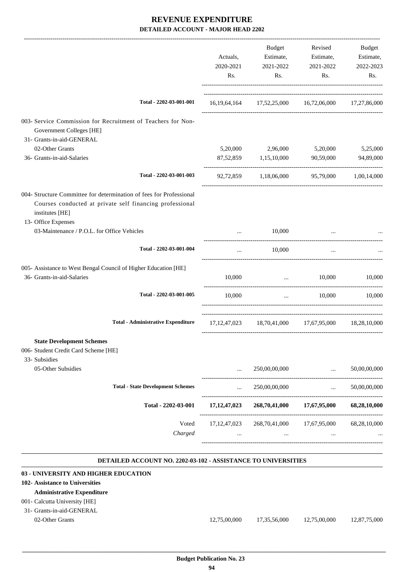|                                                                                                                                                    |                                           | Actuals,<br>2020-2021<br>Rs. | <b>Budget</b><br>Estimate,<br>2021-2022<br>Rs.      | Revised<br>Estimate,<br>2021-2022<br>Rs.                   | Budget<br>Estimate,<br>2022-2023<br>Rs. |
|----------------------------------------------------------------------------------------------------------------------------------------------------|-------------------------------------------|------------------------------|-----------------------------------------------------|------------------------------------------------------------|-----------------------------------------|
|                                                                                                                                                    | Total - 2202-03-001-001                   |                              | 16,19,64,164 17,52,25,000 16,72,06,000 17,27,86,000 |                                                            |                                         |
| 003- Service Commission for Recruitment of Teachers for Non-<br>Government Colleges [HE]                                                           |                                           |                              |                                                     |                                                            |                                         |
| 31- Grants-in-aid-GENERAL                                                                                                                          |                                           |                              |                                                     |                                                            |                                         |
| 02-Other Grants                                                                                                                                    |                                           | 5,20,000                     | 2,96,000                                            | 5,20,000                                                   | 5,25,000                                |
| 36- Grants-in-aid-Salaries                                                                                                                         |                                           |                              | 87,52,859 1,15,10,000                               | 90,59,000                                                  | 94,89,000                               |
|                                                                                                                                                    | Total - 2202-03-001-003                   |                              | 92,72,859 1,18,06,000 95,79,000 1,00,14,000         |                                                            |                                         |
| 004- Structure Committee for determination of fees for Professional<br>Courses conducted at private self financing professional<br>institutes [HE] |                                           |                              |                                                     |                                                            |                                         |
| 13- Office Expenses<br>03-Maintenance / P.O.L. for Office Vehicles                                                                                 |                                           | $\cdots$                     | 10,000                                              |                                                            |                                         |
|                                                                                                                                                    | Total - 2202-03-001-004                   | $\cdots$                     | 10,000                                              | $\cdots$                                                   |                                         |
| 005- Assistance to West Bengal Council of Higher Education [HE]                                                                                    |                                           |                              |                                                     |                                                            |                                         |
| 36- Grants-in-aid-Salaries                                                                                                                         |                                           | 10,000                       | <b>Contract Contract</b>                            | 10,000                                                     | 10,000                                  |
|                                                                                                                                                    | Total - 2202-03-001-005                   | 10,000                       | $\ddots$                                            | 10,000                                                     | 10,000                                  |
|                                                                                                                                                    | <b>Total - Administrative Expenditure</b> |                              | 17, 12, 47, 023 18, 70, 41, 000 17, 67, 95, 000     |                                                            | 18,28,10,000                            |
| <b>State Development Schemes</b><br>006- Student Credit Card Scheme [HE]                                                                           |                                           |                              |                                                     |                                                            |                                         |
| 33- Subsidies<br>05-Other Subsidies                                                                                                                |                                           |                              | 250,00,00,000                                       | $\ddotsc$                                                  | 50,00,00,000                            |
|                                                                                                                                                    | <b>Total - State Development Schemes</b>  | $\cdots$                     | 250,00,00,000                                       | -------------------------<br>$\mathbf{1}$ and $\mathbf{1}$ | 50,00,00,000                            |
|                                                                                                                                                    | Total - 2202-03-001                       | 17, 12, 47, 023              | 268,70,41,000                                       | 17,67,95,000                                               | 68,28,10,000                            |
|                                                                                                                                                    | Voted<br>Charged                          | 17, 12, 47, 023              | 268,70,41,000<br>$\cdots$                           | 17,67,95,000<br>$\cdots$                                   | 68,28,10,000                            |

#### **DETAILED ACCOUNT NO. 2202-03-102 - ASSISTANCE TO UNIVERSITIES**

| 03 - UNIVERSITY AND HIGHER EDUCATION |              |              |              |              |
|--------------------------------------|--------------|--------------|--------------|--------------|
| 102- Assistance to Universities      |              |              |              |              |
| <b>Administrative Expenditure</b>    |              |              |              |              |
| 001 - Calcutta University [HE]       |              |              |              |              |
| 31- Grants-in-aid-GENERAL            |              |              |              |              |
| 02-Other Grants                      | 12,75,00,000 | 17,35,56,000 | 12,75,00,000 | 12.87.75.000 |
|                                      |              |              |              |              |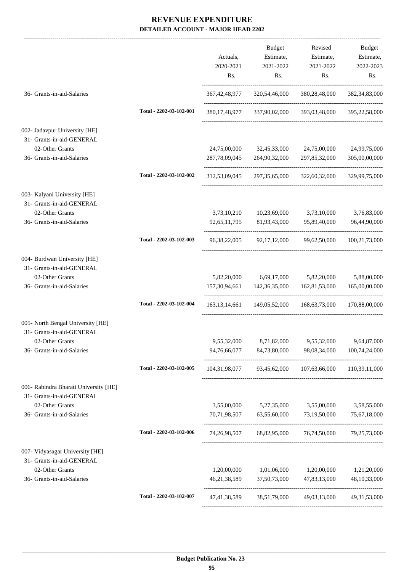|                                                                    |                         | Actuals,<br>2020-2021<br>Rs. | <b>Budget</b><br>Estimate,<br>2021-2022<br>Rs. | Revised<br>Estimate,<br>2021-2022<br>Rs.                          | <b>Budget</b><br>Estimate,<br>2022-2023<br>Rs. |
|--------------------------------------------------------------------|-------------------------|------------------------------|------------------------------------------------|-------------------------------------------------------------------|------------------------------------------------|
| 36- Grants-in-aid-Salaries                                         |                         |                              | 367, 42, 48, 977 320, 54, 46, 000              | 380,28,48,000                                                     | 382, 34, 83, 000                               |
|                                                                    | Total - 2202-03-102-001 |                              |                                                | 380,17,48,977 337,90,02,000 393,03,48,000 395,22,58,000           |                                                |
| 002- Jadavpur University [HE]<br>31- Grants-in-aid-GENERAL         |                         |                              |                                                |                                                                   |                                                |
| 02-Other Grants<br>36- Grants-in-aid-Salaries                      |                         | 287,78,09,045                | 24,75,00,000 32,45,33,000<br>264,90,32,000     | 24,75,00,000<br>297,85,32,000                                     | 24,99,75,000<br>305,00,00,000                  |
|                                                                    | Total - 2202-03-102-002 | 312,53,09,045                | 297, 35, 65, 000                               | 322,60,32,000                                                     | 329,99,75,000                                  |
| 003- Kalyani University [HE]<br>31- Grants-in-aid-GENERAL          |                         |                              |                                                |                                                                   |                                                |
| 02-Other Grants                                                    |                         |                              |                                                | 3,73,10,210 10,23,69,000 3,73,10,000                              | 3,76,83,000                                    |
| 36- Grants-in-aid-Salaries                                         |                         | 92, 65, 11, 795              |                                                | 81,93,43,000 95,89,40,000                                         | 96,44,90,000                                   |
|                                                                    | Total - 2202-03-102-003 |                              |                                                | 96, 38, 22, 005 92, 17, 12, 000 99, 62, 50, 000 100, 21, 73, 000  |                                                |
| 004- Burdwan University [HE]<br>31- Grants-in-aid-GENERAL          |                         |                              |                                                |                                                                   |                                                |
| 02-Other Grants<br>36- Grants-in-aid-Salaries                      |                         |                              | 5,82,20,000 6,69,17,000                        | 5,82,20,000<br>157, 30, 94, 661 142, 36, 35, 000 162, 81, 53, 000 | 5,88,00,000<br>165,00,00,000                   |
|                                                                    |                         |                              |                                                |                                                                   |                                                |
|                                                                    | Total - 2202-03-102-004 |                              | 163, 13, 14, 661 149, 05, 52, 000              | 168,63,73,000                                                     | 170,88,00,000                                  |
| 005- North Bengal University [HE]<br>31- Grants-in-aid-GENERAL     |                         |                              |                                                |                                                                   |                                                |
| 02-Other Grants<br>36- Grants-in-aid-Salaries                      |                         | 94,76,66,077                 |                                                | 9,55,32,000 8,71,82,000 9,55,32,000 9,64,87,000                   |                                                |
|                                                                    |                         |                              | 84,73,80,000                                   | 98,08,34,000                                                      | 100,74,24,000                                  |
|                                                                    | Total - 2202-03-102-005 |                              |                                                | 104,31,98,077 93,45,62,000 107,63,66,000 110,39,11,000            |                                                |
| 006- Rabindra Bharati University [HE]<br>31- Grants-in-aid-GENERAL |                         |                              |                                                |                                                                   |                                                |
| 02-Other Grants                                                    |                         | 3,55,00,000                  |                                                | 5,27,35,000 3,55,00,000                                           | 3,58,55,000                                    |
| 36- Grants-in-aid-Salaries                                         |                         | 70,71,98,507                 |                                                | 63,55,60,000 73,19,50,000                                         | 75,67,18,000                                   |
|                                                                    | Total - 2202-03-102-006 |                              |                                                | 74,26,98,507 68,82,95,000 76,74,50,000 79,25,73,000               |                                                |
| 007- Vidyasagar University [HE]<br>31- Grants-in-aid-GENERAL       |                         |                              |                                                |                                                                   |                                                |
| 02-Other Grants                                                    |                         | 1,20,00,000                  | 1,01,06,000                                    | 1,20,00,000                                                       | 1,21,20,000                                    |
| 36- Grants-in-aid-Salaries                                         |                         | 46, 21, 38, 589              | 37,50,73,000                                   | 47,83,13,000                                                      | 48, 10, 33, 000                                |
|                                                                    | Total - 2202-03-102-007 | 47,41,38,589                 |                                                | 38,51,79,000 49,03,13,000                                         | 49, 31, 53, 000                                |
|                                                                    |                         |                              |                                                |                                                                   |                                                |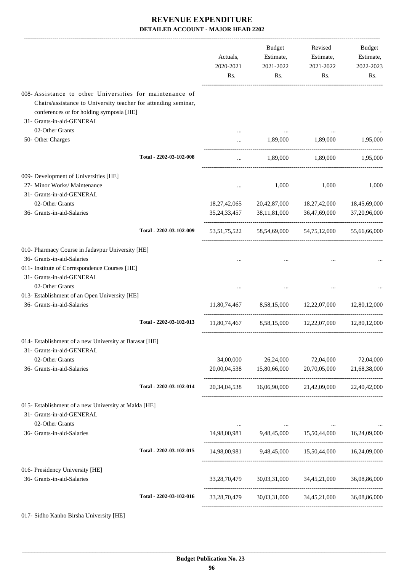|                                                                                                                                                                                                    |                         | Actuals,<br>2020-2021<br>Rs. | Budget<br>Estimate,<br>2021-2022<br>Rs. | Revised<br>Estimate,<br>2021-2022<br>Rs.                                                                                                                                                                                                                                                                                                                                                                                                                                                         | Budget<br>Estimate,<br>2022-2023<br>Rs. |
|----------------------------------------------------------------------------------------------------------------------------------------------------------------------------------------------------|-------------------------|------------------------------|-----------------------------------------|--------------------------------------------------------------------------------------------------------------------------------------------------------------------------------------------------------------------------------------------------------------------------------------------------------------------------------------------------------------------------------------------------------------------------------------------------------------------------------------------------|-----------------------------------------|
| 008-Assistance to other Universities for maintenance of<br>Chairs/assistance to University teacher for attending seminar,<br>conferences or for holding symposia [HE]<br>31- Grants-in-aid-GENERAL |                         |                              |                                         |                                                                                                                                                                                                                                                                                                                                                                                                                                                                                                  |                                         |
| 02-Other Grants                                                                                                                                                                                    |                         |                              |                                         |                                                                                                                                                                                                                                                                                                                                                                                                                                                                                                  |                                         |
| 50- Other Charges                                                                                                                                                                                  |                         |                              |                                         | 1,89,000 1,89,000                                                                                                                                                                                                                                                                                                                                                                                                                                                                                | 1,95,000                                |
|                                                                                                                                                                                                    | Total - 2202-03-102-008 | $\cdots$                     | 1,89,000                                | 1,89,000                                                                                                                                                                                                                                                                                                                                                                                                                                                                                         | 1,95,000                                |
| 009- Development of Universities [HE]                                                                                                                                                              |                         |                              |                                         |                                                                                                                                                                                                                                                                                                                                                                                                                                                                                                  |                                         |
| 27- Minor Works/ Maintenance                                                                                                                                                                       |                         | $\cdots$                     | 1,000                                   | 1,000                                                                                                                                                                                                                                                                                                                                                                                                                                                                                            | 1,000                                   |
| 31- Grants-in-aid-GENERAL                                                                                                                                                                          |                         |                              |                                         |                                                                                                                                                                                                                                                                                                                                                                                                                                                                                                  |                                         |
| 02-Other Grants                                                                                                                                                                                    |                         |                              |                                         | 18,27,42,065 20,42,87,000 18,27,42,000                                                                                                                                                                                                                                                                                                                                                                                                                                                           | 18,45,69,000                            |
| 36- Grants-in-aid-Salaries                                                                                                                                                                         |                         |                              |                                         | 35, 24, 33, 457 38, 11, 81, 000 36, 47, 69, 000                                                                                                                                                                                                                                                                                                                                                                                                                                                  | 37,20,96,000                            |
|                                                                                                                                                                                                    | Total - 2202-03-102-009 |                              |                                         | 53,51,75,522 58,54,69,000 54,75,12,000                                                                                                                                                                                                                                                                                                                                                                                                                                                           | 55,66,66,000                            |
| 010- Pharmacy Course in Jadavpur University [HE]                                                                                                                                                   |                         |                              |                                         |                                                                                                                                                                                                                                                                                                                                                                                                                                                                                                  |                                         |
| 36- Grants-in-aid-Salaries                                                                                                                                                                         |                         |                              |                                         |                                                                                                                                                                                                                                                                                                                                                                                                                                                                                                  |                                         |
| 011- Institute of Correspondence Courses [HE]<br>31- Grants-in-aid-GENERAL<br>02-Other Grants                                                                                                      |                         |                              |                                         |                                                                                                                                                                                                                                                                                                                                                                                                                                                                                                  |                                         |
| 013- Establishment of an Open University [HE]                                                                                                                                                      |                         |                              |                                         |                                                                                                                                                                                                                                                                                                                                                                                                                                                                                                  |                                         |
| 36- Grants-in-aid-Salaries                                                                                                                                                                         |                         |                              |                                         | 11,80,74,467 8,58,15,000 12,22,07,000                                                                                                                                                                                                                                                                                                                                                                                                                                                            | 12,80,12,000                            |
|                                                                                                                                                                                                    | Total - 2202-03-102-013 |                              |                                         | 11,80,74,467 8,58,15,000 12,22,07,000 12,80,12,000                                                                                                                                                                                                                                                                                                                                                                                                                                               |                                         |
| 014- Establishment of a new University at Barasat [HE]<br>31- Grants-in-aid-GENERAL                                                                                                                |                         |                              |                                         |                                                                                                                                                                                                                                                                                                                                                                                                                                                                                                  |                                         |
| 02-Other Grants                                                                                                                                                                                    |                         | 34,00,000                    | 26,24,000                               | 72,04,000                                                                                                                                                                                                                                                                                                                                                                                                                                                                                        | 72,04,000                               |
| 36- Grants-in-aid-Salaries                                                                                                                                                                         |                         |                              | 20,00,04,538 15,80,66,000               | 20,70,05,000                                                                                                                                                                                                                                                                                                                                                                                                                                                                                     | 21,68,38,000                            |
|                                                                                                                                                                                                    | Total - 2202-03-102-014 |                              |                                         | 20,34,04,538 16,06,90,000 21,42,09,000 22,40,42,000                                                                                                                                                                                                                                                                                                                                                                                                                                              |                                         |
| 015- Establishment of a new University at Malda [HE]<br>31- Grants-in-aid-GENERAL<br>02-Other Grants                                                                                               |                         |                              |                                         |                                                                                                                                                                                                                                                                                                                                                                                                                                                                                                  |                                         |
| 36- Grants-in-aid-Salaries                                                                                                                                                                         |                         |                              |                                         | $\mathbf{1}_{\mathbf{1}_{\mathbf{1}_{\mathbf{2}}\mathbf{1}_{\mathbf{3}}\mathbf{1}_{\mathbf{4}}\mathbf{1}_{\mathbf{5}}\mathbf{1}_{\mathbf{6}}\mathbf{1}_{\mathbf{7}}\mathbf{1}_{\mathbf{8}}\mathbf{1}_{\mathbf{9}}\mathbf{1}_{\mathbf{1}_{\mathbf{1}}\mathbf{1}_{\mathbf{1}}\mathbf{1}_{\mathbf{1}}\mathbf{1}_{\mathbf{1}}\mathbf{1}_{\mathbf{1}}\mathbf{1}_{\mathbf{1}}\mathbf{1}_{\mathbf{1}}\mathbf{1}_{\mathbf{1}}\mathbf{1}_{\mathbf{$<br>14,98,00,981 9,48,45,000 15,50,44,000 16,24,09,000 |                                         |
|                                                                                                                                                                                                    | Total - 2202-03-102-015 |                              |                                         | 14,98,00,981 9,48,45,000 15,50,44,000 16,24,09,000                                                                                                                                                                                                                                                                                                                                                                                                                                               |                                         |
|                                                                                                                                                                                                    |                         |                              |                                         |                                                                                                                                                                                                                                                                                                                                                                                                                                                                                                  |                                         |
| 016- Presidency University [HE]<br>36- Grants-in-aid-Salaries                                                                                                                                      |                         |                              | 33,28,70,479 30,03,31,000 34,45,21,000  |                                                                                                                                                                                                                                                                                                                                                                                                                                                                                                  | 36,08,86,000                            |
|                                                                                                                                                                                                    | Total - 2202-03-102-016 | 33, 28, 70, 479              |                                         | 30,03,31,000 34,45,21,000                                                                                                                                                                                                                                                                                                                                                                                                                                                                        | 36,08,86,000                            |
|                                                                                                                                                                                                    |                         |                              |                                         |                                                                                                                                                                                                                                                                                                                                                                                                                                                                                                  |                                         |

017- Sidho Kanho Birsha University [HE]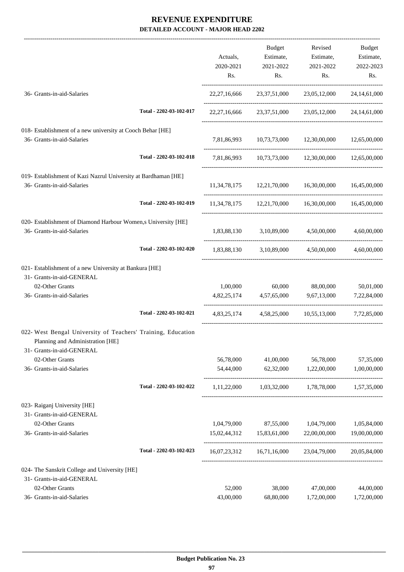-------------------------------------------------------------------------------------------------------------------------------------------------------------------------------

|                                                                                                                               |                         | Actuals,<br>2020-2021<br>Rs.           | <b>Budget</b><br>Estimate,<br>2021-2022<br>Rs. | Revised<br>Estimate,<br>2021-2022<br>Rs.                        | <b>Budget</b><br>Estimate,<br>2022-2023<br>Rs. |
|-------------------------------------------------------------------------------------------------------------------------------|-------------------------|----------------------------------------|------------------------------------------------|-----------------------------------------------------------------|------------------------------------------------|
| 36- Grants-in-aid-Salaries                                                                                                    |                         | 22, 27, 16, 666                        | 23, 37, 51, 000                                | 23,05,12,000                                                    | 24, 14, 61, 000                                |
|                                                                                                                               | Total - 2202-03-102-017 |                                        |                                                | 22, 27, 16, 666 23, 37, 51, 000 23, 05, 12, 000 24, 14, 61, 000 |                                                |
| 018- Establishment of a new university at Cooch Behar [HE]<br>36- Grants-in-aid-Salaries                                      |                         |                                        | 7,81,86,993 10,73,73,000 12,30,00,000          |                                                                 | 12,65,00,000                                   |
|                                                                                                                               | Total - 2202-03-102-018 |                                        |                                                | 7,81,86,993 10,73,73,000 12,30,00,000 12,65,00,000              |                                                |
| 019- Establishment of Kazi Nazrul University at Bardhaman [HE]<br>36- Grants-in-aid-Salaries                                  |                         |                                        |                                                | 11,34,78,175 12,21,70,000 16,30,00,000 16,45,00,000             |                                                |
|                                                                                                                               | Total - 2202-03-102-019 |                                        | 11,34,78,175 12,21,70,000 16,30,00,000         |                                                                 | 16,45,00,000                                   |
| 020- Establishment of Diamond Harbour Women,s University [HE]<br>36- Grants-in-aid-Salaries                                   |                         |                                        | 1,83,88,130 3,10,89,000 4,50,00,000            |                                                                 | 4,60,00,000                                    |
|                                                                                                                               | Total - 2202-03-102-020 |                                        | 1,83,88,130 3,10,89,000 4,50,00,000            |                                                                 | 4,60,00,000                                    |
| 021- Establishment of a new University at Bankura [HE]<br>31- Grants-in-aid-GENERAL                                           |                         |                                        |                                                |                                                                 |                                                |
| 02-Other Grants                                                                                                               |                         | 1,00,000                               | 60,000                                         | 88,00,000                                                       | 50,01,000                                      |
| 36- Grants-in-aid-Salaries                                                                                                    |                         |                                        | 4,82,25,174 4,57,65,000                        | 9,67,13,000                                                     | 7,22,84,000                                    |
|                                                                                                                               | Total - 2202-03-102-021 |                                        |                                                | 4,83,25,174 4,58,25,000 10,55,13,000                            | 7,72,85,000                                    |
| 022- West Bengal University of Teachers' Training, Education<br>Planning and Administration [HE]<br>31- Grants-in-aid-GENERAL |                         |                                        |                                                |                                                                 |                                                |
| 02-Other Grants                                                                                                               |                         | 56,78,000                              | 41,00,000                                      | 56,78,000                                                       | 57,35,000                                      |
| 36- Grants-in-aid-Salaries                                                                                                    |                         | 54,44,000                              | 62,32,000                                      | 1,22,00,000                                                     | 1,00,00,000                                    |
|                                                                                                                               | Total - 2202-03-102-022 | 1,11,22,000                            | 1,03,32,000                                    | 1,78,78,000                                                     | 1,57,35,000                                    |
| 023- Raiganj University [HE]<br>31- Grants-in-aid-GENERAL                                                                     |                         |                                        |                                                |                                                                 |                                                |
| 02-Other Grants                                                                                                               |                         |                                        | 1,04,79,000 87,55,000                          | 1,04,79,000                                                     | 1,05,84,000                                    |
| 36- Grants-in-aid-Salaries                                                                                                    |                         | 15,02,44,312<br>---------------------- | 15,83,61,000                                   | 22,00,00,000                                                    | 19,00,00,000                                   |
|                                                                                                                               | Total - 2202-03-102-023 | 16,07,23,312                           | 16,71,16,000                                   | 23,04,79,000                                                    | 20,05,84,000                                   |
| 024- The Sanskrit College and University [HE]                                                                                 |                         |                                        |                                                |                                                                 |                                                |
| 31- Grants-in-aid-GENERAL                                                                                                     |                         |                                        |                                                |                                                                 |                                                |
| 02-Other Grants                                                                                                               |                         | 52,000                                 | 38,000                                         | 47,00,000                                                       | 44,00,000                                      |
| 36- Grants-in-aid-Salaries                                                                                                    |                         | 43,00,000                              | 68,80,000                                      | 1,72,00,000                                                     | 1,72,00,000                                    |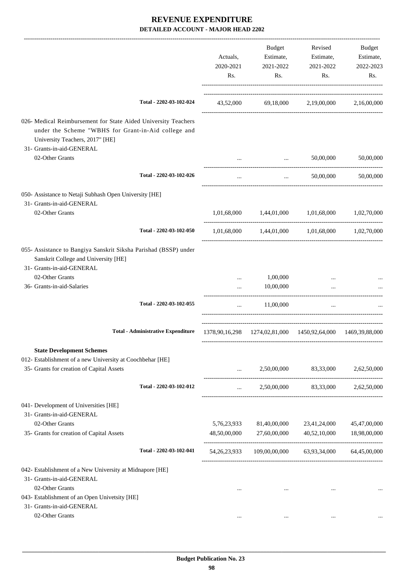|                                                                                                          |             | Budget                | Revised                                                                                                          | Budget       |
|----------------------------------------------------------------------------------------------------------|-------------|-----------------------|------------------------------------------------------------------------------------------------------------------|--------------|
|                                                                                                          | Actuals,    | Estimate,             | Estimate,                                                                                                        | Estimate,    |
|                                                                                                          | 2020-2021   | 2021-2022             | 2021-2022                                                                                                        | 2022-2023    |
|                                                                                                          | Rs.         | Rs.                   | Rs.                                                                                                              | Rs.          |
| Total - 2202-03-102-024                                                                                  |             |                       | 43,52,000 69,18,000 2,19,00,000 2,16,00,000                                                                      |              |
|                                                                                                          |             |                       |                                                                                                                  |              |
| 026- Medical Reimbursement for State Aided University Teachers                                           |             |                       |                                                                                                                  |              |
| under the Scheme "WBHS for Grant-in-Aid college and<br>University Teachers, 2017" [HE]                   |             |                       |                                                                                                                  |              |
| 31- Grants-in-aid-GENERAL                                                                                |             |                       |                                                                                                                  |              |
| 02-Other Grants                                                                                          |             | $\sim$ $\sim$         | 50,00,000                                                                                                        | 50,00,000    |
| Total - 2202-03-102-026                                                                                  |             |                       |                                                                                                                  |              |
|                                                                                                          | $\cdots$    | $\cdots$              | 50,00,000                                                                                                        | 50,00,000    |
| 050- Assistance to Netaji Subhash Open University [HE]<br>31- Grants-in-aid-GENERAL                      |             |                       |                                                                                                                  |              |
| 02-Other Grants                                                                                          |             |                       | $1,\!01,\!68,\!000 \qquad \quad 1,\!44,\!01,\!000 \qquad \quad 1,\!01,\!68,\!000 \qquad \quad 1,\!02,\!70,\!000$ |              |
| Total - 2202-03-102-050                                                                                  |             |                       | $1,01,68,000$ $1,44,01,000$ $1,01,68,000$ $1,02,70,000$                                                          |              |
| 055- Assistance to Bangiya Sanskrit Siksha Parishad (BSSP) under<br>Sanskrit College and University [HE] |             |                       |                                                                                                                  |              |
| 31- Grants-in-aid-GENERAL<br>02-Other Grants                                                             |             |                       |                                                                                                                  |              |
| 36- Grants-in-aid-Salaries                                                                               | .           | 1,00,000<br>10,00,000 |                                                                                                                  |              |
| Total - 2202-03-102-055                                                                                  |             |                       |                                                                                                                  |              |
|                                                                                                          | $\cdots$    | 11,00,000             | $\cdots$                                                                                                         |              |
| <b>Total - Administrative Expenditure</b>                                                                |             |                       | 1378,90,16,298 1274,02,81,000 1450,92,64,000 1469,39,88,000                                                      |              |
| <b>State Development Schemes</b>                                                                         |             |                       |                                                                                                                  |              |
| 012- Establishment of a new University at Coochbehar [HE]                                                |             |                       |                                                                                                                  |              |
| 35- Grants for creation of Capital Assets                                                                |             | $\mathbf{1}$          | 2,50,00,000 83,33,000                                                                                            | 2,62,50,000  |
| Total - 2202-03-102-012                                                                                  |             |                       | 2,50,00,000 83,33,000 2,62,50,000                                                                                |              |
| 041- Development of Universities [HE]                                                                    |             |                       |                                                                                                                  |              |
| 31- Grants-in-aid-GENERAL                                                                                |             |                       |                                                                                                                  |              |
| 02-Other Grants                                                                                          | 5,76,23,933 | 81,40,00,000          | 23,41,24,000                                                                                                     | 45,47,00,000 |
| 35- Grants for creation of Capital Assets                                                                |             |                       | 48,50,00,000 27,60,00,000 40,52,10,000                                                                           | 18,98,00,000 |
| Total - 2202-03-102-041                                                                                  |             |                       | 54,26,23,933 109,00,00,000 63,93,34,000 64,45,00,000                                                             |              |
| 042- Establishment of a New University at Midnapore [HE]<br>31- Grants-in-aid-GENERAL                    |             |                       |                                                                                                                  |              |
| 02-Other Grants                                                                                          | $\cdots$    | $\cdots$              | $\cdots$                                                                                                         |              |
| 043- Establishment of an Open Univetsity [HE]                                                            |             |                       |                                                                                                                  |              |
| 31- Grants-in-aid-GENERAL                                                                                |             |                       |                                                                                                                  |              |
| 02-Other Grants                                                                                          | $\cdots$    | $\cdots$              | $\cdots$                                                                                                         |              |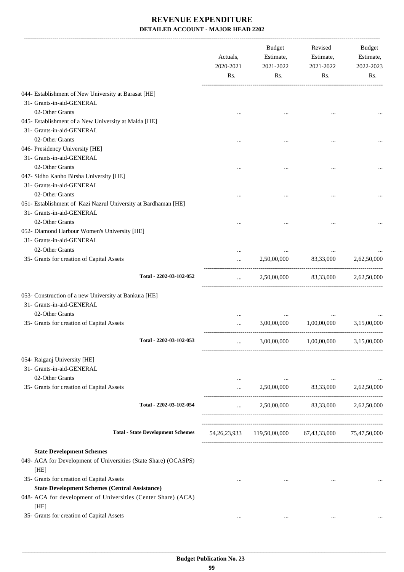|                                                                 | Actuals,<br>2020-2021<br>Rs. | Budget<br>Estimate,<br>2021-2022<br>Rs.                          | Revised<br>Estimate,<br>2021-2022<br>Rs.                  | Budget<br>Estimate,<br>2022-2023<br>Rs. |
|-----------------------------------------------------------------|------------------------------|------------------------------------------------------------------|-----------------------------------------------------------|-----------------------------------------|
| 044- Establishment of New University at Barasat [HE]            |                              |                                                                  |                                                           |                                         |
| 31- Grants-in-aid-GENERAL                                       |                              |                                                                  |                                                           |                                         |
| 02-Other Grants                                                 |                              |                                                                  |                                                           |                                         |
| 045- Establishment of a New University at Malda [HE]            |                              |                                                                  |                                                           |                                         |
| 31- Grants-in-aid-GENERAL                                       |                              |                                                                  |                                                           |                                         |
| 02-Other Grants                                                 |                              |                                                                  |                                                           |                                         |
| 046- Presidency University [HE]                                 |                              |                                                                  |                                                           |                                         |
| 31- Grants-in-aid-GENERAL                                       |                              |                                                                  |                                                           |                                         |
| 02-Other Grants                                                 |                              |                                                                  |                                                           |                                         |
| 047- Sidho Kanho Birsha University [HE]                         |                              |                                                                  |                                                           |                                         |
| 31- Grants-in-aid-GENERAL                                       |                              |                                                                  |                                                           |                                         |
| 02-Other Grants                                                 |                              |                                                                  |                                                           |                                         |
| 051- Establishment of Kazi Nazrul University at Bardhaman [HE]  |                              |                                                                  |                                                           |                                         |
| 31- Grants-in-aid-GENERAL                                       |                              |                                                                  |                                                           |                                         |
| 02-Other Grants                                                 |                              |                                                                  |                                                           |                                         |
| 052- Diamond Harbour Women's University [HE]                    |                              |                                                                  |                                                           |                                         |
| 31- Grants-in-aid-GENERAL                                       |                              |                                                                  |                                                           |                                         |
| 02-Other Grants                                                 |                              |                                                                  |                                                           |                                         |
| 35- Grants for creation of Capital Assets                       | $\cdots$                     | 2,50,00,000                                                      | 83,33,000                                                 | 2,62,50,000                             |
|                                                                 |                              |                                                                  |                                                           |                                         |
| Total - 2202-03-102-052                                         | $\cdots$                     |                                                                  | 2,50,00,000 83,33,000                                     | 2,62,50,000                             |
|                                                                 |                              |                                                                  |                                                           |                                         |
| 053- Construction of a new University at Bankura [HE]           |                              |                                                                  |                                                           |                                         |
| 31- Grants-in-aid-GENERAL                                       |                              |                                                                  |                                                           |                                         |
| 02-Other Grants                                                 |                              |                                                                  |                                                           |                                         |
| 35- Grants for creation of Capital Assets                       | $\cdots$                     | 3,00,00,000                                                      | 1,00,00,000                                               | 3,15,00,000                             |
| Total - 2202-03-102-053                                         |                              | 3,00,00,000                                                      | 1,00,00,000                                               | 3,15,00,000                             |
|                                                                 |                              |                                                                  |                                                           |                                         |
| 054- Raiganj University [HE]                                    |                              |                                                                  |                                                           |                                         |
| 31- Grants-in-aid-GENERAL                                       |                              |                                                                  |                                                           |                                         |
| 02-Other Grants                                                 | $\cdots$                     | and the contract of the contract of                              | $\mathcal{L}_{\text{max}}$ and $\mathcal{L}_{\text{max}}$ |                                         |
| 35- Grants for creation of Capital Assets                       |                              | $2,50,00,000$ $83,33,000$ $2,62,50,000$                          |                                                           |                                         |
| Total - 2202-03-102-054                                         | $\cdots$                     |                                                                  | 2,50,00,000 83,33,000 2,62,50,000                         |                                         |
|                                                                 |                              |                                                                  |                                                           |                                         |
| <b>Total - State Development Schemes</b>                        |                              | 54, 26, 23, 933 119, 50, 00, 000 67, 43, 33, 000 75, 47, 50, 000 |                                                           |                                         |
| <b>State Development Schemes</b>                                |                              |                                                                  |                                                           |                                         |
| 049- ACA for Development of Universities (State Share) (OCASPS) |                              |                                                                  |                                                           |                                         |
| [HE]                                                            |                              |                                                                  |                                                           |                                         |
| 35- Grants for creation of Capital Assets                       |                              | $\cdots$                                                         | $\cdots$                                                  |                                         |
| <b>State Development Schemes (Central Assistance)</b>           |                              |                                                                  |                                                           |                                         |
| 048- ACA for development of Universities (Center Share) (ACA)   |                              |                                                                  |                                                           |                                         |
| [HE]                                                            |                              |                                                                  |                                                           |                                         |
| 35- Grants for creation of Capital Assets                       |                              |                                                                  |                                                           |                                         |
|                                                                 | $\cdots$                     | $\cdots$                                                         | $\cdots$                                                  |                                         |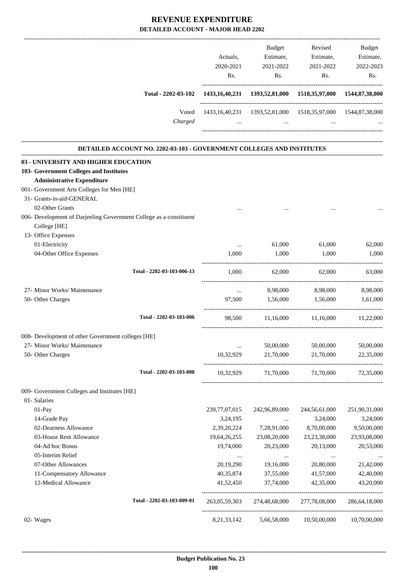# **REVENUE EXPENDITURE**

| DETAILED ACCOUNT - MAJOR HEAD 2202                                    |                  |                                                                         |                          |               |
|-----------------------------------------------------------------------|------------------|-------------------------------------------------------------------------|--------------------------|---------------|
|                                                                       |                  | Budget                                                                  | Revised                  | <b>Budget</b> |
|                                                                       | Actuals,         | Estimate,                                                               | Estimate,                | Estimate,     |
|                                                                       | 2020-2021        | 2021-2022                                                               | 2021-2022                | 2022-2023     |
|                                                                       | Rs.              | Rs.                                                                     | Rs.                      | Rs.           |
| Total - 2202-03-102                                                   |                  | 1433,16,40,231 1393,52,81,000 1518,35,97,000 1544,87,38,000             | ------------------------ |               |
|                                                                       |                  |                                                                         |                          |               |
| Voted<br>Charged                                                      | $\ddots$         | 1433,16,40,231 1393,52,81,000 1518,35,97,000 1544,87,38,000<br>$\cdots$ | $\cdots$                 |               |
| DETAILED ACCOUNT NO. 2202-03-103 - GOVERNMENT COLLEGES AND INSTITUTES |                  |                                                                         |                          |               |
| 03 - UNIVERSITY AND HIGHER EDUCATION                                  |                  |                                                                         |                          |               |
| 103- Government Colleges and Institutes                               |                  |                                                                         |                          |               |
| <b>Administrative Expenditure</b>                                     |                  |                                                                         |                          |               |
| 001- Government Arts Colleges for Men [HE]                            |                  |                                                                         |                          |               |
| 31- Grants-in-aid-GENERAL                                             |                  |                                                                         |                          |               |
| 02-Other Grants                                                       |                  |                                                                         |                          |               |
| 006- Development of Darjeeling Government College as a constituent    |                  |                                                                         |                          |               |
| College [HE]                                                          |                  |                                                                         |                          |               |
| 13- Office Expenses                                                   |                  |                                                                         |                          |               |
| 01-Electricity                                                        | $\cdots$         | 61,000                                                                  | 61,000                   | 62,000        |
| 04-Other Office Expenses                                              | 1,000            | 1,000                                                                   | 1,000                    | 1,000         |
| Total - 2202-03-103-006-13                                            | 1,000            |                                                                         | 62,000<br>62,000         | 63,000        |
| 27- Minor Works/ Maintenance                                          | $\cdots$         |                                                                         | 8,98,000 8,98,000        | 8,98,000      |
| 50- Other Charges                                                     | 97,500           | 1,56,000                                                                | 1,56,000                 | 1,61,000      |
| Total - 2202-03-103-006                                               | 98,500           | 11,16,000                                                               | 11,16,000                | 11,22,000     |
|                                                                       |                  |                                                                         |                          |               |
| 008- Development of other Government colleges [HE]                    |                  |                                                                         |                          |               |
| 27- Minor Works/ Maintenance                                          | $\ldots$         | 50,00,000                                                               | 50,00,000                | 50,00,000     |
| 50- Other Charges                                                     | 10,32,929        | 21,70,000                                                               | 21,70,000                | 22,35,000     |
| Total - 2202-03-103-008                                               | 10,32,929        | 71,70,000                                                               | 71,70,000                | 72,35,000     |
| 009- Government Colleges and Institutes [HE]                          |                  |                                                                         |                          |               |
| 01- Salaries                                                          |                  |                                                                         |                          |               |
| $01-Pay$                                                              | 239, 77, 07, 015 | 242,96,89,000                                                           | 244,56,61,000            | 251,90,31,000 |
| 14-Grade Pay                                                          | 3,24,195         | $\ldots$                                                                | 3,24,000                 | 3,24,000      |
| 02-Dearness Allowance                                                 | 2,39,20,224      | 7,28,91,000                                                             | 8,70,00,000              | 9,50,00,000   |
| 03-House Rent Allowance                                               | 19,64,26,255     | 23,08,20,000                                                            | 23, 23, 38, 000          | 23,93,08,000  |
| 04-Ad hoc Bonus                                                       | 19,74,000        | 20,23,000                                                               | 20,13,000                | 20,53,000     |

05-Interim Relief ... ... ... ... 07-Other Allowances 20,19,290 19,16,000 20,80,000 21,42,000 11-Compensatory Allowance 40,35,874 37,55,000 41,57,000 42,40,000 12-Medical Allowance 41,52,450 37,74,000 42,35,000 43,20,000

-----------------------------------------------------------------------------------------

-----------------------------------------------------------------------------------------

**Total - 2202-03-103-009-01** 263,05,59,303 274,48,68,000 277,78,08,000 286,64,18,000

 **\_\_\_\_\_\_\_\_\_\_\_\_\_\_\_\_\_\_\_\_\_\_\_\_\_\_\_\_\_\_\_\_\_\_\_\_\_\_\_\_\_\_\_\_\_\_\_\_\_\_\_\_\_\_\_\_\_\_\_\_\_\_\_\_\_\_\_\_\_\_\_\_\_\_\_\_\_\_\_\_\_\_\_\_\_\_\_\_\_\_\_\_\_\_\_\_\_\_\_\_\_\_\_\_\_\_\_\_\_\_\_\_\_\_\_\_\_\_\_**

02- Wages 6.21,33,142 5,66,58,000 10,50,00,000 10,70,00,000 10,70,00,000 10,70,00,000 10,70,00,000 10,70,00,000 10,70,00,000 10,70,00,000 10,70,00,000 10,70,00,000 10,70,00,000 10,70,00,000 10,70,00,000 10,70,00,000 10,70,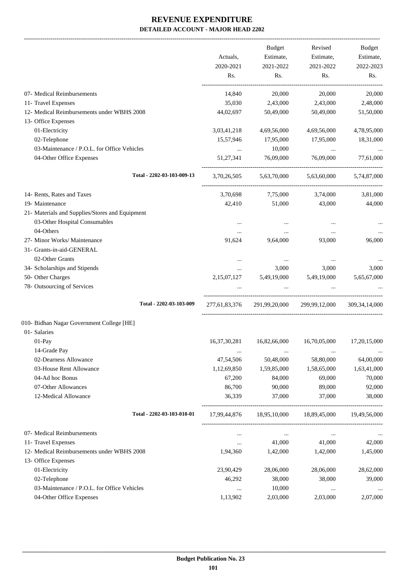-------------------------------------------------------------------------------------------------------------------------------------------------------------------------------

|                                                                   | Actuals,<br>2020-2021<br>Rs. | <b>Budget</b><br>Estimate,<br>2021-2022<br>Rs. | Revised<br>Estimate,<br>2021-2022<br>Rs. | <b>Budget</b><br>Estimate,<br>2022-2023<br>Rs. |
|-------------------------------------------------------------------|------------------------------|------------------------------------------------|------------------------------------------|------------------------------------------------|
| 07- Medical Reimbursements                                        | 14,840                       | 20,000                                         | 20,000                                   | 20,000                                         |
| 11- Travel Expenses                                               | 35,030                       | 2,43,000                                       | 2,43,000                                 | 2,48,000                                       |
| 12- Medical Reimbursements under WBHS 2008                        | 44,02,697                    | 50,49,000                                      | 50,49,000                                | 51,50,000                                      |
| 13- Office Expenses                                               |                              |                                                |                                          |                                                |
| 01-Electricity                                                    | 3,03,41,218                  | 4,69,56,000                                    | 4,69,56,000                              | 4,78,95,000                                    |
| 02-Telephone                                                      | 15,57,946                    | 17,95,000                                      | 17,95,000                                | 18,31,000                                      |
| 03-Maintenance / P.O.L. for Office Vehicles                       | $\cdots$                     | 10,000                                         | $\cdots$                                 |                                                |
| 04-Other Office Expenses                                          | 51,27,341                    | 76,09,000                                      | 76,09,000                                | 77,61,000                                      |
| Total - 2202-03-103-009-13                                        | 3.70.26.505                  | 5,63,70,000                                    | 5,63,60,000                              | 5,74,87,000                                    |
| 14- Rents, Rates and Taxes                                        | 3,70,698                     | 7,75,000                                       | 3,74,000                                 | 3,81,000                                       |
| 19- Maintenance                                                   | 42,410                       | 51,000                                         | 43,000                                   | 44,000                                         |
| 21- Materials and Supplies/Stores and Equipment                   |                              |                                                |                                          |                                                |
| 03-Other Hospital Consumables                                     | $\cdots$                     |                                                |                                          |                                                |
| 04-Others                                                         | $\cdots$                     | $\cdots$                                       | $\cdots$                                 |                                                |
| 27- Minor Works/ Maintenance                                      | 91,624                       | 9,64,000                                       | 93,000                                   | 96,000                                         |
| 31- Grants-in-aid-GENERAL                                         |                              |                                                |                                          |                                                |
| 02-Other Grants                                                   | $\cdots$                     | $\cdots$                                       | $\cdots$                                 |                                                |
| 34- Scholarships and Stipends                                     | $\cdots$                     | 3,000                                          | 3,000                                    | 3,000                                          |
| 50- Other Charges                                                 | 2,15,07,127                  | 5,49,19,000                                    | 5,49,19,000                              | 5,65,67,000                                    |
| 78- Outsourcing of Services                                       |                              | $\cdots$                                       | $\cdots$                                 |                                                |
| Total - 2202-03-103-009                                           | 277,61,83,376                | 291,99,20,000                                  | 299,99,12,000                            | 309, 34, 14, 000                               |
| 010- Bidhan Nagar Government College [HE]                         |                              |                                                |                                          |                                                |
| 01- Salaries                                                      |                              |                                                |                                          |                                                |
| 01-Pay                                                            | 16, 37, 30, 281              | 16,82,66,000                                   | 16,70,05,000                             | 17,20,15,000                                   |
| 14-Grade Pay                                                      | $\cdots$                     | $\cdots$                                       | $\ddotsc$                                |                                                |
| 02-Dearness Allowance                                             | 47,54,506                    | 50,48,000                                      | 58,80,000                                | 64,00,000                                      |
| 03-House Rent Allowance                                           | 1,12,69,850                  | 1,59,85,000                                    | 1,58,65,000                              | 1,63,41,000                                    |
| 04-Ad hoc Bonus                                                   | 67,200                       | 84,000                                         | 69,000                                   | 70,000                                         |
| 07-Other Allowances                                               | 86,700                       | 90,000                                         | 89,000                                   | 92,000                                         |
| 12-Medical Allowance                                              | 36,339                       | 37,000                                         | 37,000                                   | 38,000                                         |
| Total - 2202-03-103-010-01                                        |                              |                                                | 17,99,44,876 18,95,10,000 18,89,45,000   | 19,49,56,000                                   |
|                                                                   |                              |                                                |                                          |                                                |
| 07- Medical Reimbursements                                        | $\cdots$                     | $\cdots$                                       | $\ldots$                                 |                                                |
| 11- Travel Expenses<br>12- Medical Reimbursements under WBHS 2008 | $\cdots$<br>1,94,360         | 41,000<br>1,42,000                             | 41,000<br>1,42,000                       | 42,000<br>1,45,000                             |
| 13- Office Expenses                                               |                              |                                                |                                          |                                                |
| 01-Electricity                                                    | 23,90,429                    | 28,06,000                                      | 28,06,000                                | 28,62,000                                      |
| 02-Telephone                                                      | 46,292                       | 38,000                                         | 38,000                                   | 39,000                                         |
| 03-Maintenance / P.O.L. for Office Vehicles                       | $\cdots$                     | 10,000                                         | $\ldots$                                 | $\cdots$                                       |
| 04-Other Office Expenses                                          | 1,13,902                     | 2,03,000                                       | 2,03,000                                 | 2,07,000                                       |
|                                                                   |                              |                                                |                                          |                                                |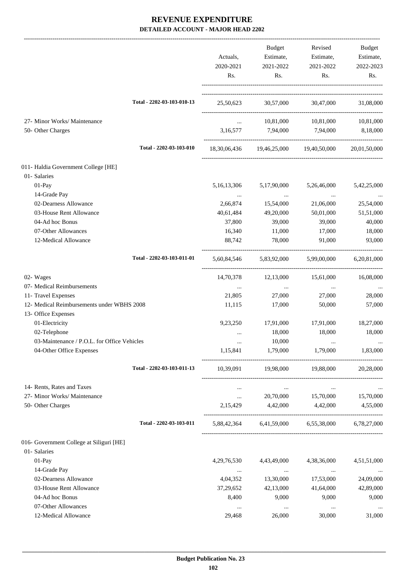|                                             |                                            | Budget                              | Revised                                         | Budget       |
|---------------------------------------------|--------------------------------------------|-------------------------------------|-------------------------------------------------|--------------|
|                                             | Actuals,                                   | Estimate,                           | Estimate,                                       | Estimate,    |
|                                             | 2020-2021                                  | 2021-2022                           | 2021-2022                                       | 2022-2023    |
|                                             | Rs.                                        | Rs.                                 | Rs.                                             | Rs.          |
| Total - 2202-03-103-010-13                  |                                            |                                     | 25,50,623 30,57,000 30,47,000                   | 31,08,000    |
|                                             |                                            |                                     |                                                 |              |
| 27- Minor Works/ Maintenance                | $\mathbf{r}$ , $\mathbf{r}$ , $\mathbf{r}$ |                                     | 10,81,000 10,81,000                             | 10,81,000    |
| 50- Other Charges                           |                                            | 3,16,577 7,94,000 7,94,000          |                                                 | 8,18,000     |
|                                             |                                            |                                     |                                                 |              |
| Total - 2202-03-103-010                     |                                            |                                     | 18,30,06,436 19,46,25,000 19,40,50,000          | 20,01,50,000 |
| 011- Haldia Government College [HE]         |                                            |                                     |                                                 |              |
| 01- Salaries                                |                                            |                                     |                                                 |              |
| 01-Pay                                      | 5, 16, 13, 306                             | 5,17,90,000                         | 5,26,46,000                                     | 5,42,25,000  |
| 14-Grade Pay                                | $\cdots$                                   | <b>Contract Contract</b>            | $\ldots$                                        |              |
| 02-Dearness Allowance                       | 2,66,874                                   | 15,54,000                           | 21,06,000                                       | 25,54,000    |
| 03-House Rent Allowance                     | 40,61,484                                  | 49,20,000                           | 50,01,000                                       | 51,51,000    |
| 04-Ad hoc Bonus                             | 37,800                                     | 39,000                              | 39,000                                          | 40,000       |
| 07-Other Allowances                         | 16,340                                     | 11,000                              | 17,000                                          | 18,000       |
| 12-Medical Allowance                        | 88,742                                     | 78,000                              | 91,000                                          | 93,000       |
| Total - 2202-03-103-011-01                  |                                            | 5,60,84,546 5,83,92,000 5,99,00,000 |                                                 | 6,20,81,000  |
| 02- Wages                                   |                                            | 14,70,378 12,13,000 15,61,000       |                                                 | 16,08,000    |
| 07- Medical Reimbursements                  | $\cdots$                                   | $\sim$ $\sim$                       | $\cdots$                                        |              |
| 11- Travel Expenses                         | 21,805                                     | 27,000                              | 27,000                                          | 28,000       |
| 12- Medical Reimbursements under WBHS 2008  | 11,115                                     | 17,000                              | 50,000                                          | 57,000       |
| 13- Office Expenses                         |                                            |                                     |                                                 |              |
| 01-Electricity                              | 9,23,250                                   | 17,91,000                           | 17,91,000                                       | 18,27,000    |
| 02-Telephone                                | $\cdots$                                   | 18,000                              | 18,000                                          | 18,000       |
| 03-Maintenance / P.O.L. for Office Vehicles |                                            | 10,000                              |                                                 |              |
| 04-Other Office Expenses                    | 1,15,841                                   | 1,79,000                            | 1,79,000                                        | 1,83,000     |
| Total - 2202-03-103-011-13                  |                                            |                                     | 10,39,091 19,98,000 19,88,000                   | 20,28,000    |
| 14- Rents, Rates and Taxes                  | $\cdots$                                   | $\sim$ $\sim$ $\sim$ $\sim$         | <b>Contract Contract</b>                        |              |
| 27- Minor Works/ Maintenance                | $\cdots$                                   |                                     | 20,70,000 15,70,000 15,70,000                   |              |
| 50- Other Charges                           | 2,15,429                                   | 4,42,000 4,42,000                   |                                                 | 4,55,000     |
| Total - 2202-03-103-011                     |                                            |                                     | 5,88,42,364 6,41,59,000 6,55,38,000 6,78,27,000 |              |
|                                             |                                            |                                     |                                                 |              |
| 016- Government College at Siliguri [HE]    |                                            |                                     |                                                 |              |
| 01- Salaries                                |                                            |                                     |                                                 |              |
| $01-Pay$                                    | 4,29,76,530                                | 4,43,49,000                         | 4,38,36,000                                     | 4,51,51,000  |
| 14-Grade Pay                                | $\cdots$                                   | $\sim 100$ and $\sim 100$           | $\sim 100$ and $\sim 100$                       | $\cdots$     |
| 02-Dearness Allowance                       | 4,04,352                                   | 13,30,000                           | 17,53,000                                       | 24,09,000    |
| 03-House Rent Allowance                     | 37,29,652                                  | 42,13,000                           | 41,64,000                                       | 42,89,000    |
| 04-Ad hoc Bonus                             | 8,400                                      | 9,000                               | 9,000                                           | 9,000        |
| 07-Other Allowances                         | $\cdots$                                   | $\ldots$                            | $\cdots$                                        |              |
| 12-Medical Allowance                        | 29,468                                     | 26,000                              | 30,000                                          | 31,000       |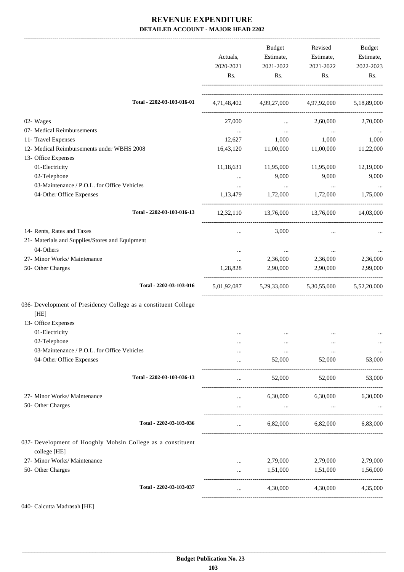|                                                                             | Actuals,<br>2020-2021<br>Rs. | Budget<br>Estimate,<br>2021-2022<br>Rs.         | Revised<br>Estimate,<br>2021-2022<br>Rs. | Budget<br>Estimate,<br>2022-2023<br>Rs. |
|-----------------------------------------------------------------------------|------------------------------|-------------------------------------------------|------------------------------------------|-----------------------------------------|
|                                                                             |                              |                                                 |                                          |                                         |
| Total - 2202-03-103-016-01                                                  |                              | 4,71,48,402 4,99,27,000 4,97,92,000 5,18,89,000 |                                          |                                         |
| 02- Wages                                                                   | 27,000                       | $\cdots$                                        | 2,60,000                                 | 2,70,000                                |
| 07- Medical Reimbursements                                                  | $\cdots$                     | $\cdots$                                        | $\cdots$                                 |                                         |
| 11- Travel Expenses                                                         | 12,627                       | 1,000                                           | 1,000                                    | 1,000                                   |
| 12- Medical Reimbursements under WBHS 2008                                  | 16,43,120                    | 11,00,000                                       | 11,00,000                                | 11,22,000                               |
| 13- Office Expenses                                                         |                              |                                                 |                                          |                                         |
| 01-Electricity                                                              | 11,18,631                    | 11,95,000                                       | 11,95,000                                | 12,19,000                               |
| 02-Telephone                                                                |                              | 9,000                                           | 9,000                                    | 9,000                                   |
| 03-Maintenance / P.O.L. for Office Vehicles                                 | $\cdots$                     | $\sim 100$ and $\sim 100$                       | $\sim$ $\sim$                            |                                         |
| 04-Other Office Expenses                                                    | 1,13,479                     | 1,72,000                                        | 1,72,000                                 | 1,75,000                                |
| Total - 2202-03-103-016-13                                                  |                              | 12,32,110 13,76,000 13,76,000 14,03,000         |                                          |                                         |
| 14- Rents, Rates and Taxes                                                  | $\cdots$                     | 3,000                                           | $\cdots$                                 |                                         |
| 21- Materials and Supplies/Stores and Equipment                             |                              |                                                 |                                          |                                         |
| 04-Others                                                                   | $\cdots$                     | $\cdots$                                        |                                          |                                         |
| 27- Minor Works/ Maintenance                                                | $\cdots$                     | 2,36,000                                        | 2,36,000                                 | 2,36,000                                |
| 50- Other Charges                                                           | 1,28,828                     | 2,90,000                                        | 2,90,000                                 | 2,99,000                                |
| Total - 2202-03-103-016                                                     |                              | 5,01,92,087 5,29,33,000 5,30,55,000 5,52,20,000 |                                          |                                         |
| 036- Development of Presidency College as a constituent College             |                              |                                                 |                                          |                                         |
| [HE]                                                                        |                              |                                                 |                                          |                                         |
| 13- Office Expenses                                                         |                              |                                                 |                                          |                                         |
| 01-Electricity                                                              | $\ddotsc$                    | $\cdots$                                        | $\cdots$                                 |                                         |
| 02-Telephone                                                                |                              |                                                 |                                          |                                         |
| 03-Maintenance / P.O.L. for Office Vehicles                                 |                              | $\cdots$                                        | $\cdots$                                 | $\cdots$                                |
| 04-Other Office Expenses                                                    |                              | 52,000                                          | 52,000                                   | 53,000                                  |
| Total - 2202-03-103-036-13                                                  | $\cdots$                     | 52,000                                          | 52,000                                   | 53,000                                  |
| 27- Minor Works/ Maintenance                                                |                              |                                                 | 6,30,000 6,30,000                        | 6,30,000                                |
| 50- Other Charges                                                           | $\cdots$                     | $\cdots$                                        | $\cdots$                                 |                                         |
| Total - 2202-03-103-036                                                     | $\cdots$                     |                                                 | 6,82,000 6,82,000                        | 6,83,000                                |
| 037- Development of Hooghly Mohsin College as a constituent<br>college [HE] |                              |                                                 |                                          |                                         |
| 27- Minor Works/ Maintenance                                                | $\cdots$                     | 2,79,000                                        | 2,79,000                                 | 2,79,000                                |
| 50- Other Charges                                                           |                              | 1,51,000                                        | 1,51,000                                 | 1,56,000                                |
| Total - 2202-03-103-037                                                     | $\cdots$                     | 4,30,000                                        | 4,30,000                                 | 4,35,000                                |
|                                                                             |                              |                                                 |                                          |                                         |

040- Calcutta Madrasah [HE]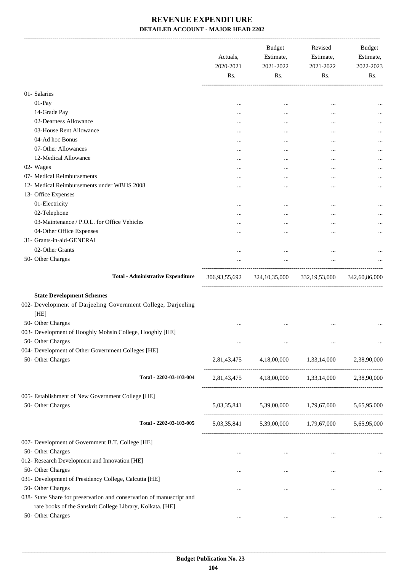|                                                                                                                                   | Actuals,<br>2020-2021<br>Rs. | <b>Budget</b><br>Estimate,<br>2021-2022<br>Rs.          | Revised<br>Estimate,<br>2021-2022<br>Rs.  | <b>Budget</b><br>Estimate,<br>2022-2023<br>Rs. |
|-----------------------------------------------------------------------------------------------------------------------------------|------------------------------|---------------------------------------------------------|-------------------------------------------|------------------------------------------------|
| 01- Salaries                                                                                                                      |                              |                                                         |                                           |                                                |
| 01-Pay                                                                                                                            |                              |                                                         | $\ddotsc$                                 |                                                |
| 14-Grade Pay                                                                                                                      |                              |                                                         |                                           |                                                |
| 02-Dearness Allowance                                                                                                             |                              |                                                         |                                           |                                                |
| 03-House Rent Allowance                                                                                                           |                              |                                                         |                                           |                                                |
| 04-Ad hoc Bonus                                                                                                                   |                              |                                                         |                                           |                                                |
| 07-Other Allowances                                                                                                               |                              |                                                         |                                           | $\cdots$                                       |
| 12-Medical Allowance                                                                                                              |                              |                                                         |                                           | $\cdots$                                       |
| 02- Wages                                                                                                                         |                              |                                                         |                                           | $\cdots$                                       |
| 07- Medical Reimbursements                                                                                                        |                              |                                                         |                                           |                                                |
| 12- Medical Reimbursements under WBHS 2008                                                                                        |                              |                                                         |                                           | $\cdots$                                       |
| 13- Office Expenses                                                                                                               |                              |                                                         |                                           |                                                |
| 01-Electricity                                                                                                                    |                              |                                                         |                                           |                                                |
| 02-Telephone                                                                                                                      |                              |                                                         |                                           |                                                |
| 03-Maintenance / P.O.L. for Office Vehicles                                                                                       |                              |                                                         |                                           |                                                |
| 04-Other Office Expenses                                                                                                          |                              |                                                         |                                           |                                                |
| 31- Grants-in-aid-GENERAL                                                                                                         |                              |                                                         |                                           |                                                |
| 02-Other Grants                                                                                                                   |                              |                                                         | $\ddotsc$                                 |                                                |
| 50- Other Charges                                                                                                                 |                              | $\cdots$                                                | $\cdots$                                  |                                                |
| <b>Total - Administrative Expenditure</b>                                                                                         | 306,93,55,692                |                                                         | 324,10,35,000 332,19,53,000 342,60,86,000 |                                                |
| <b>State Development Schemes</b>                                                                                                  |                              |                                                         |                                           |                                                |
| 002- Development of Darjeeling Government College, Darjeeling<br>[HE]                                                             |                              |                                                         |                                           |                                                |
| 50- Other Charges                                                                                                                 |                              |                                                         |                                           |                                                |
| 003- Development of Hooghly Mohsin College, Hooghly [HE]<br>50- Other Charges                                                     |                              |                                                         |                                           |                                                |
| 004- Development of Other Government Colleges [HE]                                                                                |                              |                                                         |                                           |                                                |
| 50- Other Charges                                                                                                                 |                              | 2,81,43,475 4,18,00,000 1,33,14,000 2,38,90,000         |                                           |                                                |
| Total - 2202-03-103-004                                                                                                           |                              | 2,81,43,475 4,18,00,000 1,33,14,000 2,38,90,000         |                                           |                                                |
| 005- Establishment of New Government College [HE]                                                                                 |                              |                                                         |                                           |                                                |
| 50- Other Charges                                                                                                                 |                              | 5,03,35,841 5,39,00,000 1,79,67,000 5,65,95,000         |                                           |                                                |
| Total - 2202-03-103-005                                                                                                           |                              | $5,03,35,841$ $5,39,00,000$ $1,79,67,000$ $5,65,95,000$ |                                           |                                                |
| 007- Development of Government B.T. College [HE]                                                                                  |                              |                                                         |                                           |                                                |
| 50- Other Charges                                                                                                                 | $\cdots$                     |                                                         | $\cdots$                                  |                                                |
| 012- Research Development and Innovation [HE]                                                                                     |                              |                                                         |                                           |                                                |
| 50- Other Charges                                                                                                                 | $\cdots$                     | $\cdots$                                                | $\cdots$                                  |                                                |
| 031- Development of Presidency College, Calcutta [HE]                                                                             |                              |                                                         |                                           |                                                |
| 50- Other Charges                                                                                                                 | $\cdots$                     | $\cdots$                                                | $\cdots$                                  |                                                |
| 038- State Share for preservation and conservation of manuscript and<br>rare books of the Sanskrit College Library, Kolkata. [HE] |                              |                                                         |                                           |                                                |
| 50- Other Charges                                                                                                                 | $\cdots$                     | $\cdots$                                                | $\cdots$                                  |                                                |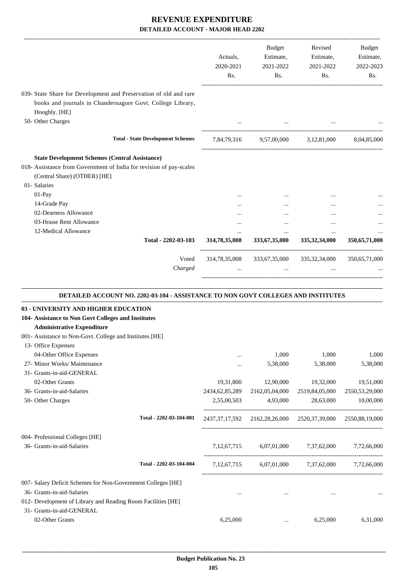|                                                                                                                                                  | Actuals,<br>2020-2021<br>Rs.     | Budget<br>Estimate,<br>2021-2022<br>Rs. | Revised<br>Estimate,<br>2021-2022<br>Rs.                                | Budget<br>Estimate,<br>2022-2023<br>Rs.                       |
|--------------------------------------------------------------------------------------------------------------------------------------------------|----------------------------------|-----------------------------------------|-------------------------------------------------------------------------|---------------------------------------------------------------|
| 039- State Share for Development and Preservation of old and rare<br>books and journals in Chandernagore Govt. College Library,<br>Hooghly. [HE] |                                  |                                         |                                                                         |                                                               |
| 50- Other Charges                                                                                                                                |                                  |                                         |                                                                         |                                                               |
| <b>Total - State Development Schemes</b>                                                                                                         |                                  |                                         | 7,84,79,316 9,57,00,000 3,12,81,000                                     | 8,04,85,000                                                   |
| <b>State Development Schemes (Central Assistance)</b>                                                                                            |                                  |                                         |                                                                         |                                                               |
| 018- Assistance from Government of India for revision of pay-scales<br>(Central Share) (OTHER) [HE]<br>01- Salaries                              |                                  |                                         |                                                                         |                                                               |
| 01-Pay                                                                                                                                           |                                  |                                         |                                                                         |                                                               |
| 14-Grade Pay                                                                                                                                     |                                  |                                         |                                                                         |                                                               |
| 02-Dearness Allowance                                                                                                                            |                                  |                                         |                                                                         |                                                               |
| 03-House Rent Allowance                                                                                                                          |                                  | $\cdots$                                | $\ddotsc$                                                               |                                                               |
| 12-Medical Allowance<br>Total - 2202-03-103                                                                                                      | $\cdots$<br>314,78,35,008        | $\cdots$<br>333, 67, 35, 000            | $\cdots$<br>335, 32, 34, 000                                            | 350,65,71,000                                                 |
| Voted<br>Charged                                                                                                                                 | 314,78,35,008                    | $\cdots$                                | 333,67,35,000 335,32,34,000                                             | 350,65,71,000                                                 |
|                                                                                                                                                  |                                  |                                         |                                                                         |                                                               |
| DETAILED ACCOUNT NO. 2202-03-104 - ASSISTANCE TO NON GOVT COLLEGES AND INSTITUTES                                                                |                                  |                                         |                                                                         |                                                               |
| 03 - UNIVERSITY AND HIGHER EDUCATION                                                                                                             |                                  |                                         |                                                                         |                                                               |
| 104- Assistance to Non Govt Colleges and Institutes                                                                                              |                                  |                                         |                                                                         |                                                               |
| <b>Administrative Expenditure</b>                                                                                                                |                                  |                                         |                                                                         |                                                               |
| 001- Assistance to Non-Govt. College and Institutes [HE]                                                                                         |                                  |                                         |                                                                         |                                                               |
| 13- Office Expenses                                                                                                                              |                                  |                                         |                                                                         |                                                               |
| 04-Other Office Expenses                                                                                                                         |                                  | 1,000                                   | 1,000                                                                   |                                                               |
| 27- Minor Works/ Maintenance                                                                                                                     | $\ddotsc$                        | 5,38,000                                | 5,38,000                                                                |                                                               |
| 31- Grants-in-aid-GENERAL                                                                                                                        |                                  |                                         |                                                                         |                                                               |
| 02-Other Grants                                                                                                                                  | 19,31,800                        | 12,90,000                               | 19,32,000                                                               |                                                               |
| 36- Grants-in-aid-Salaries<br>50- Other Charges                                                                                                  | 2434, 62, 85, 289<br>2,55,00,503 | 2162,05,04,000<br>4,93,000              | 2519,84,05,000<br>28,63,000                                             |                                                               |
| Total - 2202-03-104-001                                                                                                                          |                                  |                                         | 2437, 37, 17, 592 2162, 28, 26, 000 2520, 37, 39, 000 2550, 88, 19, 000 |                                                               |
|                                                                                                                                                  |                                  |                                         |                                                                         | 1,000<br>5,38,000<br>19,51,000<br>2550,53,29,000<br>10,00,000 |
| 004- Professional Colleges [HE]<br>36- Grants-in-aid-Salaries                                                                                    |                                  | 7,12,67,715 6,07,01,000 7,37,62,000     |                                                                         | 7,72,66,000                                                   |
| Total - 2202-03-104-004                                                                                                                          | 7, 12, 67, 715                   |                                         | 6,07,01,000 7,37,62,000 7,72,66,000                                     |                                                               |
| 007- Salary Deficit Schemes for Non-Government Colleges [HE]                                                                                     |                                  |                                         |                                                                         |                                                               |
| 36- Grants-in-aid-Salaries                                                                                                                       | $\cdots$                         | $\cdots$                                |                                                                         |                                                               |
| 012- Development of Library and Reading Room Facilities [HE]<br>31- Grants-in-aid-GENERAL                                                        |                                  |                                         |                                                                         |                                                               |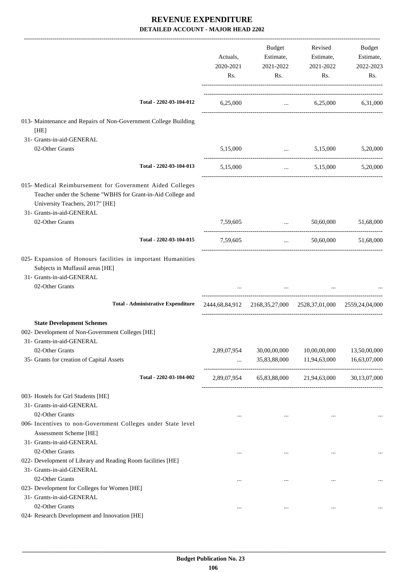|                                                                                                                                                                                         | Actuals,<br>2020-2021<br>Rs. | Budget<br>Estimate,<br>2021-2022<br>Rs.                     | Revised<br>Estimate,<br>2021-2022<br>Rs.  | Budget<br>Estimate,<br>2022-2023<br>Rs. |
|-----------------------------------------------------------------------------------------------------------------------------------------------------------------------------------------|------------------------------|-------------------------------------------------------------|-------------------------------------------|-----------------------------------------|
| Total - 2202-03-104-012                                                                                                                                                                 | 6,25,000                     |                                                             | $6,25,000$ $6,31,000$                     |                                         |
| 013- Maintenance and Repairs of Non-Government College Building<br>[HE]                                                                                                                 |                              |                                                             |                                           |                                         |
| 31- Grants-in-aid-GENERAL                                                                                                                                                               |                              |                                                             |                                           |                                         |
| 02-Other Grants                                                                                                                                                                         | 5,15,000                     |                                                             | $\ldots$ 5,15,000                         | 5,20,000                                |
| Total - 2202-03-104-013                                                                                                                                                                 | 5,15,000                     | $\cdots$                                                    | 5,15,000                                  | 5,20,000                                |
| 015- Medical Reimbursement for Government Aided Colleges<br>Teacher under the Scheme "WBHS for Grant-in-Aid College and<br>University Teachers, 2017" [HE]<br>31- Grants-in-aid-GENERAL |                              |                                                             |                                           |                                         |
| 02-Other Grants                                                                                                                                                                         | 7,59,605                     | and the company of the company of                           | 50,60,000                                 | 51,68,000                               |
| Total - 2202-03-104-015                                                                                                                                                                 | 7,59,605                     | $\ddotsc$                                                   | 50,60,000                                 | 51,68,000                               |
| 025- Expansion of Honours facilities in important Humanities<br>Subjects in Muffassil areas [HE]<br>31- Grants-in-aid-GENERAL<br>02-Other Grants                                        |                              |                                                             |                                           |                                         |
| <b>Total - Administrative Expenditure</b>                                                                                                                                               |                              | 2444,68,84,912 2168,35,27,000 2528,37,01,000 2559,24,04,000 |                                           |                                         |
| <b>State Development Schemes</b><br>002- Development of Non-Government Colleges [HE]<br>31- Grants-in-aid-GENERAL<br>02-Other Grants<br>35- Grants for creation of Capital Assets       | 2,89,07,954<br>$\cdots$      | 30,00,00,000                                                | 10,00,00,000<br>35,83,88,000 11,94,63,000 | 13,50,00,000<br>16,63,07,000            |
| Total - 2202-03-104-002                                                                                                                                                                 |                              | 2,89,07,954 65,83,88,000 21,94,63,000 30,13,07,000          |                                           |                                         |
| 003- Hostels for Girl Students [HE]<br>31- Grants-in-aid-GENERAL<br>02-Other Grants                                                                                                     | $\cdots$                     | $\cdots$                                                    | $\cdots$                                  |                                         |
| 006- Incentives to non-Government Colleges under State level<br>Assessment Scheme [HE]<br>31- Grants-in-aid-GENERAL                                                                     |                              |                                                             |                                           |                                         |
| 02-Other Grants<br>022- Development of Library and Reading Room facilities [HE]<br>31- Grants-in-aid-GENERAL                                                                            |                              | $\cdots$                                                    |                                           |                                         |
| 02-Other Grants<br>023- Development for Colleges for Women [HE]<br>31- Grants-in-aid-GENERAL                                                                                            | $\cdots$                     | $\cdots$                                                    | $\cdots$                                  |                                         |
| 02-Other Grants<br>024- Research Development and Innovation [HE]                                                                                                                        | $\cdots$                     | $\cdots$                                                    | $\cdots$                                  |                                         |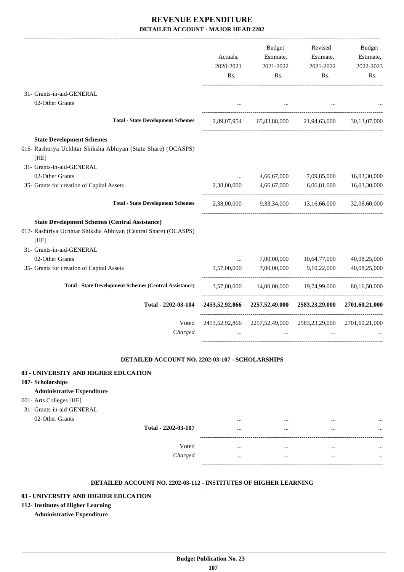|                                                                         | Actuals,<br>2020-2021<br>Rs. | <b>Budget</b><br>Estimate,<br>2021-2022<br>Rs. | Revised<br>Estimate,<br>2021-2022<br>Rs. | <b>Budget</b><br>Estimate,<br>2022-2023<br>Rs. |
|-------------------------------------------------------------------------|------------------------------|------------------------------------------------|------------------------------------------|------------------------------------------------|
| 31- Grants-in-aid-GENERAL                                               |                              |                                                |                                          |                                                |
| 02-Other Grants                                                         | $\cdots$                     | $\cdots$                                       |                                          |                                                |
| <b>Total - State Development Schemes</b>                                | 2,89,07,954                  | 65,83,88,000                                   | 21,94,63,000                             | 30,13,07,000                                   |
| <b>State Development Schemes</b>                                        |                              |                                                |                                          |                                                |
| 016- Rashtriya Uchhtar Shiksha Abhiyan (State Share) (OCASPS)<br>[HE]   |                              |                                                |                                          |                                                |
| 31- Grants-in-aid-GENERAL                                               |                              |                                                |                                          |                                                |
| 02-Other Grants                                                         | $\cdots$                     | 4,66,67,000                                    | 7,09,85,000                              | 16,03,30,000                                   |
| 35- Grants for creation of Capital Assets                               | 2,38,00,000                  | 4,66,67,000                                    | 6,06,81,000                              | 16,03,30,000                                   |
| <b>Total - State Development Schemes</b>                                | 2,38,00,000                  | 9,33,34,000                                    | 13,16,66,000                             | 32,06,60,000                                   |
| <b>State Development Schemes (Central Assistance)</b>                   |                              |                                                |                                          |                                                |
| 017- Rashtriya Uchhtar Shiksha Abhiyan (Central Share) (OCASPS)<br>[HE] |                              |                                                |                                          |                                                |
| 31- Grants-in-aid-GENERAL                                               |                              |                                                |                                          |                                                |
| 02-Other Grants                                                         |                              | 7,00,00,000                                    | 10,64,77,000                             | 40,08,25,000                                   |
| 35- Grants for creation of Capital Assets                               | 3,57,00,000                  | 7,00,00,000                                    | 9,10,22,000                              | 40,08,25,000                                   |
| <b>Total - State Development Schemes (Central Assistance)</b>           | 3.57,00,000                  | 14,00,00,000                                   | 19,74,99,000                             | 80.16.50.000                                   |
| Total - 2202-03-104                                                     | 2453,52,92,866               | 2257,52,49,000                                 | 2583,23,29,000                           | 2701,60,21,000                                 |
| Voted<br>Charged                                                        | 2453,52,92,866               | 2257,52,49,000                                 | 2583, 23, 29, 000                        | 2701,60,21,000                                 |

#### **DETAILED ACCOUNT NO. 2202-03-107 - SCHOLARSHIPS .**

| 03 - UNIVERSITY AND HIGHER EDUCATION |         |              |          |           |
|--------------------------------------|---------|--------------|----------|-----------|
| 107-Scholarships                     |         |              |          |           |
| <b>Administrative Expenditure</b>    |         |              |          |           |
| 001- Arts Colleges [HE]              |         |              |          |           |
| 31- Grants-in-aid-GENERAL            |         |              |          |           |
| 02-Other Grants                      |         | <br>         |          |           |
| Total - 2202-03-107                  |         | <br>         | $\cdots$ | $\cdots$  |
|                                      |         |              |          |           |
|                                      | Voted   | <br>$\cdots$ | $\cdots$ | $\ddotsc$ |
|                                      | Charged | <br>         |          |           |
|                                      |         |              |          |           |

#### **DETAILED ACCOUNT NO. 2202-03-112 - INSTITUTES OF HIGHER LEARNING .**

.

#### **03 - UNIVERSITY AND HIGHER EDUCATION**

#### **112- Institutes of Higher Learning**

#### **Administrative Expenditure**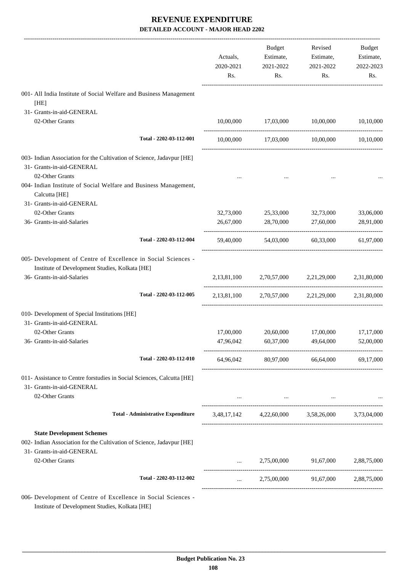|                                                                                                                                        | Actuals,<br>2020-2021<br>Rs. | <b>Budget</b><br>Estimate,<br>2021-2022<br>Rs. | Revised<br>Estimate,<br>2021-2022<br>Rs.                        | Budget<br>Estimate,<br>2022-2023<br>Rs. |
|----------------------------------------------------------------------------------------------------------------------------------------|------------------------------|------------------------------------------------|-----------------------------------------------------------------|-----------------------------------------|
| 001- All India Institute of Social Welfare and Business Management<br>[HE]                                                             |                              |                                                |                                                                 |                                         |
| 31- Grants-in-aid-GENERAL                                                                                                              |                              |                                                |                                                                 |                                         |
| 02-Other Grants                                                                                                                        |                              | 10,00,000 17,03,000                            | 10,00,000                                                       | 10,10,000                               |
| Total - 2202-03-112-001                                                                                                                | 10,00,000                    | 17,03,000 10,00,000                            |                                                                 | 10,10,000                               |
| 003- Indian Association for the Cultivation of Science, Jadavpur [HE]<br>31- Grants-in-aid-GENERAL<br>02-Other Grants                  |                              |                                                |                                                                 |                                         |
| 004- Indian Institute of Social Welfare and Business Management,<br>Calcutta [HE]                                                      |                              |                                                |                                                                 |                                         |
| 31- Grants-in-aid-GENERAL                                                                                                              |                              |                                                |                                                                 |                                         |
| 02-Other Grants                                                                                                                        | 32,73,000                    | 25,33,000                                      | 32,73,000                                                       | 33,06,000                               |
| 36- Grants-in-aid-Salaries                                                                                                             | 26,67,000                    | 28,70,000                                      | 27,60,000                                                       | 28,91,000                               |
| Total - 2202-03-112-004                                                                                                                | 59,40,000                    | 54,03,000                                      | 60,33,000                                                       | 61,97,000                               |
| 005- Development of Centre of Excellence in Social Sciences -<br>Institute of Development Studies, Kolkata [HE]                        |                              |                                                |                                                                 |                                         |
| 36- Grants-in-aid-Salaries                                                                                                             |                              |                                                | 2,13,81,100 2,70,57,000 2,21,29,000                             | 2,31,80,000                             |
| Total - 2202-03-112-005                                                                                                                |                              |                                                | 2,13,81,100 2,70,57,000 2,21,29,000 2,31,80,000                 |                                         |
| 010- Development of Special Institutions [HE]<br>31- Grants-in-aid-GENERAL                                                             |                              |                                                |                                                                 |                                         |
| 02-Other Grants                                                                                                                        | 17,00,000                    | 20,60,000                                      | 17,00,000                                                       | 17,17,000                               |
| 36- Grants-in-aid-Salaries                                                                                                             | 47,96,042                    | 60,37,000                                      | 49,64,000                                                       | 52,00,000                               |
| Total - 2202-03-112-010                                                                                                                |                              |                                                | 64,96,042 80,97,000 66,64,000                                   | 69,17,000                               |
| 011- Assistance to Centre forstudies in Social Sciences, Calcutta [HE]<br>31- Grants-in-aid-GENERAL                                    |                              |                                                |                                                                 |                                         |
| 02-Other Grants                                                                                                                        |                              |                                                | the contract of the contract of the contract of the contract of |                                         |
| <b>Total - Administrative Expenditure</b>                                                                                              |                              |                                                | 3,48,17,142 4,22,60,000 3,58,26,000 3,73,04,000                 |                                         |
| <b>State Development Schemes</b><br>002- Indian Association for the Cultivation of Science, Jadavpur [HE]<br>31- Grants-in-aid-GENERAL |                              |                                                |                                                                 |                                         |
| 02-Other Grants                                                                                                                        | $\cdots$                     | 2,75,00,000                                    | 91,67,000                                                       | 2,88,75,000                             |
| Total - 2202-03-112-002                                                                                                                | $\cdots$                     |                                                | 2,75,00,000 91,67,000 2,88,75,000                               |                                         |
| 006- Development of Centre of Excellence in Social Sciences -<br>Institute of Development Studies, Kolkata [HE]                        |                              |                                                |                                                                 |                                         |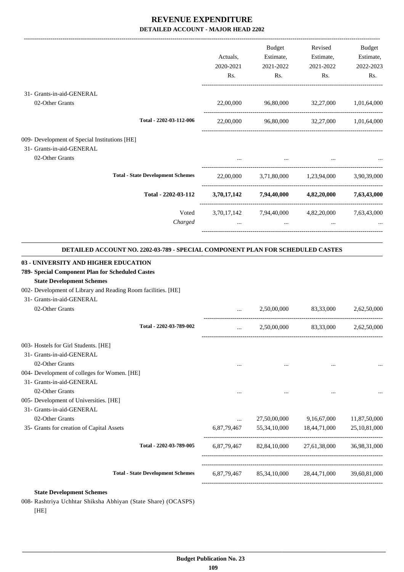|                                                                                                                                                       | Actuals,<br>2020-2021<br>Rs. | Budget<br>Estimate,<br>2021-2022<br>Rs.                     | Revised<br>Estimate,<br>2021-2022<br>Rs. | <b>Budget</b><br>Estimate,<br>2022-2023<br>Rs. |
|-------------------------------------------------------------------------------------------------------------------------------------------------------|------------------------------|-------------------------------------------------------------|------------------------------------------|------------------------------------------------|
| 31- Grants-in-aid-GENERAL                                                                                                                             |                              |                                                             |                                          |                                                |
| 02-Other Grants                                                                                                                                       | 22,00,000                    | 96,80,000 32,27,000                                         |                                          | 1,01,64,000                                    |
| Total - 2202-03-112-006                                                                                                                               | 22,00,000                    | 96,80,000 32,27,000 1,01,64,000                             |                                          |                                                |
| 009- Development of Special Institutions [HE]<br>31- Grants-in-aid-GENERAL<br>02-Other Grants                                                         |                              |                                                             |                                          |                                                |
| <b>Total - State Development Schemes</b>                                                                                                              |                              | 22,00,000 3,71,80,000 1,23,94,000                           |                                          | 3,90,39,000                                    |
| Total - 2202-03-112                                                                                                                                   |                              | $3,70,17,142$ $7,94,40,000$ $4,82,20,000$ $7,63,43,000$     |                                          |                                                |
| Voted<br>Charged                                                                                                                                      | $\cdots$                     | 3,70,17,142 7,94,40,000 4,82,20,000 7,63,43,000<br>$\cdots$ |                                          |                                                |
| DETAILED ACCOUNT NO. 2202-03-789 - SPECIAL COMPONENT PLAN FOR SCHEDULED CASTES                                                                        |                              |                                                             |                                          |                                                |
| 03 - UNIVERSITY AND HIGHER EDUCATION                                                                                                                  |                              |                                                             |                                          |                                                |
| 789- Special Component Plan for Scheduled Castes<br><b>State Development Schemes</b><br>002- Development of Library and Reading Room facilities. [HE] |                              |                                                             |                                          |                                                |
| 31- Grants-in-aid-GENERAL<br>02-Other Grants                                                                                                          |                              | 2,50,00,000                                                 | 83,33,000                                | 2,62,50,000                                    |
| Total - 2202-03-789-002                                                                                                                               | $\cdots$                     | 2,50,00,000                                                 | 83,33,000                                | 2,62,50,000                                    |
| 003- Hostels for Girl Students. [HE]                                                                                                                  |                              |                                                             |                                          |                                                |
| 31- Grants-in-aid-GENERAL                                                                                                                             |                              |                                                             |                                          |                                                |
| 02-Other Grants                                                                                                                                       | $\cdots$                     | $\cdots$                                                    |                                          |                                                |
| 004- Development of colleges for Women. [HE]<br>31- Grants-in-aid-GENERAL                                                                             |                              |                                                             |                                          |                                                |
| 02-Other Grants                                                                                                                                       |                              |                                                             |                                          |                                                |
| 005- Development of Universities. [HE]                                                                                                                | $\cdots$                     | $\cdots$                                                    | $\cdots$                                 | $\cdots$                                       |
| 31- Grants-in-aid-GENERAL                                                                                                                             |                              |                                                             |                                          |                                                |
| 02-Other Grants                                                                                                                                       |                              | 27,50,00,000                                                | 9,16,67,000                              | 11,87,50,000                                   |
| 35- Grants for creation of Capital Assets                                                                                                             | 6,87,79,467                  | 55,34,10,000                                                | 18,44,71,000                             | 25,10,81,000                                   |

----------------------------------------------------------------------------------------

----------------------------------------------------------------------------------------- -----------------------------------------------------------------------------------------

**Total - 2202-03-789-005** 6,87,79,467 82,84,10,000 27,61,38,000 36,98,31,000

-----------------------------------------------------------------------------------------

**Total - State Development Schemes** 6,87,79,467 85,34,10,000 28,44,71,000 39,60,81,000

 **\_\_\_\_\_\_\_\_\_\_\_\_\_\_\_\_\_\_\_\_\_\_\_\_\_\_\_\_\_\_\_\_\_\_\_\_\_\_\_\_\_\_\_\_\_\_\_\_\_\_\_\_\_\_\_\_\_\_\_\_\_\_\_\_\_\_\_\_\_\_\_\_\_\_\_\_\_\_\_\_\_\_\_\_\_\_\_\_\_\_\_\_\_\_\_\_\_\_\_\_\_\_\_\_\_\_\_\_\_\_\_\_\_\_\_\_\_\_\_**

**State Development Schemes** 008- Rashtriya Uchhtar Shiksha Abhiyan (State Share) (OCASPS)

[HE]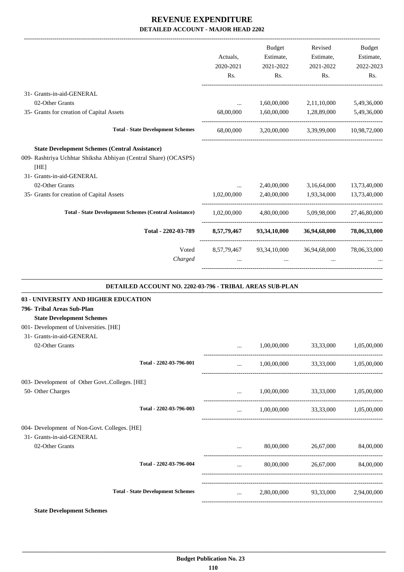|                                                                         |             | <b>Budget</b> | Revised                                            | <b>Budget</b>         |
|-------------------------------------------------------------------------|-------------|---------------|----------------------------------------------------|-----------------------|
|                                                                         | Actuals,    | Estimate,     | Estimate,                                          | Estimate,             |
|                                                                         | 2020-2021   | 2021-2022     | 2021-2022                                          | 2022-2023             |
|                                                                         | Rs.         | Rs.           | Rs.                                                | Rs.                   |
| 31- Grants-in-aid-GENERAL                                               |             |               |                                                    |                       |
| 02-Other Grants                                                         | $\cdots$    | 1,60,00,000   | 2,11,10,000                                        | 5,49,36,000           |
| 35- Grants for creation of Capital Assets                               | 68,00,000   | 1,60,00,000   | 1,28,89,000                                        | 5,49,36,000           |
| <b>Total - State Development Schemes</b>                                | 68,00,000   |               | 3,20,00,000 3,39,99,000 10,98,72,000               |                       |
| <b>State Development Schemes (Central Assistance)</b>                   |             |               |                                                    |                       |
| 009- Rashtriya Uchhtar Shiksha Abhiyan (Central Share) (OCASPS)<br>[HE] |             |               |                                                    |                       |
| 31- Grants-in-aid-GENERAL                                               |             |               |                                                    |                       |
| 02-Other Grants                                                         | $\cdots$    | 2,40,00,000   | 3,16,64,000                                        | 13,73,40,000          |
| 35- Grants for creation of Capital Assets                               | 1,02,00,000 |               | 2,40,00,000 1,93,34,000                            | 13,73,40,000          |
| <b>Total - State Development Schemes (Central Assistance)</b>           | 1,02,00,000 |               | 4,80,00,000 5,09,98,000                            | 27,46,80,000          |
| Total - 2202-03-789                                                     |             |               | 8,57,79,467 93,34,10,000 36,94,68,000 78,06,33,000 |                       |
| Voted                                                                   |             |               | 8,57,79,467 93,34,10,000 36,94,68,000 78,06,33,000 |                       |
| Charged                                                                 |             | $\cdots$      |                                                    |                       |
| DETAILED ACCOUNT NO. 2202-03-796 - TRIBAL AREAS SUB-PLAN                |             |               |                                                    |                       |
| 03 - UNIVERSITY AND HIGHER EDUCATION                                    |             |               |                                                    |                       |
| 796- Tribal Areas Sub-Plan                                              |             |               |                                                    |                       |
| <b>State Development Schemes</b>                                        |             |               |                                                    |                       |
| 001- Development of Universities. [HE]                                  |             |               |                                                    |                       |
| 31- Grants-in-aid-GENERAL                                               |             |               |                                                    |                       |
| 02-Other Grants                                                         |             | 1,00,00,000   |                                                    | 33,33,000 1,05,00,000 |
| Total - 2202-03-796-001                                                 |             | 1,00,00,000   | 33,33,000                                          | 1,05,00,000           |
| 003- Development of Other GovtColleges. [HE]                            |             |               |                                                    |                       |
| 50- Other Charges                                                       | $\cdots$    |               | 1,00,00,000 33,33,000                              | 1,05,00,000           |
| Total - 2202-03-796-003                                                 |             |               | $1,00,00,000$ $33,33,000$ $1,05,00,000$            |                       |
| 004- Development of Non-Govt. Colleges. [HE]                            |             |               |                                                    |                       |
| 31- Grants-in-aid-GENERAL                                               |             |               |                                                    |                       |
| 02-Other Grants                                                         |             | 80,00,000     | 26,67,000                                          | 84,00,000             |
| Total - 2202-03-796-004                                                 | $\ddotsc$   | 80,00,000     |                                                    | 26,67,000 84,00,000   |
|                                                                         |             |               |                                                    |                       |

**State Development Schemes**

**Total - State Development Schemes** ... 2,80,00,000 93,33,000 2,94,00,000

-----------------------------------------------------------------------------------------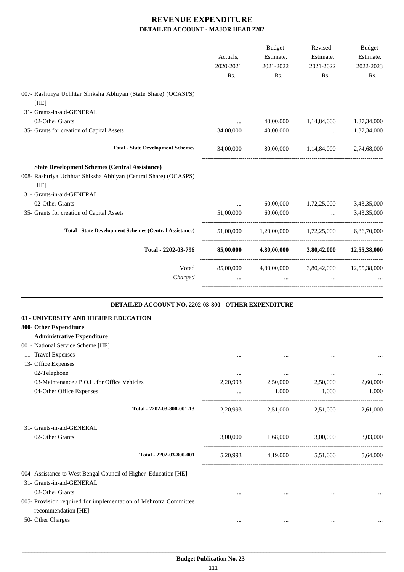|                                                                                                                                                               | Actuals,<br>2020-2021<br>Rs. | Budget<br>Estimate,<br>2021-2022<br>Rs.                    | Revised<br>Estimate,<br>2021-2022<br>Rs. | Budget<br>Estimate,<br>2022-2023<br>Rs. |
|---------------------------------------------------------------------------------------------------------------------------------------------------------------|------------------------------|------------------------------------------------------------|------------------------------------------|-----------------------------------------|
| 007- Rashtriya Uchhtar Shiksha Abhiyan (State Share) (OCASPS)<br>[HE]                                                                                         |                              |                                                            |                                          |                                         |
| 31- Grants-in-aid-GENERAL                                                                                                                                     |                              |                                                            |                                          |                                         |
| 02-Other Grants                                                                                                                                               | $\cdots$                     | 40,00,000                                                  |                                          | 1,14,84,000 1,37,34,000                 |
| 35- Grants for creation of Capital Assets                                                                                                                     | 34,00,000                    | 40,00,000                                                  |                                          | $\dots$ 1,37,34,000                     |
| <b>Total - State Development Schemes</b>                                                                                                                      |                              | 34,00,000 80,00,000 1,14,84,000 2,74,68,000                |                                          |                                         |
| <b>State Development Schemes (Central Assistance)</b><br>008- Rashtriya Uchhtar Shiksha Abhiyan (Central Share) (OCASPS)<br>[HE]<br>31- Grants-in-aid-GENERAL |                              |                                                            |                                          |                                         |
| 02-Other Grants                                                                                                                                               | $\cdots$                     | 60,00,000                                                  | 1,72,25,000 3,43,35,000                  |                                         |
| 35- Grants for creation of Capital Assets                                                                                                                     | 51,00,000                    | 60,00,000                                                  | and the control of the con-              | 3,43,35,000                             |
| <b>Total - State Development Schemes (Central Assistance)</b>                                                                                                 |                              | 51,00,000 1,20,00,000 1,72,25,000 6,86,70,000              |                                          |                                         |
| Total - 2202-03-796                                                                                                                                           | 85,00,000                    |                                                            | 4,80,00,000 3,80,42,000 12,55,38,000     |                                         |
| Voted<br>Charged                                                                                                                                              | $\cdots$                     | 85,00,000 4,80,00,000 3,80,42,000 12,55,38,000<br>$\cdots$ | $\cdots$                                 |                                         |
| DETAILED ACCOUNT NO. 2202-03-800 - OTHER EXPENDITURE<br>03 - UNIVERSITY AND HIGHER EDUCATION                                                                  |                              |                                                            |                                          |                                         |
| 800- Other Expenditure                                                                                                                                        |                              |                                                            |                                          |                                         |
| <b>Administrative Expenditure</b>                                                                                                                             |                              |                                                            |                                          |                                         |
| 001- National Service Scheme [HE]                                                                                                                             |                              |                                                            |                                          |                                         |
| 11- Travel Expenses                                                                                                                                           | $\cdots$                     | $\cdots$                                                   | $\cdots$                                 | $\cdots$                                |
| 13- Office Expenses                                                                                                                                           |                              |                                                            |                                          |                                         |
| 02-Telephone                                                                                                                                                  | $\cdots$                     | $\cdots$                                                   | $\cdots$                                 | $\cdots$                                |
| 03-Maintenance / P.O.L. for Office Vehicles                                                                                                                   | 2,20,993                     | 2,50,000                                                   | 2,50,000                                 | 2,60,000                                |
| 04-Other Office Expenses                                                                                                                                      | $\cdots$                     | 1,000                                                      | 1,000                                    | 1,000                                   |
| Total - 2202-03-800-001-13                                                                                                                                    |                              | 2,20,993 2,51,000 2,51,000                                 |                                          | 2,61,000                                |
| 31- Grants-in-aid-GENERAL                                                                                                                                     |                              |                                                            |                                          |                                         |
| 02-Other Grants                                                                                                                                               | 3,00,000                     | 1,68,000                                                   | 3,00,000                                 | 3,03,000                                |
| Total - 2202-03-800-001                                                                                                                                       | 5,20,993                     |                                                            | 4,19,000 5,51,000                        | 5,64,000                                |
| 004- Assistance to West Bengal Council of Higher Education [HE]<br>31- Grants-in-aid-GENERAL                                                                  |                              |                                                            |                                          |                                         |
| 02-Other Grants                                                                                                                                               | $\cdots$                     | $\cdots$                                                   | $\cdots$                                 |                                         |
| 005- Provision required for implementation of Mehrotra Committee                                                                                              |                              |                                                            |                                          |                                         |
| recommendation [HE]                                                                                                                                           |                              |                                                            |                                          |                                         |
| 50- Other Charges                                                                                                                                             | $\cdots$                     | $\cdots$                                                   | $\cdots$                                 | $\cdots$                                |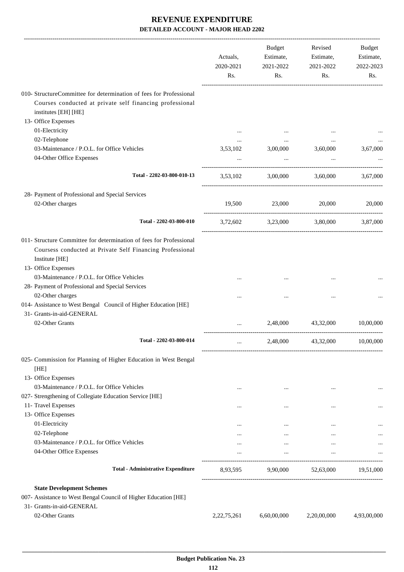|                                                                                                                                                                               | Actuals,<br>2020-2021<br>Rs. | Budget<br>Estimate,<br>2021-2022<br>Rs. | Revised<br>Estimate,<br>2021-2022<br>Rs. | Budget<br>Estimate,<br>2022-2023<br>Rs. |
|-------------------------------------------------------------------------------------------------------------------------------------------------------------------------------|------------------------------|-----------------------------------------|------------------------------------------|-----------------------------------------|
| 010- StructureCommittee for determination of fees for Professional<br>Courses conducted at private self financing professional<br>institutes [EH] [HE]<br>13- Office Expenses |                              |                                         |                                          |                                         |
| 01-Electricity                                                                                                                                                                |                              |                                         |                                          |                                         |
| 02-Telephone                                                                                                                                                                  | $\cdots$                     |                                         | $\cdots$                                 |                                         |
| 03-Maintenance / P.O.L. for Office Vehicles                                                                                                                                   | 3,53,102                     | 3,00,000                                | 3,60,000                                 | 3,67,000                                |
| 04-Other Office Expenses                                                                                                                                                      |                              | $\cdots$                                | $\ddots$                                 |                                         |
| Total - 2202-03-800-010-13                                                                                                                                                    | 3,53,102                     |                                         | 3,00,000 3,60,000 3,67,000               |                                         |
| 28- Payment of Professional and Special Services                                                                                                                              |                              |                                         |                                          |                                         |
| 02-Other charges                                                                                                                                                              | 19,500                       | 23,000 20,000                           |                                          | 20,000                                  |
| Total - 2202-03-800-010                                                                                                                                                       |                              | 3,72,602 3,23,000 3,80,000 3,87,000     |                                          |                                         |
| 011- Structure Committee for determination of fees for Professional<br>Coursess conducted at Private Self Financing Professional<br>Institute [HE]<br>13- Office Expenses     |                              |                                         |                                          |                                         |
| 03-Maintenance / P.O.L. for Office Vehicles                                                                                                                                   |                              |                                         |                                          |                                         |
| 28- Payment of Professional and Special Services                                                                                                                              |                              |                                         |                                          |                                         |
| 02-Other charges                                                                                                                                                              |                              |                                         | $\ddotsc$                                |                                         |
| 014- Assistance to West Bengal Council of Higher Education [HE]<br>31- Grants-in-aid-GENERAL                                                                                  |                              |                                         |                                          |                                         |
| 02-Other Grants                                                                                                                                                               |                              |                                         | 2,48,000 43,32,000                       | 10,00,000                               |
| Total - 2202-03-800-014                                                                                                                                                       |                              |                                         | 2,48,000 43,32,000 10,00,000             |                                         |
| 025- Commission for Planning of Higher Education in West Bengal<br>[HE]                                                                                                       |                              |                                         |                                          |                                         |
| 13- Office Expenses                                                                                                                                                           |                              |                                         |                                          |                                         |
| 03-Maintenance / P.O.L. for Office Vehicles                                                                                                                                   | $\cdots$                     | $\cdots$                                | $\cdots$                                 | $\cdots$                                |
| 027- Strengthening of Collegiate Education Service [HE]                                                                                                                       |                              |                                         |                                          |                                         |
| 11- Travel Expenses                                                                                                                                                           | $\cdots$                     | $\cdots$                                | $\cdots$                                 |                                         |
| 13- Office Expenses                                                                                                                                                           |                              |                                         |                                          |                                         |
| 01-Electricity                                                                                                                                                                | $\cdots$                     | $\cdots$                                | $\cdots$                                 |                                         |
| 02-Telephone<br>03-Maintenance / P.O.L. for Office Vehicles                                                                                                                   |                              | $\cdots$                                | $\cdots$                                 |                                         |
| 04-Other Office Expenses                                                                                                                                                      | $\cdots$                     | $\cdots$<br>$\cdots$                    | $\cdots$<br>$\cdots$                     |                                         |
| <b>Total - Administrative Expenditure</b>                                                                                                                                     |                              | 8,93,595 9,90,000 52,63,000 19,51,000   |                                          |                                         |
| <b>State Development Schemes</b>                                                                                                                                              |                              |                                         |                                          |                                         |
| 007- Assistance to West Bengal Council of Higher Education [HE]                                                                                                               |                              |                                         |                                          |                                         |
| 31- Grants-in-aid-GENERAL                                                                                                                                                     |                              |                                         |                                          |                                         |
| 02-Other Grants                                                                                                                                                               | 2, 22, 75, 261               | 6,60,00,000                             | 2,20,00,000                              | 4,93,00,000                             |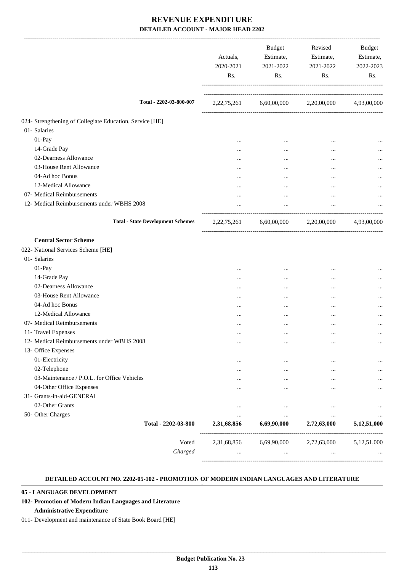|                                                                                    | Actuals,<br>2020-2021<br>Rs. | Budget<br>Estimate,<br>2021-2022<br>Rs. | Revised<br>Estimate,<br>2021-2022<br>Rs. | Budget<br>Estimate,<br>2022-2023<br>Rs. |
|------------------------------------------------------------------------------------|------------------------------|-----------------------------------------|------------------------------------------|-----------------------------------------|
| Total - 2202-03-800-007                                                            |                              |                                         | 2,22,75,261 6,60,00,000 2,20,00,000      | 4,93,00,000                             |
| 024- Strengthening of Collegiate Education, Service [HE]                           |                              |                                         |                                          |                                         |
| 01- Salaries                                                                       |                              |                                         |                                          |                                         |
| 01-Pay                                                                             |                              | $\cdots$                                | $\ddotsc$                                |                                         |
| 14-Grade Pay                                                                       |                              | $\cdots$                                | $\cdots$                                 |                                         |
| 02-Dearness Allowance                                                              |                              | $\cdots$                                | $\cdots$                                 |                                         |
| 03-House Rent Allowance                                                            |                              | $\cdots$                                | $\cdots$                                 |                                         |
| 04-Ad hoc Bonus                                                                    | $\cdots$                     | $\cdots$                                | $\cdots$                                 |                                         |
| 12-Medical Allowance                                                               | $\cdots$                     | $\cdots$                                |                                          |                                         |
| 07- Medical Reimbursements                                                         | $\cdots$                     | $\cdots$                                | $\ddotsc$                                |                                         |
| 12- Medical Reimbursements under WBHS 2008                                         |                              | $\cdots$                                | $\ldots$                                 |                                         |
| <b>Total - State Development Schemes</b>                                           |                              |                                         | 2,22,75,261 6,60,00,000 2,20,00,000      | 4,93,00,000                             |
| <b>Central Sector Scheme</b><br>022- National Services Scheme [HE]<br>01- Salaries |                              |                                         |                                          |                                         |
| 01-Pay                                                                             | $\cdots$                     | $\cdots$                                |                                          |                                         |
| 14-Grade Pay                                                                       | $\cdots$                     | $\cdots$                                |                                          |                                         |
| 02-Dearness Allowance                                                              |                              | $\cdots$                                | $\ddotsc$                                |                                         |
| 03-House Rent Allowance                                                            |                              | $\cdots$                                | $\cdots$                                 |                                         |
| 04-Ad hoc Bonus                                                                    |                              | $\cdots$                                | $\cdots$                                 |                                         |
| 12-Medical Allowance                                                               |                              | $\cdots$                                | $\cdots$                                 |                                         |
| 07- Medical Reimbursements                                                         | $\cdots$                     | $\ddotsc$                               | $\cdots$                                 |                                         |
| 11- Travel Expenses                                                                |                              | $\ddotsc$                               | $\ddotsc$                                |                                         |
| 12- Medical Reimbursements under WBHS 2008                                         | $\cdots$                     | $\cdots$                                | $\ldots$                                 | $\cdots$                                |
| 13- Office Expenses                                                                |                              |                                         |                                          |                                         |
| 01-Electricity                                                                     | $\cdots$                     |                                         |                                          |                                         |
| 02-Telephone                                                                       |                              | $\cdots$                                |                                          |                                         |
| 03-Maintenance / P.O.L. for Office Vehicles                                        |                              | $\cdots$                                |                                          |                                         |
| 04-Other Office Expenses                                                           |                              |                                         |                                          |                                         |
| 31- Grants-in-aid-GENERAL                                                          |                              |                                         |                                          |                                         |
| 02-Other Grants                                                                    |                              | $\ddotsc$                               | $\ddotsc$                                | $\cdots$                                |
| 50- Other Charges                                                                  | $\cdots$                     | $\cdots$                                | $\cdots$                                 | $\cdots$                                |
| Total - 2202-03-800                                                                | 2,31,68,856                  | 6,69,90,000                             | 2,72,63,000                              | 5,12,51,000                             |
| Voted                                                                              | 2,31,68,856                  | 6,69,90,000                             | 2,72,63,000                              | 5,12,51,000                             |
| Charged                                                                            |                              | $\cdots$                                | $\cdots$                                 |                                         |
|                                                                                    |                              |                                         |                                          |                                         |

#### **DETAILED ACCOUNT NO. 2202-05-102 - PROMOTION OF MODERN INDIAN LANGUAGES AND LITERATURE .**

#### **05 - LANGUAGE DEVELOPMENT**

#### **102- Promotion of Modern Indian Languages and Literature**

#### **Administrative Expenditure**

011- Development and maintenance of State Book Board [HE]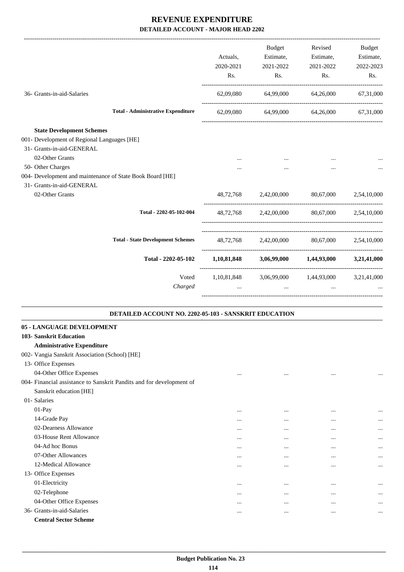|                                                                      | Actuals,         | Budget<br>Estimate,                                 | Revised<br>Estimate, | Budget<br>Estimate,   |
|----------------------------------------------------------------------|------------------|-----------------------------------------------------|----------------------|-----------------------|
|                                                                      | 2020-2021<br>Rs. | 2021-2022<br>Rs.                                    | 2021-2022<br>Rs.     | 2022-2023<br>Rs.      |
|                                                                      |                  |                                                     |                      |                       |
| 36- Grants-in-aid-Salaries                                           |                  | 62,09,080 64,99,000 64,26,000                       |                      | 67,31,000             |
| <b>Total - Administrative Expenditure</b>                            |                  | 62,09,080 64,99,000 64,26,000                       |                      | 67,31,000             |
| <b>State Development Schemes</b>                                     |                  |                                                     |                      |                       |
| 001- Development of Regional Languages [HE]                          |                  |                                                     |                      |                       |
| 31- Grants-in-aid-GENERAL                                            |                  |                                                     |                      |                       |
| 02-Other Grants                                                      |                  |                                                     |                      |                       |
| 50- Other Charges                                                    |                  |                                                     |                      |                       |
| 004- Development and maintenance of State Book Board [HE]            |                  |                                                     |                      |                       |
| 31- Grants-in-aid-GENERAL                                            |                  |                                                     |                      |                       |
| 02-Other Grants                                                      |                  | 48,72,768 2,42,00,000                               |                      | 80,67,000 2,54,10,000 |
| Total - 2202-05-102-004                                              |                  | 48,72,768 2,42,00,000 80,67,000 2,54,10,000         |                      |                       |
| <b>Total - State Development Schemes</b>                             |                  | $48,72,768$ $2,42,00,000$ $80,67,000$ $2,54,10,000$ |                      |                       |
| Total - 2202-05-102                                                  |                  | 1,10,81,848 3,06,99,000 1,44,93,000 3,21,41,000     |                      |                       |
| Voted                                                                |                  | 1,10,81,848 3,06,99,000 1,44,93,000 3,21,41,000     |                      |                       |
| Charged                                                              |                  | $\cdots$                                            | $\ddotsc$            |                       |
| <b>DETAILED ACCOUNT NO. 2202-05-103 - SANSKRIT EDUCATION</b>         |                  |                                                     |                      |                       |
| 05 - LANGUAGE DEVELOPMENT                                            |                  |                                                     |                      |                       |
| 103- Sanskrit Education                                              |                  |                                                     |                      |                       |
| <b>Administrative Expenditure</b>                                    |                  |                                                     |                      |                       |
| 002- Vangia Sanskrit Association (School) [HE]                       |                  |                                                     |                      |                       |
| 13- Office Expenses                                                  |                  |                                                     |                      |                       |
| 04-Other Office Expenses                                             | $\cdots$         | $\cdots$                                            | $\cdots$             | $\cdots$              |
| 004- Financial assistance to Sanskrit Pandits and for development of |                  |                                                     |                      |                       |
| Sanskrit education [HE]                                              |                  |                                                     |                      |                       |

01- Salaries

| 01- Salaries                 |          |          |          |          |
|------------------------------|----------|----------|----------|----------|
| $01-Pay$                     | $\cdots$ |          | $\cdots$ | $\cdots$ |
| 14-Grade Pay                 | $\cdots$ |          | $\cdots$ | $\cdots$ |
| 02-Dearness Allowance        | $\cdots$ |          | $\cdots$ | $\cdots$ |
| 03-House Rent Allowance      | $\cdots$ |          | $\cdots$ | $\cdots$ |
| 04-Ad hoc Bonus              | $\cdots$ |          |          | $\cdots$ |
| 07-Other Allowances          | $\cdots$ |          |          | $\cdots$ |
| 12-Medical Allowance         | $\cdots$ |          | $\cdots$ | $\cdots$ |
| 13- Office Expenses          |          |          |          |          |
| 01-Electricity               | $\cdots$ |          | $\cdots$ | $\cdots$ |
| 02-Telephone                 | $\cdots$ | $\cdots$ | $\cdots$ | $\cdots$ |
| 04-Other Office Expenses     | $\cdots$ |          | $\cdots$ | $\cdots$ |
| 36- Grants-in-aid-Salaries   | $\cdots$ |          | $\cdots$ | $\cdots$ |
| <b>Central Sector Scheme</b> |          |          |          |          |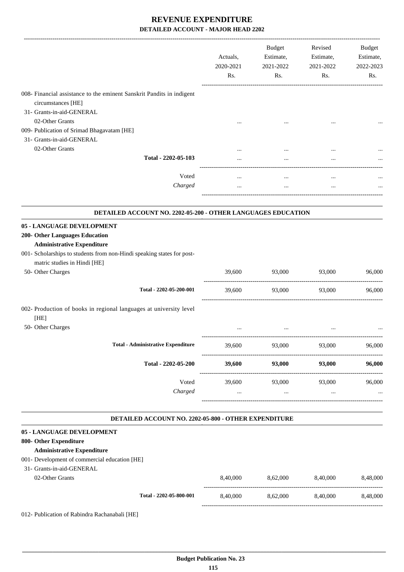|                                                                                             | Actuals,<br>2020-2021<br>Rs.          | <b>Budget</b><br>Estimate,<br>2021-2022<br>Rs. | Revised<br>Estimate,<br>2021-2022<br>Rs. | Budget<br>Estimate,<br>2022-2023<br>Rs. |
|---------------------------------------------------------------------------------------------|---------------------------------------|------------------------------------------------|------------------------------------------|-----------------------------------------|
| 008- Financial assistance to the eminent Sanskrit Pandits in indigent<br>circumstances [HE] |                                       |                                                |                                          |                                         |
| 31- Grants-in-aid-GENERAL                                                                   |                                       |                                                |                                          |                                         |
| 02-Other Grants                                                                             |                                       |                                                |                                          |                                         |
| 009- Publication of Srimad Bhagavatam [HE]                                                  |                                       |                                                |                                          |                                         |
| 31- Grants-in-aid-GENERAL                                                                   |                                       |                                                |                                          |                                         |
| 02-Other Grants                                                                             |                                       | $\cdots$                                       |                                          |                                         |
| Total - 2202-05-103                                                                         |                                       | $\cdots$                                       | $\cdots$<br>$\ddotsc$                    |                                         |
|                                                                                             |                                       |                                                |                                          |                                         |
| Voted                                                                                       | $\cdots$                              | $\cdots$                                       | $\ddotsc$                                |                                         |
| Charged                                                                                     | $\cdots$                              | $\cdots$                                       | $\cdots$                                 |                                         |
| DETAILED ACCOUNT NO. 2202-05-200 - OTHER LANGUAGES EDUCATION                                |                                       |                                                |                                          |                                         |
| 05 - LANGUAGE DEVELOPMENT                                                                   |                                       |                                                |                                          |                                         |
| 200- Other Languages Education<br><b>Administrative Expenditure</b>                         |                                       |                                                |                                          |                                         |
| 001- Scholarships to students from non-Hindi speaking states for post-                      |                                       |                                                |                                          |                                         |
| matric studies in Hindi [HE]                                                                |                                       |                                                |                                          |                                         |
| 50- Other Charges                                                                           | 39,600                                | 93,000                                         | 93,000                                   | 96,000                                  |
| Total - 2202-05-200-001                                                                     | 39,600                                | 93,000                                         | 93,000                                   | 96,000                                  |
| 002- Production of books in regional languages at university level                          |                                       |                                                |                                          |                                         |
| [HE]<br>50- Other Charges                                                                   |                                       | $\cdots$                                       | $\cdots$                                 |                                         |
|                                                                                             |                                       |                                                |                                          |                                         |
| <b>Total - Administrative Expenditure</b>                                                   | 39,600                                | 93,000<br>----------------------               | 93,000                                   | 96,000                                  |
| Total - 2202-05-200                                                                         | --------------------<br><b>39,600</b> | 93,000                                         | 93,000                                   | 96,000                                  |
| Voted                                                                                       | 39,600                                | 93,000                                         | 93,000                                   | 96,000                                  |
| Charged                                                                                     | $\cdots$                              | $\cdots$                                       | $\cdots$                                 |                                         |
|                                                                                             |                                       |                                                |                                          |                                         |
| DETAILED ACCOUNT NO. 2202-05-800 - OTHER EXPENDITURE                                        |                                       |                                                |                                          |                                         |
| 05 - LANGUAGE DEVELOPMENT                                                                   |                                       |                                                |                                          |                                         |
| 800- Other Expenditure                                                                      |                                       |                                                |                                          |                                         |
| <b>Administrative Expenditure</b>                                                           |                                       |                                                |                                          |                                         |
| 001- Development of commercial education [HE]<br>31- Grants-in-aid-GENERAL                  |                                       |                                                |                                          |                                         |
| 02-Other Grants                                                                             | 8,40,000                              |                                                | 8,40,000                                 | 8,48,000                                |
|                                                                                             |                                       | 8,62,000                                       |                                          |                                         |
| Total - 2202-05-800-001                                                                     | 8,40,000                              | 8,62,000                                       | 8,40,000                                 | 8,48,000                                |
| 012- Publication of Rabindra Rachanabali [HE]                                               |                                       |                                                |                                          |                                         |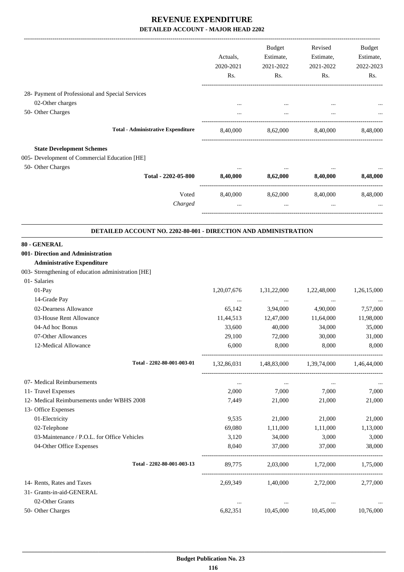|                                                                 |                                           | <b>Budget</b>             | Revised                                         | Budget      |
|-----------------------------------------------------------------|-------------------------------------------|---------------------------|-------------------------------------------------|-------------|
|                                                                 | Actuals,                                  | Estimate,                 | Estimate,                                       | Estimate,   |
|                                                                 | 2020-2021                                 | 2021-2022                 | 2021-2022                                       | 2022-2023   |
|                                                                 | Rs.                                       | Rs.                       | $\mathbf{Rs.}$                                  | Rs.         |
| 28- Payment of Professional and Special Services                |                                           |                           |                                                 |             |
| 02-Other charges                                                |                                           |                           |                                                 |             |
| 50- Other Charges                                               | $\cdots$                                  | $\cdots$                  | $\mathbf{r}$ , $\mathbf{r}$ , $\mathbf{r}$      |             |
|                                                                 |                                           |                           |                                                 |             |
| <b>Total - Administrative Expenditure</b>                       |                                           |                           | 8,40,000 8,62,000 8,40,000 8,48,000             |             |
| <b>State Development Schemes</b>                                |                                           |                           |                                                 |             |
| 005- Development of Commercial Education [HE]                   |                                           |                           |                                                 |             |
| 50- Other Charges                                               |                                           |                           |                                                 |             |
| Total - 2202-05-800 8,40,000 8,62,000 8,40,000 8,48,000         |                                           |                           |                                                 |             |
|                                                                 | Voted 8,40,000 8,62,000 8,40,000 8,48,000 |                           |                                                 |             |
| Charged                                                         | $\cdots$                                  | $\cdots$                  | $\cdots$                                        |             |
| DETAILED ACCOUNT NO. 2202-80-001 - DIRECTION AND ADMINISTRATION |                                           |                           |                                                 |             |
| 80 - GENERAL                                                    |                                           |                           |                                                 |             |
| 001- Direction and Administration                               |                                           |                           |                                                 |             |
| <b>Administrative Expenditure</b>                               |                                           |                           |                                                 |             |
| 003- Strengthening of education administration [HE]             |                                           |                           |                                                 |             |
| 01- Salaries                                                    |                                           |                           |                                                 |             |
| 01-Pay                                                          | 1,20,07,676                               | 1,31,22,000               | 1,22,48,000                                     | 1,26,15,000 |
| 14-Grade Pay                                                    | $\ldots$                                  | $\sim 100$ and $\sim 100$ | $\sim 100$ and $\sim 100$                       |             |
| 02-Dearness Allowance                                           | 65,142                                    | 3,94,000                  | 4,90,000                                        | 7,57,000    |
| 03-House Rent Allowance                                         | 11,44,513                                 | 12,47,000                 | 11,64,000                                       | 11,98,000   |
| 04-Ad hoc Bonus                                                 | 33,600                                    | 40,000                    | 34,000                                          | 35,000      |
| 07-Other Allowances                                             | 29,100                                    | 72,000                    | 30,000                                          | 31,000      |
| 12-Medical Allowance                                            | 6,000                                     | 8,000                     | 8,000                                           | 8,000       |
| Total - 2202-80-001-003-01                                      |                                           |                           | 1,32,86,031 1,48,83,000 1,39,74,000 1,46,44,000 |             |
| 07- Medical Reimbursements                                      | $\ldots$                                  | $\cdots$                  | $\cdots$                                        |             |
| 11- Travel Expenses                                             | 2,000                                     | 7,000                     | 7,000                                           | 7,000       |
| 12- Medical Reimbursements under WBHS 2008                      | 7,449                                     | 21,000                    | 21,000                                          | 21,000      |
| 13- Office Expenses                                             |                                           |                           |                                                 |             |
| 01-Electricity                                                  | 9,535                                     | 21,000                    | 21,000                                          | 21,000      |
| 02-Telephone                                                    | 69,080                                    | 1,11,000                  | 1,11,000                                        | 1,13,000    |
| 03-Maintenance / P.O.L. for Office Vehicles                     | 3,120                                     | 34,000                    | 3,000                                           | 3,000       |
| 04-Other Office Expenses                                        | 8,040                                     | 37,000                    | 37,000                                          | 38,000      |
| Total - 2202-80-001-003-13                                      | 89,775                                    | 2,03,000                  | 1,72,000                                        | 1,75,000    |
| 14- Rents, Rates and Taxes                                      | 2,69,349                                  | 1,40,000                  | 2,72,000                                        | 2,77,000    |
| 31- Grants-in-aid-GENERAL                                       |                                           |                           |                                                 |             |
| 02-Other Grants                                                 | $\ldots$                                  | $\ldots$                  | $\ldots$                                        | $\cdots$    |
| 50- Other Charges                                               | 6,82,351                                  | 10,45,000                 | 10,45,000                                       | 10,76,000   |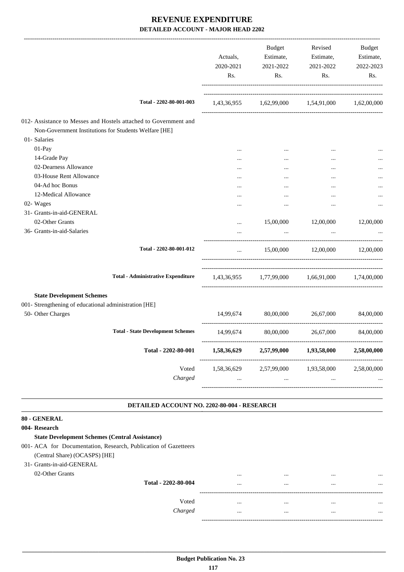|                                                                                                                                           |                                             | Actuals,<br>2020-2021<br>Rs. | Budget<br>2021-2022<br>Rs.                                                                                       | Revised<br>Estimate, Estimate,<br>2021-2022<br>Rs. | Budget<br>Estimate,<br>2022-2023<br>Rs. |
|-------------------------------------------------------------------------------------------------------------------------------------------|---------------------------------------------|------------------------------|------------------------------------------------------------------------------------------------------------------|----------------------------------------------------|-----------------------------------------|
|                                                                                                                                           | Total - 2202-80-001-003                     |                              | 1,43,36,955 1,62,99,000 1,54,91,000 1,62,00,000                                                                  |                                                    |                                         |
| 012- Assistance to Messes and Hostels attached to Government and<br>Non-Government Institutions for Students Welfare [HE]<br>01- Salaries |                                             |                              |                                                                                                                  |                                                    |                                         |
| 01-Pay                                                                                                                                    |                                             |                              |                                                                                                                  |                                                    |                                         |
| 14-Grade Pay                                                                                                                              |                                             |                              | $\cdots$                                                                                                         |                                                    |                                         |
| 02-Dearness Allowance                                                                                                                     |                                             |                              | $\cdots$                                                                                                         |                                                    |                                         |
| 03-House Rent Allowance                                                                                                                   |                                             | <br>$\ddotsc$                | $\cdots$<br>$\cdots$                                                                                             | <br>                                               |                                         |
| 04-Ad hoc Bonus                                                                                                                           |                                             |                              | $\cdots$                                                                                                         |                                                    |                                         |
| 12-Medical Allowance                                                                                                                      |                                             | $\cdots$                     | $\cdots$                                                                                                         | $\cdots$                                           |                                         |
| 02- Wages                                                                                                                                 |                                             |                              | $\cdots$                                                                                                         |                                                    |                                         |
| 31- Grants-in-aid-GENERAL                                                                                                                 |                                             |                              |                                                                                                                  |                                                    |                                         |
| 02-Other Grants                                                                                                                           |                                             | $\cdots$                     | 15,00,000                                                                                                        | 12,00,000                                          | 12,00,000                               |
| 36- Grants-in-aid-Salaries                                                                                                                |                                             | $\ddotsc$                    | $\cdots$                                                                                                         |                                                    |                                         |
|                                                                                                                                           | Total - 2202-80-001-012                     | $\cdots$                     |                                                                                                                  | 15,00,000 12,00,000 12,00,000                      |                                         |
|                                                                                                                                           | <b>Total - Administrative Expenditure</b>   |                              | $1{,}43{,}36{,}955 \qquad \quad 1{,}77{,}99{,}000 \qquad \quad 1{,}66{,}91{,}000 \qquad \quad 1{,}74{,}00{,}000$ |                                                    |                                         |
| <b>State Development Schemes</b>                                                                                                          |                                             |                              |                                                                                                                  |                                                    |                                         |
| 001- Strengthening of educational administration [HE]                                                                                     |                                             |                              |                                                                                                                  |                                                    |                                         |
| 50- Other Charges                                                                                                                         |                                             | 14,99,674                    | 80,00,000                                                                                                        | 26,67,000                                          | 84,00,000                               |
|                                                                                                                                           |                                             |                              |                                                                                                                  |                                                    |                                         |
|                                                                                                                                           | <b>Total - State Development Schemes</b>    | 14,99,674                    | 80,00,000                                                                                                        | 26,67,000                                          | 84,00,000                               |
|                                                                                                                                           | Total - 2202-80-001                         | 1,58,36,629                  | 2,57,99,000                                                                                                      | 1,93,58,000                                        | 2,58,00,000                             |
|                                                                                                                                           | Voted                                       | 1,58,36,629                  |                                                                                                                  | 2,57,99,000 1,93,58,000                            | 2,58,00,000                             |
|                                                                                                                                           | Charged                                     | $\cdots$                     | $\mathbf{r}$ , $\mathbf{r}$ , $\mathbf{r}$                                                                       | $\cdots$                                           |                                         |
|                                                                                                                                           | DETAILED ACCOUNT NO. 2202-80-004 - RESEARCH |                              |                                                                                                                  |                                                    |                                         |
| 80 - GENERAL                                                                                                                              |                                             |                              |                                                                                                                  |                                                    |                                         |
| 004- Research                                                                                                                             |                                             |                              |                                                                                                                  |                                                    |                                         |
| <b>State Development Schemes (Central Assistance)</b>                                                                                     |                                             |                              |                                                                                                                  |                                                    |                                         |
| 001- ACA for Documentation, Research, Publication of Gazetteers                                                                           |                                             |                              |                                                                                                                  |                                                    |                                         |
| (Central Share) (OCASPS) [HE]                                                                                                             |                                             |                              |                                                                                                                  |                                                    |                                         |
| 31- Grants-in-aid-GENERAL                                                                                                                 |                                             |                              |                                                                                                                  |                                                    |                                         |
| 02-Other Grants                                                                                                                           |                                             | $\cdots$                     | $\cdots$                                                                                                         | $\cdots$                                           |                                         |
|                                                                                                                                           | Total - 2202-80-004                         | $\cdots$                     | $\cdots$                                                                                                         | $\cdots$                                           |                                         |

------------------------------------------------------------------------------------------

-----------------------------------------------------------------------------------------

Voted ... ... ... ... *Charged* ... ... ... ...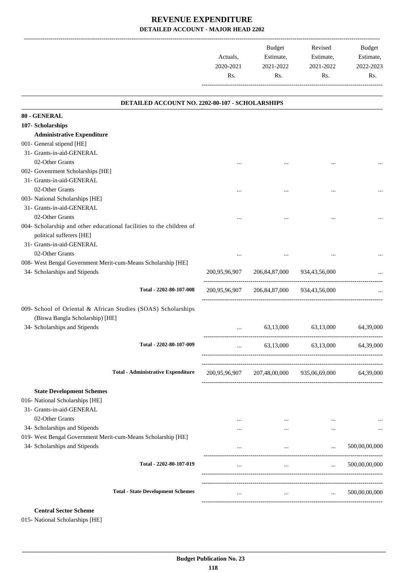|           | <b>Budget</b> | Revised   | <b>Budget</b> |
|-----------|---------------|-----------|---------------|
| Actuals.  | Estimate,     | Estimate, | Estimate,     |
| 2020-2021 | 2021-2022     | 2021-2022 | 2022-2023     |
| Rs.       | Rs.           | Rs.       | Rs.           |
|           |               |           |               |

#### **DETAILED ACCOUNT NO. 2202-80-107 - SCHOLARSHIPS**

.

| 80 - GENERAL                                                 |                                                                      |          |                                           |                                                     |               |
|--------------------------------------------------------------|----------------------------------------------------------------------|----------|-------------------------------------------|-----------------------------------------------------|---------------|
| 107- Scholarships                                            |                                                                      |          |                                           |                                                     |               |
| <b>Administrative Expenditure</b>                            |                                                                      |          |                                           |                                                     |               |
| 001- General stipend [HE]                                    |                                                                      |          |                                           |                                                     |               |
| 31- Grants-in-aid-GENERAL                                    |                                                                      |          |                                           |                                                     |               |
| 02-Other Grants                                              |                                                                      | $\cdots$ | $\cdots$                                  | $\cdots$                                            |               |
| 002- Govenrment Scholarships [HE]                            |                                                                      |          |                                           |                                                     |               |
| 31- Grants-in-aid-GENERAL                                    |                                                                      |          |                                           |                                                     |               |
| 02-Other Grants                                              |                                                                      | $\cdots$ | $\cdots$                                  |                                                     |               |
| 003- National Scholarships [HE]                              |                                                                      |          |                                           |                                                     |               |
| 31- Grants-in-aid-GENERAL                                    |                                                                      |          |                                           |                                                     |               |
| 02-Other Grants                                              |                                                                      |          |                                           |                                                     | $\cdots$      |
|                                                              | 004- Scholarship and other educational facilities to the children of |          |                                           |                                                     |               |
| political sufferers [HE]                                     |                                                                      |          |                                           |                                                     |               |
| 31- Grants-in-aid-GENERAL                                    |                                                                      |          |                                           |                                                     |               |
| 02-Other Grants                                              |                                                                      | $\cdots$ | $\cdots$                                  |                                                     | $\cdots$      |
| 008- West Bengal Government Merit-cum-Means Scholarship [HE] |                                                                      |          |                                           |                                                     |               |
| 34- Scholarships and Stipends                                |                                                                      |          | 200,95,96,907 206,84,87,000 934,43,56,000 |                                                     |               |
|                                                              | Total - 2202-80-107-008                                              |          | 200,95,96,907 206,84,87,000 934,43,56,000 |                                                     |               |
|                                                              |                                                                      |          |                                           |                                                     |               |
|                                                              | 009- School of Oriental & African Studies (SOAS) Scholarships        |          |                                           |                                                     |               |
| (Biswa Bangla Scholarship) [HE]                              |                                                                      |          |                                           |                                                     |               |
| 34- Scholarships and Stipends                                |                                                                      | $\cdots$ |                                           | 63,13,000 63,13,000                                 | 64,39,000     |
|                                                              |                                                                      |          |                                           |                                                     |               |
|                                                              | Total - 2202-80-107-009                                              |          | and the state                             | 63,13,000 63,13,000 64,39,000                       |               |
|                                                              |                                                                      |          |                                           |                                                     |               |
|                                                              | <b>Total - Administrative Expenditure</b>                            |          |                                           |                                                     |               |
|                                                              |                                                                      |          |                                           | 200,95,96,907 207,48,00,000 935,06,69,000 64,39,000 |               |
| <b>State Development Schemes</b>                             |                                                                      |          |                                           |                                                     |               |
| 016- National Scholarships [HE]                              |                                                                      |          |                                           |                                                     |               |
| 31- Grants-in-aid-GENERAL                                    |                                                                      |          |                                           |                                                     |               |
| 02-Other Grants                                              |                                                                      | $\cdots$ | $\cdots$                                  |                                                     |               |
| 34- Scholarships and Stipends                                |                                                                      |          | $\cdots$                                  |                                                     | $\cdots$      |
| 019- West Bengal Government Merit-cum-Means Scholarship [HE] |                                                                      |          |                                           |                                                     |               |
| 34- Scholarships and Stipends                                |                                                                      | $\cdots$ | $\cdots$                                  | $\cdots$                                            | 500,00,00,000 |
|                                                              | Total - 2202-80-107-019                                              | $\cdots$ | $\cdots$                                  | $\cdots$                                            | 500,00,00,000 |
|                                                              |                                                                      |          |                                           |                                                     |               |
|                                                              |                                                                      |          |                                           |                                                     |               |
|                                                              | <b>Total - State Development Schemes</b>                             | $\cdots$ | $\cdots$                                  | $\cdots$                                            | 500,00,00,000 |
|                                                              |                                                                      |          |                                           |                                                     |               |

#### **Central Sector Scheme**

015- National Scholarships [HE]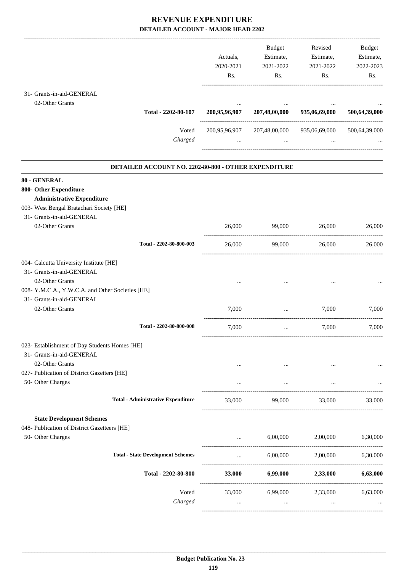|                                                  |                                                      |               | Budget                      | Revised                           | Budget        |
|--------------------------------------------------|------------------------------------------------------|---------------|-----------------------------|-----------------------------------|---------------|
|                                                  |                                                      | Actuals,      | Estimate,                   | Estimate,                         | Estimate,     |
|                                                  |                                                      | 2020-2021     | 2021-2022                   | 2021-2022                         | 2022-2023     |
|                                                  |                                                      | Rs.           | Rs.                         | Rs.                               | Rs.           |
|                                                  |                                                      |               |                             |                                   |               |
| 31- Grants-in-aid-GENERAL                        |                                                      |               |                             |                                   |               |
| 02-Other Grants                                  |                                                      |               |                             |                                   |               |
|                                                  | Total - 2202-80-107                                  | 200,95,96,907 | 207,48,00,000               | 935,06,69,000                     | 500,64,39,000 |
|                                                  | Voted                                                |               | 200,95,96,907 207,48,00,000 | 935,06,69,000                     | 500,64,39,000 |
|                                                  | Charged                                              |               | $\cdots$                    |                                   |               |
|                                                  |                                                      |               |                             |                                   |               |
|                                                  | DETAILED ACCOUNT NO. 2202-80-800 - OTHER EXPENDITURE |               |                             |                                   |               |
| 80 - GENERAL                                     |                                                      |               |                             |                                   |               |
| 800- Other Expenditure                           |                                                      |               |                             |                                   |               |
| <b>Administrative Expenditure</b>                |                                                      |               |                             |                                   |               |
| 003- West Bengal Bratachari Society [HE]         |                                                      |               |                             |                                   |               |
| 31- Grants-in-aid-GENERAL                        |                                                      |               |                             |                                   |               |
| 02-Other Grants                                  |                                                      | 26,000        | 99,000                      | 26,000                            | 26,000        |
|                                                  | Total - 2202-80-800-003                              | 26,000        | 99,000                      | 26,000                            | 26,000        |
|                                                  |                                                      |               |                             |                                   |               |
| 004- Calcutta University Institute [HE]          |                                                      |               |                             |                                   |               |
| 31- Grants-in-aid-GENERAL                        |                                                      |               |                             |                                   |               |
| 02-Other Grants                                  |                                                      |               |                             |                                   |               |
| 008- Y.M.C.A., Y.W.C.A. and Other Societies [HE] |                                                      |               |                             |                                   |               |
| 31- Grants-in-aid-GENERAL                        |                                                      |               |                             |                                   |               |
| 02-Other Grants                                  |                                                      | 7,000         | ____________________        | 7.000                             | 7.000         |
|                                                  | Total - 2202-80-800-008                              | 7,000         | $\ddots$                    | 7,000                             | 7,000         |
| 023- Establishment of Day Students Homes [HE]    |                                                      |               |                             |                                   |               |
| 31- Grants-in-aid-GENERAL                        |                                                      |               |                             |                                   |               |
| 02-Other Grants                                  |                                                      | $\cdots$      | $\cdots$                    |                                   | $\cdots$      |
| 027- Publication of District Gazetters [HE]      |                                                      |               |                             |                                   |               |
| 50- Other Charges                                |                                                      | $\cdots$      | $\cdots$                    | $\cdots$                          |               |
|                                                  | <b>Total - Administrative Expenditure</b>            | 33,000        | 99,000                      | 33,000                            | 33,000        |
|                                                  |                                                      |               |                             |                                   |               |
| <b>State Development Schemes</b>                 |                                                      |               |                             |                                   |               |
| 048- Publication of District Gazetteers [HE]     |                                                      |               |                             |                                   |               |
| 50- Other Charges                                |                                                      |               | 6,00,000                    | 2,00,000 6,30,000                 |               |
|                                                  | <b>Total - State Development Schemes</b>             | $\cdots$      | 6,00,000                    | 2,00,000                          | 6,30,000      |
|                                                  | Total - 2202-80-800                                  | <b>33,000</b> |                             | 6,99,000 2,33,000 6,63,000        |               |
|                                                  | Voted                                                |               |                             | 33,000 6,99,000 2,33,000 6,63,000 |               |
|                                                  | Charged                                              |               |                             |                                   |               |
|                                                  |                                                      | $\cdots$      | $\cdots$                    | $\cdots$                          |               |
|                                                  |                                                      |               |                             |                                   |               |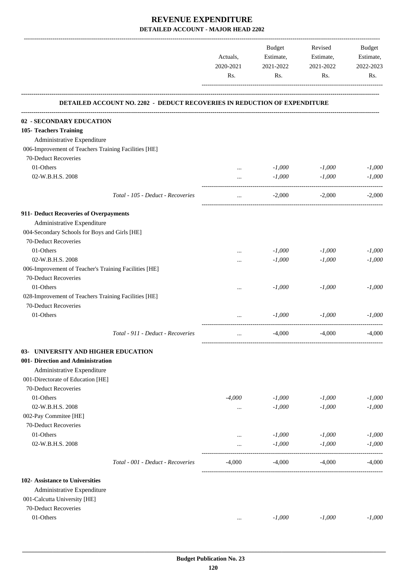|                                                       |                                                                           |           | Budget    | Revised                         | Budget    |
|-------------------------------------------------------|---------------------------------------------------------------------------|-----------|-----------|---------------------------------|-----------|
|                                                       |                                                                           | Actuals,  | Estimate, | Estimate,                       | Estimate, |
|                                                       |                                                                           | 2020-2021 | 2021-2022 | 2021-2022                       | 2022-2023 |
|                                                       |                                                                           | Rs.       | Rs.       | Rs.                             | Rs.       |
|                                                       | DETAILED ACCOUNT NO. 2202 - DEDUCT RECOVERIES IN REDUCTION OF EXPENDITURE |           |           |                                 |           |
| 02 - SECONDARY EDUCATION                              |                                                                           |           |           |                                 |           |
| 105- Teachers Training                                |                                                                           |           |           |                                 |           |
| Administrative Expenditure                            |                                                                           |           |           |                                 |           |
| 006-Improvement of Teachers Training Facilities [HE]  |                                                                           |           |           |                                 |           |
| 70-Deduct Recoveries                                  |                                                                           |           |           |                                 |           |
| 01-Others                                             |                                                                           | $\cdots$  | $-1,000$  | $-1,000$                        | $-1,000$  |
| 02-W.B.H.S. 2008                                      |                                                                           | $\cdots$  | $-1,000$  | $-1,000$                        | $-1,000$  |
|                                                       | Total - 105 - Deduct - Recoveries                                         | $\cdots$  | $-2,000$  | $-2,000$                        | $-2,000$  |
| 911- Deduct Recoveries of Overpayments                |                                                                           |           |           |                                 |           |
| Administrative Expenditure                            |                                                                           |           |           |                                 |           |
| 004-Secondary Schools for Boys and Girls [HE]         |                                                                           |           |           |                                 |           |
| 70-Deduct Recoveries                                  |                                                                           |           |           |                                 |           |
| 01-Others                                             |                                                                           | $\cdots$  | $-1,000$  | $-1,000$                        | $-1,000$  |
| 02-W.B.H.S. 2008                                      |                                                                           |           | $-1,000$  | $-1,000$                        | $-1,000$  |
| 006-Improvement of Teacher's Training Facilities [HE] |                                                                           |           |           |                                 |           |
| 70-Deduct Recoveries                                  |                                                                           |           |           |                                 |           |
| 01-Others                                             |                                                                           |           | $-1,000$  | $-1,000$                        | $-1,000$  |
| 028-Improvement of Teachers Training Facilities [HE]  |                                                                           |           |           |                                 |           |
| 70-Deduct Recoveries                                  |                                                                           |           |           |                                 |           |
| 01-Others                                             |                                                                           |           | $-1,000$  | $-1,000$                        | $-1,000$  |
|                                                       | Total - 911 - Deduct - Recoveries                                         | $\cdots$  | $-4,000$  | $-4,000$                        | $-4,000$  |
| 03- UNIVERSITY AND HIGHER EDUCATION                   |                                                                           |           |           |                                 |           |
| 001- Direction and Administration                     |                                                                           |           |           |                                 |           |
| Administrative Expenditure                            |                                                                           |           |           |                                 |           |
| 001-Directorate of Education [HE]                     |                                                                           |           |           |                                 |           |
| 70-Deduct Recoveries                                  |                                                                           |           |           |                                 |           |
| 01-Others                                             |                                                                           | $-4,000$  | $-1,000$  | $-1,000$                        | $-1,000$  |
| 02-W.B.H.S. 2008                                      |                                                                           | $\cdots$  | $-1,000$  | $-1,000$                        | $-1,000$  |
| 002-Pay Commitee [HE]                                 |                                                                           |           |           |                                 |           |
| 70-Deduct Recoveries                                  |                                                                           |           |           |                                 |           |
| 01-Others                                             |                                                                           | $\cdots$  | $-1,000$  | $-1,000$                        | $-1,000$  |
| 02-W.B.H.S. 2008                                      |                                                                           |           | $-1,000$  | $-1,000$<br>------------------- | $-1,000$  |
|                                                       | Total - 001 - Deduct - Recoveries                                         | $-4,000$  | $-4,000$  | $-4,000$                        | $-4,000$  |
| 102- Assistance to Universities                       |                                                                           |           |           |                                 |           |
| Administrative Expenditure                            |                                                                           |           |           |                                 |           |
| 001-Calcutta University [HE]                          |                                                                           |           |           |                                 |           |
| 70-Deduct Recoveries                                  |                                                                           |           |           |                                 |           |
| 01-Others                                             |                                                                           | $\cdots$  | $-1,000$  | $-1,000$                        | $-1,000$  |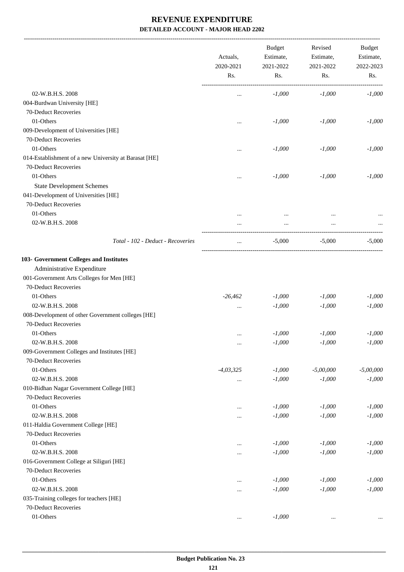-------------------------------------------------------------------------------------------------------------------------------------------------------------------------------

|                                                       | Actuals,<br>2020-2021<br>Rs. | <b>Budget</b><br>Estimate,<br>2021-2022<br>Rs. | Revised<br>Estimate,<br>2021-2022<br>Rs. | <b>Budget</b><br>Estimate,<br>2022-2023<br>Rs. |
|-------------------------------------------------------|------------------------------|------------------------------------------------|------------------------------------------|------------------------------------------------|
| 02-W.B.H.S. 2008                                      | $\cdots$                     | $-1,000$                                       | $-1,000$                                 | $-1,000$                                       |
| 004-Burdwan University [HE]                           |                              |                                                |                                          |                                                |
| 70-Deduct Recoveries                                  |                              |                                                |                                          |                                                |
| 01-Others                                             | $\cdots$                     | $-1,000$                                       | $-1,000$                                 | $-1,000$                                       |
| 009-Development of Universities [HE]                  |                              |                                                |                                          |                                                |
| 70-Deduct Recoveries                                  |                              |                                                |                                          |                                                |
| 01-Others                                             | $\cdots$                     | $-1,000$                                       | $-1,000$                                 | $-1,000$                                       |
| 014-Establishment of a new University at Barasat [HE] |                              |                                                |                                          |                                                |
| 70-Deduct Recoveries                                  |                              |                                                |                                          |                                                |
| 01-Others                                             |                              | $-1,000$                                       | $-1,000$                                 | $-1,000$                                       |
| <b>State Development Schemes</b>                      | $\cdots$                     |                                                |                                          |                                                |
| 041-Development of Universities [HE]                  |                              |                                                |                                          |                                                |
| 70-Deduct Recoveries                                  |                              |                                                |                                          |                                                |
| 01-Others                                             |                              |                                                |                                          |                                                |
| 02-W.B.H.S. 2008                                      | $\cdots$                     | $\cdots$                                       | $\cdots$                                 |                                                |
|                                                       |                              | $\cdots$                                       |                                          |                                                |
| Total - 102 - Deduct - Recoveries                     | $\ddotsc$                    | $-5,000$                                       | $-5,000$                                 | $-5,000$                                       |
| 103- Government Colleges and Institutes               |                              |                                                |                                          |                                                |
| Administrative Expenditure                            |                              |                                                |                                          |                                                |
| 001-Government Arts Colleges for Men [HE]             |                              |                                                |                                          |                                                |
| 70-Deduct Recoveries                                  |                              |                                                |                                          |                                                |
| 01-Others                                             | $-26,462$                    | $-1,000$                                       | $-1,000$                                 | $-1,000$                                       |
| 02-W.B.H.S. 2008                                      | $\cdots$                     | $-1,000$                                       | $-1,000$                                 | $-1,000$                                       |
| 008-Development of other Government colleges [HE]     |                              |                                                |                                          |                                                |
| 70-Deduct Recoveries                                  |                              |                                                |                                          |                                                |
| 01-Others                                             | $\ddotsc$                    | $-1,000$                                       | $-1,000$                                 | $-1,000$                                       |
| 02-W.B.H.S. 2008                                      | $\cdots$                     | $-1,000$                                       | $-1,000$                                 | $-1,000$                                       |
| 009-Government Colleges and Institutes [HE]           |                              |                                                |                                          |                                                |
| 70-Deduct Recoveries                                  |                              |                                                |                                          |                                                |
| 01-Others                                             | $-4,03,325$                  | $-1,000$                                       | $-5,00,000$                              | $-5,00,000$                                    |
| 02-W.B.H.S. 2008                                      | $\cdots$                     | $\text{-}1,\!000$                              | $-1,000$                                 | $-1,000$                                       |
| 010-Bidhan Nagar Government College [HE]              |                              |                                                |                                          |                                                |
| 70-Deduct Recoveries                                  |                              |                                                |                                          |                                                |
| 01-Others                                             | $\cdots$                     | $-1,000$                                       | $-1,000$                                 | $-1,000$                                       |
| 02-W.B.H.S. 2008                                      | $\cdots$                     | $-1,000$                                       | $-1,000$                                 | $-1,000$                                       |
| 011-Haldia Government College [HE]                    |                              |                                                |                                          |                                                |
| 70-Deduct Recoveries                                  |                              |                                                |                                          |                                                |
| 01-Others                                             | $\cdots$                     | $-1,000$                                       | $-1,000$                                 | $-1,000$                                       |
| 02-W.B.H.S. 2008                                      | $\cdots$                     | $-1,000$                                       | $-1,000$                                 | $-1,000$                                       |
| 016-Government College at Siliguri [HE]               |                              |                                                |                                          |                                                |
| 70-Deduct Recoveries                                  |                              |                                                |                                          |                                                |
| 01-Others                                             |                              | $-1,000$                                       | $-1,000$                                 | $-1,000$                                       |
| 02-W.B.H.S. 2008                                      |                              | $-1,000$                                       | $-1,000$                                 | $-1,000$                                       |
| 035-Training colleges for teachers [HE]               |                              |                                                |                                          |                                                |
| 70-Deduct Recoveries                                  |                              |                                                |                                          |                                                |
| 01-Others                                             |                              | $-1,000$                                       |                                          |                                                |
|                                                       | $\cdots$                     |                                                | $\ldots$                                 |                                                |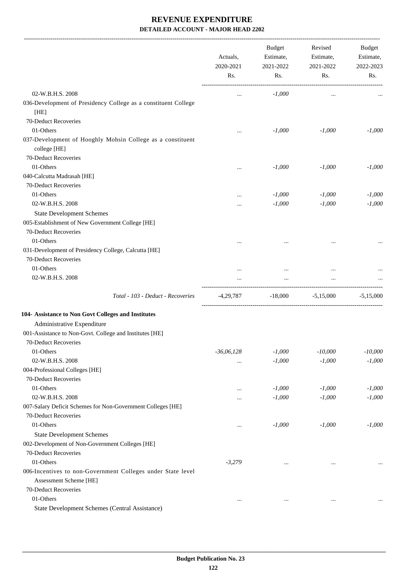-------------------------------------------------------------------------------------------------------------------------------------------------------------------------------

| Rs.<br>Rs.<br>Rs.<br>Rs.<br>02-W.B.H.S. 2008<br>$-1,000$<br>$\ddotsc$<br>$\cdots$<br>036-Development of Presidency College as a constituent College<br>[HE]<br>70-Deduct Recoveries<br>01-Others<br>$-1,000$<br>$-1,000$<br>$-1,000$<br>$\cdots$<br>037-Development of Hooghly Mohsin College as a constituent<br>college [HE]<br>70-Deduct Recoveries<br>01-Others<br>$-1,000$<br>$-1,000$<br>$-1,000$<br><br>040-Calcutta Madrasah [HE]<br>70-Deduct Recoveries<br>01-Others<br>$-1,000$<br>$-1,000$<br>$-1,000$<br><br>02-W.B.H.S. 2008<br>$-1,000$<br>$-1,000$<br>$-1,000$<br><br><b>State Development Schemes</b><br>005-Establishment of New Government College [HE]<br>70-Deduct Recoveries<br>01-Others<br>$\cdots$<br><br><br>031-Development of Presidency College, Calcutta [HE]<br>70-Deduct Recoveries<br>01-Others<br>$\ddotsc$<br>$\cdots$<br>$\cdots$<br>02-W.B.H.S. 2008<br><br>Total - 103 - Deduct - Recoveries<br>$-4,29,787$<br>$-18,000$<br>$-5,15,000$<br>$-5,15,000$<br>Administrative Expenditure<br>001-Assistance to Non-Govt. College and Institutes [HE]<br>70-Deduct Recoveries<br>01-Others<br>$-36,06,128$<br>$-1,000$<br>$-10,000$<br>$-10,000$<br>02-W.B.H.S. 2008<br>$-1,000$<br>$-1,000$<br>$-1,000$<br>$\ddotsc$<br>004-Professional Colleges [HE]<br>70-Deduct Recoveries<br>01-Others<br>$-1,000$<br>$-1,000$<br>$-1,000$<br><br>02-W.B.H.S. 2008<br>$-1,000$<br>$-1,000$<br>$-1,000$<br><br>007-Salary Deficit Schemes for Non-Government Colleges [HE]<br>70-Deduct Recoveries<br>01-Others<br>$-1,000$<br>$-1,000$<br>$-1,000$<br>$\ddotsc$<br><b>State Development Schemes</b><br>002-Development of Non-Government Colleges [HE]<br>70-Deduct Recoveries<br>01-Others<br>$-3,279$<br>$\cdots$<br>$\ddotsc$<br>006-Incentives to non-Government Colleges under State level<br>Assessment Scheme [HE]<br>70-Deduct Recoveries<br>01-Others<br>$\cdots$<br>$\cdots$<br>$\cdots$<br>State Development Schemes (Central Assistance) |                                                     | Actuals,<br>2020-2021 | <b>Budget</b><br>Estimate,<br>2021-2022 | Revised<br>Estimate,<br>2021-2022 | <b>Budget</b><br>Estimate,<br>2022-2023 |
|----------------------------------------------------------------------------------------------------------------------------------------------------------------------------------------------------------------------------------------------------------------------------------------------------------------------------------------------------------------------------------------------------------------------------------------------------------------------------------------------------------------------------------------------------------------------------------------------------------------------------------------------------------------------------------------------------------------------------------------------------------------------------------------------------------------------------------------------------------------------------------------------------------------------------------------------------------------------------------------------------------------------------------------------------------------------------------------------------------------------------------------------------------------------------------------------------------------------------------------------------------------------------------------------------------------------------------------------------------------------------------------------------------------------------------------------------------------------------------------------------------------------------------------------------------------------------------------------------------------------------------------------------------------------------------------------------------------------------------------------------------------------------------------------------------------------------------------------------------------------------------------------------------------------------------------------------------------------------|-----------------------------------------------------|-----------------------|-----------------------------------------|-----------------------------------|-----------------------------------------|
|                                                                                                                                                                                                                                                                                                                                                                                                                                                                                                                                                                                                                                                                                                                                                                                                                                                                                                                                                                                                                                                                                                                                                                                                                                                                                                                                                                                                                                                                                                                                                                                                                                                                                                                                                                                                                                                                                                                                                                            |                                                     |                       |                                         |                                   |                                         |
|                                                                                                                                                                                                                                                                                                                                                                                                                                                                                                                                                                                                                                                                                                                                                                                                                                                                                                                                                                                                                                                                                                                                                                                                                                                                                                                                                                                                                                                                                                                                                                                                                                                                                                                                                                                                                                                                                                                                                                            |                                                     |                       |                                         |                                   |                                         |
|                                                                                                                                                                                                                                                                                                                                                                                                                                                                                                                                                                                                                                                                                                                                                                                                                                                                                                                                                                                                                                                                                                                                                                                                                                                                                                                                                                                                                                                                                                                                                                                                                                                                                                                                                                                                                                                                                                                                                                            |                                                     |                       |                                         |                                   |                                         |
|                                                                                                                                                                                                                                                                                                                                                                                                                                                                                                                                                                                                                                                                                                                                                                                                                                                                                                                                                                                                                                                                                                                                                                                                                                                                                                                                                                                                                                                                                                                                                                                                                                                                                                                                                                                                                                                                                                                                                                            |                                                     |                       |                                         |                                   |                                         |
|                                                                                                                                                                                                                                                                                                                                                                                                                                                                                                                                                                                                                                                                                                                                                                                                                                                                                                                                                                                                                                                                                                                                                                                                                                                                                                                                                                                                                                                                                                                                                                                                                                                                                                                                                                                                                                                                                                                                                                            |                                                     |                       |                                         |                                   |                                         |
|                                                                                                                                                                                                                                                                                                                                                                                                                                                                                                                                                                                                                                                                                                                                                                                                                                                                                                                                                                                                                                                                                                                                                                                                                                                                                                                                                                                                                                                                                                                                                                                                                                                                                                                                                                                                                                                                                                                                                                            |                                                     |                       |                                         |                                   |                                         |
|                                                                                                                                                                                                                                                                                                                                                                                                                                                                                                                                                                                                                                                                                                                                                                                                                                                                                                                                                                                                                                                                                                                                                                                                                                                                                                                                                                                                                                                                                                                                                                                                                                                                                                                                                                                                                                                                                                                                                                            |                                                     |                       |                                         |                                   |                                         |
|                                                                                                                                                                                                                                                                                                                                                                                                                                                                                                                                                                                                                                                                                                                                                                                                                                                                                                                                                                                                                                                                                                                                                                                                                                                                                                                                                                                                                                                                                                                                                                                                                                                                                                                                                                                                                                                                                                                                                                            |                                                     |                       |                                         |                                   |                                         |
|                                                                                                                                                                                                                                                                                                                                                                                                                                                                                                                                                                                                                                                                                                                                                                                                                                                                                                                                                                                                                                                                                                                                                                                                                                                                                                                                                                                                                                                                                                                                                                                                                                                                                                                                                                                                                                                                                                                                                                            |                                                     |                       |                                         |                                   |                                         |
|                                                                                                                                                                                                                                                                                                                                                                                                                                                                                                                                                                                                                                                                                                                                                                                                                                                                                                                                                                                                                                                                                                                                                                                                                                                                                                                                                                                                                                                                                                                                                                                                                                                                                                                                                                                                                                                                                                                                                                            |                                                     |                       |                                         |                                   |                                         |
|                                                                                                                                                                                                                                                                                                                                                                                                                                                                                                                                                                                                                                                                                                                                                                                                                                                                                                                                                                                                                                                                                                                                                                                                                                                                                                                                                                                                                                                                                                                                                                                                                                                                                                                                                                                                                                                                                                                                                                            |                                                     |                       |                                         |                                   |                                         |
|                                                                                                                                                                                                                                                                                                                                                                                                                                                                                                                                                                                                                                                                                                                                                                                                                                                                                                                                                                                                                                                                                                                                                                                                                                                                                                                                                                                                                                                                                                                                                                                                                                                                                                                                                                                                                                                                                                                                                                            |                                                     |                       |                                         |                                   |                                         |
|                                                                                                                                                                                                                                                                                                                                                                                                                                                                                                                                                                                                                                                                                                                                                                                                                                                                                                                                                                                                                                                                                                                                                                                                                                                                                                                                                                                                                                                                                                                                                                                                                                                                                                                                                                                                                                                                                                                                                                            |                                                     |                       |                                         |                                   |                                         |
|                                                                                                                                                                                                                                                                                                                                                                                                                                                                                                                                                                                                                                                                                                                                                                                                                                                                                                                                                                                                                                                                                                                                                                                                                                                                                                                                                                                                                                                                                                                                                                                                                                                                                                                                                                                                                                                                                                                                                                            |                                                     |                       |                                         |                                   |                                         |
|                                                                                                                                                                                                                                                                                                                                                                                                                                                                                                                                                                                                                                                                                                                                                                                                                                                                                                                                                                                                                                                                                                                                                                                                                                                                                                                                                                                                                                                                                                                                                                                                                                                                                                                                                                                                                                                                                                                                                                            |                                                     |                       |                                         |                                   |                                         |
|                                                                                                                                                                                                                                                                                                                                                                                                                                                                                                                                                                                                                                                                                                                                                                                                                                                                                                                                                                                                                                                                                                                                                                                                                                                                                                                                                                                                                                                                                                                                                                                                                                                                                                                                                                                                                                                                                                                                                                            |                                                     |                       |                                         |                                   |                                         |
|                                                                                                                                                                                                                                                                                                                                                                                                                                                                                                                                                                                                                                                                                                                                                                                                                                                                                                                                                                                                                                                                                                                                                                                                                                                                                                                                                                                                                                                                                                                                                                                                                                                                                                                                                                                                                                                                                                                                                                            |                                                     |                       |                                         |                                   |                                         |
|                                                                                                                                                                                                                                                                                                                                                                                                                                                                                                                                                                                                                                                                                                                                                                                                                                                                                                                                                                                                                                                                                                                                                                                                                                                                                                                                                                                                                                                                                                                                                                                                                                                                                                                                                                                                                                                                                                                                                                            |                                                     |                       |                                         |                                   |                                         |
|                                                                                                                                                                                                                                                                                                                                                                                                                                                                                                                                                                                                                                                                                                                                                                                                                                                                                                                                                                                                                                                                                                                                                                                                                                                                                                                                                                                                                                                                                                                                                                                                                                                                                                                                                                                                                                                                                                                                                                            |                                                     |                       |                                         |                                   |                                         |
|                                                                                                                                                                                                                                                                                                                                                                                                                                                                                                                                                                                                                                                                                                                                                                                                                                                                                                                                                                                                                                                                                                                                                                                                                                                                                                                                                                                                                                                                                                                                                                                                                                                                                                                                                                                                                                                                                                                                                                            |                                                     |                       |                                         |                                   |                                         |
|                                                                                                                                                                                                                                                                                                                                                                                                                                                                                                                                                                                                                                                                                                                                                                                                                                                                                                                                                                                                                                                                                                                                                                                                                                                                                                                                                                                                                                                                                                                                                                                                                                                                                                                                                                                                                                                                                                                                                                            |                                                     |                       |                                         |                                   |                                         |
|                                                                                                                                                                                                                                                                                                                                                                                                                                                                                                                                                                                                                                                                                                                                                                                                                                                                                                                                                                                                                                                                                                                                                                                                                                                                                                                                                                                                                                                                                                                                                                                                                                                                                                                                                                                                                                                                                                                                                                            | 104- Assistance to Non Govt Colleges and Institutes |                       |                                         |                                   |                                         |
|                                                                                                                                                                                                                                                                                                                                                                                                                                                                                                                                                                                                                                                                                                                                                                                                                                                                                                                                                                                                                                                                                                                                                                                                                                                                                                                                                                                                                                                                                                                                                                                                                                                                                                                                                                                                                                                                                                                                                                            |                                                     |                       |                                         |                                   |                                         |
|                                                                                                                                                                                                                                                                                                                                                                                                                                                                                                                                                                                                                                                                                                                                                                                                                                                                                                                                                                                                                                                                                                                                                                                                                                                                                                                                                                                                                                                                                                                                                                                                                                                                                                                                                                                                                                                                                                                                                                            |                                                     |                       |                                         |                                   |                                         |
|                                                                                                                                                                                                                                                                                                                                                                                                                                                                                                                                                                                                                                                                                                                                                                                                                                                                                                                                                                                                                                                                                                                                                                                                                                                                                                                                                                                                                                                                                                                                                                                                                                                                                                                                                                                                                                                                                                                                                                            |                                                     |                       |                                         |                                   |                                         |
|                                                                                                                                                                                                                                                                                                                                                                                                                                                                                                                                                                                                                                                                                                                                                                                                                                                                                                                                                                                                                                                                                                                                                                                                                                                                                                                                                                                                                                                                                                                                                                                                                                                                                                                                                                                                                                                                                                                                                                            |                                                     |                       |                                         |                                   |                                         |
|                                                                                                                                                                                                                                                                                                                                                                                                                                                                                                                                                                                                                                                                                                                                                                                                                                                                                                                                                                                                                                                                                                                                                                                                                                                                                                                                                                                                                                                                                                                                                                                                                                                                                                                                                                                                                                                                                                                                                                            |                                                     |                       |                                         |                                   |                                         |
|                                                                                                                                                                                                                                                                                                                                                                                                                                                                                                                                                                                                                                                                                                                                                                                                                                                                                                                                                                                                                                                                                                                                                                                                                                                                                                                                                                                                                                                                                                                                                                                                                                                                                                                                                                                                                                                                                                                                                                            |                                                     |                       |                                         |                                   |                                         |
|                                                                                                                                                                                                                                                                                                                                                                                                                                                                                                                                                                                                                                                                                                                                                                                                                                                                                                                                                                                                                                                                                                                                                                                                                                                                                                                                                                                                                                                                                                                                                                                                                                                                                                                                                                                                                                                                                                                                                                            |                                                     |                       |                                         |                                   |                                         |
|                                                                                                                                                                                                                                                                                                                                                                                                                                                                                                                                                                                                                                                                                                                                                                                                                                                                                                                                                                                                                                                                                                                                                                                                                                                                                                                                                                                                                                                                                                                                                                                                                                                                                                                                                                                                                                                                                                                                                                            |                                                     |                       |                                         |                                   |                                         |
|                                                                                                                                                                                                                                                                                                                                                                                                                                                                                                                                                                                                                                                                                                                                                                                                                                                                                                                                                                                                                                                                                                                                                                                                                                                                                                                                                                                                                                                                                                                                                                                                                                                                                                                                                                                                                                                                                                                                                                            |                                                     |                       |                                         |                                   |                                         |
|                                                                                                                                                                                                                                                                                                                                                                                                                                                                                                                                                                                                                                                                                                                                                                                                                                                                                                                                                                                                                                                                                                                                                                                                                                                                                                                                                                                                                                                                                                                                                                                                                                                                                                                                                                                                                                                                                                                                                                            |                                                     |                       |                                         |                                   |                                         |
|                                                                                                                                                                                                                                                                                                                                                                                                                                                                                                                                                                                                                                                                                                                                                                                                                                                                                                                                                                                                                                                                                                                                                                                                                                                                                                                                                                                                                                                                                                                                                                                                                                                                                                                                                                                                                                                                                                                                                                            |                                                     |                       |                                         |                                   |                                         |
|                                                                                                                                                                                                                                                                                                                                                                                                                                                                                                                                                                                                                                                                                                                                                                                                                                                                                                                                                                                                                                                                                                                                                                                                                                                                                                                                                                                                                                                                                                                                                                                                                                                                                                                                                                                                                                                                                                                                                                            |                                                     |                       |                                         |                                   |                                         |
|                                                                                                                                                                                                                                                                                                                                                                                                                                                                                                                                                                                                                                                                                                                                                                                                                                                                                                                                                                                                                                                                                                                                                                                                                                                                                                                                                                                                                                                                                                                                                                                                                                                                                                                                                                                                                                                                                                                                                                            |                                                     |                       |                                         |                                   |                                         |
|                                                                                                                                                                                                                                                                                                                                                                                                                                                                                                                                                                                                                                                                                                                                                                                                                                                                                                                                                                                                                                                                                                                                                                                                                                                                                                                                                                                                                                                                                                                                                                                                                                                                                                                                                                                                                                                                                                                                                                            |                                                     |                       |                                         |                                   |                                         |
|                                                                                                                                                                                                                                                                                                                                                                                                                                                                                                                                                                                                                                                                                                                                                                                                                                                                                                                                                                                                                                                                                                                                                                                                                                                                                                                                                                                                                                                                                                                                                                                                                                                                                                                                                                                                                                                                                                                                                                            |                                                     |                       |                                         |                                   |                                         |
|                                                                                                                                                                                                                                                                                                                                                                                                                                                                                                                                                                                                                                                                                                                                                                                                                                                                                                                                                                                                                                                                                                                                                                                                                                                                                                                                                                                                                                                                                                                                                                                                                                                                                                                                                                                                                                                                                                                                                                            |                                                     |                       |                                         |                                   |                                         |
|                                                                                                                                                                                                                                                                                                                                                                                                                                                                                                                                                                                                                                                                                                                                                                                                                                                                                                                                                                                                                                                                                                                                                                                                                                                                                                                                                                                                                                                                                                                                                                                                                                                                                                                                                                                                                                                                                                                                                                            |                                                     |                       |                                         |                                   |                                         |
|                                                                                                                                                                                                                                                                                                                                                                                                                                                                                                                                                                                                                                                                                                                                                                                                                                                                                                                                                                                                                                                                                                                                                                                                                                                                                                                                                                                                                                                                                                                                                                                                                                                                                                                                                                                                                                                                                                                                                                            |                                                     |                       |                                         |                                   |                                         |
|                                                                                                                                                                                                                                                                                                                                                                                                                                                                                                                                                                                                                                                                                                                                                                                                                                                                                                                                                                                                                                                                                                                                                                                                                                                                                                                                                                                                                                                                                                                                                                                                                                                                                                                                                                                                                                                                                                                                                                            |                                                     |                       |                                         |                                   |                                         |
|                                                                                                                                                                                                                                                                                                                                                                                                                                                                                                                                                                                                                                                                                                                                                                                                                                                                                                                                                                                                                                                                                                                                                                                                                                                                                                                                                                                                                                                                                                                                                                                                                                                                                                                                                                                                                                                                                                                                                                            |                                                     |                       |                                         |                                   |                                         |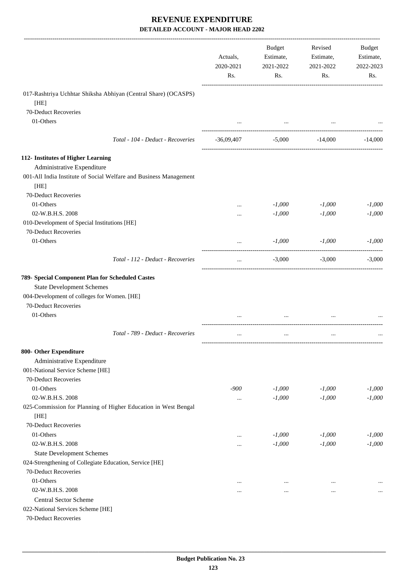|                                                                           | Actuals,<br>2020-2021<br>Rs. | <b>Budget</b><br>Estimate,<br>2021-2022<br>Rs. | Revised<br>Estimate,<br>2021-2022<br>Rs. | Budget<br>Estimate,<br>2022-2023<br>Rs. |
|---------------------------------------------------------------------------|------------------------------|------------------------------------------------|------------------------------------------|-----------------------------------------|
| 017-Rashtriya Uchhtar Shiksha Abhiyan (Central Share) (OCASPS)            |                              |                                                |                                          |                                         |
| [HE]                                                                      |                              |                                                |                                          |                                         |
| 70-Deduct Recoveries                                                      |                              |                                                |                                          |                                         |
| 01-Others                                                                 |                              | $\cdots$                                       |                                          |                                         |
| Total - 104 - Deduct - Recoveries                                         | -36,09,407                   | $-5,000$                                       | -14,000                                  | $-14,000$                               |
| 112- Institutes of Higher Learning                                        |                              |                                                |                                          |                                         |
| Administrative Expenditure                                                |                              |                                                |                                          |                                         |
| 001-All India Institute of Social Welfare and Business Management<br>[HE] |                              |                                                |                                          |                                         |
| 70-Deduct Recoveries                                                      |                              |                                                |                                          |                                         |
| 01-Others                                                                 |                              | $-1,000$                                       | $-1,000$                                 | $-1,000$                                |
| 02-W.B.H.S. 2008                                                          | $\cdots$                     | $-1,000$                                       | $-1,000$                                 | $-1,000$                                |
| 010-Development of Special Institutions [HE]                              |                              |                                                |                                          |                                         |
| 70-Deduct Recoveries                                                      |                              |                                                |                                          |                                         |
| 01-Others                                                                 | $\cdots$                     | $-1,000$                                       | $-1,000$                                 | $-1,000$                                |
| Total - 112 - Deduct - Recoveries                                         | $\cdots$                     | $-3,000$                                       | $-3,000$                                 | $-3,000$                                |
| 789- Special Component Plan for Scheduled Castes                          |                              |                                                |                                          |                                         |
| <b>State Development Schemes</b>                                          |                              |                                                |                                          |                                         |
| 004-Development of colleges for Women. [HE]                               |                              |                                                |                                          |                                         |
| 70-Deduct Recoveries                                                      |                              |                                                |                                          |                                         |
| 01-Others                                                                 |                              |                                                |                                          |                                         |
| Total - 789 - Deduct - Recoveries                                         | $\cdots$                     | $\cdots$                                       | $\cdots$                                 |                                         |
| 800- Other Expenditure                                                    |                              |                                                |                                          |                                         |
| Administrative Expenditure                                                |                              |                                                |                                          |                                         |
| 001-National Service Scheme [HE]                                          |                              |                                                |                                          |                                         |
| 70-Deduct Recoveries                                                      |                              |                                                |                                          |                                         |
| 01-Others                                                                 | $-900$                       | $-1,000$                                       | $-1,000$                                 | $-1,000$                                |
| 02-W.B.H.S. 2008                                                          |                              | $-1,000$                                       | $-1,000$                                 | $-1,000$                                |
| 025-Commission for Planning of Higher Education in West Bengal<br>[HE]    |                              |                                                |                                          |                                         |
| 70-Deduct Recoveries                                                      |                              |                                                |                                          |                                         |
| 01-Others                                                                 |                              | $-1,000$                                       | $-1,000$                                 | $-1,000$                                |
| 02-W.B.H.S. 2008                                                          |                              | $-1,000$                                       | $-1,000$                                 | $-1,000$                                |
| <b>State Development Schemes</b>                                          |                              |                                                |                                          |                                         |
| 024-Strengthening of Collegiate Education, Service [HE]                   |                              |                                                |                                          |                                         |
| 70-Deduct Recoveries                                                      |                              |                                                |                                          |                                         |
| 01-Others                                                                 | $\cdots$                     | $\cdots$                                       | $\cdots$                                 |                                         |
| 02-W.B.H.S. 2008                                                          | $\cdots$                     |                                                | $\cdots$                                 |                                         |
| Central Sector Scheme                                                     |                              |                                                |                                          |                                         |
| 022-National Services Scheme [HE]                                         |                              |                                                |                                          |                                         |
| 70-Deduct Recoveries                                                      |                              |                                                |                                          |                                         |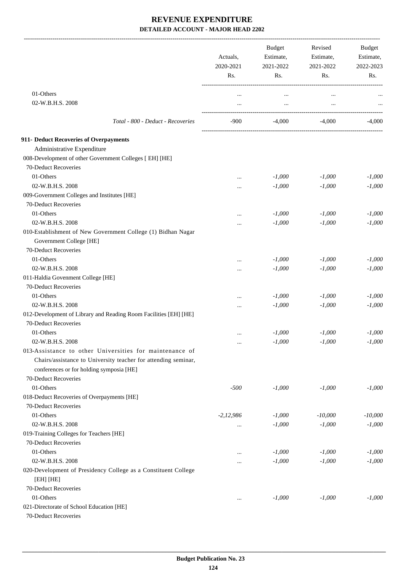|                                                                             | Actuals,<br>2020-2021<br>Rs. | <b>Budget</b><br>Estimate,<br>2021-2022<br>Rs. | Revised<br>Estimate,<br>2021-2022<br>Rs. | Budget<br>Estimate,<br>2022-2023<br>Rs. |
|-----------------------------------------------------------------------------|------------------------------|------------------------------------------------|------------------------------------------|-----------------------------------------|
|                                                                             |                              |                                                |                                          |                                         |
| 01-Others                                                                   | $\cdots$                     | $\cdots$                                       | $\cdots$                                 |                                         |
| 02-W.B.H.S. 2008                                                            | $\cdots$                     | $\cdots$                                       | $\ddotsc$                                |                                         |
| Total - 800 - Deduct - Recoveries                                           | $-900$                       | $-4.000$                                       | $-4.000$                                 | $-4,000$                                |
| 911- Deduct Recoveries of Overpayments                                      |                              |                                                |                                          |                                         |
| Administrative Expenditure                                                  |                              |                                                |                                          |                                         |
| 008-Development of other Government Colleges [ EH] [HE]                     |                              |                                                |                                          |                                         |
| 70-Deduct Recoveries                                                        |                              |                                                |                                          |                                         |
| 01-Others                                                                   |                              | $-1,000$                                       | $-1,000$                                 | $-1,000$                                |
| 02-W.B.H.S. 2008                                                            |                              | $-1,000$                                       | $-1,000$                                 | $-1,000$                                |
| 009-Government Colleges and Institutes [HE]                                 |                              |                                                |                                          |                                         |
| 70-Deduct Recoveries                                                        |                              |                                                |                                          |                                         |
| 01-Others                                                                   |                              | $-1,000$                                       | $-1,000$                                 | $-1,000$                                |
| 02-W.B.H.S. 2008                                                            | $\cdots$                     | $-1,000$                                       | $-1,000$                                 | $-1,000$                                |
| 010-Establishment of New Government College (1) Bidhan Nagar                |                              |                                                |                                          |                                         |
| Government College [HE]                                                     |                              |                                                |                                          |                                         |
| 70-Deduct Recoveries                                                        |                              |                                                |                                          |                                         |
| 01-Others                                                                   |                              |                                                |                                          |                                         |
|                                                                             |                              | $-1,000$                                       | $-1,000$                                 | $-1,000$                                |
| 02-W.B.H.S. 2008                                                            |                              | $-1,000$                                       | $-1,000$                                 | $-1,000$                                |
| 011-Haldia Govenment College [HE]                                           |                              |                                                |                                          |                                         |
| 70-Deduct Recoveries                                                        |                              |                                                |                                          |                                         |
| 01-Others                                                                   | $\cdots$                     | $-1,000$                                       | $-1,000$                                 | $-1,000$                                |
| 02-W.B.H.S. 2008                                                            |                              | $-1,000$                                       | $-1,000$                                 | $-1,000$                                |
| 012-Development of Library and Reading Room Facilities [EH] [HE]            |                              |                                                |                                          |                                         |
| 70-Deduct Recoveries                                                        |                              |                                                |                                          |                                         |
| 01-Others                                                                   |                              | $-1,000$                                       | $-1,000$                                 | $-1,000$                                |
| 02-W.B.H.S. 2008                                                            | $\cdots$                     | $-1,000$                                       | $-1,000$                                 | $-1,000$                                |
| 013-Assistance to other Universities for maintenance of                     |                              |                                                |                                          |                                         |
| Chairs/assistance to University teacher for attending seminar,              |                              |                                                |                                          |                                         |
| conferences or for holding symposia [HE]                                    |                              |                                                |                                          |                                         |
| 70-Deduct Recoveries                                                        |                              |                                                |                                          |                                         |
| 01-Others                                                                   | $-500$                       | $-1,000$                                       | $-1,000$                                 | $-1,000$                                |
| 018-Deduct Recoveries of Overpayments [HE]                                  |                              |                                                |                                          |                                         |
| 70-Deduct Recoveries                                                        |                              |                                                |                                          |                                         |
| 01-Others                                                                   | $-2, 12, 986$                | $-1,000$                                       | $-10,000$                                | $-10,000$                               |
| 02-W.B.H.S. 2008                                                            | $\cdots$                     | $-1,000$                                       | $-1,000$                                 | $-1,000$                                |
| 019-Training Colleges for Teachers [HE]                                     |                              |                                                |                                          |                                         |
| 70-Deduct Recoveries                                                        |                              |                                                |                                          |                                         |
| 01-Others                                                                   | $\cdots$                     | $-1,000$                                       | $-1,000$                                 | $-1,000$                                |
| 02-W.B.H.S. 2008                                                            |                              | $-1,000$                                       | $-1,000$                                 | $-1,000$                                |
| 020-Development of Presidency College as a Constituent College<br>[EH] [HE] |                              |                                                |                                          |                                         |
| 70-Deduct Recoveries                                                        |                              |                                                |                                          |                                         |
| 01-Others                                                                   | $\cdots$                     | $-1,000$                                       | $-1,000$                                 | $-1,000$                                |
| 021-Directorate of School Education [HE]                                    |                              |                                                |                                          |                                         |
| 70-Deduct Recoveries                                                        |                              |                                                |                                          |                                         |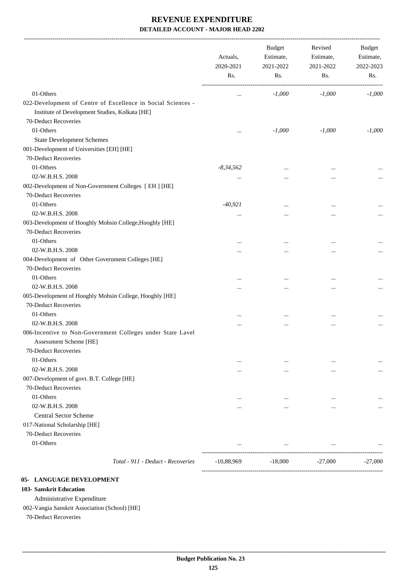|                                                                                      | Actuals,<br>2020-2021<br>Rs. | <b>Budget</b><br>Estimate,<br>2021-2022<br>Rs. | Revised<br>Estimate,<br>2021-2022<br>Rs. | Budget<br>Estimate,<br>2022-2023<br>Rs. |
|--------------------------------------------------------------------------------------|------------------------------|------------------------------------------------|------------------------------------------|-----------------------------------------|
| 01-Others                                                                            |                              | $-1,000$                                       | $-1,000$                                 | $-1,000$                                |
| 022-Development of Centre of Excellence in Social Sciences -                         |                              |                                                |                                          |                                         |
| Institute of Development Studies, Kolkata [HE]                                       |                              |                                                |                                          |                                         |
| 70-Deduct Recoveries                                                                 |                              |                                                |                                          |                                         |
| 01-Others                                                                            |                              | $-1,000$                                       | $-1,000$                                 | $-1,000$                                |
| <b>State Development Schemes</b>                                                     |                              |                                                |                                          |                                         |
| 001-Development of Universities [EH] [HE]                                            |                              |                                                |                                          |                                         |
| 70-Deduct Recoveries                                                                 |                              |                                                |                                          |                                         |
| 01-Others                                                                            | $-8,34,562$                  |                                                |                                          |                                         |
| 02-W.B.H.S. 2008                                                                     |                              |                                                | $\ddotsc$                                |                                         |
| 002-Development of Non-Government Colleges [ EH ] [HE]                               |                              |                                                |                                          |                                         |
| 70-Deduct Recoveries                                                                 |                              |                                                |                                          |                                         |
| 01-Others                                                                            | $-40,921$                    |                                                |                                          |                                         |
| 02-W.B.H.S. 2008                                                                     |                              |                                                | $\ddotsc$                                |                                         |
| 003-Development of Hooghly Mohsin College, Hooghly [HE]                              |                              |                                                |                                          |                                         |
| 70-Deduct Recoveries                                                                 |                              |                                                |                                          |                                         |
| 01-Others                                                                            |                              |                                                |                                          |                                         |
| 02-W.B.H.S. 2008                                                                     | $\cdots$                     |                                                | $\ddotsc$                                |                                         |
| 004-Development of Other Government Colleges [HE]                                    |                              |                                                |                                          |                                         |
| 70-Deduct Recoveries                                                                 |                              |                                                |                                          |                                         |
| 01-Others                                                                            |                              |                                                |                                          |                                         |
| 02-W.B.H.S. 2008                                                                     |                              |                                                | $\ddotsc$                                |                                         |
| 005-Development of Hooghly Mohsin College, Hooghly [HE]                              |                              |                                                |                                          |                                         |
| 70-Deduct Recoveries                                                                 |                              |                                                |                                          |                                         |
| 01-Others                                                                            |                              |                                                |                                          |                                         |
| 02-W.B.H.S. 2008                                                                     |                              |                                                | $\cdots$                                 |                                         |
| 006-Incentive to Non-Government Colleges under State Lavel<br>Assessment Scheme [HE] |                              |                                                |                                          |                                         |
| 70-Deduct Recoveries                                                                 |                              |                                                |                                          |                                         |
| 01-Others                                                                            |                              | $\cdots$                                       | $\cdots$                                 |                                         |
| 02-W.B.H.S. 2008                                                                     |                              | $\cdots$                                       | $\cdots$                                 |                                         |
| 007-Development of govt. B.T. College [HE]                                           |                              |                                                |                                          |                                         |
| 70-Deduct Recoveries                                                                 |                              |                                                |                                          |                                         |
| 01-Others                                                                            |                              |                                                | $\cdots$                                 |                                         |
| 02-W.B.H.S. 2008                                                                     | $\cdots$                     |                                                | $\cdots$                                 |                                         |
| <b>Central Sector Scheme</b>                                                         |                              |                                                |                                          |                                         |
| 017-National Scholarship [HE]                                                        |                              |                                                |                                          |                                         |
| 70-Deduct Recoveries                                                                 |                              |                                                |                                          |                                         |
| 01-Others                                                                            |                              | $\cdots$                                       | $\cdots$                                 |                                         |
| Total - 911 - Deduct - Recoveries                                                    | $-10,88,969$                 | $-18,000$                                      | $-27,000$                                | $-27,000$                               |

#### **05- LANGUAGE DEVELOPMENT**

#### **103- Sanskrit Education**

Administrative Expenditure

002-Vangia Sanskrit Association (School) [HE]

70-Deduct Recoveries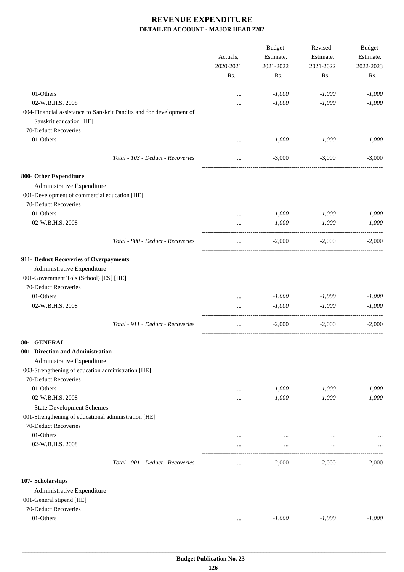|                                                                              |                                                                     | Actuals,         | <b>Budget</b><br>Estimate, | Revised<br>Estimate, | Budget<br>Estimate, |
|------------------------------------------------------------------------------|---------------------------------------------------------------------|------------------|----------------------------|----------------------|---------------------|
|                                                                              |                                                                     | 2020-2021<br>Rs. | 2021-2022<br>Rs.           | 2021-2022<br>Rs.     | 2022-2023<br>Rs.    |
| 01-Others                                                                    |                                                                     |                  | $-1,000$                   | $-1,000$             | $-1,000$            |
| 02-W.B.H.S. 2008                                                             |                                                                     | $\cdots$         | $-1,000$                   | $-1,000$             | $-1,000$            |
| Sanskrit education [HE]<br>70-Deduct Recoveries                              | 004-Financial assistance to Sanskrit Pandits and for development of |                  |                            |                      |                     |
| 01-Others                                                                    |                                                                     |                  | $-1,000$                   | $-1,000$             | $-1,000$            |
|                                                                              | Total - 103 - Deduct - Recoveries                                   | $\ldots$         | $-3,000$                   | $-3,000$             | $-3,000$            |
| 800- Other Expenditure                                                       |                                                                     |                  |                            |                      |                     |
| Administrative Expenditure                                                   |                                                                     |                  |                            |                      |                     |
| 001-Development of commercial education [HE]<br>70-Deduct Recoveries         |                                                                     |                  |                            |                      |                     |
| 01-Others                                                                    |                                                                     | $\cdots$         | $-1,000$                   | $-1,000$             | $-1,000$            |
| 02-W.B.H.S. 2008                                                             |                                                                     | $\cdots$         | $-1,000$                   | $-1,000$             | $-1,000$            |
|                                                                              | Total - 800 - Deduct - Recoveries                                   | $\cdots$         | $-2,000$                   | $-2,000$             | $-2,000$            |
| 911- Deduct Recoveries of Overpayments                                       |                                                                     |                  |                            |                      |                     |
| Administrative Expenditure                                                   |                                                                     |                  |                            |                      |                     |
| 001-Government Tols (School) [ES] [HE]                                       |                                                                     |                  |                            |                      |                     |
| 70-Deduct Recoveries                                                         |                                                                     |                  |                            |                      |                     |
| 01-Others                                                                    |                                                                     |                  | $-1,000$                   | $-1,000$             | $-1,000$            |
| 02-W.B.H.S. 2008                                                             |                                                                     |                  | $-1,000$                   | $-1,000$             | $-1,000$            |
|                                                                              | Total - 911 - Deduct - Recoveries                                   |                  | $-2,000$                   | $-2,000$             | $-2,000$            |
| 80- GENERAL                                                                  |                                                                     |                  |                            |                      |                     |
| 001- Direction and Administration                                            |                                                                     |                  |                            |                      |                     |
| Administrative Expenditure                                                   |                                                                     |                  |                            |                      |                     |
| 003-Strengthening of education administration [HE]                           |                                                                     |                  |                            |                      |                     |
| 70-Deduct Recoveries                                                         |                                                                     |                  |                            |                      |                     |
| 01-Others                                                                    |                                                                     |                  | $-1,000$                   | $-1,000$             | $-1,000$            |
| 02-W.B.H.S. 2008                                                             |                                                                     | $\cdots$         | $-1,000$                   | $-1,000$             | $-1,000$            |
| <b>State Development Schemes</b>                                             |                                                                     |                  |                            |                      |                     |
| 001-Strengthening of educational administration [HE]<br>70-Deduct Recoveries |                                                                     |                  |                            |                      |                     |
| 01-Others                                                                    |                                                                     |                  |                            |                      |                     |
| 02-W.B.H.S. 2008                                                             |                                                                     | $\cdots$         | $\ldots$<br>$\cdots$       | $\cdots$<br>$\cdots$ |                     |
|                                                                              | Total - 001 - Deduct - Recoveries                                   | $\cdots$         | $-2,000$                   | $-2,000$             | $-2,000$            |
|                                                                              |                                                                     |                  |                            |                      |                     |
| 107- Scholarships                                                            |                                                                     |                  |                            |                      |                     |
| Administrative Expenditure                                                   |                                                                     |                  |                            |                      |                     |
| 001-General stipend [HE]                                                     |                                                                     |                  |                            |                      |                     |
| 70-Deduct Recoveries                                                         |                                                                     |                  |                            |                      |                     |
| 01-Others                                                                    |                                                                     | $\cdots$         | $-1,000$                   | $-1,000$             | $-1,000$            |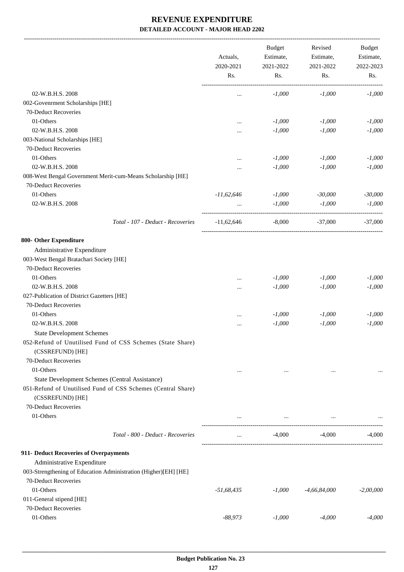-------------------------------------------------------------------------------------------------------------------------------------------------------------------------------

|                                                                                  | Actuals,<br>2020-2021<br>Rs. | <b>Budget</b><br>Estimate,<br>2021-2022<br>Rs.  | Revised<br>Estimate,<br>2021-2022<br>Rs. | <b>Budget</b><br>Estimate,<br>2022-2023<br>Rs. |
|----------------------------------------------------------------------------------|------------------------------|-------------------------------------------------|------------------------------------------|------------------------------------------------|
| 02-W.B.H.S. 2008                                                                 |                              | $-1,000$                                        | $-1,000$                                 | $-1,000$                                       |
| 002-Govenrment Scholarships [HE]                                                 | $\cdots$                     |                                                 |                                          |                                                |
| 70-Deduct Recoveries                                                             |                              |                                                 |                                          |                                                |
| 01-Others                                                                        |                              | $-1,000$                                        | $-1,000$                                 | $-1,000$                                       |
| 02-W.B.H.S. 2008                                                                 |                              | $-1,000$                                        | $-1,000$                                 | $-1,000$                                       |
| 003-National Scholarships [HE]                                                   |                              |                                                 |                                          |                                                |
| 70-Deduct Recoveries                                                             |                              |                                                 |                                          |                                                |
| 01-Others                                                                        |                              | $-1,000$                                        | $-1,000$                                 | $-1,000$                                       |
| 02-W.B.H.S. 2008                                                                 | $\cdots$                     | $-1,000$                                        | $-1,000$                                 | $-1,000$                                       |
| 008-West Bengal Government Merit-cum-Means Scholarship [HE]                      |                              |                                                 |                                          |                                                |
| 70-Deduct Recoveries                                                             |                              |                                                 |                                          |                                                |
| 01-Others                                                                        |                              | $-1,000$                                        |                                          |                                                |
| 02-W.B.H.S. 2008                                                                 | $-11,62,646$                 |                                                 | $-30,000$<br>$-1,000$                    | $-30,000$                                      |
|                                                                                  | $\cdots$                     | $-1,000$                                        |                                          | $-1,000$                                       |
| Total - 107 - Deduct - Recoveries                                                | $-11,62,646$                 | $-8,000$                                        | $-37,000$                                | $-37,000$                                      |
| 800- Other Expenditure                                                           |                              |                                                 |                                          |                                                |
| Administrative Expenditure                                                       |                              |                                                 |                                          |                                                |
| 003-West Bengal Bratachari Society [HE]                                          |                              |                                                 |                                          |                                                |
| 70-Deduct Recoveries                                                             |                              |                                                 |                                          |                                                |
| 01-Others                                                                        | $\cdots$                     | $-1,000$                                        | $-1,000$                                 | $-1,000$                                       |
| 02-W.B.H.S. 2008                                                                 | $\cdots$                     | $-1,000$                                        | $-1,000$                                 | $-1,000$                                       |
| 027-Publication of District Gazetters [HE]                                       |                              |                                                 |                                          |                                                |
| 70-Deduct Recoveries                                                             |                              |                                                 |                                          |                                                |
| 01-Others                                                                        | $\cdots$                     | $-1,000$                                        | $-1,000$                                 | $-1,000$                                       |
| 02-W.B.H.S. 2008                                                                 |                              | $-1,000$                                        | $-1,000$                                 | $-1,000$                                       |
| <b>State Development Schemes</b>                                                 |                              |                                                 |                                          |                                                |
| 052-Refund of Unutilised Fund of CSS Schemes (State Share)<br>(CSSREFUND) [HE]   |                              |                                                 |                                          |                                                |
| 70-Deduct Recoveries                                                             |                              |                                                 |                                          |                                                |
| 01-Others                                                                        | $\cdots$                     | $\cdots$                                        | $\ddotsc$                                |                                                |
| <b>State Development Schemes (Central Assistance)</b>                            |                              |                                                 |                                          |                                                |
| 051-Refund of Unutilised Fund of CSS Schemes (Central Share)<br>(CSSREFUND) [HE] |                              |                                                 |                                          |                                                |
| 70-Deduct Recoveries                                                             |                              |                                                 |                                          |                                                |
| 01-Others                                                                        | $\cdots$                     | the contract of the contract of the contract of | $\cdots$                                 |                                                |
| Total - 800 - Deduct - Recoveries                                                | $\cdots$                     | -4,000                                          | -4,000                                   | $-4,000$                                       |
| 911- Deduct Recoveries of Overpayments                                           |                              |                                                 |                                          |                                                |
| Administrative Expenditure                                                       |                              |                                                 |                                          |                                                |
| 003-Strengthening of Education Administration (Higher)[EH] [HE]                  |                              |                                                 |                                          |                                                |
| 70-Deduct Recoveries                                                             |                              |                                                 |                                          |                                                |
| 01-Others                                                                        | $-51,68,435$                 | $-1,000$                                        | $-4,66,84,000$                           | $-2,00,000$                                    |
| 011-General stipend [HE]                                                         |                              |                                                 |                                          |                                                |
| 70-Deduct Recoveries                                                             |                              |                                                 |                                          |                                                |
| 01-Others                                                                        | $-88,973$                    | $-1,000$                                        | $-4,000$                                 | $-4,000$                                       |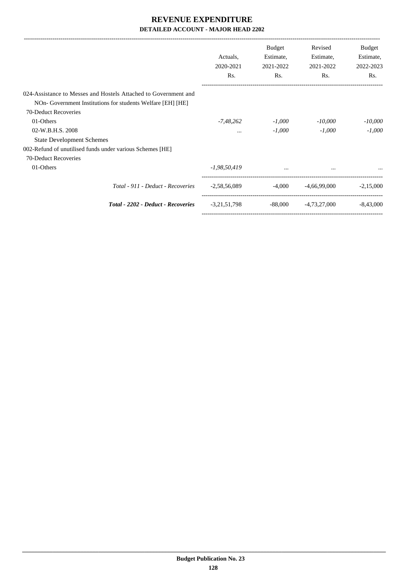|                                                                 | Actuals,<br>2020-2021<br>Rs. | <b>Budget</b><br>Estimate,<br>2021-2022<br>Rs. | Revised<br>Estimate,<br>2021-2022<br>Rs. | Budget<br>Estimate,<br>2022-2023<br>Rs. |
|-----------------------------------------------------------------|------------------------------|------------------------------------------------|------------------------------------------|-----------------------------------------|
| 024-Assistance to Messes and Hostels Attached to Government and |                              |                                                |                                          |                                         |
| NOn-Government Institutions for students Welfare [EH] [HE]      |                              |                                                |                                          |                                         |
| 70-Deduct Recoveries                                            |                              |                                                |                                          |                                         |
| 01-Others                                                       | -7,48,262                    | $-1,000$                                       | $-10,000$                                | $-10,000$                               |
| 02-W.B.H.S. 2008                                                | $\cdots$                     | $-1,000$                                       | $-1,000$                                 | $-1.000$                                |
| <b>State Development Schemes</b>                                |                              |                                                |                                          |                                         |
| 002-Refund of unutilised funds under various Schemes [HE]       |                              |                                                |                                          |                                         |
| 70-Deduct Recoveries                                            |                              |                                                |                                          |                                         |
| 01-Others                                                       | $-1,98,50,419$               |                                                |                                          |                                         |
| Total - 911 - Deduct - Recoveries                               | $-2,58,56,089$               | -4.000                                         | -4,66,99,000                             | $-2,15,000$                             |
| <b>Total - 2202 - Deduct - Recoveries</b>                       | $-3,21,51,798$               | $-88,000$                                      | -4,73,27,000                             | $-8.43,000$                             |
|                                                                 |                              |                                                |                                          |                                         |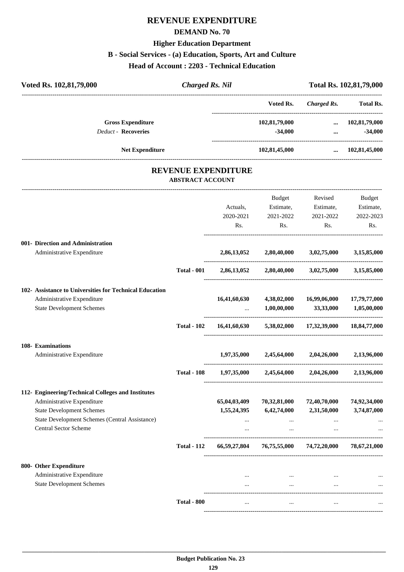# **REVENUE EXPENDITURE**

#### **DEMAND No. 70**

# **Higher Education Department**

#### **B - Social Services - (a) Education, Sports, Art and Culture**

**Head of Account : 2203 - Technical Education**

| Voted Rs. 102,81,79,000 |                                                                                |                         | <b>Charged Rs. Nil</b>     |                                                 | Total Rs. 102,81,79,000   |                                    |
|-------------------------|--------------------------------------------------------------------------------|-------------------------|----------------------------|-------------------------------------------------|---------------------------|------------------------------------|
|                         |                                                                                |                         |                            | Voted Rs.                                       |                           | Charged Rs. Total Rs.              |
|                         | <b>Gross Expenditure</b><br><b>Deduct - Recoveries</b>                         |                         |                            | 102,81,79,000<br>$-34,000$                      | $\ddotsc$                 | $\dots$ 102,81,79,000<br>$-34,000$ |
|                         | Net Expenditure                                                                |                         |                            | 102,81,45,000                                   | $\cdots$                  | 102,81,45,000                      |
|                         |                                                                                | <b>ABSTRACT ACCOUNT</b> | <b>REVENUE EXPENDITURE</b> |                                                 |                           |                                    |
|                         |                                                                                |                         |                            | Budget                                          | Revised                   | Budget                             |
|                         |                                                                                |                         | Actuals,                   |                                                 | Estimate, Estimate,       | Estimate,                          |
|                         |                                                                                |                         | 2020-2021                  | 2021-2022                                       | 2021-2022                 | 2022-2023                          |
|                         |                                                                                |                         | Rs.                        | Rs.                                             | Rs.                       | Rs.                                |
|                         | 001- Direction and Administration<br>Administrative Expenditure                |                         | 2,86,13,052                | 2,80,40,000                                     | 3,02,75,000               | 3,15,85,000                        |
|                         |                                                                                | <b>Total - 001</b>      |                            | 2,86,13,052 2,80,40,000 3,02,75,000 3,15,85,000 |                           |                                    |
|                         |                                                                                |                         |                            |                                                 |                           |                                    |
|                         | 102- Assistance to Universities for Technical Education                        |                         |                            |                                                 |                           |                                    |
|                         | Administrative Expenditure<br><b>State Development Schemes</b>                 |                         | 16,41,60,630               | 4,38,02,000<br>1,00,00,000                      | 16,99,06,000<br>33,33,000 | 17,79,77,000<br>1,05,00,000        |
|                         |                                                                                | <b>Total - 102</b>      | 16,41,60,630               |                                                 | 5,38,02,000 17,32,39,000  | 18,84,77,000                       |
|                         | 108- Examinations                                                              |                         |                            |                                                 |                           |                                    |
|                         | Administrative Expenditure                                                     |                         | 1,97,35,000                | 2,45,64,000                                     | 2,04,26,000               | 2,13,96,000                        |
|                         |                                                                                | <b>Total - 108</b>      | 1,97,35,000                | 2,45,64,000                                     | 2,04,26,000               | 2,13,96,000                        |
|                         | 112- Engineering/Technical Colleges and Institutes                             |                         |                            |                                                 |                           |                                    |
|                         | Administrative Expenditure                                                     |                         | 65,04,03,409               | 70,32,81,000                                    | 72,40,70,000              | 74,92,34,000                       |
|                         | <b>State Development Schemes</b>                                               |                         | 1,55,24,395                | 6,42,74,000                                     | 2,31,50,000               | 3,74,87,000                        |
|                         | State Development Schemes (Central Assistance)<br><b>Central Sector Scheme</b> |                         | <br>$\cdots$               | $\cdots$<br>$\cdots$                            | $\cdots$<br>$\cdots$      |                                    |
|                         |                                                                                | <b>Total - 112</b>      | 66,59,27,804               |                                                 | 76,75,55,000 74,72,20,000 | 78,67,21,000                       |
|                         | 800- Other Expenditure                                                         |                         |                            |                                                 |                           |                                    |
|                         | Administrative Expenditure                                                     |                         | $\cdots$                   | $\sim$ 100 $\mu$                                |                           |                                    |
|                         | <b>State Development Schemes</b>                                               |                         |                            | $\cdots$                                        |                           |                                    |
|                         |                                                                                | <b>Total - 800</b>      |                            | $\cdots$                                        |                           |                                    |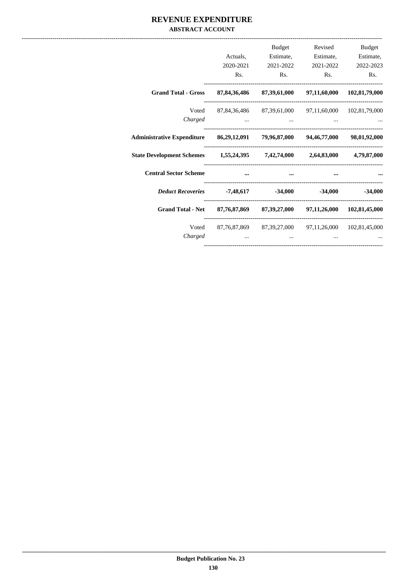#### REVENUE EXPENDITURE **ABSTRACT ACCOUNT**

|                                                                                            | Rs.                  | Budget<br>Actuals, Estimate, Estimate, Estimate,<br>2020-2021 2021-2022 2021-2022 2022-2023<br>Rs. | Rs. | Revised Budget<br>Rs. |
|--------------------------------------------------------------------------------------------|----------------------|----------------------------------------------------------------------------------------------------|-----|-----------------------|
| Grand Total - Gross 87,84,36,486 87,39,61,000 97,11,60,000 102,81,79,000                   |                      |                                                                                                    |     |                       |
| Charged                                                                                    |                      | Voted 87,84,36,486 87,39,61,000 97,11,60,000 102,81,79,000                                         |     |                       |
| Administrative Expenditure 86, 29, 12, 091 79, 96, 87, 000 94, 46, 77, 000 98, 01, 92, 000 |                      |                                                                                                    |     |                       |
| State Development Schemes 1,55,24,395 7,42,74,000 2,64,83,000 4,79,87,000                  |                      |                                                                                                    |     |                       |
| <b>Central Sector Scheme</b>                                                               | $\sim$ $\sim$ $\sim$ |                                                                                                    |     |                       |
| <i>Deduct Recoveries</i> 7,48,617 -34,000 -34,000 -34,000                                  |                      |                                                                                                    |     |                       |
| Grand Total - Net 87,76,87,869 87,39,27,000 97,11,26,000 102,81,45,000                     |                      |                                                                                                    |     |                       |
| Charged                                                                                    |                      | Voted 87,76,87,869 87,39,27,000 97,11,26,000 102,81,45,000<br>$\cdots$                             |     |                       |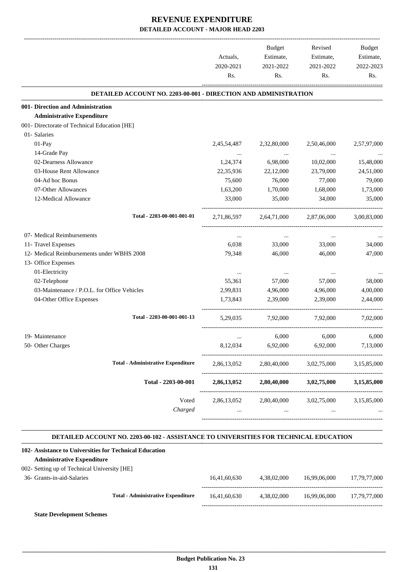|                                                                        | Actuals,<br>2020-2021 | Budget<br>Estimate,<br>2021-2022 | Revised<br>Estimate,<br>2021-2022 | Budget<br>Estimate,<br>2022-2023 |
|------------------------------------------------------------------------|-----------------------|----------------------------------|-----------------------------------|----------------------------------|
|                                                                        | Rs.                   | Rs.                              | Rs.                               | Rs.                              |
| <b>DETAILED ACCOUNT NO. 2203-00-001 - DIRECTION AND ADMINISTRATION</b> |                       |                                  |                                   |                                  |
| 001- Direction and Administration                                      |                       |                                  |                                   |                                  |
| <b>Administrative Expenditure</b>                                      |                       |                                  |                                   |                                  |
| 001- Directorate of Technical Education [HE]                           |                       |                                  |                                   |                                  |
| 01- Salaries                                                           |                       |                                  |                                   |                                  |
| 01-Pay                                                                 | 2,45,54,487           | 2,32,80,000                      | 2,50,46,000                       | 2,57,97,000                      |
| 14-Grade Pay                                                           | $\cdots$              | $\ldots$                         | $\ldots$                          |                                  |
| 02-Dearness Allowance                                                  | 1,24,374              | 6,98,000                         | 10,02,000                         | 15,48,000                        |
| 03-House Rent Allowance                                                | 22,35,936             | 22,12,000                        | 23,79,000                         | 24,51,000                        |
| 04-Ad hoc Bonus                                                        | 75,600                | 76,000                           | 77,000                            | 79,000                           |
| 07-Other Allowances                                                    | 1,63,200              | 1,70,000                         | 1,68,000                          | 1,73,000                         |
| 12-Medical Allowance                                                   | 33,000                | 35,000                           | 34,000                            | 35,000                           |
| Total - 2203-00-001-001-01                                             | 2,71,86,597           | 2,64,71,000                      | 2,87,06,000                       | 3.00.83.000                      |
| 07- Medical Reimbursements                                             | $\cdots$              | $\cdots$                         | $\cdots$                          |                                  |
| 11- Travel Expenses                                                    | 6,038                 | 33,000                           | 33,000                            | 34,000                           |
| 12- Medical Reimbursements under WBHS 2008                             | 79,348                | 46,000                           | 46,000                            | 47,000                           |
| 13- Office Expenses                                                    |                       |                                  |                                   |                                  |
| 01-Electricity                                                         | $\cdots$              | $\cdots$                         | $\cdots$                          |                                  |
| 02-Telephone                                                           | 55,361                | 57,000                           | 57,000                            | 58,000                           |
| 03-Maintenance / P.O.L. for Office Vehicles                            | 2,99,831              | 4,96,000                         | 4,96,000                          | 4,00,000                         |
| 04-Other Office Expenses                                               | 1,73,843              | 2,39,000                         | 2.39,000                          | 2,44,000                         |
| Total - 2203-00-001-001-13                                             | 5.29.035              | 7,92,000                         | 7,92,000                          | 7,02,000                         |
| 19- Maintenance                                                        | $\cdots$              | 6,000                            | 6,000                             | 6,000                            |
| 50- Other Charges                                                      | 8,12,034              | 6,92,000                         | 6,92,000                          | 7,13,000                         |
|                                                                        |                       |                                  |                                   |                                  |
| <b>Total - Administrative Expenditure</b>                              | 2,86,13,052           | 2,80,40,000                      | 3,02,75,000                       | 3,15,85,000                      |
| Total - 2203-00-001                                                    | 2,86,13,052           | 2,80,40,000                      | 3,02,75,000                       | 3,15,85,000                      |
| Voted                                                                  | 2,86,13,052           | 2,80,40,000                      | 3,02,75,000                       | 3,15,85,000                      |
| Charged                                                                | $\cdots$              | $\cdots$                         | $\cdots$                          |                                  |
|                                                                        |                       |                                  |                                   |                                  |

#### **DETAILED ACCOUNT NO. 2203-00-102 - ASSISTANCE TO UNIVERSITIES FOR TECHNICAL EDUCATION .**

.

| 102- Assistance to Universities for Technical Education |                                           |              |             |              |              |
|---------------------------------------------------------|-------------------------------------------|--------------|-------------|--------------|--------------|
| <b>Administrative Expenditure</b>                       |                                           |              |             |              |              |
| 002- Setting up of Technical University [HE]            |                                           |              |             |              |              |
| 36- Grants-in-aid-Salaries                              |                                           | 16.41.60.630 | 4.38.02.000 | 16.99.06.000 | 17.79.77.000 |
|                                                         | <b>Total - Administrative Expenditure</b> | 16.41.60.630 | 4.38.02.000 | 16.99.06.000 | 17.79.77.000 |
|                                                         |                                           |              |             |              |              |

**State Development Schemes**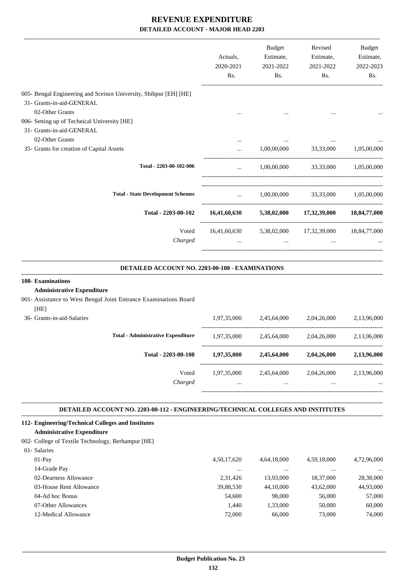|                                                                                                                                                                   | Actuals,<br>2020-2021<br>Rs. | Budget<br>Estimate,<br>2021-2022<br>Rs. | Revised<br>Estimate,<br>2021-2022<br>Rs.                       | Budget<br>Estimate,<br>2022-2023<br>Rs. |
|-------------------------------------------------------------------------------------------------------------------------------------------------------------------|------------------------------|-----------------------------------------|----------------------------------------------------------------|-----------------------------------------|
| 005- Bengal Engineering and Sceince University, Shibpur [EH] [HE]<br>31- Grants-in-aid-GENERAL<br>02-Other Grants<br>006- Setting up of Technical University [HE] |                              |                                         |                                                                |                                         |
| 31- Grants-in-aid-GENERAL<br>02-Other Grants<br>35- Grants for creation of Capital Assets                                                                         |                              |                                         | $1,00,00,000$ $33,33,000$ $1,05,00,000$                        |                                         |
| Total - 2203-00-102-006                                                                                                                                           | $\ddotsc$                    |                                         | $1,00,00,000$ $33,33,000$ $1,05,00,000$                        |                                         |
| <b>Total - State Development Schemes</b>                                                                                                                          | $\mathbf{r}$                 |                                         | $1,00,00,000$ $33,33,000$ $1,05,00,000$                        |                                         |
| Total - 2203-00-102                                                                                                                                               |                              |                                         | 16,41,60,630 5,38,02,000 17,32,39,000 18,84,77,000             |                                         |
| Voted<br>Charged                                                                                                                                                  |                              |                                         | 16,41,60,630 5,38,02,000 17,32,39,000 18,84,77,000<br>$\cdots$ |                                         |

#### **DETAILED ACCOUNT NO. 2203-00-108 - EXAMINATIONS .**

.

.

#### **108- Examinations**

#### **Administrative Expenditure**

001- Assistance to West Bengal Joint Entrance Examinations Board

| [HE]                       |                                           |             |             |             |             |
|----------------------------|-------------------------------------------|-------------|-------------|-------------|-------------|
| 36- Grants-in-aid-Salaries |                                           | 1,97,35,000 | 2,45,64,000 | 2,04,26,000 | 2,13,96,000 |
|                            | <b>Total - Administrative Expenditure</b> | 1,97,35,000 | 2,45,64,000 | 2,04,26,000 | 2,13,96,000 |
|                            | Total - 2203-00-108                       | 1,97,35,000 | 2,45,64,000 | 2,04,26,000 | 2,13,96,000 |
|                            | Voted                                     | 1,97,35,000 | 2,45,64,000 | 2,04,26,000 | 2,13,96,000 |
|                            | Charged                                   | $\cdots$    |             |             |             |
|                            |                                           |             |             |             |             |

#### **DETAILED ACCOUNT NO. 2203-00-112 - ENGINEERING/TECHNICAL COLLEGES AND INSTITUTES .**

#### **112- Engineering/Technical Colleges and Institutes**

#### **Administrative Expenditure**

#### 002- College of Textile Technology, Berhampur [HE]

| 01- Salaries            |             |             |             |             |
|-------------------------|-------------|-------------|-------------|-------------|
| $01-Pav$                | 4,50,17,620 | 4,64,18,000 | 4,59,18,000 | 4,72,96,000 |
| 14-Grade Pay            | $\cdots$    | $\cdots$    | $\cdots$    | $\cdots$    |
| 02-Dearness Allowance   | 2.31.426    | 13.93.000   | 18,37,000   | 28,38,000   |
| 03-House Rent Allowance | 39,88,530   | 44,10,000   | 43,62,000   | 44,93,000   |
| 04-Ad hoc Bonus         | 54,600      | 98,000      | 56,000      | 57,000      |
| 07-Other Allowances     | 1.440       | 1.33.000    | 50,000      | 60,000      |
| 12-Medical Allowance    | 72,000      | 66,000      | 73,000      | 74,000      |
|                         |             |             |             |             |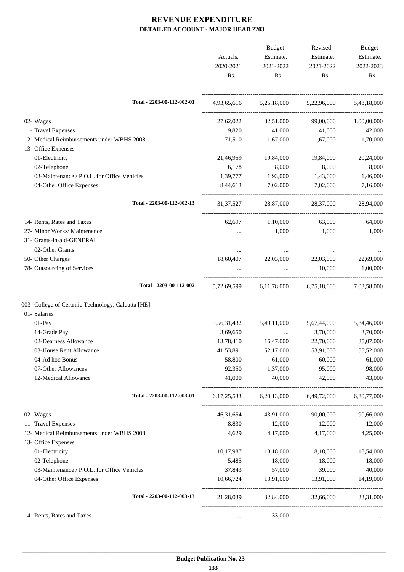|                                                   | Actuals,<br>2020-2021<br>Rs. | Budget<br>Estimate,<br>2021-2022<br>Rs. | Revised<br>Estimate,<br>2021-2022<br>Rs. | Budget<br>Estimate,<br>2022-2023<br>Rs. |
|---------------------------------------------------|------------------------------|-----------------------------------------|------------------------------------------|-----------------------------------------|
| Total - 2203-00-112-002-01                        |                              |                                         | 4,93,65,616 5,25,18,000 5,22,96,000      | 5,48,18,000                             |
| 02- Wages                                         | 27,62,022                    | 32,51,000                               | 99,00,000                                | 1,00,00,000                             |
| 11- Travel Expenses                               | 9,820                        | 41,000                                  | 41,000                                   | 42,000                                  |
| 12- Medical Reimbursements under WBHS 2008        | 71,510                       | 1,67,000                                | 1,67,000                                 | 1,70,000                                |
| 13- Office Expenses                               |                              |                                         |                                          |                                         |
| 01-Electricity                                    | 21,46,959                    | 19,84,000                               | 19,84,000                                | 20,24,000                               |
| 02-Telephone                                      | 6,178                        | 8,000                                   | 8,000                                    | 8,000                                   |
| 03-Maintenance / P.O.L. for Office Vehicles       | 1,39,777                     | 1,93,000                                | 1,43,000                                 | 1,46,000                                |
| 04-Other Office Expenses                          | 8,44,613                     | 7,02,000                                | 7,02,000                                 | 7,16,000                                |
| Total - 2203-00-112-002-13                        | 31, 37, 527                  | 28,87,000                               | 28,37,000                                | 28,94,000                               |
| 14- Rents, Rates and Taxes                        | 62,697                       | 1,10,000                                | 63,000                                   | 64,000                                  |
| 27- Minor Works/ Maintenance                      |                              | 1,000                                   | 1,000                                    | 1,000                                   |
| 31- Grants-in-aid-GENERAL                         |                              |                                         |                                          |                                         |
| 02-Other Grants                                   |                              |                                         |                                          |                                         |
| 50- Other Charges                                 | 18,60,407                    | 22,03,000                               | 22,03,000                                | 22,69,000                               |
| 78- Outsourcing of Services                       |                              | $\cdots$                                | 10,000                                   | 1,00,000                                |
| Total - 2203-00-112-002                           | 5,72,69,599                  |                                         | 6,11,78,000 6,75,18,000 7,03,58,000      |                                         |
| 003- College of Ceramic Technology, Calcutta [HE] |                              |                                         |                                          |                                         |
| 01- Salaries                                      |                              |                                         |                                          |                                         |
| 01-Pay                                            | 5,56,31,432                  | 5,49,11,000                             | 5,67,44,000                              | 5,84,46,000                             |
| 14-Grade Pay                                      | 3,69,650                     | $\cdots$                                | 3,70,000                                 | 3,70,000                                |
| 02-Dearness Allowance                             | 13,78,410                    | 16,47,000                               | 22,70,000                                | 35,07,000                               |
| 03-House Rent Allowance                           | 41,53,891                    | 52,17,000                               | 53,91,000                                | 55,52,000                               |
| 04-Ad hoc Bonus                                   | 58,800                       | 61,000                                  | 60,000                                   | 61,000                                  |
| 07-Other Allowances                               | 92,350                       | 1,37,000                                | 95,000                                   | 98,000                                  |
| 12-Medical Allowance                              | 41,000                       | 40,000                                  | 42,000                                   | 43,000                                  |
| Total - 2203-00-112-003-01                        |                              |                                         | 6,17,25,533 6,20,13,000 6,49,72,000      | 6,80,77,000                             |
| 02- Wages                                         | 46, 31, 654                  | 43,91,000                               | 90,00,000                                | 90,66,000                               |
| 11- Travel Expenses                               | 8,830                        | 12,000                                  | 12,000                                   | 12,000                                  |
| 12- Medical Reimbursements under WBHS 2008        | 4,629                        | 4,17,000                                | 4,17,000                                 | 4,25,000                                |
| 13- Office Expenses                               |                              |                                         |                                          |                                         |
| 01-Electricity                                    | 10,17,987                    | 18,18,000                               | 18,18,000                                | 18,54,000                               |
| 02-Telephone                                      | 5,485                        | 18,000                                  | 18,000                                   | 18,000                                  |
| 03-Maintenance / P.O.L. for Office Vehicles       | 37,843                       | 57,000                                  | 39,000                                   | 40,000                                  |
| 04-Other Office Expenses                          | 10,66,724                    | 13,91,000                               | 13,91,000                                | 14,19,000                               |
| Total - 2203-00-112-003-13                        | 21,28,039                    | 32,84,000                               | 32,66,000                                | 33,31,000                               |
| 14- Rents, Rates and Taxes                        | $\cdots$                     | 33,000                                  | $\cdots$                                 |                                         |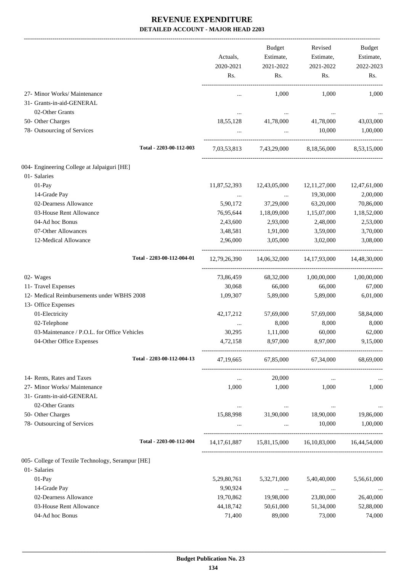|                                                   | Actuals,<br>2020-2021<br>Rs. | Budget<br>Estimate,<br>2021-2022<br>Rs. | Revised<br>Estimate,<br>2021-2022<br>Rs.            | Budget<br>Estimate,<br>2022-2023<br>Rs. |
|---------------------------------------------------|------------------------------|-----------------------------------------|-----------------------------------------------------|-----------------------------------------|
| 27- Minor Works/ Maintenance                      |                              | 1,000                                   | 1,000                                               | 1,000                                   |
| 31- Grants-in-aid-GENERAL                         |                              |                                         |                                                     |                                         |
| 02-Other Grants                                   |                              | $\cdots$                                |                                                     |                                         |
| 50- Other Charges                                 | 18,55,128                    | 41,78,000                               | 41,78,000                                           | 43,03,000                               |
| 78- Outsourcing of Services                       |                              | $\sim 10^{-10}$                         | 10,000                                              | 1,00,000                                |
| Total - 2203-00-112-003                           |                              |                                         | 7,03,53,813 7,43,29,000 8,18,56,000 8,53,15,000     |                                         |
| 004- Engineering College at Jalpaiguri [HE]       |                              |                                         |                                                     |                                         |
| 01- Salaries                                      |                              |                                         |                                                     |                                         |
| 01-Pay                                            | 11,87,52,393                 | 12,43,05,000                            | 12, 11, 27, 000                                     | 12,47,61,000                            |
| 14-Grade Pay                                      | $\cdots$                     | $\cdots$                                | 19,30,000                                           | 2,00,000                                |
| 02-Dearness Allowance                             | 5,90,172                     | 37,29,000                               | 63,20,000                                           | 70,86,000                               |
| 03-House Rent Allowance                           | 76,95,644                    | 1,18,09,000                             | 1,15,07,000                                         | 1,18,52,000                             |
| 04-Ad hoc Bonus                                   | 2,43,600                     | 2,93,000                                | 2,48,000                                            | 2,53,000                                |
| 07-Other Allowances                               | 3,48,581                     | 1,91,000                                | 3,59,000                                            | 3,70,000                                |
| 12-Medical Allowance                              | 2,96,000                     | 3,05,000                                | 3,02,000                                            | 3,08,000                                |
| Total - 2203-00-112-004-01                        |                              |                                         | 12,79,26,390 14,06,32,000 14,17,93,000              | 14,48,30,000                            |
| 02- Wages                                         | 73,86,459                    | 68,32,000                               | 1,00,00,000                                         | 1,00,00,000                             |
| 11- Travel Expenses                               | 30,068                       | 66,000                                  | 66,000                                              | 67,000                                  |
| 12- Medical Reimbursements under WBHS 2008        | 1,09,307                     | 5,89,000                                | 5,89,000                                            | 6,01,000                                |
| 13- Office Expenses                               |                              |                                         |                                                     |                                         |
| 01-Electricity                                    | 42, 17, 212                  | 57,69,000                               | 57,69,000                                           | 58,84,000                               |
| 02-Telephone                                      |                              | 8,000                                   | 8,000                                               | 8,000                                   |
| 03-Maintenance / P.O.L. for Office Vehicles       | 30,295                       | 1,11,000                                | 60,000                                              | 62,000                                  |
| 04-Other Office Expenses                          | 4,72,158                     | 8,97,000                                | 8,97,000                                            | 9,15,000                                |
| Total - 2203-00-112-004-13                        | 47, 19, 665                  |                                         | 67,85,000 67,34,000                                 | 68,69,000                               |
| 14- Rents, Rates and Taxes                        | $\cdots$                     | 20,000                                  | $\ddotsc$                                           |                                         |
| 27- Minor Works/ Maintenance                      | 1,000                        | 1,000                                   | 1,000                                               | 1,000                                   |
| 31- Grants-in-aid-GENERAL                         |                              |                                         |                                                     |                                         |
| 02-Other Grants                                   | $\cdots$                     | $\cdots$                                | $\cdots$                                            | $\cdots$                                |
| 50- Other Charges                                 | 15,88,998                    | 31,90,000                               | 18,90,000                                           | 19,86,000                               |
| 78- Outsourcing of Services                       |                              | $\cdots$                                | 10,000                                              | 1,00,000                                |
| Total - 2203-00-112-004                           |                              |                                         | 14,17,61,887 15,81,15,000 16,10,83,000 16,44,54,000 |                                         |
| 005- College of Textile Technology, Serampur [HE] |                              |                                         |                                                     |                                         |
| 01- Salaries                                      |                              |                                         |                                                     |                                         |
| 01-Pay                                            | 5,29,80,761                  | 5,32,71,000                             | 5,40,40,000                                         | 5,56,61,000                             |
| 14-Grade Pay                                      | 9,90,924                     | $\cdots$                                | $\cdots$                                            | $\cdots$                                |
| 02-Dearness Allowance                             | 19,70,862                    | 19,98,000                               | 23,80,000                                           | 26,40,000                               |
| 03-House Rent Allowance                           | 44,18,742                    | 50,61,000                               | 51,34,000                                           | 52,88,000                               |
| 04-Ad hoc Bonus                                   | 71,400                       | 89,000                                  | 73,000                                              | 74,000                                  |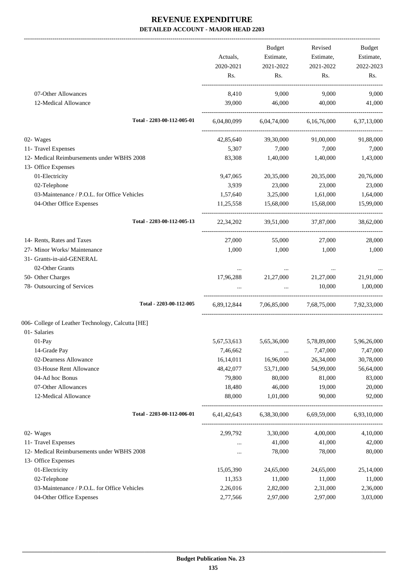-------------------------------------------------------------------------------------------------------------------------------------------------------------------------------

|                                                   |                            |             | <b>Budget</b>                                           | Revised             | <b>Budget</b> |
|---------------------------------------------------|----------------------------|-------------|---------------------------------------------------------|---------------------|---------------|
|                                                   |                            | Actuals,    | Estimate,                                               | Estimate,           | Estimate,     |
|                                                   |                            | 2020-2021   | 2021-2022                                               | 2021-2022           | 2022-2023     |
|                                                   |                            | Rs.         | Rs.                                                     | Rs.                 | Rs.           |
| 07-Other Allowances                               |                            | 8,410       | 9,000                                                   | 9,000               | 9,000         |
| 12-Medical Allowance                              |                            | 39,000      | 46,000                                                  | 40,000              | 41,000        |
|                                                   | Total - 2203-00-112-005-01 |             | $6,04,80,099$ $6,04,74,000$ $6,16,76,000$ $6,37,13,000$ |                     |               |
| 02- Wages                                         |                            | 42,85,640   | 39,30,000                                               | 91,00,000           | 91,88,000     |
| 11- Travel Expenses                               |                            | 5,307       | 7,000                                                   | 7,000               | 7,000         |
| 12- Medical Reimbursements under WBHS 2008        |                            | 83,308      | 1,40,000                                                | 1,40,000            | 1,43,000      |
| 13- Office Expenses                               |                            |             |                                                         |                     |               |
| 01-Electricity                                    |                            | 9,47,065    | 20,35,000                                               | 20,35,000           | 20,76,000     |
| 02-Telephone                                      |                            | 3,939       | 23,000                                                  | 23,000              | 23,000        |
| 03-Maintenance / P.O.L. for Office Vehicles       |                            | 1,57,640    | 3,25,000                                                | 1,61,000            | 1,64,000      |
| 04-Other Office Expenses                          |                            | 11,25,558   | 15,68,000                                               | 15,68,000           | 15,99,000     |
|                                                   | Total - 2203-00-112-005-13 | 22, 34, 202 |                                                         | 39.51.000 37.87.000 | 38,62,000     |
| 14- Rents, Rates and Taxes                        |                            | 27,000      | 55,000                                                  | 27,000              | 28,000        |
| 27- Minor Works/ Maintenance                      |                            | 1,000       | 1,000                                                   | 1,000               | 1,000         |
| 31- Grants-in-aid-GENERAL                         |                            |             |                                                         |                     |               |
| 02-Other Grants                                   |                            | $\cdots$    | $\ldots$                                                | $\cdots$            |               |
| 50- Other Charges                                 |                            | 17,96,288   | 21,27,000                                               | 21,27,000           | 21,91,000     |
| 78- Outsourcing of Services                       |                            |             | $\cdots$                                                | 10,000              | 1,00,000      |
|                                                   | Total - 2203-00-112-005    |             | 6,89,12,844 7,06,85,000 7,68,75,000 7,92,33,000         |                     |               |
| 006- College of Leather Technology, Calcutta [HE] |                            |             |                                                         |                     |               |
| 01- Salaries                                      |                            |             |                                                         |                     |               |
| 01-Pay                                            |                            | 5,67,53,613 | 5,65,36,000                                             | 5,78,89,000         | 5,96,26,000   |
| 14-Grade Pay                                      |                            | 7,46,662    | $\ldots$                                                | 7,47,000            | 7,47,000      |
| 02-Dearness Allowance                             |                            | 16,14,011   | 16,96,000                                               | 26,34,000           | 30,78,000     |
| 03-House Rent Allowance                           |                            | 48, 42, 077 | 53,71,000                                               | 54,99,000           | 56,64,000     |
| 04-Ad hoc Bonus                                   |                            | 79,800      | 80,000                                                  | 81,000              | 83,000        |
| 07-Other Allowances                               |                            | 18,480      | 46,000                                                  | 19,000              | 20,000        |
| 12-Medical Allowance                              |                            | 88,000      | 1,01,000                                                | 90,000              | 92,000        |
|                                                   | Total - 2203-00-112-006-01 | 6,41,42,643 | 6,38,30,000                                             | 6,69,59,000         | 6,93,10,000   |
| 02- Wages                                         |                            | 2,99,792    | 3,30,000                                                | 4,00,000            | 4,10,000      |
| 11- Travel Expenses                               |                            | $\ldots$    | 41,000                                                  | 41,000              | 42,000        |
| 12- Medical Reimbursements under WBHS 2008        |                            | $\cdots$    | 78,000                                                  | 78,000              | 80,000        |
| 13- Office Expenses                               |                            |             |                                                         |                     |               |
| 01-Electricity                                    |                            | 15,05,390   | 24,65,000                                               | 24,65,000           | 25,14,000     |
| 02-Telephone                                      |                            | 11,353      | 11,000                                                  | 11,000              | 11,000        |
| 03-Maintenance / P.O.L. for Office Vehicles       |                            | 2,26,016    | 2,82,000                                                | 2,31,000            | 2,36,000      |
| 04-Other Office Expenses                          |                            | 2,77,566    | 2,97,000                                                | 2,97,000            | 3,03,000      |
|                                                   |                            |             |                                                         |                     |               |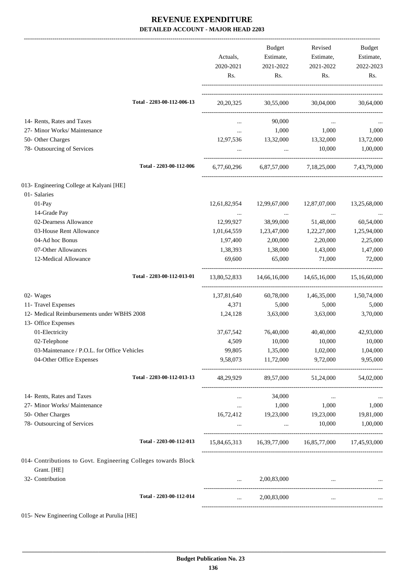|                                                                               | Actuals,<br>2020-2021<br>Rs. | Budget<br>Estimate,<br>2021-2022<br>Rs. | Revised<br>Estimate,<br>2021-2022<br>Rs.            | Budget<br>Estimate,<br>2022-2023<br>Rs. |
|-------------------------------------------------------------------------------|------------------------------|-----------------------------------------|-----------------------------------------------------|-----------------------------------------|
| Total - 2203-00-112-006-13                                                    |                              |                                         | 20,20,325 30,55,000 30,04,000 30,64,000             |                                         |
| 14- Rents, Rates and Taxes                                                    | $\cdots$                     | 90,000                                  | $\cdots$                                            |                                         |
| 27- Minor Works/ Maintenance                                                  | $\cdots$                     | 1,000                                   | 1,000                                               | 1,000                                   |
| 50- Other Charges                                                             | 12,97,536                    | 13,32,000                               | 13,32,000                                           | 13,72,000                               |
| 78- Outsourcing of Services                                                   | $\cdots$                     | $\ddots$                                | 10,000                                              | 1,00,000                                |
| Total - 2203-00-112-006                                                       | 6,77,60,296                  |                                         | 6,87,57,000 7,18,25,000 7,43,79,000                 |                                         |
| 013- Engineering College at Kalyani [HE]                                      |                              |                                         |                                                     |                                         |
| 01- Salaries                                                                  |                              |                                         |                                                     |                                         |
| 01-Pay                                                                        | 12,61,82,954                 | 12,99,67,000                            | 12,87,07,000                                        | 13,25,68,000                            |
| 14-Grade Pay                                                                  | $\ldots$                     | $\cdots$                                | $\cdots$                                            |                                         |
| 02-Dearness Allowance                                                         | 12,99,927                    | 38,99,000                               | 51,48,000                                           | 60,54,000                               |
| 03-House Rent Allowance                                                       | 1,01,64,559                  | 1,23,47,000                             | 1,22,27,000                                         | 1,25,94,000                             |
| 04-Ad hoc Bonus                                                               | 1,97,400                     | 2,00,000                                | 2,20,000                                            | 2,25,000                                |
| 07-Other Allowances                                                           | 1,38,393                     | 1,38,000                                | 1,43,000                                            | 1,47,000                                |
| 12-Medical Allowance                                                          | 69,600                       | 65,000                                  | 71,000                                              | 72,000                                  |
| Total - 2203-00-112-013-01                                                    |                              | 13,80,52,833 14,66,16,000               | 14,65,16,000                                        | 15,16,60,000                            |
| 02- Wages                                                                     | 1,37,81,640                  | 60,78,000                               | 1,46,35,000                                         | 1,50,74,000                             |
| 11- Travel Expenses                                                           | 4,371                        | 5,000                                   | 5,000                                               | 5,000                                   |
| 12- Medical Reimbursements under WBHS 2008<br>13- Office Expenses             | 1,24,128                     | 3,63,000                                | 3,63,000                                            | 3,70,000                                |
| 01-Electricity                                                                | 37, 67, 542                  | 76,40,000                               | 40,40,000                                           | 42,93,000                               |
| 02-Telephone                                                                  | 4,509                        | 10,000                                  | 10,000                                              | 10,000                                  |
| 03-Maintenance / P.O.L. for Office Vehicles                                   | 99,805                       | 1,35,000                                | 1,02,000                                            | 1,04,000                                |
| 04-Other Office Expenses                                                      | 9,58,073                     | 11,72,000                               | 9,72,000                                            | 9,95,000                                |
| Total - 2203-00-112-013-13                                                    |                              |                                         | 48,29,929 89,57,000 51,24,000 54,02,000             |                                         |
| 14- Rents, Rates and Taxes                                                    |                              | 34,000                                  |                                                     |                                         |
| 27- Minor Works/ Maintenance                                                  | $\cdots$                     | 1,000                                   | 1,000                                               | 1,000                                   |
| 50- Other Charges                                                             | 16,72,412                    | 19,23,000 19,23,000                     |                                                     | 19,81,000                               |
| 78- Outsourcing of Services                                                   | $\cdots$                     | $\cdots$                                | 10,000                                              | 1,00,000                                |
| Total - 2203-00-112-013                                                       |                              |                                         | 15,84,65,313 16,39,77,000 16,85,77,000 17,45,93,000 |                                         |
| 014- Contributions to Govt. Engineering Colleges towards Block<br>Grant. [HE] |                              |                                         |                                                     |                                         |
| 32- Contribution                                                              | $\cdots$                     | 2,00,83,000                             | $\cdots$                                            |                                         |
| Total - 2203-00-112-014                                                       | $\cdots$                     | 2,00,83,000                             | $\cdots$                                            |                                         |
|                                                                               |                              |                                         |                                                     |                                         |

015- New Engineering Colloge at Purulia [HE]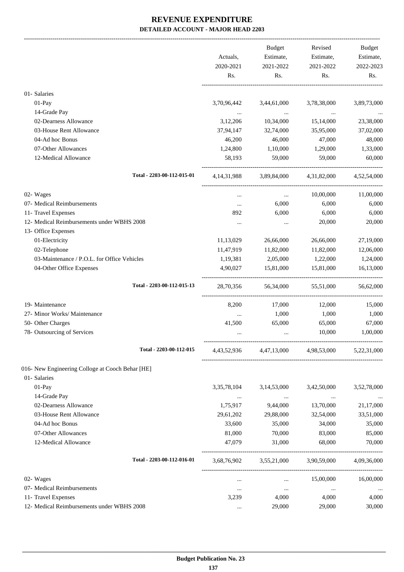-------------------------------------------------------------------------------------------------------------------------------------------------------------------------------

|                                                  | Actuals,<br>2020-2021<br>Rs. | <b>Budget</b><br>Estimate,<br>2021-2022<br>Rs. | Revised<br>Estimate,<br>2021-2022<br>Rs.        | <b>Budget</b><br>Estimate,<br>2022-2023<br>Rs. |
|--------------------------------------------------|------------------------------|------------------------------------------------|-------------------------------------------------|------------------------------------------------|
| 01- Salaries                                     |                              |                                                |                                                 |                                                |
| 01-Pay                                           | 3,70,96,442                  | 3,44,61,000                                    | 3,78,38,000                                     | 3,89,73,000                                    |
| 14-Grade Pay                                     | $\cdots$                     | $\ldots$                                       | $\cdots$                                        |                                                |
| 02-Dearness Allowance                            | 3,12,206                     | 10,34,000                                      | 15,14,000                                       | 23,38,000                                      |
| 03-House Rent Allowance                          | 37,94,147                    | 32,74,000                                      | 35,95,000                                       | 37,02,000                                      |
| 04-Ad hoc Bonus                                  | 46,200                       | 46,000                                         | 47,000                                          | 48,000                                         |
| 07-Other Allowances                              | 1,24,800                     | 1,10,000                                       | 1,29,000                                        | 1,33,000                                       |
| 12-Medical Allowance                             | 58,193                       | 59,000                                         | 59,000                                          | 60,000                                         |
| Total - 2203-00-112-015-01                       | 4, 14, 31, 988               |                                                | 3,89,84,000 4,31,82,000                         | 4,52,54,000                                    |
| 02- Wages                                        | $\cdots$                     | $\cdots$                                       | 10,00,000                                       | 11,00,000                                      |
| 07- Medical Reimbursements                       | $\ldots$                     | 6,000                                          | 6,000                                           | 6,000                                          |
| 11- Travel Expenses                              | 892                          | 6,000                                          | 6,000                                           | 6,000                                          |
| 12- Medical Reimbursements under WBHS 2008       | $\cdots$                     | $\cdots$                                       | 20,000                                          | 20,000                                         |
| 13- Office Expenses                              |                              |                                                |                                                 |                                                |
| 01-Electricity                                   | 11,13,029                    | 26,66,000                                      | 26,66,000                                       | 27,19,000                                      |
| 02-Telephone                                     | 11,47,919                    | 11,82,000                                      | 11,82,000                                       | 12,06,000                                      |
| 03-Maintenance / P.O.L. for Office Vehicles      | 1,19,381                     | 2,05,000                                       | 1,22,000                                        | 1,24,000                                       |
| 04-Other Office Expenses                         | 4,90,027                     | 15,81,000                                      | 15,81,000                                       | 16,13,000                                      |
| Total - 2203-00-112-015-13                       | 28,70,356                    |                                                | 56,34,000 55,51,000                             | 56,62,000                                      |
| 19- Maintenance                                  | 8,200                        | 17,000                                         | 12,000                                          | 15,000                                         |
| 27- Minor Works/ Maintenance                     | $\cdots$                     | 1,000                                          | 1,000                                           | 1,000                                          |
| 50- Other Charges                                | 41,500                       | 65,000                                         | 65,000                                          | 67,000                                         |
| 78- Outsourcing of Services                      |                              | $\ddotsc$                                      | 10,000                                          | 1,00,000                                       |
| Total - 2203-00-112-015                          |                              |                                                | 4,43,52,936 4,47,13,000 4,98,53,000 5,22,31,000 |                                                |
| 016- New Engineering Colloge at Cooch Behar [HE] |                              |                                                |                                                 |                                                |
| 01- Salaries                                     |                              |                                                |                                                 |                                                |
| 01-Pay                                           | 3, 35, 78, 104               | 3,14,53,000                                    | 3,42,50,000                                     | 3,52,78,000                                    |
| 14-Grade Pay                                     | $\cdots$                     | $\cdots$                                       | $\ldots$                                        |                                                |
| 02-Dearness Allowance                            | 1,75,917                     | 9,44,000                                       | 13,70,000                                       | 21,17,000                                      |
| 03-House Rent Allowance                          | 29,61,202                    | 29,88,000                                      | 32,54,000                                       | 33,51,000                                      |
| 04-Ad hoc Bonus                                  | 33,600                       | 35,000                                         | 34,000                                          | 35,000                                         |
| 07-Other Allowances                              | 81,000                       | 70,000                                         | 83,000                                          | 85,000                                         |
| 12-Medical Allowance                             | 47,079                       | 31,000                                         | 68,000                                          | 70,000                                         |
| Total - 2203-00-112-016-01                       | 3,68,76,902                  | 3,55,21,000                                    | 3,90,59,000                                     | 4,09,36,000                                    |
| 02- Wages                                        |                              |                                                | 15,00,000                                       | 16,00,000                                      |
| 07- Medical Reimbursements                       | $\cdots$                     | $\cdots$<br>$\cdots$                           | $\ldots$                                        |                                                |
| 11- Travel Expenses                              | $\cdots$<br>3,239            | 4,000                                          | 4,000                                           | 4,000                                          |
| 12- Medical Reimbursements under WBHS 2008       | $\ldots$                     | 29,000                                         | 29,000                                          | 30,000                                         |
|                                                  |                              |                                                |                                                 |                                                |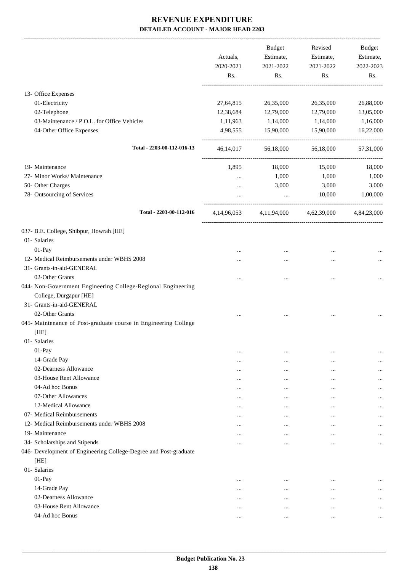|                                                                  | Actuals,<br>2020-2021 | Budget<br>Estimate,<br>2021-2022                | Revised<br>Estimate,<br>2021-2022 | Budget<br>Estimate,<br>2022-2023 |
|------------------------------------------------------------------|-----------------------|-------------------------------------------------|-----------------------------------|----------------------------------|
|                                                                  | Rs.                   | Rs.                                             | Rs.                               | Rs.                              |
| 13- Office Expenses                                              |                       |                                                 |                                   |                                  |
| 01-Electricity                                                   | 27,64,815             | 26,35,000                                       | 26,35,000                         | 26,88,000                        |
| 02-Telephone                                                     | 12,38,684             | 12,79,000                                       | 12,79,000                         | 13,05,000                        |
| 03-Maintenance / P.O.L. for Office Vehicles                      | 1,11,963              | 1,14,000                                        | 1,14,000                          | 1,16,000                         |
| 04-Other Office Expenses                                         | 4,98,555              | 15,90,000                                       | 15,90,000                         | 16,22,000                        |
| Total - 2203-00-112-016-13                                       |                       | 46,14,017 56,18,000                             | 56,18,000                         | 57,31,000                        |
|                                                                  |                       |                                                 |                                   |                                  |
| 19- Maintenance                                                  | 1,895                 | 18,000                                          | 15,000                            | 18,000                           |
| 27- Minor Works/ Maintenance                                     |                       | 1,000                                           | 1,000                             | 1,000                            |
| 50- Other Charges                                                |                       | 3,000                                           | 3,000                             | 3,000                            |
| 78- Outsourcing of Services                                      |                       | $\ddots$                                        | 10,000                            | 1,00,000                         |
| Total - 2203-00-112-016                                          |                       | 4,14,96,053 4,11,94,000 4,62,39,000 4,84,23,000 |                                   |                                  |
| 037- B.E. College, Shibpur, Howrah [HE]                          |                       |                                                 |                                   |                                  |
| 01- Salaries                                                     |                       |                                                 |                                   |                                  |
| 01-Pay                                                           |                       |                                                 |                                   |                                  |
| 12- Medical Reimbursements under WBHS 2008                       |                       |                                                 |                                   |                                  |
| 31- Grants-in-aid-GENERAL                                        |                       |                                                 |                                   |                                  |
| 02-Other Grants                                                  |                       |                                                 |                                   |                                  |
| 044- Non-Government Engineering College-Regional Engineering     |                       |                                                 |                                   |                                  |
| College, Durgapur [HE]                                           |                       |                                                 |                                   |                                  |
| 31- Grants-in-aid-GENERAL                                        |                       |                                                 |                                   |                                  |
| 02-Other Grants                                                  |                       |                                                 |                                   |                                  |
| 045- Maintenance of Post-graduate course in Engineering College  |                       |                                                 |                                   |                                  |
| [HE]                                                             |                       |                                                 |                                   |                                  |
| 01- Salaries                                                     |                       |                                                 |                                   |                                  |
| 01-Pay                                                           |                       |                                                 |                                   |                                  |
| 14-Grade Pay                                                     | $\cdots$              | $\cdots$                                        | $\cdots$                          |                                  |
| 02-Dearness Allowance                                            | $\cdots$              | $\cdots$                                        | $\cdots$                          | $\cdots$                         |
| 03-House Rent Allowance                                          | $\cdots$              |                                                 | $\cdots$                          |                                  |
| 04-Ad hoc Bonus                                                  | $\cdots$              | $\ddotsc$                                       | $\cdots$                          |                                  |
| 07-Other Allowances                                              | $\cdots$              | $\ddotsc$                                       | $\cdots$                          |                                  |
| 12-Medical Allowance                                             | $\cdots$<br>$\cdots$  | $\ddotsc$<br>                                   | $\cdots$<br>$\cdots$              | <br>$\cdots$                     |
| 07- Medical Reimbursements                                       |                       | $\ddotsc$                                       | $\cdots$                          |                                  |
| 12- Medical Reimbursements under WBHS 2008                       |                       |                                                 | $\cdots$                          | $\cdots$                         |
| 19- Maintenance                                                  | $\cdots$              | $\cdots$                                        | $\ddotsc$                         |                                  |
| 34- Scholarships and Stipends                                    |                       |                                                 | $\ddotsc$                         | $\cdots$                         |
| 046- Development of Engineering College-Degree and Post-graduate |                       |                                                 |                                   |                                  |
| [HE]                                                             |                       |                                                 |                                   |                                  |
| 01- Salaries                                                     |                       |                                                 |                                   |                                  |
| 01-Pay                                                           | $\cdots$              | $\cdots$                                        | $\cdots$                          |                                  |
| 14-Grade Pay                                                     |                       |                                                 | $\cdots$                          | $\cdots$                         |
| 02-Dearness Allowance                                            | $\cdots$              | $\cdots$                                        | $\cdots$                          | $\cdots$                         |
| 03-House Rent Allowance                                          | $\cdots$              | $\ddotsc$                                       | $\ddotsc$                         |                                  |
| 04-Ad hoc Bonus                                                  | $\cdots$              | $\cdots$                                        | $\ddotsc$                         | $\cdots$                         |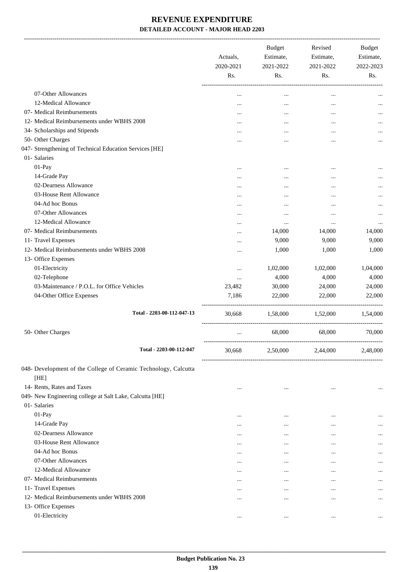-------------------------------------------------------------------------------------------------------------------------------------------------------------------------------

|                                                                         | Actuals,<br>2020-2021<br>Rs. | <b>Budget</b><br>Estimate,<br>2021-2022<br>Rs. | Revised<br>Estimate,<br>2021-2022<br>Rs. | <b>Budget</b><br>Estimate,<br>2022-2023<br>Rs. |
|-------------------------------------------------------------------------|------------------------------|------------------------------------------------|------------------------------------------|------------------------------------------------|
| 07-Other Allowances                                                     |                              | $\cdots$                                       | $\ddotsc$                                |                                                |
| 12-Medical Allowance                                                    | $\cdots$                     |                                                |                                          | $\cdots$                                       |
| 07- Medical Reimbursements                                              | $\cdots$                     |                                                |                                          | $\cdots$                                       |
| 12- Medical Reimbursements under WBHS 2008                              |                              |                                                | $\cdots$                                 | $\cdots$                                       |
| 34- Scholarships and Stipends                                           | $\cdots$                     | $\cdots$                                       |                                          | $\cdots$                                       |
| 50- Other Charges                                                       |                              | $\cdots$                                       | $\cdots$                                 | $\cdots$                                       |
| 047- Strengthening of Technical Education Services [HE]                 |                              |                                                |                                          |                                                |
| 01- Salaries                                                            |                              |                                                |                                          |                                                |
| 01-Pay                                                                  | $\cdots$                     | $\cdots$                                       | $\cdots$                                 |                                                |
| 14-Grade Pay                                                            | $\cdots$                     |                                                |                                          |                                                |
| 02-Dearness Allowance                                                   |                              | $\cdot \cdot$                                  |                                          |                                                |
| 03-House Rent Allowance                                                 |                              | $\cdots$                                       | $\cdots$                                 | $\cdots$                                       |
| 04-Ad hoc Bonus                                                         |                              | $\cdots$                                       |                                          | $\cdots$                                       |
| 07-Other Allowances                                                     |                              | $\cdots$                                       | $\cdots$                                 | $\cdots$                                       |
| 12-Medical Allowance                                                    |                              | $\cdots$                                       | $\cdots$                                 |                                                |
| 07- Medical Reimbursements                                              | $\cdots$                     | 14,000                                         | 14,000                                   | 14,000                                         |
| 11- Travel Expenses                                                     | $\cdots$                     | 9,000                                          | 9,000                                    | 9,000                                          |
| 12- Medical Reimbursements under WBHS 2008                              | $\cdots$                     | 1,000                                          | 1,000                                    | 1,000                                          |
| 13- Office Expenses                                                     |                              |                                                |                                          |                                                |
| 01-Electricity                                                          | $\cdots$                     | 1,02,000                                       | 1,02,000                                 | 1,04,000                                       |
| 02-Telephone                                                            | $\cdots$                     | 4,000                                          | 4,000                                    | 4,000                                          |
| 03-Maintenance / P.O.L. for Office Vehicles                             | 23,482                       | 30,000                                         | 24,000                                   | 24,000                                         |
| 04-Other Office Expenses                                                | 7,186                        | 22,000                                         | 22,000                                   | 22,000                                         |
| Total - 2203-00-112-047-13                                              | 30,668                       | 1,58,000                                       | 1,52,000                                 | 1,54,000                                       |
| 50- Other Charges                                                       | $\cdots$                     | 68,000                                         | ---------------------<br>68,000          | 70,000                                         |
| Total - 2203-00-112-047                                                 | 30,668                       | 2,50,000                                       | 2,44,000                                 | 2,48,000                                       |
| 048- Development of the College of Ceramic Technology, Calcutta<br>[HE] |                              |                                                |                                          |                                                |
| 14- Rents, Rates and Taxes                                              |                              |                                                |                                          |                                                |
| 049- New Engineering college at Salt Lake, Calcutta [HE]                |                              |                                                |                                          |                                                |
| 01- Salaries                                                            |                              |                                                |                                          |                                                |
| 01-Pay                                                                  | $\cdots$                     | $\cdots$                                       |                                          | $\cdots$                                       |
| 14-Grade Pay                                                            | $\cdots$                     | $\cdots$                                       |                                          |                                                |
| 02-Dearness Allowance                                                   |                              |                                                |                                          |                                                |
| 03-House Rent Allowance                                                 |                              |                                                |                                          | $\cdots$                                       |
| 04-Ad hoc Bonus                                                         |                              |                                                |                                          | $\cdots$                                       |
| 07-Other Allowances                                                     |                              |                                                |                                          | $\cdots$                                       |
| 12-Medical Allowance                                                    |                              |                                                |                                          |                                                |
| 07- Medical Reimbursements                                              | $\ddotsc$                    | $\ddotsc$                                      |                                          | $\cdots$                                       |
| 11- Travel Expenses                                                     | $\cdots$                     |                                                |                                          | $\cdots$                                       |
| 12- Medical Reimbursements under WBHS 2008                              |                              |                                                |                                          | $\ddotsc$                                      |
| 13- Office Expenses                                                     |                              |                                                |                                          |                                                |
| 01-Electricity                                                          |                              | $\cdots$                                       |                                          | $\ddotsc$                                      |
|                                                                         |                              |                                                |                                          |                                                |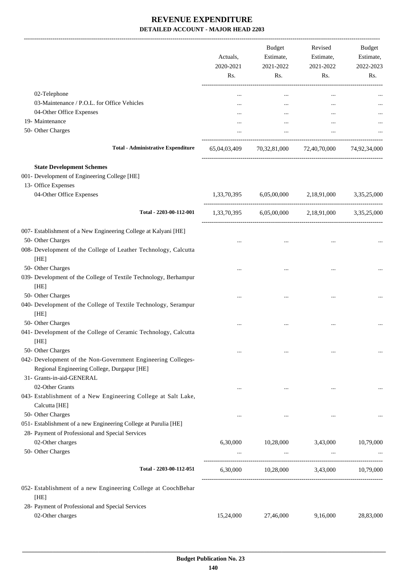|                                                                                                             | Actuals,<br>2020-2021<br>Rs. | <b>Budget</b><br>Estimate,<br>2021-2022<br>Rs. | Revised<br>Estimate,<br>2021-2022<br>Rs. | <b>Budget</b><br>Estimate,<br>2022-2023<br>Rs. |
|-------------------------------------------------------------------------------------------------------------|------------------------------|------------------------------------------------|------------------------------------------|------------------------------------------------|
| 02-Telephone                                                                                                | $\ddotsc$                    |                                                | $\cdots$                                 |                                                |
| 03-Maintenance / P.O.L. for Office Vehicles                                                                 |                              | $\cdots$                                       |                                          |                                                |
| 04-Other Office Expenses                                                                                    |                              |                                                |                                          |                                                |
| 19- Maintenance                                                                                             |                              | $\cdots$                                       |                                          |                                                |
| 50- Other Charges                                                                                           |                              |                                                | $\cdots$                                 |                                                |
| <b>Total - Administrative Expenditure</b>                                                                   |                              |                                                | 65,04,03,409 70,32,81,000 72,40,70,000   | 74,92,34,000                                   |
| <b>State Development Schemes</b>                                                                            |                              |                                                |                                          |                                                |
| 001- Development of Engineering College [HE]                                                                |                              |                                                |                                          |                                                |
| 13- Office Expenses                                                                                         |                              |                                                |                                          |                                                |
| 04-Other Office Expenses                                                                                    | 1,33,70,395                  | 6,05,00,000                                    | 2,18,91,000                              | 3,35,25,000                                    |
| Total - 2203-00-112-001                                                                                     |                              |                                                | 1,33,70,395 6,05,00,000 2,18,91,000      | 3,35,25,000                                    |
| 007- Establishment of a New Engineering College at Kalyani [HE]                                             |                              |                                                |                                          |                                                |
| 50- Other Charges                                                                                           |                              |                                                |                                          |                                                |
| 008- Development of the College of Leather Technology, Calcutta<br>[HE]                                     |                              |                                                |                                          |                                                |
| 50- Other Charges                                                                                           |                              |                                                |                                          |                                                |
| 039- Development of the College of Textile Technology, Berhampur<br>[HE]                                    |                              |                                                |                                          |                                                |
| 50- Other Charges                                                                                           |                              |                                                |                                          |                                                |
| 040- Development of the College of Textile Technology, Serampur<br>[HE]                                     |                              |                                                |                                          |                                                |
| 50- Other Charges                                                                                           |                              |                                                |                                          |                                                |
| 041- Development of the College of Ceramic Technology, Calcutta<br>[HE]                                     |                              |                                                |                                          |                                                |
| 50- Other Charges                                                                                           |                              |                                                |                                          |                                                |
| 042- Development of the Non-Government Engineering Colleges-<br>Regional Engineering College, Durgapur [HE] |                              |                                                |                                          |                                                |
| 31- Grants-in-aid-GENERAL                                                                                   |                              |                                                |                                          |                                                |
| 02-Other Grants                                                                                             |                              | $\cdots$                                       |                                          |                                                |
| 043- Establishment of a New Engineering College at Salt Lake,                                               |                              |                                                |                                          |                                                |
| Calcutta [HE]                                                                                               |                              |                                                |                                          |                                                |
| 50- Other Charges<br>051- Establishment of a new Engineering College at Purulia [HE]                        |                              |                                                |                                          |                                                |
| 28- Payment of Professional and Special Services                                                            |                              |                                                |                                          |                                                |
| 02-Other charges                                                                                            | 6,30,000                     | 10,28,000                                      | 3,43,000                                 | 10,79,000                                      |
| 50- Other Charges                                                                                           |                              | $\cdots$                                       |                                          |                                                |
| Total - 2203-00-112-051                                                                                     | 6,30,000                     | 10,28,000 3,43,000                             | .                                        | 10,79,000                                      |
| 052- Establishment of a new Engineering College at CoochBehar                                               |                              |                                                |                                          |                                                |
| [HE]                                                                                                        |                              |                                                |                                          |                                                |
| 28- Payment of Professional and Special Services                                                            |                              |                                                |                                          |                                                |
| 02-Other charges                                                                                            | 15,24,000                    | 27,46,000                                      | 9,16,000                                 | 28,83,000                                      |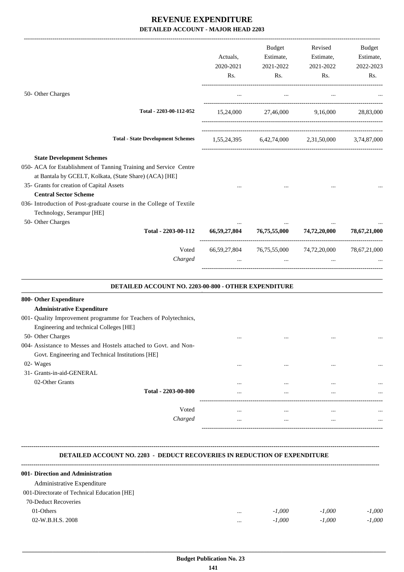|                                                                                                                                                                                                                                                                                                                                                  | <b>Budget</b><br>Actuals,<br>Estimate,<br>2020-2021<br>2021-2022<br>Rs.<br>Rs. |                                        | Revised<br>Estimate,<br>2021-2022<br>Rs.            | Budget<br>Estimate,<br>2022-2023<br>Rs. |
|--------------------------------------------------------------------------------------------------------------------------------------------------------------------------------------------------------------------------------------------------------------------------------------------------------------------------------------------------|--------------------------------------------------------------------------------|----------------------------------------|-----------------------------------------------------|-----------------------------------------|
| 50- Other Charges                                                                                                                                                                                                                                                                                                                                | $\cdots$                                                                       | $\ldots$                               | $\cdots$                                            |                                         |
| Total - 2203-00-112-052                                                                                                                                                                                                                                                                                                                          |                                                                                |                                        | 15,24,000 27,46,000 9,16,000 28,83,000              |                                         |
| <b>Total - State Development Schemes</b>                                                                                                                                                                                                                                                                                                         |                                                                                |                                        | 1,55,24,395 6,42,74,000 2,31,50,000 3,74,87,000     |                                         |
| <b>State Development Schemes</b><br>050- ACA for Establishment of Tanning Training and Service Centre<br>at Bantala by GCELT, Kolkata, (State Share) (ACA) [HE]<br>35- Grants for creation of Capital Assets<br><b>Central Sector Scheme</b><br>036- Introduction of Post-graduate course in the College of Textile<br>Technology, Serampur [HE] |                                                                                |                                        |                                                     |                                         |
| 50- Other Charges<br>Total - 2203-00-112                                                                                                                                                                                                                                                                                                         |                                                                                | 66,59,27,804 76,75,55,000 74,72,20,000 |                                                     | 78,67,21,000                            |
| Voted<br>Charged                                                                                                                                                                                                                                                                                                                                 |                                                                                | $\mathbf{r}$                           | 66,59,27,804 76,75,55,000 74,72,20,000 78,67,21,000 |                                         |
| DETAILED ACCOUNT NO. 2203-00-800 - OTHER EXPENDITURE                                                                                                                                                                                                                                                                                             |                                                                                |                                        |                                                     |                                         |
| 800- Other Expenditure<br><b>Administrative Expenditure</b><br>001- Quality Improvement programme for Teachers of Polytechnics,<br>Engineering and technical Colleges [HE]<br>50- Other Charges                                                                                                                                                  | $\cdots$                                                                       | $\cdots$                               | $\cdots$                                            |                                         |

| 004- Assistance to Messes and Hostels attached to Govt. and Non- |
|------------------------------------------------------------------|
| Govt. Engineering and Technical Institutions [HE]                |
| $\Omega$ W <sub>acco</sub>                                       |

| 31- Grants-in-aid-GENERAL |  |
|---------------------------|--|
| 02-Other Grants           |  |

| 02- Wages                 |                     | $\cdots$ | <br> |          |
|---------------------------|---------------------|----------|------|----------|
| 31- Grants-in-aid-GENERAL |                     |          |      |          |
| 02-Other Grants           |                     | $\cdots$ | <br> |          |
|                           | Total - 2203-00-800 |          | <br> | $\cdots$ |
|                           |                     |          |      |          |
|                           | Voted               | $\cdots$ | <br> | $\cdots$ |
|                           | Charged             | $\cdots$ | <br> | $\cdots$ |
|                           |                     | ----     |      |          |

#### **DETAILED ACCOUNT NO. 2203 - DEDUCT RECOVERIES IN REDUCTION OF EXPENDITURE**

**--------------------------------------------------------------------------------------------------------------------------------------------------------------------------------**

| 001- Direction and Administration           |          |          |          |          |
|---------------------------------------------|----------|----------|----------|----------|
| Administrative Expenditure                  |          |          |          |          |
| 001-Directorate of Technical Education [HE] |          |          |          |          |
| 70-Deduct Recoveries                        |          |          |          |          |
| 01-Others                                   | $\cdots$ | $-1,000$ | $-1.000$ | $-1.000$ |
| 02-W.B.H.S. 2008                            | $\cdots$ | $-1.000$ | $-1.000$ | $-1.000$ |
|                                             |          |          |          |          |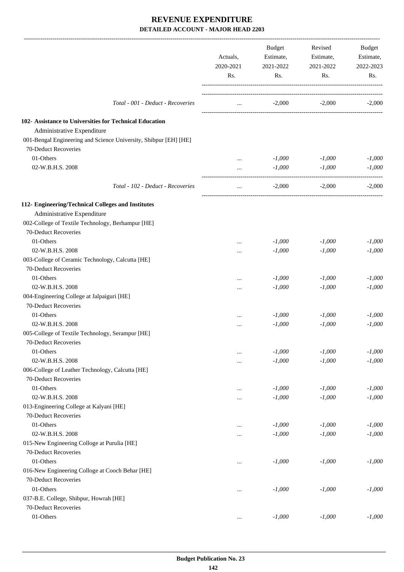|                                                                  | Actuals,<br>2020-2021<br>Rs. | Budget<br>Estimate,<br>2021-2022<br>Rs. | Revised<br>Estimate,<br>2021-2022<br>Rs. | Budget<br>Estimate,<br>2022-2023<br>Rs. |
|------------------------------------------------------------------|------------------------------|-----------------------------------------|------------------------------------------|-----------------------------------------|
| Total - 001 - Deduct - Recoveries                                | $\cdots$                     |                                         | $-2,000$ $-2,000$                        | $-2,000$                                |
| 102- Assistance to Universities for Technical Education          |                              |                                         |                                          |                                         |
| Administrative Expenditure                                       |                              |                                         |                                          |                                         |
| 001-Bengal Engineering and Science University, Shibpur [EH] [HE] |                              |                                         |                                          |                                         |
| 70-Deduct Recoveries                                             |                              |                                         |                                          |                                         |
| 01-Others                                                        | $\cdots$                     | $-1,000$                                | $-1,000$                                 | $-1,000$                                |
| 02-W.B.H.S. 2008                                                 | $\cdots$                     | $-1,000$                                | $-1,000$                                 | $-1,000$                                |
| Total - 102 - Deduct - Recoveries                                | $\cdots$                     | $-2.000$                                | $-2,000$                                 | $-2,000$                                |
| 112- Engineering/Technical Colleges and Institutes               |                              |                                         |                                          |                                         |
| Administrative Expenditure                                       |                              |                                         |                                          |                                         |
| 002-College of Textile Technology, Berhampur [HE]                |                              |                                         |                                          |                                         |
| 70-Deduct Recoveries                                             |                              |                                         |                                          |                                         |
| 01-Others                                                        |                              | $-1,000$                                | $-1,000$                                 | $-1,000$                                |
| 02-W.B.H.S. 2008                                                 |                              | $-1,000$                                | $-1,000$                                 | $-1,000$                                |
| 003-College of Ceramic Technology, Calcutta [HE]                 |                              |                                         |                                          |                                         |
| 70-Deduct Recoveries                                             |                              |                                         |                                          |                                         |
| 01-Others                                                        |                              | $-1,000$                                | $-1,000$                                 | $-1,000$                                |
| 02-W.B.H.S. 2008                                                 |                              | $-1,000$                                | $-1,000$                                 | $-1,000$                                |
| 004-Engineering College at Jalpaiguri [HE]                       |                              |                                         |                                          |                                         |
| 70-Deduct Recoveries                                             |                              |                                         |                                          |                                         |
| 01-Others                                                        |                              | $-1,000$                                | $-1,000$                                 | $-1,000$                                |
| 02-W.B.H.S. 2008                                                 |                              | $-1,000$                                | $-1,000$                                 | $-1,000$                                |
| 005-College of Textile Technology, Serampur [HE]                 |                              |                                         |                                          |                                         |
| 70-Deduct Recoveries                                             |                              |                                         |                                          |                                         |
| 01-Others                                                        |                              | $-1,000$                                | $-1,000$                                 | $-1,000$                                |
| 02-W.B.H.S. 2008                                                 |                              | $-1,000$                                | $-1,000$                                 | $-1,000$                                |
| 006-College of Leather Technology, Calcutta [HE]                 |                              |                                         |                                          |                                         |
| 70-Deduct Recoveries                                             |                              |                                         |                                          |                                         |
| 01-Others                                                        |                              | $-1,000$                                | $-1,000$                                 | $-1,000$                                |
| 02-W.B.H.S. 2008                                                 |                              | $-1,000$                                | $-1,000$                                 | $-1,000$                                |
| 013-Engineering College at Kalyani [HE]                          |                              |                                         |                                          |                                         |
| 70-Deduct Recoveries                                             |                              |                                         |                                          |                                         |
| 01-Others                                                        |                              | $-1,000$                                | $-1,000$                                 | $-1,000$                                |
| 02-W.B.H.S. 2008                                                 | $\cdots$                     | $-1,000$                                | $-1,000$                                 | $-1,000$                                |
| 015-New Engineering Colloge at Purulia [HE]                      |                              |                                         |                                          |                                         |
| 70-Deduct Recoveries                                             |                              |                                         |                                          |                                         |
| 01-Others                                                        | $\cdots$                     | $-1,000$                                | $-1,000$                                 | $-1,000$                                |
| 016-New Engineering Colloge at Cooch Behar [HE]                  |                              |                                         |                                          |                                         |
| 70-Deduct Recoveries                                             |                              |                                         |                                          |                                         |
| 01-Others                                                        | $\cdots$                     | $-1,000$                                | $-1,000$                                 | $-1,000$                                |
| 037-B.E. College, Shibpur, Howrah [HE]                           |                              |                                         |                                          |                                         |
| 70-Deduct Recoveries                                             |                              |                                         |                                          |                                         |
| 01-Others                                                        | $\cdots$                     | $-1,000$                                | $-1,000$                                 | $-1,000$                                |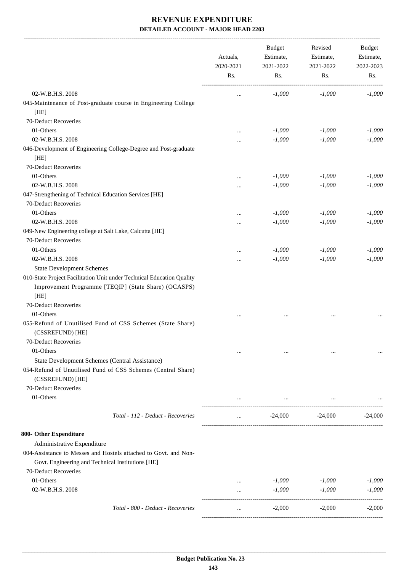-------------------------------------------------------------------------------------------------------------------------------------------------------------------------------

|                                                                                                                      | Actuals,<br>2020-2021<br>Rs. | <b>Budget</b><br>Estimate,<br>2021-2022<br>Rs. | Revised<br>Estimate,<br>2021-2022<br>Rs. | <b>Budget</b><br>Estimate,<br>2022-2023<br>Rs. |
|----------------------------------------------------------------------------------------------------------------------|------------------------------|------------------------------------------------|------------------------------------------|------------------------------------------------|
|                                                                                                                      |                              |                                                |                                          |                                                |
| 02-W.B.H.S. 2008                                                                                                     | $\cdots$                     | $-1,000$                                       | $-1,000$                                 | $-1,000$                                       |
| 045-Maintenance of Post-graduate course in Engineering College<br>[HE]                                               |                              |                                                |                                          |                                                |
| 70-Deduct Recoveries                                                                                                 |                              |                                                |                                          |                                                |
| 01-Others                                                                                                            |                              | $-1,000$                                       | $-1,000$                                 | $-1,000$                                       |
| 02-W.B.H.S. 2008                                                                                                     |                              | $-1,000$                                       | $-1,000$                                 | $-1,000$                                       |
| 046-Development of Engineering College-Degree and Post-graduate<br>[HE]                                              |                              |                                                |                                          |                                                |
| 70-Deduct Recoveries                                                                                                 |                              |                                                |                                          |                                                |
| 01-Others                                                                                                            |                              | $-1,000$                                       | $-1,000$                                 | $-1,000$                                       |
| 02-W.B.H.S. 2008                                                                                                     | $\cdots$                     | $-1,000$                                       | $-1,000$                                 | $-1,000$                                       |
| 047-Strengthening of Technical Education Services [HE]                                                               |                              |                                                |                                          |                                                |
| 70-Deduct Recoveries                                                                                                 |                              |                                                |                                          |                                                |
| 01-Others                                                                                                            |                              | $-1,000$                                       | $-1,000$                                 | $-1,000$                                       |
| 02-W.B.H.S. 2008                                                                                                     |                              | $-1,000$                                       | $-1,000$                                 | $-1,000$                                       |
| 049-New Engineering college at Salt Lake, Calcutta [HE]                                                              |                              |                                                |                                          |                                                |
| 70-Deduct Recoveries                                                                                                 |                              |                                                |                                          |                                                |
| 01-Others                                                                                                            |                              | $-1,000$                                       | $-1,000$                                 | $-1,000$                                       |
| 02-W.B.H.S. 2008                                                                                                     | $\cdots$                     | $-1,000$                                       | $-1,000$                                 | $-1,000$                                       |
| <b>State Development Schemes</b>                                                                                     |                              |                                                |                                          |                                                |
| 010-State Project Facilitation Unit under Technical Education Quality                                                |                              |                                                |                                          |                                                |
| Improvement Programme [TEQIP] (State Share) (OCASPS)                                                                 |                              |                                                |                                          |                                                |
| [HE]                                                                                                                 |                              |                                                |                                          |                                                |
| 70-Deduct Recoveries                                                                                                 |                              |                                                |                                          |                                                |
| 01-Others                                                                                                            |                              |                                                |                                          |                                                |
| 055-Refund of Unutilised Fund of CSS Schemes (State Share)<br>(CSSREFUND) [HE]                                       |                              |                                                |                                          |                                                |
| 70-Deduct Recoveries                                                                                                 |                              |                                                |                                          |                                                |
| 01-Others                                                                                                            |                              | $\ddotsc$                                      |                                          |                                                |
| State Development Schemes (Central Assistance)                                                                       |                              |                                                |                                          |                                                |
| 054-Refund of Unutilised Fund of CSS Schemes (Central Share)                                                         |                              |                                                |                                          |                                                |
| (CSSREFUND) [HE]                                                                                                     |                              |                                                |                                          |                                                |
| 70-Deduct Recoveries                                                                                                 |                              |                                                |                                          |                                                |
| 01-Others                                                                                                            |                              | $\cdots$                                       | $\ldots$                                 |                                                |
| Total - 112 - Deduct - Recoveries                                                                                    | $\cdots$                     | $-24,000$                                      | $-24,000$                                | $-24,000$                                      |
| 800- Other Expenditure                                                                                               |                              |                                                |                                          |                                                |
| Administrative Expenditure                                                                                           |                              |                                                |                                          |                                                |
| 004-Assistance to Messes and Hostels attached to Govt. and Non-<br>Govt. Engineering and Technical Institutions [HE] |                              |                                                |                                          |                                                |
| 70-Deduct Recoveries                                                                                                 |                              |                                                |                                          |                                                |
| 01-Others                                                                                                            | $\cdots$                     | $-1,000$                                       | $-1,000$                                 | $-1,000$                                       |
| 02-W.B.H.S. 2008                                                                                                     |                              | $-1,000$                                       | $-1,000$                                 | $-1,000$                                       |
| Total - 800 - Deduct - Recoveries                                                                                    |                              | $-2,000$                                       | $-2,000$                                 | $-2,000$                                       |
|                                                                                                                      |                              |                                                |                                          |                                                |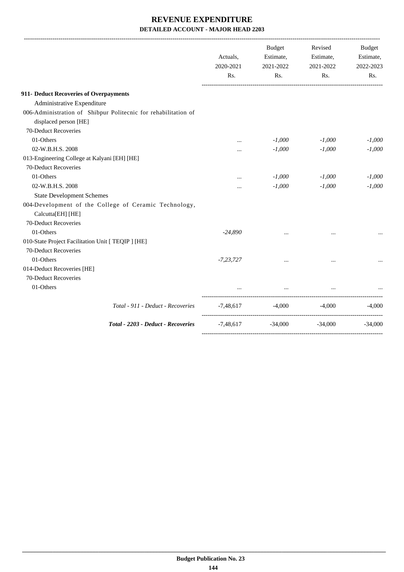|                                                                | Actuals,<br>2020-2021<br>Rs. | <b>Budget</b><br>Estimate,<br>2021-2022<br>Rs. | Revised<br>Estimate,<br>2021-2022<br>Rs. | <b>Budget</b><br>Estimate,<br>2022-2023<br>Rs. |
|----------------------------------------------------------------|------------------------------|------------------------------------------------|------------------------------------------|------------------------------------------------|
| 911- Deduct Recoveries of Overpayments                         |                              |                                                |                                          |                                                |
| Administrative Expenditure                                     |                              |                                                |                                          |                                                |
| 006-Administration of Shibpur Politecnic for rehabilitation of |                              |                                                |                                          |                                                |
| displaced person [HE]                                          |                              |                                                |                                          |                                                |
| 70-Deduct Recoveries                                           |                              |                                                |                                          |                                                |
| 01-Others                                                      | $\cdots$                     | $-1,000$                                       | $-1,000$                                 | $-1,000$                                       |
| 02-W.B.H.S. 2008                                               | $\cdots$                     | $-1,000$                                       | $-1,000$                                 | $-1,000$                                       |
| 013-Engineering College at Kalyani [EH] [HE]                   |                              |                                                |                                          |                                                |
| 70-Deduct Recoveries                                           |                              |                                                |                                          |                                                |
| 01-Others                                                      |                              | $-1,000$                                       | $-1,000$                                 | $-1,000$                                       |
| 02-W.B.H.S. 2008                                               |                              | $-1,000$                                       | $-1,000$                                 | $-1,000$                                       |
| <b>State Development Schemes</b>                               |                              |                                                |                                          |                                                |
| 004-Development of the College of Ceramic Technology,          |                              |                                                |                                          |                                                |
| Calcutta[EH] [HE]                                              |                              |                                                |                                          |                                                |
| 70-Deduct Recoveries                                           |                              |                                                |                                          |                                                |
| 01-Others                                                      | $-24,890$                    |                                                |                                          |                                                |
| 010-State Project Facilitation Unit [ TEQIP ] [HE]             |                              |                                                |                                          |                                                |
| 70-Deduct Recoveries                                           |                              |                                                |                                          |                                                |
| 01-Others                                                      | $-7,23,727$                  | $\cdots$                                       |                                          |                                                |
| 014-Deduct Recoveries [HE]                                     |                              |                                                |                                          |                                                |
| 70-Deduct Recoveries                                           |                              |                                                |                                          |                                                |
| 01-Others                                                      |                              | $\cdots$                                       |                                          |                                                |
| Total - 911 - Deduct - Recoveries                              |                              | $-7,48,617$ $-4,000$ $-4,000$                  |                                          | $-4,000$                                       |
| Total - 2203 - Deduct - Recoveries                             |                              | $-7,48,617$ $-34,000$ $-34,000$                |                                          | $-34,000$                                      |
|                                                                |                              |                                                |                                          |                                                |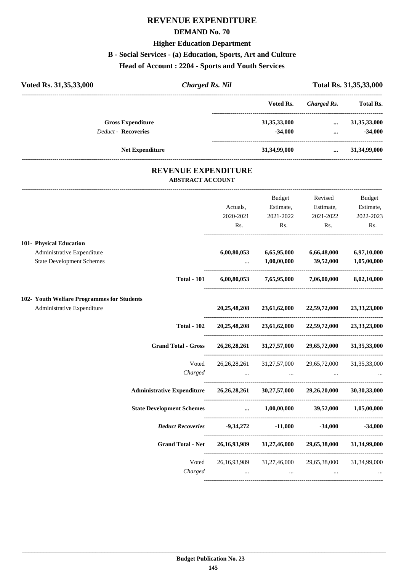# **REVENUE EXPENDITURE**

#### **DEMAND No. 70**

#### **Higher Education Department**

## **B - Social Services - (a) Education, Sports, Art and Culture**

**Head of Account : 2204 - Sports and Youth Services**

| Voted Rs. 31,35,33,000     | <b>Charged Rs. Nil</b>                                |                 | Total Rs. 31,35,33,000 |                  |  |
|----------------------------|-------------------------------------------------------|-----------------|------------------------|------------------|--|
|                            |                                                       | Voted Rs.       | Charged Rs.            | <b>Total Rs.</b> |  |
| <b>Gross Expenditure</b>   |                                                       | 31, 35, 33, 000 | $\cdots$               | 31, 35, 33, 000  |  |
| <b>Deduct - Recoveries</b> |                                                       | $-34,000$       |                        | $-34,000$        |  |
| <b>Net Expenditure</b>     |                                                       | 31,34,99,000    | $\cdots$               | 31,34,99,000     |  |
|                            | <b>REVENUE EXPENDITURE</b><br><b>ABSTRACT ACCOUNT</b> |                 |                        |                  |  |
|                            |                                                       |                 |                        |                  |  |

|                                                                                |                    |                     | <b>Budget</b>               | Revised                                                                                         | Budget      |
|--------------------------------------------------------------------------------|--------------------|---------------------|-----------------------------|-------------------------------------------------------------------------------------------------|-------------|
|                                                                                |                    | Actuals,            | Estimate,                   | Estimate,                                                                                       | Estimate,   |
|                                                                                |                    | 2020-2021           | 2021-2022                   | 2021-2022                                                                                       | 2022-2023   |
|                                                                                |                    | Rs.                 | Rs.                         | Rs.                                                                                             | Rs.         |
| 101- Physical Education                                                        |                    |                     |                             |                                                                                                 |             |
| Administrative Expenditure                                                     |                    | 6,00,80,053         |                             | 6,65,95,000 6,66,48,000                                                                         | 6,97,10,000 |
| <b>State Development Schemes</b>                                               |                    | $\cdots$ . $\cdots$ |                             | $1,00,00,000$ $39,52,000$                                                                       | 1,05,00,000 |
|                                                                                | <b>Total - 101</b> |                     |                             | $6,00,80,053$ $7,65,95,000$ $7,06,00,000$ $8,02,10,000$                                         |             |
| 102- Youth Welfare Programmes for Students                                     |                    |                     |                             |                                                                                                 |             |
| Administrative Expenditure                                                     |                    |                     |                             | 20,25,48,208 23,61,62,000 22,59,72,000 23,33,23,000                                             |             |
|                                                                                | <b>Total - 102</b> |                     |                             | 20,25,48,208 23,61,62,000 22,59,72,000 23,33,23,000                                             |             |
|                                                                                |                    |                     |                             | Grand Total - Gross 26,26,28,261 31,27,57,000 29,65,72,000 31,35,33,000                         |             |
|                                                                                | Voted              |                     |                             | 26, 26, 28, 261 31, 27, 57, 000 29, 65, 72, 000 31, 35, 33, 000                                 |             |
|                                                                                | Charged            |                     |                             | the contract of the contract of the contract of the contract of the contract of the contract of |             |
| Administrative Expenditure 26,26,28,261 30,27,57,000 29,26,20,000 30,30,33,000 |                    |                     |                             |                                                                                                 |             |
| State Development Schemes  1,00,00,000 39,52,000 1,05,00,000                   |                    |                     |                             |                                                                                                 |             |
|                                                                                |                    |                     |                             | Deduct Recoveries -9,34,272 -11,000 -34,000 -34,000                                             |             |
|                                                                                |                    |                     |                             | Grand Total - Net 26,16,93,989 31,27,46,000 29,65,38,000 31,34,99,000                           |             |
|                                                                                |                    |                     |                             | Voted 26,16,93,989 31,27,46,000 29,65,38,000 31,34,99,000                                       |             |
|                                                                                | Charged            |                     | $\sim$ $\sim$ $\sim$ $\sim$ | $\cdots$                                                                                        |             |
|                                                                                |                    |                     |                             |                                                                                                 |             |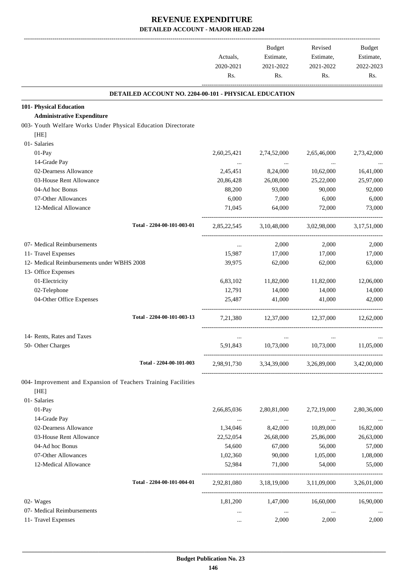-------------------------------------------------------------------------------------------------------------------------------------------------------------------------------

|                                                                | Actuals,<br>2020-2021<br>Rs. | <b>Budget</b><br>Estimate,<br>2021-2022<br>Rs. | Revised<br>Estimate,<br>2021-2022<br>Rs. | <b>Budget</b><br>Estimate,<br>2022-2023<br>Rs. |
|----------------------------------------------------------------|------------------------------|------------------------------------------------|------------------------------------------|------------------------------------------------|
| DETAILED ACCOUNT NO. 2204-00-101 - PHYSICAL EDUCATION          |                              |                                                |                                          |                                                |
| 101- Physical Education                                        |                              |                                                |                                          |                                                |
| <b>Administrative Expenditure</b>                              |                              |                                                |                                          |                                                |
| 003- Youth Welfare Works Under Physical Education Directorate  |                              |                                                |                                          |                                                |
| [HE]<br>01- Salaries                                           |                              |                                                |                                          |                                                |
| $01-Pay$                                                       | 2,60,25,421                  | 2,74,52,000                                    | 2,65,46,000                              | 2,73,42,000                                    |
| 14-Grade Pay                                                   | $\cdots$                     |                                                |                                          |                                                |
| 02-Dearness Allowance                                          | 2,45,451                     | $\ldots$<br>8,24,000                           | $\cdots$<br>10,62,000                    | 16,41,000                                      |
| 03-House Rent Allowance                                        | 20,86,428                    | 26,08,000                                      | 25,22,000                                | 25,97,000                                      |
| 04-Ad hoc Bonus                                                | 88,200                       | 93,000                                         | 90,000                                   | 92,000                                         |
| 07-Other Allowances                                            | 6,000                        | 7,000                                          | 6,000                                    | 6,000                                          |
| 12-Medical Allowance                                           | 71,045                       | 64,000                                         | 72,000                                   | 73,000                                         |
| Total - 2204-00-101-003-01                                     | 2,85,22,545                  | 3,10,48,000                                    | 3,02,98,000                              | 3,17,51,000                                    |
| 07- Medical Reimbursements                                     | $\cdots$                     | 2,000                                          | 2,000                                    | 2,000                                          |
| 11- Travel Expenses                                            | 15,987                       | 17,000                                         | 17,000                                   | 17,000                                         |
| 12- Medical Reimbursements under WBHS 2008                     | 39,975                       | 62,000                                         | 62,000                                   | 63,000                                         |
| 13- Office Expenses                                            |                              |                                                |                                          |                                                |
| 01-Electricity                                                 | 6,83,102                     | 11,82,000                                      | 11,82,000                                | 12,06,000                                      |
| 02-Telephone                                                   | 12,791                       | 14,000                                         | 14,000                                   | 14,000                                         |
| 04-Other Office Expenses                                       | 25,487                       | 41,000                                         | 41,000                                   | 42,000                                         |
| Total - 2204-00-101-003-13                                     | 7,21,380                     | 12,37,000                                      | 12,37,000                                | 12,62,000                                      |
| 14- Rents, Rates and Taxes                                     | $\cdots$                     |                                                |                                          |                                                |
| 50- Other Charges                                              | 5.91.843                     | 10,73,000                                      | 10,73,000                                | 11,05,000                                      |
| Total - 2204-00-101-003                                        | 2,98,91,730                  |                                                | 3,34,39,000 3,26,89,000                  | 3,42,00,000                                    |
| 004- Improvement and Expansion of Teachers Training Facilities |                              |                                                |                                          |                                                |
| [HE]                                                           |                              |                                                |                                          |                                                |
| 01- Salaries                                                   |                              |                                                |                                          |                                                |
| $01-Pay$                                                       | 2,66,85,036                  | 2,80,81,000                                    | 2,72,19,000                              | 2,80,36,000                                    |
| 14-Grade Pay                                                   | $\ldots$                     | $\ldots$                                       | $\ldots$                                 | $\cdots$                                       |
| 02-Dearness Allowance                                          | 1,34,046                     | 8,42,000                                       | 10,89,000                                | 16,82,000                                      |
| 03-House Rent Allowance                                        | 22,52,054                    | 26,68,000                                      | 25,86,000                                | 26,63,000                                      |
| 04-Ad hoc Bonus                                                | 54,600                       | 67,000                                         | 56,000                                   | 57,000                                         |
| 07-Other Allowances<br>12-Medical Allowance                    | 1,02,360<br>52,984           | 90,000<br>71,000                               | 1,05,000<br>54,000                       | 1,08,000<br>55,000                             |
|                                                                |                              |                                                |                                          |                                                |
| Total - 2204-00-101-004-01                                     | 2,92,81,080                  | 3,18,19,000                                    | 3,11,09,000                              | 3,26,01,000                                    |
| 02- Wages                                                      | 1,81,200                     | 1,47,000                                       | 16,60,000                                | 16,90,000                                      |
| 07- Medical Reimbursements                                     | $\cdots$                     | $\ldots$                                       | $\cdots$                                 |                                                |
| 11- Travel Expenses                                            | $\cdots$                     | 2,000                                          | 2,000                                    | 2,000                                          |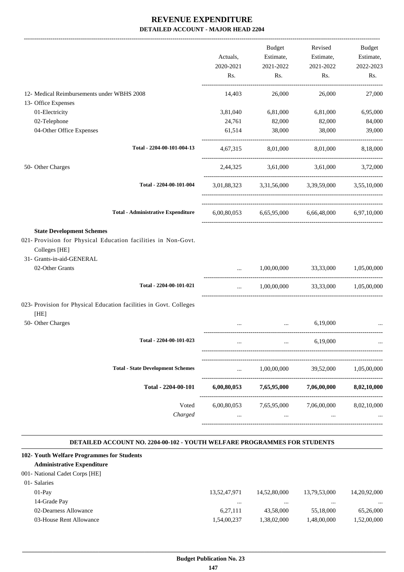|                                                                                                                                                 | 2020-2021   | 2021-2022       | Estimate,<br>Estimate,<br>2021-2022                     | Estimate,<br>2022-2023 |
|-------------------------------------------------------------------------------------------------------------------------------------------------|-------------|-----------------|---------------------------------------------------------|------------------------|
|                                                                                                                                                 | Rs.         | Rs.             | Rs.                                                     | Rs.                    |
| 12- Medical Reimbursements under WBHS 2008                                                                                                      | 14,403      | 26,000          | 26,000                                                  | 27,000                 |
| 13- Office Expenses                                                                                                                             |             |                 |                                                         |                        |
| 01-Electricity                                                                                                                                  | 3,81,040    | 6,81,000        | 6,81,000                                                | 6,95,000               |
| 02-Telephone                                                                                                                                    | 24,761      | 82,000          | 82,000                                                  | 84,000                 |
| 04-Other Office Expenses                                                                                                                        | 61,514      | 38,000          | 38,000                                                  | 39,000                 |
| Total - 2204-00-101-004-13                                                                                                                      |             |                 | 4,67,315 8,01,000 8,01,000                              | 8,18,000               |
| 50- Other Charges                                                                                                                               |             |                 | 2,44,325 3,61,000 3,61,000                              | 3,72,000               |
| Total - 2204-00-101-004                                                                                                                         |             |                 | 3,01,88,323 3,31,56,000 3,39,59,000 3,55,10,000         |                        |
| <b>Total - Administrative Expenditure</b>                                                                                                       |             |                 | $6,00,80,053$ $6,65,95,000$ $6,66,48,000$ $6,97,10,000$ |                        |
| <b>State Development Schemes</b><br>021- Provision for Physical Education facilities in Non-Govt.<br>Colleges [HE]<br>31- Grants-in-aid-GENERAL |             |                 |                                                         |                        |
| 02-Other Grants                                                                                                                                 |             |                 | 1,00,00,000 33,33,000                                   | 1,05,00,000            |
| Total - 2204-00-101-021                                                                                                                         | $\cdots$    |                 | 1,00,00,000 33,33,000 1,05,00,000                       |                        |
| 023- Provision for Physical Education facilities in Govt. Colleges<br>[HE]                                                                      |             |                 |                                                         |                        |
| 50- Other Charges                                                                                                                               |             |                 | 6,19,000<br><b>Section</b> (Section)                    |                        |
| Total - 2204-00-101-023                                                                                                                         |             |                 | 6,19,000                                                |                        |
| <b>Total - State Development Schemes</b>                                                                                                        |             | 1,00,00,000     | 39,52,000                                               | 1,05,00,000            |
| Total - 2204-00-101                                                                                                                             | 6,00,80,053 | 7,65,95,000     | 7,06,00,000                                             | 8,02,10,000            |
| Voted<br>Charged                                                                                                                                | 6,00,80,053 | 7,65,95,000<br> | 7,06,00,000<br>                                         | 8,02,10,000            |

#### **DETAILED ACCOUNT NO. 2204-00-102 - YOUTH WELFARE PROGRAMMES FOR STUDENTS .**

.

| 102- Youth Welfare Programmes for Students |              |              |              |              |
|--------------------------------------------|--------------|--------------|--------------|--------------|
| <b>Administrative Expenditure</b>          |              |              |              |              |
| 001- National Cadet Corps [HE]             |              |              |              |              |
| 01- Salaries                               |              |              |              |              |
| $01-Pav$                                   | 13,52,47,971 | 14,52,80,000 | 13,79,53,000 | 14.20.92.000 |
| 14-Grade Pay                               |              |              |              | $\cdots$     |
| 02-Dearness Allowance                      | 6,27,111     | 43,58,000    | 55,18,000    | 65,26,000    |
| 03-House Rent Allowance                    | 1,54,00,237  | 1,38,02,000  | 1,48,00,000  | 1,52,00,000  |
|                                            |              |              |              |              |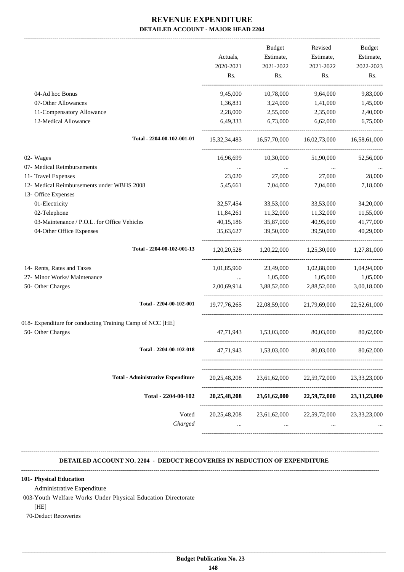|                                                           | Actuals,        | <b>Budget</b><br>Estimate, | Revised<br>Estimate,                            | Budget<br>Estimate, |
|-----------------------------------------------------------|-----------------|----------------------------|-------------------------------------------------|---------------------|
|                                                           | 2020-2021       | 2021-2022                  | 2021-2022                                       | 2022-2023           |
|                                                           | Rs.             | Rs.                        | Rs.                                             | Rs.                 |
| 04-Ad hoc Bonus                                           | 9,45,000        | 10,78,000                  | 9,64,000                                        | 9,83,000            |
| 07-Other Allowances                                       | 1,36,831        | 3,24,000                   | 1,41,000                                        | 1,45,000            |
| 11-Compensatory Allowance                                 | 2,28,000        | 2,55,000                   | 2,35,000                                        | 2,40,000            |
| 12-Medical Allowance                                      | 6,49,333        | 6,73,000                   | 6,62,000                                        | 6,75,000            |
| Total - 2204-00-102-001-01                                |                 |                            | 15,32,34,483 16,57,70,000 16,02,73,000          | 16,58,61,000        |
| 02- Wages                                                 | 16,96,699       | 10,30,000                  | 51,90,000                                       | 52,56,000           |
| 07- Medical Reimbursements                                |                 | $\cdots$                   | $\cdots$                                        |                     |
| 11- Travel Expenses                                       | 23,020          | 27,000                     | 27,000                                          | 28,000              |
| 12- Medical Reimbursements under WBHS 2008                | 5,45,661        | 7,04,000                   | 7,04,000                                        | 7,18,000            |
| 13- Office Expenses<br>01-Electricity                     | 32,57,454       | 33,53,000                  | 33,53,000                                       | 34,20,000           |
| 02-Telephone                                              | 11,84,261       | 11,32,000                  | 11,32,000                                       | 11,55,000           |
| 03-Maintenance / P.O.L. for Office Vehicles               | 40,15,186       | 35,87,000                  | 40,95,000                                       | 41,77,000           |
| 04-Other Office Expenses                                  | 35,63,627       | 39,50,000                  | 39,50,000                                       | 40,29,000           |
| Total - 2204-00-102-001-13                                |                 |                            | 1,20,20,528 1,20,22,000 1,25,30,000 1,27,81,000 |                     |
| 14- Rents, Rates and Taxes                                | 1,01,85,960     |                            | 23,49,000 1,02,88,000                           | 1,04,94,000         |
| 27- Minor Works/ Maintenance                              | $\cdots$        | 1,05,000                   | 1,05,000                                        | 1,05,000            |
| 50- Other Charges                                         |                 |                            | 2,00,69,914 3,88,52,000 2,88,52,000             | 3,00,18,000         |
| Total - 2204-00-102-001                                   | 19,77,76,265    |                            | 22,08,59,000 21,79,69,000                       | 22,52,61,000        |
| 018- Expenditure for conducting Training Camp of NCC [HE] |                 |                            |                                                 |                     |
| 50- Other Charges                                         | 47,71,943       | 1,53,03,000                | 80,03,000                                       | 80,62,000           |
| Total - 2204-00-102-018                                   | 47,71,943       | 1,53,03,000                | 80,03,000                                       | 80,62,000           |
| <b>Total - Administrative Expenditure</b>                 | 20, 25, 48, 208 | 23,61,62,000               | 22,59,72,000                                    | 23, 33, 23, 000     |
| Total - 2204-00-102                                       | 20,25,48,208    | 23,61,62,000               | 22,59,72,000                                    | 23, 33, 23, 000     |
| Voted<br>Charged                                          | 20, 25, 48, 208 | 23,61,62,000<br>$\cdots$   | 22,59,72,000<br>$\cdots$                        | 23, 33, 23, 000     |

### **DETAILED ACCOUNT NO. 2204 - DEDUCT RECOVERIES IN REDUCTION OF EXPENDITURE**

**--------------------------------------------------------------------------------------------------------------------------------------------------------------------------------**

**--------------------------------------------------------------------------------------------------------------------------------------------------------------------------------**

#### **101- Physical Education**

Administrative Expenditure

003-Youth Welfare Works Under Physical Education Directorate

[HE]

70-Deduct Recoveries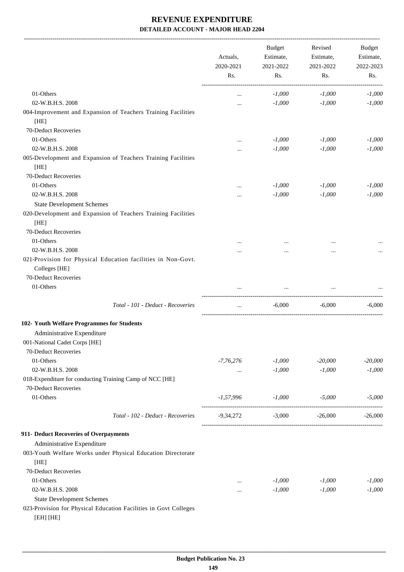-------------------------------------------------------------------------------------------------------------------------------------------------------------------------------

|                                                                               | Actuals,<br>2020-2021 | <b>Budget</b><br>Estimate,<br>2021-2022 | Revised<br>Estimate,<br>2021-2022 | <b>Budget</b><br>Estimate,<br>2022-2023 |
|-------------------------------------------------------------------------------|-----------------------|-----------------------------------------|-----------------------------------|-----------------------------------------|
|                                                                               | Rs.                   | Rs.                                     | Rs.                               | Rs.                                     |
| 01-Others                                                                     | $\cdots$              | $-1,000$                                | $-1,000$                          | $-1,000$                                |
| 02-W.B.H.S. 2008                                                              | $\cdots$              | $-1,000$                                | $-1,000$                          | $-1,000$                                |
| 004-Improvement and Expansion of Teachers Training Facilities                 |                       |                                         |                                   |                                         |
| [HE]                                                                          |                       |                                         |                                   |                                         |
| 70-Deduct Recoveries                                                          |                       |                                         |                                   |                                         |
| 01-Others                                                                     |                       | $-1,000$                                | $-1,000$                          | $-1,000$                                |
| 02-W.B.H.S. 2008                                                              |                       | $-1,000$                                | $-1,000$                          | $-1,000$                                |
| 005-Development and Expansion of Teachers Training Facilities<br>[HE]         |                       |                                         |                                   |                                         |
| 70-Deduct Recoveries                                                          |                       |                                         |                                   |                                         |
| 01-Others                                                                     |                       | $-1,000$                                | $-1,000$                          | $-1,000$                                |
| 02-W.B.H.S. 2008                                                              |                       | $-1,000$                                | $-1,000$                          | $-1,000$                                |
| <b>State Development Schemes</b>                                              |                       |                                         |                                   |                                         |
| 020-Development and Expansion of Teachers Training Facilities                 |                       |                                         |                                   |                                         |
| [HE]                                                                          |                       |                                         |                                   |                                         |
| 70-Deduct Recoveries                                                          |                       |                                         |                                   |                                         |
| 01-Others                                                                     |                       |                                         |                                   |                                         |
| 02-W.B.H.S. 2008                                                              |                       | $\cdots$                                |                                   |                                         |
| 021-Provision for Physical Education facilities in Non-Govt.<br>Colleges [HE] |                       |                                         |                                   |                                         |
| 70-Deduct Recoveries                                                          |                       |                                         |                                   |                                         |
| 01-Others                                                                     |                       |                                         |                                   |                                         |
|                                                                               |                       |                                         |                                   |                                         |
| Total - 101 - Deduct - Recoveries                                             | $\cdots$              | $-6,000$                                | -6,000                            | $-6.000$                                |
| 102- Youth Welfare Programmes for Students                                    |                       |                                         |                                   |                                         |
| Administrative Expenditure                                                    |                       |                                         |                                   |                                         |
| 001-National Cadet Corps [HE]                                                 |                       |                                         |                                   |                                         |
| 70-Deduct Recoveries                                                          |                       |                                         |                                   |                                         |
| 01-Others                                                                     | -7,76,276             | $-1,000$                                | $-20,000$                         | $-20,000$                               |
| 02-W.B.H.S. 2008                                                              | $\cdots$              | $-1,000$                                | $-1,000$                          | $-1,000$                                |
| 018-Expenditure for conducting Training Camp of NCC [HE]                      |                       |                                         |                                   |                                         |
| 70-Deduct Recoveries                                                          |                       |                                         |                                   |                                         |
| 01-Others                                                                     | -1,57,996             | $-1,000$                                | $-5,000$                          | $-5,000$                                |
| Total - 102 - Deduct - Recoveries                                             | -9,34,272             | $-3,000$                                | $-26,000$                         | $-26,000$                               |
|                                                                               |                       |                                         |                                   |                                         |
| 911- Deduct Recoveries of Overpayments                                        |                       |                                         |                                   |                                         |
| Administrative Expenditure                                                    |                       |                                         |                                   |                                         |
| 003-Youth Welfare Works under Physical Education Directorate<br>[HE]          |                       |                                         |                                   |                                         |
| 70-Deduct Recoveries                                                          |                       |                                         |                                   |                                         |
| 01-Others                                                                     | $\cdots$              | $-1,000$                                | $-1,000$                          | $-1,000$                                |
| 02-W.B.H.S. 2008                                                              |                       | $-1,000$                                | $-1,000$                          | $-1,000$                                |
| <b>State Development Schemes</b>                                              |                       |                                         |                                   |                                         |
| 023-Provision for Physical Education Facilities in Govt Colleges<br>[EH] [HE] |                       |                                         |                                   |                                         |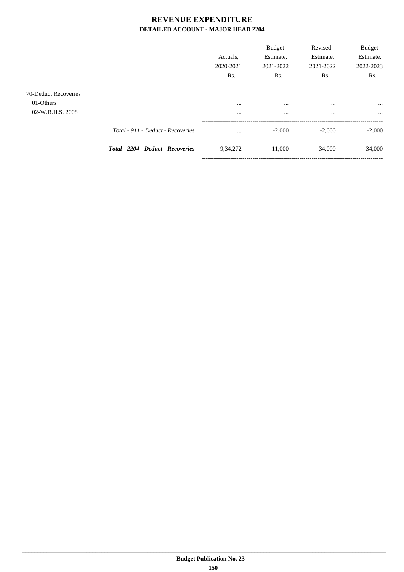|                                                       |                                           | Actuals.<br>2020-2021<br>Rs. | <b>Budget</b><br>Estimate,<br>2021-2022<br>Rs. | Revised<br>Estimate,<br>2021-2022<br>Rs. | <b>Budget</b><br>Estimate,<br>2022-2023<br>Rs. |
|-------------------------------------------------------|-------------------------------------------|------------------------------|------------------------------------------------|------------------------------------------|------------------------------------------------|
| 70-Deduct Recoveries<br>01-Others<br>02-W.B.H.S. 2008 |                                           | $\cdots$<br>$\cdots$         | $\cdots$<br>$\cdots$                           | $\cdots$<br>$\cdots$                     | $\cdots$<br>$\cdots$                           |
|                                                       | Total - 911 - Deduct - Recoveries         | $\cdots$                     | $-2,000$                                       | $-2.000$                                 | $-2,000$                                       |
|                                                       | <b>Total - 2204 - Deduct - Recoveries</b> | $-9,34,272$                  | $-11,000$                                      | $-34,000$                                | $-34,000$                                      |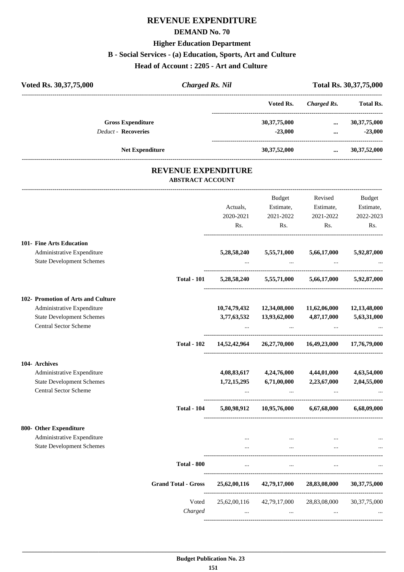## **REVENUE EXPENDITURE**

#### **DEMAND No. 70**

#### **Higher Education Department**

#### **B - Social Services - (a) Education, Sports, Art and Culture**

**Head of Account : 2205 - Art and Culture** 

| Voted Rs. 30,37,75,000           | <b>Charged Rs. Nil</b>                                |                 |                    | Total Rs. 30, 37, 75, 000 |
|----------------------------------|-------------------------------------------------------|-----------------|--------------------|---------------------------|
|                                  |                                                       | Voted Rs.       | <b>Charged Rs.</b> | <b>Total Rs.</b>          |
| <b>Gross Expenditure</b>         |                                                       | 30, 37, 75, 000 | $\ddotsc$          | 30, 37, 75, 000           |
| <b>Deduct - Recoveries</b>       |                                                       | $-23,000$       | $\cdots$           | $-23,000$                 |
| <b>Net Expenditure</b>           |                                                       | 30, 37, 52, 000 | $\cdots$           | 30, 37, 52, 000           |
|                                  | <b>REVENUE EXPENDITURE</b><br><b>ABSTRACT ACCOUNT</b> |                 |                    |                           |
|                                  |                                                       | <b>Budget</b>   | Revised            | Budget                    |
|                                  | Actuals,                                              | Estimate,       | Estimate,          | Estimate,                 |
|                                  | 2020-2021                                             | 2021-2022       | 2021-2022          | 2022-2023                 |
|                                  | Rs.                                                   | Rs.             | Rs.                | Rs.                       |
| <b>101- Fine Arts Education</b>  |                                                       |                 |                    |                           |
| Administrative Expenditure       | 5,28,58,240                                           | 5,55,71,000     | 5,66,17,000        | 5,92,87,000               |
| <b>State Development Schemes</b> | $\cdots$                                              |                 |                    |                           |

#### **102- Promotion of Arts and Culture**

| Administrative Expenditure       |                    | 10,74,79,432 | 12,34,08,000 | 11,62,06,000 | 12, 13, 48, 000 |
|----------------------------------|--------------------|--------------|--------------|--------------|-----------------|
| <b>State Development Schemes</b> |                    | 3,77,63,532  | 13,93,62,000 | 4,87,17,000  | 5,63,31,000     |
| <b>Central Sector Scheme</b>     |                    | $\cdots$     | $\cdots$     | $\cdots$     |                 |
|                                  | <b>Total - 102</b> | 14,52,42,964 | 26,27,70,000 | 16,49,23,000 | 17,76,79,000    |
| 104- Archives                    |                    |              |              |              |                 |
| Administrative Expenditure       |                    | 4,08,83,617  | 4,24,76,000  | 4,44,01,000  | 4,63,54,000     |
| <b>State Development Schemes</b> |                    | 1,72,15,295  | 6,71,00,000  | 2,23,67,000  | 2,04,55,000     |
| <b>Central Sector Scheme</b>     |                    | $\cdots$     | $\cdots$     | $\cdots$     | $\cdots$        |
|                                  | <b>Total - 104</b> | 5,80,98,912  | 10,95,76,000 | 6,67,68,000  | 6,68,09,000     |
| 800- Other Expenditure           |                    |              |              |              |                 |
| Administrative Expenditure       |                    | $\cdots$     | $\cdots$     | $\cdots$     |                 |
| <b>State Development Schemes</b> |                    | $\cdots$     | $\cdots$     | $\cdots$     | $\cdots$        |
|                                  | <b>Total - 800</b> | $\cdots$     | $\cdots$     | $\cdots$     | $\cdots$        |

| tvuu vvv                   |                          |                          |                          | $\cdots$                    |
|----------------------------|--------------------------|--------------------------|--------------------------|-----------------------------|
| <b>Grand Total - Gross</b> | 25,62,00,116             | 42,79,17,000             | 28,83,08,000             | 30, 37, 75, 000             |
| Voted<br>Charged           | 25,62,00,116<br>$\cdots$ | 42,79,17,000<br>$\cdots$ | 28,83,08,000<br>$\cdots$ | 30, 37, 75, 000<br>$\cdots$ |
|                            |                          |                          |                          |                             |

**Total - 101 5,28,58,240 5,55,71,000 5,66,17,000 5,92,87,000**

----------------------------------------------------------------------------------------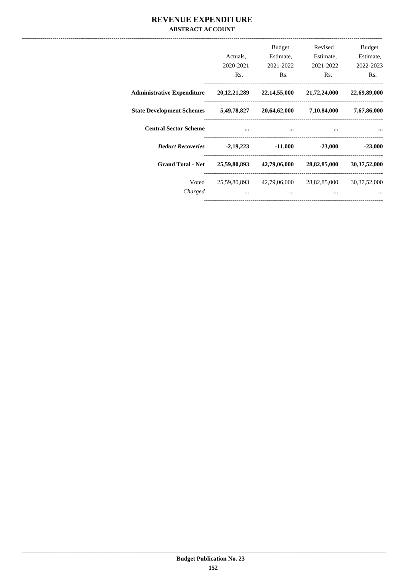### REVENUE EXPENDITURE **ABSTRACT ACCOUNT**

|                                   | Actuals,<br>2020-2021<br>Rs. | <b>Budget</b><br>Estimate,<br>2021-2022<br>Rs. | Revised<br>Estimate,<br>2021-2022<br>R <sub>s</sub> . | <b>Budget</b><br>Estimate,<br>2022-2023<br>Rs. |
|-----------------------------------|------------------------------|------------------------------------------------|-------------------------------------------------------|------------------------------------------------|
| <b>Administrative Expenditure</b> | 20, 12, 21, 289              | 22,14,55,000                                   | 21,72,24,000                                          | 22,69,89,000                                   |
| <b>State Development Schemes</b>  | 5,49,78,827                  | 20,64,62,000                                   | 7,10,84,000                                           | 7,67,86,000                                    |
| <b>Central Sector Scheme</b>      | $\cdots$                     | $\cdots$                                       | $\sim$ $\sim$                                         |                                                |
| <b>Deduct Recoveries</b>          |                              | $-2,19,223$ $-11,000$                          | $-23,000$                                             | $-23,000$                                      |
| <b>Grand Total - Net</b>          | 25,59,80,893                 | 42,79,06,000                                   | 28,82,85,000                                          | 30, 37, 52, 000                                |
| Voted<br>Charged                  | $\cdots$                     | 25,59,80,893 42,79,06,000<br>$\cdots$          | 28,82,85,000<br>$\cdots$                              | 30, 37, 52, 000                                |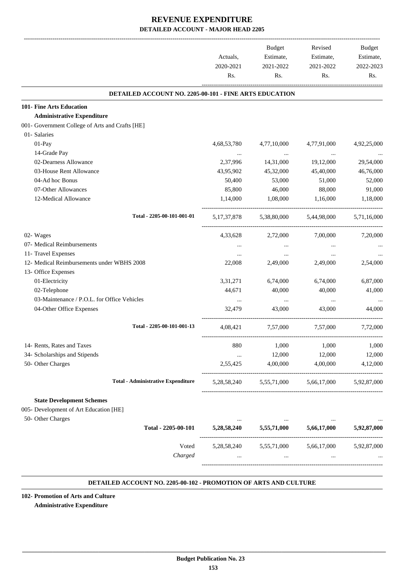|                                                               | Actuals,<br>2020-2021<br>Rs. | Budget<br>Estimate,<br>2021-2022<br>Rs. | Revised<br>Estimate,<br>2021-2022<br>Rs.        | Budget<br>Estimate,<br>2022-2023<br>Rs. |
|---------------------------------------------------------------|------------------------------|-----------------------------------------|-------------------------------------------------|-----------------------------------------|
| <b>DETAILED ACCOUNT NO. 2205-00-101 - FINE ARTS EDUCATION</b> |                              |                                         |                                                 |                                         |
| 101- Fine Arts Education                                      |                              |                                         |                                                 |                                         |
| <b>Administrative Expenditure</b>                             |                              |                                         |                                                 |                                         |
| 001- Government College of Arts and Crafts [HE]               |                              |                                         |                                                 |                                         |
| 01- Salaries                                                  |                              |                                         |                                                 |                                         |
| 01-Pay                                                        | 4,68,53,780                  | 4,77,10,000                             | 4,77,91,000                                     | 4,92,25,000                             |
| 14-Grade Pay                                                  |                              | <b>Contractor</b>                       | $\ldots$                                        |                                         |
| 02-Dearness Allowance                                         | 2,37,996                     | 14,31,000                               | 19,12,000                                       | 29,54,000                               |
| 03-House Rent Allowance                                       | 43,95,902                    | 45,32,000                               | 45,40,000                                       | 46,76,000                               |
| 04-Ad hoc Bonus                                               | 50,400                       | 53,000                                  | 51,000                                          | 52,000                                  |
| 07-Other Allowances                                           | 85,800                       | 46,000                                  | 88,000                                          | 91,000                                  |
| 12-Medical Allowance                                          | 1,14,000                     | 1,08,000                                | 1,16,000                                        | 1,18,000                                |
| Total - 2205-00-101-001-01                                    |                              |                                         | 5,17,37,878 5,38,80,000 5,44,98,000 5,71,16,000 |                                         |
| 02- Wages                                                     | 4,33,628                     | 2,72,000                                | 7,00,000                                        | 7,20,000                                |
| 07- Medical Reimbursements                                    | $\cdots$                     | $\cdots$                                | $\cdots$                                        |                                         |
| 11- Travel Expenses                                           | $\cdots$                     |                                         | $\cdots$                                        |                                         |
| 12- Medical Reimbursements under WBHS 2008                    | 22,008                       | 2,49,000                                | 2,49,000                                        | 2,54,000                                |
| 13- Office Expenses                                           |                              |                                         |                                                 |                                         |
| 01-Electricity                                                | 3, 31, 271                   | 6,74,000                                | 6,74,000                                        | 6,87,000                                |
| 02-Telephone                                                  | 44,671                       | 40,000                                  | 40,000                                          | 41,000                                  |
| 03-Maintenance / P.O.L. for Office Vehicles                   | $\cdots$                     | $\cdots$                                | $\ldots$                                        |                                         |
| 04-Other Office Expenses                                      | 32.479                       | 43,000                                  | 43,000                                          | 44,000                                  |
|                                                               |                              |                                         |                                                 |                                         |
| Total - 2205-00-101-001-13                                    | 4,08,421                     | 7,57,000                                | 7,57,000                                        | 7,72,000                                |
| 14- Rents, Rates and Taxes                                    | 880                          | 1,000                                   | 1,000                                           | 1,000                                   |
| 34- Scholarships and Stipends                                 | $\cdots$                     | 12,000                                  | 12,000                                          | 12,000                                  |
| 50- Other Charges                                             | 2,55,425                     | 4,00,000                                | 4,00,000                                        | 4,12,000                                |
| <b>Total - Administrative Expenditure</b>                     | 5,28,58,240                  | 5,55,71,000                             | 5,66,17,000                                     | 5,92,87,000                             |
| <b>State Development Schemes</b>                              |                              |                                         |                                                 |                                         |
| 005- Development of Art Education [HE]                        |                              |                                         |                                                 |                                         |
| 50- Other Charges                                             | $\cdots$                     |                                         |                                                 |                                         |
| Total - 2205-00-101                                           | 5,28,58,240                  | 5,55,71,000                             | 5,66,17,000                                     | 5,92,87,000                             |
| Voted                                                         | 5,28,58,240                  | 5,55,71,000                             | 5,66,17,000                                     | 5,92,87,000                             |
| Charged                                                       | $\cdots$                     | $\cdots$                                | $\cdots$                                        |                                         |
|                                                               |                              |                                         |                                                 |                                         |

#### **DETAILED ACCOUNT NO. 2205-00-102 - PROMOTION OF ARTS AND CULTURE .**

**102- Promotion of Arts and Culture Administrative Expenditure**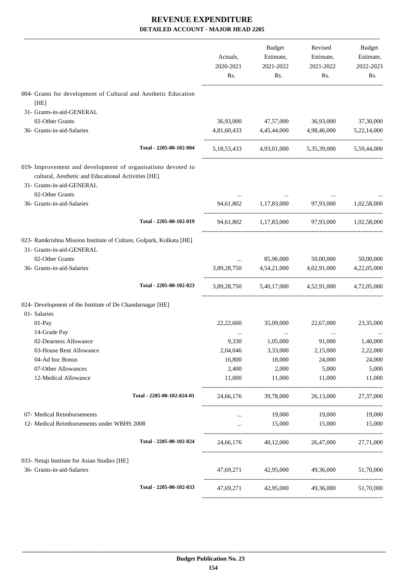|                                                                                                                                                   | Actuals,<br>2020-2021<br>Rs. | Budget<br>Estimate,<br>2021-2022<br>Rs. | Revised<br>Estimate,<br>2021-2022<br>Rs.        | Budget<br>Estimate,<br>2022-2023<br>Rs. |
|---------------------------------------------------------------------------------------------------------------------------------------------------|------------------------------|-----------------------------------------|-------------------------------------------------|-----------------------------------------|
| 004- Grants for development of Cultural and Aesthetic Education                                                                                   |                              |                                         |                                                 |                                         |
| [HE]                                                                                                                                              |                              |                                         |                                                 |                                         |
| 31- Grants-in-aid-GENERAL                                                                                                                         |                              |                                         |                                                 |                                         |
| 02-Other Grants                                                                                                                                   |                              | 36,93,000 47,57,000                     | 36,93,000                                       | 37,30,000                               |
| 36- Grants-in-aid-Salaries                                                                                                                        | 4,81,60,433                  | 4,45,44,000                             | 4,98,46,000                                     | 5,22,14,000                             |
| Total - 2205-00-102-004                                                                                                                           |                              |                                         | 5,18,53,433 4,93,01,000 5,35,39,000 5,59,44,000 |                                         |
| 019- Improvement and development of organisations devoted to<br>cultural, Aesthetic and Educational Activities [HE]<br>31- Grants-in-aid-GENERAL  |                              |                                         |                                                 |                                         |
| 02-Other Grants<br>36- Grants-in-aid-Salaries                                                                                                     | 94,61,802                    | 1,17,83,000                             | 97,93,000                                       | 1.02.58,000                             |
| Total - 2205-00-102-019                                                                                                                           |                              |                                         | 94,61,802 1,17,83,000 97,93,000 1,02,58,000     |                                         |
| 023- Ramkrishna Mission Institute of Culture, Golpark, Kolkata [HE]<br>31- Grants-in-aid-GENERAL<br>02-Other Grants<br>36- Grants-in-aid-Salaries | $\cdots$<br>3,89,28,750      | 85,96,000<br>4,54,21,000                | 50,00,000<br>4,02,91,000                        | 50,00,000<br>4,22,05,000                |
| Total - 2205-00-102-023                                                                                                                           |                              |                                         | 3,89,28,750 5,40,17,000 4,52,91,000 4,72,05,000 |                                         |
| 024- Development of the Institute of De Chandarnagar [HE]<br>01- Salaries                                                                         |                              |                                         |                                                 |                                         |
| 01-Pay                                                                                                                                            | 22,22,600                    | 35,09,000                               | 22,67,000                                       | 23,35,000                               |
| 14-Grade Pay                                                                                                                                      |                              |                                         | $\cdots$                                        |                                         |
| 02-Dearness Allowance                                                                                                                             | 9,330                        | 1,05,000                                | 91,000                                          | 1,40,000                                |
| 03-House Rent Allowance                                                                                                                           | 2,04,046                     | 3,33,000                                | 2,15,000                                        | 2,22,000                                |
| 04-Ad hoc Bonus                                                                                                                                   | 16,800                       | 18,000                                  | 24,000                                          | 24,000                                  |
| 07-Other Allowances                                                                                                                               | 2,400                        | 2,000                                   | 5,000                                           | 5,000                                   |
| 12-Medical Allowance                                                                                                                              | 11,000                       | 11,000                                  | 11,000                                          | 11,000                                  |
| Total - 2205-00-102-024-01                                                                                                                        |                              |                                         | 24,66,176 39,78,000 26,13,000                   | 27,37,000                               |
| 07- Medical Reimbursements                                                                                                                        | $\cdots$                     |                                         | 19,000 19,000                                   | 19,000                                  |
| 12- Medical Reimbursements under WBHS 2008                                                                                                        | $\cdots$                     |                                         | 15,000 15,000 15,000                            |                                         |
|                                                                                                                                                   |                              |                                         |                                                 |                                         |
| Total - 2205-00-102-024                                                                                                                           |                              |                                         | 24,66,176 40,12,000 26,47,000 27,71,000         |                                         |
| 033- Netaji Institute for Asian Studies [HE]<br>36- Grants-in-aid-Salaries                                                                        |                              |                                         |                                                 |                                         |
|                                                                                                                                                   |                              |                                         | 47,69,271 42,95,000 49,36,000 51,70,000         |                                         |
| Total - 2205-00-102-033                                                                                                                           |                              |                                         | 47,69,271 42,95,000 49,36,000                   | 51,70,000                               |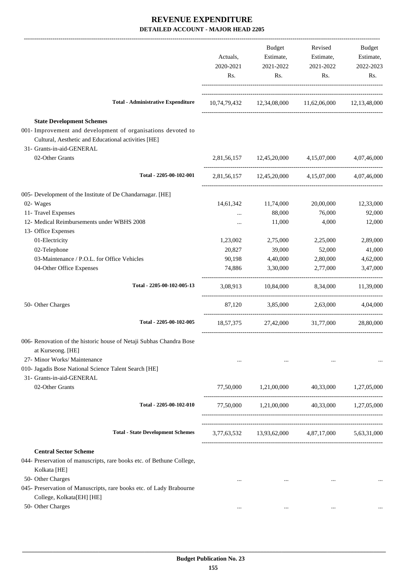|                                                                                                                                                                                      | Actuals,<br>2020-2021<br>Rs. | Budget<br>Estimate,<br>2021-2022<br>Rs. | Revised<br>Estimate,<br>2021-2022<br>Rs.            | Budget<br>Estimate,<br>2022-2023<br>Rs. |
|--------------------------------------------------------------------------------------------------------------------------------------------------------------------------------------|------------------------------|-----------------------------------------|-----------------------------------------------------|-----------------------------------------|
| <b>Total - Administrative Expenditure</b>                                                                                                                                            |                              |                                         | 10,74,79,432 12,34,08,000 11,62,06,000 12,13,48,000 |                                         |
| <b>State Development Schemes</b><br>001- Improvement and development of organisations devoted to<br>Cultural, Aesthetic and Educational activities [HE]<br>31- Grants-in-aid-GENERAL |                              |                                         |                                                     |                                         |
| 02-Other Grants                                                                                                                                                                      |                              |                                         | 2,81,56,157 12,45,20,000 4,15,07,000 4,07,46,000    |                                         |
| Total - 2205-00-102-001                                                                                                                                                              |                              |                                         | 2,81,56,157 12,45,20,000 4,15,07,000 4,07,46,000    |                                         |
| 005- Development of the Institute of De Chandarnagar. [HE]<br>02- Wages<br>11- Travel Expenses<br>12- Medical Reimbursements under WBHS 2008                                         | $\cdots$<br>                 | 14,61,342 11,74,000<br>88,000<br>11,000 | 20,00,000<br>76,000<br>4,000                        | 12,33,000<br>92,000<br>12,000           |
| 13- Office Expenses                                                                                                                                                                  |                              |                                         |                                                     |                                         |
| 01-Electricity                                                                                                                                                                       | 1,23,002                     | 2,75,000                                | 2,25,000                                            | 2,89,000                                |
| 02-Telephone                                                                                                                                                                         | 20,827                       | 39,000                                  | 52,000                                              | 41,000                                  |
| 03-Maintenance / P.O.L. for Office Vehicles<br>04-Other Office Expenses                                                                                                              | 90,198<br>74,886             | 4,40,000<br>3,30,000                    | 2,80,000<br>2,77,000                                | 4,62,000<br>3,47,000                    |
| Total - 2205-00-102-005-13                                                                                                                                                           |                              |                                         | 3,08,913 10,84,000 8,34,000 11,39,000               |                                         |
| 50- Other Charges                                                                                                                                                                    |                              |                                         | 87,120 3,85,000 2,63,000 4,04,000                   |                                         |
| Total - 2205-00-102-005                                                                                                                                                              |                              |                                         | 18,57,375 27,42,000 31,77,000                       | 28,80,000                               |
| 006- Renovation of the historic house of Netaji Subhas Chandra Bose<br>at Kurseong. [HE]<br>27- Minor Works/ Maintenance<br>010- Jagadis Bose National Science Talent Search [HE]    | $\cdots$                     | $\ldots$                                | $\cdots$                                            |                                         |
| 31- Grants-in-aid-GENERAL<br>02-Other Grants                                                                                                                                         | 77,50,000                    | 1,21,00,000                             | 40,33,000                                           | 1,27,05,000                             |
| Total - 2205-00-102-010                                                                                                                                                              |                              |                                         | 77,50,000 1,21,00,000 40,33,000 1,27,05,000         |                                         |
| <b>Total - State Development Schemes</b>                                                                                                                                             |                              |                                         | 3,77,63,532 13,93,62,000 4,87,17,000 5,63,31,000    |                                         |
| <b>Central Sector Scheme</b><br>044- Preservation of manuscripts, rare books etc. of Bethune College,<br>Kolkata [HE]                                                                |                              |                                         |                                                     |                                         |
| 50- Other Charges<br>045- Preservation of Manuscripts, rare books etc. of Lady Brabourne<br>College, Kolkata[EH] [HE]                                                                | $\cdots$                     | $\cdots$                                | $\cdots$                                            |                                         |
| 50- Other Charges                                                                                                                                                                    | $\cdots$                     | $\cdots$                                | $\cdots$                                            |                                         |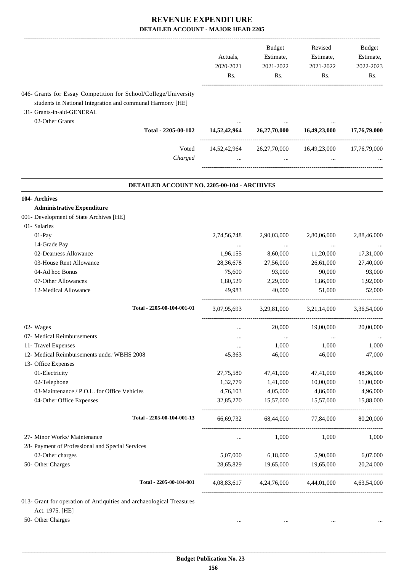|                                                                                                                                                                               | Actuals,<br>2020-2021<br>Rs. | <b>Budget</b><br>Estimate,<br>2021-2022<br>Rs. | Revised<br>Estimate,<br>2021-2022<br>Rs.        | <b>Budget</b><br>Estimate,<br>2022-2023<br>Rs. |
|-------------------------------------------------------------------------------------------------------------------------------------------------------------------------------|------------------------------|------------------------------------------------|-------------------------------------------------|------------------------------------------------|
| 046- Grants for Essay Competition for School/College/University<br>students in National Integration and communal Harmony [HE]<br>31- Grants-in-aid-GENERAL<br>02-Other Grants |                              |                                                |                                                 |                                                |
| Total - 2205-00-102                                                                                                                                                           | 14,52,42,964                 | 26,27,70,000                                   | 16,49,23,000                                    | 17,76,79,000                                   |
| Voted<br>Charged                                                                                                                                                              | 14,52,42,964                 | 26, 27, 70, 000<br>$\cdots$                    | 16,49,23,000                                    | 17,76,79,000                                   |
| DETAILED ACCOUNT NO. 2205-00-104 - ARCHIVES                                                                                                                                   |                              |                                                |                                                 |                                                |
| 104- Archives                                                                                                                                                                 |                              |                                                |                                                 |                                                |
| <b>Administrative Expenditure</b>                                                                                                                                             |                              |                                                |                                                 |                                                |
| 001- Development of State Archives [HE]                                                                                                                                       |                              |                                                |                                                 |                                                |
| 01- Salaries                                                                                                                                                                  |                              |                                                |                                                 |                                                |
| 01-Pay                                                                                                                                                                        | 2,74,56,748                  | 2,90,03,000                                    | 2,80,06,000                                     | 2,88,46,000                                    |
| 14-Grade Pay                                                                                                                                                                  | $\cdots$                     |                                                |                                                 |                                                |
| 02-Dearness Allowance<br>03-House Rent Allowance                                                                                                                              | 1,96,155<br>28,36,678        | 8,60,000<br>27,56,000                          | 11,20,000<br>26,61,000                          | 17,31,000<br>27,40,000                         |
| 04-Ad hoc Bonus                                                                                                                                                               | 75,600                       | 93,000                                         | 90,000                                          | 93,000                                         |
| 07-Other Allowances                                                                                                                                                           | 1,80,529                     | 2,29,000                                       | 1,86,000                                        | 1,92,000                                       |
| 12-Medical Allowance                                                                                                                                                          | 49,983                       | 40,000                                         | 51,000                                          | 52,000                                         |
| Total - 2205-00-104-001-01                                                                                                                                                    | 3,07,95,693                  | 3,29,81,000                                    | 3,21,14,000                                     | 3,36,54,000                                    |
| 02- Wages                                                                                                                                                                     |                              | 20,000                                         | 19,00,000                                       | 20,00,000                                      |
| 07- Medical Reimbursements                                                                                                                                                    |                              |                                                | $\ddotsc$                                       |                                                |
| 11- Travel Expenses                                                                                                                                                           | $\cdots$                     | 1,000                                          | 1,000                                           | 1,000                                          |
| 12- Medical Reimbursements under WBHS 2008                                                                                                                                    | 45,363                       | 46,000                                         | 46,000                                          | 47,000                                         |
| 13- Office Expenses                                                                                                                                                           |                              |                                                |                                                 |                                                |
| 01-Electricity                                                                                                                                                                | 27,75,580                    | 47,41,000                                      | 47,41,000                                       | 48,36,000                                      |
| 02-Telephone                                                                                                                                                                  | 1,32,779                     | 1,41,000                                       | 10,00,000                                       | 11,00,000                                      |
| 03-Maintenance / P.O.L. for Office Vehicles                                                                                                                                   | 4,76,103                     | 4,05,000                                       | 4,86,000                                        | 4,96,000                                       |
| 04-Other Office Expenses                                                                                                                                                      | 32,85,270                    | 15,57,000                                      | 15,57,000                                       | 15,88,000                                      |
| Total - 2205-00-104-001-13                                                                                                                                                    |                              | 66,69,732 68,44,000                            | 77,84,000                                       | 80,20,000                                      |
| 27- Minor Works/ Maintenance                                                                                                                                                  | $\cdots$                     | 1,000                                          | 1,000                                           | 1,000                                          |
| 28- Payment of Professional and Special Services                                                                                                                              |                              |                                                |                                                 |                                                |
| 02-Other charges                                                                                                                                                              | 5,07,000                     | 6,18,000                                       | 5,90,000                                        | 6,07,000                                       |
| 50- Other Charges                                                                                                                                                             | 28,65,829                    | 19,65,000                                      | 19,65,000                                       | 20,24,000                                      |
| Total - 2205-00-104-001                                                                                                                                                       |                              |                                                | 4,08,83,617 4,24,76,000 4,44,01,000 4,63,54,000 |                                                |
| 013- Grant for operation of Antiquities and archaeological Treasures                                                                                                          |                              |                                                |                                                 |                                                |
| Act. 1975. [HE]                                                                                                                                                               |                              |                                                |                                                 |                                                |
| 50- Other Charges                                                                                                                                                             | $\ldots$                     | $\ldots$                                       | $\ldots$                                        |                                                |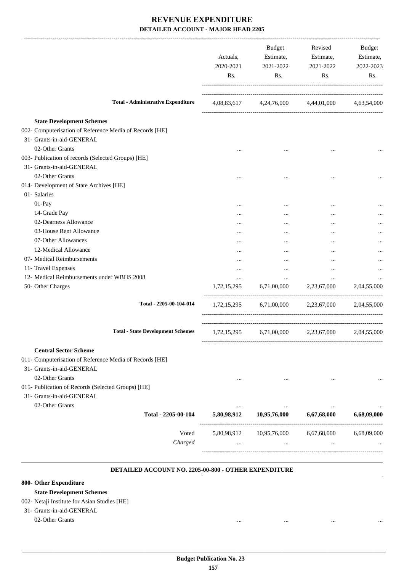|                                                                                             | Actuals,<br>2020-2021<br>Rs. | Budget<br>Estimate,<br>2021-2022<br>Rs.         | Revised<br>Estimate,<br>2021-2022<br>Rs. | Budget<br>Estimate,<br>2022-2023<br>Rs. |
|---------------------------------------------------------------------------------------------|------------------------------|-------------------------------------------------|------------------------------------------|-----------------------------------------|
| <b>Total - Administrative Expenditure</b>                                                   |                              | 4,08,83,617 4,24,76,000 4,44,01,000 4,63,54,000 |                                          |                                         |
|                                                                                             |                              |                                                 |                                          |                                         |
| <b>State Development Schemes</b><br>002- Computerisation of Reference Media of Records [HE] |                              |                                                 |                                          |                                         |
| 31- Grants-in-aid-GENERAL                                                                   |                              |                                                 |                                          |                                         |
| 02-Other Grants                                                                             |                              |                                                 |                                          |                                         |
|                                                                                             |                              |                                                 | $\ddotsc$                                |                                         |
| 003- Publication of records (Selected Groups) [HE]                                          |                              |                                                 |                                          |                                         |
| 31- Grants-in-aid-GENERAL                                                                   |                              |                                                 |                                          |                                         |
| 02-Other Grants                                                                             | $\cdots$                     | $\cdots$                                        | $\ddotsc$                                |                                         |
| 014- Development of State Archives [HE]                                                     |                              |                                                 |                                          |                                         |
| 01- Salaries                                                                                |                              |                                                 |                                          |                                         |
| 01-Pay                                                                                      |                              |                                                 |                                          |                                         |
| 14-Grade Pay                                                                                |                              |                                                 |                                          |                                         |
| 02-Dearness Allowance                                                                       |                              |                                                 | $\ddotsc$                                |                                         |
| 03-House Rent Allowance                                                                     |                              |                                                 |                                          |                                         |
| 07-Other Allowances                                                                         | $\cdots$                     |                                                 |                                          |                                         |
| 12-Medical Allowance                                                                        |                              | $\cdots$                                        | $\ddotsc$                                |                                         |
| 07- Medical Reimbursements                                                                  | $\cdots$                     |                                                 |                                          |                                         |
| 11- Travel Expenses                                                                         |                              | $\cdots$                                        | $\cdots$                                 |                                         |
| 12- Medical Reimbursements under WBHS 2008                                                  | $\cdots$                     | $\cdots$                                        | $\cdots$                                 |                                         |
| 50- Other Charges                                                                           |                              | $1,72,15,295$ $6,71,00,000$ $2,23,67,000$       |                                          | 2,04,55,000                             |
| Total - 2205-00-104-014                                                                     | 1,72,15,295                  |                                                 | 6,71,00,000 2,23,67,000 2,04,55,000      |                                         |
| <b>Total - State Development Schemes</b>                                                    |                              | 1,72,15,295 6,71,00,000 2,23,67,000 2,04,55,000 |                                          |                                         |
| <b>Central Sector Scheme</b>                                                                |                              |                                                 |                                          |                                         |
| 011- Computerisation of Reference Media of Records [HE]                                     |                              |                                                 |                                          |                                         |
| 31- Grants-in-aid-GENERAL                                                                   |                              |                                                 |                                          |                                         |
| 02-Other Grants                                                                             |                              |                                                 |                                          |                                         |
| 015- Publication of Records (Selected Groups) [HE]                                          |                              |                                                 |                                          |                                         |
|                                                                                             |                              |                                                 |                                          |                                         |
| 31- Grants-in-aid-GENERAL                                                                   |                              |                                                 |                                          |                                         |
| 02-Other Grants                                                                             |                              |                                                 |                                          |                                         |
| Total - 2205-00-104                                                                         | 5,80,98,912                  | 10,95,76,000                                    | 6,67,68,000                              | 6,68,09,000                             |
|                                                                                             |                              |                                                 |                                          |                                         |
| Voted                                                                                       | 5,80,98,912                  | 10,95,76,000                                    | 6,67,68,000                              | 6,68,09,000                             |
| Charged                                                                                     |                              |                                                 |                                          |                                         |
|                                                                                             |                              |                                                 |                                          |                                         |
|                                                                                             |                              |                                                 |                                          |                                         |

#### **DETAILED ACCOUNT NO. 2205-00-800 - OTHER EXPENDITURE .**

### **800- Other Expenditure**

#### **State Development Schemes**

#### 002- Netaji Institute for Asian Studies [HE]

- 31- Grants-in-aid-GENERAL
	- 02-Other Grants ... ... ... ...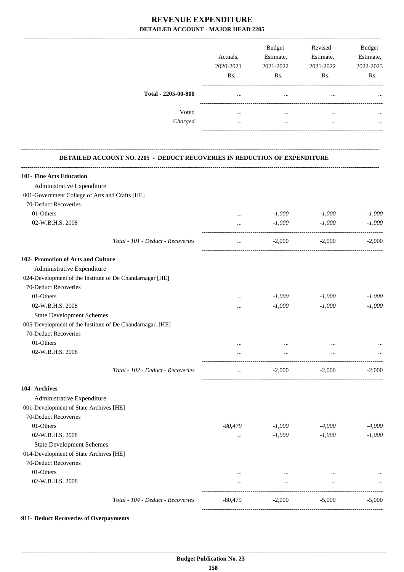|                                                                           | Actuals,<br>2020-2021<br>Rs. | Budget<br>Estimate,<br>2021-2022<br>Rs. | Revised<br>Estimate,<br>2021-2022<br>Rs. | Budget<br>Estimate,<br>2022-2023<br>Rs. |
|---------------------------------------------------------------------------|------------------------------|-----------------------------------------|------------------------------------------|-----------------------------------------|
| Total - 2205-00-800                                                       | $\ldots$                     | $\cdots$                                | $\cdots$                                 |                                         |
| Voted                                                                     | $\cdots$                     | $\cdots$                                | $\cdots$                                 |                                         |
| Charged                                                                   | $\cdots$                     | $\cdots$                                | $\cdots$                                 |                                         |
| DETAILED ACCOUNT NO. 2205 - DEDUCT RECOVERIES IN REDUCTION OF EXPENDITURE |                              |                                         |                                          |                                         |
| 101- Fine Arts Education                                                  |                              |                                         |                                          |                                         |
| Administrative Expenditure                                                |                              |                                         |                                          |                                         |
| 001-Government College of Arts and Crafts [HE]                            |                              |                                         |                                          |                                         |
| 70-Deduct Recoveries                                                      |                              |                                         |                                          |                                         |
| 01-Others                                                                 | $\cdots$                     | $-1,000$                                | $-1,000$                                 | $-1,000$                                |
| 02-W.B.H.S. 2008                                                          | $\cdots$                     | $-1,000$                                | $-1,000$                                 | $-1,000$                                |
| Total - 101 - Deduct - Recoveries                                         | $\cdots$                     | $-2,000$                                | $-2,000$                                 | $-2,000$                                |
| 102- Promotion of Arts and Culture                                        |                              |                                         |                                          |                                         |
| Administrative Expenditure                                                |                              |                                         |                                          |                                         |
| 024-Development of the Institute of De Chandarnagar [HE]                  |                              |                                         |                                          |                                         |
| 70-Deduct Recoveries                                                      |                              |                                         |                                          |                                         |
| 01-Others                                                                 | $\cdots$                     | $-1,000$                                | $-1,000$                                 | $-1,000$                                |
| 02-W.B.H.S. 2008                                                          | $\cdots$                     | $-1,000$                                | $-1,000$                                 | $-1,000$                                |
| <b>State Development Schemes</b>                                          |                              |                                         |                                          |                                         |
| 005-Development of the Institute of De Chandarnagar. [HE]                 |                              |                                         |                                          |                                         |
| 70-Deduct Recoveries                                                      |                              |                                         |                                          |                                         |
| 01-Others                                                                 | $\cdots$                     | $\cdots$                                | $\cdots$                                 |                                         |
| 02-W.B.H.S. 2008                                                          | $\cdots$                     | $\cdots$                                | $\cdots$                                 |                                         |
| Total - 102 - Deduct - Recoveries                                         | $\cdots$                     | $-2,000$                                | $-2,000$                                 | $-2.000$                                |
| 104- Archives                                                             |                              |                                         |                                          |                                         |
| Administrative Expenditure                                                |                              |                                         |                                          |                                         |
| 001-Development of State Archives [HE]                                    |                              |                                         |                                          |                                         |
| 70-Deduct Recoveries                                                      |                              |                                         |                                          |                                         |
| 01-Others                                                                 | $-80,479$                    | $-1,000$                                | $-4,000$                                 | $-4,000$                                |
| 02-W.B.H.S. 2008                                                          | $\cdots$                     | $-1,000$                                | $-1,000$                                 | $-1,000$                                |
| <b>State Development Schemes</b>                                          |                              |                                         |                                          |                                         |
| 014-Development of State Archives [HE]                                    |                              |                                         |                                          |                                         |
| 70-Deduct Recoveries                                                      |                              |                                         |                                          |                                         |
| 01-Others                                                                 | $\cdots$                     | $\cdots$                                |                                          |                                         |
| 02-W.B.H.S. 2008                                                          | $\cdots$                     | $\cdots$                                | $\ldots$                                 |                                         |
| Total - 104 - Deduct - Recoveries                                         | -80,479                      | $-2,000$                                | $-5,000$                                 | $-5,000$                                |
|                                                                           |                              |                                         |                                          |                                         |

#### **911- Deduct Recoveries of Overpayments**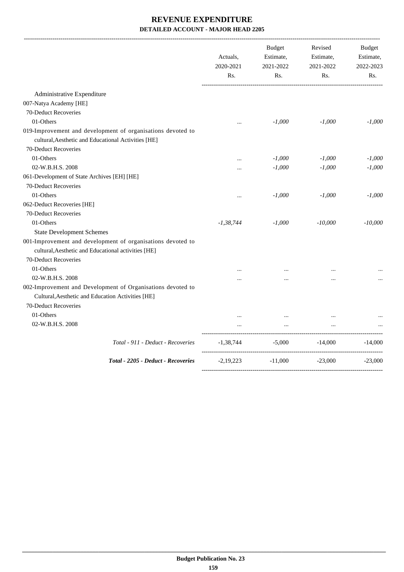|                                                                                                                                          | Actuals,<br>2020-2021<br>Rs. | <b>Budget</b><br>Estimate,<br>2021-2022<br>Rs. | Revised<br>Estimate,<br>2021-2022<br>Rs. | <b>Budget</b><br>Estimate,<br>2022-2023<br>Rs. |
|------------------------------------------------------------------------------------------------------------------------------------------|------------------------------|------------------------------------------------|------------------------------------------|------------------------------------------------|
| Administrative Expenditure                                                                                                               |                              |                                                |                                          |                                                |
| 007-Natya Academy [HE]                                                                                                                   |                              |                                                |                                          |                                                |
| 70-Deduct Recoveries                                                                                                                     |                              |                                                |                                          |                                                |
| 01-Others                                                                                                                                | $\cdots$                     | $-1,000$                                       | $-1,000$                                 | $-1,000$                                       |
| 019-Improvement and development of organisations devoted to<br>cultural, Aesthetic and Educational Activities [HE]                       |                              |                                                |                                          |                                                |
| 70-Deduct Recoveries                                                                                                                     |                              |                                                |                                          |                                                |
| 01-Others                                                                                                                                |                              | $-1,000$                                       | $-1,000$                                 | $-1,000$                                       |
| 02-W.B.H.S. 2008                                                                                                                         |                              | $-1,000$                                       | $-1,000$                                 | $-1,000$                                       |
| 061-Development of State Archives [EH] [HE]                                                                                              |                              |                                                |                                          |                                                |
| 70-Deduct Recoveries                                                                                                                     |                              |                                                |                                          |                                                |
| 01-Others                                                                                                                                | $\cdots$                     | $-1,000$                                       | $-1,000$                                 | $-1,000$                                       |
| 062-Deduct Recoveries [HE]                                                                                                               |                              |                                                |                                          |                                                |
| 70-Deduct Recoveries                                                                                                                     |                              |                                                |                                          |                                                |
| 01-Others                                                                                                                                | $-1,38,744$                  | $-1,000$                                       | $-10,000$                                | $-10,000$                                      |
| <b>State Development Schemes</b>                                                                                                         |                              |                                                |                                          |                                                |
| 001-Improvement and development of organisations devoted to<br>cultural, Aesthetic and Educational activities [HE]                       |                              |                                                |                                          |                                                |
| 70-Deduct Recoveries                                                                                                                     |                              |                                                |                                          |                                                |
| 01-Others                                                                                                                                |                              | $\cdots$                                       | $\cdots$                                 |                                                |
| 02-W.B.H.S. 2008                                                                                                                         | $\ddotsc$                    | $\ddotsc$                                      | $\cdots$                                 |                                                |
| 002-Improvement and Development of Organisations devoted to<br>Cultural, Aesthetic and Education Activities [HE]<br>70-Deduct Recoveries |                              |                                                |                                          |                                                |
| 01-Others                                                                                                                                |                              |                                                |                                          |                                                |
| 02-W.B.H.S. 2008                                                                                                                         |                              | $\ddotsc$                                      |                                          |                                                |
| Total - 911 - Deduct - Recoveries                                                                                                        | $-1,38,744$                  |                                                | $-5,000$ $-14,000$                       | $-14,000$                                      |
| Total - 2205 - Deduct - Recoveries                                                                                                       | $-2,19,223$                  | $-11,000$                                      | $-23,000$                                | $-23,000$                                      |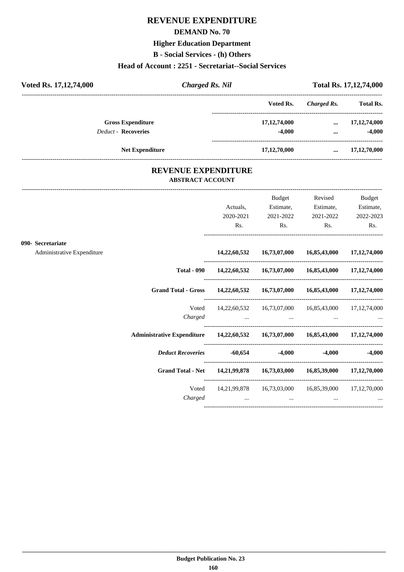## **REVENUE EXPENDITURE**

#### **DEMAND No. 70**

## **Higher Education Department**

**B - Social Services - (h) Others**

#### **Head of Account : 2251 - Secretariat--Social Services**

| Voted Rs. 17, 12, 74, 000  | <b>Charged Rs. Nil</b> |                 | Total Rs. 17,12,74,000 |                  |
|----------------------------|------------------------|-----------------|------------------------|------------------|
|                            |                        | Voted Rs.       | Charged Rs.            | <b>Total Rs.</b> |
| <b>Gross Expenditure</b>   |                        | 17, 12, 74, 000 | $\cdots$               | 17, 12, 74, 000  |
| <b>Deduct - Recoveries</b> |                        | $-4,000$        | $\cdots$               | $-4,000$         |
| <b>Net Expenditure</b>     |                        | 17, 12, 70, 000 | $\cdots$               | 17,12,70,000     |
|                            |                        |                 |                        |                  |

### **REVENUE EXPENDITURE ABSTRACT ACCOUNT**

|                                                                                |                                                                         | Budget    | Revised                                             | <b>Budget</b>                   |
|--------------------------------------------------------------------------------|-------------------------------------------------------------------------|-----------|-----------------------------------------------------|---------------------------------|
|                                                                                | Actuals,                                                                | Estimate, | Estimate,                                           | Estimate,                       |
|                                                                                | 2020-2021                                                               | 2021-2022 | 2021-2022                                           | 2022-2023                       |
|                                                                                | Rs.                                                                     | Rs.       | Rs.                                                 | Rs.                             |
| 090- Secretariate                                                              |                                                                         |           |                                                     |                                 |
| Administrative Expenditure                                                     |                                                                         |           | 14,22,60,532 16,73,07,000 16,85,43,000 17,12,74,000 |                                 |
| <b>Total - 090</b>                                                             |                                                                         |           | 14,22,60,532 16,73,07,000 16,85,43,000 17,12,74,000 |                                 |
|                                                                                | Grand Total - Gross 14,22,60,532 16,73,07,000 16,85,43,000 17,12,74,000 |           |                                                     |                                 |
| Voted                                                                          |                                                                         |           | 14,22,60,532 16,73,07,000 16,85,43,000 17,12,74,000 |                                 |
| Charged                                                                        | the contract of the contract of the contract of                         | $\cdots$  |                                                     |                                 |
| Administrative Expenditure 14,22,60,532 16,73,07,000 16,85,43,000 17,12,74,000 |                                                                         |           |                                                     |                                 |
|                                                                                | Deduct Recoveries -60,654 -4,000                                        |           |                                                     | $-4,000$ $-4,000$               |
|                                                                                | Grand Total - Net 14,21,99,878 16,73,03,000 16,85,39,000 17,12,70,000   |           |                                                     |                                 |
| Voted                                                                          |                                                                         |           | 14,21,99,878 16,73,03,000 16,85,39,000 17,12,70,000 |                                 |
| Charged                                                                        | $\cdots$                                                                | $\cdots$  |                                                     | <b>Second Contract Contract</b> |
|                                                                                |                                                                         |           |                                                     |                                 |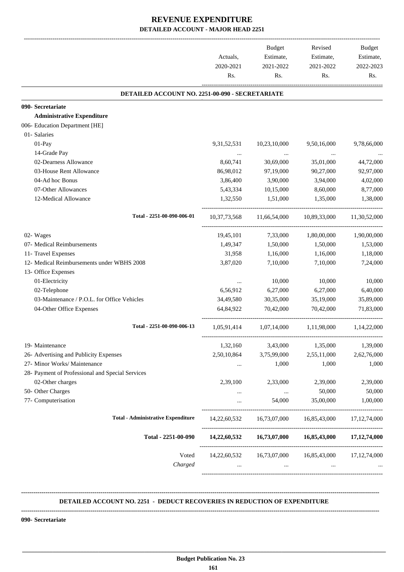|                                                  | Actuals,<br>2020-2021<br>Rs. | Budget<br>Estimate,<br>2021-2022<br>Rs.                         | Revised<br>Estimate,<br>2021-2022<br>Rs. | <b>Budget</b><br>Estimate,<br>2022-2023<br>Rs. |
|--------------------------------------------------|------------------------------|-----------------------------------------------------------------|------------------------------------------|------------------------------------------------|
| DETAILED ACCOUNT NO. 2251-00-090 - SECRETARIATE  |                              |                                                                 |                                          |                                                |
| 090- Secretariate                                |                              |                                                                 |                                          |                                                |
| <b>Administrative Expenditure</b>                |                              |                                                                 |                                          |                                                |
| 006- Education Department [HE]                   |                              |                                                                 |                                          |                                                |
| 01- Salaries                                     |                              |                                                                 |                                          |                                                |
| 01-Pay                                           | 9,31,52,531                  | 10,23,10,000                                                    | 9,50,16,000                              | 9,78,66,000                                    |
| 14-Grade Pay                                     | $\ldots$                     | $\sim 100$ and $\sim 100$                                       | $\ldots$                                 |                                                |
| 02-Dearness Allowance                            | 8,60,741                     | 30,69,000                                                       | 35,01,000                                | 44,72,000                                      |
| 03-House Rent Allowance                          | 86,98,012                    | 97,19,000                                                       | 90,27,000                                | 92,97,000                                      |
| 04-Ad hoc Bonus                                  | 3,86,400                     | 3,90,000                                                        | 3,94,000                                 | 4,02,000                                       |
| 07-Other Allowances                              | 5,43,334                     | 10,15,000                                                       | 8,60,000                                 | 8,77,000                                       |
| 12-Medical Allowance                             | 1,32,550                     | 1,51,000                                                        | 1,35,000                                 | 1,38,000                                       |
| Total - 2251-00-090-006-01                       |                              | 10,37,73,568 11,66,54,000 10,89,33,000 11,30,52,000             |                                          |                                                |
| 02- Wages                                        | 19,45,101                    | 7,33,000                                                        | 1,80,00,000                              | 1,90,00,000                                    |
| 07- Medical Reimbursements                       | 1,49,347                     | 1,50,000                                                        | 1,50,000                                 | 1,53,000                                       |
| 11- Travel Expenses                              | 31,958                       | 1,16,000                                                        | 1,16,000                                 | 1,18,000                                       |
| 12- Medical Reimbursements under WBHS 2008       | 3,87,020                     | 7,10,000                                                        | 7,10,000                                 | 7,24,000                                       |
| 13- Office Expenses<br>01-Electricity            |                              | 10,000                                                          | 10,000                                   | 10,000                                         |
| 02-Telephone                                     | $\cdots$<br>6,56,912         | 6,27,000                                                        | 6,27,000                                 | 6,40,000                                       |
| 03-Maintenance / P.O.L. for Office Vehicles      | 34,49,580                    | 30,35,000                                                       | 35,19,000                                | 35,89,000                                      |
| 04-Other Office Expenses                         | 64,84,922                    | 70,42,000                                                       | 70,42,000                                | 71,83,000                                      |
| Total - 2251-00-090-006-13                       |                              | 1,05,91,414 1,07,14,000 1,11,98,000 1,14,22,000                 |                                          |                                                |
| 19- Maintenance                                  | 1,32,160                     | 3,43,000                                                        | 1,35,000                                 | 1,39,000                                       |
| 26- Advertising and Publicity Expenses           | 2,50,10,864                  | 3,75,99,000                                                     | 2,55,11,000                              | 2,62,76,000                                    |
| 27- Minor Works/ Maintenance                     | $\cdots$                     | 1,000                                                           | 1,000                                    | 1,000                                          |
| 28- Payment of Professional and Special Services |                              |                                                                 |                                          |                                                |
| 02-Other charges                                 | 2,39,100                     | 2,33,000                                                        | 2,39,000                                 | 2,39,000                                       |
| 50- Other Charges                                | $\cdots$                     | $\ldots$                                                        | 50,000                                   | 50,000                                         |
| 77- Computerisation                              | $\cdots$                     | 54,000                                                          | 35,00,000                                | 1,00,000                                       |
| <b>Total - Administrative Expenditure</b>        |                              | 14, 22, 60, 532 16, 73, 07, 000 16, 85, 43, 000 17, 12, 74, 000 |                                          |                                                |
| Total - 2251-00-090                              |                              | 14,22,60,532 16,73,07,000 16,85,43,000 17,12,74,000             |                                          |                                                |
| Voted<br>Charged                                 | $\cdots$                     | 14,22,60,532 16,73,07,000 16,85,43,000 17,12,74,000<br>$\cdots$ | $\cdots$                                 |                                                |

#### **DETAILED ACCOUNT NO. 2251 - DEDUCT RECOVERIES IN REDUCTION OF EXPENDITURE**

**--------------------------------------------------------------------------------------------------------------------------------------------------------------------------------**

 **\_\_\_\_\_\_\_\_\_\_\_\_\_\_\_\_\_\_\_\_\_\_\_\_\_\_\_\_\_\_\_\_\_\_\_\_\_\_\_\_\_\_\_\_\_\_\_\_\_\_\_\_\_\_\_\_\_\_\_\_\_\_\_\_\_\_\_\_\_\_\_\_\_\_\_\_\_\_\_\_\_\_\_\_\_\_\_\_\_\_\_\_\_\_\_\_\_\_\_\_\_\_\_\_\_\_\_\_\_\_\_\_\_\_\_\_\_\_\_**

**--------------------------------------------------------------------------------------------------------------------------------------------------------------------------------**

**090- Secretariate**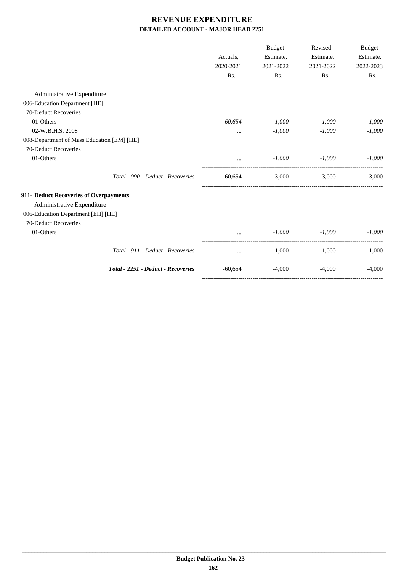|                                            |                                    | Actuals,<br>2020-2021<br>Rs. | Budget<br>Estimate,<br>2021-2022<br>Rs. | Revised<br>Estimate,<br>2021-2022<br>Rs. | <b>Budget</b><br>Estimate,<br>2022-2023<br>Rs. |
|--------------------------------------------|------------------------------------|------------------------------|-----------------------------------------|------------------------------------------|------------------------------------------------|
| Administrative Expenditure                 |                                    |                              |                                         |                                          |                                                |
| 006-Education Department [HE]              |                                    |                              |                                         |                                          |                                                |
| 70-Deduct Recoveries                       |                                    |                              |                                         |                                          |                                                |
| 01-Others                                  |                                    | $-60,654$                    | $-1,000$                                | $-1,000$                                 | $-1,000$                                       |
| 02-W.B.H.S. 2008                           |                                    | $\cdots$                     | $-1,000$                                | $-1,000$                                 | $-1,000$                                       |
| 008-Department of Mass Education [EM] [HE] |                                    |                              |                                         |                                          |                                                |
| 70-Deduct Recoveries                       |                                    |                              |                                         |                                          |                                                |
| 01-Others                                  |                                    |                              | $-1,000$                                | $-1,000$                                 | $-1,000$                                       |
|                                            | Total - 090 - Deduct - Recoveries  |                              |                                         | $-60,654$ $-3,000$ $-3,000$              | $-3,000$                                       |
| 911- Deduct Recoveries of Overpayments     |                                    |                              |                                         |                                          |                                                |
| Administrative Expenditure                 |                                    |                              |                                         |                                          |                                                |
| 006-Education Department [EH] [HE]         |                                    |                              |                                         |                                          |                                                |
| 70-Deduct Recoveries                       |                                    |                              |                                         |                                          |                                                |
| 01-Others                                  |                                    |                              | $-1,000$                                | $-1,000$                                 | $-1,000$                                       |
|                                            | Total - 911 - Deduct - Recoveries  | $\ddotsc$                    | $-1,000$                                | $-1,000$                                 | $-1,000$                                       |
|                                            | Total - 2251 - Deduct - Recoveries | -60,654                      | $-4,000$                                | $-4,000$                                 | $-4.000$                                       |
|                                            |                                    |                              |                                         |                                          |                                                |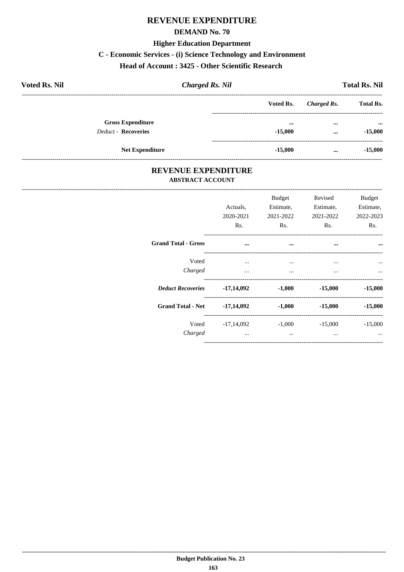## **REVENUE EXPENDITURE**

#### **DEMAND No. 70**

#### **Higher Education Department**

#### C - Economic Services - (i) Science Technology and Environment

### Head of Account: 3425 - Other Scientific Research

| <b>Voted Rs. Nil</b>                                   | <b>Charged Rs. Nil</b> |                                      |             | <b>Total Rs. Nil</b>                   |
|--------------------------------------------------------|------------------------|--------------------------------------|-------------|----------------------------------------|
|                                                        |                        | Voted Rs.                            | Charged Rs. | <b>Total Rs.</b>                       |
| <b>Gross Expenditure</b><br><b>Deduct - Recoveries</b> |                        | $\bullet\bullet\bullet$<br>$-15,000$ | $\cdots$    | $\bullet \bullet \bullet$<br>$-15,000$ |
|                                                        |                        |                                      | $\cdots$    |                                        |
| <b>Net Expenditure</b>                                 |                        | $-15,000$                            | $\cdots$    | $-15,000$                              |

### REVENUE EXPENDITURE **ABSTRACT ACCOUNT**

|                                     | Actuals.<br>2020-2021<br>Rs. | <b>Budget</b><br>Estimate,<br>2021-2022<br>R <sub>s</sub> . | Revised<br>Estimate,<br>2021-2022<br>R <sub>s</sub> . | <b>Budget</b><br>Estimate,<br>2022-2023<br>Rs. |
|-------------------------------------|------------------------------|-------------------------------------------------------------|-------------------------------------------------------|------------------------------------------------|
| <b>Grand Total - Gross</b>          | $\cdots$                     | $\cdots$                                                    | $\cdots$                                              |                                                |
| Voted<br>Charged                    | $\cdots$<br>$\cdots$         | $\cdots$<br>$\cdots$                                        | $\cdots$<br>$\cdots$                                  |                                                |
| Deduct Recoveries -17,14,092 -1,000 |                              |                                                             |                                                       | $-15,000$ $-15,000$                            |
| Grand Total - Net -17,14,092 -1,000 |                              |                                                             | $-15,000$                                             | $-15,000$                                      |
| Charged                             | $\cdots$                     | Voted -17,14,092 -1,000<br>$\cdots$                         | $-15,000$<br>$\cdots$                                 | $-15,000$                                      |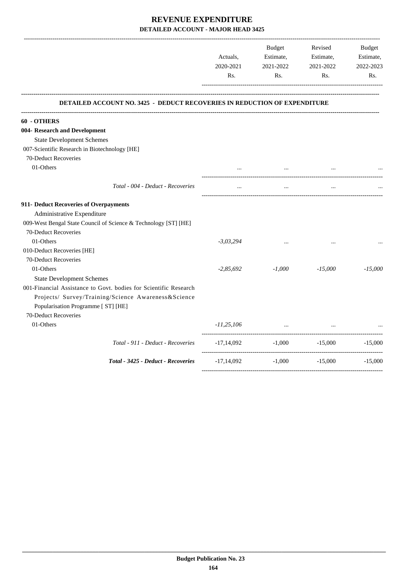|                                                                                  | Actuals,<br>2020-2021<br>Rs. | <b>Budget</b><br>Estimate,<br>2021-2022<br>Rs. | Revised<br>Estimate,<br>2021-2022<br>Rs. | Budget<br>Estimate,<br>2022-2023<br>Rs. |
|----------------------------------------------------------------------------------|------------------------------|------------------------------------------------|------------------------------------------|-----------------------------------------|
| <b>DETAILED ACCOUNT NO. 3425 - DEDUCT RECOVERIES IN REDUCTION OF EXPENDITURE</b> |                              |                                                |                                          |                                         |
| 60 - OTHERS                                                                      |                              |                                                |                                          |                                         |
| 004- Research and Development                                                    |                              |                                                |                                          |                                         |
| <b>State Development Schemes</b>                                                 |                              |                                                |                                          |                                         |
| 007-Scientific Research in Biotechnology [HE]                                    |                              |                                                |                                          |                                         |
| 70-Deduct Recoveries                                                             |                              |                                                |                                          |                                         |
| 01-Others                                                                        |                              | $\cdots$                                       |                                          |                                         |
| Total - 004 - Deduct - Recoveries                                                |                              | $\cdots$                                       |                                          |                                         |
| 911- Deduct Recoveries of Overpayments                                           |                              |                                                |                                          |                                         |
| Administrative Expenditure                                                       |                              |                                                |                                          |                                         |
| 009-West Bengal State Council of Science & Technology [ST] [HE]                  |                              |                                                |                                          |                                         |
| 70-Deduct Recoveries                                                             |                              |                                                |                                          |                                         |
| 01-Others                                                                        | $-3,03,294$                  |                                                |                                          |                                         |
| 010-Deduct Recoveries [HE]                                                       |                              |                                                |                                          |                                         |
| 70-Deduct Recoveries                                                             |                              |                                                |                                          |                                         |
| 01-Others                                                                        | $-2,85,692$                  | $-1,000$                                       | $-15,000$                                | $-15,000$                               |
| <b>State Development Schemes</b>                                                 |                              |                                                |                                          |                                         |
| 001-Financial Assistance to Govt, bodies for Scientific Research                 |                              |                                                |                                          |                                         |
| Projects/ Survey/Training/Science Awareness&Science                              |                              |                                                |                                          |                                         |
| Popularisation Programme [ ST] [HE]                                              |                              |                                                |                                          |                                         |
| 70-Deduct Recoveries                                                             |                              |                                                |                                          |                                         |
| 01-Others                                                                        | $-11,25,106$                 | the company of the company of                  |                                          |                                         |
| Total - 911 - Deduct - Recoveries                                                | -17,14,092                   |                                                | $-1,000$ $-15,000$                       | $-15,000$                               |
| Total - 3425 - Deduct - Recoveries                                               | -17,14,092                   | $-1,000$                                       | $-15,000$                                | $-15,000$                               |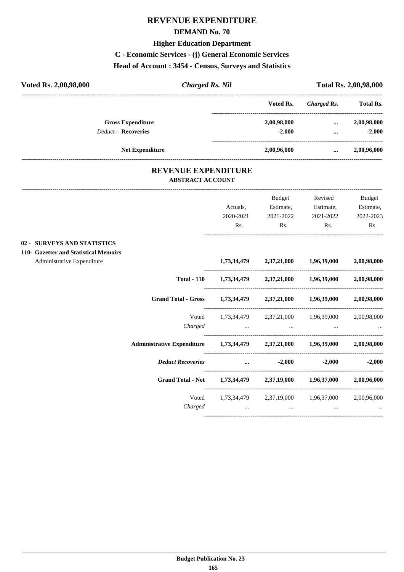# **REVENUE EXPENDITURE**

#### **DEMAND No. 70**

#### **Higher Education Department**

**C - Economic Services - (j) General Economic Services**

## **Head of Account : 3454 - Census, Surveys and Statistics**

| <b>Charged Rs. Nil</b> |             | <b>Total Rs. 2,00,98,000</b> |                  |  |
|------------------------|-------------|------------------------------|------------------|--|
|                        | Voted Rs.   | Charged Rs.                  | <b>Total Rs.</b> |  |
|                        | 2,00,98,000 | $\cdots$                     | 2,00,98,000      |  |
|                        | $-2.000$    | $\cdots$                     | $-2,000$         |  |
|                        | 2,00,96,000 | $\cdots$                     | 2,00,96,000      |  |
|                        |             |                              |                  |  |

### **REVENUE EXPENDITURE ABSTRACT ACCOUNT**

|                                                                                                           |                                                                            | Actuals.<br>2020-2021<br>Rs.                                                                                           | Budget<br>Estimate,<br>2021-2022<br>Rs.                                                                                                                | Revised<br>Estimate,<br>2021-2022<br>Rs. | <b>Budget</b><br>Estimate,<br>2022-2023<br>Rs. |
|-----------------------------------------------------------------------------------------------------------|----------------------------------------------------------------------------|------------------------------------------------------------------------------------------------------------------------|--------------------------------------------------------------------------------------------------------------------------------------------------------|------------------------------------------|------------------------------------------------|
| <b>02 - SURVEYS AND STATISTICS</b><br>110- Gazetter and Statistical Memoirs<br>Administrative Expenditure |                                                                            |                                                                                                                        | 1,73,34,479 2,37,21,000 1,96,39,000 2,00,98,000                                                                                                        |                                          |                                                |
|                                                                                                           | <b>Total - 110</b>                                                         |                                                                                                                        | 1,73,34,479 2,37,21,000 1,96,39,000 2,00,98,000                                                                                                        |                                          |                                                |
|                                                                                                           | <b>Grand Total - Gross</b>                                                 |                                                                                                                        | 1,73,34,479 2,37,21,000 1,96,39,000 2,00,98,000                                                                                                        |                                          |                                                |
|                                                                                                           | Voted<br>Charged                                                           |                                                                                                                        | 1,73,34,479 2,37,21,000 1,96,39,000 2,00,98,000<br>the contract of the contract of the contract of the contract of the contract of the contract of the |                                          |                                                |
|                                                                                                           | Administrative Expenditure 1,73,34,479 2,37,21,000 1,96,39,000 2,00,98,000 |                                                                                                                        |                                                                                                                                                        |                                          |                                                |
|                                                                                                           | <b>Deduct Recoveries</b>                                                   | <u>and a strategic control and a strategic control and a strategic control and a strategic control and a strategic</u> | $-2,000$                                                                                                                                               |                                          | $-2,000$ $-2,000$                              |
|                                                                                                           | <b>Grand Total - Net</b>                                                   |                                                                                                                        | 1,73,34,479 2,37,19,000 1,96,37,000 2,00,96,000                                                                                                        |                                          |                                                |
|                                                                                                           | Voted<br>Charged                                                           |                                                                                                                        | 1,73,34,479 2,37,19,000 1,96,37,000 2,00,96,000<br>and the state of the state of<br>$\cdots$                                                           |                                          | <b>Second Contract Contract</b>                |
|                                                                                                           |                                                                            |                                                                                                                        |                                                                                                                                                        |                                          |                                                |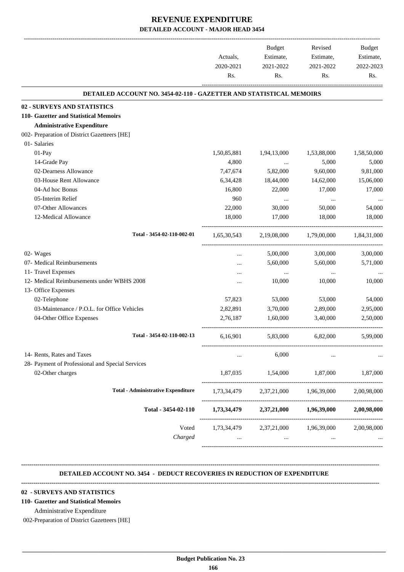|                                                                            |                              | <b>Budget</b>                       | Revised     | Budget      |
|----------------------------------------------------------------------------|------------------------------|-------------------------------------|-------------|-------------|
|                                                                            | Actuals,<br>2020-2021<br>Rs. | Estimate,                           | Estimate,   | Estimate,   |
|                                                                            |                              | 2021-2022                           | 2021-2022   | 2022-2023   |
|                                                                            |                              | Rs.                                 | Rs.         | Rs.         |
| <b>DETAILED ACCOUNT NO. 3454-02-110 - GAZETTER AND STATISTICAL MEMOIRS</b> |                              |                                     |             |             |
| 02 - SURVEYS AND STATISTICS                                                |                              |                                     |             |             |
| 110- Gazetter and Statistical Memoirs                                      |                              |                                     |             |             |
| <b>Administrative Expenditure</b>                                          |                              |                                     |             |             |
| 002- Preparation of District Gazetteers [HE]                               |                              |                                     |             |             |
| 01- Salaries                                                               |                              |                                     |             |             |
| 01-Pay                                                                     | 1,50,85,881                  | 1,94,13,000                         | 1,53,88,000 | 1,58,50,000 |
| 14-Grade Pay                                                               | 4,800                        | $\cdots$                            | 5,000       | 5,000       |
| 02-Dearness Allowance                                                      | 7,47,674                     | 5,82,000                            | 9,60,000    | 9,81,000    |
| 03-House Rent Allowance                                                    | 6,34,428                     | 18,44,000                           | 14,62,000   | 15,06,000   |
| 04-Ad hoc Bonus                                                            | 16,800                       | 22,000                              | 17,000      | 17,000      |
| 05-Interim Relief                                                          | 960                          | $\cdots$                            | $\cdots$    |             |
| 07-Other Allowances                                                        | 22,000                       | 30,000                              | 50,000      | 54,000      |
| 12-Medical Allowance                                                       | 18,000                       | 17,000                              | 18,000      | 18,000      |
| Total - 3454-02-110-002-01                                                 | 1,65,30,543                  | 2,19,08,000                         | 1,79,00,000 | 1,84,31,000 |
| 02- Wages                                                                  |                              | 5,00,000                            | 3,00,000    | 3,00,000    |
| 07- Medical Reimbursements                                                 |                              | 5,60,000                            | 5,60,000    | 5,71,000    |
| 11- Travel Expenses                                                        |                              | $\cdots$                            | $\ldots$    |             |
| 12- Medical Reimbursements under WBHS 2008                                 |                              | 10,000                              | 10,000      | 10,000      |
| 13- Office Expenses                                                        |                              |                                     |             |             |
| 02-Telephone                                                               | 57,823                       | 53,000                              | 53,000      | 54,000      |
| 03-Maintenance / P.O.L. for Office Vehicles                                | 2,82,891                     | 3,70,000                            | 2,89,000    | 2,95,000    |
| 04-Other Office Expenses                                                   | 2,76,187                     | 1,60,000                            | 3,40,000    | 2,50,000    |
| Total - 3454-02-110-002-13                                                 | 6,16,901                     | 5,83,000                            | 6,82,000    | 5,99,000    |
| 14- Rents, Rates and Taxes                                                 |                              | 6,000                               |             |             |
| 28- Payment of Professional and Special Services                           |                              |                                     |             |             |
| 02-Other charges                                                           | 1,87,035                     | 1,54,000                            | 1,87,000    | 1,87,000    |
| <b>Total - Administrative Expenditure</b>                                  | 1,73,34,479                  | 2,37,21,000                         | 1,96,39,000 | 2,00,98,000 |
| Total - 3454-02-110                                                        | 1,73,34,479                  | 2,37,21,000                         | 1,96,39,000 | 2,00,98,000 |
| Voted                                                                      |                              | 1,73,34,479 2,37,21,000 1,96,39,000 |             | 2,00,98,000 |
| Charged                                                                    |                              | $\ddots$                            |             |             |

#### **DETAILED ACCOUNT NO. 3454 - DEDUCT RECOVERIES IN REDUCTION OF EXPENDITURE**

**--------------------------------------------------------------------------------------------------------------------------------------------------------------------------------**

**--------------------------------------------------------------------------------------------------------------------------------------------------------------------------------**

#### **02 - SURVEYS AND STATISTICS**

**110- Gazetter and Statistical Memoirs**

Administrative Expenditure

002-Preparation of District Gazetteers [HE]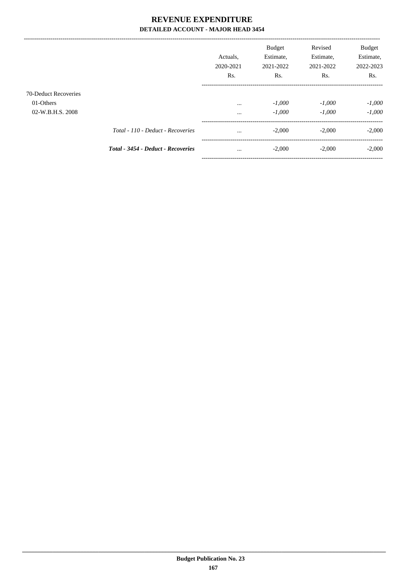|                                   |                                           | Actuals.<br>2020-2021<br>Rs. | <b>Budget</b><br>Estimate,<br>2021-2022<br>Rs. | Revised<br>Estimate,<br>2021-2022<br>Rs. | <b>Budget</b><br>Estimate,<br>2022-2023<br>Rs. |
|-----------------------------------|-------------------------------------------|------------------------------|------------------------------------------------|------------------------------------------|------------------------------------------------|
| 70-Deduct Recoveries<br>01-Others |                                           | $\cdots$                     | $-1,000$                                       | $-1,000$                                 | $-1,000$                                       |
| 02-W.B.H.S. 2008                  |                                           | $\cdots$                     | $-1,000$                                       | $-1,000$                                 | $-1,000$                                       |
|                                   | Total - 110 - Deduct - Recoveries         | $\cdots$                     | $-2,000$                                       | $-2,000$                                 | $-2,000$                                       |
|                                   | <b>Total - 3454 - Deduct - Recoveries</b> | $\cdots$                     | $-2,000$                                       | $-2,000$                                 | $-2,000$                                       |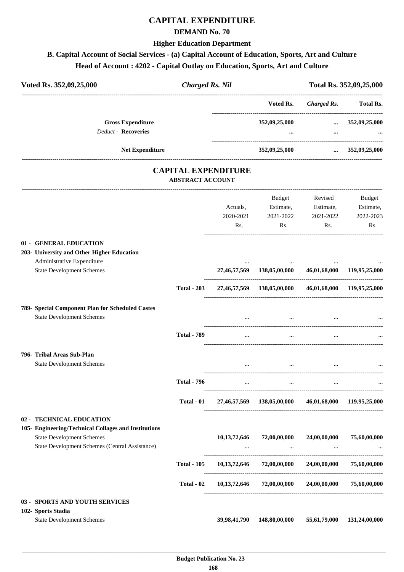### **CAPITAL EXPENDITURE**

#### **DEMAND No. 70**

#### **Higher Education Department**

### **B. Capital Account of Social Services - (a) Capital Account of Education, Sports, Art and Culture Head of Account : 4202 - Capital Outlay on Education, Sports, Art and Culture**

| Voted Rs. 352,09,25,000                                        | <b>Charged Rs. Nil</b>                                |           |                                                                                       |                        | Total Rs. 352,09,25,000 |
|----------------------------------------------------------------|-------------------------------------------------------|-----------|---------------------------------------------------------------------------------------|------------------------|-------------------------|
|                                                                |                                                       |           |                                                                                       | Voted Rs. Charged Rs.  | <b>Total Rs.</b>        |
| <b>Gross Expenditure</b>                                       |                                                       |           | 352,09,25,000                                                                         |                        | $\ldots$ 352,09,25,000  |
| <b>Deduct - Recoveries</b>                                     |                                                       |           |                                                                                       |                        |                         |
| <b>Net Expenditure</b>                                         |                                                       |           | 352,09,25,000                                                                         | $\ldots$ 352,09,25,000 |                         |
|                                                                | <b>CAPITAL EXPENDITURE</b><br><b>ABSTRACT ACCOUNT</b> |           |                                                                                       |                        |                         |
|                                                                |                                                       |           | Budget                                                                                | Revised                | Budget                  |
|                                                                |                                                       | Actuals,  | Estimate,                                                                             | Estimate,              | Estimate,               |
|                                                                |                                                       | 2020-2021 | 2021-2022                                                                             | 2021-2022              | 2022-2023               |
|                                                                |                                                       | Rs.       | Rs.                                                                                   | Rs.                    | Rs.                     |
| 01 - GENERAL EDUCATION                                         |                                                       |           |                                                                                       |                        |                         |
| 203- University and Other Higher Education                     |                                                       |           |                                                                                       |                        |                         |
| Administrative Expenditure<br><b>State Development Schemes</b> |                                                       | $\cdots$  | and the contract of the con-<br>27,46,57,569 138,05,00,000 46,01,68,000 119,95,25,000 |                        |                         |
|                                                                |                                                       |           | Total - 203 27,46,57,569 138,05,00,000 46,01,68,000 119,95,25,000                     |                        |                         |
| 789- Special Component Plan for Scheduled Castes               |                                                       |           |                                                                                       |                        |                         |
| <b>State Development Schemes</b>                               |                                                       |           |                                                                                       |                        |                         |

----------------------------------------------------------------------------------------

----------------------------------------------------------------------------------------

----------------------------------------------------------------------------------------

**Total - 02 10,13,72,646 72,00,00,000 24,00,00,000 75,60,00,000**

|                                                      | <b>Total - 789</b> | $\cdots$        | $\cdots$      | $\cdots$     | $\cdots$      |
|------------------------------------------------------|--------------------|-----------------|---------------|--------------|---------------|
| 796- Tribal Areas Sub-Plan                           |                    |                 |               |              |               |
| <b>State Development Schemes</b>                     |                    |                 | $\cdots$      |              | $\cdots$      |
|                                                      | <b>Total - 796</b> | $\cdots$        | $\cdots$      | $\cdots$     | $\cdots$      |
|                                                      | Total - 01         | 27,46,57,569    | 138,05,00,000 | 46,01,68,000 | 119,95,25,000 |
| 02 - TECHNICAL EDUCATION                             |                    |                 |               |              |               |
| 105- Engineering/Technical Collages and Institutions |                    |                 |               |              |               |
| <b>State Development Schemes</b>                     |                    | 10, 13, 72, 646 | 72,00,00,000  | 24,00,00,000 | 75,60,00,000  |
| State Development Schemes (Central Assistance)       |                    | $\cdots$        | $\cdots$      | $\cdots$     | $\cdots$      |
|                                                      | <b>Total - 105</b> | 10, 13, 72, 646 | 72,00,00,000  | 24,00,00,000 | 75,60,00,000  |

#### **03 - SPORTS AND YOUTH SERVICES**

#### **102- Sports Stadia**

| 39,98,41,790<br><b>State Development Schemes</b> | $148,80,00,000$ $55,61,79,000$ $131,24,00,000$ |  |  |
|--------------------------------------------------|------------------------------------------------|--|--|
|--------------------------------------------------|------------------------------------------------|--|--|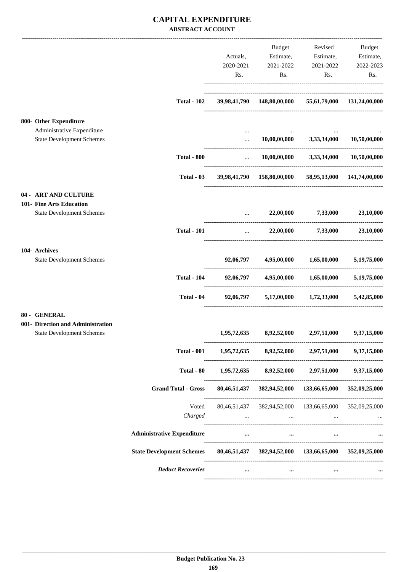### **CAPITAL EXPENDITURE ABSTRACT ACCOUNT**

|                                                                       |                                                                                  | Actuals,                    | Budget<br>Estimate,                                                                                                               | Revised<br>Estimate,                        | Budget<br>Estimate, |
|-----------------------------------------------------------------------|----------------------------------------------------------------------------------|-----------------------------|-----------------------------------------------------------------------------------------------------------------------------------|---------------------------------------------|---------------------|
|                                                                       |                                                                                  | 2020-2021                   | 2021-2022                                                                                                                         | 2021-2022                                   | 2022-2023           |
|                                                                       |                                                                                  | Rs.                         | Rs.                                                                                                                               | Rs.                                         | Rs.                 |
|                                                                       |                                                                                  |                             |                                                                                                                                   |                                             |                     |
|                                                                       | <b>Total - 102</b>                                                               |                             | 39,98,41,790  148,80,00,000  55,61,79,000  131,24,00,000                                                                          |                                             |                     |
| 800- Other Expenditure                                                |                                                                                  |                             |                                                                                                                                   |                                             |                     |
| Administrative Expenditure<br><b>State Development Schemes</b>        |                                                                                  | $\cdots$<br>$\cdots$        |                                                                                                                                   | $10,00,00,000$ $3,33,34,000$                | 10,50,00,000        |
|                                                                       | <b>Total - 800</b>                                                               | $\mathbf{r}$ , $\mathbf{r}$ |                                                                                                                                   | $10,00,00,000$ $3,33,34,000$ $10,50,00,000$ |                     |
|                                                                       | Total - 03                                                                       |                             | 39,98,41,790 158,80,00,000 58,95,13,000 141,74,00,000                                                                             |                                             |                     |
| <b>04 - ART AND CULTURE</b>                                           |                                                                                  |                             |                                                                                                                                   |                                             |                     |
| 101- Fine Arts Education<br><b>State Development Schemes</b>          |                                                                                  |                             |                                                                                                                                   | 22,00,000 7,33,000 23,10,000                |                     |
|                                                                       | <b>Total - 101</b>                                                               |                             | $\mathbf{1}_{\mathbf{1}_{\mathbf{2}}\mathbf{1}_{\mathbf{3}}\mathbf{2}_{\mathbf{4}}\mathbf{3}_{\mathbf{5}}\mathbf{4}_{\mathbf{6}}$ | 22,00,000 7,33,000                          | 23,10,000           |
| 104- Archives                                                         |                                                                                  |                             |                                                                                                                                   |                                             |                     |
| <b>State Development Schemes</b>                                      |                                                                                  |                             | 92,06,797 4,95,00,000 1,65,00,000                                                                                                 |                                             | 5,19,75,000         |
|                                                                       | <b>Total - 104</b>                                                               |                             | 92,06,797 4,95,00,000 1,65,00,000 5,19,75,000                                                                                     |                                             |                     |
|                                                                       | Total - 04                                                                       | 92,06,797                   |                                                                                                                                   | 5,17,00,000 1,72,33,000 5,42,85,000         |                     |
| 80 - GENERAL                                                          |                                                                                  |                             |                                                                                                                                   |                                             |                     |
| 001- Direction and Administration<br><b>State Development Schemes</b> |                                                                                  | 1,95,72,635                 | 8,92,52,000                                                                                                                       | 2,97,51,000                                 | 9,37,15,000         |
|                                                                       | <b>Total - 001</b>                                                               |                             | $1,95,72,635$ $8,92,52,000$ $2,97,51,000$                                                                                         |                                             | 9,37,15,000         |
|                                                                       | Total - 80                                                                       | 1,95,72,635                 |                                                                                                                                   | 8,92,52,000 2,97,51,000                     | 9,37,15,000         |
|                                                                       | <b>Grand Total - Gross</b>                                                       |                             | 80,46,51,437 382,94,52,000 133,66,65,000 352,09,25,000                                                                            |                                             |                     |
|                                                                       | Voted<br>Charged                                                                 | $\cdots$                    | and the contract of the con-                                                                                                      | $\cdots$                                    | 352,09,25,000       |
|                                                                       | <b>Administrative Expenditure</b>                                                | $\cdots$                    | $\cdots$                                                                                                                          | $\cdots$                                    |                     |
|                                                                       | State Development Schemes 80,46,51,437 382,94,52,000 133,66,65,000 352,09,25,000 |                             |                                                                                                                                   |                                             |                     |
|                                                                       | <b>Deduct Recoveries</b>                                                         |                             |                                                                                                                                   |                                             |                     |
|                                                                       |                                                                                  |                             |                                                                                                                                   |                                             |                     |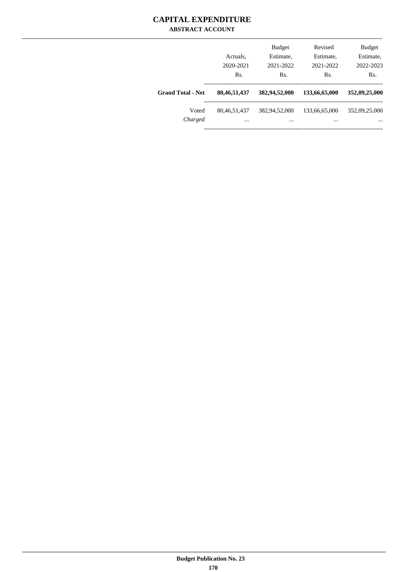### **CAPITAL EXPENDITURE ABSTRACT ACCOUNT**

|                          | Actuals.<br>2020-2021<br>Rs. | <b>Budget</b><br>Estimate,<br>2021-2022<br>Rs. | Revised<br>Estimate,<br>2021-2022<br>Rs. | <b>Budget</b><br>Estimate,<br>2022-2023<br>Rs. |
|--------------------------|------------------------------|------------------------------------------------|------------------------------------------|------------------------------------------------|
| <b>Grand Total - Net</b> | 80,46,51,437                 | 382,94,52,000                                  | 133,66,65,000                            | 352,09,25,000                                  |
| Voted<br>Charged         | 80, 46, 51, 437<br>$\cdots$  | 382,94,52,000<br>$\cdots$                      | 133,66,65,000<br>$\cdots$                | 352,09,25,000<br>$\cdots$                      |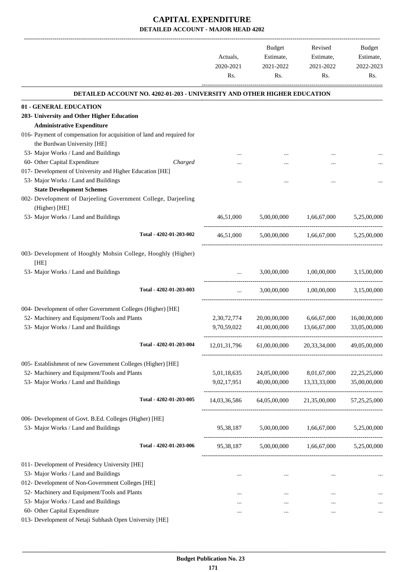|                                                                                 | Actuals,<br>2020-2021 | Budget<br>Estimate,<br>2021-2022 | Revised<br>Estimate,<br>2021-2022         | Budget<br>Estimate,<br>2022-2023 |
|---------------------------------------------------------------------------------|-----------------------|----------------------------------|-------------------------------------------|----------------------------------|
|                                                                                 | Rs.                   | Rs.                              | Rs.                                       | Rs.                              |
| <b>DETAILED ACCOUNT NO. 4202-01-203 - UNIVERSITY AND OTHER HIGHER EDUCATION</b> |                       |                                  |                                           |                                  |
| 01 - GENERAL EDUCATION                                                          |                       |                                  |                                           |                                  |
| 203- University and Other Higher Education                                      |                       |                                  |                                           |                                  |
| <b>Administrative Expenditure</b>                                               |                       |                                  |                                           |                                  |
| 016- Payment of compensation for acquisition of land and required for           |                       |                                  |                                           |                                  |
| the Burdwan University [HE]                                                     |                       |                                  |                                           |                                  |
| 53- Major Works / Land and Buildings                                            |                       |                                  |                                           |                                  |
| 60- Other Capital Expenditure<br>Charged                                        |                       |                                  |                                           |                                  |
| 017- Development of University and Higher Education [HE]                        |                       |                                  |                                           |                                  |
| 53- Major Works / Land and Buildings                                            |                       |                                  |                                           |                                  |
| <b>State Development Schemes</b>                                                |                       |                                  |                                           |                                  |
| 002- Development of Darjeeling Government College, Darjeeling                   |                       |                                  |                                           |                                  |
| (Higher) [HE]                                                                   |                       |                                  |                                           |                                  |
| 53- Major Works / Land and Buildings                                            | 46,51,000             | 5,00,00,000                      | 1,66,67,000                               | 5,25,00,000                      |
| Total - 4202-01-203-002                                                         | 46,51,000             |                                  | 5,00,00,000 1,66,67,000                   | 5,25,00,000                      |
|                                                                                 |                       |                                  |                                           |                                  |
| 003- Development of Hooghly Mohsin College, Hooghly (Higher)<br>[HE]            |                       |                                  |                                           |                                  |
| 53- Major Works / Land and Buildings                                            | $\cdots$              | 3,00,00,000                      | 1,00,00,000                               | 3,15,00,000                      |
| Total - 4202-01-203-003                                                         | $\cdots$              | 3,00,00,000                      | 1,00,00,000                               | 3,15,00,000                      |
| 004- Development of other Government Colleges (Higher) [HE]                     |                       |                                  |                                           |                                  |
| 52- Machinery and Equipment/Tools and Plants                                    | 2,30,72,774           | 20,00,00,000                     | 6,66,67,000                               | 16,00,00,000                     |
| 53- Major Works / Land and Buildings                                            | 9,70,59,022           | 41,00,00,000                     | 13,66,67,000                              | 33,05,00,000                     |
|                                                                                 |                       |                                  |                                           |                                  |
| Total - 4202-01-203-004                                                         | 12,01,31,796          | 61,00,00,000                     | 20,33,34,000                              | 49,05,00,000                     |
| 005- Establishment of new Government Colleges (Higher) [HE]                     |                       |                                  |                                           |                                  |
| 52- Machinery and Equipment/Tools and Plants                                    | 5,01,18,635           | 24,05,00,000                     | 8,01,67,000                               | 22, 25, 25, 000                  |
| 53- Major Works / Land and Buildings                                            | 9,02,17,951           | 40,00,00,000                     | 13,33,33,000                              | 35,00,00,000                     |
| Total - 4202-01-203-005                                                         | 14,03,36,586          |                                  | 64,05,00,000 21,35,00,000                 | 57,25,25,000                     |
|                                                                                 |                       |                                  |                                           |                                  |
| 006- Development of Govt. B.Ed. Colleges (Higher) [HE]                          |                       |                                  |                                           |                                  |
| 53- Major Works / Land and Buildings                                            | 95,38,187             | 5,00,00,000                      | 1,66,67,000                               | 5,25,00,000                      |
| Total - 4202-01-203-006                                                         | 95,38,187             |                                  | $5,00,00,000$ $1,66,67,000$ $5,25,00,000$ |                                  |
| 011- Development of Presidency University [HE]                                  |                       |                                  |                                           |                                  |
| 53- Major Works / Land and Buildings                                            | $\cdots$              | $\cdots$                         | $\cdots$                                  |                                  |
| 012- Development of Non-Government Colleges [HE]                                |                       |                                  |                                           |                                  |
| 52- Machinery and Equipment/Tools and Plants                                    |                       |                                  |                                           |                                  |
| 53- Major Works / Land and Buildings                                            | $\cdots$              |                                  |                                           |                                  |
| 60- Other Capital Expenditure                                                   |                       |                                  |                                           |                                  |
| 013- Development of Netaji Subhash Open University [HE]                         |                       |                                  |                                           |                                  |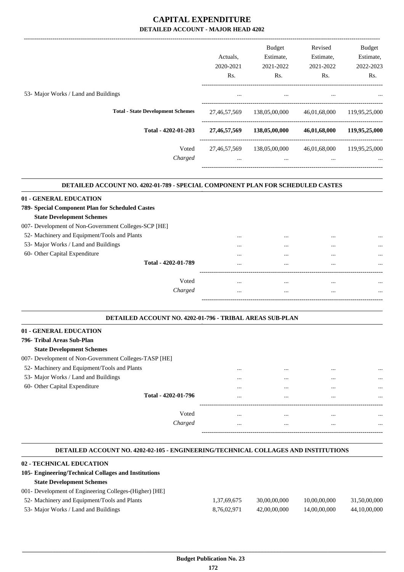|                                          |                 | <b>Budget</b> | Revised      | Budget           |
|------------------------------------------|-----------------|---------------|--------------|------------------|
|                                          | Actuals.        | Estimate,     | Estimate,    | Estimate,        |
|                                          | 2020-2021       | 2021-2022     | 2021-2022    | 2022-2023        |
|                                          | Rs.             | Rs.           | Rs.          | R <sub>s</sub> . |
| 53- Major Works / Land and Buildings     |                 | $\cdots$      | $\cdots$     |                  |
| <b>Total - State Development Schemes</b> | 27,46,57,569    | 138,05,00,000 | 46,01,68,000 | 119,95,25,000    |
| Total - 4202-01-203                      | 27, 46, 57, 569 | 138,05,00,000 | 46,01,68,000 | 119,95,25,000    |
| Voted                                    | 27,46,57,569    | 138,05,00,000 | 46,01,68,000 | 119,95,25,000    |
| Charged                                  | $\cdots$        | $\cdots$      | $\cdots$     | $\cdots$         |
|                                          |                 |               |              |                  |

#### **DETAILED ACCOUNT NO. 4202-01-789 - SPECIAL COMPONENT PLAN FOR SCHEDULED CASTES .**

#### **01 - GENERAL EDUCATION**

| 789- Special Component Plan for Scheduled Castes |  |
|--------------------------------------------------|--|
| <b>State Development Schemes</b>                 |  |

#### 007- Development of Non-Government Colleges-SCP [HE]

| 52- Machinery and Equipment/Tools and Plants |  | $\cdots$ |
|----------------------------------------------|--|----------|
|                                              |  |          |

53- Major Works / Land and Buildings ... ... ... ...

| $55$ major works than and bandings |                     |          | <br> | $\cdots$ |
|------------------------------------|---------------------|----------|------|----------|
| 60- Other Capital Expenditure      |                     |          | <br> | $\cdots$ |
|                                    | Total - 4202-01-789 |          | <br> | $\cdots$ |
|                                    |                     |          |      |          |
|                                    | Voted               |          | <br> | $\cdots$ |
|                                    | Charged             | $\cdots$ | <br> |          |

#### **DETAILED ACCOUNT NO. 4202-01-796 - TRIBAL AREAS SUB-PLAN .**

#### **01 - GENERAL EDUCATION**

### **796- Tribal Areas Sub-Plan**

#### **State Development Schemes**

|  |  |  | 007- Development of Non-Government Colleges-TASP [HE] |  |  |  |
|--|--|--|-------------------------------------------------------|--|--|--|
|--|--|--|-------------------------------------------------------|--|--|--|

- 52- Machinery and Equipment/Tools and Plants ... ... ... ...
- 53- Major Works / Land and Buildings
- 60- Other Capital Expenditure

| <br> | <br>         |
|------|--------------|
| <br> | <br>         |
| <br> | <br>         |
|      |              |
| <br> | <br>$\cdots$ |
| <br> | <br>         |
|      |              |

-----------------------------------------------------------------------------------------

-----------------------------------------------------------------------------------------

.

.

.

#### **DETAILED ACCOUNT NO. 4202-02-105 - ENGINEERING/TECHNICAL COLLAGES AND INSTITUTIONS**

#### **. 02 - TECHNICAL EDUCATION 105- Engineering/Technical Collages and Institutions State Development Schemes** 001- Development of Engineering Colleges-(Higher) [HE] 52- Machinery and Equipment/Tools and Plants 1,37,69,675 30,00,00,000 10,00,00,000 31,50,00,000 53- Major Works / Land and Buildings 8,76,02,971 42,00,00,000 14,00,00,000 44,10,00,000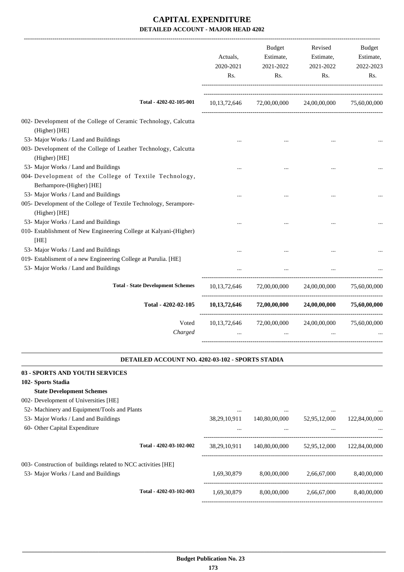|                                                                                    | Budget<br>Estimate,<br>Actuals,<br>2020-2021<br>2021-2022<br>Rs.<br>Rs. |                                              | Revised<br>Estimate,<br>2021-2022<br>Rs. | Budget<br>Estimate,<br>2022-2023<br>Rs. |
|------------------------------------------------------------------------------------|-------------------------------------------------------------------------|----------------------------------------------|------------------------------------------|-----------------------------------------|
| Total - 4202-02-105-001                                                            |                                                                         | 10,13,72,646 72,00,00,000 24,00,00,000       |                                          | 75,60,00,000                            |
| 002- Development of the College of Ceramic Technology, Calcutta<br>(Higher) [HE]   |                                                                         |                                              |                                          |                                         |
| 53- Major Works / Land and Buildings                                               |                                                                         |                                              |                                          |                                         |
| 003- Development of the College of Leather Technology, Calcutta<br>(Higher) [HE]   |                                                                         |                                              |                                          |                                         |
| 53- Major Works / Land and Buildings                                               |                                                                         |                                              |                                          |                                         |
| 004- Development of the College of Textile Technology,<br>Berhampore-(Higher) [HE] |                                                                         |                                              |                                          |                                         |
| 53- Major Works / Land and Buildings                                               |                                                                         |                                              |                                          |                                         |
| 005- Development of the College of Textile Technology, Serampore-<br>(Higher) [HE] |                                                                         |                                              |                                          |                                         |
| 53- Major Works / Land and Buildings                                               |                                                                         |                                              |                                          |                                         |
| 010- Establishment of New Engineering College at Kalyani-(Higher)<br>[HE]          |                                                                         |                                              |                                          |                                         |
| 53- Major Works / Land and Buildings                                               |                                                                         |                                              |                                          |                                         |
| 019- Establisment of a new Engineering College at Purulia. [HE]                    |                                                                         |                                              |                                          |                                         |
| 53- Major Works / Land and Buildings                                               |                                                                         |                                              |                                          |                                         |
| <b>Total - State Development Schemes</b>                                           |                                                                         | 10,13,72,646 72,00,00,000 24,00,00,000       |                                          | 75,60,00,000                            |
| Total - 4202-02-105                                                                | 10, 13, 72, 646                                                         |                                              | $72,00,00,000$ $24,00,00,000$            | 75,60,00,000                            |
| Voted                                                                              |                                                                         | $10,13,72,646$ $72,00,00,000$ $24,00,00,000$ |                                          | 75,60,00,000                            |
| Charged                                                                            | $\cdots$                                                                | $\cdots$                                     | $\cdots$                                 |                                         |
| DETAILED ACCOUNT NO. 4202-03-102 - SPORTS STADIA                                   |                                                                         |                                              |                                          |                                         |
|                                                                                    |                                                                         |                                              |                                          |                                         |
| <b>03 - SPORTS AND YOUTH SERVICES</b><br>102- Sports Stadia                        |                                                                         |                                              |                                          |                                         |
| <b>State Development Schemes</b>                                                   |                                                                         |                                              |                                          |                                         |
| 002- Development of Universities [HE]                                              |                                                                         |                                              |                                          |                                         |
| 52- Machinery and Equipment/Tools and Plants                                       | $\cdots$                                                                |                                              |                                          |                                         |
| 53- Major Works / Land and Buildings                                               | 38,29,10,911                                                            | 140,80,00,000                                | 52,95,12,000                             | 122,84,00,000                           |
| 60- Other Capital Expenditure                                                      |                                                                         |                                              |                                          |                                         |
| Total - 4202-03-102-002                                                            |                                                                         | 140,80,00,000                                | 52,95,12,000                             | 122,84,00,000                           |
|                                                                                    | 38,29,10,911                                                            |                                              |                                          |                                         |

003- Construction of buildings related to NCC activities [HE]

53- Major Works / Land and Buildings 1,69,30,879 8,00,00,000 2,66,67,000 8,40,00,000

-----------------------------------------------------------------------------------------

----------------------------------------------------------------------------------------

-----------------------------------------------------------------------------------------

**Total - 4202-03-102-003** 1,69,30,879 8,00,00,000 2,66,67,000 8,40,00,000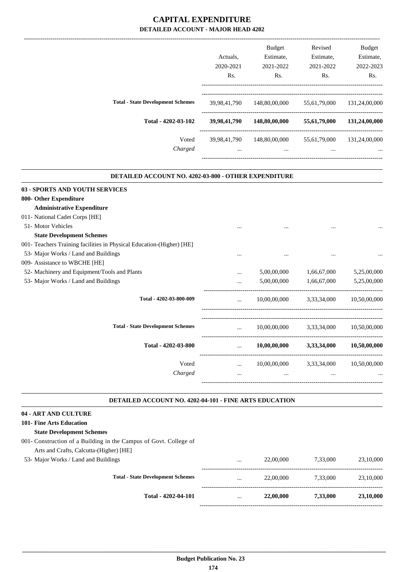|                                          | Actuals.                      | <b>Budget</b><br>Estimate,    | Revised<br>Estimate,     | <b>Budget</b><br>Estimate, |
|------------------------------------------|-------------------------------|-------------------------------|--------------------------|----------------------------|
|                                          | 2020-2021<br>R <sub>s</sub> . | 2021-2022<br>R <sub>s</sub> . | 2021-2022<br>Rs.         | 2022-2023<br>Rs.           |
| <b>Total - State Development Schemes</b> | 39,98,41,790                  | 148,80,00,000                 | 55,61,79,000             | 131,24,00,000              |
| Total - 4202-03-102                      | 39,98,41,790                  | 148,80,00,000                 | 55,61,79,000             | 131,24,00,000              |
| Voted<br>Charged                         | 39,98,41,790<br>$\cdots$      | 148,80,00,000<br>$\cdots$     | 55,61,79,000<br>$\cdots$ | 131.24,00,000<br>          |
|                                          |                               |                               |                          |                            |

.

|                                                                        | DETAILED ACCOUNT NO. 4202-03-800 - OTHER EXPENDITURE |              |                          |              |  |  |  |  |
|------------------------------------------------------------------------|------------------------------------------------------|--------------|--------------------------|--------------|--|--|--|--|
| <b>03 - SPORTS AND YOUTH SERVICES</b>                                  |                                                      |              |                          |              |  |  |  |  |
| 800- Other Expenditure                                                 |                                                      |              |                          |              |  |  |  |  |
| <b>Administrative Expenditure</b>                                      |                                                      |              |                          |              |  |  |  |  |
| 011- National Cadet Corps [HE]                                         |                                                      |              |                          |              |  |  |  |  |
| 51- Motor Vehicles                                                     |                                                      |              |                          |              |  |  |  |  |
| <b>State Development Schemes</b>                                       |                                                      |              |                          |              |  |  |  |  |
| 001 - Teachers Training facilities in Physical Education (Higher) [HE] |                                                      |              |                          |              |  |  |  |  |
| 53- Major Works / Land and Buildings                                   |                                                      | $\cdots$     | $\cdots$                 |              |  |  |  |  |
| 009- Assistance to WBCHE [HE]                                          |                                                      |              |                          |              |  |  |  |  |
| 52- Machinery and Equipment/Tools and Plants                           | .                                                    | 5,00,00,000  | 1,66,67,000              | 5,25,00,000  |  |  |  |  |
| 53- Major Works / Land and Buildings                                   |                                                      | 5,00,00,000  | 1,66,67,000              | 5,25,00,000  |  |  |  |  |
| Total - 4202-03-800-009                                                |                                                      | 10,00,00,000 | 3,33,34,000              | 10,50,00,000 |  |  |  |  |
| <b>Total - State Development Schemes</b>                               | $\cdots$                                             |              | 10,00,00,000 3,33,34,000 | 10,50,00,000 |  |  |  |  |
| Total - 4202-03-800                                                    | $\cdots$                                             | 10,00,00,000 | 3,33,34,000              | 10,50,00,000 |  |  |  |  |
| Voted                                                                  | $\cdots$                                             | 10,00,00,000 | 3,33,34,000              | 10,50,00,000 |  |  |  |  |
| Charged                                                                | $\cdots$                                             | $\cdots$     | $\cdots$                 |              |  |  |  |  |
|                                                                        |                                                      |              |                          |              |  |  |  |  |

#### **DETAILED ACCOUNT NO. 4202-04-101 - FINE ARTS EDUCATION .**

#### **04 - ART AND CULTURE**

# **101- Fine Arts Education**

- **State Development Schemes**
- 001- Construction of a Building in the Campus of Govt. College of Arts and Crafts, Calcutta-(Higher) [HE]
- 53- Major Works / Land

| Total - 4202-04-101                      | $\cdots$ | 22,00,000 | 7,33,000 | 23,10,000 |
|------------------------------------------|----------|-----------|----------|-----------|
| <b>Total - State Development Schemes</b> | $\cdots$ | 22,00,000 | 7.33.000 | 23,10,000 |
| and Buildings                            | $\cdots$ | 22,00,000 | 7,33,000 | 23,10,000 |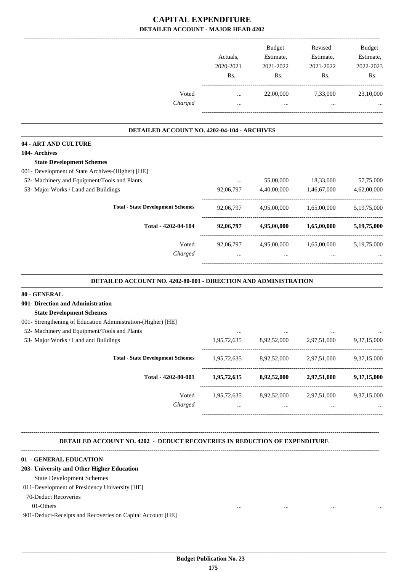|                                                                                  |                                     | Budget                                          | Revised         | Budget      |
|----------------------------------------------------------------------------------|-------------------------------------|-------------------------------------------------|-----------------|-------------|
|                                                                                  | Actuals,                            | Estimate,                                       | Estimate,       | Estimate,   |
|                                                                                  | 2020-2021                           | 2021-2022                                       | 2021-2022       | 2022-2023   |
|                                                                                  | Rs.                                 | Rs.                                             | Rs.             | Rs.         |
| Voted                                                                            | $\cdots$                            | 22,00,000                                       | 7,33,000        | 23,10,000   |
| Charged                                                                          | $\cdots$                            | $\ldots$                                        | $\cdots$        |             |
| DETAILED ACCOUNT NO. 4202-04-104 - ARCHIVES                                      |                                     |                                                 |                 |             |
| 04 - ART AND CULTURE                                                             |                                     |                                                 |                 |             |
| 104- Archives                                                                    |                                     |                                                 |                 |             |
| <b>State Development Schemes</b>                                                 |                                     |                                                 |                 |             |
| 001- Development of State Archives-(Higher) [HE]                                 |                                     |                                                 |                 |             |
| 52- Machinery and Equipment/Tools and Plants                                     |                                     | 55,00,000                                       | 18,33,000       | 57,75,000   |
| 53- Major Works / Land and Buildings                                             | 92,06,797                           | 4,40,00,000                                     | 1,46,67,000     | 4,62,00,000 |
|                                                                                  |                                     |                                                 |                 |             |
| <b>Total - State Development Schemes</b>                                         | 92,06,797                           | 4,95,00,000                                     | 1,65,00,000     | 5,19,75,000 |
| Total - 4202-04-104                                                              | 92,06,797                           | 4,95,00,000                                     | 1,65,00,000     | 5,19,75,000 |
| Voted                                                                            | 92,06,797                           | 4,95,00,000                                     | 1,65,00,000     | 5,19,75,000 |
| Charged                                                                          |                                     | $\ddotsc$                                       | $\ddotsc$       |             |
| <b>DETAILED ACCOUNT NO. 4202-80-001 - DIRECTION AND ADMINISTRATION</b>           |                                     |                                                 |                 |             |
| 80 - GENERAL                                                                     |                                     |                                                 |                 |             |
| 001- Direction and Administration                                                |                                     |                                                 |                 |             |
| <b>State Development Schemes</b>                                                 |                                     |                                                 |                 |             |
| 001- Strengthening of Education Administration-(Higher) [HE]                     |                                     |                                                 |                 |             |
| 52- Machinery and Equipment/Tools and Plants                                     |                                     |                                                 |                 |             |
| 53- Major Works / Land and Buildings                                             | 1,95,72,635                         | 8,92,52,000                                     | 2,97,51,000     | 9,37,15,000 |
| <b>Total - State Development Schemes</b>                                         |                                     | 1,95,72,635 8,92,52,000 2,97,51,000             |                 | 9,37,15,000 |
| Total - 4202-80-001                                                              |                                     | 1,95,72,635 8,92,52,000 2,97,51,000 9,37,15,000 |                 |             |
|                                                                                  |                                     |                                                 |                 |             |
| Voted                                                                            |                                     | 1,95,72,635 8,92,52,000 2,97,51,000 9,37,15,000 |                 |             |
| Charged                                                                          | $\sim 10^{-10}$ and $\sim 10^{-10}$ | <b>Section</b> 1997                             | $\sim 10^{-11}$ |             |
|                                                                                  |                                     |                                                 |                 |             |
| <b>DETAILED ACCOUNT NO. 4202 - DEDUCT RECOVERIES IN REDUCTION OF EXPENDITURE</b> |                                     |                                                 |                 |             |
| 01 - GENERAL EDUCATION                                                           |                                     |                                                 |                 |             |
| 203- University and Other Higher Education                                       |                                     |                                                 |                 |             |

State Development Schemes

#### 011-Development of Presidency University [HE]

70-Deduct Recoveries

01-Others ... ... ... ...

901-Deduct-Receipts and Recoveries on Capital Account [HE]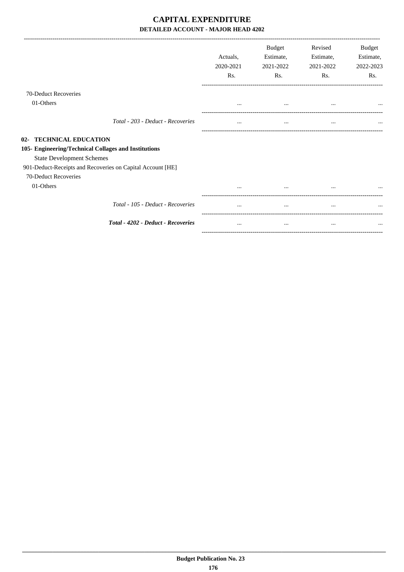|                                                                                                                                                                                                           | Actuals.<br>2020-2021<br>Rs. | <b>Budget</b><br>Estimate,<br>2021-2022<br>Rs. | Revised<br>Estimate,<br>2021-2022<br>Rs. | Budget<br>Estimate,<br>2022-2023<br>Rs. |
|-----------------------------------------------------------------------------------------------------------------------------------------------------------------------------------------------------------|------------------------------|------------------------------------------------|------------------------------------------|-----------------------------------------|
| 70-Deduct Recoveries                                                                                                                                                                                      |                              |                                                |                                          |                                         |
| 01-Others                                                                                                                                                                                                 | $\cdots$                     | $\cdots$                                       | $\cdots$                                 |                                         |
| Total - 203 - Deduct - Recoveries                                                                                                                                                                         | $\cdots$                     | $\cdots$                                       | $\cdots$                                 | $\cdots$                                |
| 02- TECHNICAL EDUCATION<br>105- Engineering/Technical Collages and Institutions<br><b>State Development Schemes</b><br>901-Deduct-Receipts and Recoveries on Capital Account [HE]<br>70-Deduct Recoveries |                              |                                                |                                          |                                         |
| 01-Others                                                                                                                                                                                                 |                              |                                                |                                          |                                         |
| Total - 105 - Deduct - Recoveries                                                                                                                                                                         |                              | $\cdots$                                       | $\cdots$                                 |                                         |
| Total - 4202 - Deduct - Recoveries                                                                                                                                                                        | $\cdots$                     | $\cdots$                                       | $\cdots$                                 |                                         |
|                                                                                                                                                                                                           |                              |                                                |                                          |                                         |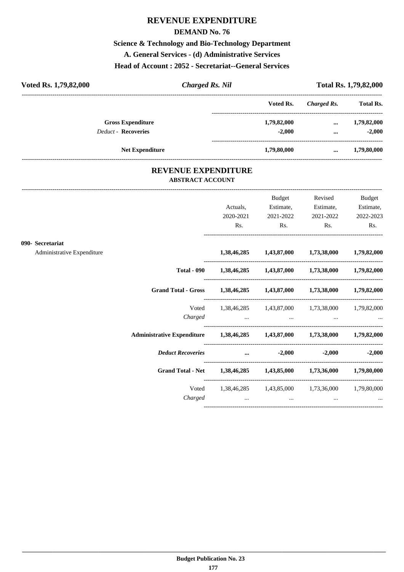## **REVENUE EXPENDITURE**

#### **DEMAND No. 76**

# **Science & Technology and Bio-Technology Department**

**A. General Services - (d) Administrative Services**

### **Head of Account : 2052 - Secretariat--General Services**

| Voted Rs. 1,79,82,000      | <b>Charged Rs. Nil</b> |             |             |                  |
|----------------------------|------------------------|-------------|-------------|------------------|
|                            |                        | Voted Rs.   | Charged Rs. | <b>Total Rs.</b> |
| <b>Gross Expenditure</b>   |                        | 1,79,82,000 | $\cdots$    | 1,79,82,000      |
| <b>Deduct - Recoveries</b> |                        | $-2.000$    | $\cdots$    | $-2.000$         |
| <b>Net Expenditure</b>     |                        | 1,79,80,000 | $\cdots$    | 1,79,80,000      |

### **REVENUE EXPENDITURE ABSTRACT ACCOUNT**

---------------------------------------------------------------------------------------------------------------------------------------------------------------------------------

|                            |         |                              | Budget                   | Revised                                                                                             | <b>Budget</b>          |
|----------------------------|---------|------------------------------|--------------------------|-----------------------------------------------------------------------------------------------------|------------------------|
|                            |         | Actuals,<br>2020-2021        | Estimate,<br>2021-2022   | Estimate,<br>2021-2022                                                                              | Estimate,<br>2022-2023 |
|                            |         | Rs.                          | $\mathbf{Rs.}$           | $\mathbf{Rs.}$                                                                                      | Rs.                    |
| 090- Secretariat           |         |                              |                          |                                                                                                     |                        |
| Administrative Expenditure |         |                              |                          | 1,38,46,285 1,43,87,000 1,73,38,000 1,79,82,000                                                     |                        |
|                            |         |                              |                          | Total - 090  1,38,46,285  1,43,87,000  1,73,38,000  1,79,82,000                                     |                        |
|                            |         |                              |                          | Grand Total - Gross 1,38,46,285 1,43,87,000 1,73,38,000 1,79,82,000                                 |                        |
|                            |         |                              |                          | Voted 1,38,46,285 1,43,87,000 1,73,38,000 1,79,82,000                                               |                        |
|                            |         |                              |                          | Charged                                                                                             |                        |
|                            |         |                              |                          | Administrative Expenditure 1,38,46,285 1,43,87,000 1,73,38,000 1,79,82,000                          |                        |
|                            |         |                              | Deduct Recoveries  3.000 |                                                                                                     | $-2,000$ $-2,000$      |
|                            |         |                              |                          | Grand Total - Net 1,38,46,285 1,43,85,000 1,73,36,000 1,79,80,000                                   |                        |
|                            |         |                              |                          | Voted 1,38,46,285 1,43,85,000 1,73,36,000 1,79,80,000                                               |                        |
|                            | Charged | and the contract of the con- |                          | the contract of the contract of the contract of the contract of the contract of the contract of the |                        |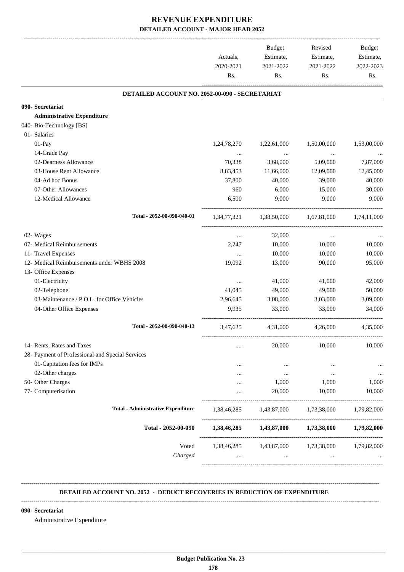|                                                  | Actuals,<br>2020-2021<br>Rs. | <b>Budget</b><br>Estimate,<br>2021-2022<br>Rs. | Revised<br>Estimate,<br>2021-2022<br>Rs.        | Budget<br>Estimate,<br>2022-2023<br>Rs. |
|--------------------------------------------------|------------------------------|------------------------------------------------|-------------------------------------------------|-----------------------------------------|
| DETAILED ACCOUNT NO. 2052-00-090 - SECRETARIAT   |                              |                                                |                                                 |                                         |
| 090- Secretariat                                 |                              |                                                |                                                 |                                         |
| <b>Administrative Expenditure</b>                |                              |                                                |                                                 |                                         |
| 040- Bio-Technology [BS]                         |                              |                                                |                                                 |                                         |
| 01- Salaries                                     |                              |                                                |                                                 |                                         |
| 01-Pay                                           | 1,24,78,270                  | 1,22,61,000                                    | 1,50,00,000                                     | 1,53,00,000                             |
| 14-Grade Pay                                     | $\cdots$                     | $\ldots$                                       | $\ldots$                                        |                                         |
| 02-Dearness Allowance                            | 70,338                       | 3,68,000                                       | 5,09,000                                        | 7,87,000                                |
| 03-House Rent Allowance                          | 8,83,453                     | 11,66,000                                      | 12,09,000                                       | 12,45,000                               |
| 04-Ad hoc Bonus                                  | 37,800                       | 40,000                                         | 39,000                                          | 40,000                                  |
| 07-Other Allowances                              | 960                          | 6,000                                          | 15,000                                          | 30,000                                  |
| 12-Medical Allowance                             | 6,500                        | 9,000                                          | 9,000                                           | 9.000                                   |
| Total - 2052-00-090-040-01                       |                              |                                                | 1,34,77,321 1,38,50,000 1,67,81,000 1,74,11,000 |                                         |
| 02- Wages                                        | $\cdots$                     | 32,000                                         | $\cdots$                                        |                                         |
| 07- Medical Reimbursements                       | 2,247                        | 10,000                                         | 10,000                                          | 10,000                                  |
| 11- Travel Expenses                              | $\cdots$                     | 10,000                                         | 10,000                                          | 10,000                                  |
| 12- Medical Reimbursements under WBHS 2008       | 19,092                       | 13,000                                         | 90,000                                          | 95,000                                  |
| 13- Office Expenses                              |                              |                                                |                                                 |                                         |
| 01-Electricity                                   | $\cdots$                     | 41,000                                         | 41,000                                          | 42,000                                  |
| 02-Telephone                                     | 41,045                       | 49,000                                         | 49,000                                          | 50,000                                  |
| 03-Maintenance / P.O.L. for Office Vehicles      | 2,96,645                     | 3,08,000                                       | 3,03,000                                        | 3,09,000                                |
| 04-Other Office Expenses                         | 9,935                        | 33,000                                         | 33,000                                          | 34,000                                  |
| Total - 2052-00-090-040-13                       | 3,47,625                     | 4,31,000                                       | 4,26,000                                        | 4,35,000                                |
| 14- Rents, Rates and Taxes                       | $\ddotsc$                    | 20,000                                         | 10,000                                          | 10,000                                  |
| 28- Payment of Professional and Special Services |                              |                                                |                                                 |                                         |
| 01-Capitation fees for IMPs                      |                              | $\cdots$                                       |                                                 | $\ddotsc$                               |
| 02-Other charges                                 |                              | $\cdots$                                       | $\cdots$                                        | $\cdots$                                |
| 50- Other Charges                                |                              | 1,000                                          | 1,000                                           | 1,000                                   |
| 77- Computerisation                              |                              | 20,000                                         | 10,000                                          | 10,000                                  |
|                                                  |                              |                                                |                                                 |                                         |
| <b>Total - Administrative Expenditure</b>        | 1,38,46,285                  | 1,43,87,000                                    | 1,73,38,000                                     | 1,79,82,000                             |
| Total - 2052-00-090                              |                              | 1,38,46,285 1,43,87,000                        | 1,73,38,000                                     | 1,79,82,000                             |
| Voted                                            | 1,38,46,285                  | 1,43,87,000                                    | 1,73,38,000                                     | 1,79,82,000                             |
| Charged                                          | $\cdots$                     | $\cdots$                                       | $\cdots$                                        |                                         |

#### **-------------------------------------------------------------------------------------------------------------------------------------------------------------------------------- DETAILED ACCOUNT NO. 2052 - DEDUCT RECOVERIES IN REDUCTION OF EXPENDITURE**

#### **--------------------------------------------------------------------------------------------------------------------------------------------------------------------------------**

 **\_\_\_\_\_\_\_\_\_\_\_\_\_\_\_\_\_\_\_\_\_\_\_\_\_\_\_\_\_\_\_\_\_\_\_\_\_\_\_\_\_\_\_\_\_\_\_\_\_\_\_\_\_\_\_\_\_\_\_\_\_\_\_\_\_\_\_\_\_\_\_\_\_\_\_\_\_\_\_\_\_\_\_\_\_\_\_\_\_\_\_\_\_\_\_\_\_\_\_\_\_\_\_\_\_\_\_\_\_\_\_\_\_\_\_\_\_\_\_**

#### **090- Secretariat**

Administrative Expenditure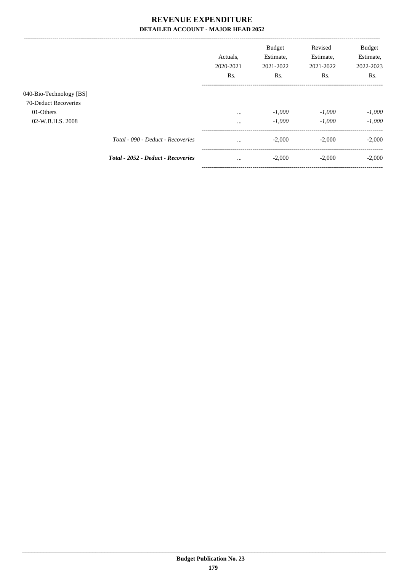|                         |                                    | Actuals.<br>2020-2021<br>Rs. | <b>Budget</b><br>Estimate,<br>2021-2022<br>Rs. | Revised<br>Estimate,<br>2021-2022<br>Rs. | <b>Budget</b><br>Estimate,<br>2022-2023<br>Rs. |
|-------------------------|------------------------------------|------------------------------|------------------------------------------------|------------------------------------------|------------------------------------------------|
| 040-Bio-Technology [BS] |                                    |                              |                                                |                                          |                                                |
| 70-Deduct Recoveries    |                                    |                              |                                                |                                          |                                                |
| 01-Others               |                                    | $\cdots$                     | $-1,000$                                       | $-1,000$                                 | $-1,000$                                       |
| 02-W.B.H.S. 2008        |                                    | $\cdots$                     | $-1,000$                                       | $-1,000$                                 | $-1,000$                                       |
|                         | Total - 090 - Deduct - Recoveries  | $\cdots$                     | $-2,000$                                       | $-2.000$                                 | $-2,000$                                       |
|                         | Total - 2052 - Deduct - Recoveries | $\cdots$                     | $-2,000$                                       | $-2,000$                                 | $-2,000$                                       |
|                         |                                    |                              |                                                |                                          |                                                |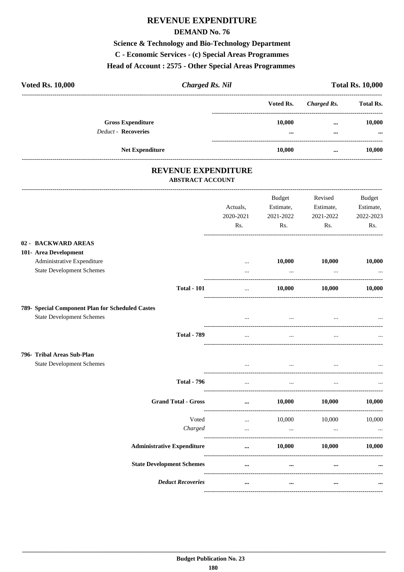## **REVENUE EXPENDITURE**

#### **DEMAND No. 76**

**Science & Technology and Bio-Technology Department** C - Economic Services - (c) Special Areas Programmes Head of Account: 2575 - Other Special Areas Programmes

| <b>Voted Rs. 10,000</b>    | <b>Charged Rs. Nil</b>   |  | <b>Total Rs. 10,000</b> |             |                                                      |
|----------------------------|--------------------------|--|-------------------------|-------------|------------------------------------------------------|
|                            |                          |  | Voted Rs.               | Charged Rs. | <b>Total Rs.</b>                                     |
|                            | <b>Gross Expenditure</b> |  | 10.000                  | $\cdots$    | 10,000                                               |
| <b>Deduct - Recoveries</b> |                          |  |                         | $\cdots$    | $\ddot{\phantom{0}}\phantom{0}\bullet\bullet\bullet$ |
|                            | <b>Net Expenditure</b>   |  | 10,000                  | $\cdots$    | 10.000                                               |
|                            |                          |  |                         |             |                                                      |

### REVENUE EXPENDITURE ABSTRACT ACCOUNT

|                                                                | Actuals,<br>2020-2021<br>Rs. | <b>Budget</b><br>Estimate,<br>2021-2022<br>Rs. | Revised<br>Estimate,<br>2021-2022<br>Rs. | <b>Budget</b><br>Estimate,<br>2022-2023<br>Rs. |
|----------------------------------------------------------------|------------------------------|------------------------------------------------|------------------------------------------|------------------------------------------------|
| 02 - BACKWARD AREAS                                            |                              |                                                |                                          |                                                |
| 101- Area Development                                          |                              |                                                |                                          |                                                |
| Administrative Expenditure<br><b>State Development Schemes</b> | $\cdots$<br>$\ddotsc$        | 10,000<br>$\ddots$                             | 10,000<br>$\cdots$                       | 10,000                                         |
| <b>Total - 101</b>                                             | $\cdots$                     | 10,000                                         | 10,000                                   | 10,000                                         |
| 789- Special Component Plan for Scheduled Castes               |                              |                                                |                                          |                                                |
| <b>State Development Schemes</b>                               | $\ddotsc$                    | $\ddotsc$                                      | $\overline{\phantom{a}}$                 |                                                |
| <b>Total - 789</b>                                             |                              |                                                |                                          |                                                |
| 796- Tribal Areas Sub-Plan                                     |                              |                                                |                                          |                                                |
| <b>State Development Schemes</b>                               |                              | $\cdots$                                       | and the contract of the contract of      |                                                |
| <b>Total - 796</b>                                             | $\ddotsc$                    | $\overline{\phantom{a}}$                       |                                          |                                                |
| <b>Grand Total - Gross</b>                                     | $\cdots$                     | 10,000                                         | 10,000                                   | 10,000                                         |
| Voted                                                          | $\cdots$                     | 10,000                                         | 10,000                                   | 10,000                                         |
| Charged                                                        | $\cdots$                     | $\cdots$                                       | $\cdots$                                 |                                                |
| <b>Administrative Expenditure</b>                              | $\cdots$                     | 10.000                                         | 10.000                                   | 10,000                                         |
| <b>State Development Schemes</b>                               | $\ddotsc$                    | $\cdots$                                       | $\cdots$                                 |                                                |
| <b>Deduct Recoveries</b>                                       | $\cdots$                     | $\ddotsc$                                      | $\cdots$                                 |                                                |
|                                                                |                              |                                                |                                          |                                                |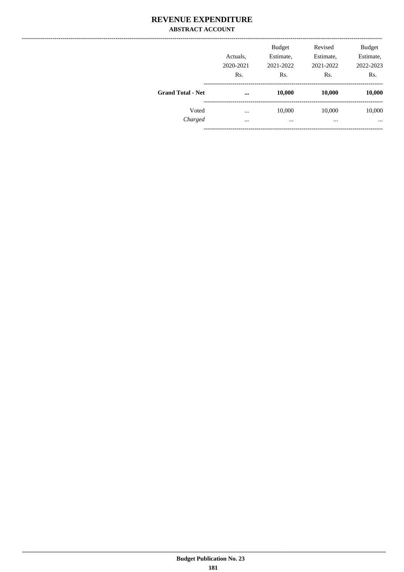### **REVENUE EXPENDITURE ABSTRACT ACCOUNT**

|                          | Actuals,<br>2020-2021 | <b>Budget</b><br>Estimate,<br>2021-2022 | Revised<br>Estimate,<br>2021-2022 | <b>Budget</b><br>Estimate,<br>2022-2023 |
|--------------------------|-----------------------|-----------------------------------------|-----------------------------------|-----------------------------------------|
|                          | Rs.                   | Rs.                                     | Rs.                               | Rs.                                     |
| <b>Grand Total - Net</b> | $\cdots$              | 10,000                                  | 10,000                            | 10,000                                  |
| Voted                    | $\cdots$              | 10,000                                  | 10,000                            | 10,000                                  |
| Charged                  | $\cdots$              | $\cdots$                                | $\cdots$                          | $\cdots$                                |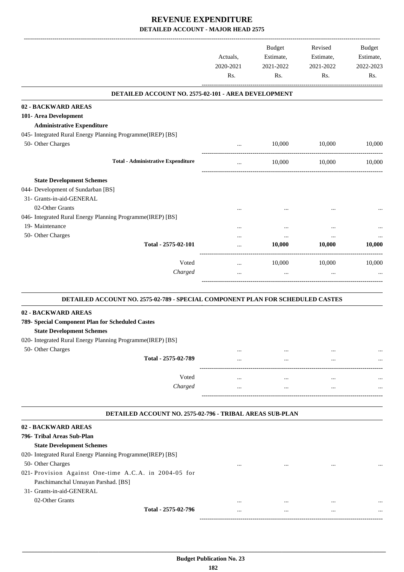|                                                                                | Actuals,<br>2020-2021<br>Rs. | Budget<br>Estimate,<br>2021-2022<br>Rs. | Revised<br>Estimate,<br>2021-2022<br>Rs. | Budget<br>Estimate,<br>2022-2023<br>Rs. |
|--------------------------------------------------------------------------------|------------------------------|-----------------------------------------|------------------------------------------|-----------------------------------------|
| DETAILED ACCOUNT NO. 2575-02-101 - AREA DEVELOPMENT                            |                              |                                         |                                          |                                         |
| 02 - BACKWARD AREAS                                                            |                              |                                         |                                          |                                         |
| 101- Area Development                                                          |                              |                                         |                                          |                                         |
| <b>Administrative Expenditure</b>                                              |                              |                                         |                                          |                                         |
| 045- Integrated Rural Energy Planning Programme(IREP) [BS]                     |                              |                                         |                                          |                                         |
| 50- Other Charges                                                              | $\cdots$                     | 10,000                                  | 10,000                                   | 10,000                                  |
| <b>Total - Administrative Expenditure</b>                                      | $\cdots$                     | 10,000                                  | 10,000                                   | 10,000                                  |
| <b>State Development Schemes</b>                                               |                              |                                         |                                          |                                         |
| 044- Development of Sundarban [BS]                                             |                              |                                         |                                          |                                         |
| 31- Grants-in-aid-GENERAL                                                      |                              |                                         |                                          |                                         |
| 02-Other Grants                                                                |                              |                                         |                                          |                                         |
| 046- Integrated Rural Energy Planning Programme(IREP) [BS]                     |                              |                                         |                                          |                                         |
| 19- Maintenance                                                                |                              | $\ddotsc$                               | $\ddotsc$                                |                                         |
| 50- Other Charges                                                              |                              | $\cdots$                                | $\cdots$                                 |                                         |
| Total - 2575-02-101                                                            |                              | 10,000                                  | 10,000                                   | 10,000                                  |
| Voted                                                                          |                              | 10,000                                  | 10,000                                   | 10,000                                  |
| Charged                                                                        | $\cdots$<br>$\cdots$         | $\cdots$                                | $\ddotsc$                                |                                         |
|                                                                                |                              |                                         |                                          |                                         |
| DETAILED ACCOUNT NO. 2575-02-789 - SPECIAL COMPONENT PLAN FOR SCHEDULED CASTES |                              |                                         |                                          |                                         |
| 02 - BACKWARD AREAS                                                            |                              |                                         |                                          |                                         |
| 789- Special Component Plan for Scheduled Castes                               |                              |                                         |                                          |                                         |
| <b>State Development Schemes</b>                                               |                              |                                         |                                          |                                         |
| 020- Integrated Rural Energy Planning Programme(IREP) [BS]                     |                              |                                         |                                          |                                         |
| 50- Other Charges                                                              |                              |                                         |                                          |                                         |
| Total - 2575-02-789                                                            |                              |                                         |                                          |                                         |
|                                                                                |                              |                                         |                                          |                                         |
| Voted                                                                          | $\cdots$                     | $\cdots$                                | $\cdots$                                 |                                         |
| Charged                                                                        | $\cdots$                     | $\cdots$                                | $\cdots$                                 |                                         |
| DETAILED ACCOUNT NO. 2575-02-796 - TRIBAL AREAS SUB-PLAN                       |                              |                                         |                                          |                                         |
| 02 - BACKWARD AREAS                                                            |                              |                                         |                                          |                                         |
| 796- Tribal Areas Sub-Plan                                                     |                              |                                         |                                          |                                         |
| <b>State Development Schemes</b>                                               |                              |                                         |                                          |                                         |
| 020- Integrated Rural Energy Planning Programme(IREP) [BS]                     |                              |                                         |                                          |                                         |
| 50- Other Charges                                                              |                              |                                         |                                          |                                         |
| 021- Provision Against One-time A.C.A. in 2004-05 for                          |                              |                                         |                                          |                                         |
| Paschimanchal Unnayan Parshad. [BS]                                            |                              |                                         |                                          |                                         |
| 31- Grants-in-aid-GENERAL                                                      |                              |                                         |                                          |                                         |
| 02-Other Grants                                                                |                              | $\cdots$                                | $\ddotsc$                                |                                         |
| Total - 2575-02-796                                                            |                              | $\cdots$                                | $\ddotsc$                                |                                         |

------------------------------------------------------------------------------------------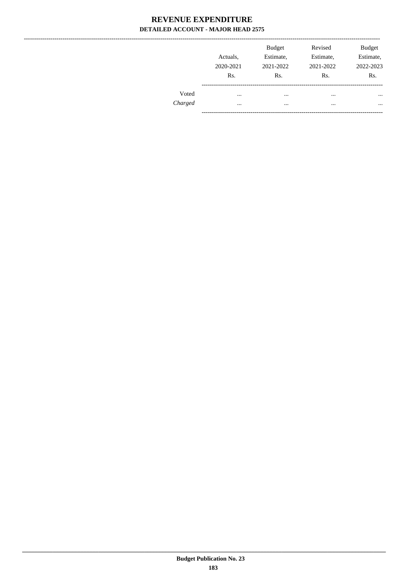|         |           | <b>Budget</b> | Revised   | <b>Budget</b> |
|---------|-----------|---------------|-----------|---------------|
|         | Actuals,  | Estimate,     | Estimate, | Estimate,     |
|         | 2020-2021 | 2021-2022     | 2021-2022 | 2022-2023     |
|         | Rs.       | Rs.           | Rs.       | Rs.           |
| Voted   |           |               | $\cdots$  | $\cdots$      |
| Charged |           |               | $\cdots$  | $\cdots$      |
|         |           |               |           |               |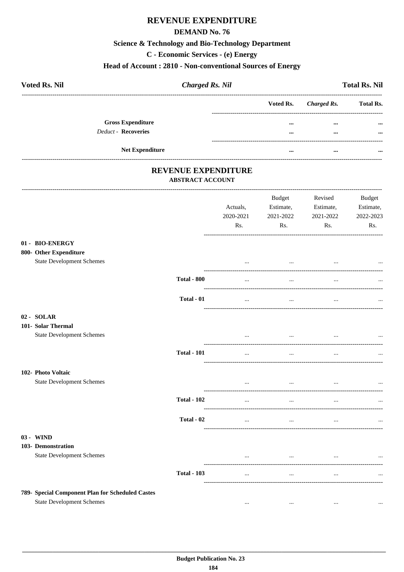# REVENUE EXPENDITURE

#### **DEMAND No. 76**

# **Science & Technology and Bio-Technology Department**

C - Economic Services - (e) Energy

#### Head of Account: 2810 - Non-conventional Sources of Energy

| <b>Voted Rs. Nil</b> |                          | <b>Charged Rs. Nil</b> |                         |                       | <b>Total Rs. Nil</b> |
|----------------------|--------------------------|------------------------|-------------------------|-----------------------|----------------------|
|                      |                          |                        |                         | Voted Rs. Charged Rs. | <b>Total Rs.</b>     |
|                      | <b>Gross Expenditure</b> |                        |                         | $\cdots$              | $\cdots$             |
|                      | Deduct - Recoveries      |                        |                         | $\cdots$              |                      |
|                      | <b>Net Expenditure</b>   |                        | $\bullet\bullet\bullet$ |                       |                      |
|                      |                          |                        |                         |                       |                      |

### REVENUE EXPENDITURE **ABSTRACT ACCOUNT**

|                                                        |                    | Actuals,<br>2020-2021<br>Rs. | Budget<br>Estimate,<br>2021-2022<br>Rs. | Revised<br>Estimate,<br>2021-2022<br>Rs. | Budget<br>Estimate,<br>2022-2023<br>Rs. |
|--------------------------------------------------------|--------------------|------------------------------|-----------------------------------------|------------------------------------------|-----------------------------------------|
| 01 - BIO-ENERGY<br>800- Other Expenditure              |                    |                              |                                         |                                          |                                         |
| <b>State Development Schemes</b>                       |                    |                              | $\cdots$                                | $\cdots$                                 |                                         |
|                                                        | <b>Total - 800</b> | $\cdots$                     | $\ddotsc$                               | $\cdots$                                 |                                         |
|                                                        | Total - 01         | $\cdots$                     | $\ldots$                                | $\ldots$                                 |                                         |
| 02 - SOLAR<br>101- Solar Thermal                       |                    |                              |                                         |                                          |                                         |
| <b>State Development Schemes</b>                       |                    | $\cdots$                     | and the contract of the con-            | the contract of the contract of the      |                                         |
|                                                        | <b>Total - 101</b> | $\cdots$                     | $\cdots$                                | $\ddots$                                 |                                         |
| 102- Photo Voltaic<br><b>State Development Schemes</b> |                    | $\cdots$                     | $\sim$ 100 $\mu$                        | $\cdots$                                 |                                         |
|                                                        | <b>Total - 102</b> | $\ddots$                     | $\cdots$                                | $\ddots$                                 |                                         |
|                                                        | Total - 02         | $\cdots$                     | $\cdots$                                | $\cdots$                                 |                                         |
| 03 - WIND<br>103- Demonstration                        |                    |                              |                                         |                                          |                                         |
| <b>State Development Schemes</b>                       |                    | $\cdots$                     | $\cdots$                                | $\cdots$                                 |                                         |
|                                                        | <b>Total - 103</b> | $\cdots$                     | $\ddotsc$                               |                                          |                                         |
| 789- Special Component Plan for Scheduled Castes       |                    |                              |                                         |                                          |                                         |
| <b>State Development Schemes</b>                       |                    | $\cdots$                     | $\cdots$                                | $\ldots$                                 | $\ldots$                                |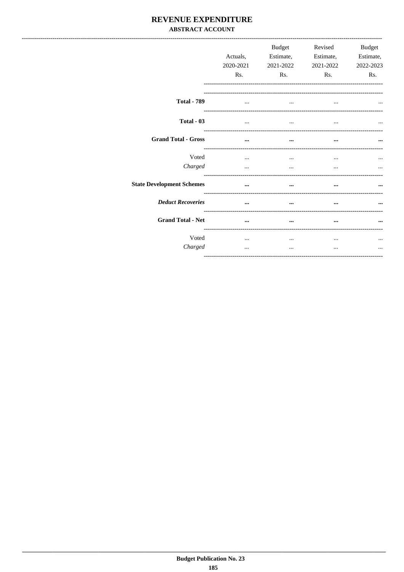### REVENUE EXPENDITURE **ABSTRACT ACCOUNT**

|                                  | Actuals,<br>2020-2021<br>Rs. | Budget<br>Estimate,<br>2021-2022<br>Rs. | Revised<br>Estimate,<br>2021-2022<br>Rs. | Budget<br>Estimate,<br>2022-2023<br>Rs. |
|----------------------------------|------------------------------|-----------------------------------------|------------------------------------------|-----------------------------------------|
| <b>Total - 789</b>               |                              |                                         |                                          |                                         |
| Total - 03                       | $\cdots$                     |                                         |                                          |                                         |
| <b>Grand Total - Gross</b>       | $\cdots$                     | $\cdots$                                | $\cdots$                                 | $\cdots$                                |
| Voted<br>Charged                 | $\cdots$                     | $\cdots$                                | $\cdots$                                 |                                         |
| <b>State Development Schemes</b> | $\cdots$                     | -----------------<br>                   | --------------------                     |                                         |
| <b>Deduct Recoveries</b>         | $\cdots$                     | $\cdots$                                |                                          | $\cdots$                                |
| <b>Grand Total - Net</b>         | $\ddotsc$                    | $\cdots$                                | $\cdots$                                 | $\cdots$                                |
| Voted<br>Charged                 | $\cdots$<br>$\cdots$         | <br>$\cdots$                            | <br>$\cdots$                             | $\ddotsc$<br>$\cdots$                   |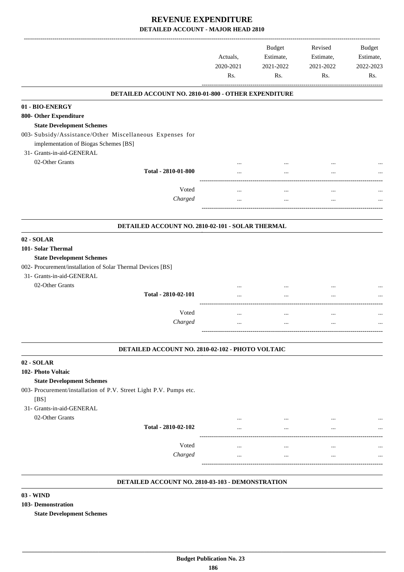|                                                                    | Actuals,<br>2020-2021<br>Rs. | <b>Budget</b><br>Estimate,<br>2021-2022<br>Rs. | Revised<br>Estimate,<br>2021-2022<br>Rs. | <b>Budget</b><br>Estimate,<br>2022-2023<br>Rs. |
|--------------------------------------------------------------------|------------------------------|------------------------------------------------|------------------------------------------|------------------------------------------------|
| DETAILED ACCOUNT NO. 2810-01-800 - OTHER EXPENDITURE               |                              |                                                |                                          |                                                |
| 01 - BIO-ENERGY                                                    |                              |                                                |                                          |                                                |
| 800- Other Expenditure                                             |                              |                                                |                                          |                                                |
| <b>State Development Schemes</b>                                   |                              |                                                |                                          |                                                |
| 003- Subsidy/Assistance/Other Miscellaneous Expenses for           |                              |                                                |                                          |                                                |
| implementation of Biogas Schemes [BS]<br>31- Grants-in-aid-GENERAL |                              |                                                |                                          |                                                |
| 02-Other Grants                                                    |                              |                                                |                                          |                                                |
| Total - 2810-01-800                                                |                              |                                                |                                          |                                                |
|                                                                    |                              |                                                |                                          |                                                |
| Voted                                                              | $\cdots$                     | $\cdots$                                       | $\cdots$                                 |                                                |
| Charged                                                            | $\cdots$                     |                                                | $\ldots$                                 |                                                |
|                                                                    |                              |                                                |                                          |                                                |
| DETAILED ACCOUNT NO. 2810-02-101 - SOLAR THERMAL                   |                              |                                                |                                          |                                                |
| 02 - SOLAR                                                         |                              |                                                |                                          |                                                |
| 101- Solar Thermal                                                 |                              |                                                |                                          |                                                |
| <b>State Development Schemes</b>                                   |                              |                                                |                                          |                                                |
| 002- Procurement/installation of Solar Thermal Devices [BS]        |                              |                                                |                                          |                                                |
| 31- Grants-in-aid-GENERAL                                          |                              |                                                |                                          |                                                |
| 02-Other Grants                                                    |                              |                                                |                                          |                                                |
| Total - 2810-02-101                                                |                              |                                                |                                          |                                                |
| Voted                                                              |                              |                                                |                                          |                                                |
| Charged                                                            | $\cdots$                     | $\cdots$                                       | $\cdots$                                 |                                                |
|                                                                    | $\cdots$                     |                                                | $\cdots$                                 |                                                |
| DETAILED ACCOUNT NO. 2810-02-102 - PHOTO VOLTAIC                   |                              |                                                |                                          |                                                |
| 02 - SOLAR                                                         |                              |                                                |                                          |                                                |
| 102- Photo Voltaic                                                 |                              |                                                |                                          |                                                |
| <b>State Development Schemes</b>                                   |                              |                                                |                                          |                                                |
| 003- Procurement/installation of P.V. Street Light P.V. Pumps etc. |                              |                                                |                                          |                                                |
| [BS]                                                               |                              |                                                |                                          |                                                |
| 31- Grants-in-aid-GENERAL                                          |                              |                                                |                                          |                                                |
| 02-Other Grants                                                    |                              |                                                |                                          |                                                |
| Total - 2810-02-102                                                |                              |                                                |                                          |                                                |
| Voted                                                              |                              |                                                |                                          |                                                |
| Charged                                                            | $\ddotsc$                    | $\cdots$                                       |                                          |                                                |
|                                                                    | $\cdots$                     | $\cdots$                                       |                                          |                                                |
|                                                                    |                              |                                                |                                          |                                                |

#### **DETAILED ACCOUNT NO. 2810-03-103 - DEMONSTRATION .**

**03 - WIND**

**103- Demonstration**

**State Development Schemes**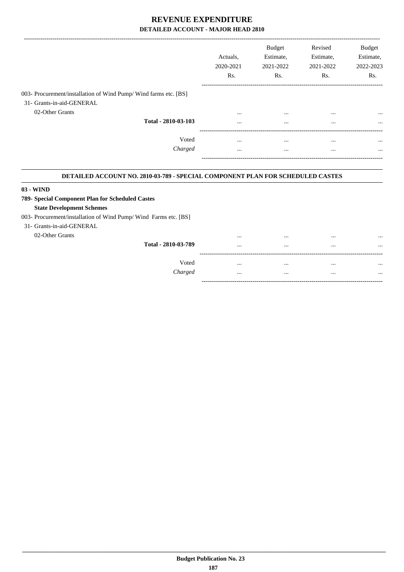|                                                                  |                     | Actuals.<br>2020-2021<br>Rs. | <b>Budget</b><br>Estimate,<br>2021-2022<br>Rs. | Revised<br>Estimate,<br>2021-2022<br>Rs. | Budget<br>Estimate,<br>2022-2023<br>R <sub>s</sub> . |
|------------------------------------------------------------------|---------------------|------------------------------|------------------------------------------------|------------------------------------------|------------------------------------------------------|
| 003- Procurement/installation of Wind Pump/ Wind farms etc. [BS] |                     |                              |                                                |                                          |                                                      |
| 31- Grants-in-aid-GENERAL                                        |                     |                              |                                                |                                          |                                                      |
| 02-Other Grants                                                  |                     | $\cdots$                     | $\cdots$                                       | $\cdots$                                 | $\cdots$                                             |
|                                                                  | Total - 2810-03-103 | $\cdots$                     | $\cdots$                                       | $\cdots$                                 | $\cdots$                                             |
|                                                                  | Voted               |                              |                                                | $\cdots$                                 | $\cdots$                                             |
|                                                                  | Charged             | $\cdots$                     |                                                | $\cdots$                                 | $\cdots$                                             |
|                                                                  |                     |                              |                                                |                                          |                                                      |

#### **DETAILED ACCOUNT NO. 2810-03-789 - SPECIAL COMPONENT PLAN FOR SCHEDULED CASTES .**

#### **03 - WIND**

#### **789- Special Component Plan for Scheduled Castes State Development Schemes**

## 003- Procurement/installation of Wind Pump/ Wind Farms etc. [BS]

#### 31- Grants-in-aid-GENERAL

02-Other Grants

| Total - 2810-03-789 | <br><br><br> | <br><br>$\cdot \cdot \cdot$<br> |
|---------------------|--------------|---------------------------------|
| Voted<br>Charged    | <br>         | <br>                            |
|                     | <br>         | <br>                            |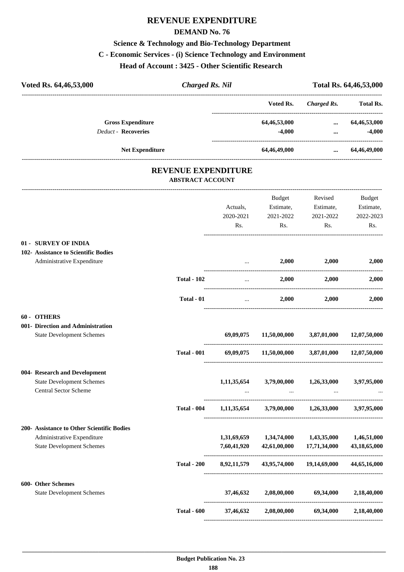# **REVENUE EXPENDITURE**

#### **DEMAND No. 76**

#### **Science & Technology and Bio-Technology Department**

#### **C - Economic Services - (i) Science Technology and Environment**

**Head of Account : 3425 - Other Scientific Research** 

| Voted Rs. 64,46,53,000                                    | <b>Charged Rs. Nil</b>                         |             |                                       |                                             | Total Rs. 64,46,53,000 |
|-----------------------------------------------------------|------------------------------------------------|-------------|---------------------------------------|---------------------------------------------|------------------------|
|                                                           |                                                |             | Voted Rs.                             | Charged Rs.                                 | Total Rs.              |
| <b>Gross Expenditure</b>                                  |                                                |             | 64,46,53,000                          | $\cdots$                                    | 64,46,53,000           |
| <b>Deduct - Recoveries</b>                                |                                                |             | $-4,000$                              | $\cdots$<br>_______________________________ | $-4,000$               |
| Net Expenditure                                           |                                                |             | 64,46,49,000                          | $\cdots$                                    | 64,46,49,000           |
|                                                           | REVENUE EXPENDITURE<br><b>ABSTRACT ACCOUNT</b> |             |                                       |                                             |                        |
|                                                           |                                                |             | <b>Budget</b>                         | Revised                                     | Budget                 |
|                                                           |                                                | Actuals,    | Estimate,                             | Estimate,                                   | Estimate,              |
|                                                           |                                                | 2020-2021   | 2021-2022                             | 2021-2022                                   | 2022-2023              |
|                                                           |                                                | Rs.         | Rs.                                   | Rs.                                         | Rs.                    |
| 01 - SURVEY OF INDIA                                      |                                                |             |                                       |                                             |                        |
| 102- Assistance to Scientific Bodies                      |                                                |             |                                       |                                             |                        |
| Administrative Expenditure                                |                                                | $\cdots$    | 2,000                                 | 2,000                                       | 2,000                  |
|                                                           | <b>Total - 102</b>                             | $\cdots$    | 2,000                                 | 2,000                                       | 2,000                  |
|                                                           | Total - 01                                     | $\cdots$    | 2,000                                 | 2,000                                       | 2,000                  |
| 60 - OTHERS                                               |                                                |             |                                       |                                             |                        |
| 001- Direction and Administration                         |                                                |             |                                       |                                             |                        |
| <b>State Development Schemes</b>                          |                                                | 69,09,075   | 11,50,00,000                          | 3,87,01,000                                 | 12,07,50,000           |
|                                                           | <b>Total - 001</b>                             | 69,09,075   | 11,50,00,000                          | 3,87,01,000                                 | 12,07,50,000           |
| 004- Research and Development                             |                                                |             |                                       |                                             |                        |
| <b>State Development Schemes</b><br>Central Sector Scheme |                                                | 1,11,35,654 | 3,79,00,000                           | 1,26,33,000<br>$\cdots$                     | 3,97,95,000            |
|                                                           |                                                |             | $\cdots$                              |                                             |                        |
|                                                           | <b>Total - 004</b>                             | 1,11,35,654 |                                       | 3,79,00,000 1,26,33,000                     | 3,97,95,000            |
| 200- Assistance to Other Scientific Bodies                |                                                |             |                                       |                                             |                        |
| Administrative Expenditure                                |                                                |             | 1,31,69,659 1,34,74,000               | 1,43,35,000                                 | 1,46,51,000            |
| <b>State Development Schemes</b>                          |                                                | 7,60,41,920 | 42,61,00,000                          | 17,71,34,000<br>----------------------      | 43,18,65,000           |
|                                                           | <b>Total - 200</b>                             |             | 8,92,11,579 43,95,74,000 19,14,69,000 |                                             | 44,65,16,000           |
| 600- Other Schemes                                        |                                                |             |                                       |                                             |                        |
| <b>State Development Schemes</b>                          |                                                | 37,46,632   | 2,08,00,000                           | 69,34,000                                   | 2,18,40,000            |
|                                                           | <b>Total - 600</b>                             | 37,46,632   | 2,08,00,000                           | 69,34,000                                   | 2,18,40,000            |

----------------------------------------------------------------------------------------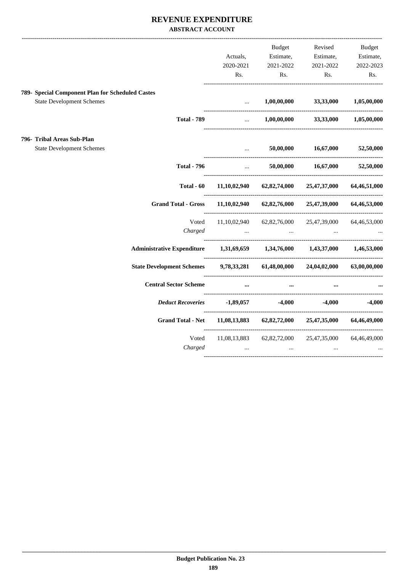### **REVENUE EXPENDITURE ABSTRACT ACCOUNT**

|                                                  |                                   |                                                                                                                                                          | Budget                                                      | Revised                                 | Budget       |
|--------------------------------------------------|-----------------------------------|----------------------------------------------------------------------------------------------------------------------------------------------------------|-------------------------------------------------------------|-----------------------------------------|--------------|
|                                                  |                                   | Actuals,                                                                                                                                                 | Estimate,                                                   | Estimate,                               | Estimate,    |
|                                                  |                                   | 2020-2021                                                                                                                                                | 2021-2022                                                   | 2021-2022                               | 2022-2023    |
|                                                  |                                   | Rs.                                                                                                                                                      | Rs.                                                         | Rs.                                     | Rs.          |
| 789- Special Component Plan for Scheduled Castes |                                   |                                                                                                                                                          |                                                             |                                         |              |
| <b>State Development Schemes</b>                 |                                   | $\ddotsc$<br>--------------------------------                                                                                                            | 1,00,00,000                                                 | 33,33,000                               | 1,05,00,000  |
|                                                  | <b>Total - 789</b>                | $\cdots$                                                                                                                                                 |                                                             | $1,00,00,000$ $33,33,000$ $1,05,00,000$ |              |
| 796- Tribal Areas Sub-Plan                       |                                   |                                                                                                                                                          |                                                             |                                         |              |
| <b>State Development Schemes</b>                 |                                   | $\ddotsc$                                                                                                                                                | 50,00,000                                                   | 16,67,000                               | 52,50,000    |
|                                                  | <b>Total - 796</b>                | $\mathbf{1}_{\mathbf{1}_{\mathbf{2}}\mathbf{1}_{\mathbf{3}}\mathbf{2}_{\mathbf{4}}\mathbf{3}_{\mathbf{5}}\mathbf{4}_{\mathbf{6}}\mathbf{4}_{\mathbf{7}}$ |                                                             | 50,00,000 16,67,000                     | 52,50,000    |
|                                                  | Total - 60                        |                                                                                                                                                          | $11,10,02,940$ $62,82,74,000$ $25,47,37,000$                |                                         | 64,46,51,000 |
|                                                  | <b>Grand Total - Gross</b>        |                                                                                                                                                          | $11,10,02,940$ $62,82,76,000$ $25,47,39,000$                |                                         | 64,46,53,000 |
|                                                  | Voted                             |                                                                                                                                                          | $11,10,02,940$ $62,82,76,000$ $25,47,39,000$ $64,46,53,000$ |                                         |              |
|                                                  | Charged                           |                                                                                                                                                          | and the state of the                                        | and the state of the state<br>$\ddots$  |              |
|                                                  | <b>Administrative Expenditure</b> |                                                                                                                                                          | 1,31,69,659 1,34,76,000 1,43,37,000 1,46,53,000             |                                         |              |
|                                                  | <b>State Development Schemes</b>  |                                                                                                                                                          | 9,78,33,281 61,48,00,000 24,04,02,000                       |                                         | 63,00,00,000 |
|                                                  | <b>Central Sector Scheme</b>      |                                                                                                                                                          | $\cdots$<br>$\cdots$                                        |                                         |              |
|                                                  | <b>Deduct Recoveries</b>          |                                                                                                                                                          | $-1,89,057$ $-4,000$ $-4,000$                               |                                         | $-4,000$     |
|                                                  | <b>Grand Total - Net</b>          |                                                                                                                                                          | $11,08,13,883$ $62,82,72,000$ $25,47,35,000$                |                                         | 64,46,49,000 |
|                                                  | Voted                             |                                                                                                                                                          | 11,08,13,883 62,82,72,000 25,47,35,000                      |                                         | 64,46,49,000 |
|                                                  | Charged                           | $\ddots$                                                                                                                                                 | $\ddots$                                                    | $\ddotsc$                               |              |
|                                                  |                                   |                                                                                                                                                          |                                                             |                                         |              |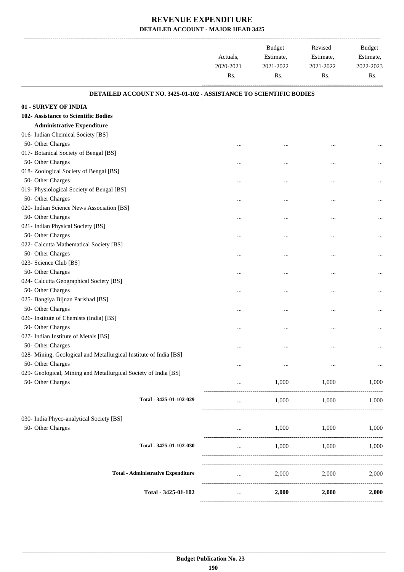|                                                                    | Actuals,<br>2020-2021<br>Rs. | <b>Budget</b><br>Estimate,<br>2021-2022<br>Rs. | Revised<br>Estimate,<br>2021-2022<br>Rs. | Budget<br>Estimate,<br>2022-2023<br>Rs. |
|--------------------------------------------------------------------|------------------------------|------------------------------------------------|------------------------------------------|-----------------------------------------|
| DETAILED ACCOUNT NO. 3425-01-102 - ASSISTANCE TO SCIENTIFIC BODIES |                              |                                                |                                          |                                         |
| 01 - SURVEY OF INDIA                                               |                              |                                                |                                          |                                         |
| 102- Assistance to Scientific Bodies                               |                              |                                                |                                          |                                         |
| <b>Administrative Expenditure</b>                                  |                              |                                                |                                          |                                         |
| 016- Indian Chemical Society [BS]                                  |                              |                                                |                                          |                                         |
| 50- Other Charges                                                  | $\ddotsc$                    | $\cdots$                                       |                                          |                                         |
| 017- Botanical Society of Bengal [BS]                              |                              |                                                |                                          |                                         |
| 50- Other Charges                                                  |                              | $\cdots$                                       |                                          |                                         |
| 018- Zoological Society of Bengal [BS]                             |                              |                                                |                                          |                                         |
| 50- Other Charges                                                  |                              | $\cdots$                                       |                                          |                                         |
| 019- Physiological Society of Bengal [BS]                          |                              |                                                |                                          |                                         |
| 50- Other Charges                                                  |                              | $\cdots$                                       | $\ddotsc$                                |                                         |
| 020- Indian Science News Association [BS]                          |                              |                                                |                                          |                                         |
| 50- Other Charges                                                  | $\cdots$                     | $\cdots$                                       |                                          |                                         |
| 021- Indian Physical Society [BS]                                  |                              |                                                |                                          |                                         |
| 50- Other Charges                                                  |                              | $\cdots$                                       |                                          |                                         |
| 022- Calcutta Mathematical Society [BS]                            |                              |                                                |                                          |                                         |
| 50- Other Charges                                                  |                              | $\cdots$                                       |                                          |                                         |
| 023- Science Club [BS]                                             |                              |                                                |                                          |                                         |
| 50- Other Charges                                                  |                              | $\cdots$                                       | $\ddotsc$                                |                                         |
| 024- Calcutta Geographical Society [BS]                            |                              |                                                |                                          |                                         |
| 50- Other Charges                                                  |                              | $\cdots$                                       | $\cdots$                                 |                                         |
| 025- Bangiya Bijnan Parishad [BS]                                  |                              |                                                |                                          |                                         |
| 50- Other Charges                                                  |                              | $\cdots$                                       |                                          |                                         |
| 026- Institute of Chemists (India) [BS]                            |                              |                                                |                                          |                                         |
| 50- Other Charges                                                  |                              | $\cdots$                                       |                                          |                                         |
| 027- Indian Institute of Metals [BS]                               |                              |                                                |                                          |                                         |
| 50- Other Charges                                                  |                              | $\ddotsc$                                      |                                          | $\cdots$                                |
| 028- Mining, Geological and Metallurgical Institute of India [BS]  |                              |                                                |                                          |                                         |
| 50- Other Charges                                                  |                              | $\cdots$                                       |                                          |                                         |
| 029- Geological, Mining and Metallurgical Society of India [BS]    |                              |                                                |                                          |                                         |
| 50- Other Charges                                                  |                              | 1,000                                          | 1,000                                    | 1,000                                   |
| Total - 3425-01-102-029                                            | $\cdots$                     | 1,000                                          | ----------------------<br>1,000          | 1,000                                   |
|                                                                    |                              |                                                |                                          |                                         |
| 030- India Phyco-analytical Society [BS]                           |                              |                                                |                                          |                                         |
| 50- Other Charges                                                  |                              | 1,000                                          | 1,000                                    | 1,000                                   |
| Total - 3425-01-102-030                                            | $\cdots$                     | 1,000                                          | 1,000                                    | 1,000                                   |
| <b>Total - Administrative Expenditure</b>                          |                              | 2,000                                          | 2,000                                    | 2,000                                   |
|                                                                    | $\cdots$                     |                                                |                                          |                                         |
| Total - 3425-01-102                                                | $\cdots$                     | 2,000                                          | 2,000                                    | 2,000                                   |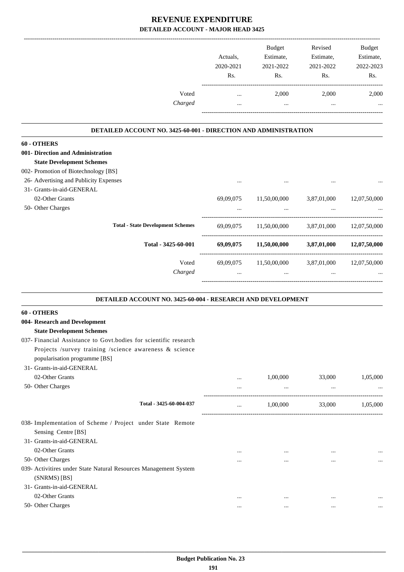|         |           | <b>Budget</b> | Revised   | <b>Budget</b> |
|---------|-----------|---------------|-----------|---------------|
|         | Actuals.  | Estimate,     | Estimate, | Estimate,     |
|         | 2020-2021 | 2021-2022     | 2021-2022 | 2022-2023     |
|         | Rs.       | Rs.           | Rs.       | Rs.           |
| Voted   |           | 2,000         | 2,000     | 2,000         |
| Charged |           |               |           | $\cdots$      |
|         |           |               |           |               |

#### **DETAILED ACCOUNT NO. 3425-60-001 - DIRECTION AND ADMINISTRATION .**

.

.

| 60 - OTHERS                              |           |              |             |              |
|------------------------------------------|-----------|--------------|-------------|--------------|
| 001- Direction and Administration        |           |              |             |              |
| <b>State Development Schemes</b>         |           |              |             |              |
| 002- Promotion of Biotechnology [BS]     |           |              |             |              |
| 26- Advertising and Publicity Expenses   | $\cdots$  | $\cdots$     | $\cdots$    | $\ddotsc$    |
| 31- Grants-in-aid-GENERAL                |           |              |             |              |
| 02-Other Grants                          | 69,09,075 | 11,50,00,000 | 3,87,01,000 | 12,07,50,000 |
| 50- Other Charges                        | $\cdots$  | $\cdots$     | $\cdots$    | $\ddotsc$    |
| <b>Total - State Development Schemes</b> | 69,09,075 | 11,50,00,000 | 3,87,01,000 | 12,07,50,000 |
| Total - 3425-60-001                      | 69,09,075 | 11,50,00,000 | 3,87,01,000 | 12,07,50,000 |
| Voted                                    | 69,09,075 | 11,50,00,000 | 3,87,01,000 | 12,07,50,000 |
| Charged                                  | $\cdots$  |              |             | $\cdots$     |

#### **DETAILED ACCOUNT NO. 3425-60-004 - RESEARCH AND DEVELOPMENT**

| 60 - OTHERS                                                       |          |          |          |           |
|-------------------------------------------------------------------|----------|----------|----------|-----------|
| 004- Research and Development                                     |          |          |          |           |
| <b>State Development Schemes</b>                                  |          |          |          |           |
| 037- Financial Assistance to Govt. bodies for scientific research |          |          |          |           |
| Projects /survey training /science awareness & science            |          |          |          |           |
| popularisation programme [BS]                                     |          |          |          |           |
| 31- Grants-in-aid-GENERAL                                         |          |          |          |           |
| 02-Other Grants                                                   |          | 1,00,000 | 33,000   | 1,05,000  |
| 50- Other Charges                                                 | $\cdots$ | $\cdots$ | $\cdots$ |           |
| Total - 3425-60-004-037                                           | $\cdots$ | 1,00,000 | 33,000   | 1,05,000  |
| 038- Implementation of Scheme / Project under State Remote        |          |          |          |           |
| Sensing Centre [BS]                                               |          |          |          |           |
| 31- Grants-in-aid-GENERAL                                         |          |          |          |           |
| 02-Other Grants                                                   | $\cdots$ | $\cdots$ |          |           |
| 50- Other Charges                                                 |          | $\cdots$ |          | $\ddotsc$ |
| 039- Activitires under State Natural Resources Management System  |          |          |          |           |
| $(SNRMS)$ [BS]                                                    |          |          |          |           |
| 31- Grants-in-aid-GENERAL                                         |          |          |          |           |
| 02-Other Grants                                                   | $\cdots$ |          |          | $\ddotsc$ |
| 50- Other Charges                                                 | $\cdots$ | $\cdots$ | $\cdots$ |           |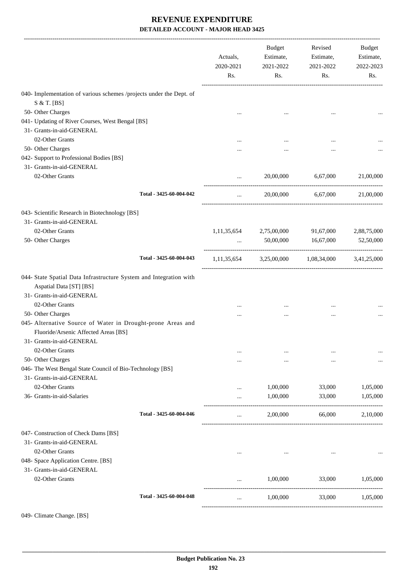|                                                                                                                                  | Actuals,<br>2020-2021<br>Rs. | Budget<br>Estimate,<br>2021-2022<br>Rs.         | Revised<br>Estimate,<br>2021-2022<br>Rs. | Budget<br>Estimate,<br>2022-2023<br>Rs. |
|----------------------------------------------------------------------------------------------------------------------------------|------------------------------|-------------------------------------------------|------------------------------------------|-----------------------------------------|
| 040- Implementation of various schemes /projects under the Dept. of                                                              |                              |                                                 |                                          |                                         |
| S & T. [BS]                                                                                                                      |                              |                                                 |                                          |                                         |
| 50- Other Charges                                                                                                                | $\cdots$                     | $\cdots$                                        | $\cdots$                                 |                                         |
| 041- Updating of River Courses, West Bengal [BS]                                                                                 |                              |                                                 |                                          |                                         |
| 31- Grants-in-aid-GENERAL                                                                                                        |                              |                                                 |                                          |                                         |
| 02-Other Grants                                                                                                                  |                              |                                                 |                                          |                                         |
| 50- Other Charges                                                                                                                | .                            |                                                 |                                          |                                         |
| 042- Support to Professional Bodies [BS]                                                                                         |                              |                                                 |                                          |                                         |
| 31- Grants-in-aid-GENERAL                                                                                                        |                              |                                                 |                                          |                                         |
| 02-Other Grants                                                                                                                  | $\cdots$                     |                                                 | 20,00,000 6,67,000 21,00,000             |                                         |
| Total - 3425-60-004-042                                                                                                          | $\cdots$                     |                                                 | 20,00,000 6,67,000                       | 21,00,000                               |
| 043- Scientific Research in Biotechnology [BS]                                                                                   |                              |                                                 |                                          |                                         |
| 31- Grants-in-aid-GENERAL                                                                                                        |                              |                                                 |                                          |                                         |
| 02-Other Grants                                                                                                                  | 1, 11, 35, 654               | 2,75,00,000                                     | 91,67,000                                | 2,88,75,000                             |
| 50- Other Charges                                                                                                                | $\cdots$                     | 50,00,000                                       | 16,67,000                                | 52,50,000                               |
| Total - 3425-60-004-043                                                                                                          |                              | 1,11,35,654 3,25,00,000 1,08,34,000 3,41,25,000 |                                          |                                         |
| 044- State Spatial Data Infrastructure System and Integration with<br>Aspatial Data [ST] [BS]<br>31- Grants-in-aid-GENERAL       |                              |                                                 |                                          |                                         |
| 02-Other Grants                                                                                                                  |                              |                                                 |                                          |                                         |
| 50- Other Charges                                                                                                                |                              |                                                 |                                          |                                         |
| 045- Alternative Source of Water in Drought-prone Areas and<br>Fluoride/Arsenic Affected Areas [BS]<br>31- Grants-in-aid-GENERAL |                              |                                                 |                                          |                                         |
| 02-Other Grants                                                                                                                  | $\cdots$                     |                                                 |                                          |                                         |
| 50- Other Charges                                                                                                                |                              | $\cdots$                                        |                                          |                                         |
| 046- The West Bengal State Council of Bio-Technology [BS]                                                                        |                              |                                                 |                                          |                                         |
| 31- Grants-in-aid-GENERAL                                                                                                        |                              |                                                 |                                          |                                         |
| 02-Other Grants                                                                                                                  |                              | 1,00,000                                        | 33,000                                   | 1,05,000                                |
| 36- Grants-in-aid-Salaries                                                                                                       |                              | 1,00,000                                        | 33,000                                   | 1,05,000                                |
| Total - 3425-60-004-046                                                                                                          |                              | 2,00,000                                        | 66,000                                   | 2,10,000                                |
| 047- Construction of Check Dams [BS]<br>31- Grants-in-aid-GENERAL<br>02-Other Grants                                             |                              |                                                 |                                          |                                         |
| 048- Space Application Centre. [BS]<br>31- Grants-in-aid-GENERAL                                                                 |                              |                                                 |                                          |                                         |
| 02-Other Grants                                                                                                                  |                              | 1,00,000                                        | 33,000                                   | 1,05,000                                |
| Total - 3425-60-004-048                                                                                                          | $\cdots$                     | 1,00,000                                        | 33,000                                   | 1,05,000                                |
|                                                                                                                                  |                              |                                                 |                                          |                                         |

049- Climate Change. [BS]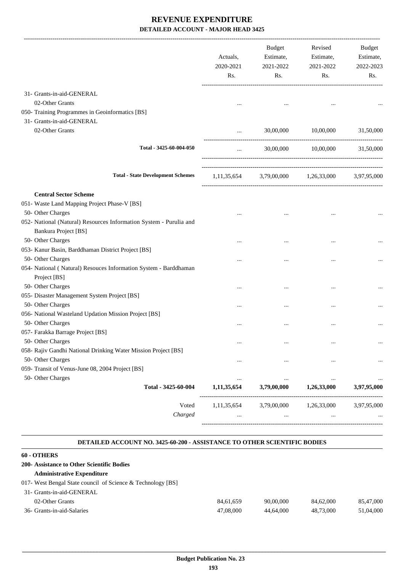|                                                                                            | Actuals,<br>2020-2021<br>Rs. | <b>Budget</b><br>Estimate,<br>2021-2022<br>Rs.  | Revised<br>Estimate,<br>2021-2022<br>Rs. | Budget<br>Estimate,<br>2022-2023<br>Rs. |
|--------------------------------------------------------------------------------------------|------------------------------|-------------------------------------------------|------------------------------------------|-----------------------------------------|
| 31- Grants-in-aid-GENERAL                                                                  |                              |                                                 |                                          |                                         |
| 02-Other Grants                                                                            |                              |                                                 |                                          |                                         |
| 050- Training Programmes in Geoinformatics [BS]                                            |                              |                                                 |                                          |                                         |
| 31- Grants-in-aid-GENERAL                                                                  |                              |                                                 |                                          |                                         |
| 02-Other Grants                                                                            | $\cdots$                     | 30,00,000                                       | 10,00,000                                | 31,50,000                               |
| Total - 3425-60-004-050                                                                    | $\cdots$                     |                                                 | 30,00,000 10,00,000                      | 31,50,000                               |
| <b>Total - State Development Schemes</b>                                                   |                              | 1,11,35,654 3,79,00,000 1,26,33,000 3,97,95,000 |                                          |                                         |
| <b>Central Sector Scheme</b>                                                               |                              |                                                 |                                          |                                         |
| 051- Waste Land Mapping Project Phase-V [BS]                                               |                              |                                                 |                                          |                                         |
| 50- Other Charges                                                                          |                              |                                                 | $\ddotsc$                                |                                         |
| 052- National (Natural) Resources Information System - Purulia and<br>Bankura Project [BS] |                              |                                                 |                                          |                                         |
| 50- Other Charges                                                                          | $\cdots$                     |                                                 |                                          |                                         |
| 053- Kanur Basin, Barddhaman District Project [BS]                                         |                              |                                                 |                                          |                                         |
| 50- Other Charges                                                                          |                              |                                                 |                                          |                                         |
| 054- National (Natural) Resouces Information System - Barddhaman<br>Project [BS]           |                              |                                                 |                                          |                                         |
| 50- Other Charges                                                                          |                              |                                                 |                                          |                                         |
| 055- Disaster Management System Project [BS]                                               |                              |                                                 |                                          |                                         |
| 50- Other Charges                                                                          | $\cdots$                     |                                                 |                                          |                                         |
| 056- National Wasteland Updation Mission Project [BS]                                      |                              |                                                 |                                          |                                         |
| 50- Other Charges                                                                          | $\cdots$                     | $\cdots$                                        | $\cdots$                                 |                                         |
| 057- Farakka Barrage Project [BS]                                                          |                              |                                                 |                                          |                                         |
| 50- Other Charges                                                                          | $\cdots$                     | $\cdots$                                        | $\cdots$                                 |                                         |
| 058- Rajiv Gandhi National Drinking Water Mission Project [BS]                             |                              |                                                 |                                          |                                         |
| 50- Other Charges                                                                          |                              |                                                 |                                          |                                         |
| 059- Transit of Venus-June 08, 2004 Project [BS]                                           |                              |                                                 |                                          |                                         |
| 50- Other Charges                                                                          |                              | $\ddotsc$                                       | $\ddotsc$                                |                                         |
| Total - 3425-60-004                                                                        | 1,11,35,654                  | 3,79,00,000                                     | 1,26,33,000                              | 3,97,95,000                             |
| Voted<br>Charged                                                                           | 1,11,35,654                  | 3,79,00,000                                     | 1,26,33,000                              | 3,97,95,000                             |

#### **DETAILED ACCOUNT NO. 3425-60-200 - ASSISTANCE TO OTHER SCIENTIFIC BODIES .**

.

| 60 - OTHERS                                                 |           |           |           |           |
|-------------------------------------------------------------|-----------|-----------|-----------|-----------|
| 200- Assistance to Other Scientific Bodies                  |           |           |           |           |
| <b>Administrative Expenditure</b>                           |           |           |           |           |
| 017- West Bengal State council of Science & Technology [BS] |           |           |           |           |
| 31- Grants-in-aid-GENERAL                                   |           |           |           |           |
| 02-Other Grants                                             | 84.61.659 | 90,00,000 | 84,62,000 | 85,47,000 |
| 36- Grants-in-aid-Salaries                                  | 47,08,000 | 44,64,000 | 48.73.000 | 51,04,000 |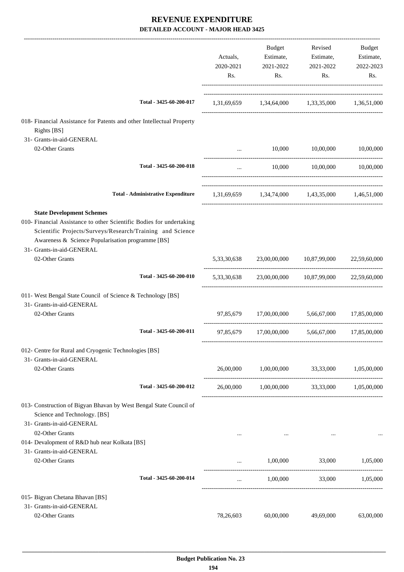|                                                                                                                                                                                                                     | Actuals,<br>2020-2021<br>Rs. | Budget<br>Estimate,<br>2021-2022<br>Rs. | Revised<br>Estimate,<br>2021-2022<br>Rs.           | Budget<br>Estimate,<br>2022-2023<br>Rs. |
|---------------------------------------------------------------------------------------------------------------------------------------------------------------------------------------------------------------------|------------------------------|-----------------------------------------|----------------------------------------------------|-----------------------------------------|
| Total - 3425-60-200-017                                                                                                                                                                                             |                              |                                         | 1,31,69,659 1,34,64,000 1,33,35,000 1,36,51,000    |                                         |
| 018- Financial Assistance for Patents and other Intellectual Property<br>Rights [BS]<br>31- Grants-in-aid-GENERAL                                                                                                   |                              |                                         |                                                    |                                         |
| 02-Other Grants                                                                                                                                                                                                     | $\cdots$                     | 10,000                                  | 10,00,000                                          | 10,00,000                               |
| Total - 3425-60-200-018                                                                                                                                                                                             | $\cdots$                     | 10,000                                  | 10,00,000 10,00,000                                |                                         |
| <b>Total - Administrative Expenditure</b>                                                                                                                                                                           |                              |                                         | 1,31,69,659 1,34,74,000 1,43,35,000 1,46,51,000    |                                         |
| <b>State Development Schemes</b>                                                                                                                                                                                    |                              |                                         |                                                    |                                         |
| 010- Financial Assistance to other Scientific Bodies for undertaking<br>Scientific Projects/Surveys/Research/Training and Science<br>Awareness & Science Popularisation programme [BS]<br>31- Grants-in-aid-GENERAL |                              |                                         |                                                    |                                         |
| 02-Other Grants                                                                                                                                                                                                     |                              |                                         | 5,33,30,638 23,00,00,000 10,87,99,000              | 22,59,60,000                            |
| Total - 3425-60-200-010                                                                                                                                                                                             |                              |                                         | 5,33,30,638 23,00,00,000 10,87,99,000 22,59,60,000 |                                         |
| 011- West Bengal State Council of Science & Technology [BS]<br>31- Grants-in-aid-GENERAL                                                                                                                            |                              |                                         |                                                    |                                         |
| 02-Other Grants                                                                                                                                                                                                     |                              |                                         | 97,85,679 17,00,00,000 5,66,67,000                 | 17,85,00,000                            |
| Total - 3425-60-200-011                                                                                                                                                                                             |                              |                                         | 97,85,679 17,00,00,000 5,66,67,000                 | 17,85,00,000                            |
| 012- Centre for Rural and Cryogenic Technologies [BS]<br>31- Grants-in-aid-GENERAL                                                                                                                                  |                              |                                         |                                                    |                                         |
| 02-Other Grants                                                                                                                                                                                                     | 26,00,000                    |                                         | 1,00,00,000 33,33,000                              | 1,05,00,000                             |
| Total - 3425-60-200-012                                                                                                                                                                                             |                              |                                         | 26,00,000 1,00,00,000 33,33,000 1,05,00,000        |                                         |
| 013- Construction of Bigyan Bhavan by West Bengal State Council of<br>Science and Technology. [BS]<br>31- Grants-in-aid-GENERAL<br>02-Other Grants                                                                  | $\cdots$                     | $\cdots$                                |                                                    |                                         |
| 014- Devalopment of R&D hub near Kolkata [BS]<br>31- Grants-in-aid-GENERAL                                                                                                                                          |                              |                                         |                                                    |                                         |
| 02-Other Grants                                                                                                                                                                                                     |                              | 1,00,000                                | 33,000                                             | 1,05,000                                |
| Total - 3425-60-200-014                                                                                                                                                                                             | $\cdots$                     | 1,00,000                                | 33,000                                             | 1,05,000                                |
| 015- Bigyan Chetana Bhavan [BS]                                                                                                                                                                                     |                              |                                         |                                                    |                                         |
| 31- Grants-in-aid-GENERAL<br>02-Other Grants                                                                                                                                                                        | 78,26,603                    | 60,00,000                               | 49,69,000                                          | 63,00,000                               |
|                                                                                                                                                                                                                     |                              |                                         |                                                    |                                         |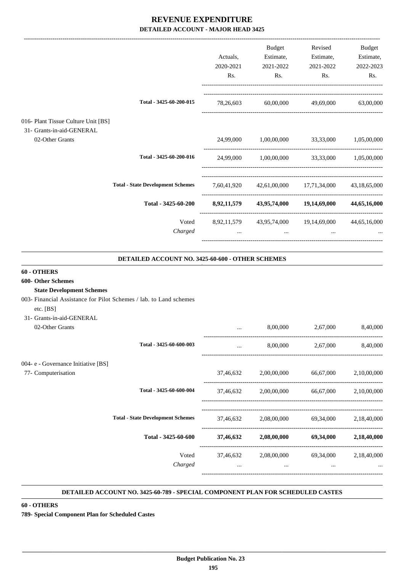|                                              |                                          |             | <b>Budget</b>            | Revised      | Budget       |
|----------------------------------------------|------------------------------------------|-------------|--------------------------|--------------|--------------|
|                                              |                                          | Actuals,    | Estimate,                | Estimate,    | Estimate,    |
|                                              |                                          | 2020-2021   | 2021-2022                | 2021-2022    | 2022-2023    |
|                                              |                                          | Rs.         | Rs.                      | Rs.          | Rs.          |
|                                              | Total - 3425-60-200-015                  | 78,26,603   | 60,00,000                | 49,69,000    | 63,00,000    |
| 016- Plant Tissue Culture Unit [BS]          |                                          |             |                          |              |              |
| 31- Grants-in-aid-GENERAL<br>02-Other Grants |                                          | 24,99,000   | 1,00,00,000              | 33,33,000    | 1,05,00,000  |
|                                              | Total - 3425-60-200-016                  | 24,99,000   | 1,00,00,000              | 33,33,000    | 1,05,00,000  |
|                                              |                                          |             |                          |              |              |
|                                              | <b>Total - State Development Schemes</b> | 7,60,41,920 | 42,61,00,000             | 17,71,34,000 | 43,18,65,000 |
|                                              | Total - 3425-60-200                      | 8,92,11,579 | 43,95,74,000             | 19,14,69,000 | 44,65,16,000 |
|                                              | Voted                                    |             | 8,92,11,579 43,95,74,000 | 19,14,69,000 | 44,65,16,000 |
|                                              | Charged                                  | $\cdots$    | $\cdots$                 | $\cdots$     |              |
|                                              |                                          |             |                          |              |              |

| DETAILED ACCOUNT NO. 3425-60-600 - OTHER SCHEMES                                |          |                                                     |                            |          |  |
|---------------------------------------------------------------------------------|----------|-----------------------------------------------------|----------------------------|----------|--|
| 60 - OTHERS                                                                     |          |                                                     |                            |          |  |
| 600- Other Schemes                                                              |          |                                                     |                            |          |  |
| <b>State Development Schemes</b>                                                |          |                                                     |                            |          |  |
| 003- Financial Assistance for Pilot Schemes / lab. to Land schemes<br>etc. [BS] |          |                                                     |                            |          |  |
| 31- Grants-in-aid-GENERAL                                                       |          |                                                     |                            |          |  |
| 02-Other Grants                                                                 |          |                                                     | 8,00,000 2,67,000          | 8,40,000 |  |
| Total - 3425-60-600-003                                                         |          |                                                     | 8,00,000 2,67,000 8,40,000 |          |  |
| 004- e - Governance Initiative [BS]                                             |          |                                                     |                            |          |  |
| 77- Computerisation                                                             |          | 37,46,632 2,00,00,000 66,67,000 2,10,00,000         |                            |          |  |
| Total - 3425-60-600-004                                                         |          | 37,46,632 2,00,00,000 66,67,000 2,10,00,000         |                            |          |  |
| <b>Total - State Development Schemes</b>                                        |          | 37,46,632 2,08,00,000 69,34,000 2,18,40,000         |                            |          |  |
| Total - 3425-60-600                                                             |          | $37,46,632$ $2,08,00,000$ $69,34,000$ $2,18,40,000$ |                            |          |  |
| Voted                                                                           |          | 37,46,632 2,08,00,000 69,34,000 2,18,40,000         |                            |          |  |
| Charged                                                                         | $\cdots$ | $\cdots$                                            | $\cdots$                   |          |  |

#### **DETAILED ACCOUNT NO. 3425-60-789 - SPECIAL COMPONENT PLAN FOR SCHEDULED CASTES .**

.

**60 - OTHERS**

**789- Special Component Plan for Scheduled Castes**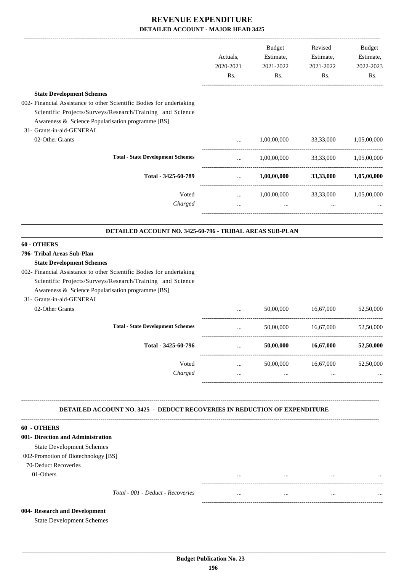|                                                                                                                                                                                                                            | Actuals,<br>2020-2021<br>Rs. | Budget<br>Estimate,<br>2021-2022<br>Rs.         | Revised<br>Estimate,<br>2021-2022<br>Rs. | <b>Budget</b><br>Estimate,<br>2022-2023<br>Rs. |
|----------------------------------------------------------------------------------------------------------------------------------------------------------------------------------------------------------------------------|------------------------------|-------------------------------------------------|------------------------------------------|------------------------------------------------|
| <b>State Development Schemes</b>                                                                                                                                                                                           |                              |                                                 |                                          |                                                |
| 002- Financial Assistance to other Scientific Bodies for undertaking<br>Scientific Projects/Surveys/Research/Training and Science<br>Awareness & Science Popularisation programme [BS]<br>31- Grants-in-aid-GENERAL        |                              |                                                 |                                          |                                                |
| 02-Other Grants                                                                                                                                                                                                            | $\ddotsc$                    | 1,00,00,000 33,33,000 1,05,00,000               |                                          |                                                |
| <b>Total - State Development Schemes</b>                                                                                                                                                                                   | <b>Second Contract</b>       |                                                 | 1,00,00,000 33,33,000 1,05,00,000        |                                                |
| Total - 3425-60-789                                                                                                                                                                                                        | <b>Section</b> 1997          |                                                 | $1,00,00,000$ $33,33,000$ $1,05,00,000$  |                                                |
| Voted                                                                                                                                                                                                                      |                              | $1,00,00,000$ $33,33,000$ $1,05,00,000$         |                                          |                                                |
| Charged                                                                                                                                                                                                                    | $\cdots$                     | the contract of the contract of the contract of | $\sim$                                   |                                                |
| DETAILED ACCOUNT NO. 3425-60-796 - TRIBAL AREAS SUB-PLAN                                                                                                                                                                   |                              |                                                 |                                          |                                                |
| 60 - OTHERS                                                                                                                                                                                                                |                              |                                                 |                                          |                                                |
| 796- Tribal Areas Sub-Plan                                                                                                                                                                                                 |                              |                                                 |                                          |                                                |
| <b>State Development Schemes</b><br>002- Financial Assistance to other Scientific Bodies for undertaking<br>Scientific Projects/Surveys/Research/Training and Science<br>Awareness & Science Popularisation programme [BS] |                              |                                                 |                                          |                                                |
| 31- Grants-in-aid-GENERAL<br>02-Other Grants                                                                                                                                                                               |                              | 50,00,000                                       | 16,67,000                                | 52,50,000                                      |
| <b>Total - State Development Schemes</b>                                                                                                                                                                                   | $\ddots$                     |                                                 | 50,00,000 16,67,000                      | 52,50,000                                      |
| Total - 3425-60-796                                                                                                                                                                                                        |                              | 50,00,000                                       | 16,67,000                                | 52,50,000                                      |
| Voted                                                                                                                                                                                                                      | $\cdots$                     | 50,00,000                                       | 16,67,000                                | 52,50,000                                      |
| Charged                                                                                                                                                                                                                    | $\cdots$                     | $\cdots$                                        | $\cdots$                                 |                                                |
| <b>DETAILED ACCOUNT NO. 3425 - DEDUCT RECOVERIES IN REDUCTION OF EXPENDITURE</b>                                                                                                                                           |                              |                                                 |                                          |                                                |
| 60 - OTHERS                                                                                                                                                                                                                |                              |                                                 |                                          |                                                |
| 001- Direction and Administration                                                                                                                                                                                          |                              |                                                 |                                          |                                                |
| <b>State Development Schemes</b>                                                                                                                                                                                           |                              |                                                 |                                          |                                                |
| 002-Promotion of Biotechnology [BS]                                                                                                                                                                                        |                              |                                                 |                                          |                                                |
| 70-Deduct Recoveries                                                                                                                                                                                                       |                              |                                                 |                                          |                                                |
| 01-Others                                                                                                                                                                                                                  |                              | $\cdots$                                        |                                          |                                                |
| Total - 001 - Deduct - Recoveries                                                                                                                                                                                          |                              |                                                 |                                          |                                                |
| 004- Research and Development<br><b>State Development Schemes</b>                                                                                                                                                          |                              |                                                 |                                          |                                                |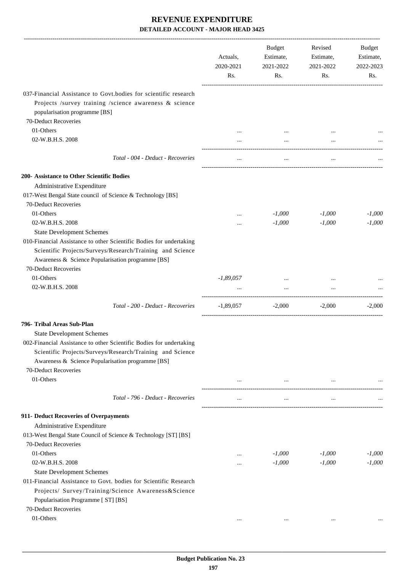|                                                                                                                                                                                                                                                   | Actuals,<br>2020-2021<br>Rs. | Budget<br>Estimate,<br>2021-2022<br>Rs. | Revised<br>Estimate,<br>2021-2022<br>Rs. | Budget<br>Estimate,<br>2022-2023<br>Rs. |
|---------------------------------------------------------------------------------------------------------------------------------------------------------------------------------------------------------------------------------------------------|------------------------------|-----------------------------------------|------------------------------------------|-----------------------------------------|
| 037-Financial Assistance to Govt.bodies for scientific research<br>Projects /survey training /science awareness & science<br>popularisation programme [BS]                                                                                        |                              |                                         |                                          |                                         |
| 70-Deduct Recoveries                                                                                                                                                                                                                              |                              |                                         |                                          |                                         |
| 01-Others                                                                                                                                                                                                                                         |                              |                                         |                                          |                                         |
| 02-W.B.H.S. 2008                                                                                                                                                                                                                                  |                              |                                         |                                          |                                         |
| Total - 004 - Deduct - Recoveries                                                                                                                                                                                                                 | $\cdots$                     | $\ldots$                                | $\ldots$                                 |                                         |
| 200- Assistance to Other Scientific Bodies                                                                                                                                                                                                        |                              |                                         |                                          |                                         |
| Administrative Expenditure                                                                                                                                                                                                                        |                              |                                         |                                          |                                         |
| 017-West Bengal State council of Science & Technology [BS]                                                                                                                                                                                        |                              |                                         |                                          |                                         |
| 70-Deduct Recoveries                                                                                                                                                                                                                              |                              |                                         |                                          |                                         |
| 01-Others                                                                                                                                                                                                                                         |                              | $-1,000$                                | $-1,000$                                 | $-1,000$                                |
| 02-W.B.H.S. 2008                                                                                                                                                                                                                                  | $\cdots$                     | $-1,000$                                | $-1,000$                                 | $-1,000$                                |
| <b>State Development Schemes</b>                                                                                                                                                                                                                  |                              |                                         |                                          |                                         |
| 010-Financial Assistance to other Scientific Bodies for undertaking<br>Scientific Projects/Surveys/Research/Training and Science<br>Awareness & Science Popularisation programme [BS]<br>70-Deduct Recoveries                                     |                              |                                         |                                          |                                         |
| 01-Others                                                                                                                                                                                                                                         | $-1,89,057$                  |                                         |                                          |                                         |
| 02-W.B.H.S. 2008                                                                                                                                                                                                                                  | $\cdots$                     | $\ddots$                                | $\cdots$                                 |                                         |
| Total - 200 - Deduct - Recoveries                                                                                                                                                                                                                 | $-1,89,057$                  | $-2,000$                                | $-2,000$                                 | $-2,000$                                |
| 796- Tribal Areas Sub-Plan                                                                                                                                                                                                                        |                              |                                         |                                          |                                         |
|                                                                                                                                                                                                                                                   |                              |                                         |                                          |                                         |
| <b>State Development Schemes</b><br>002-Financial Assistance to other Scientific Bodies for undertaking<br>Scientific Projects/Surveys/Research/Training and Science<br>Awareness & Science Popularisation programme [BS]<br>70-Deduct Recoveries |                              |                                         |                                          |                                         |
| 01-Others                                                                                                                                                                                                                                         | $\cdots$                     | $\cdots$                                | $\ldots$                                 |                                         |
| Total - 796 - Deduct - Recoveries                                                                                                                                                                                                                 | $\cdots$                     | $\cdots$                                | $\cdots$                                 |                                         |
| 911- Deduct Recoveries of Overpayments                                                                                                                                                                                                            |                              |                                         |                                          |                                         |
| Administrative Expenditure                                                                                                                                                                                                                        |                              |                                         |                                          |                                         |
| 013-West Bengal State Council of Science & Technology [ST] [BS]                                                                                                                                                                                   |                              |                                         |                                          |                                         |
| 70-Deduct Recoveries                                                                                                                                                                                                                              |                              |                                         |                                          |                                         |
| 01-Others                                                                                                                                                                                                                                         |                              | $-1,000$                                | $-1,000$                                 | $-1,000$                                |
| 02-W.B.H.S. 2008                                                                                                                                                                                                                                  |                              | $-1,000$                                | $-1,000$                                 | $-1,000$                                |
| <b>State Development Schemes</b>                                                                                                                                                                                                                  |                              |                                         |                                          |                                         |
| 011-Financial Assistance to Govt. bodies for Scientific Research                                                                                                                                                                                  |                              |                                         |                                          |                                         |
| Projects/ Survey/Training/Science Awareness&Science                                                                                                                                                                                               |                              |                                         |                                          |                                         |
| Popularisation Programme [ ST] [BS]                                                                                                                                                                                                               |                              |                                         |                                          |                                         |
| 70-Deduct Recoveries                                                                                                                                                                                                                              |                              |                                         |                                          |                                         |
| 01-Others                                                                                                                                                                                                                                         |                              | $\cdots$                                | $\cdots$                                 |                                         |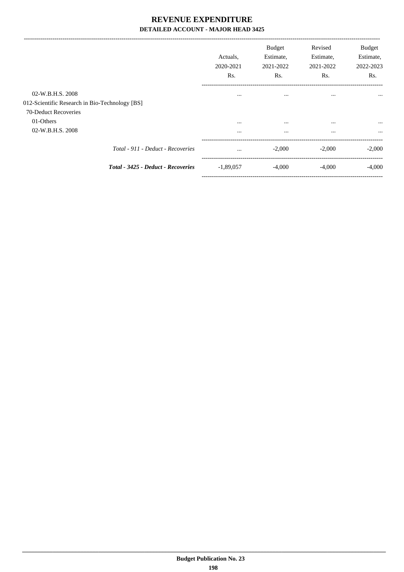|                                                                    |                                    | Actuals.<br>2020-2021<br>Rs. | <b>Budget</b><br>Estimate,<br>2021-2022<br>Rs. | Revised<br>Estimate,<br>2021-2022<br>Rs. | <b>Budget</b><br>Estimate,<br>2022-2023<br>Rs. |
|--------------------------------------------------------------------|------------------------------------|------------------------------|------------------------------------------------|------------------------------------------|------------------------------------------------|
| 02-W.B.H.S. 2008<br>012-Scientific Research in Bio-Technology [BS] |                                    | $\cdots$                     | $\cdots$                                       |                                          | $\cdots$                                       |
| 70-Deduct Recoveries                                               |                                    |                              |                                                |                                          |                                                |
| 01-Others                                                          |                                    | $\cdots$                     | $\cdots$                                       | $\cdots$                                 | $\cdots$                                       |
| 02-W.B.H.S. 2008                                                   |                                    | $\cdots$                     | $\cdots$                                       | $\cdots$                                 | $\cdots$                                       |
|                                                                    | Total - 911 - Deduct - Recoveries  | $\cdots$                     | $-2,000$                                       | $-2,000$                                 | $-2,000$                                       |
|                                                                    | Total - 3425 - Deduct - Recoveries | $-1,89,057$                  | $-4,000$                                       | $-4,000$                                 | $-4,000$                                       |
|                                                                    |                                    |                              |                                                |                                          |                                                |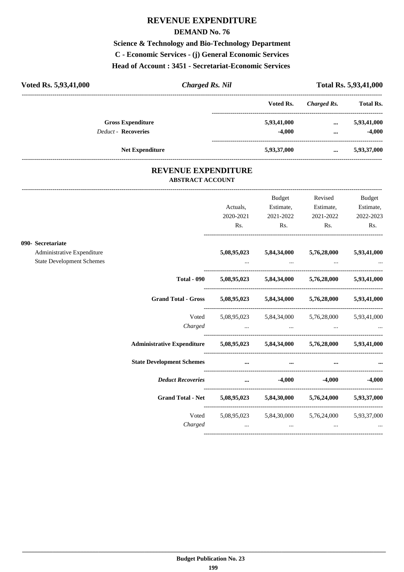## **REVENUE EXPENDITURE**

#### **DEMAND No. 76**

**Science & Technology and Bio-Technology Department C - Economic Services - (j) General Economic Services Head of Account : 3451 - Secretariat-Economic Services** 

| Voted Rs. 5,93,41,000      | Charged Rs. Nil |             | <b>Total Rs. 5,93,41,000</b> |                  |  |
|----------------------------|-----------------|-------------|------------------------------|------------------|--|
|                            |                 | Voted Rs.   | Charged Rs.                  | <b>Total Rs.</b> |  |
| <b>Gross Expenditure</b>   |                 | 5,93,41,000 | $\cdots$                     | 5,93,41,000      |  |
| <b>Deduct - Recoveries</b> |                 | -4.000      | $\cdots$                     | $-4,000$         |  |
| <b>Net Expenditure</b>     |                 | 5,93,37,000 | $\cdots$                     | 5,93,37,000      |  |

### **REVENUE EXPENDITURE ABSTRACT ACCOUNT**

---------------------------------------------------------------------------------------------------------------------------------------------------------------------------------

|                                  |                                                                            |                                                             | Budget    | Revised                                                                                             | Budget                                                                |
|----------------------------------|----------------------------------------------------------------------------|-------------------------------------------------------------|-----------|-----------------------------------------------------------------------------------------------------|-----------------------------------------------------------------------|
|                                  |                                                                            | Actuals,                                                    | Estimate, | Estimate,                                                                                           | Estimate,                                                             |
|                                  |                                                                            | 2020-2021                                                   | 2021-2022 | 2021-2022                                                                                           | 2022-2023                                                             |
|                                  |                                                                            | Rs.                                                         | Rs.       | Rs.                                                                                                 | Rs.                                                                   |
| 090- Secretariate                |                                                                            |                                                             |           |                                                                                                     |                                                                       |
| Administrative Expenditure       |                                                                            | 5,08,95,023                                                 |           | $5,84,34,000$ $5,76,28,000$                                                                         | 5,93,41,000                                                           |
| <b>State Development Schemes</b> |                                                                            |                                                             |           | the contract of the contract of the contract of the contract of the contract of the contract of the |                                                                       |
|                                  |                                                                            | Total - 090 5,08,95,023 5,84,34,000 5,76,28,000 5,93,41,000 |           |                                                                                                     |                                                                       |
|                                  | Grand Total - Gross 5,08,95,023 5,84,34,000 5,76,28,000 5,93,41,000        |                                                             |           |                                                                                                     |                                                                       |
|                                  | Voted                                                                      |                                                             |           | 5,08,95,023 5,84,34,000 5,76,28,000 5,93,41,000                                                     |                                                                       |
|                                  |                                                                            | Charged                                                     |           |                                                                                                     |                                                                       |
|                                  | Administrative Expenditure 5,08,95,023 5,84,34,000 5,76,28,000 5,93,41,000 |                                                             |           |                                                                                                     |                                                                       |
|                                  |                                                                            |                                                             |           | $\cdots$                                                                                            | $\bullet \bullet \bullet$ . The contract of the contract of $\bullet$ |
|                                  | <i>Deduct Recoveries</i> 4,000 -4,000 -4,000                               |                                                             |           |                                                                                                     |                                                                       |
|                                  | Grand Total - Net 5,08,95,023 5,84,30,000 5,76,24,000 5,93,37,000          |                                                             |           |                                                                                                     |                                                                       |
|                                  | Voted                                                                      |                                                             |           | 5,08,95,023 5,84,30,000 5,76,24,000 5,93,37,000                                                     |                                                                       |
|                                  |                                                                            |                                                             |           |                                                                                                     |                                                                       |
|                                  |                                                                            |                                                             |           |                                                                                                     |                                                                       |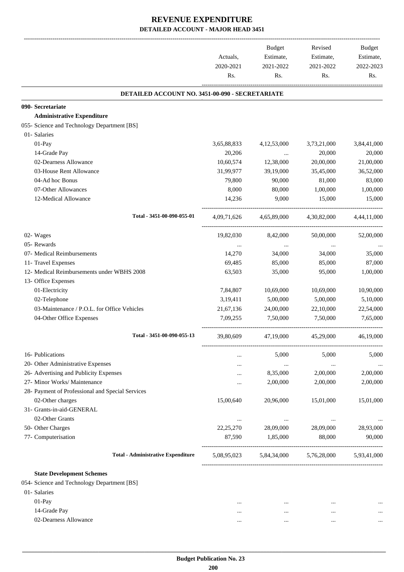|                                                  | Actuals,<br>2020-2021<br>Rs. | Budget<br>Estimate,<br>2021-2022<br>Rs. | Revised<br>Estimate,<br>2021-2022<br>Rs. | Budget<br>Estimate,<br>2022-2023<br>Rs. |
|--------------------------------------------------|------------------------------|-----------------------------------------|------------------------------------------|-----------------------------------------|
| DETAILED ACCOUNT NO. 3451-00-090 - SECRETARIATE  |                              |                                         |                                          |                                         |
| 090- Secretariate                                |                              |                                         |                                          |                                         |
| <b>Administrative Expenditure</b>                |                              |                                         |                                          |                                         |
| 055- Science and Technology Department [BS]      |                              |                                         |                                          |                                         |
| 01- Salaries                                     |                              |                                         |                                          |                                         |
| 01-Pay                                           | 3,65,88,833                  | 4,12,53,000                             | 3,73,21,000                              | 3,84,41,000                             |
| 14-Grade Pay                                     | 20,206                       | $\cdots$                                | 20,000                                   | 20,000                                  |
| 02-Dearness Allowance                            | 10,60,574                    | 12,38,000                               | 20,00,000                                | 21,00,000                               |
| 03-House Rent Allowance                          | 31,99,977                    | 39,19,000                               | 35,45,000                                | 36,52,000                               |
| 04-Ad hoc Bonus                                  | 79,800                       | 90,000                                  | 81,000                                   | 83,000                                  |
| 07-Other Allowances                              | 8,000                        | 80,000                                  | 1,00,000                                 | 1,00,000                                |
| 12-Medical Allowance                             | 14,236                       | 9,000                                   | 15,000                                   | 15,000                                  |
| Total - 3451-00-090-055-01                       | 4,09,71,626                  | 4,65,89,000                             | 4,30,82,000                              | 4,44,11,000                             |
| 02- Wages                                        | 19,82,030                    | 8,42,000                                | 50,00,000                                | 52,00,000                               |
| 05- Rewards                                      | $\cdots$                     | $\cdots$                                | $\cdots$                                 |                                         |
| 07- Medical Reimbursements                       | 14,270                       | 34,000                                  | 34,000                                   | 35,000                                  |
| 11- Travel Expenses                              | 69,485                       | 85,000                                  | 85,000                                   | 87,000                                  |
| 12- Medical Reimbursements under WBHS 2008       | 63,503                       | 35,000                                  | 95,000                                   | 1,00,000                                |
| 13- Office Expenses                              |                              |                                         |                                          |                                         |
| 01-Electricity                                   | 7,84,807                     | 10,69,000                               | 10,69,000                                | 10,90,000                               |
| 02-Telephone                                     | 3,19,411                     | 5,00,000                                | 5,00,000                                 | 5,10,000                                |
| 03-Maintenance / P.O.L. for Office Vehicles      | 21,67,136                    | 24,00,000                               | 22,10,000                                | 22,54,000                               |
| 04-Other Office Expenses                         | 7,09,255                     | 7,50,000                                | 7,50,000                                 | 7.65,000                                |
| Total - 3451-00-090-055-13                       | 39,80,609                    | 47,19,000                               | 45,29,000                                | 46,19,000                               |
| 16- Publications                                 |                              | 5,000                                   | 5,000                                    | 5,000                                   |
| 20- Other Administrative Expenses                |                              | $\ldots$                                | $\ldots$                                 |                                         |
| 26- Advertising and Publicity Expenses           |                              | 8,35,000                                | 2,00,000                                 | 2,00,000                                |
| 27- Minor Works/ Maintenance                     |                              | 2,00,000                                | 2,00,000                                 | 2,00,000                                |
| 28- Payment of Professional and Special Services |                              |                                         |                                          |                                         |
| 02-Other charges                                 | 15,00,640                    | 20,96,000                               | 15,01,000                                | 15,01,000                               |
| 31- Grants-in-aid-GENERAL                        |                              |                                         |                                          |                                         |
| 02-Other Grants                                  | $\cdots$                     | $\cdots$                                | $\cdots$                                 |                                         |
| 50- Other Charges                                | 22, 25, 270                  | 28,09,000                               | 28,09,000                                | 28,93,000                               |
| 77- Computerisation                              | 87,590                       | 1,85,000                                | 88,000                                   | 90,000                                  |
| <b>Total - Administrative Expenditure</b>        | 5,08,95,023                  | 5,84,34,000                             | 5,76,28,000                              | 5,93,41,000                             |
| <b>State Development Schemes</b>                 |                              |                                         |                                          |                                         |
| 054- Science and Technology Department [BS]      |                              |                                         |                                          |                                         |
| 01- Salaries                                     |                              |                                         |                                          |                                         |
| $01-Pay$                                         | $\cdots$                     | $\cdots$                                | $\cdots$                                 |                                         |
| 14-Grade Pay                                     | $\cdots$                     |                                         | $\cdots$                                 |                                         |
| 02-Dearness Allowance                            | $\cdots$                     | $\cdots$                                | $\cdots$                                 | $\cdots$                                |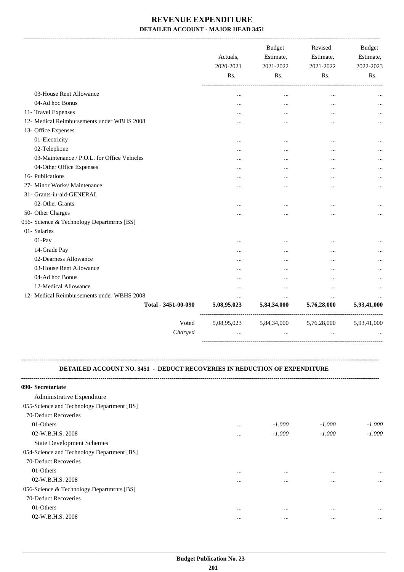-------------------------------------------------------------------------------------------------------------------------------------------------------------------------------

|                                             | Actuals,<br>2020-2021<br>Rs. | <b>Budget</b><br>Estimate,<br>2021-2022<br>Rs. | Revised<br>Estimate,<br>2021-2022<br>Rs. | <b>Budget</b><br>Estimate,<br>2022-2023<br>Rs. |
|---------------------------------------------|------------------------------|------------------------------------------------|------------------------------------------|------------------------------------------------|
|                                             |                              |                                                |                                          |                                                |
| 03-House Rent Allowance                     | $\cdots$                     | $\ddotsc$                                      | $\cdot \cdot$                            |                                                |
| 04-Ad hoc Bonus                             | $\cdots$                     | $\ddotsc$                                      | $\cdots$                                 |                                                |
| 11- Travel Expenses                         | $\cdots$                     | $\ddotsc$                                      |                                          |                                                |
| 12- Medical Reimbursements under WBHS 2008  |                              | $\ddotsc$                                      | $\cdots$                                 |                                                |
| 13- Office Expenses                         |                              |                                                |                                          |                                                |
| 01-Electricity                              |                              | $\cdots$                                       |                                          |                                                |
| 02-Telephone                                | $\cdots$                     |                                                | $\cdots$                                 |                                                |
| 03-Maintenance / P.O.L. for Office Vehicles | $\cdots$                     | $\ddotsc$                                      | $\cdots$                                 | .                                              |
| 04-Other Office Expenses                    | $\cdots$                     |                                                | $\cdots$                                 |                                                |
| 16- Publications                            | $\cdots$                     |                                                |                                          |                                                |
| 27- Minor Works/ Maintenance                |                              |                                                |                                          |                                                |
| 31- Grants-in-aid-GENERAL                   |                              |                                                |                                          |                                                |
| 02-Other Grants                             | $\cdots$                     | $\ddotsc$                                      |                                          |                                                |
| 50- Other Charges                           | $\cdots$                     | $\ddotsc$                                      | $\ddotsc$                                |                                                |
| 056- Science & Technology Departmrnts [BS]  |                              |                                                |                                          |                                                |
| 01- Salaries                                |                              |                                                |                                          |                                                |
| $01-Pay$                                    | $\cdots$                     | $\ddotsc$                                      | $\cdot \cdot$                            |                                                |
| 14-Grade Pay                                | $\cdots$                     |                                                |                                          |                                                |
| 02-Dearness Allowance                       | $\cdots$                     |                                                |                                          |                                                |
| 03-House Rent Allowance                     |                              |                                                |                                          | .                                              |
| 04-Ad hoc Bonus                             |                              | $\ddotsc$                                      |                                          |                                                |
| 12-Medical Allowance                        |                              |                                                |                                          |                                                |
| 12- Medical Reimbursements under WBHS 2008  |                              | $\ddotsc$                                      |                                          |                                                |
| Total - 3451-00-090                         | 5,08,95,023                  | 5,84,34,000                                    | 5,76,28,000                              | 5,93,41,000                                    |
| Voted                                       | 5,08,95,023                  | 5,84,34,000                                    | 5,76,28,000                              | 5,93,41,000                                    |
| Charged                                     |                              | $\ddotsc$                                      |                                          |                                                |

#### **DETAILED ACCOUNT NO. 3451 - DEDUCT RECOVERIES IN REDUCTION OF EXPENDITURE**

**--------------------------------------------------------------------------------------------------------------------------------------------------------------------------------**

| 090- Secretariate                          |          |          |          |          |
|--------------------------------------------|----------|----------|----------|----------|
| Administrative Expenditure                 |          |          |          |          |
| 055-Science and Technology Department [BS] |          |          |          |          |
| 70-Deduct Recoveries                       |          |          |          |          |
| 01-Others                                  | $\cdots$ | $-1,000$ | $-1,000$ | $-1,000$ |
| 02-W.B.H.S. 2008                           | $\cdots$ | $-1,000$ | $-1,000$ | $-1.000$ |
| <b>State Development Schemes</b>           |          |          |          |          |
| 054-Science and Technology Department [BS] |          |          |          |          |
| 70-Deduct Recoveries                       |          |          |          |          |
| 01-Others                                  | $\cdots$ | $\cdots$ | $\cdots$ | $\cdots$ |
| 02-W.B.H.S. 2008                           | $\cdots$ | $\cdots$ | $\cdots$ | $\cdots$ |
| 056-Science & Technology Departmrnts [BS]  |          |          |          |          |
| 70-Deduct Recoveries                       |          |          |          |          |
| 01-Others                                  | $\cdots$ | $\cdots$ | $\cdots$ | $\cdots$ |
| 02-W.B.H.S. 2008                           | $\cdots$ | $\cdots$ | $\cdots$ | $\cdots$ |
|                                            |          |          |          |          |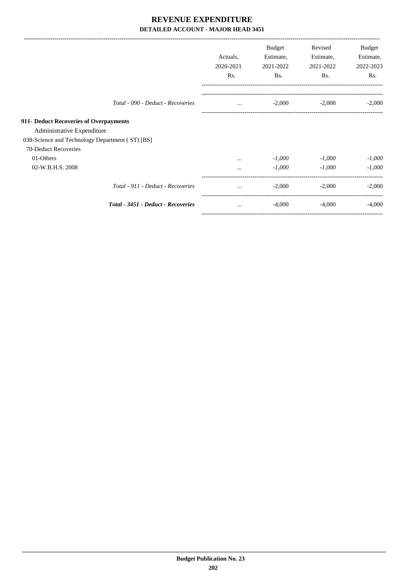|                                                                                                                         |                                    | Actuals,<br>2020-2021<br>Rs. | Budget<br>Estimate,<br>2021-2022<br>Rs. | Revised<br>Estimate,<br>2021-2022<br>Rs. | Budget<br>Estimate,<br>2022-2023<br>Rs. |
|-------------------------------------------------------------------------------------------------------------------------|------------------------------------|------------------------------|-----------------------------------------|------------------------------------------|-----------------------------------------|
|                                                                                                                         | Total - 090 - Deduct - Recoveries  | $\cdots$                     | $-2,000$                                | $-2,000$                                 | $-2,000$                                |
| 911- Deduct Recoveries of Overpayments<br>Administrative Expenditure<br>038-Science and Technology Department (ST) [BS] |                                    |                              |                                         |                                          |                                         |
| 70-Deduct Recoveries<br>01-Others<br>02-W.B.H.S. 2008                                                                   |                                    | $\cdots$<br>$\cdots$         | $-1,000$<br>$-1,000$                    | $-1,000$<br>$-1,000$                     | $-1,000$<br>$-1.000$                    |
|                                                                                                                         | Total - 911 - Deduct - Recoveries  | $\cdots$                     | $-2,000$                                | $-2,000$                                 | $-2,000$                                |
|                                                                                                                         | Total - 3451 - Deduct - Recoveries | $\cdots$                     | $-4,000$                                | $-4,000$                                 | $-4,000$                                |

-----------------------------------------------------------------------------------------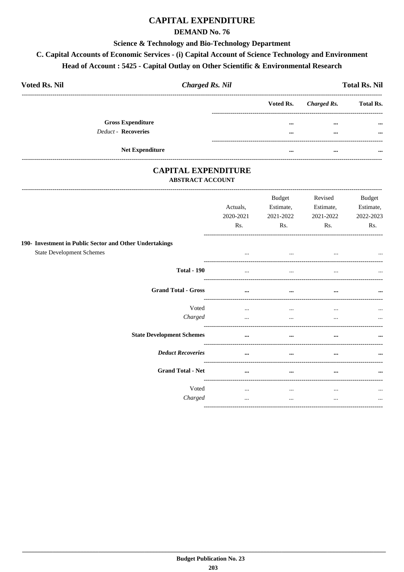# **CAPITAL EXPENDITURE**

### **DEMAND No. 76**

#### Science & Technology and Bio-Technology Department

# C. Capital Accounts of Economic Services - (i) Capital Account of Science Technology and Environment Head of Account : 5425 - Capital Outlay on Other Scientific & Environmental Research

| <b>Voted Rs. Nil</b>       | <b>Charged Rs. Nil</b> |                         |                       | <b>Total Rs. Nil</b> |
|----------------------------|------------------------|-------------------------|-----------------------|----------------------|
|                            |                        |                         | Voted Rs. Charged Rs. | <b>Total Rs.</b>     |
| <b>Gross Expenditure</b>   |                        | $\bullet\bullet\bullet$ | $\cdots$              | $\cdots$             |
| <b>Deduct - Recoveries</b> |                        | $\bullet\bullet\bullet$ | $\cdots$              | $\cdots$             |
| <b>Net Expenditure</b>     |                        |                         | $\cdots$              | $\cdots$             |

### **CAPITAL EXPENDITURE ABSTRACT ACCOUNT**

|                                                         | Actuals,<br>2020-2021<br>Rs. | <b>Budget</b><br>Estimate,<br>2021-2022<br>Rs. | Revised<br>Estimate,<br>2021-2022<br>Rs. | Budget<br>Estimate,<br>2022-2023<br>Rs. |
|---------------------------------------------------------|------------------------------|------------------------------------------------|------------------------------------------|-----------------------------------------|
| 190- Investment in Public Sector and Other Undertakings |                              |                                                |                                          |                                         |
| <b>State Development Schemes</b>                        | $\cdots$                     | $\cdots$                                       | $\cdots$                                 | $\cdots$                                |
| <b>Total - 190</b>                                      | $\ddotsc$                    | $\ddotsc$                                      | $\cdots$                                 | $\cdots$                                |
| <b>Grand Total - Gross</b>                              | $\cdots$                     | $\cdots$                                       | $\cdots$                                 | $\cdots$                                |
| Voted                                                   | $\cdots$                     | $\cdots$                                       |                                          | $\cdots$                                |
| Charged                                                 |                              | $\cdots$                                       |                                          | $\cdots$                                |
| <b>State Development Schemes</b>                        | $\cdots$                     | $\cdots$                                       | $\cdots$                                 | $\cdots$                                |
| <b>Deduct Recoveries</b>                                | $\cdots$                     | $\cdots$                                       | $\cdots$                                 | $\cdots$                                |
| <b>Grand Total - Net</b>                                | $\cdots$                     | $\cdots$                                       | $\cdots$                                 | $\cdots$                                |
| Voted                                                   | $\cdots$                     | $\cdots$                                       | $\cdots$                                 | $\cdots$                                |
| Charged                                                 |                              | $\cdots$                                       |                                          | $\cdots$                                |
|                                                         |                              |                                                |                                          |                                         |